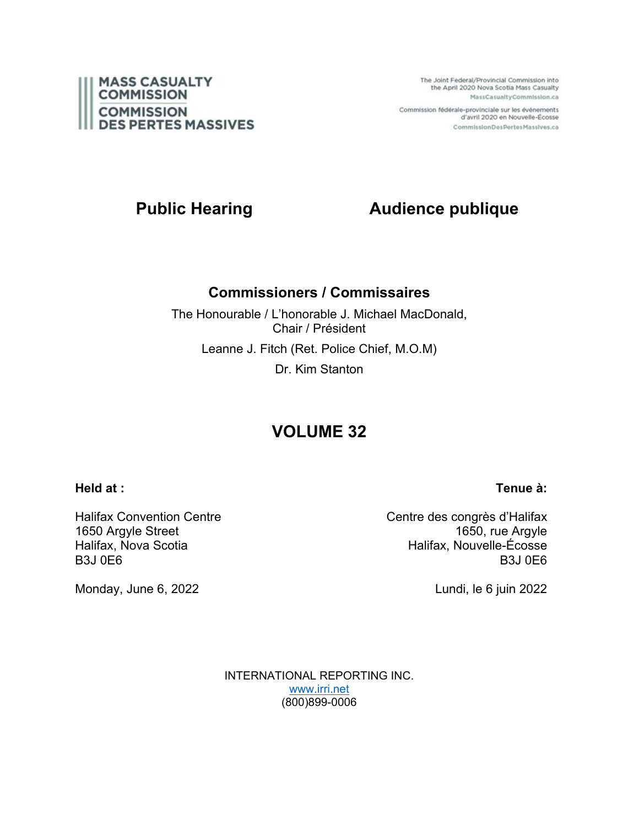

The Joint Federal/Provincial Commission into the April 2020 Nova Scotia Mass Casualty MassCasualtyCommission.ca

Commission fédérale-provinciale sur les événements d'avril 2020 en Nouvelle-Écosse CommissionDesPertesMassives.ca

# **Public Hearing Audience publique**

#### **Commissioners / Commissaires**

The Honourable / L'honorable J. Michael MacDonald, Chair / Président Leanne J. Fitch (Ret. Police Chief, M.O.M) Dr. Kim Stanton

## **VOLUME 32**

#### **Held at :**

#### **Tenue à:**

Halifax Convention Centre 1650 Argyle Street Halifax, Nova Scotia B3J 0E6

Monday, June 6, 2022

Centre des congrès d'Halifax 1650, rue Argyle Halifax, Nouvelle-Écosse B3J 0E6

Lundi, le 6 juin 2022

INTERNATIONAL REPORTING INC. [www.irri.net](http://www.irri.net/) (800)899-0006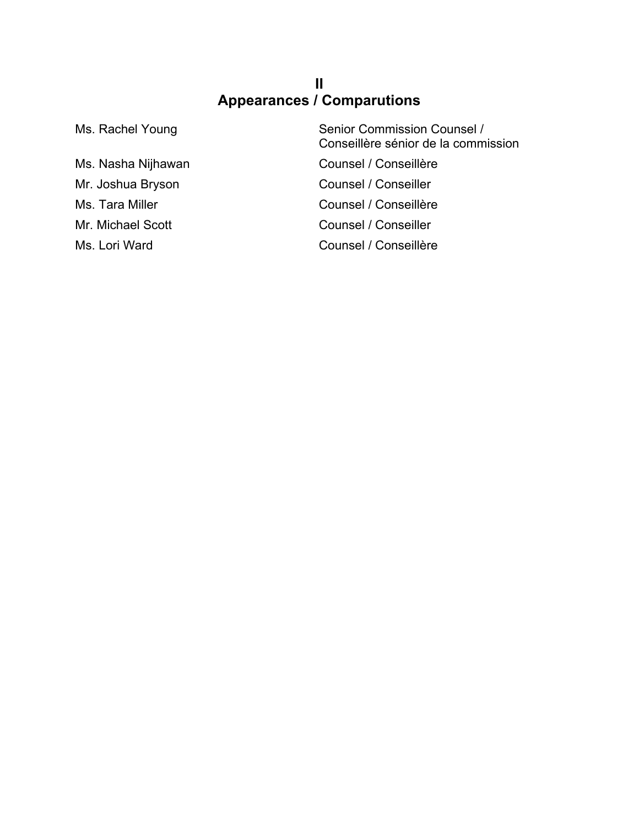### **II Appearances / Comparutions**

Ms. Rachel Young Senior Commission Counsel / Conseillère sénior de la commission Ms. Nasha Nijhawan Counsel / Conseillère Mr. Joshua Bryson Counsel / Conseiller Ms. Tara Miller Counsel / Conseillère Mr. Michael Scott Counsel / Conseiller Ms. Lori Ward **Counsel / Conseillère**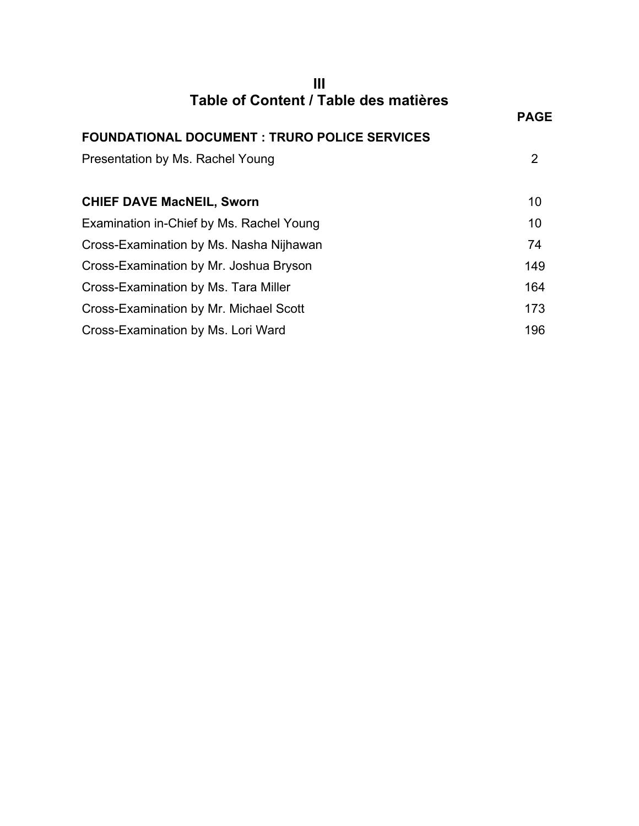| Ш                                                    |             |
|------------------------------------------------------|-------------|
| Table of Content / Table des matières                | <b>PAGE</b> |
| <b>FOUNDATIONAL DOCUMENT : TRURO POLICE SERVICES</b> |             |
| Presentation by Ms. Rachel Young                     | 2           |
|                                                      |             |
| <b>CHIEF DAVE MacNEIL, Sworn</b>                     | 10          |
| Examination in-Chief by Ms. Rachel Young             | 10          |
| Cross-Examination by Ms. Nasha Nijhawan              | 74          |
| Cross-Examination by Mr. Joshua Bryson               | 149         |
| Cross-Examination by Ms. Tara Miller                 | 164         |
| Cross-Examination by Mr. Michael Scott               | 173         |
| Cross-Examination by Ms. Lori Ward                   | 196         |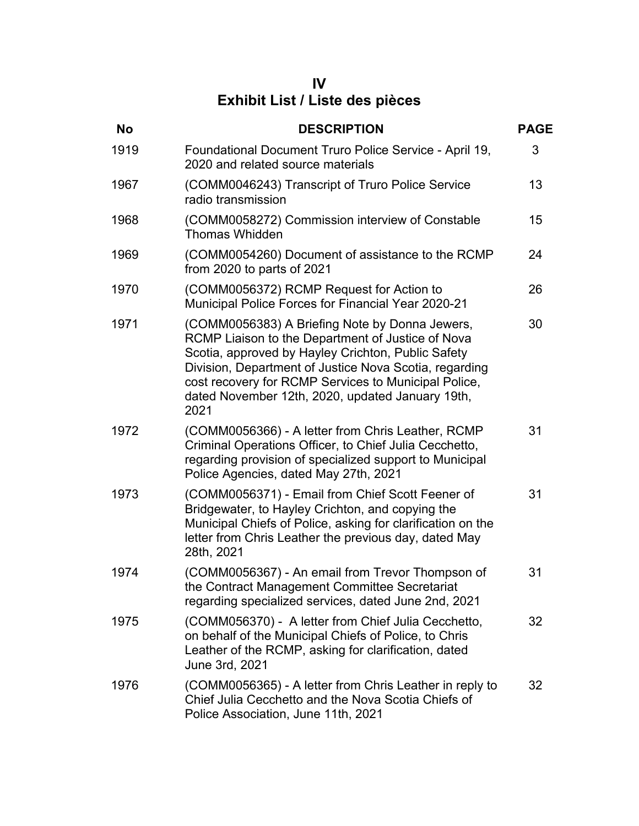#### **IV Exhibit List / Liste des pièces**

| <b>No</b> | <b>DESCRIPTION</b>                                                                                                                                                                                                                                                                                                                      | <b>PAGE</b> |
|-----------|-----------------------------------------------------------------------------------------------------------------------------------------------------------------------------------------------------------------------------------------------------------------------------------------------------------------------------------------|-------------|
| 1919      | Foundational Document Truro Police Service - April 19,<br>2020 and related source materials                                                                                                                                                                                                                                             | 3           |
| 1967      | (COMM0046243) Transcript of Truro Police Service<br>radio transmission                                                                                                                                                                                                                                                                  | 13          |
| 1968      | (COMM0058272) Commission interview of Constable<br><b>Thomas Whidden</b>                                                                                                                                                                                                                                                                | 15          |
| 1969      | (COMM0054260) Document of assistance to the RCMP<br>from 2020 to parts of 2021                                                                                                                                                                                                                                                          | 24          |
| 1970      | (COMM0056372) RCMP Request for Action to<br>Municipal Police Forces for Financial Year 2020-21                                                                                                                                                                                                                                          | 26          |
| 1971      | (COMM0056383) A Briefing Note by Donna Jewers,<br>RCMP Liaison to the Department of Justice of Nova<br>Scotia, approved by Hayley Crichton, Public Safety<br>Division, Department of Justice Nova Scotia, regarding<br>cost recovery for RCMP Services to Municipal Police,<br>dated November 12th, 2020, updated January 19th,<br>2021 | 30          |
| 1972      | (COMM0056366) - A letter from Chris Leather, RCMP<br>Criminal Operations Officer, to Chief Julia Cecchetto,<br>regarding provision of specialized support to Municipal<br>Police Agencies, dated May 27th, 2021                                                                                                                         | 31          |
| 1973      | (COMM0056371) - Email from Chief Scott Feener of<br>Bridgewater, to Hayley Crichton, and copying the<br>Municipal Chiefs of Police, asking for clarification on the<br>letter from Chris Leather the previous day, dated May<br>28th, 2021                                                                                              | 31          |
| 1974      | (COMM0056367) - An email from Trevor Thompson of<br>the Contract Management Committee Secretariat<br>regarding specialized services, dated June 2nd, 2021                                                                                                                                                                               | 31          |
| 1975      | (COMM056370) - A letter from Chief Julia Cecchetto,<br>on behalf of the Municipal Chiefs of Police, to Chris<br>Leather of the RCMP, asking for clarification, dated<br>June 3rd, 2021                                                                                                                                                  | 32          |
| 1976      | (COMM0056365) - A letter from Chris Leather in reply to<br>Chief Julia Cecchetto and the Nova Scotia Chiefs of<br>Police Association, June 11th, 2021                                                                                                                                                                                   | 32          |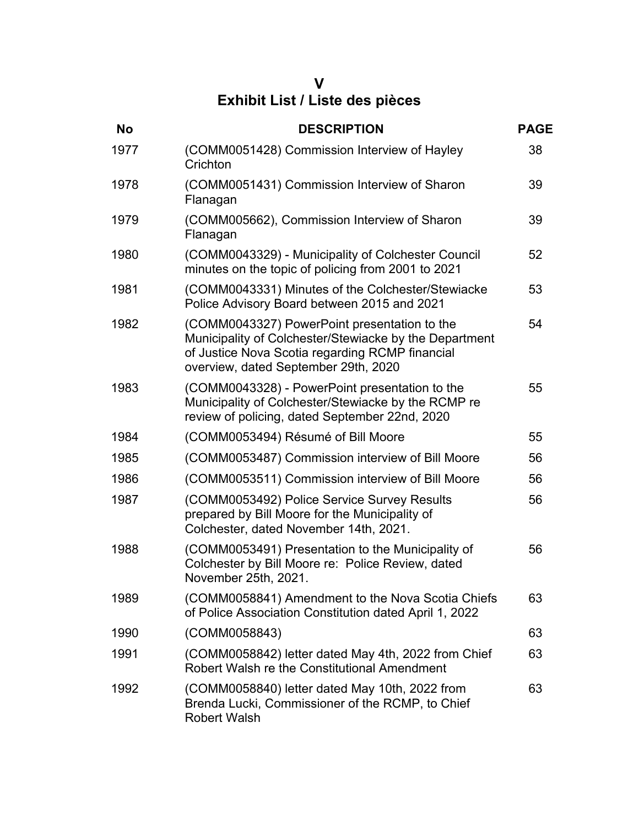#### **V Exhibit List / Liste des pièces**

| <b>No</b> | <b>DESCRIPTION</b>                                                                                                                                                                                | <b>PAGE</b> |
|-----------|---------------------------------------------------------------------------------------------------------------------------------------------------------------------------------------------------|-------------|
| 1977      | (COMM0051428) Commission Interview of Hayley<br>Crichton                                                                                                                                          | 38          |
| 1978      | (COMM0051431) Commission Interview of Sharon<br>Flanagan                                                                                                                                          | 39          |
| 1979      | (COMM005662), Commission Interview of Sharon<br>Flanagan                                                                                                                                          | 39          |
| 1980      | (COMM0043329) - Municipality of Colchester Council<br>minutes on the topic of policing from 2001 to 2021                                                                                          | 52          |
| 1981      | (COMM0043331) Minutes of the Colchester/Stewiacke<br>Police Advisory Board between 2015 and 2021                                                                                                  | 53          |
| 1982      | (COMM0043327) PowerPoint presentation to the<br>Municipality of Colchester/Stewiacke by the Department<br>of Justice Nova Scotia regarding RCMP financial<br>overview, dated September 29th, 2020 | 54          |
| 1983      | (COMM0043328) - PowerPoint presentation to the<br>Municipality of Colchester/Stewiacke by the RCMP re<br>review of policing, dated September 22nd, 2020                                           | 55          |
| 1984      | (COMM0053494) Résumé of Bill Moore                                                                                                                                                                | 55          |
| 1985      | (COMM0053487) Commission interview of Bill Moore                                                                                                                                                  | 56          |
| 1986      | (COMM0053511) Commission interview of Bill Moore                                                                                                                                                  | 56          |
| 1987      | (COMM0053492) Police Service Survey Results<br>prepared by Bill Moore for the Municipality of<br>Colchester, dated November 14th, 2021.                                                           | 56          |
| 1988      | (COMM0053491) Presentation to the Municipality of<br>Colchester by Bill Moore re: Police Review, dated<br>November 25th, 2021.                                                                    | 56          |
| 1989      | (COMM0058841) Amendment to the Nova Scotia Chiefs<br>of Police Association Constitution dated April 1, 2022                                                                                       | 63          |
| 1990      | (COMM0058843)                                                                                                                                                                                     | 63          |
| 1991      | (COMM0058842) letter dated May 4th, 2022 from Chief<br>Robert Walsh re the Constitutional Amendment                                                                                               | 63          |
| 1992      | (COMM0058840) letter dated May 10th, 2022 from<br>Brenda Lucki, Commissioner of the RCMP, to Chief<br><b>Robert Walsh</b>                                                                         | 63          |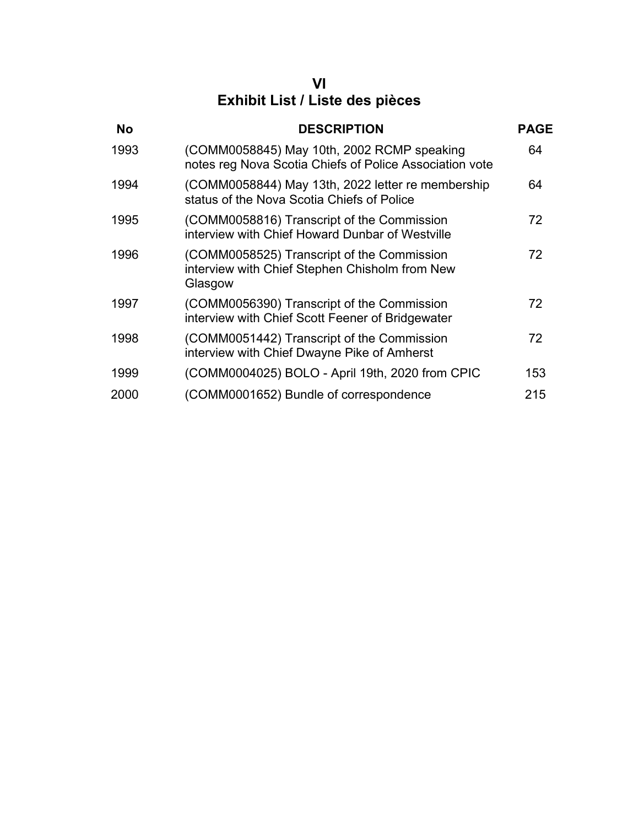#### **VI Exhibit List / Liste des pièces**

| <b>No</b> | <b>DESCRIPTION</b>                                                                                      | <b>PAGE</b> |
|-----------|---------------------------------------------------------------------------------------------------------|-------------|
| 1993      | (COMM0058845) May 10th, 2002 RCMP speaking<br>notes reg Nova Scotia Chiefs of Police Association vote   | 64          |
| 1994      | (COMM0058844) May 13th, 2022 letter re membership<br>status of the Nova Scotia Chiefs of Police         | 64          |
| 1995      | (COMM0058816) Transcript of the Commission<br>interview with Chief Howard Dunbar of Westville           | 72          |
| 1996      | (COMM0058525) Transcript of the Commission<br>interview with Chief Stephen Chisholm from New<br>Glasgow | 72          |
| 1997      | (COMM0056390) Transcript of the Commission<br>interview with Chief Scott Feener of Bridgewater          | 72          |
| 1998      | (COMM0051442) Transcript of the Commission<br>interview with Chief Dwayne Pike of Amherst               | 72          |
| 1999      | (COMM0004025) BOLO - April 19th, 2020 from CPIC                                                         | 153         |
| 2000      | (COMM0001652) Bundle of correspondence                                                                  | 215         |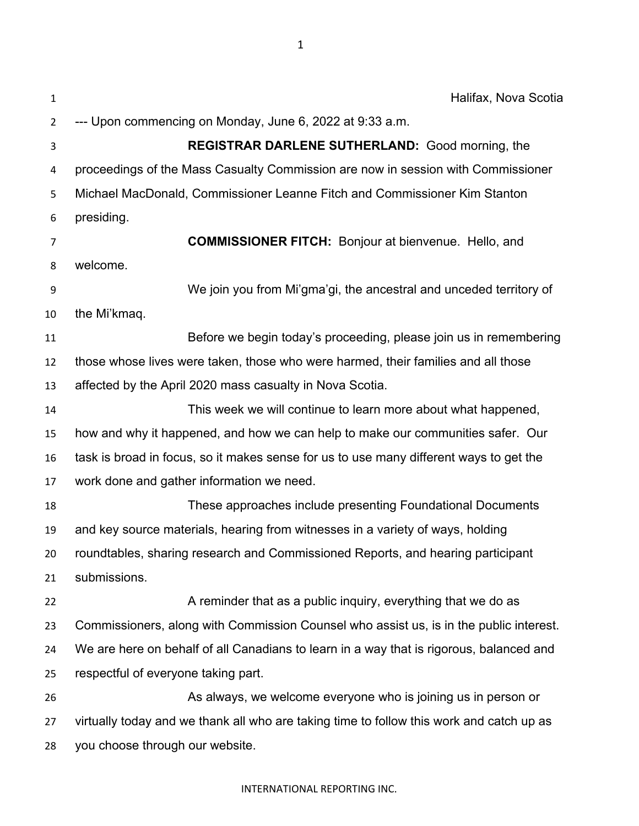| $\mathbf{1}$   | Halifax, Nova Scotia                                                                     |
|----------------|------------------------------------------------------------------------------------------|
| $\overline{2}$ | --- Upon commencing on Monday, June 6, 2022 at 9:33 a.m.                                 |
| 3              | <b>REGISTRAR DARLENE SUTHERLAND:</b> Good morning, the                                   |
| 4              | proceedings of the Mass Casualty Commission are now in session with Commissioner         |
| 5              | Michael MacDonald, Commissioner Leanne Fitch and Commissioner Kim Stanton                |
| 6              | presiding.                                                                               |
| 7              | <b>COMMISSIONER FITCH:</b> Bonjour at bienvenue. Hello, and                              |
| 8              | welcome.                                                                                 |
| 9              | We join you from Mi'gma'gi, the ancestral and unceded territory of                       |
| 10             | the Mi'kmaq.                                                                             |
| 11             | Before we begin today's proceeding, please join us in remembering                        |
| 12             | those whose lives were taken, those who were harmed, their families and all those        |
| 13             | affected by the April 2020 mass casualty in Nova Scotia.                                 |
| 14             | This week we will continue to learn more about what happened,                            |
| 15             | how and why it happened, and how we can help to make our communities safer. Our          |
| 16             | task is broad in focus, so it makes sense for us to use many different ways to get the   |
| 17             | work done and gather information we need.                                                |
| 18             | These approaches include presenting Foundational Documents                               |
| 19             | and key source materials, hearing from witnesses in a variety of ways, holding           |
| 20             | roundtables, sharing research and Commissioned Reports, and hearing participant          |
| 21             | submissions.                                                                             |
| 22             | A reminder that as a public inquiry, everything that we do as                            |
| 23             | Commissioners, along with Commission Counsel who assist us, is in the public interest.   |
| 24             | We are here on behalf of all Canadians to learn in a way that is rigorous, balanced and  |
| 25             | respectful of everyone taking part.                                                      |
| 26             | As always, we welcome everyone who is joining us in person or                            |
| 27             | virtually today and we thank all who are taking time to follow this work and catch up as |
| 28             | you choose through our website.                                                          |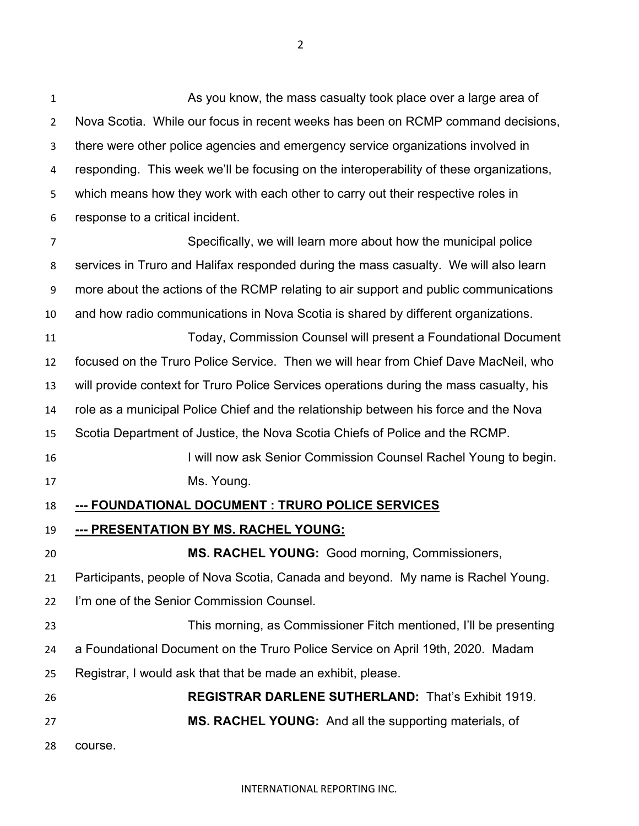1 As you know, the mass casualty took place over a large area of Nova Scotia. While our focus in recent weeks has been on RCMP command decisions, there were other police agencies and emergency service organizations involved in responding. This week we'll be focusing on the interoperability of these organizations, which means how they work with each other to carry out their respective roles in response to a critical incident. Specifically, we will learn more about how the municipal police services in Truro and Halifax responded during the mass casualty. We will also learn more about the actions of the RCMP relating to air support and public communications and how radio communications in Nova Scotia is shared by different organizations. Today, Commission Counsel will present a Foundational Document focused on the Truro Police Service. Then we will hear from Chief Dave MacNeil, who will provide context for Truro Police Services operations during the mass casualty, his role as a municipal Police Chief and the relationship between his force and the Nova Scotia Department of Justice, the Nova Scotia Chiefs of Police and the RCMP. I will now ask Senior Commission Counsel Rachel Young to begin. Ms. Young. **--- FOUNDATIONAL DOCUMENT : TRURO POLICE SERVICES --- PRESENTATION BY MS. RACHEL YOUNG: MS. RACHEL YOUNG:** Good morning, Commissioners, Participants, people of Nova Scotia, Canada and beyond. My name is Rachel Young. I'm one of the Senior Commission Counsel. This morning, as Commissioner Fitch mentioned, I'll be presenting a Foundational Document on the Truro Police Service on April 19th, 2020. Madam Registrar, I would ask that that be made an exhibit, please. **REGISTRAR DARLENE SUTHERLAND:** That's Exhibit 1919. **MS. RACHEL YOUNG:** And all the supporting materials, of course.

INTERNATIONAL REPORTING INC.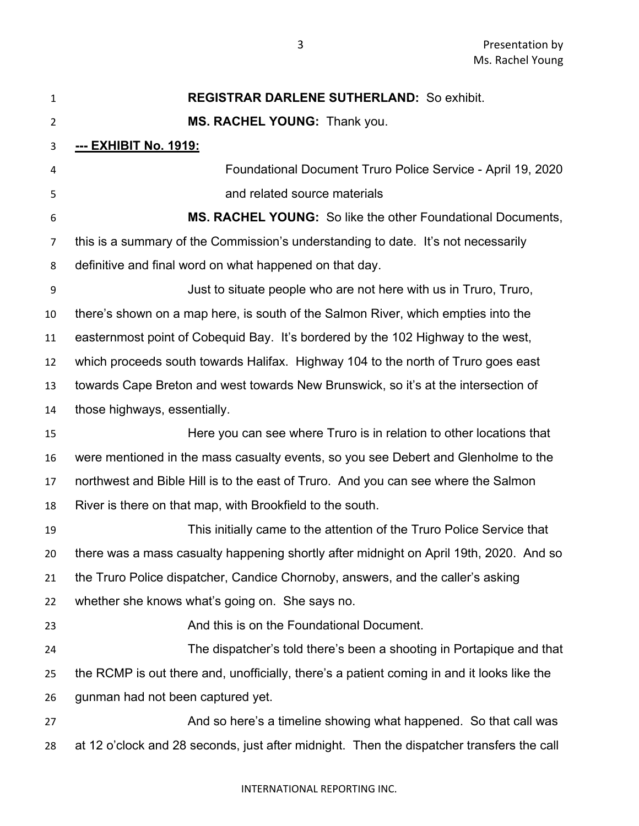| $\mathbf{1}$   | <b>REGISTRAR DARLENE SUTHERLAND: So exhibit.</b>                                           |
|----------------|--------------------------------------------------------------------------------------------|
| $\overline{2}$ | MS. RACHEL YOUNG: Thank you.                                                               |
| 3              | <u>--- EXHIBIT No. 1919:</u>                                                               |
| 4              | Foundational Document Truro Police Service - April 19, 2020                                |
| 5              | and related source materials                                                               |
| 6              | MS. RACHEL YOUNG: So like the other Foundational Documents,                                |
| 7              | this is a summary of the Commission's understanding to date. It's not necessarily          |
| 8              | definitive and final word on what happened on that day.                                    |
| 9              | Just to situate people who are not here with us in Truro, Truro,                           |
| 10             | there's shown on a map here, is south of the Salmon River, which empties into the          |
| 11             | easternmost point of Cobequid Bay. It's bordered by the 102 Highway to the west,           |
| 12             | which proceeds south towards Halifax. Highway 104 to the north of Truro goes east          |
| 13             | towards Cape Breton and west towards New Brunswick, so it's at the intersection of         |
| 14             | those highways, essentially.                                                               |
| 15             | Here you can see where Truro is in relation to other locations that                        |
| 16             | were mentioned in the mass casualty events, so you see Debert and Glenholme to the         |
| 17             | northwest and Bible Hill is to the east of Truro. And you can see where the Salmon         |
| 18             | River is there on that map, with Brookfield to the south.                                  |
| 19             | This initially came to the attention of the Truro Police Service that                      |
| 20             | there was a mass casualty happening shortly after midnight on April 19th, 2020. And so     |
| 21             | the Truro Police dispatcher, Candice Chornoby, answers, and the caller's asking            |
| 22             | whether she knows what's going on. She says no.                                            |
| 23             | And this is on the Foundational Document.                                                  |
| 24             | The dispatcher's told there's been a shooting in Portapique and that                       |
| 25             | the RCMP is out there and, unofficially, there's a patient coming in and it looks like the |
| 26             | gunman had not been captured yet.                                                          |
| 27             | And so here's a timeline showing what happened. So that call was                           |
| 28             | at 12 o'clock and 28 seconds, just after midnight. Then the dispatcher transfers the call  |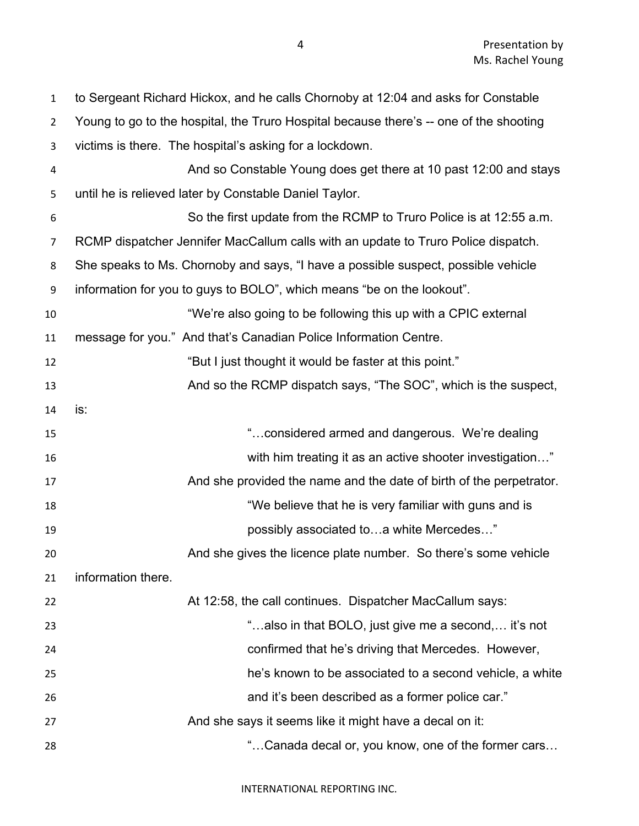to Sergeant Richard Hickox, and he calls Chornoby at 12:04 and asks for Constable Young to go to the hospital, the Truro Hospital because there's -- one of the shooting victims is there. The hospital's asking for a lockdown. And so Constable Young does get there at 10 past 12:00 and stays until he is relieved later by Constable Daniel Taylor. So the first update from the RCMP to Truro Police is at 12:55 a.m. RCMP dispatcher Jennifer MacCallum calls with an update to Truro Police dispatch. She speaks to Ms. Chornoby and says, "I have a possible suspect, possible vehicle information for you to guys to BOLO", which means "be on the lookout". "We're also going to be following this up with a CPIC external message for you." And that's Canadian Police Information Centre. **Example 12** "But I just thought it would be faster at this point." 13 And so the RCMP dispatch says, "The SOC", which is the suspect, is: "…considered armed and dangerous. We're dealing with him treating it as an active shooter investigation…" 17 And she provided the name and the date of birth of the perpetrator. 18 18 18 19 The Mattest We believe that he is very familiar with guns and is possibly associated to…a white Mercedes…" And she gives the licence plate number. So there's some vehicle information there. At 12:58, the call continues. Dispatcher MacCallum says: "…also in that BOLO, just give me a second,… it's not confirmed that he's driving that Mercedes. However, he's known to be associated to a second vehicle, a white and it's been described as a former police car." 27 And she says it seems like it might have a decal on it: "…Canada decal or, you know, one of the former cars…

INTERNATIONAL REPORTING INC.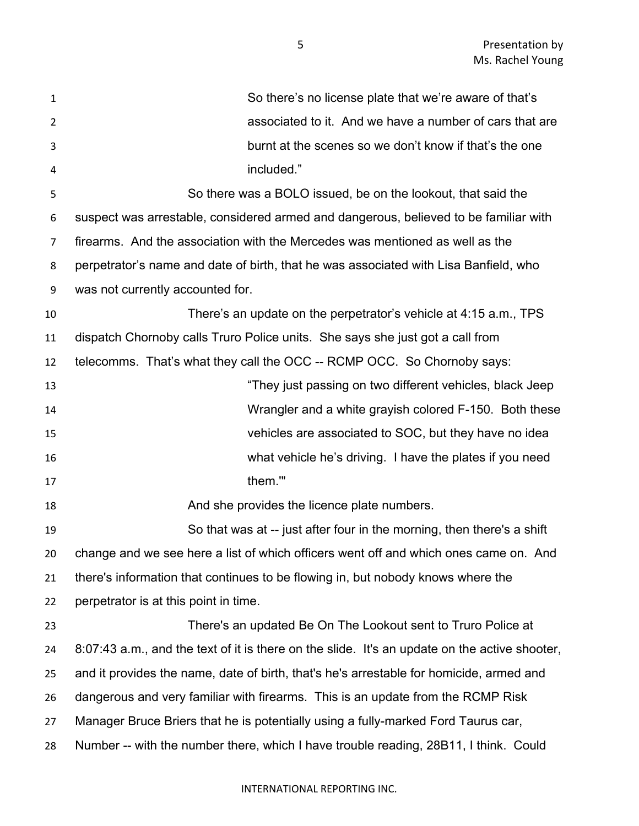| $\mathbf{1}$   | So there's no license plate that we're aware of that's                                        |
|----------------|-----------------------------------------------------------------------------------------------|
| $\overline{2}$ | associated to it. And we have a number of cars that are                                       |
| 3              | burnt at the scenes so we don't know if that's the one                                        |
| 4              | included."                                                                                    |
| 5              | So there was a BOLO issued, be on the lookout, that said the                                  |
| 6              | suspect was arrestable, considered armed and dangerous, believed to be familiar with          |
| 7              | firearms. And the association with the Mercedes was mentioned as well as the                  |
| 8              | perpetrator's name and date of birth, that he was associated with Lisa Banfield, who          |
| 9              | was not currently accounted for.                                                              |
| 10             | There's an update on the perpetrator's vehicle at 4:15 a.m., TPS                              |
| 11             | dispatch Chornoby calls Truro Police units. She says she just got a call from                 |
| 12             | telecomms. That's what they call the OCC -- RCMP OCC. So Chornoby says:                       |
| 13             | "They just passing on two different vehicles, black Jeep                                      |
| 14             | Wrangler and a white grayish colored F-150. Both these                                        |
| 15             | vehicles are associated to SOC, but they have no idea                                         |
| 16             | what vehicle he's driving. I have the plates if you need                                      |
| 17             | them.""                                                                                       |
| 18             | And she provides the licence plate numbers.                                                   |
| 19             | So that was at -- just after four in the morning, then there's a shift                        |
| 20             | change and we see here a list of which officers went off and which ones came on. And          |
| 21             | there's information that continues to be flowing in, but nobody knows where the               |
| 22             | perpetrator is at this point in time.                                                         |
| 23             | There's an updated Be On The Lookout sent to Truro Police at                                  |
| 24             | 8:07:43 a.m., and the text of it is there on the slide. It's an update on the active shooter, |
| 25             | and it provides the name, date of birth, that's he's arrestable for homicide, armed and       |
| 26             | dangerous and very familiar with firearms. This is an update from the RCMP Risk               |
| 27             | Manager Bruce Briers that he is potentially using a fully-marked Ford Taurus car,             |
| 28             | Number -- with the number there, which I have trouble reading, 28B11, I think. Could          |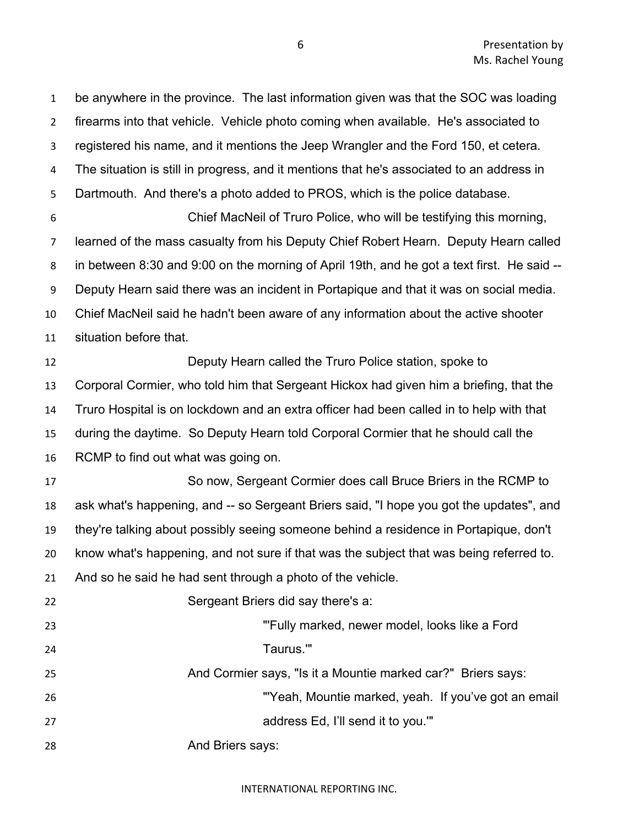be anywhere in the province. The last information given was that the SOC was loading firearms into that vehicle. Vehicle photo coming when available. He's associated to registered his name, and it mentions the Jeep Wrangler and the Ford 150, et cetera. The situation is still in progress, and it mentions that he's associated to an address in Dartmouth. And there's a photo added to PROS, which is the police database. Chief MacNeil of Truro Police, who will be testifying this morning, learned of the mass casualty from his Deputy Chief Robert Hearn. Deputy Hearn called in between 8:30 and 9:00 on the morning of April 19th, and he got a text first. He said -- Deputy Hearn said there was an incident in Portapique and that it was on social media. Chief MacNeil said he hadn't been aware of any information about the active shooter situation before that. Deputy Hearn called the Truro Police station, spoke to Corporal Cormier, who told him that Sergeant Hickox had given him a briefing, that the Truro Hospital is on lockdown and an extra officer had been called in to help with that during the daytime. So Deputy Hearn told Corporal Cormier that he should call the RCMP to find out what was going on. So now, Sergeant Cormier does call Bruce Briers in the RCMP to ask what's happening, and -- so Sergeant Briers said, "I hope you got the updates", and they're talking about possibly seeing someone behind a residence in Portapique, don't know what's happening, and not sure if that was the subject that was being referred to. And so he said he had sent through a photo of the vehicle. Sergeant Briers did say there's a: "'Fully marked, newer model, looks like a Ford Taurus.'" 25 And Cormier says, "Is it a Mountie marked car?" Briers says: "'Yeah, Mountie marked, yeah. If you've got an email address Ed, I'll send it to you.'" **And Briers says:** 

INTERNATIONAL REPORTING INC.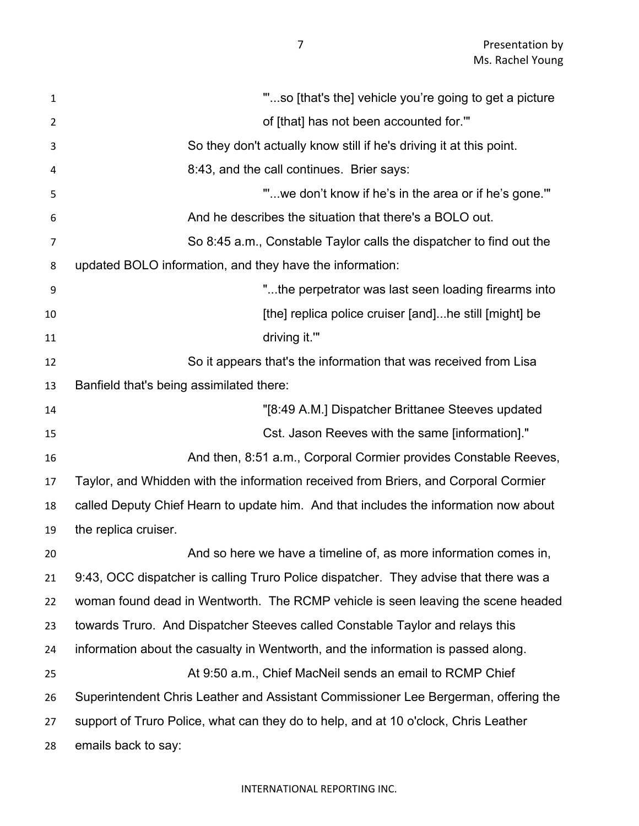"'...so [that's the] vehicle you're going to get a picture of [that] has not been accounted for.'" So they don't actually know still if he's driving it at this point. 8:43, and the call continues. Brier says: "'...we don't know if he's in the area or if he's gone.'" And he describes the situation that there's a BOLO out. So 8:45 a.m., Constable Taylor calls the dispatcher to find out the updated BOLO information, and they have the information: "...the perpetrator was last seen loading firearms into **10 Example 20 EXECUTE:** [the] replica police cruiser [and]...he still [might] be 11 driving it." So it appears that's the information that was received from Lisa Banfield that's being assimilated there: "[8:49 A.M.] Dispatcher Brittanee Steeves updated Cst. Jason Reeves with the same [information]." **And then, 8:51 a.m., Corporal Cormier provides Constable Reeves,**  $\overline{\phantom{a}}$  Taylor, and Whidden with the information received from Briers, and Corporal Cormier called Deputy Chief Hearn to update him. And that includes the information now about the replica cruiser. And so here we have a timeline of, as more information comes in, 9:43, OCC dispatcher is calling Truro Police dispatcher. They advise that there was a woman found dead in Wentworth. The RCMP vehicle is seen leaving the scene headed towards Truro. And Dispatcher Steeves called Constable Taylor and relays this information about the casualty in Wentworth, and the information is passed along. At 9:50 a.m., Chief MacNeil sends an email to RCMP Chief Superintendent Chris Leather and Assistant Commissioner Lee Bergerman, offering the support of Truro Police, what can they do to help, and at 10 o'clock, Chris Leather emails back to say: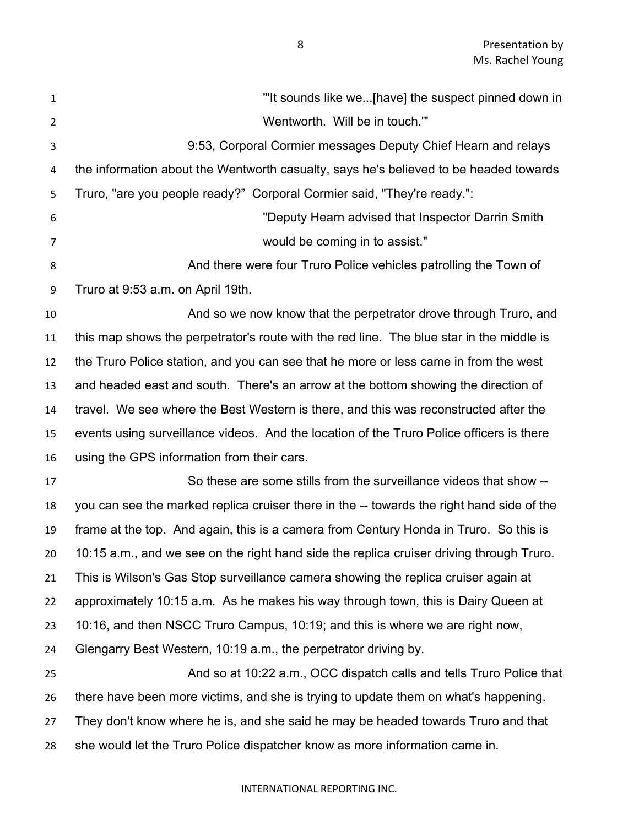| $\mathbf{1}$   | "It sounds like we[have] the suspect pinned down in                                       |
|----------------|-------------------------------------------------------------------------------------------|
| $\overline{2}$ | Wentworth. Will be in touch.""                                                            |
| 3              | 9:53, Corporal Cormier messages Deputy Chief Hearn and relays                             |
| 4              | the information about the Wentworth casualty, says he's believed to be headed towards     |
| 5              | Truro, "are you people ready?" Corporal Cormier said, "They're ready.":                   |
| 6              | "Deputy Hearn advised that Inspector Darrin Smith                                         |
| 7              | would be coming in to assist."                                                            |
| 8              | And there were four Truro Police vehicles patrolling the Town of                          |
| 9              | Truro at 9:53 a.m. on April 19th.                                                         |
| 10             | And so we now know that the perpetrator drove through Truro, and                          |
| 11             | this map shows the perpetrator's route with the red line. The blue star in the middle is  |
| 12             | the Truro Police station, and you can see that he more or less came in from the west      |
| 13             | and headed east and south. There's an arrow at the bottom showing the direction of        |
| 14             | travel. We see where the Best Western is there, and this was reconstructed after the      |
| 15             | events using surveillance videos. And the location of the Truro Police officers is there  |
| 16             | using the GPS information from their cars.                                                |
| 17             | So these are some stills from the surveillance videos that show --                        |
| 18             | you can see the marked replica cruiser there in the -- towards the right hand side of the |
| 19             | frame at the top. And again, this is a camera from Century Honda in Truro. So this is     |
| 20             | 10:15 a.m., and we see on the right hand side the replica cruiser driving through Truro.  |
| 21             | This is Wilson's Gas Stop surveillance camera showing the replica cruiser again at        |
| 22             | approximately 10:15 a.m. As he makes his way through town, this is Dairy Queen at         |
| 23             | 10:16, and then NSCC Truro Campus, 10:19; and this is where we are right now,             |
| 24             | Glengarry Best Western, 10:19 a.m., the perpetrator driving by.                           |
| 25             | And so at 10:22 a.m., OCC dispatch calls and tells Truro Police that                      |
| 26             | there have been more victims, and she is trying to update them on what's happening.       |
| 27             | They don't know where he is, and she said he may be headed towards Truro and that         |
| 28             | she would let the Truro Police dispatcher know as more information came in.               |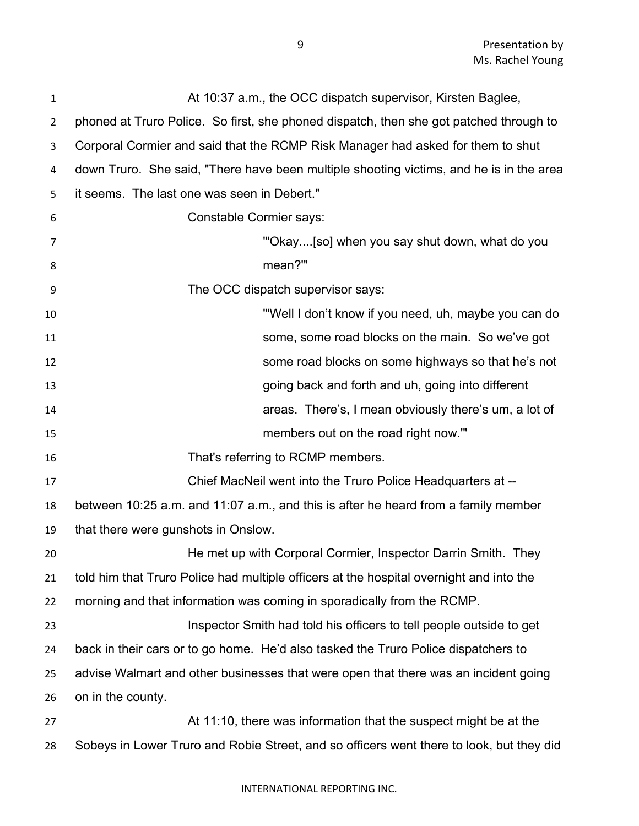| 1              | At 10:37 a.m., the OCC dispatch supervisor, Kirsten Baglee,                              |
|----------------|------------------------------------------------------------------------------------------|
| $\overline{2}$ | phoned at Truro Police. So first, she phoned dispatch, then she got patched through to   |
| 3              | Corporal Cormier and said that the RCMP Risk Manager had asked for them to shut          |
| 4              | down Truro. She said, "There have been multiple shooting victims, and he is in the area  |
| 5              | it seems. The last one was seen in Debert."                                              |
| 6              | <b>Constable Cormier says:</b>                                                           |
| 7              | "'Okay[so] when you say shut down, what do you                                           |
| 8              | mean?"                                                                                   |
| 9              | The OCC dispatch supervisor says:                                                        |
| 10             | "Well I don't know if you need, uh, maybe you can do                                     |
| 11             | some, some road blocks on the main. So we've got                                         |
| 12             | some road blocks on some highways so that he's not                                       |
| 13             | going back and forth and uh, going into different                                        |
| 14             | areas. There's, I mean obviously there's um, a lot of                                    |
| 15             | members out on the road right now."                                                      |
| 16             | That's referring to RCMP members.                                                        |
| 17             | Chief MacNeil went into the Truro Police Headquarters at --                              |
| 18             | between 10:25 a.m. and 11:07 a.m., and this is after he heard from a family member       |
| 19             | that there were gunshots in Onslow.                                                      |
| 20             | He met up with Corporal Cormier, Inspector Darrin Smith. They                            |
| 21             | told him that Truro Police had multiple officers at the hospital overnight and into the  |
| 22             | morning and that information was coming in sporadically from the RCMP.                   |
| 23             | Inspector Smith had told his officers to tell people outside to get                      |
| 24             | back in their cars or to go home. He'd also tasked the Truro Police dispatchers to       |
| 25             | advise Walmart and other businesses that were open that there was an incident going      |
| 26             | on in the county.                                                                        |
| 27             | At 11:10, there was information that the suspect might be at the                         |
| 28             | Sobeys in Lower Truro and Robie Street, and so officers went there to look, but they did |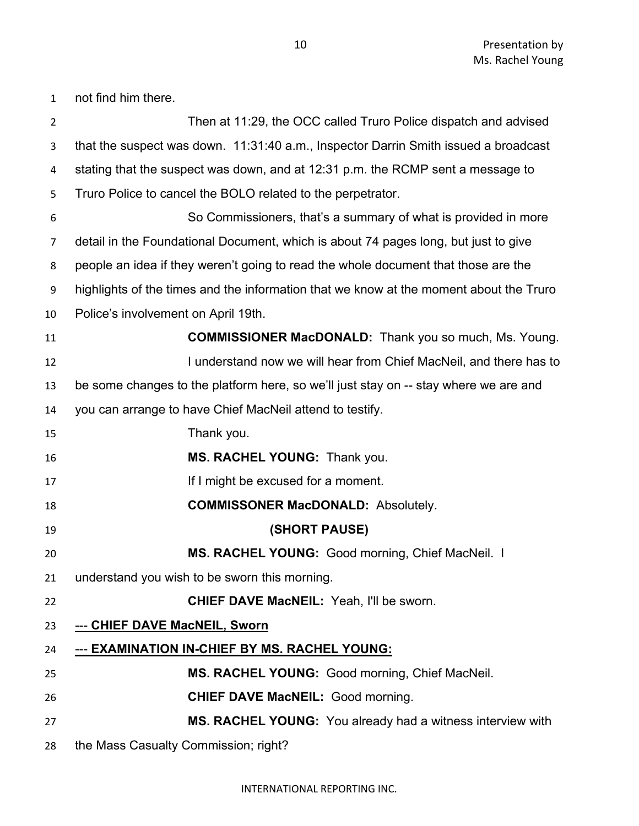Then at 11:29, the OCC called Truro Police dispatch and advised that the suspect was down. 11:31:40 a.m., Inspector Darrin Smith issued a broadcast stating that the suspect was down, and at 12:31 p.m. the RCMP sent a message to Truro Police to cancel the BOLO related to the perpetrator. So Commissioners, that's a summary of what is provided in more detail in the Foundational Document, which is about 74 pages long, but just to give people an idea if they weren't going to read the whole document that those are the highlights of the times and the information that we know at the moment about the Truro Police's involvement on April 19th. **COMMISSIONER MacDONALD:** Thank you so much, Ms. Young. **I understand now we will hear from Chief MacNeil, and there has to**  be some changes to the platform here, so we'll just stay on -- stay where we are and you can arrange to have Chief MacNeil attend to testify. Thank you. **MS. RACHEL YOUNG:** Thank you. **If I might be excused for a moment. COMMISSONER MacDONALD:** Absolutely. **(SHORT PAUSE) MS. RACHEL YOUNG:** Good morning, Chief MacNeil. I understand you wish to be sworn this morning. **CHIEF DAVE MacNEIL:** Yeah, I'll be sworn. --- **CHIEF DAVE MacNEIL, Sworn** --- **EXAMINATION IN-CHIEF BY MS. RACHEL YOUNG: MS. RACHEL YOUNG:** Good morning, Chief MacNeil. **CHIEF DAVE MacNEIL:** Good morning. **MS. RACHEL YOUNG:** You already had a witness interview with the Mass Casualty Commission; right?

not find him there.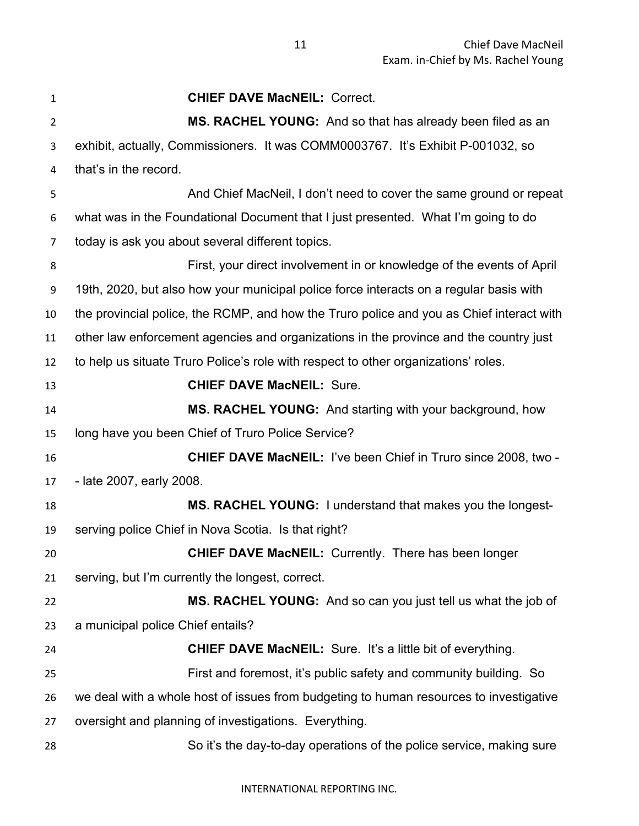| 1  | <b>CHIEF DAVE MacNEIL: Correct.</b>                                                      |
|----|------------------------------------------------------------------------------------------|
| 2  | MS. RACHEL YOUNG: And so that has already been filed as an                               |
| 3  | exhibit, actually, Commissioners. It was COMM0003767. It's Exhibit P-001032, so          |
| 4  | that's in the record.                                                                    |
| 5  | And Chief MacNeil, I don't need to cover the same ground or repeat                       |
| 6  | what was in the Foundational Document that I just presented. What I'm going to do        |
| 7  | today is ask you about several different topics.                                         |
| 8  | First, your direct involvement in or knowledge of the events of April                    |
| 9  | 19th, 2020, but also how your municipal police force interacts on a regular basis with   |
| 10 | the provincial police, the RCMP, and how the Truro police and you as Chief interact with |
| 11 | other law enforcement agencies and organizations in the province and the country just    |
| 12 | to help us situate Truro Police's role with respect to other organizations' roles.       |
| 13 | <b>CHIEF DAVE MacNEIL: Sure.</b>                                                         |
| 14 | MS. RACHEL YOUNG: And starting with your background, how                                 |
| 15 | long have you been Chief of Truro Police Service?                                        |
| 16 | <b>CHIEF DAVE MacNEIL: I've been Chief in Truro since 2008, two -</b>                    |
| 17 | - late 2007, early 2008.                                                                 |
| 18 | MS. RACHEL YOUNG: I understand that makes you the longest-                               |
| 19 | serving police Chief in Nova Scotia. Is that right?                                      |
| 20 | <b>CHIEF DAVE MacNEIL:</b> Currently. There has been longer                              |
| 21 | serving, but I'm currently the longest, correct.                                         |
| 22 | MS. RACHEL YOUNG: And so can you just tell us what the job of                            |
| 23 | a municipal police Chief entails?                                                        |
| 24 | <b>CHIEF DAVE MacNEIL:</b> Sure. It's a little bit of everything.                        |
| 25 | First and foremost, it's public safety and community building. So                        |
| 26 | we deal with a whole host of issues from budgeting to human resources to investigative   |
| 27 | oversight and planning of investigations. Everything.                                    |
| 28 | So it's the day-to-day operations of the police service, making sure                     |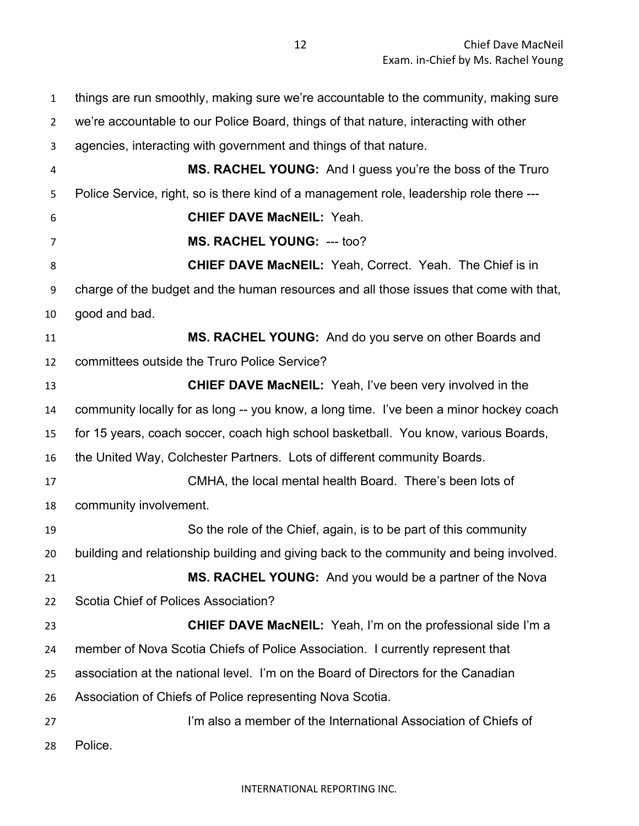Chief Dave MacNeil Exam. in-Chief by Ms. Rachel Young

 things are run smoothly, making sure we're accountable to the community, making sure we're accountable to our Police Board, things of that nature, interacting with other agencies, interacting with government and things of that nature. **MS. RACHEL YOUNG:** And I guess you're the boss of the Truro Police Service, right, so is there kind of a management role, leadership role there --- **CHIEF DAVE MacNEIL:** Yeah. **MS. RACHEL YOUNG:** --- too? **CHIEF DAVE MacNEIL:** Yeah, Correct. Yeah. The Chief is in charge of the budget and the human resources and all those issues that come with that, good and bad. **MS. RACHEL YOUNG:** And do you serve on other Boards and committees outside the Truro Police Service? **CHIEF DAVE MacNEIL:** Yeah, I've been very involved in the community locally for as long -- you know, a long time. I've been a minor hockey coach for 15 years, coach soccer, coach high school basketball. You know, various Boards, the United Way, Colchester Partners. Lots of different community Boards. CMHA, the local mental health Board. There's been lots of community involvement. So the role of the Chief, again, is to be part of this community building and relationship building and giving back to the community and being involved. **MS. RACHEL YOUNG:** And you would be a partner of the Nova Scotia Chief of Polices Association? **CHIEF DAVE MacNEIL:** Yeah, I'm on the professional side I'm a member of Nova Scotia Chiefs of Police Association. I currently represent that association at the national level. I'm on the Board of Directors for the Canadian Association of Chiefs of Police representing Nova Scotia. I'm also a member of the International Association of Chiefs of Police.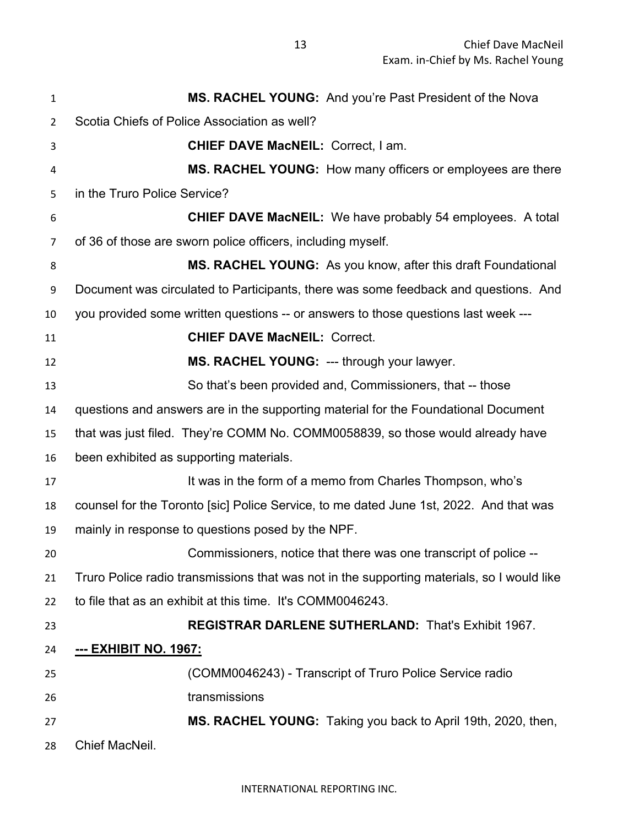| 1  | MS. RACHEL YOUNG: And you're Past President of the Nova                                    |
|----|--------------------------------------------------------------------------------------------|
| 2  | Scotia Chiefs of Police Association as well?                                               |
| 3  | <b>CHIEF DAVE MacNEIL: Correct, I am.</b>                                                  |
| 4  | MS. RACHEL YOUNG: How many officers or employees are there                                 |
| 5  | in the Truro Police Service?                                                               |
| 6  | <b>CHIEF DAVE MacNEIL:</b> We have probably 54 employees. A total                          |
| 7  | of 36 of those are sworn police officers, including myself.                                |
| 8  | MS. RACHEL YOUNG: As you know, after this draft Foundational                               |
| 9  | Document was circulated to Participants, there was some feedback and questions. And        |
| 10 | you provided some written questions -- or answers to those questions last week ---         |
| 11 | <b>CHIEF DAVE MacNEIL: Correct.</b>                                                        |
| 12 | MS. RACHEL YOUNG: --- through your lawyer.                                                 |
| 13 | So that's been provided and, Commissioners, that -- those                                  |
| 14 | questions and answers are in the supporting material for the Foundational Document         |
| 15 | that was just filed. They're COMM No. COMM0058839, so those would already have             |
| 16 | been exhibited as supporting materials.                                                    |
| 17 | It was in the form of a memo from Charles Thompson, who's                                  |
| 18 | counsel for the Toronto [sic] Police Service, to me dated June 1st, 2022. And that was     |
| 19 | mainly in response to questions posed by the NPF.                                          |
| 20 | Commissioners, notice that there was one transcript of police --                           |
| 21 | Truro Police radio transmissions that was not in the supporting materials, so I would like |
| 22 | to file that as an exhibit at this time. It's COMM0046243.                                 |
| 23 | <b>REGISTRAR DARLENE SUTHERLAND: That's Exhibit 1967.</b>                                  |
| 24 | <u>--- ЕХНІВІТ NO. 1967:</u>                                                               |
| 25 | (COMM0046243) - Transcript of Truro Police Service radio                                   |
| 26 | transmissions                                                                              |
| 27 | MS. RACHEL YOUNG: Taking you back to April 19th, 2020, then,                               |
| 28 | Chief MacNeil.                                                                             |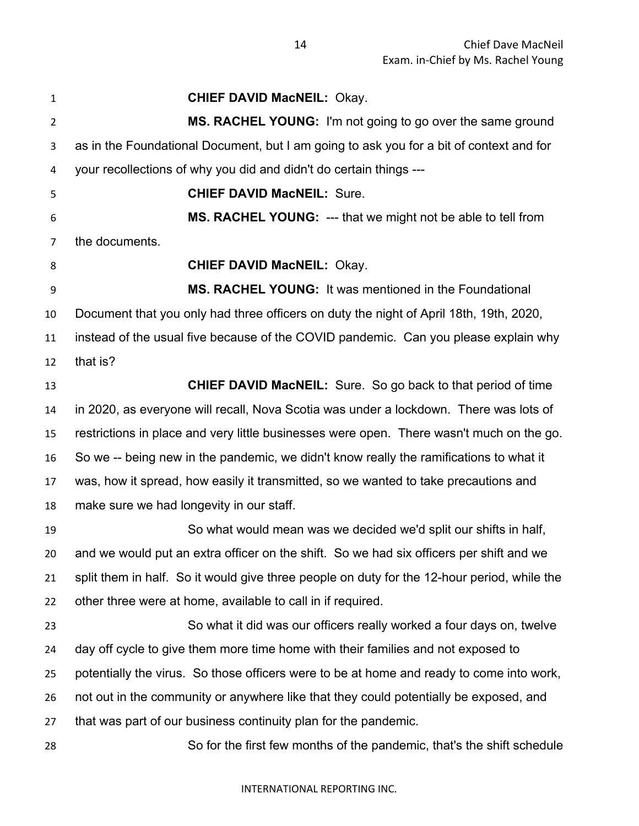**CHIEF DAVID MacNEIL:** Okay. **MS. RACHEL YOUNG:** I'm not going to go over the same ground as in the Foundational Document, but I am going to ask you for a bit of context and for your recollections of why you did and didn't do certain things --- **CHIEF DAVID MacNEIL:** Sure. **MS. RACHEL YOUNG:** --- that we might not be able to tell from the documents. **CHIEF DAVID MacNEIL:** Okay. **MS. RACHEL YOUNG:** It was mentioned in the Foundational Document that you only had three officers on duty the night of April 18th, 19th, 2020, instead of the usual five because of the COVID pandemic. Can you please explain why that is? **CHIEF DAVID MacNEIL:** Sure. So go back to that period of time in 2020, as everyone will recall, Nova Scotia was under a lockdown. There was lots of restrictions in place and very little businesses were open. There wasn't much on the go. So we -- being new in the pandemic, we didn't know really the ramifications to what it was, how it spread, how easily it transmitted, so we wanted to take precautions and make sure we had longevity in our staff. So what would mean was we decided we'd split our shifts in half, and we would put an extra officer on the shift. So we had six officers per shift and we split them in half. So it would give three people on duty for the 12-hour period, while the other three were at home, available to call in if required. So what it did was our officers really worked a four days on, twelve day off cycle to give them more time home with their families and not exposed to potentially the virus. So those officers were to be at home and ready to come into work, not out in the community or anywhere like that they could potentially be exposed, and that was part of our business continuity plan for the pandemic. So for the first few months of the pandemic, that's the shift schedule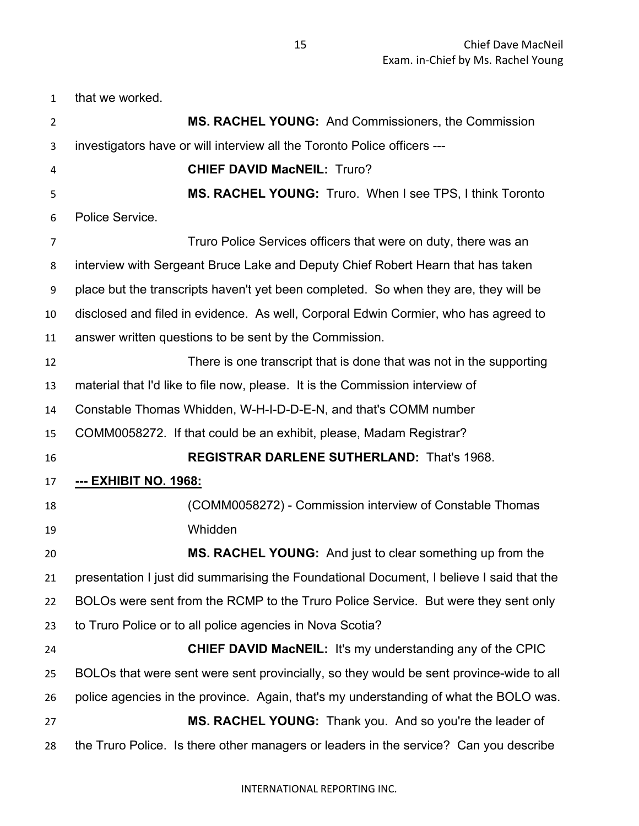that we worked.

| $\overline{2}$ | <b>MS. RACHEL YOUNG: And Commissioners, the Commission</b>                               |
|----------------|------------------------------------------------------------------------------------------|
| 3              | investigators have or will interview all the Toronto Police officers ---                 |
| 4              | <b>CHIEF DAVID MacNEIL: Truro?</b>                                                       |
| 5              | MS. RACHEL YOUNG: Truro. When I see TPS, I think Toronto                                 |
| 6              | Police Service.                                                                          |
| 7              | Truro Police Services officers that were on duty, there was an                           |
| 8              | interview with Sergeant Bruce Lake and Deputy Chief Robert Hearn that has taken          |
| 9              | place but the transcripts haven't yet been completed. So when they are, they will be     |
| 10             | disclosed and filed in evidence. As well, Corporal Edwin Cormier, who has agreed to      |
| 11             | answer written questions to be sent by the Commission.                                   |
| 12             | There is one transcript that is done that was not in the supporting                      |
| 13             | material that I'd like to file now, please. It is the Commission interview of            |
| 14             | Constable Thomas Whidden, W-H-I-D-D-E-N, and that's COMM number                          |
| 15             | COMM0058272. If that could be an exhibit, please, Madam Registrar?                       |
| 16             | <b>REGISTRAR DARLENE SUTHERLAND: That's 1968.</b>                                        |
| 17             | <u>--- ЕХНІВІТ NO. 1968:</u>                                                             |
| 18             | (COMM0058272) - Commission interview of Constable Thomas                                 |
| 19             | Whidden                                                                                  |
| 20             | MS. RACHEL YOUNG: And just to clear something up from the                                |
| 21             | presentation I just did summarising the Foundational Document, I believe I said that the |
| 22             | BOLOs were sent from the RCMP to the Truro Police Service. But were they sent only       |
| 23             | to Truro Police or to all police agencies in Nova Scotia?                                |
| 24             | <b>CHIEF DAVID MacNEIL: It's my understanding any of the CPIC</b>                        |
| 25             | BOLOs that were sent were sent provincially, so they would be sent province-wide to all  |
| 26             | police agencies in the province. Again, that's my understanding of what the BOLO was.    |
| 27             | MS. RACHEL YOUNG: Thank you. And so you're the leader of                                 |
| 28             | the Truro Police. Is there other managers or leaders in the service? Can you describe    |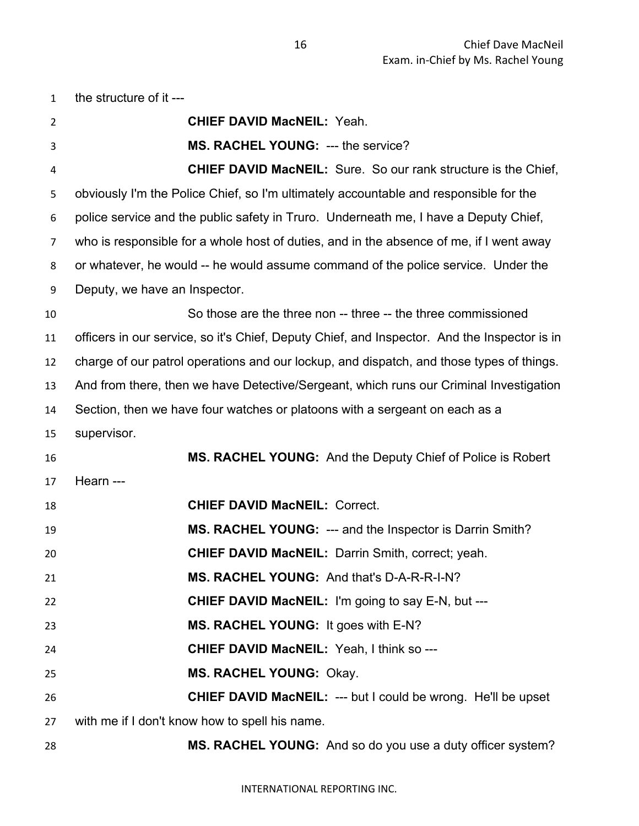| $\mathbf{1}$   | the structure of it ---                                                                      |
|----------------|----------------------------------------------------------------------------------------------|
| $\overline{2}$ | <b>CHIEF DAVID MacNEIL: Yeah.</b>                                                            |
| 3              | MS. RACHEL YOUNG: --- the service?                                                           |
| 4              | <b>CHIEF DAVID MacNEIL:</b> Sure. So our rank structure is the Chief,                        |
| 5              | obviously I'm the Police Chief, so I'm ultimately accountable and responsible for the        |
| 6              | police service and the public safety in Truro. Underneath me, I have a Deputy Chief,         |
| 7              | who is responsible for a whole host of duties, and in the absence of me, if I went away      |
| 8              | or whatever, he would -- he would assume command of the police service. Under the            |
| 9              | Deputy, we have an Inspector.                                                                |
| 10             | So those are the three non -- three -- the three commissioned                                |
| 11             | officers in our service, so it's Chief, Deputy Chief, and Inspector. And the Inspector is in |
| 12             | charge of our patrol operations and our lockup, and dispatch, and those types of things.     |
| 13             | And from there, then we have Detective/Sergeant, which runs our Criminal Investigation       |
| 14             | Section, then we have four watches or platoons with a sergeant on each as a                  |
| 15             | supervisor.                                                                                  |
| 16             | MS. RACHEL YOUNG: And the Deputy Chief of Police is Robert                                   |
| 17             | Hearn ---                                                                                    |
| 18             | <b>CHIEF DAVID MacNEIL: Correct.</b>                                                         |
| 19             | MS. RACHEL YOUNG: --- and the Inspector is Darrin Smith?                                     |
| 20             | <b>CHIEF DAVID MacNEIL: Darrin Smith, correct; yeah.</b>                                     |
| 21             | MS. RACHEL YOUNG: And that's D-A-R-R-I-N?                                                    |
| 22             | <b>CHIEF DAVID MacNEIL: I'm going to say E-N, but ---</b>                                    |
| 23             | MS. RACHEL YOUNG: It goes with E-N?                                                          |
| 24             | <b>CHIEF DAVID MacNEIL: Yeah, I think so ---</b>                                             |
| 25             | <b>MS. RACHEL YOUNG: Okay.</b>                                                               |
| 26             | <b>CHIEF DAVID MacNEIL: --- but I could be wrong. He'll be upset</b>                         |
| 27             | with me if I don't know how to spell his name.                                               |
| 28             | MS. RACHEL YOUNG: And so do you use a duty officer system?                                   |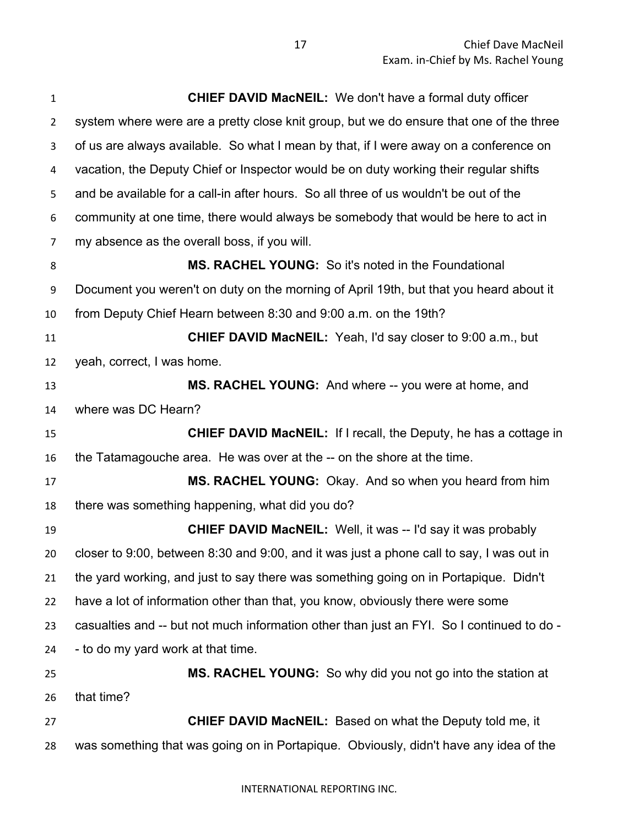| $\mathbf{1}$   | <b>CHIEF DAVID MacNEIL:</b> We don't have a formal duty officer                           |
|----------------|-------------------------------------------------------------------------------------------|
| $\overline{2}$ | system where were are a pretty close knit group, but we do ensure that one of the three   |
| 3              | of us are always available. So what I mean by that, if I were away on a conference on     |
| 4              | vacation, the Deputy Chief or Inspector would be on duty working their regular shifts     |
| 5              | and be available for a call-in after hours. So all three of us wouldn't be out of the     |
| 6              | community at one time, there would always be somebody that would be here to act in        |
| $\overline{7}$ | my absence as the overall boss, if you will.                                              |
| 8              | <b>MS. RACHEL YOUNG:</b> So it's noted in the Foundational                                |
| 9              | Document you weren't on duty on the morning of April 19th, but that you heard about it    |
| 10             | from Deputy Chief Hearn between 8:30 and 9:00 a.m. on the 19th?                           |
| 11             | <b>CHIEF DAVID MacNEIL:</b> Yeah, I'd say closer to 9:00 a.m., but                        |
| 12             | yeah, correct, I was home.                                                                |
| 13             | MS. RACHEL YOUNG: And where -- you were at home, and                                      |
| 14             | where was DC Hearn?                                                                       |
| 15             | <b>CHIEF DAVID MacNEIL:</b> If I recall, the Deputy, he has a cottage in                  |
| 16             | the Tatamagouche area. He was over at the -- on the shore at the time.                    |
| 17             | MS. RACHEL YOUNG: Okay. And so when you heard from him                                    |
| 18             | there was something happening, what did you do?                                           |
| 19             | <b>CHIEF DAVID MacNEIL:</b> Well, it was -- I'd say it was probably                       |
| 20             | closer to 9:00, between 8:30 and 9:00, and it was just a phone call to say, I was out in  |
| 21             | the yard working, and just to say there was something going on in Portapique. Didn't      |
| 22             | have a lot of information other than that, you know, obviously there were some            |
| 23             | casualties and -- but not much information other than just an FYI. So I continued to do - |
| 24             | - to do my yard work at that time.                                                        |
| 25             | MS. RACHEL YOUNG: So why did you not go into the station at                               |
| 26             | that time?                                                                                |
| 27             | <b>CHIEF DAVID MacNEIL:</b> Based on what the Deputy told me, it                          |
| 28             | was something that was going on in Portapique. Obviously, didn't have any idea of the     |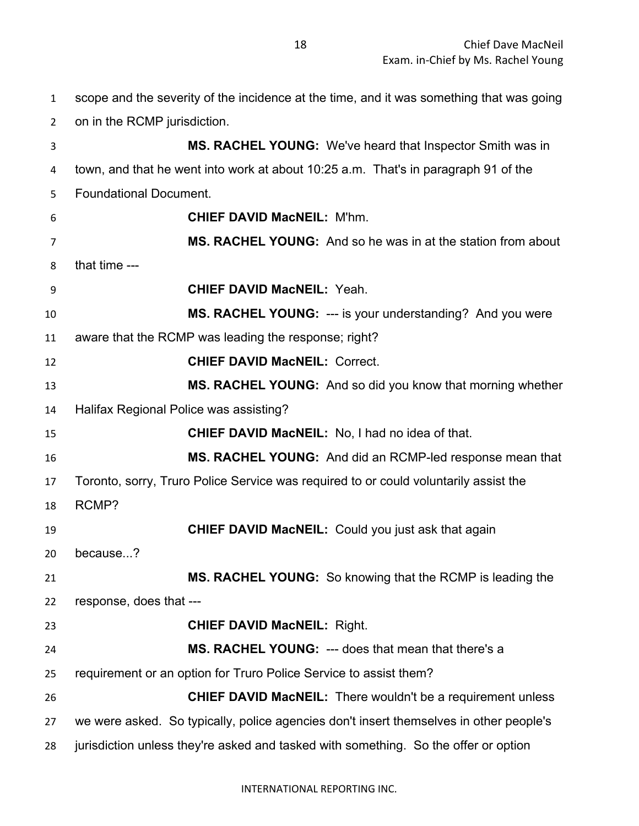on in the RCMP jurisdiction. **MS. RACHEL YOUNG:** We've heard that Inspector Smith was in town, and that he went into work at about 10:25 a.m. That's in paragraph 91 of the Foundational Document. **CHIEF DAVID MacNEIL:** M'hm. **MS. RACHEL YOUNG:** And so he was in at the station from about that time --- **CHIEF DAVID MacNEIL:** Yeah. **MS. RACHEL YOUNG:** --- is your understanding? And you were aware that the RCMP was leading the response; right? **CHIEF DAVID MacNEIL:** Correct. **MS. RACHEL YOUNG:** And so did you know that morning whether Halifax Regional Police was assisting? **CHIEF DAVID MacNEIL:** No, I had no idea of that. **MS. RACHEL YOUNG:** And did an RCMP-led response mean that Toronto, sorry, Truro Police Service was required to or could voluntarily assist the RCMP? **CHIEF DAVID MacNEIL:** Could you just ask that again because...? **MS. RACHEL YOUNG:** So knowing that the RCMP is leading the response, does that --- **CHIEF DAVID MacNEIL:** Right. **MS. RACHEL YOUNG:** --- does that mean that there's a requirement or an option for Truro Police Service to assist them? **CHIEF DAVID MacNEIL:** There wouldn't be a requirement unless we were asked. So typically, police agencies don't insert themselves in other people's jurisdiction unless they're asked and tasked with something. So the offer or option

scope and the severity of the incidence at the time, and it was something that was going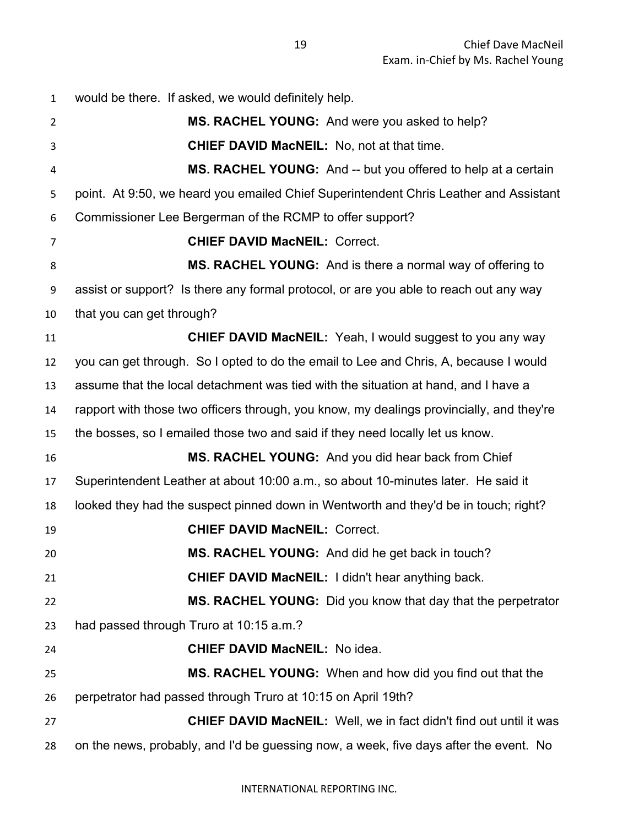would be there. If asked, we would definitely help. **MS. RACHEL YOUNG:** And were you asked to help? **CHIEF DAVID MacNEIL:** No, not at that time. **MS. RACHEL YOUNG:** And -- but you offered to help at a certain point. At 9:50, we heard you emailed Chief Superintendent Chris Leather and Assistant Commissioner Lee Bergerman of the RCMP to offer support? **CHIEF DAVID MacNEIL:** Correct. **MS. RACHEL YOUNG:** And is there a normal way of offering to assist or support? Is there any formal protocol, or are you able to reach out any way that you can get through? **CHIEF DAVID MacNEIL:** Yeah, I would suggest to you any way you can get through. So I opted to do the email to Lee and Chris, A, because I would assume that the local detachment was tied with the situation at hand, and I have a rapport with those two officers through, you know, my dealings provincially, and they're the bosses, so I emailed those two and said if they need locally let us know. **MS. RACHEL YOUNG:** And you did hear back from Chief Superintendent Leather at about 10:00 a.m., so about 10-minutes later. He said it looked they had the suspect pinned down in Wentworth and they'd be in touch; right? **CHIEF DAVID MacNEIL:** Correct. **MS. RACHEL YOUNG:** And did he get back in touch? **CHIEF DAVID MacNEIL:** I didn't hear anything back. **MS. RACHEL YOUNG:** Did you know that day that the perpetrator had passed through Truro at 10:15 a.m.? **CHIEF DAVID MacNEIL:** No idea. **MS. RACHEL YOUNG:** When and how did you find out that the perpetrator had passed through Truro at 10:15 on April 19th? **CHIEF DAVID MacNEIL:** Well, we in fact didn't find out until it was on the news, probably, and I'd be guessing now, a week, five days after the event. No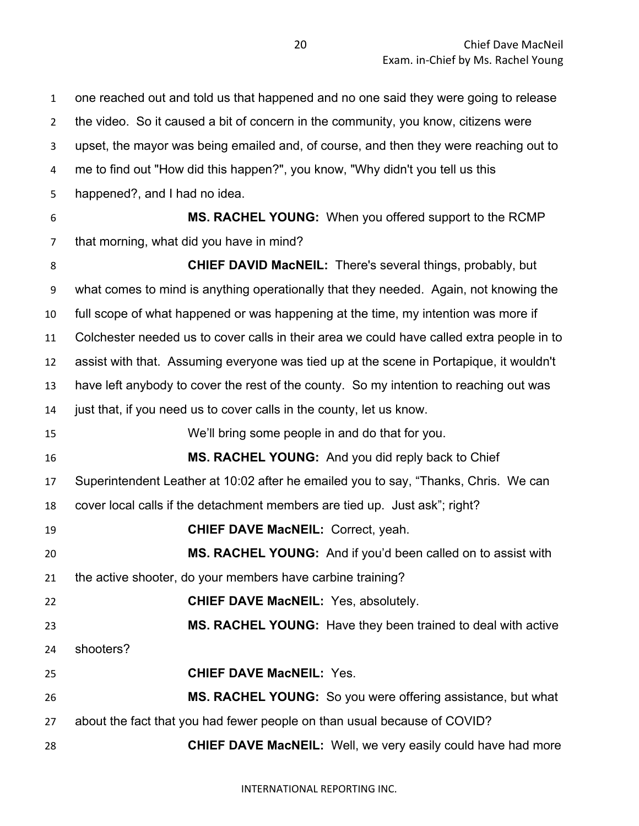one reached out and told us that happened and no one said they were going to release the video. So it caused a bit of concern in the community, you know, citizens were upset, the mayor was being emailed and, of course, and then they were reaching out to me to find out "How did this happen?", you know, "Why didn't you tell us this happened?, and I had no idea. **MS. RACHEL YOUNG:** When you offered support to the RCMP that morning, what did you have in mind? **CHIEF DAVID MacNEIL:** There's several things, probably, but what comes to mind is anything operationally that they needed. Again, not knowing the full scope of what happened or was happening at the time, my intention was more if Colchester needed us to cover calls in their area we could have called extra people in to assist with that. Assuming everyone was tied up at the scene in Portapique, it wouldn't have left anybody to cover the rest of the county. So my intention to reaching out was just that, if you need us to cover calls in the county, let us know. We'll bring some people in and do that for you. **MS. RACHEL YOUNG:** And you did reply back to Chief Superintendent Leather at 10:02 after he emailed you to say, "Thanks, Chris. We can cover local calls if the detachment members are tied up. Just ask"; right? **CHIEF DAVE MacNEIL:** Correct, yeah. **MS. RACHEL YOUNG:** And if you'd been called on to assist with the active shooter, do your members have carbine training? **CHIEF DAVE MacNEIL:** Yes, absolutely. **MS. RACHEL YOUNG:** Have they been trained to deal with active shooters? **CHIEF DAVE MacNEIL:** Yes. **MS. RACHEL YOUNG:** So you were offering assistance, but what about the fact that you had fewer people on than usual because of COVID? **CHIEF DAVE MacNEIL:** Well, we very easily could have had more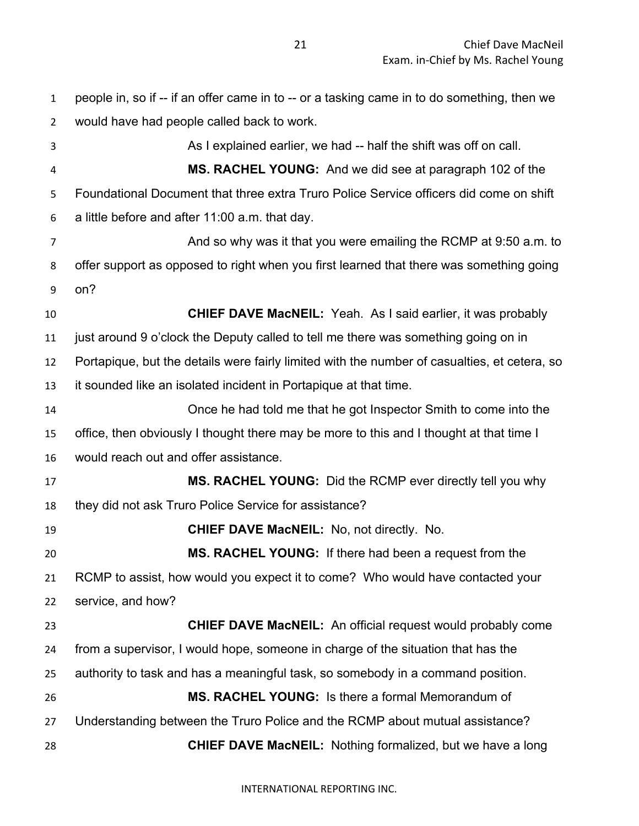people in, so if -- if an offer came in to -- or a tasking came in to do something, then we would have had people called back to work. As I explained earlier, we had -- half the shift was off on call. **MS. RACHEL YOUNG:** And we did see at paragraph 102 of the Foundational Document that three extra Truro Police Service officers did come on shift a little before and after 11:00 a.m. that day. **And so why was it that you were emailing the RCMP at 9:50 a.m. to**  offer support as opposed to right when you first learned that there was something going on? **CHIEF DAVE MacNEIL:** Yeah. As I said earlier, it was probably just around 9 o'clock the Deputy called to tell me there was something going on in Portapique, but the details were fairly limited with the number of casualties, et cetera, so it sounded like an isolated incident in Portapique at that time. Once he had told me that he got Inspector Smith to come into the office, then obviously I thought there may be more to this and I thought at that time I would reach out and offer assistance. **MS. RACHEL YOUNG:** Did the RCMP ever directly tell you why they did not ask Truro Police Service for assistance? **CHIEF DAVE MacNEIL:** No, not directly. No. **MS. RACHEL YOUNG:** If there had been a request from the RCMP to assist, how would you expect it to come? Who would have contacted your service, and how? **CHIEF DAVE MacNEIL:** An official request would probably come from a supervisor, I would hope, someone in charge of the situation that has the authority to task and has a meaningful task, so somebody in a command position. **MS. RACHEL YOUNG:** Is there a formal Memorandum of Understanding between the Truro Police and the RCMP about mutual assistance? **CHIEF DAVE MacNEIL:** Nothing formalized, but we have a long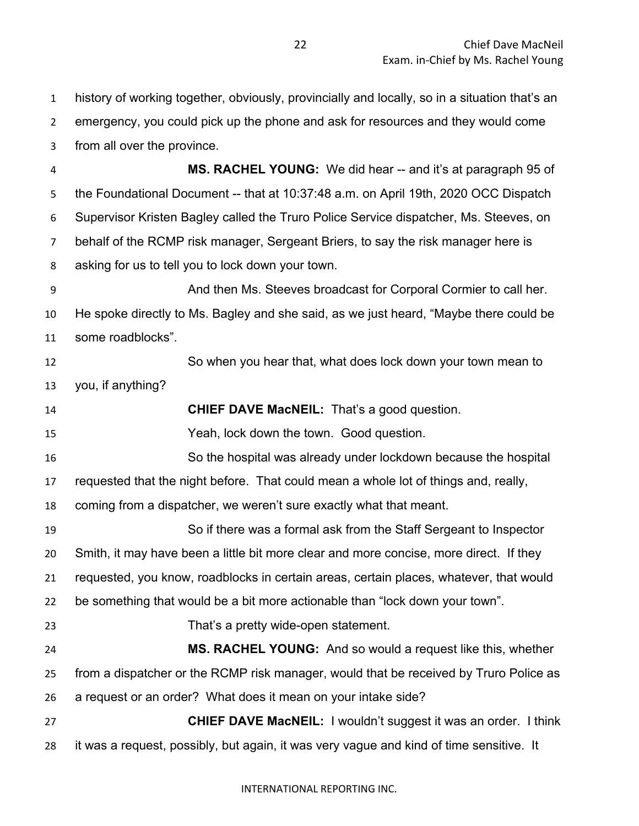history of working together, obviously, provincially and locally, so in a situation that's an emergency, you could pick up the phone and ask for resources and they would come from all over the province.

 **MS. RACHEL YOUNG:** We did hear -- and it's at paragraph 95 of the Foundational Document -- that at 10:37:48 a.m. on April 19th, 2020 OCC Dispatch Supervisor Kristen Bagley called the Truro Police Service dispatcher, Ms. Steeves, on behalf of the RCMP risk manager, Sergeant Briers, to say the risk manager here is asking for us to tell you to lock down your town.

 And then Ms. Steeves broadcast for Corporal Cormier to call her. He spoke directly to Ms. Bagley and she said, as we just heard, "Maybe there could be some roadblocks".

 So when you hear that, what does lock down your town mean to you, if anything?

**CHIEF DAVE MacNEIL:** That's a good question.

Yeah, lock down the town. Good question.

So the hospital was already under lockdown because the hospital

requested that the night before. That could mean a whole lot of things and, really,

coming from a dispatcher, we weren't sure exactly what that meant.

 So if there was a formal ask from the Staff Sergeant to Inspector Smith, it may have been a little bit more clear and more concise, more direct. If they requested, you know, roadblocks in certain areas, certain places, whatever, that would be something that would be a bit more actionable than "lock down your town".

That's a pretty wide-open statement.

 **MS. RACHEL YOUNG:** And so would a request like this, whether from a dispatcher or the RCMP risk manager, would that be received by Truro Police as a request or an order? What does it mean on your intake side?

 **CHIEF DAVE MacNEIL:** I wouldn't suggest it was an order. I think it was a request, possibly, but again, it was very vague and kind of time sensitive. It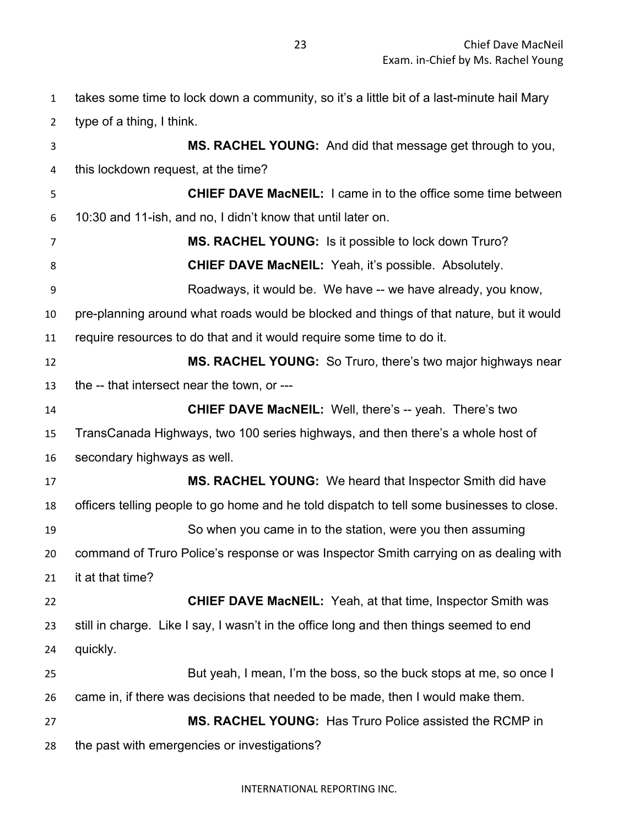takes some time to lock down a community, so it's a little bit of a last-minute hail Mary type of a thing, I think. **MS. RACHEL YOUNG:** And did that message get through to you, this lockdown request, at the time? **CHIEF DAVE MacNEIL:** I came in to the office some time between 10:30 and 11-ish, and no, I didn't know that until later on. **MS. RACHEL YOUNG:** Is it possible to lock down Truro? **CHIEF DAVE MacNEIL:** Yeah, it's possible. Absolutely. Roadways, it would be. We have -- we have already, you know, pre-planning around what roads would be blocked and things of that nature, but it would require resources to do that and it would require some time to do it. **MS. RACHEL YOUNG:** So Truro, there's two major highways near the -- that intersect near the town, or --- **CHIEF DAVE MacNEIL:** Well, there's -- yeah. There's two TransCanada Highways, two 100 series highways, and then there's a whole host of secondary highways as well. **MS. RACHEL YOUNG:** We heard that Inspector Smith did have officers telling people to go home and he told dispatch to tell some businesses to close. So when you came in to the station, were you then assuming command of Truro Police's response or was Inspector Smith carrying on as dealing with it at that time? **CHIEF DAVE MacNEIL:** Yeah, at that time, Inspector Smith was still in charge. Like I say, I wasn't in the office long and then things seemed to end quickly. But yeah, I mean, I'm the boss, so the buck stops at me, so once I came in, if there was decisions that needed to be made, then I would make them. **MS. RACHEL YOUNG:** Has Truro Police assisted the RCMP in the past with emergencies or investigations?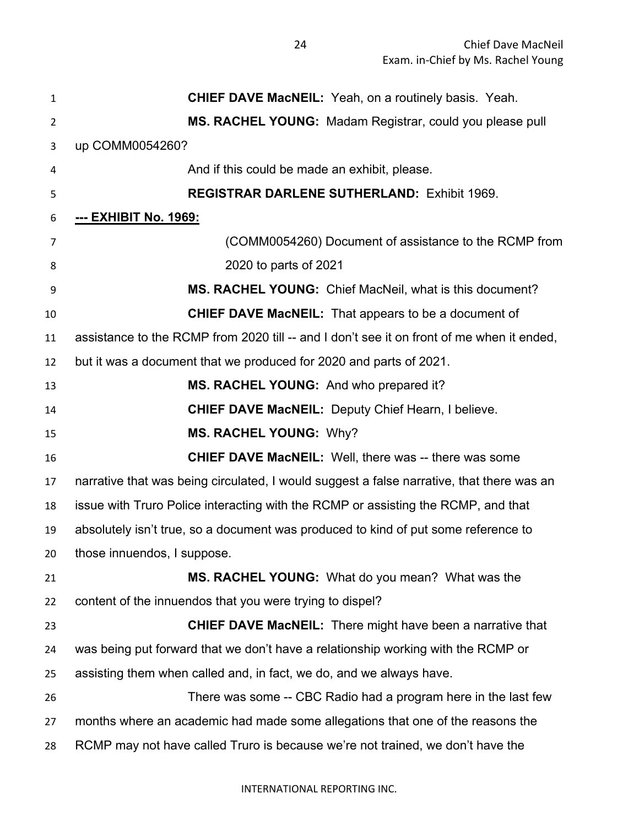| $\mathbf{1}$   | <b>CHIEF DAVE MacNEIL:</b> Yeah, on a routinely basis. Yeah.                              |
|----------------|-------------------------------------------------------------------------------------------|
| $\overline{2}$ | MS. RACHEL YOUNG: Madam Registrar, could you please pull                                  |
| 3              | up COMM0054260?                                                                           |
| 4              | And if this could be made an exhibit, please.                                             |
| 5              | <b>REGISTRAR DARLENE SUTHERLAND: Exhibit 1969.</b>                                        |
| 6              | <u>--- EXHIBIT No. 1969:</u>                                                              |
| 7              | (COMM0054260) Document of assistance to the RCMP from                                     |
| 8              | 2020 to parts of 2021                                                                     |
| 9              | MS. RACHEL YOUNG: Chief MacNeil, what is this document?                                   |
| 10             | <b>CHIEF DAVE MacNEIL:</b> That appears to be a document of                               |
| 11             | assistance to the RCMP from 2020 till -- and I don't see it on front of me when it ended, |
| 12             | but it was a document that we produced for 2020 and parts of 2021.                        |
| 13             | MS. RACHEL YOUNG: And who prepared it?                                                    |
| 14             | <b>CHIEF DAVE MacNEIL: Deputy Chief Hearn, I believe.</b>                                 |
| 15             | <b>MS. RACHEL YOUNG: Why?</b>                                                             |
| 16             | <b>CHIEF DAVE MacNEIL:</b> Well, there was -- there was some                              |
| 17             | narrative that was being circulated, I would suggest a false narrative, that there was an |
| 18             | issue with Truro Police interacting with the RCMP or assisting the RCMP, and that         |
| 19             | absolutely isn't true, so a document was produced to kind of put some reference to        |
| 20             | those innuendos, I suppose.                                                               |
| 21             | <b>MS. RACHEL YOUNG:</b> What do you mean? What was the                                   |
| 22             | content of the innuendos that you were trying to dispel?                                  |
| 23             | <b>CHIEF DAVE MacNEIL:</b> There might have been a narrative that                         |
| 24             | was being put forward that we don't have a relationship working with the RCMP or          |
| 25             | assisting them when called and, in fact, we do, and we always have.                       |
| 26             | There was some -- CBC Radio had a program here in the last few                            |
| 27             | months where an academic had made some allegations that one of the reasons the            |
| 28             | RCMP may not have called Truro is because we're not trained, we don't have the            |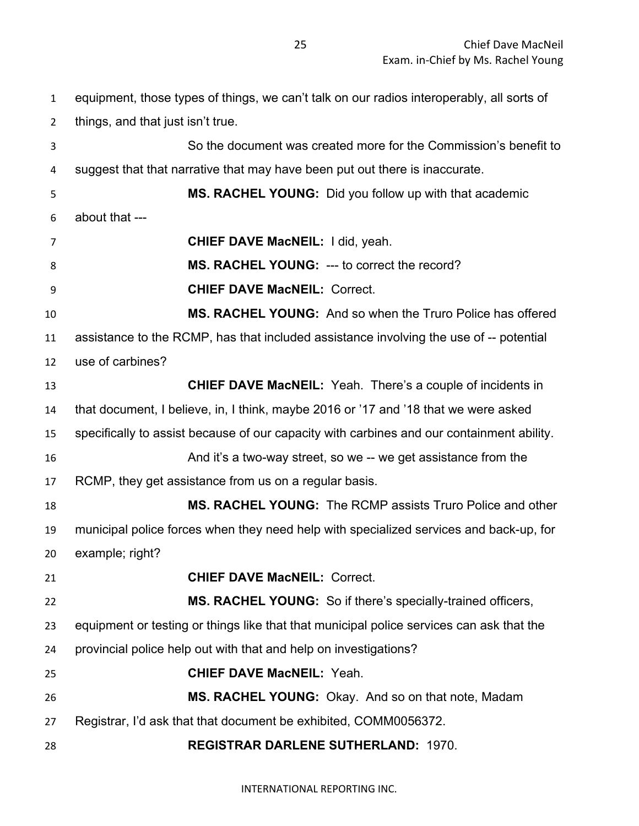equipment, those types of things, we can't talk on our radios interoperably, all sorts of things, and that just isn't true. So the document was created more for the Commission's benefit to suggest that that narrative that may have been put out there is inaccurate. **MS. RACHEL YOUNG:** Did you follow up with that academic about that --- **CHIEF DAVE MacNEIL:** I did, yeah. **MS. RACHEL YOUNG:** --- to correct the record? **CHIEF DAVE MacNEIL:** Correct. **MS. RACHEL YOUNG:** And so when the Truro Police has offered assistance to the RCMP, has that included assistance involving the use of -- potential use of carbines? **CHIEF DAVE MacNEIL:** Yeah. There's a couple of incidents in that document, I believe, in, I think, maybe 2016 or '17 and '18 that we were asked specifically to assist because of our capacity with carbines and our containment ability. And it's a two-way street, so we -- we get assistance from the RCMP, they get assistance from us on a regular basis. **MS. RACHEL YOUNG:** The RCMP assists Truro Police and other municipal police forces when they need help with specialized services and back-up, for example; right? **CHIEF DAVE MacNEIL:** Correct. **MS. RACHEL YOUNG:** So if there's specially-trained officers, equipment or testing or things like that that municipal police services can ask that the provincial police help out with that and help on investigations? **CHIEF DAVE MacNEIL:** Yeah. **MS. RACHEL YOUNG:** Okay. And so on that note, Madam Registrar, I'd ask that that document be exhibited, COMM0056372. **REGISTRAR DARLENE SUTHERLAND:** 1970.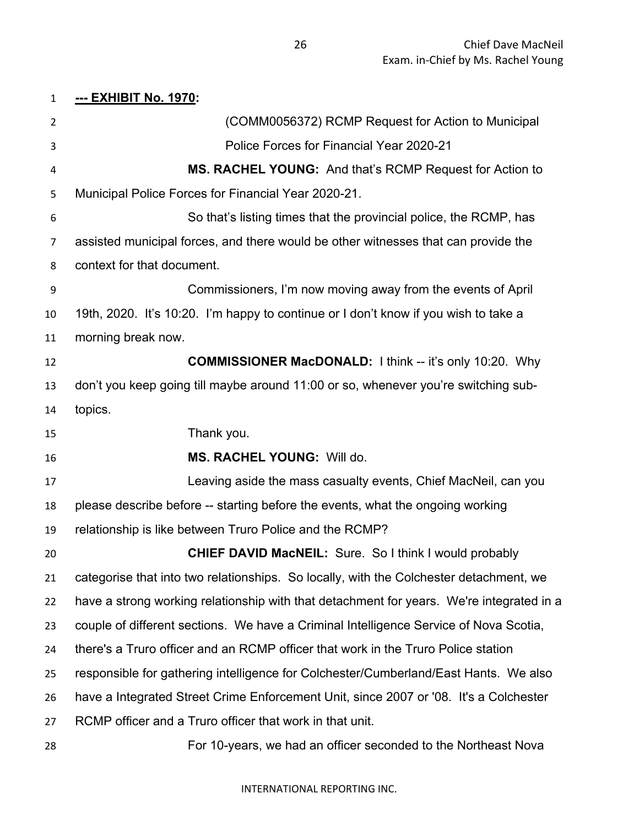# **--- EXHIBIT No. 1970:**  (COMM0056372) RCMP Request for Action to Municipal Police Forces for Financial Year 2020-21 **MS. RACHEL YOUNG:** And that's RCMP Request for Action to Municipal Police Forces for Financial Year 2020-21. So that's listing times that the provincial police, the RCMP, has assisted municipal forces, and there would be other witnesses that can provide the context for that document. Commissioners, I'm now moving away from the events of April 19th, 2020. It's 10:20. I'm happy to continue or I don't know if you wish to take a morning break now. **COMMISSIONER MacDONALD:** I think -- it's only 10:20. Why don't you keep going till maybe around 11:00 or so, whenever you're switching sub- topics. Thank you. **MS. RACHEL YOUNG:** Will do. Leaving aside the mass casualty events, Chief MacNeil, can you please describe before -- starting before the events, what the ongoing working relationship is like between Truro Police and the RCMP? **CHIEF DAVID MacNEIL:** Sure. So I think I would probably categorise that into two relationships. So locally, with the Colchester detachment, we have a strong working relationship with that detachment for years. We're integrated in a couple of different sections. We have a Criminal Intelligence Service of Nova Scotia, there's a Truro officer and an RCMP officer that work in the Truro Police station responsible for gathering intelligence for Colchester/Cumberland/East Hants. We also have a Integrated Street Crime Enforcement Unit, since 2007 or '08. It's a Colchester RCMP officer and a Truro officer that work in that unit. For 10-years, we had an officer seconded to the Northeast Nova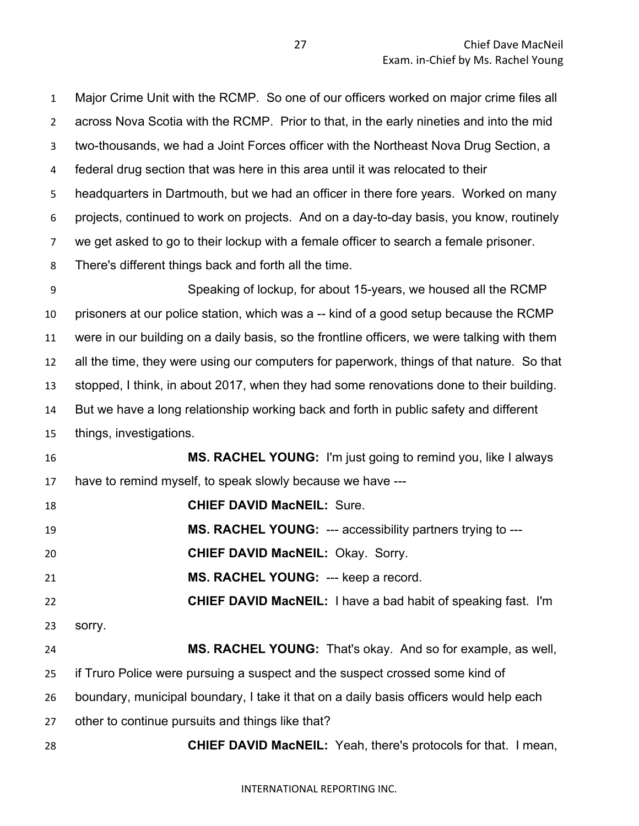Major Crime Unit with the RCMP. So one of our officers worked on major crime files all across Nova Scotia with the RCMP. Prior to that, in the early nineties and into the mid two-thousands, we had a Joint Forces officer with the Northeast Nova Drug Section, a federal drug section that was here in this area until it was relocated to their headquarters in Dartmouth, but we had an officer in there fore years. Worked on many projects, continued to work on projects. And on a day-to-day basis, you know, routinely we get asked to go to their lockup with a female officer to search a female prisoner. There's different things back and forth all the time. Speaking of lockup, for about 15-years, we housed all the RCMP prisoners at our police station, which was a -- kind of a good setup because the RCMP were in our building on a daily basis, so the frontline officers, we were talking with them all the time, they were using our computers for paperwork, things of that nature. So that stopped, I think, in about 2017, when they had some renovations done to their building. But we have a long relationship working back and forth in public safety and different things, investigations. **MS. RACHEL YOUNG:** I'm just going to remind you, like I always have to remind myself, to speak slowly because we have --- **CHIEF DAVID MacNEIL:** Sure. **MS. RACHEL YOUNG:** --- accessibility partners trying to --- **CHIEF DAVID MacNEIL:** Okay. Sorry. **MS. RACHEL YOUNG:** --- keep a record. **CHIEF DAVID MacNEIL:** I have a bad habit of speaking fast. I'm sorry. **MS. RACHEL YOUNG:** That's okay. And so for example, as well, if Truro Police were pursuing a suspect and the suspect crossed some kind of boundary, municipal boundary, I take it that on a daily basis officers would help each other to continue pursuits and things like that? **CHIEF DAVID MacNEIL:** Yeah, there's protocols for that. I mean,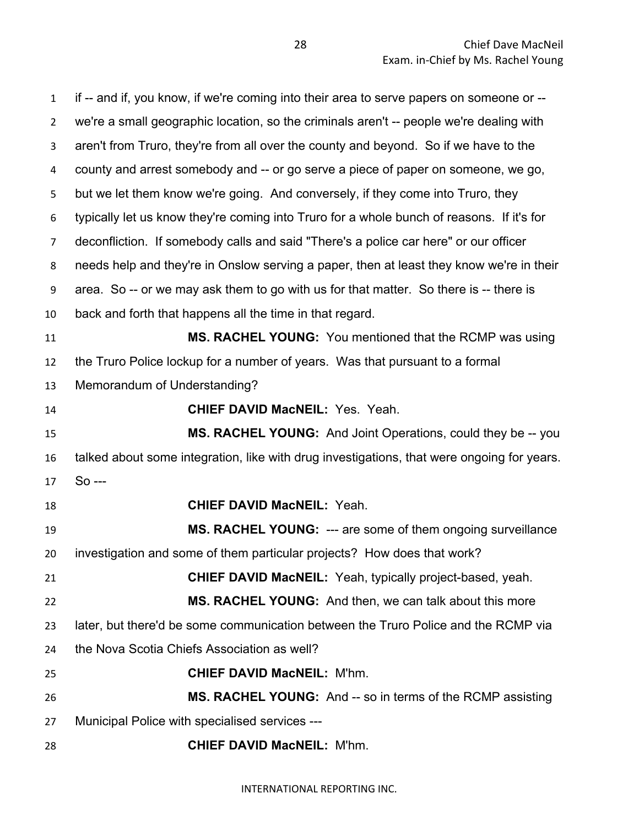if -- and if, you know, if we're coming into their area to serve papers on someone or -- we're a small geographic location, so the criminals aren't -- people we're dealing with aren't from Truro, they're from all over the county and beyond. So if we have to the county and arrest somebody and -- or go serve a piece of paper on someone, we go, but we let them know we're going. And conversely, if they come into Truro, they typically let us know they're coming into Truro for a whole bunch of reasons. If it's for deconfliction. If somebody calls and said "There's a police car here" or our officer needs help and they're in Onslow serving a paper, then at least they know we're in their area. So -- or we may ask them to go with us for that matter. So there is -- there is back and forth that happens all the time in that regard. **MS. RACHEL YOUNG:** You mentioned that the RCMP was using the Truro Police lockup for a number of years. Was that pursuant to a formal Memorandum of Understanding? **CHIEF DAVID MacNEIL:** Yes. Yeah. **MS. RACHEL YOUNG:** And Joint Operations, could they be -- you talked about some integration, like with drug investigations, that were ongoing for years. So --- **CHIEF DAVID MacNEIL:** Yeah. **MS. RACHEL YOUNG:** --- are some of them ongoing surveillance investigation and some of them particular projects? How does that work? **CHIEF DAVID MacNEIL:** Yeah, typically project-based, yeah. **MS. RACHEL YOUNG:** And then, we can talk about this more later, but there'd be some communication between the Truro Police and the RCMP via the Nova Scotia Chiefs Association as well? **CHIEF DAVID MacNEIL:** M'hm. **MS. RACHEL YOUNG:** And -- so in terms of the RCMP assisting Municipal Police with specialised services --- **CHIEF DAVID MacNEIL:** M'hm.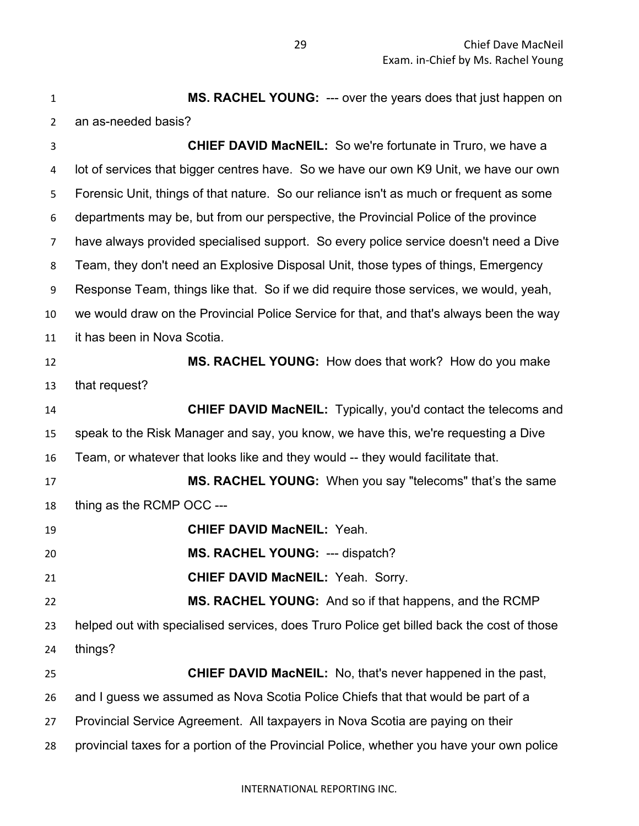**MS. RACHEL YOUNG:** --- over the years does that just happen on an as-needed basis? **CHIEF DAVID MacNEIL:** So we're fortunate in Truro, we have a lot of services that bigger centres have. So we have our own K9 Unit, we have our own Forensic Unit, things of that nature. So our reliance isn't as much or frequent as some departments may be, but from our perspective, the Provincial Police of the province have always provided specialised support. So every police service doesn't need a Dive Team, they don't need an Explosive Disposal Unit, those types of things, Emergency Response Team, things like that. So if we did require those services, we would, yeah, we would draw on the Provincial Police Service for that, and that's always been the way it has been in Nova Scotia. **MS. RACHEL YOUNG:** How does that work? How do you make that request? **CHIEF DAVID MacNEIL:** Typically, you'd contact the telecoms and speak to the Risk Manager and say, you know, we have this, we're requesting a Dive Team, or whatever that looks like and they would -- they would facilitate that. **MS. RACHEL YOUNG:** When you say "telecoms" that's the same thing as the RCMP OCC --- **CHIEF DAVID MacNEIL:** Yeah. **MS. RACHEL YOUNG:** --- dispatch? **CHIEF DAVID MacNEIL:** Yeah. Sorry. **MS. RACHEL YOUNG:** And so if that happens, and the RCMP helped out with specialised services, does Truro Police get billed back the cost of those things? **CHIEF DAVID MacNEIL:** No, that's never happened in the past, and I guess we assumed as Nova Scotia Police Chiefs that that would be part of a Provincial Service Agreement. All taxpayers in Nova Scotia are paying on their provincial taxes for a portion of the Provincial Police, whether you have your own police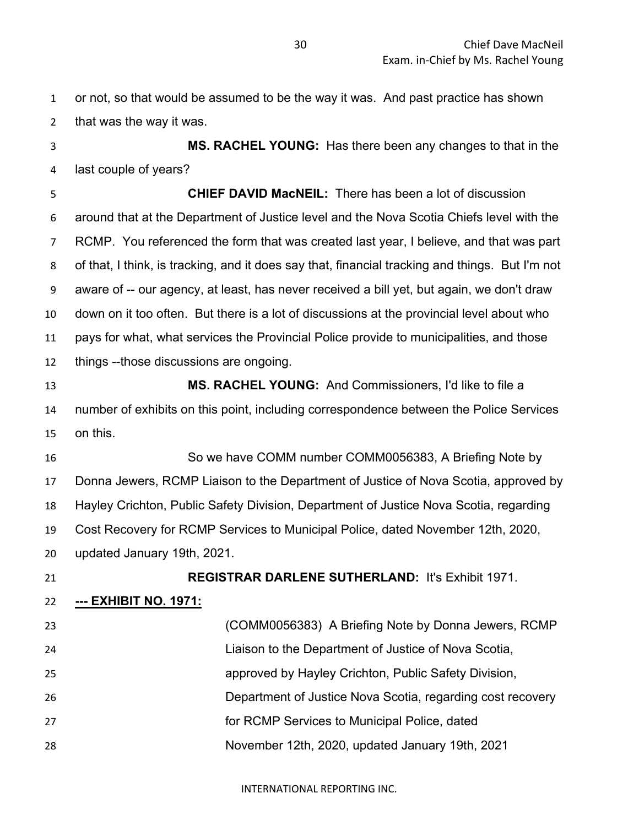| $\mathbf{1}$   | or not, so that would be assumed to be the way it was. And past practice has shown              |
|----------------|-------------------------------------------------------------------------------------------------|
| $\overline{2}$ | that was the way it was.                                                                        |
| 3              | MS. RACHEL YOUNG: Has there been any changes to that in the                                     |
| 4              | last couple of years?                                                                           |
| 5              | <b>CHIEF DAVID MacNEIL:</b> There has been a lot of discussion                                  |
| 6              | around that at the Department of Justice level and the Nova Scotia Chiefs level with the        |
| $\overline{7}$ | RCMP. You referenced the form that was created last year, I believe, and that was part          |
| 8              | of that, I think, is tracking, and it does say that, financial tracking and things. But I'm not |
| 9              | aware of -- our agency, at least, has never received a bill yet, but again, we don't draw       |
| 10             | down on it too often. But there is a lot of discussions at the provincial level about who       |
| 11             | pays for what, what services the Provincial Police provide to municipalities, and those         |
| 12             | things --those discussions are ongoing.                                                         |
| 13             | <b>MS. RACHEL YOUNG:</b> And Commissioners, I'd like to file a                                  |
| 14             | number of exhibits on this point, including correspondence between the Police Services          |
| 15             | on this.                                                                                        |
| 16             | So we have COMM number COMM0056383, A Briefing Note by                                          |
| 17             | Donna Jewers, RCMP Liaison to the Department of Justice of Nova Scotia, approved by             |
| 18             | Hayley Crichton, Public Safety Division, Department of Justice Nova Scotia, regarding           |
| 19             | Cost Recovery for RCMP Services to Municipal Police, dated November 12th, 2020,                 |
| 20             | updated January 19th, 2021.                                                                     |
| 21             | <b>REGISTRAR DARLENE SUTHERLAND: It's Exhibit 1971.</b>                                         |
| 22             | <u>--- ЕХНІВІТ NO. 1971:</u>                                                                    |
| 23             | (COMM0056383) A Briefing Note by Donna Jewers, RCMP                                             |
| 24             | Liaison to the Department of Justice of Nova Scotia,                                            |
| 25             | approved by Hayley Crichton, Public Safety Division,                                            |
| 26             | Department of Justice Nova Scotia, regarding cost recovery                                      |
| 27             | for RCMP Services to Municipal Police, dated                                                    |
| 28             | November 12th, 2020, updated January 19th, 2021                                                 |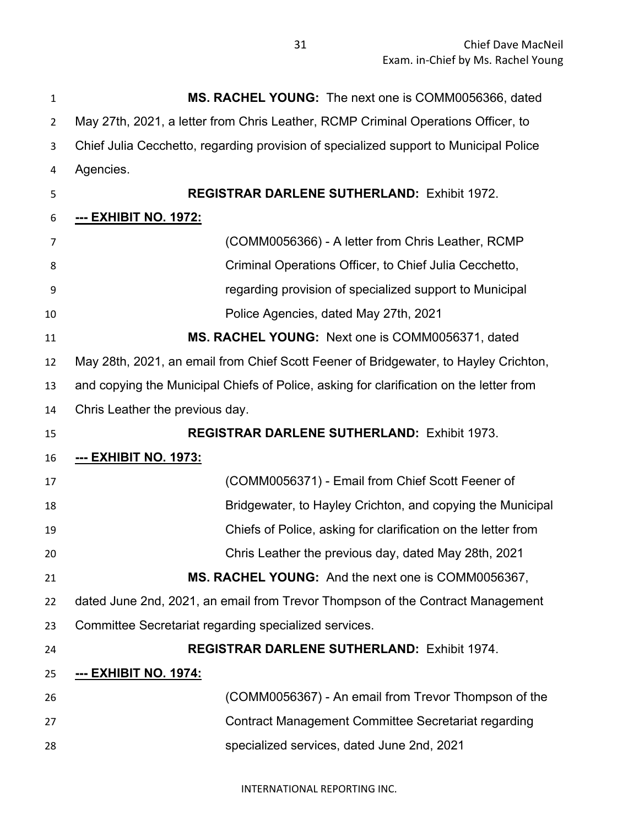| $\mathbf{1}$   | MS. RACHEL YOUNG: The next one is COMM0056366, dated                                    |
|----------------|-----------------------------------------------------------------------------------------|
| $\overline{2}$ | May 27th, 2021, a letter from Chris Leather, RCMP Criminal Operations Officer, to       |
| 3              | Chief Julia Cecchetto, regarding provision of specialized support to Municipal Police   |
| 4              | Agencies.                                                                               |
| 5              | <b>REGISTRAR DARLENE SUTHERLAND: Exhibit 1972.</b>                                      |
| 6              | <u>--- EXHIBIT NO. 1972:</u>                                                            |
| 7              | (COMM0056366) - A letter from Chris Leather, RCMP                                       |
| 8              | Criminal Operations Officer, to Chief Julia Cecchetto,                                  |
| 9              | regarding provision of specialized support to Municipal                                 |
| 10             | Police Agencies, dated May 27th, 2021                                                   |
| 11             | MS. RACHEL YOUNG: Next one is COMM0056371, dated                                        |
| 12             | May 28th, 2021, an email from Chief Scott Feener of Bridgewater, to Hayley Crichton,    |
| 13             | and copying the Municipal Chiefs of Police, asking for clarification on the letter from |
| 14             | Chris Leather the previous day.                                                         |
| 15             | <b>REGISTRAR DARLENE SUTHERLAND: Exhibit 1973.</b>                                      |
| 16             | <b>--- EXHIBIT NO. 1973:</b>                                                            |
| 17             | (COMM0056371) - Email from Chief Scott Feener of                                        |
| 18             | Bridgewater, to Hayley Crichton, and copying the Municipal                              |
| 19             | Chiefs of Police, asking for clarification on the letter from                           |
| 20             | Chris Leather the previous day, dated May 28th, 2021                                    |
| 21             | MS. RACHEL YOUNG: And the next one is COMM0056367,                                      |
| 22             | dated June 2nd, 2021, an email from Trevor Thompson of the Contract Management          |
| 23             | Committee Secretariat regarding specialized services.                                   |
| 24             | <b>REGISTRAR DARLENE SUTHERLAND: Exhibit 1974.</b>                                      |
| 25             | <u>--- EXHIBIT NO. 1974:</u>                                                            |
| 26             | (COMM0056367) - An email from Trevor Thompson of the                                    |
| 27             | Contract Management Committee Secretariat regarding                                     |
| 28             | specialized services, dated June 2nd, 2021                                              |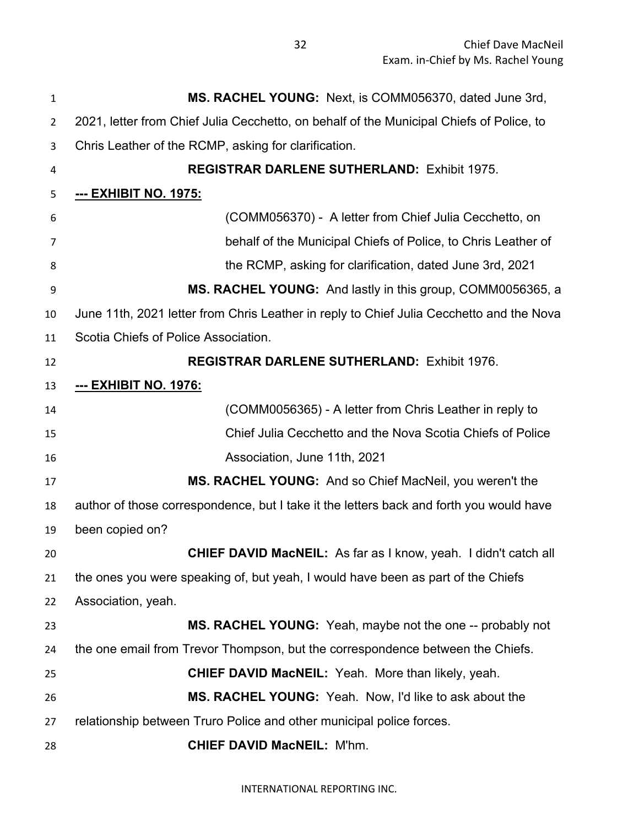**MS. RACHEL YOUNG:** Next, is COMM056370, dated June 3rd, 2021, letter from Chief Julia Cecchetto, on behalf of the Municipal Chiefs of Police, to Chris Leather of the RCMP, asking for clarification. **REGISTRAR DARLENE SUTHERLAND:** Exhibit 1975. **--- EXHIBIT NO. 1975:** (COMM056370) - A letter from Chief Julia Cecchetto, on behalf of the Municipal Chiefs of Police, to Chris Leather of the RCMP, asking for clarification, dated June 3rd, 2021 **MS. RACHEL YOUNG:** And lastly in this group, COMM0056365, a June 11th, 2021 letter from Chris Leather in reply to Chief Julia Cecchetto and the Nova Scotia Chiefs of Police Association. **REGISTRAR DARLENE SUTHERLAND:** Exhibit 1976. **--- EXHIBIT NO. 1976:** (COMM0056365) - A letter from Chris Leather in reply to Chief Julia Cecchetto and the Nova Scotia Chiefs of Police Association, June 11th, 2021 **MS. RACHEL YOUNG:** And so Chief MacNeil, you weren't the author of those correspondence, but I take it the letters back and forth you would have been copied on? **CHIEF DAVID MacNEIL:** As far as I know, yeah. I didn't catch all the ones you were speaking of, but yeah, I would have been as part of the Chiefs Association, yeah. **MS. RACHEL YOUNG:** Yeah, maybe not the one -- probably not the one email from Trevor Thompson, but the correspondence between the Chiefs. **CHIEF DAVID MacNEIL:** Yeah. More than likely, yeah. **MS. RACHEL YOUNG:** Yeah. Now, I'd like to ask about the relationship between Truro Police and other municipal police forces. **CHIEF DAVID MacNEIL:** M'hm.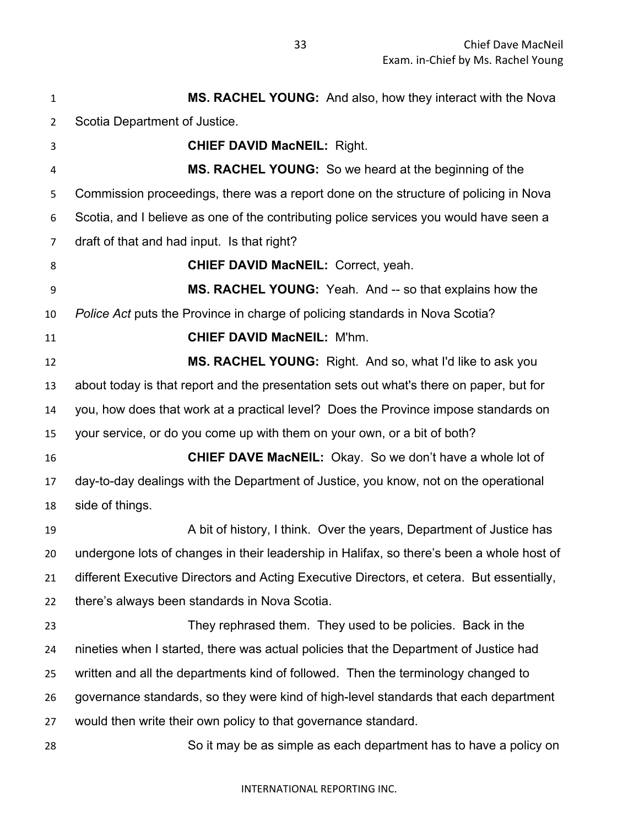**MS. RACHEL YOUNG:** And also, how they interact with the Nova Scotia Department of Justice. **CHIEF DAVID MacNEIL:** Right. **MS. RACHEL YOUNG:** So we heard at the beginning of the Commission proceedings, there was a report done on the structure of policing in Nova Scotia, and I believe as one of the contributing police services you would have seen a draft of that and had input. Is that right? **CHIEF DAVID MacNEIL:** Correct, yeah. **MS. RACHEL YOUNG:** Yeah. And -- so that explains how the *Police Act* puts the Province in charge of policing standards in Nova Scotia? **CHIEF DAVID MacNEIL:** M'hm. **MS. RACHEL YOUNG:** Right. And so, what I'd like to ask you about today is that report and the presentation sets out what's there on paper, but for you, how does that work at a practical level? Does the Province impose standards on your service, or do you come up with them on your own, or a bit of both? **CHIEF DAVE MacNEIL:** Okay. So we don't have a whole lot of day-to-day dealings with the Department of Justice, you know, not on the operational side of things. 19 A bit of history, I think. Over the years, Department of Justice has undergone lots of changes in their leadership in Halifax, so there's been a whole host of different Executive Directors and Acting Executive Directors, et cetera. But essentially, there's always been standards in Nova Scotia. They rephrased them. They used to be policies. Back in the nineties when I started, there was actual policies that the Department of Justice had written and all the departments kind of followed. Then the terminology changed to governance standards, so they were kind of high-level standards that each department would then write their own policy to that governance standard. So it may be as simple as each department has to have a policy on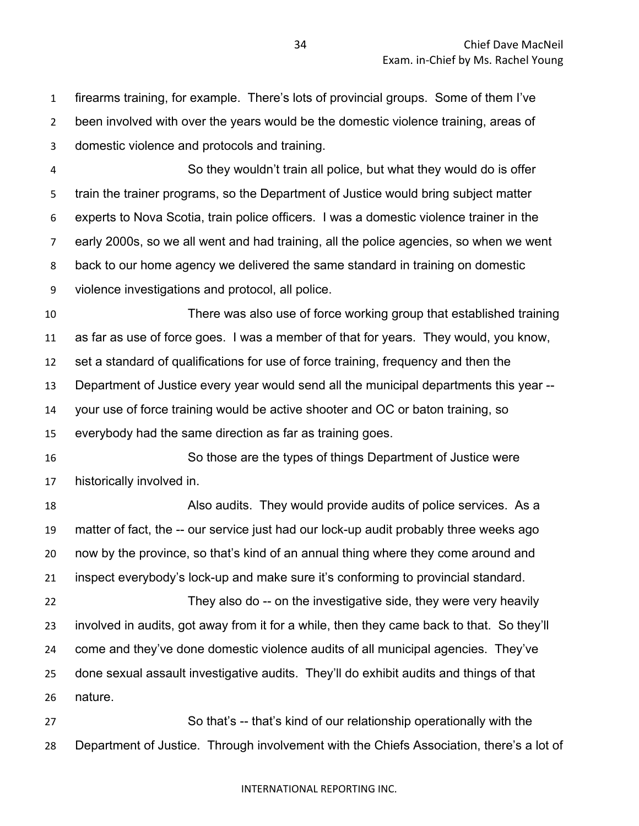firearms training, for example. There's lots of provincial groups. Some of them I've been involved with over the years would be the domestic violence training, areas of domestic violence and protocols and training.

 So they wouldn't train all police, but what they would do is offer train the trainer programs, so the Department of Justice would bring subject matter experts to Nova Scotia, train police officers. I was a domestic violence trainer in the early 2000s, so we all went and had training, all the police agencies, so when we went back to our home agency we delivered the same standard in training on domestic violence investigations and protocol, all police.

 There was also use of force working group that established training as far as use of force goes. I was a member of that for years. They would, you know, set a standard of qualifications for use of force training, frequency and then the Department of Justice every year would send all the municipal departments this year -- your use of force training would be active shooter and OC or baton training, so

everybody had the same direction as far as training goes.

 So those are the types of things Department of Justice were historically involved in.

 Also audits. They would provide audits of police services. As a matter of fact, the -- our service just had our lock-up audit probably three weeks ago now by the province, so that's kind of an annual thing where they come around and inspect everybody's lock-up and make sure it's conforming to provincial standard.

 They also do -- on the investigative side, they were very heavily involved in audits, got away from it for a while, then they came back to that. So they'll come and they've done domestic violence audits of all municipal agencies. They've done sexual assault investigative audits. They'll do exhibit audits and things of that nature.

 So that's -- that's kind of our relationship operationally with the Department of Justice. Through involvement with the Chiefs Association, there's a lot of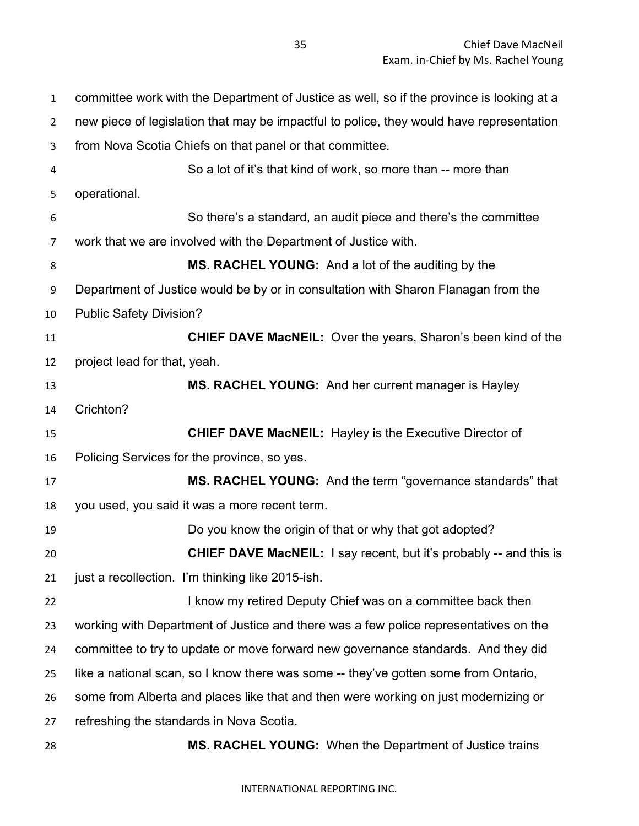committee work with the Department of Justice as well, so if the province is looking at a new piece of legislation that may be impactful to police, they would have representation from Nova Scotia Chiefs on that panel or that committee. So a lot of it's that kind of work, so more than -- more than operational. So there's a standard, an audit piece and there's the committee work that we are involved with the Department of Justice with. **MS. RACHEL YOUNG:** And a lot of the auditing by the Department of Justice would be by or in consultation with Sharon Flanagan from the Public Safety Division? **CHIEF DAVE MacNEIL:** Over the years, Sharon's been kind of the project lead for that, yeah. **MS. RACHEL YOUNG:** And her current manager is Hayley Crichton? **CHIEF DAVE MacNEIL:** Hayley is the Executive Director of Policing Services for the province, so yes. **MS. RACHEL YOUNG:** And the term "governance standards" that you used, you said it was a more recent term. Do you know the origin of that or why that got adopted? **CHIEF DAVE MacNEIL:** I say recent, but it's probably -- and this is just a recollection. I'm thinking like 2015-ish. **I know my retired Deputy Chief was on a committee back then**  working with Department of Justice and there was a few police representatives on the committee to try to update or move forward new governance standards. And they did like a national scan, so I know there was some -- they've gotten some from Ontario, some from Alberta and places like that and then were working on just modernizing or refreshing the standards in Nova Scotia. **MS. RACHEL YOUNG:** When the Department of Justice trains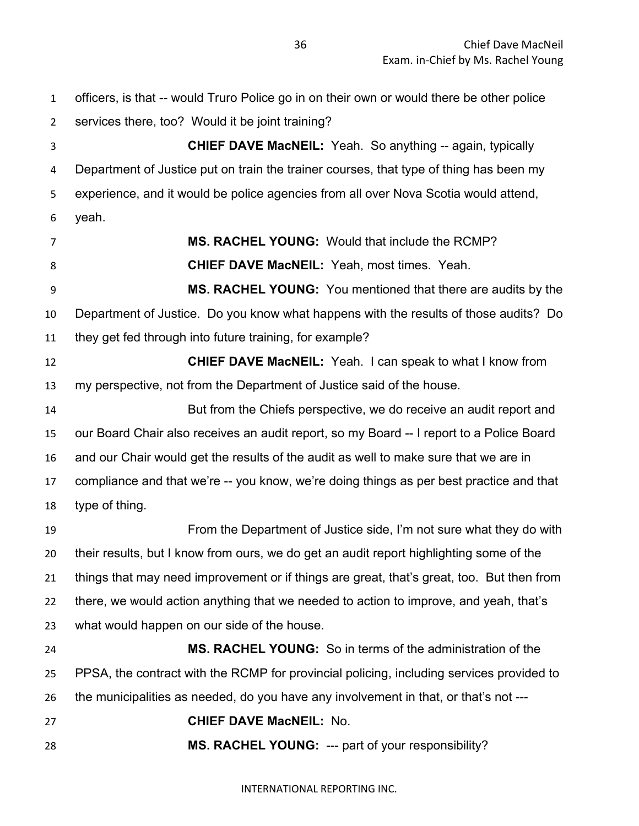officers, is that -- would Truro Police go in on their own or would there be other police services there, too? Would it be joint training? **CHIEF DAVE MacNEIL:** Yeah. So anything -- again, typically Department of Justice put on train the trainer courses, that type of thing has been my experience, and it would be police agencies from all over Nova Scotia would attend, yeah. **MS. RACHEL YOUNG:** Would that include the RCMP? **CHIEF DAVE MacNEIL:** Yeah, most times. Yeah. **MS. RACHEL YOUNG:** You mentioned that there are audits by the Department of Justice. Do you know what happens with the results of those audits? Do they get fed through into future training, for example? **CHIEF DAVE MacNEIL:** Yeah. I can speak to what I know from my perspective, not from the Department of Justice said of the house. But from the Chiefs perspective, we do receive an audit report and our Board Chair also receives an audit report, so my Board -- I report to a Police Board and our Chair would get the results of the audit as well to make sure that we are in compliance and that we're -- you know, we're doing things as per best practice and that type of thing. From the Department of Justice side, I'm not sure what they do with their results, but I know from ours, we do get an audit report highlighting some of the things that may need improvement or if things are great, that's great, too. But then from there, we would action anything that we needed to action to improve, and yeah, that's what would happen on our side of the house. **MS. RACHEL YOUNG:** So in terms of the administration of the PPSA, the contract with the RCMP for provincial policing, including services provided to the municipalities as needed, do you have any involvement in that, or that's not --- **CHIEF DAVE MacNEIL:** No. **MS. RACHEL YOUNG:** --- part of your responsibility?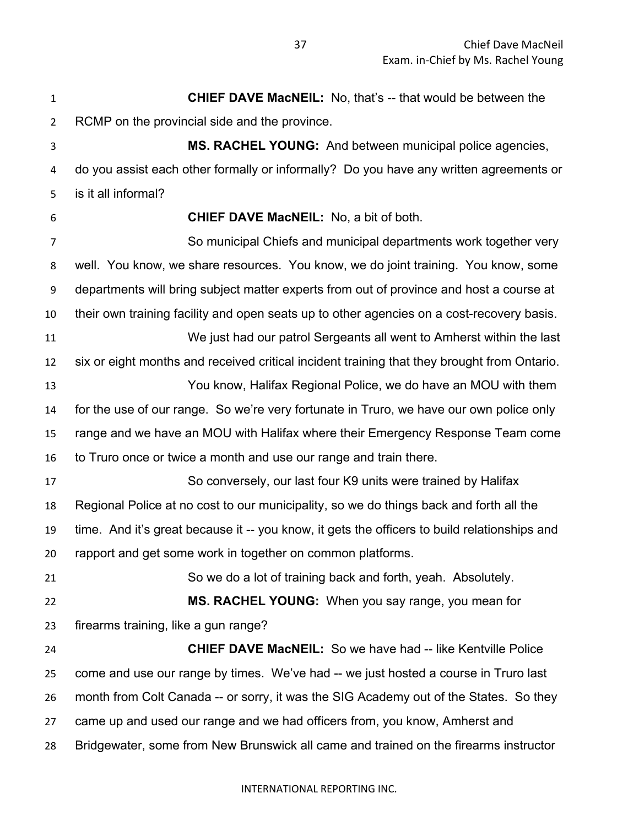**CHIEF DAVE MacNEIL:** No, that's -- that would be between the RCMP on the provincial side and the province. **MS. RACHEL YOUNG:** And between municipal police agencies, do you assist each other formally or informally? Do you have any written agreements or is it all informal? **CHIEF DAVE MacNEIL:** No, a bit of both. So municipal Chiefs and municipal departments work together very well. You know, we share resources. You know, we do joint training. You know, some departments will bring subject matter experts from out of province and host a course at their own training facility and open seats up to other agencies on a cost-recovery basis. We just had our patrol Sergeants all went to Amherst within the last six or eight months and received critical incident training that they brought from Ontario. You know, Halifax Regional Police, we do have an MOU with them for the use of our range. So we're very fortunate in Truro, we have our own police only range and we have an MOU with Halifax where their Emergency Response Team come to Truro once or twice a month and use our range and train there. So conversely, our last four K9 units were trained by Halifax Regional Police at no cost to our municipality, so we do things back and forth all the time. And it's great because it -- you know, it gets the officers to build relationships and rapport and get some work in together on common platforms. So we do a lot of training back and forth, yeah. Absolutely. **MS. RACHEL YOUNG:** When you say range, you mean for firearms training, like a gun range? **CHIEF DAVE MacNEIL:** So we have had -- like Kentville Police come and use our range by times. We've had -- we just hosted a course in Truro last month from Colt Canada -- or sorry, it was the SIG Academy out of the States. So they came up and used our range and we had officers from, you know, Amherst and Bridgewater, some from New Brunswick all came and trained on the firearms instructor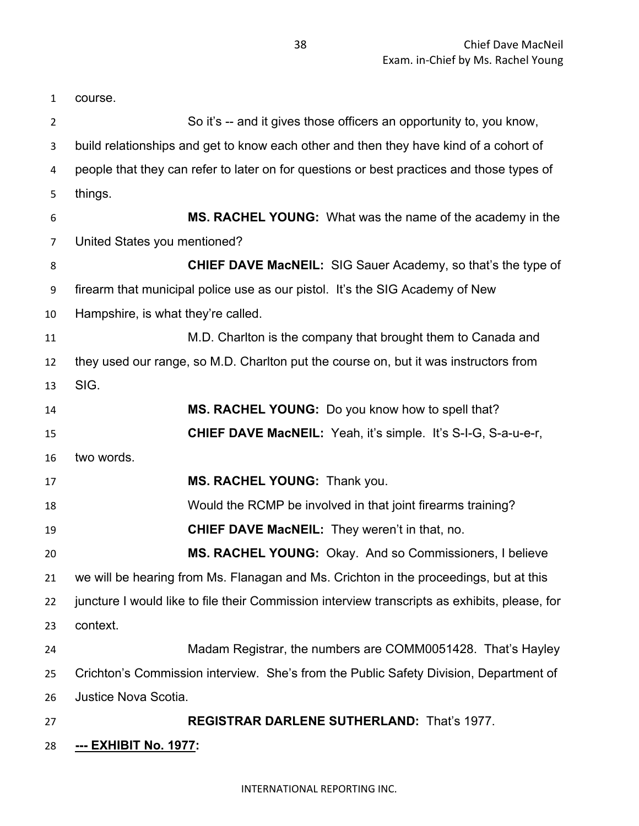course. So it's -- and it gives those officers an opportunity to, you know, build relationships and get to know each other and then they have kind of a cohort of people that they can refer to later on for questions or best practices and those types of things. **MS. RACHEL YOUNG:** What was the name of the academy in the United States you mentioned? **CHIEF DAVE MacNEIL:** SIG Sauer Academy, so that's the type of firearm that municipal police use as our pistol. It's the SIG Academy of New Hampshire, is what they're called. M.D. Charlton is the company that brought them to Canada and they used our range, so M.D. Charlton put the course on, but it was instructors from SIG. **MS. RACHEL YOUNG:** Do you know how to spell that? **CHIEF DAVE MacNEIL:** Yeah, it's simple. It's S-I-G, S-a-u-e-r, two words. **MS. RACHEL YOUNG:** Thank you. Would the RCMP be involved in that joint firearms training? **CHIEF DAVE MacNEIL:** They weren't in that, no. **MS. RACHEL YOUNG:** Okay. And so Commissioners, I believe we will be hearing from Ms. Flanagan and Ms. Crichton in the proceedings, but at this juncture I would like to file their Commission interview transcripts as exhibits, please, for context. Madam Registrar, the numbers are COMM0051428. That's Hayley Crichton's Commission interview. She's from the Public Safety Division, Department of Justice Nova Scotia. **REGISTRAR DARLENE SUTHERLAND:** That's 1977. **--- EXHIBIT No. 1977:**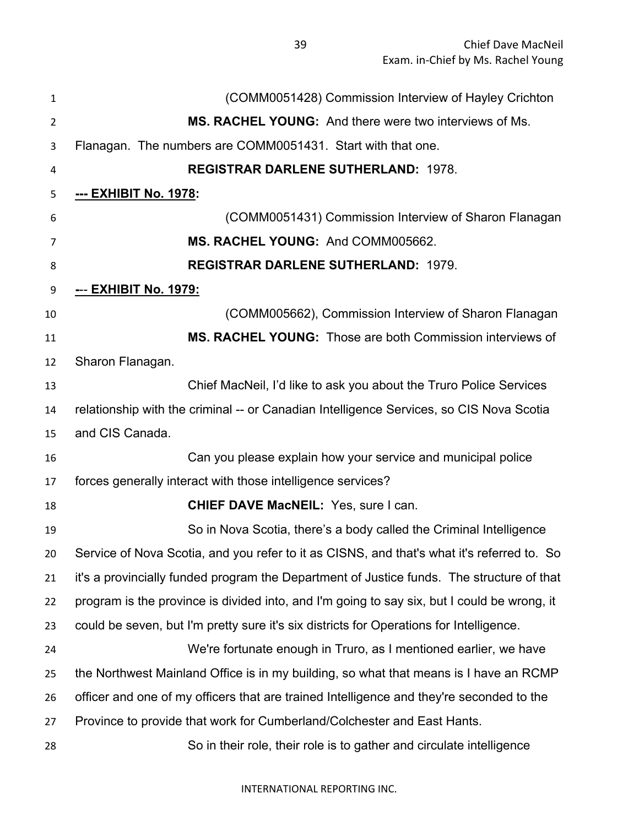| $\mathbf{1}$   | (COMM0051428) Commission Interview of Hayley Crichton                                       |
|----------------|---------------------------------------------------------------------------------------------|
| $\overline{2}$ | MS. RACHEL YOUNG: And there were two interviews of Ms.                                      |
| 3              | Flanagan. The numbers are COMM0051431. Start with that one.                                 |
| 4              | <b>REGISTRAR DARLENE SUTHERLAND: 1978.</b>                                                  |
| 5              | --- EXHIBIT No. 1978:                                                                       |
| 6              | (COMM0051431) Commission Interview of Sharon Flanagan                                       |
| 7              | MS. RACHEL YOUNG: And COMM005662.                                                           |
| 8              | <b>REGISTRAR DARLENE SUTHERLAND: 1979.</b>                                                  |
| 9              | <u>--- EXHIBIT No. 1979:</u>                                                                |
| 10             | (COMM005662), Commission Interview of Sharon Flanagan                                       |
| 11             | <b>MS. RACHEL YOUNG:</b> Those are both Commission interviews of                            |
| 12             | Sharon Flanagan.                                                                            |
| 13             | Chief MacNeil, I'd like to ask you about the Truro Police Services                          |
| 14             | relationship with the criminal -- or Canadian Intelligence Services, so CIS Nova Scotia     |
| 15             | and CIS Canada.                                                                             |
| 16             | Can you please explain how your service and municipal police                                |
| 17             | forces generally interact with those intelligence services?                                 |
| 18             | <b>CHIEF DAVE MacNEIL: Yes, sure I can.</b>                                                 |
| 19             | So in Nova Scotia, there's a body called the Criminal Intelligence                          |
| 20             | Service of Nova Scotia, and you refer to it as CISNS, and that's what it's referred to. So  |
| 21             | it's a provincially funded program the Department of Justice funds. The structure of that   |
| 22             | program is the province is divided into, and I'm going to say six, but I could be wrong, it |
| 23             | could be seven, but I'm pretty sure it's six districts for Operations for Intelligence.     |
| 24             | We're fortunate enough in Truro, as I mentioned earlier, we have                            |
| 25             | the Northwest Mainland Office is in my building, so what that means is I have an RCMP       |
| 26             | officer and one of my officers that are trained Intelligence and they're seconded to the    |
| 27             | Province to provide that work for Cumberland/Colchester and East Hants.                     |
| 28             | So in their role, their role is to gather and circulate intelligence                        |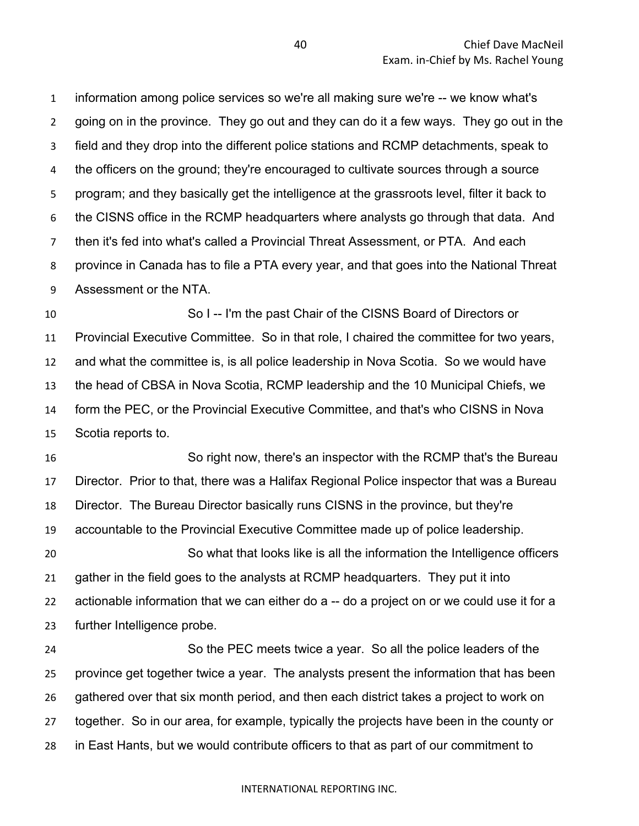information among police services so we're all making sure we're -- we know what's going on in the province. They go out and they can do it a few ways. They go out in the field and they drop into the different police stations and RCMP detachments, speak to 4 the officers on the ground; they're encouraged to cultivate sources through a source program; and they basically get the intelligence at the grassroots level, filter it back to the CISNS office in the RCMP headquarters where analysts go through that data. And then it's fed into what's called a Provincial Threat Assessment, or PTA. And each province in Canada has to file a PTA every year, and that goes into the National Threat Assessment or the NTA.

 So I -- I'm the past Chair of the CISNS Board of Directors or Provincial Executive Committee. So in that role, I chaired the committee for two years, and what the committee is, is all police leadership in Nova Scotia. So we would have the head of CBSA in Nova Scotia, RCMP leadership and the 10 Municipal Chiefs, we form the PEC, or the Provincial Executive Committee, and that's who CISNS in Nova Scotia reports to.

 So right now, there's an inspector with the RCMP that's the Bureau Director. Prior to that, there was a Halifax Regional Police inspector that was a Bureau Director. The Bureau Director basically runs CISNS in the province, but they're accountable to the Provincial Executive Committee made up of police leadership. So what that looks like is all the information the Intelligence officers gather in the field goes to the analysts at RCMP headquarters. They put it into actionable information that we can either do a -- do a project on or we could use it for a further Intelligence probe.

 So the PEC meets twice a year. So all the police leaders of the province get together twice a year. The analysts present the information that has been gathered over that six month period, and then each district takes a project to work on together. So in our area, for example, typically the projects have been in the county or in East Hants, but we would contribute officers to that as part of our commitment to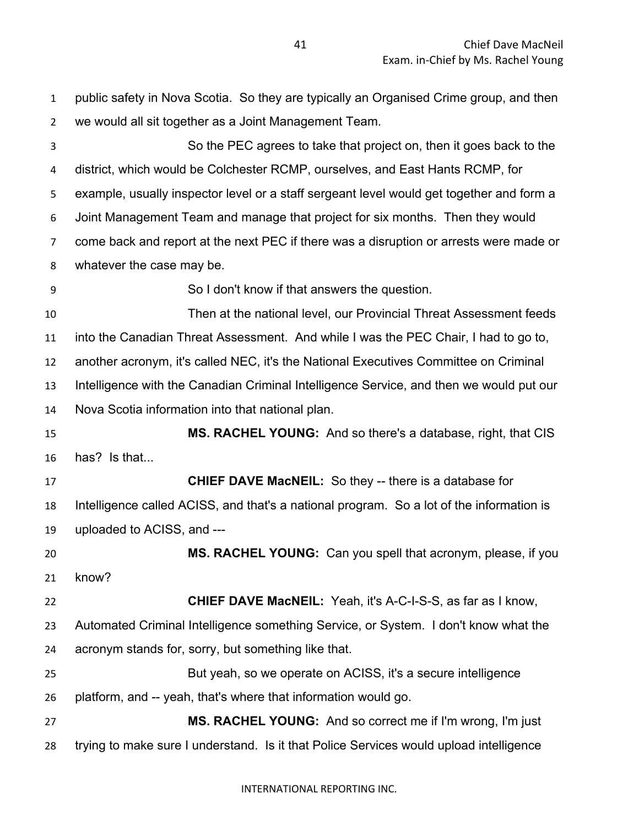| $\mathbf{1}$   | public safety in Nova Scotia. So they are typically an Organised Crime group, and then   |
|----------------|------------------------------------------------------------------------------------------|
| 2              | we would all sit together as a Joint Management Team.                                    |
| 3              | So the PEC agrees to take that project on, then it goes back to the                      |
| 4              | district, which would be Colchester RCMP, ourselves, and East Hants RCMP, for            |
| 5              | example, usually inspector level or a staff sergeant level would get together and form a |
| 6              | Joint Management Team and manage that project for six months. Then they would            |
| $\overline{7}$ | come back and report at the next PEC if there was a disruption or arrests were made or   |
| 8              | whatever the case may be.                                                                |
| 9              | So I don't know if that answers the question.                                            |
| 10             | Then at the national level, our Provincial Threat Assessment feeds                       |
| 11             | into the Canadian Threat Assessment. And while I was the PEC Chair, I had to go to,      |
| 12             | another acronym, it's called NEC, it's the National Executives Committee on Criminal     |
| 13             | Intelligence with the Canadian Criminal Intelligence Service, and then we would put our  |
| 14             | Nova Scotia information into that national plan.                                         |
|                |                                                                                          |
| 15             | MS. RACHEL YOUNG: And so there's a database, right, that CIS                             |
| 16             | has? Is that                                                                             |
| 17             | <b>CHIEF DAVE MacNEIL:</b> So they -- there is a database for                            |
| 18             | Intelligence called ACISS, and that's a national program. So a lot of the information is |
| 19             | uploaded to ACISS, and ---                                                               |
| 20             | MS. RACHEL YOUNG: Can you spell that acronym, please, if you                             |
| 21             | know?                                                                                    |
| 22             | <b>CHIEF DAVE MacNEIL:</b> Yeah, it's A-C-I-S-S, as far as I know,                       |
| 23             | Automated Criminal Intelligence something Service, or System. I don't know what the      |
| 24             | acronym stands for, sorry, but something like that.                                      |
| 25             | But yeah, so we operate on ACISS, it's a secure intelligence                             |
| 26             | platform, and -- yeah, that's where that information would go.                           |
| 27             | MS. RACHEL YOUNG: And so correct me if I'm wrong, I'm just                               |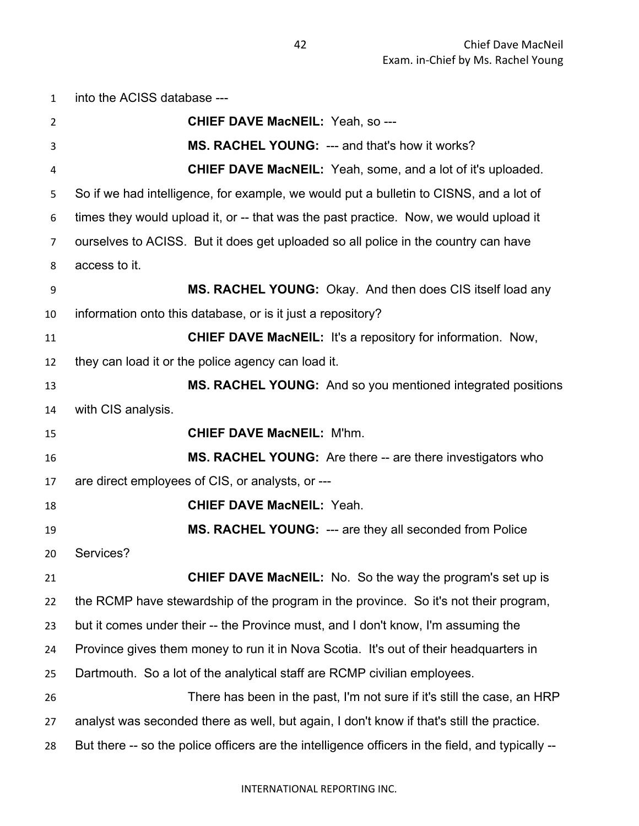into the ACISS database --- **CHIEF DAVE MacNEIL:** Yeah, so --- **MS. RACHEL YOUNG:** --- and that's how it works? **CHIEF DAVE MacNEIL:** Yeah, some, and a lot of it's uploaded. So if we had intelligence, for example, we would put a bulletin to CISNS, and a lot of times they would upload it, or -- that was the past practice. Now, we would upload it ourselves to ACISS. But it does get uploaded so all police in the country can have access to it. **MS. RACHEL YOUNG:** Okay. And then does CIS itself load any information onto this database, or is it just a repository? **CHIEF DAVE MacNEIL:** It's a repository for information. Now, they can load it or the police agency can load it. **MS. RACHEL YOUNG:** And so you mentioned integrated positions with CIS analysis. **CHIEF DAVE MacNEIL:** M'hm. **MS. RACHEL YOUNG:** Are there -- are there investigators who are direct employees of CIS, or analysts, or --- **CHIEF DAVE MacNEIL:** Yeah. **MS. RACHEL YOUNG:** --- are they all seconded from Police Services? **CHIEF DAVE MacNEIL:** No. So the way the program's set up is the RCMP have stewardship of the program in the province. So it's not their program, but it comes under their -- the Province must, and I don't know, I'm assuming the Province gives them money to run it in Nova Scotia. It's out of their headquarters in Dartmouth. So a lot of the analytical staff are RCMP civilian employees. There has been in the past, I'm not sure if it's still the case, an HRP analyst was seconded there as well, but again, I don't know if that's still the practice. But there -- so the police officers are the intelligence officers in the field, and typically --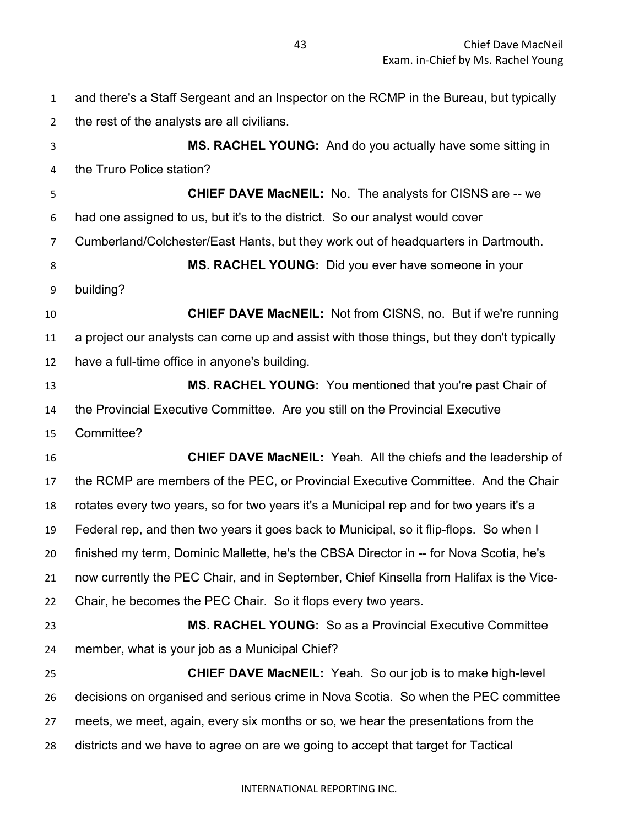and there's a Staff Sergeant and an Inspector on the RCMP in the Bureau, but typically the rest of the analysts are all civilians.

 **MS. RACHEL YOUNG:** And do you actually have some sitting in the Truro Police station?

 **CHIEF DAVE MacNEIL:** No. The analysts for CISNS are -- we had one assigned to us, but it's to the district. So our analyst would cover Cumberland/Colchester/East Hants, but they work out of headquarters in Dartmouth. **MS. RACHEL YOUNG:** Did you ever have someone in your building? **CHIEF DAVE MacNEIL:** Not from CISNS, no. But if we're running a project our analysts can come up and assist with those things, but they don't typically have a full-time office in anyone's building. **MS. RACHEL YOUNG:** You mentioned that you're past Chair of the Provincial Executive Committee. Are you still on the Provincial Executive Committee? **CHIEF DAVE MacNEIL:** Yeah. All the chiefs and the leadership of the RCMP are members of the PEC, or Provincial Executive Committee. And the Chair

 rotates every two years, so for two years it's a Municipal rep and for two years it's a Federal rep, and then two years it goes back to Municipal, so it flip-flops. So when I

 finished my term, Dominic Mallette, he's the CBSA Director in -- for Nova Scotia, he's now currently the PEC Chair, and in September, Chief Kinsella from Halifax is the Vice-

Chair, he becomes the PEC Chair. So it flops every two years.

 **MS. RACHEL YOUNG:** So as a Provincial Executive Committee member, what is your job as a Municipal Chief?

 **CHIEF DAVE MacNEIL:** Yeah. So our job is to make high-level decisions on organised and serious crime in Nova Scotia. So when the PEC committee meets, we meet, again, every six months or so, we hear the presentations from the districts and we have to agree on are we going to accept that target for Tactical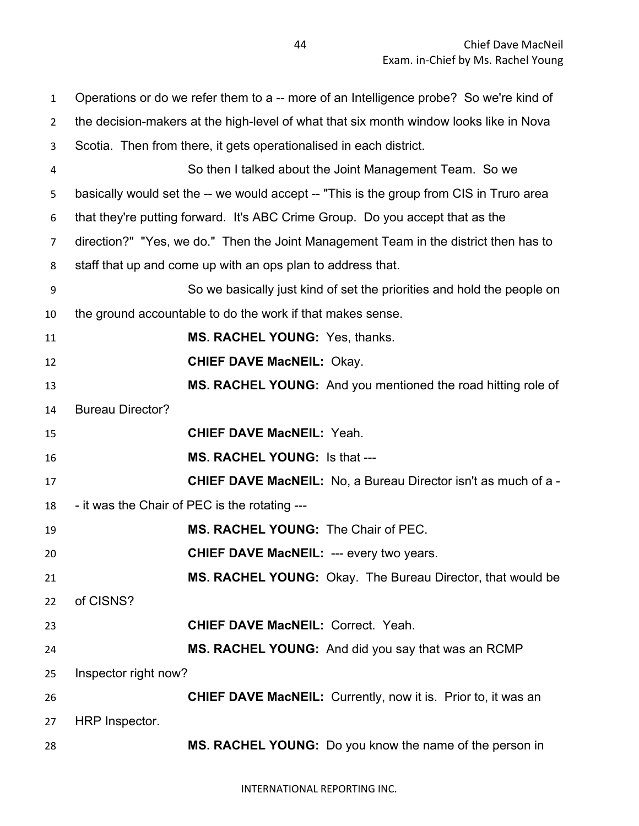Operations or do we refer them to a -- more of an Intelligence probe? So we're kind of the decision-makers at the high-level of what that six month window looks like in Nova Scotia. Then from there, it gets operationalised in each district. So then I talked about the Joint Management Team. So we basically would set the -- we would accept -- "This is the group from CIS in Truro area that they're putting forward. It's ABC Crime Group. Do you accept that as the direction?" "Yes, we do." Then the Joint Management Team in the district then has to staff that up and come up with an ops plan to address that. So we basically just kind of set the priorities and hold the people on the ground accountable to do the work if that makes sense. **MS. RACHEL YOUNG:** Yes, thanks. **CHIEF DAVE MacNEIL:** Okay. **MS. RACHEL YOUNG:** And you mentioned the road hitting role of Bureau Director? **CHIEF DAVE MacNEIL:** Yeah. **MS. RACHEL YOUNG:** Is that --- **CHIEF DAVE MacNEIL:** No, a Bureau Director isn't as much of a - - it was the Chair of PEC is the rotating --- **MS. RACHEL YOUNG:** The Chair of PEC. **CHIEF DAVE MacNEIL:** --- every two years. **MS. RACHEL YOUNG:** Okay. The Bureau Director, that would be of CISNS? **CHIEF DAVE MacNEIL:** Correct. Yeah. **MS. RACHEL YOUNG:** And did you say that was an RCMP Inspector right now? **CHIEF DAVE MacNEIL:** Currently, now it is. Prior to, it was an HRP Inspector. **MS. RACHEL YOUNG:** Do you know the name of the person in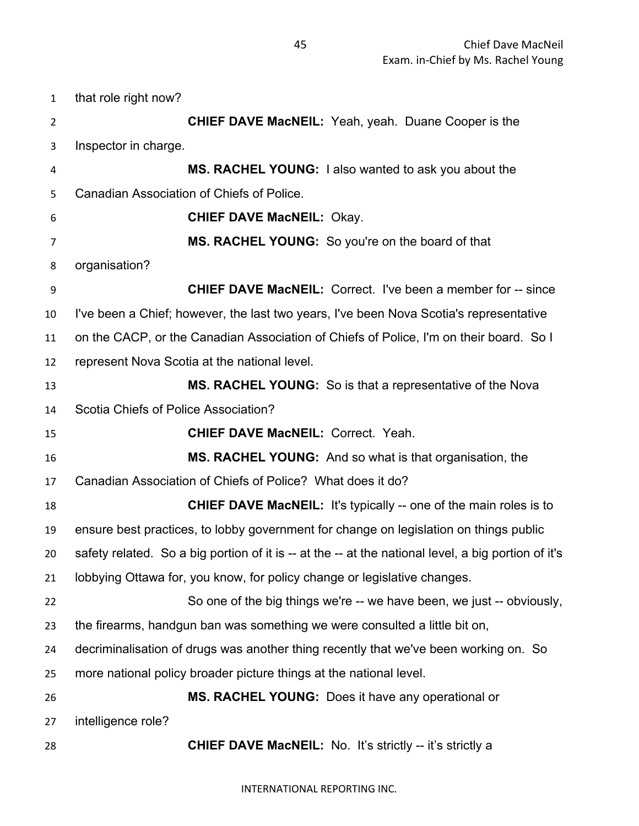that role right now? **CHIEF DAVE MacNEIL:** Yeah, yeah. Duane Cooper is the Inspector in charge. **MS. RACHEL YOUNG:** I also wanted to ask you about the Canadian Association of Chiefs of Police. **CHIEF DAVE MacNEIL:** Okay. **MS. RACHEL YOUNG:** So you're on the board of that organisation? **CHIEF DAVE MacNEIL:** Correct. I've been a member for -- since I've been a Chief; however, the last two years, I've been Nova Scotia's representative on the CACP, or the Canadian Association of Chiefs of Police, I'm on their board. So I represent Nova Scotia at the national level. **MS. RACHEL YOUNG:** So is that a representative of the Nova Scotia Chiefs of Police Association? **CHIEF DAVE MacNEIL:** Correct. Yeah. **MS. RACHEL YOUNG:** And so what is that organisation, the Canadian Association of Chiefs of Police? What does it do? **CHIEF DAVE MacNEIL:** It's typically -- one of the main roles is to ensure best practices, to lobby government for change on legislation on things public safety related. So a big portion of it is -- at the -- at the national level, a big portion of it's lobbying Ottawa for, you know, for policy change or legislative changes. So one of the big things we're -- we have been, we just -- obviously, the firearms, handgun ban was something we were consulted a little bit on, decriminalisation of drugs was another thing recently that we've been working on. So more national policy broader picture things at the national level. **MS. RACHEL YOUNG:** Does it have any operational or intelligence role? **CHIEF DAVE MacNEIL:** No. It's strictly -- it's strictly a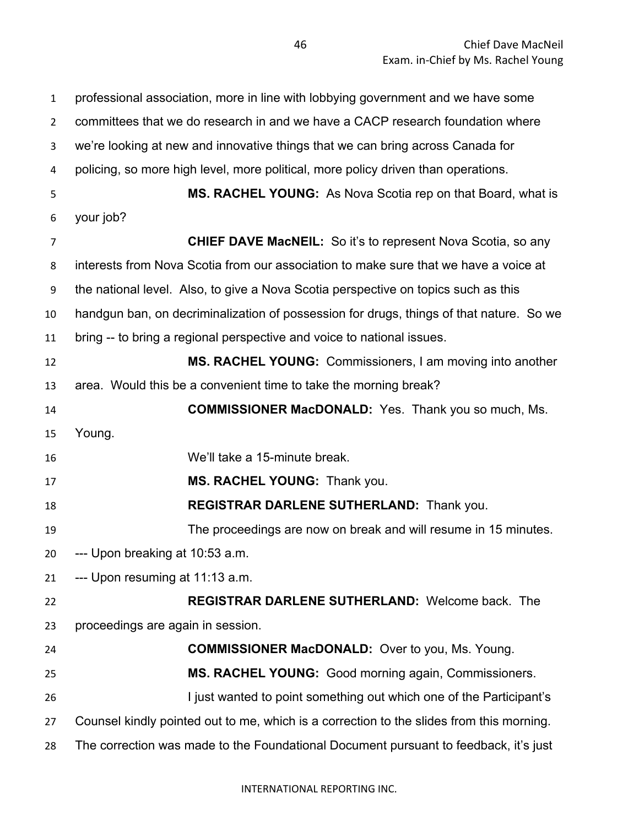professional association, more in line with lobbying government and we have some committees that we do research in and we have a CACP research foundation where we're looking at new and innovative things that we can bring across Canada for policing, so more high level, more political, more policy driven than operations. **MS. RACHEL YOUNG:** As Nova Scotia rep on that Board, what is your job? **CHIEF DAVE MacNEIL:** So it's to represent Nova Scotia, so any interests from Nova Scotia from our association to make sure that we have a voice at the national level. Also, to give a Nova Scotia perspective on topics such as this handgun ban, on decriminalization of possession for drugs, things of that nature. So we bring -- to bring a regional perspective and voice to national issues. **MS. RACHEL YOUNG:** Commissioners, I am moving into another area. Would this be a convenient time to take the morning break? **COMMISSIONER MacDONALD:** Yes. Thank you so much, Ms. Young. We'll take a 15-minute break. **MS. RACHEL YOUNG:** Thank you. **REGISTRAR DARLENE SUTHERLAND:** Thank you. The proceedings are now on break and will resume in 15 minutes. --- Upon breaking at 10:53 a.m. --- Upon resuming at 11:13 a.m. **REGISTRAR DARLENE SUTHERLAND:** Welcome back. The proceedings are again in session. **COMMISSIONER MacDONALD:** Over to you, Ms. Young. **MS. RACHEL YOUNG:** Good morning again, Commissioners. **I** just wanted to point something out which one of the Participant's Counsel kindly pointed out to me, which is a correction to the slides from this morning. The correction was made to the Foundational Document pursuant to feedback, it's just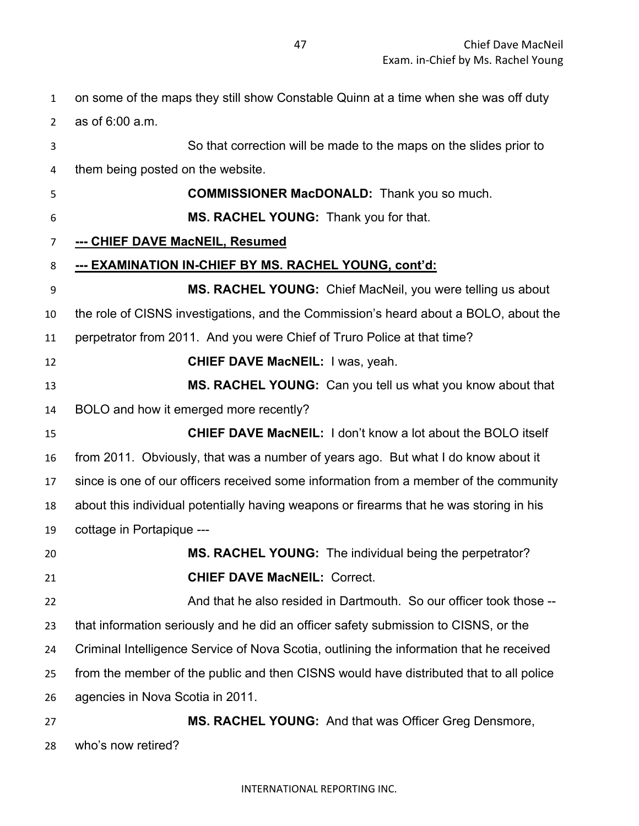on some of the maps they still show Constable Quinn at a time when she was off duty as of 6:00 a.m. So that correction will be made to the maps on the slides prior to them being posted on the website. **COMMISSIONER MacDONALD:** Thank you so much. **MS. RACHEL YOUNG:** Thank you for that. **--- CHIEF DAVE MacNEIL, Resumed --- EXAMINATION IN-CHIEF BY MS. RACHEL YOUNG, cont'd: MS. RACHEL YOUNG:** Chief MacNeil, you were telling us about the role of CISNS investigations, and the Commission's heard about a BOLO, about the perpetrator from 2011. And you were Chief of Truro Police at that time? **CHIEF DAVE MacNEIL:** I was, yeah. **MS. RACHEL YOUNG:** Can you tell us what you know about that BOLO and how it emerged more recently? **CHIEF DAVE MacNEIL:** I don't know a lot about the BOLO itself from 2011. Obviously, that was a number of years ago. But what I do know about it since is one of our officers received some information from a member of the community about this individual potentially having weapons or firearms that he was storing in his cottage in Portapique --- **MS. RACHEL YOUNG:** The individual being the perpetrator? **CHIEF DAVE MacNEIL:** Correct. And that he also resided in Dartmouth. So our officer took those -- that information seriously and he did an officer safety submission to CISNS, or the Criminal Intelligence Service of Nova Scotia, outlining the information that he received from the member of the public and then CISNS would have distributed that to all police agencies in Nova Scotia in 2011. **MS. RACHEL YOUNG:** And that was Officer Greg Densmore,

who's now retired?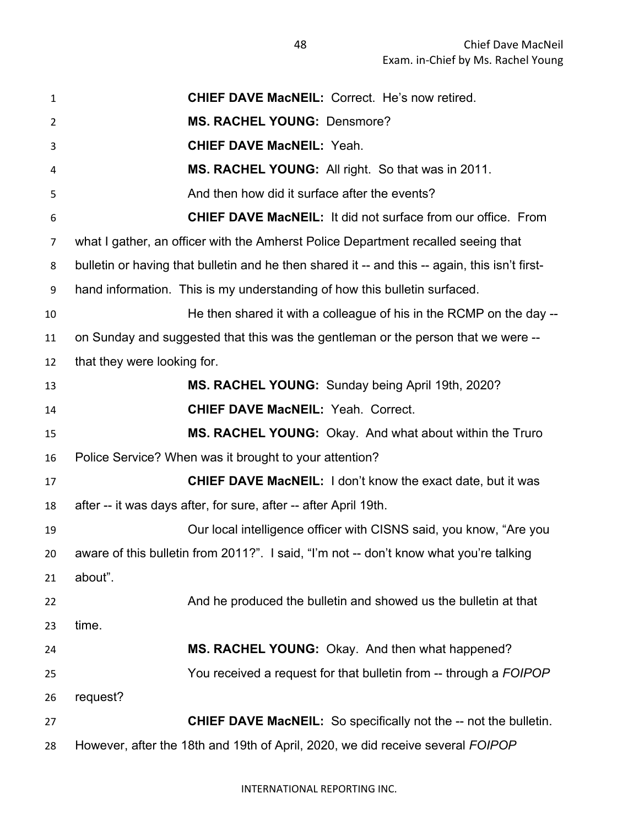| $\mathbf{1}$ | <b>CHIEF DAVE MacNEIL: Correct. He's now retired.</b>                                          |
|--------------|------------------------------------------------------------------------------------------------|
| 2            | <b>MS. RACHEL YOUNG: Densmore?</b>                                                             |
| 3            | <b>CHIEF DAVE MacNEIL: Yeah.</b>                                                               |
| 4            | MS. RACHEL YOUNG: All right. So that was in 2011.                                              |
| 5            | And then how did it surface after the events?                                                  |
| 6            | <b>CHIEF DAVE MacNEIL: It did not surface from our office. From</b>                            |
| 7            | what I gather, an officer with the Amherst Police Department recalled seeing that              |
| 8            | bulletin or having that bulletin and he then shared it -- and this -- again, this isn't first- |
| 9            | hand information. This is my understanding of how this bulletin surfaced.                      |
| 10           | He then shared it with a colleague of his in the RCMP on the day --                            |
| 11           | on Sunday and suggested that this was the gentleman or the person that we were --              |
| 12           | that they were looking for.                                                                    |
| 13           | MS. RACHEL YOUNG: Sunday being April 19th, 2020?                                               |
| 14           | <b>CHIEF DAVE MacNEIL: Yeah. Correct.</b>                                                      |
| 15           | MS. RACHEL YOUNG: Okay. And what about within the Truro                                        |
| 16           | Police Service? When was it brought to your attention?                                         |
| 17           | <b>CHIEF DAVE MacNEIL:</b> I don't know the exact date, but it was                             |
| 18           | after -- it was days after, for sure, after -- after April 19th.                               |
| 19           | Our local intelligence officer with CISNS said, you know, "Are you                             |
| 20           | aware of this bulletin from 2011?". I said, "I'm not -- don't know what you're talking         |
| 21           | about".                                                                                        |
| 22           | And he produced the bulletin and showed us the bulletin at that                                |
| 23           | time.                                                                                          |
| 24           | MS. RACHEL YOUNG: Okay. And then what happened?                                                |
| 25           | You received a request for that bulletin from -- through a FOIPOP                              |
| 26           | request?                                                                                       |
| 27           | <b>CHIEF DAVE MacNEIL:</b> So specifically not the -- not the bulletin.                        |
| 28           | However, after the 18th and 19th of April, 2020, we did receive several FOIPOP                 |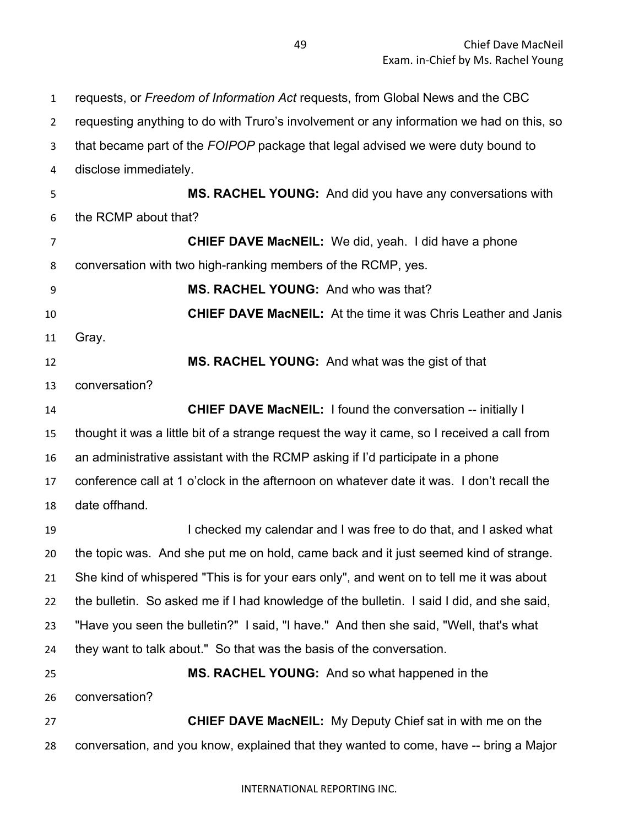requests, or *Freedom of Information Act* requests, from Global News and the CBC requesting anything to do with Truro's involvement or any information we had on this, so that became part of the *FOIPOP* package that legal advised we were duty bound to disclose immediately. **MS. RACHEL YOUNG:** And did you have any conversations with the RCMP about that? **CHIEF DAVE MacNEIL:** We did, yeah. I did have a phone conversation with two high-ranking members of the RCMP, yes. **MS. RACHEL YOUNG:** And who was that? **CHIEF DAVE MacNEIL:** At the time it was Chris Leather and Janis Gray. **MS. RACHEL YOUNG:** And what was the gist of that conversation? **CHIEF DAVE MacNEIL:** I found the conversation -- initially I thought it was a little bit of a strange request the way it came, so I received a call from an administrative assistant with the RCMP asking if I'd participate in a phone conference call at 1 o'clock in the afternoon on whatever date it was. I don't recall the date offhand. I checked my calendar and I was free to do that, and I asked what the topic was. And she put me on hold, came back and it just seemed kind of strange. She kind of whispered "This is for your ears only", and went on to tell me it was about the bulletin. So asked me if I had knowledge of the bulletin. I said I did, and she said, "Have you seen the bulletin?" I said, "I have." And then she said, "Well, that's what they want to talk about." So that was the basis of the conversation. **MS. RACHEL YOUNG:** And so what happened in the conversation? **CHIEF DAVE MacNEIL:** My Deputy Chief sat in with me on the conversation, and you know, explained that they wanted to come, have -- bring a Major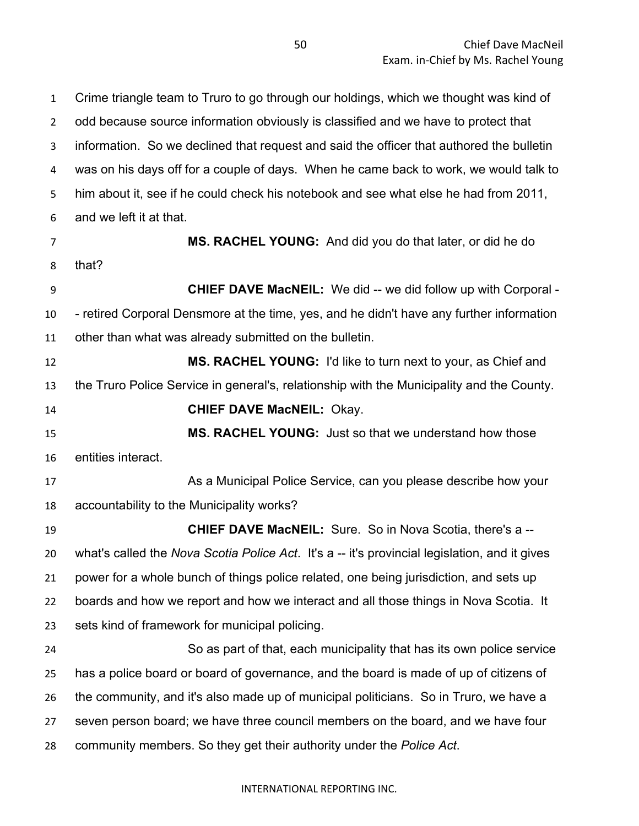odd because source information obviously is classified and we have to protect that information. So we declined that request and said the officer that authored the bulletin was on his days off for a couple of days. When he came back to work, we would talk to him about it, see if he could check his notebook and see what else he had from 2011, and we left it at that. **MS. RACHEL YOUNG:** And did you do that later, or did he do that? **CHIEF DAVE MacNEIL:** We did -- we did follow up with Corporal - - retired Corporal Densmore at the time, yes, and he didn't have any further information other than what was already submitted on the bulletin. **MS. RACHEL YOUNG:** I'd like to turn next to your, as Chief and the Truro Police Service in general's, relationship with the Municipality and the County. **CHIEF DAVE MacNEIL:** Okay. **MS. RACHEL YOUNG:** Just so that we understand how those entities interact. As a Municipal Police Service, can you please describe how your accountability to the Municipality works? **CHIEF DAVE MacNEIL:** Sure. So in Nova Scotia, there's a -- what's called the *Nova Scotia Police Act*. It's a -- it's provincial legislation, and it gives power for a whole bunch of things police related, one being jurisdiction, and sets up boards and how we report and how we interact and all those things in Nova Scotia. It sets kind of framework for municipal policing. So as part of that, each municipality that has its own police service has a police board or board of governance, and the board is made of up of citizens of the community, and it's also made up of municipal politicians. So in Truro, we have a seven person board; we have three council members on the board, and we have four community members. So they get their authority under the *Police Act*.

Crime triangle team to Truro to go through our holdings, which we thought was kind of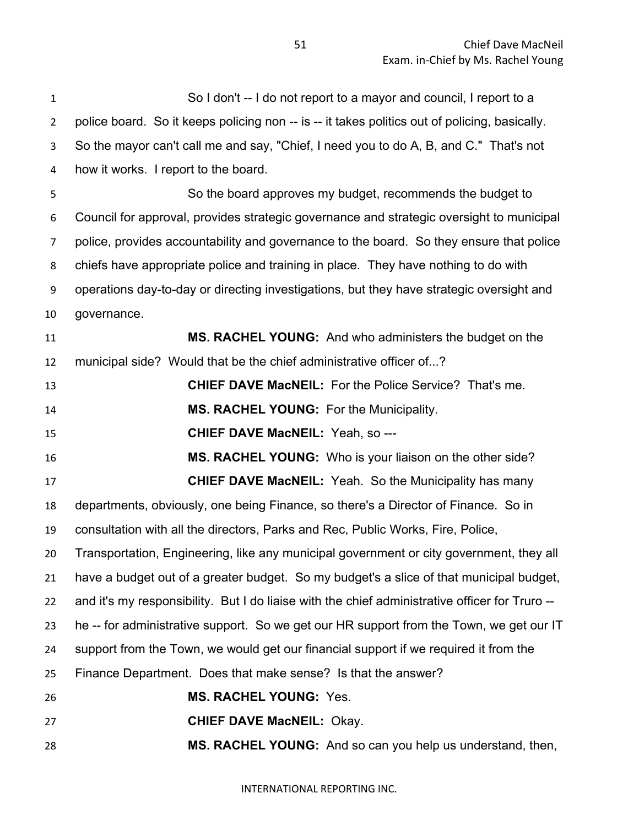So I don't -- I do not report to a mayor and council, I report to a 2 police board. So it keeps policing non -- is -- it takes politics out of policing, basically. So the mayor can't call me and say, "Chief, I need you to do A, B, and C." That's not how it works. I report to the board. So the board approves my budget, recommends the budget to Council for approval, provides strategic governance and strategic oversight to municipal police, provides accountability and governance to the board. So they ensure that police chiefs have appropriate police and training in place. They have nothing to do with operations day-to-day or directing investigations, but they have strategic oversight and governance. **MS. RACHEL YOUNG:** And who administers the budget on the municipal side? Would that be the chief administrative officer of...? **CHIEF DAVE MacNEIL:** For the Police Service? That's me. **MS. RACHEL YOUNG:** For the Municipality. **CHIEF DAVE MacNEIL:** Yeah, so --- **MS. RACHEL YOUNG:** Who is your liaison on the other side? **CHIEF DAVE MacNEIL:** Yeah. So the Municipality has many departments, obviously, one being Finance, so there's a Director of Finance. So in consultation with all the directors, Parks and Rec, Public Works, Fire, Police, Transportation, Engineering, like any municipal government or city government, they all have a budget out of a greater budget. So my budget's a slice of that municipal budget, and it's my responsibility. But I do liaise with the chief administrative officer for Truro -- he -- for administrative support. So we get our HR support from the Town, we get our IT support from the Town, we would get our financial support if we required it from the Finance Department. Does that make sense? Is that the answer? **MS. RACHEL YOUNG:** Yes. **CHIEF DAVE MacNEIL:** Okay. **MS. RACHEL YOUNG:** And so can you help us understand, then,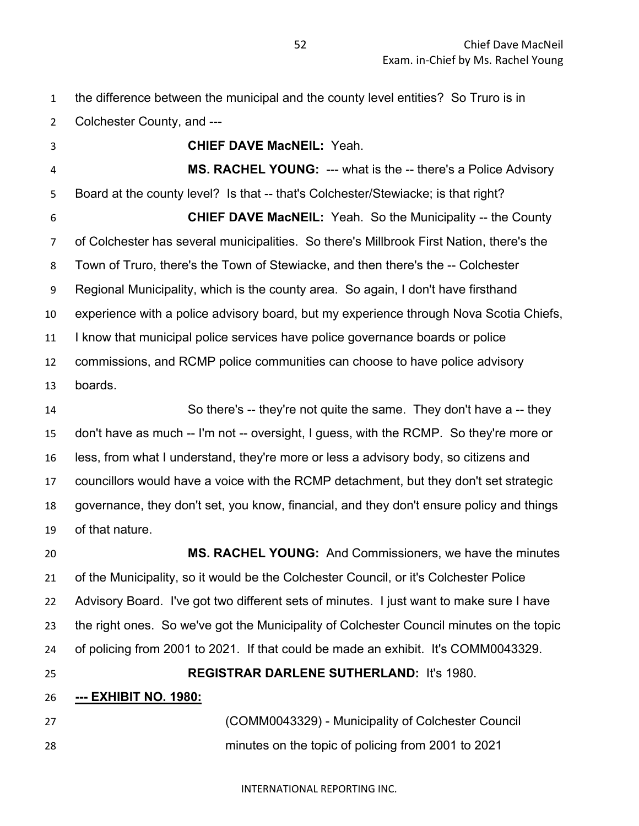the difference between the municipal and the county level entities? So Truro is in

Colchester County, and --- **CHIEF DAVE MacNEIL:** Yeah. **MS. RACHEL YOUNG:** --- what is the -- there's a Police Advisory Board at the county level? Is that -- that's Colchester/Stewiacke; is that right? **CHIEF DAVE MacNEIL:** Yeah. So the Municipality -- the County of Colchester has several municipalities. So there's Millbrook First Nation, there's the Town of Truro, there's the Town of Stewiacke, and then there's the -- Colchester Regional Municipality, which is the county area. So again, I don't have firsthand experience with a police advisory board, but my experience through Nova Scotia Chiefs, I know that municipal police services have police governance boards or police commissions, and RCMP police communities can choose to have police advisory boards. So there's -- they're not quite the same. They don't have a -- they don't have as much -- I'm not -- oversight, I guess, with the RCMP. So they're more or less, from what I understand, they're more or less a advisory body, so citizens and councillors would have a voice with the RCMP detachment, but they don't set strategic governance, they don't set, you know, financial, and they don't ensure policy and things of that nature.

 **MS. RACHEL YOUNG:** And Commissioners, we have the minutes of the Municipality, so it would be the Colchester Council, or it's Colchester Police Advisory Board. I've got two different sets of minutes. I just want to make sure I have the right ones. So we've got the Municipality of Colchester Council minutes on the topic of policing from 2001 to 2021. If that could be made an exhibit. It's COMM0043329. **REGISTRAR DARLENE SUTHERLAND:** It's 1980. **--- EXHIBIT NO. 1980:** (COMM0043329) - Municipality of Colchester Council

minutes on the topic of policing from 2001 to 2021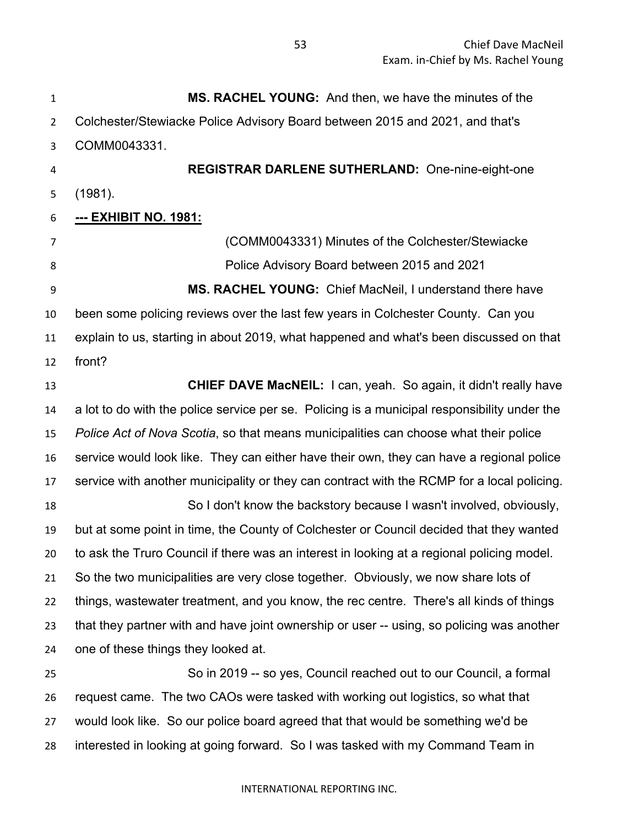**MS. RACHEL YOUNG:** And then, we have the minutes of the Colchester/Stewiacke Police Advisory Board between 2015 and 2021, and that's COMM0043331. **REGISTRAR DARLENE SUTHERLAND:** One-nine-eight-one (1981). **--- EXHIBIT NO. 1981:** (COMM0043331) Minutes of the Colchester/Stewiacke Police Advisory Board between 2015 and 2021 **MS. RACHEL YOUNG:** Chief MacNeil, I understand there have been some policing reviews over the last few years in Colchester County. Can you explain to us, starting in about 2019, what happened and what's been discussed on that front? **CHIEF DAVE MacNEIL:** I can, yeah. So again, it didn't really have a lot to do with the police service per se. Policing is a municipal responsibility under the *Police Act of Nova Scotia*, so that means municipalities can choose what their police service would look like. They can either have their own, they can have a regional police service with another municipality or they can contract with the RCMP for a local policing. So I don't know the backstory because I wasn't involved, obviously, but at some point in time, the County of Colchester or Council decided that they wanted to ask the Truro Council if there was an interest in looking at a regional policing model. So the two municipalities are very close together. Obviously, we now share lots of things, wastewater treatment, and you know, the rec centre. There's all kinds of things that they partner with and have joint ownership or user -- using, so policing was another one of these things they looked at. So in 2019 -- so yes, Council reached out to our Council, a formal request came. The two CAOs were tasked with working out logistics, so what that would look like. So our police board agreed that that would be something we'd be

interested in looking at going forward. So I was tasked with my Command Team in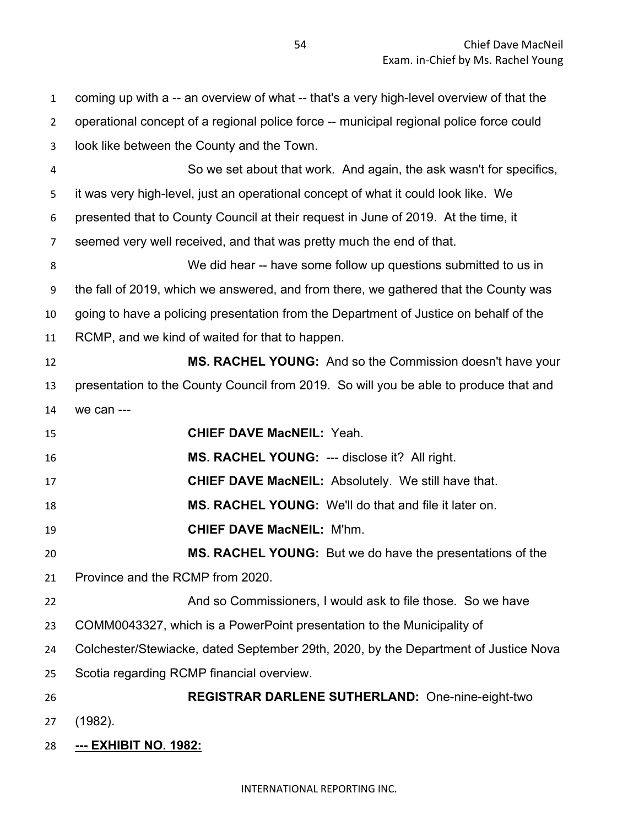| $\mathbf{1}$   | coming up with a -- an overview of what -- that's a very high-level overview of that the |
|----------------|------------------------------------------------------------------------------------------|
| $\overline{2}$ | operational concept of a regional police force -- municipal regional police force could  |
| 3              | look like between the County and the Town.                                               |
| 4              | So we set about that work. And again, the ask wasn't for specifics,                      |
| 5              | it was very high-level, just an operational concept of what it could look like. We       |
| 6              | presented that to County Council at their request in June of 2019. At the time, it       |
| $\overline{7}$ | seemed very well received, and that was pretty much the end of that.                     |
| 8              | We did hear -- have some follow up questions submitted to us in                          |
| 9              | the fall of 2019, which we answered, and from there, we gathered that the County was     |
| 10             | going to have a policing presentation from the Department of Justice on behalf of the    |
| 11             | RCMP, and we kind of waited for that to happen.                                          |
| 12             | MS. RACHEL YOUNG: And so the Commission doesn't have your                                |
| 13             | presentation to the County Council from 2019. So will you be able to produce that and    |
| 14             | we can ---                                                                               |
| 15             | <b>CHIEF DAVE MacNEIL: Yeah.</b>                                                         |
| 16             | MS. RACHEL YOUNG: --- disclose it? All right.                                            |
| 17             | <b>CHIEF DAVE MacNEIL: Absolutely. We still have that.</b>                               |
| 18             | <b>MS. RACHEL YOUNG:</b> We'll do that and file it later on.                             |
| 19             | <b>CHIEF DAVE MacNEIL: M'hm.</b>                                                         |
| 20             | <b>MS. RACHEL YOUNG:</b> But we do have the presentations of the                         |
| 21             | Province and the RCMP from 2020.                                                         |
| 22             | And so Commissioners, I would ask to file those. So we have                              |
| 23             | COMM0043327, which is a PowerPoint presentation to the Municipality of                   |
| 24             | Colchester/Stewiacke, dated September 29th, 2020, by the Department of Justice Nova      |
| 25             | Scotia regarding RCMP financial overview.                                                |
| 26             | <b>REGISTRAR DARLENE SUTHERLAND: One-nine-eight-two</b>                                  |
| 27             | (1982).                                                                                  |
| 28             | --- EXHIBIT NO. 1982:                                                                    |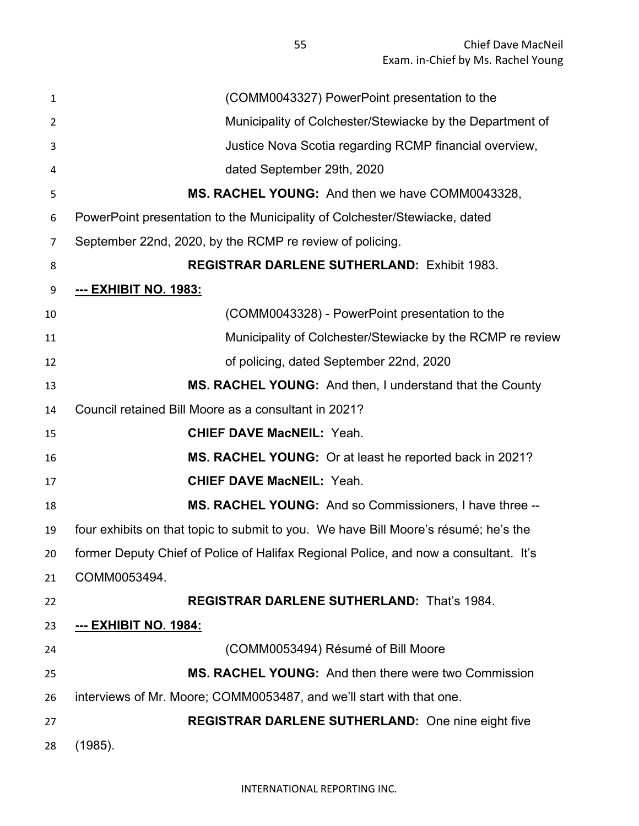Chief Dave MacNeil Exam. in-Chief by Ms. Rachel Young

| 1  | (COMM0043327) PowerPoint presentation to the                                         |
|----|--------------------------------------------------------------------------------------|
| 2  | Municipality of Colchester/Stewiacke by the Department of                            |
| 3  | Justice Nova Scotia regarding RCMP financial overview,                               |
| 4  | dated September 29th, 2020                                                           |
| 5  | MS. RACHEL YOUNG: And then we have COMM0043328,                                      |
| 6  | PowerPoint presentation to the Municipality of Colchester/Stewiacke, dated           |
| 7  | September 22nd, 2020, by the RCMP re review of policing.                             |
| 8  | <b>REGISTRAR DARLENE SUTHERLAND: Exhibit 1983.</b>                                   |
| 9  | <u>--- ЕХНІВІТ NO. 1983:</u>                                                         |
| 10 | (COMM0043328) - PowerPoint presentation to the                                       |
| 11 | Municipality of Colchester/Stewiacke by the RCMP re review                           |
| 12 | of policing, dated September 22nd, 2020                                              |
| 13 | MS. RACHEL YOUNG: And then, I understand that the County                             |
| 14 | Council retained Bill Moore as a consultant in 2021?                                 |
| 15 | <b>CHIEF DAVE MacNEIL: Yeah.</b>                                                     |
| 16 | MS. RACHEL YOUNG: Or at least he reported back in 2021?                              |
| 17 | <b>CHIEF DAVE MacNEIL: Yeah.</b>                                                     |
| 18 | MS. RACHEL YOUNG: And so Commissioners, I have three --                              |
| 19 | four exhibits on that topic to submit to you. We have Bill Moore's résumé; he's the  |
| 20 | former Deputy Chief of Police of Halifax Regional Police, and now a consultant. It's |
| 21 | COMM0053494.                                                                         |
| 22 | <b>REGISTRAR DARLENE SUTHERLAND: That's 1984.</b>                                    |
| 23 | <u>--- EXHIBIT NO. 1984:</u>                                                         |
| 24 | (COMM0053494) Résumé of Bill Moore                                                   |
| 25 | MS. RACHEL YOUNG: And then there were two Commission                                 |
| 26 | interviews of Mr. Moore; COMM0053487, and we'll start with that one.                 |
| 27 | <b>REGISTRAR DARLENE SUTHERLAND:</b> One nine eight five                             |
| 28 | (1985).                                                                              |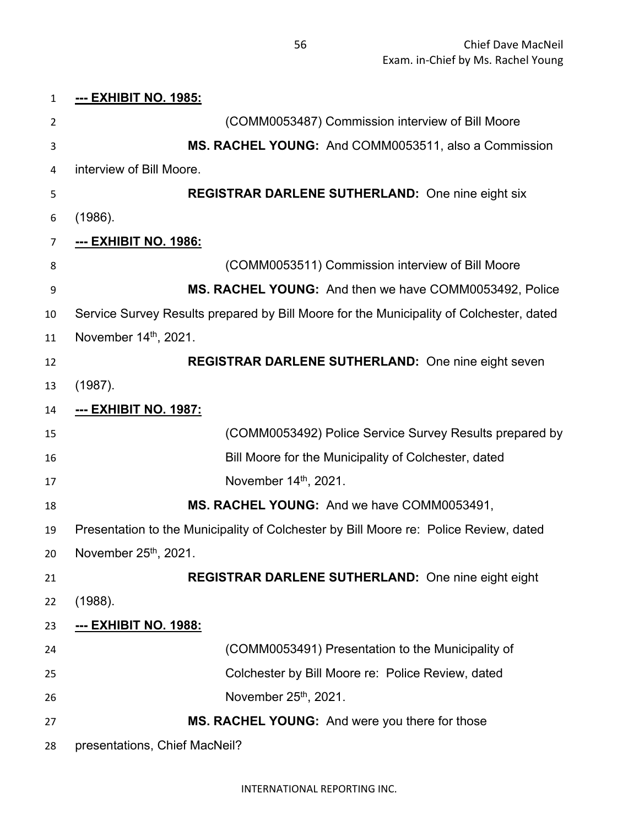| $\mathbf{1}$ | <u>--- EXHIBIT NO. 1985:</u>                                                            |
|--------------|-----------------------------------------------------------------------------------------|
| 2            | (COMM0053487) Commission interview of Bill Moore                                        |
| 3            | MS. RACHEL YOUNG: And COMM0053511, also a Commission                                    |
| 4            | interview of Bill Moore.                                                                |
| 5            | <b>REGISTRAR DARLENE SUTHERLAND:</b> One nine eight six                                 |
| 6            | (1986).                                                                                 |
| 7            | --- EXHIBIT NO. 1986:                                                                   |
| 8            | (COMM0053511) Commission interview of Bill Moore                                        |
| 9            | MS. RACHEL YOUNG: And then we have COMM0053492, Police                                  |
| 10           | Service Survey Results prepared by Bill Moore for the Municipality of Colchester, dated |
| 11           | November 14 <sup>th</sup> , 2021.                                                       |
| 12           | REGISTRAR DARLENE SUTHERLAND: One nine eight seven                                      |
| 13           | (1987).                                                                                 |
| 14           | <u>--- ЕХНІВІТ NO. 1987:</u>                                                            |
| 15           | (COMM0053492) Police Service Survey Results prepared by                                 |
| 16           | Bill Moore for the Municipality of Colchester, dated                                    |
| 17           | November 14th, 2021.                                                                    |
| 18           | MS. RACHEL YOUNG: And we have COMM0053491,                                              |
| 19           | Presentation to the Municipality of Colchester by Bill Moore re: Police Review, dated   |
| 20           | November 25th, 2021.                                                                    |
| 21           | <b>REGISTRAR DARLENE SUTHERLAND:</b> One nine eight eight                               |
| 22           | (1988).                                                                                 |
| 23           | <u>--- ЕХНІВІТ NO. 1988:</u>                                                            |
| 24           | (COMM0053491) Presentation to the Municipality of                                       |
| 25           | Colchester by Bill Moore re: Police Review, dated                                       |
| 26           | November 25 <sup>th</sup> , 2021.                                                       |
| 27           | MS. RACHEL YOUNG: And were you there for those                                          |
| 28           | presentations, Chief MacNeil?                                                           |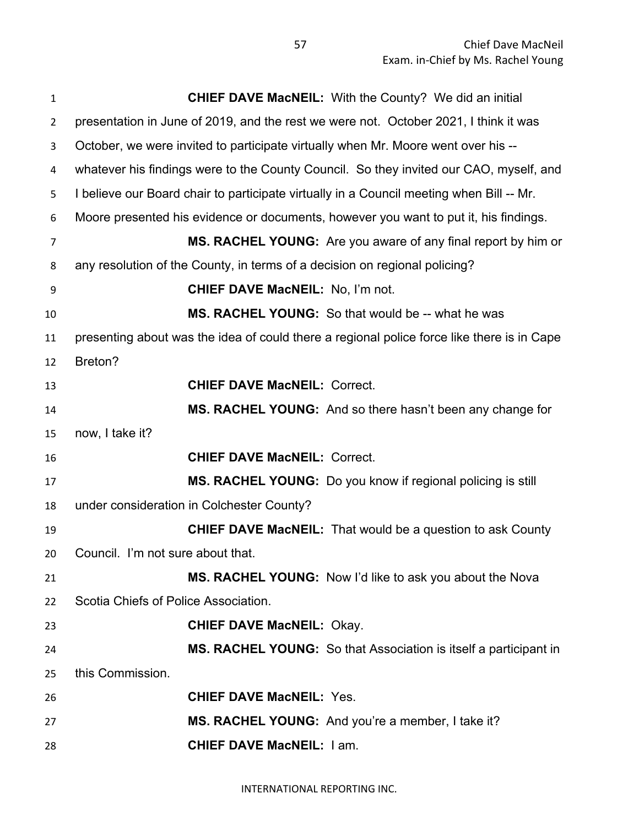| 1              | <b>CHIEF DAVE MacNEIL:</b> With the County? We did an initial                              |
|----------------|--------------------------------------------------------------------------------------------|
| $\overline{2}$ | presentation in June of 2019, and the rest we were not. October 2021, I think it was       |
| 3              | October, we were invited to participate virtually when Mr. Moore went over his --          |
| 4              | whatever his findings were to the County Council. So they invited our CAO, myself, and     |
| 5              | I believe our Board chair to participate virtually in a Council meeting when Bill -- Mr.   |
| 6              | Moore presented his evidence or documents, however you want to put it, his findings.       |
| 7              | MS. RACHEL YOUNG: Are you aware of any final report by him or                              |
| 8              | any resolution of the County, in terms of a decision on regional policing?                 |
| 9              | <b>CHIEF DAVE MacNEIL: No, I'm not.</b>                                                    |
| 10             | <b>MS. RACHEL YOUNG:</b> So that would be -- what he was                                   |
| 11             | presenting about was the idea of could there a regional police force like there is in Cape |
| 12             | Breton?                                                                                    |
| 13             | <b>CHIEF DAVE MacNEIL: Correct.</b>                                                        |
| 14             | MS. RACHEL YOUNG: And so there hasn't been any change for                                  |
| 15             | now, I take it?                                                                            |
| 16             | <b>CHIEF DAVE MacNEIL: Correct.</b>                                                        |
| 17             | MS. RACHEL YOUNG: Do you know if regional policing is still                                |
| 18             | under consideration in Colchester County?                                                  |
| 19             | <b>CHIEF DAVE MacNEIL:</b> That would be a question to ask County                          |
| 20             | Council. I'm not sure about that.                                                          |
| 21             | MS. RACHEL YOUNG: Now I'd like to ask you about the Nova                                   |
| 22             | Scotia Chiefs of Police Association.                                                       |
| 23             | <b>CHIEF DAVE MacNEIL: Okay.</b>                                                           |
| 24             | MS. RACHEL YOUNG: So that Association is itself a participant in                           |
| 25             | this Commission.                                                                           |
| 26             | <b>CHIEF DAVE MacNEIL: Yes.</b>                                                            |
| 27             | MS. RACHEL YOUNG: And you're a member, I take it?                                          |
| 28             | <b>CHIEF DAVE MacNEIL: I am.</b>                                                           |
|                |                                                                                            |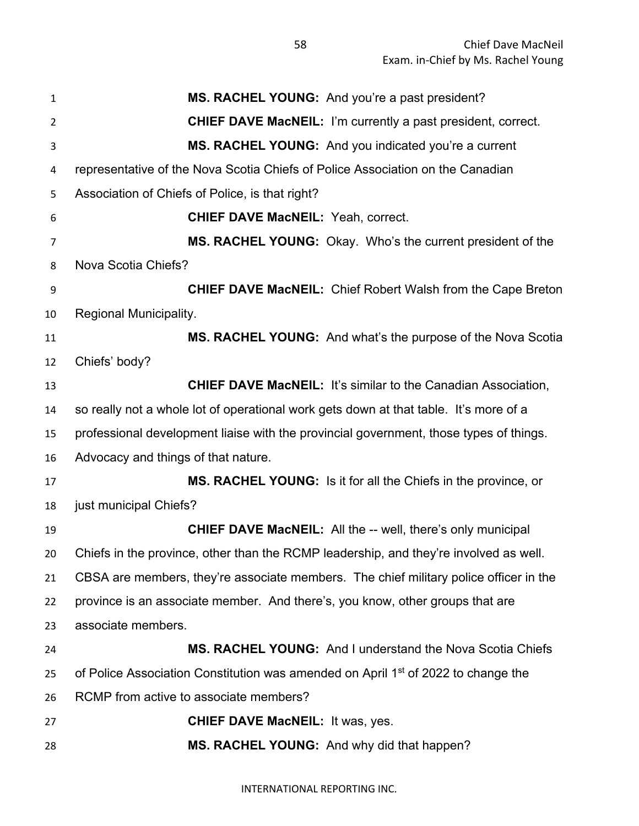|                | MS. RACHEL YOUNG: And you're a past president?                                                |
|----------------|-----------------------------------------------------------------------------------------------|
| $\mathbf{1}$   |                                                                                               |
| 2              | <b>CHIEF DAVE MacNEIL:</b> I'm currently a past president, correct.                           |
| 3              | MS. RACHEL YOUNG: And you indicated you're a current                                          |
| 4              | representative of the Nova Scotia Chiefs of Police Association on the Canadian                |
| 5              | Association of Chiefs of Police, is that right?                                               |
| 6              | <b>CHIEF DAVE MacNEIL: Yeah, correct.</b>                                                     |
| $\overline{7}$ | MS. RACHEL YOUNG: Okay. Who's the current president of the                                    |
| 8              | Nova Scotia Chiefs?                                                                           |
| 9              | <b>CHIEF DAVE MacNEIL:</b> Chief Robert Walsh from the Cape Breton                            |
| 10             | Regional Municipality.                                                                        |
| 11             | MS. RACHEL YOUNG: And what's the purpose of the Nova Scotia                                   |
| 12             | Chiefs' body?                                                                                 |
| 13             | <b>CHIEF DAVE MacNEIL: It's similar to the Canadian Association,</b>                          |
| 14             | so really not a whole lot of operational work gets down at that table. It's more of a         |
| 15             | professional development liaise with the provincial government, those types of things.        |
| 16             | Advocacy and things of that nature.                                                           |
| 17             | MS. RACHEL YOUNG: Is it for all the Chiefs in the province, or                                |
| 18             | just municipal Chiefs?                                                                        |
| 19             | <b>CHIEF DAVE MacNEIL:</b> All the -- well, there's only municipal                            |
| 20             | Chiefs in the province, other than the RCMP leadership, and they're involved as well.         |
| 21             | CBSA are members, they're associate members. The chief military police officer in the         |
| 22             | province is an associate member. And there's, you know, other groups that are                 |
| 23             | associate members.                                                                            |
| 24             | <b>MS. RACHEL YOUNG:</b> And I understand the Nova Scotia Chiefs                              |
| 25             | of Police Association Constitution was amended on April 1 <sup>st</sup> of 2022 to change the |
| 26             | RCMP from active to associate members?                                                        |
| 27             | <b>CHIEF DAVE MacNEIL: It was, yes.</b>                                                       |
| 28             | MS. RACHEL YOUNG: And why did that happen?                                                    |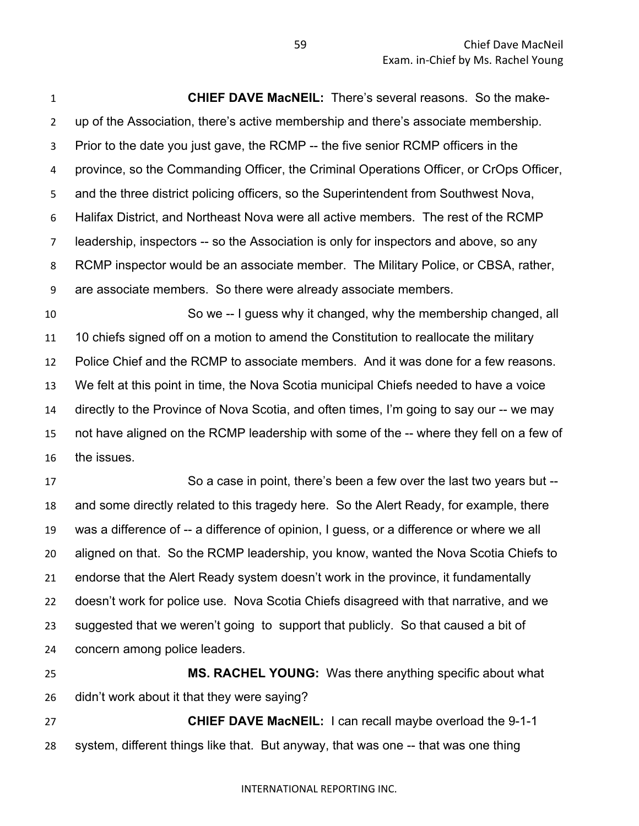**CHIEF DAVE MacNEIL:** There's several reasons. So the make- up of the Association, there's active membership and there's associate membership. Prior to the date you just gave, the RCMP -- the five senior RCMP officers in the province, so the Commanding Officer, the Criminal Operations Officer, or CrOps Officer, and the three district policing officers, so the Superintendent from Southwest Nova, Halifax District, and Northeast Nova were all active members. The rest of the RCMP leadership, inspectors -- so the Association is only for inspectors and above, so any RCMP inspector would be an associate member. The Military Police, or CBSA, rather, are associate members. So there were already associate members.

 So we -- I guess why it changed, why the membership changed, all 10 chiefs signed off on a motion to amend the Constitution to reallocate the military Police Chief and the RCMP to associate members. And it was done for a few reasons. We felt at this point in time, the Nova Scotia municipal Chiefs needed to have a voice directly to the Province of Nova Scotia, and often times, I'm going to say our -- we may not have aligned on the RCMP leadership with some of the -- where they fell on a few of the issues.

 So a case in point, there's been a few over the last two years but -- and some directly related to this tragedy here. So the Alert Ready, for example, there was a difference of -- a difference of opinion, I guess, or a difference or where we all aligned on that. So the RCMP leadership, you know, wanted the Nova Scotia Chiefs to endorse that the Alert Ready system doesn't work in the province, it fundamentally doesn't work for police use. Nova Scotia Chiefs disagreed with that narrative, and we suggested that we weren't going to support that publicly. So that caused a bit of concern among police leaders.

 **MS. RACHEL YOUNG:** Was there anything specific about what didn't work about it that they were saying?

 **CHIEF DAVE MacNEIL:** I can recall maybe overload the 9-1-1 system, different things like that. But anyway, that was one -- that was one thing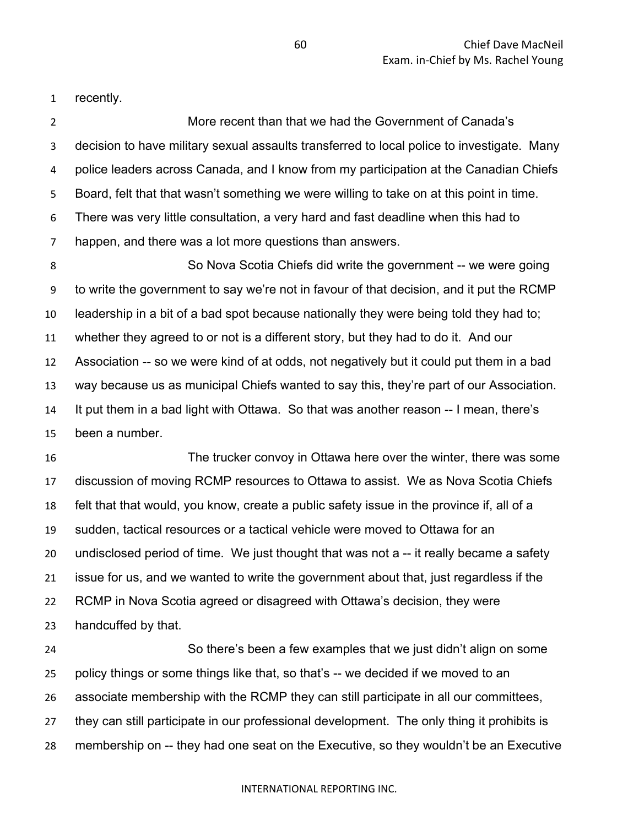recently.

 More recent than that we had the Government of Canada's decision to have military sexual assaults transferred to local police to investigate. Many police leaders across Canada, and I know from my participation at the Canadian Chiefs Board, felt that that wasn't something we were willing to take on at this point in time. There was very little consultation, a very hard and fast deadline when this had to happen, and there was a lot more questions than answers.

 So Nova Scotia Chiefs did write the government -- we were going to write the government to say we're not in favour of that decision, and it put the RCMP leadership in a bit of a bad spot because nationally they were being told they had to; whether they agreed to or not is a different story, but they had to do it. And our Association -- so we were kind of at odds, not negatively but it could put them in a bad way because us as municipal Chiefs wanted to say this, they're part of our Association. It put them in a bad light with Ottawa. So that was another reason -- I mean, there's been a number.

 The trucker convoy in Ottawa here over the winter, there was some discussion of moving RCMP resources to Ottawa to assist. We as Nova Scotia Chiefs felt that that would, you know, create a public safety issue in the province if, all of a sudden, tactical resources or a tactical vehicle were moved to Ottawa for an undisclosed period of time. We just thought that was not a -- it really became a safety issue for us, and we wanted to write the government about that, just regardless if the RCMP in Nova Scotia agreed or disagreed with Ottawa's decision, they were handcuffed by that.

 So there's been a few examples that we just didn't align on some policy things or some things like that, so that's -- we decided if we moved to an associate membership with the RCMP they can still participate in all our committees, they can still participate in our professional development. The only thing it prohibits is membership on -- they had one seat on the Executive, so they wouldn't be an Executive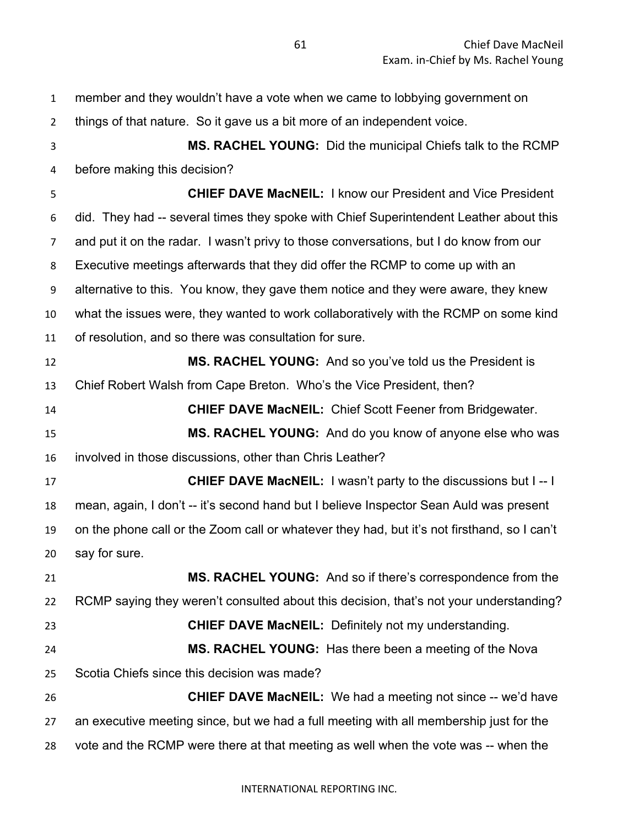| $\mathbf{1}$   | member and they wouldn't have a vote when we came to lobbying government on                 |
|----------------|---------------------------------------------------------------------------------------------|
| $\overline{2}$ | things of that nature. So it gave us a bit more of an independent voice.                    |
| 3              | MS. RACHEL YOUNG: Did the municipal Chiefs talk to the RCMP                                 |
| 4              | before making this decision?                                                                |
| 5              | <b>CHIEF DAVE MacNEIL: I know our President and Vice President</b>                          |
| 6              | did. They had -- several times they spoke with Chief Superintendent Leather about this      |
| 7              | and put it on the radar. I wasn't privy to those conversations, but I do know from our      |
| 8              | Executive meetings afterwards that they did offer the RCMP to come up with an               |
| 9              | alternative to this. You know, they gave them notice and they were aware, they knew         |
| 10             | what the issues were, they wanted to work collaboratively with the RCMP on some kind        |
| 11             | of resolution, and so there was consultation for sure.                                      |
| 12             | MS. RACHEL YOUNG: And so you've told us the President is                                    |
| 13             | Chief Robert Walsh from Cape Breton. Who's the Vice President, then?                        |
| 14             | <b>CHIEF DAVE MacNEIL: Chief Scott Feener from Bridgewater.</b>                             |
| 15             | MS. RACHEL YOUNG: And do you know of anyone else who was                                    |
| 16             | involved in those discussions, other than Chris Leather?                                    |
| 17             | <b>CHIEF DAVE MacNEIL:</b> I wasn't party to the discussions but I -- I                     |
| 18             | mean, again, I don't -- it's second hand but I believe Inspector Sean Auld was present      |
| 19             | on the phone call or the Zoom call or whatever they had, but it's not firsthand, so I can't |
| 20             | say for sure.                                                                               |
| 21             | MS. RACHEL YOUNG: And so if there's correspondence from the                                 |
| 22             | RCMP saying they weren't consulted about this decision, that's not your understanding?      |
| 23             | <b>CHIEF DAVE MacNEIL:</b> Definitely not my understanding.                                 |
| 24             | <b>MS. RACHEL YOUNG:</b> Has there been a meeting of the Nova                               |
| 25             | Scotia Chiefs since this decision was made?                                                 |
| 26             | <b>CHIEF DAVE MacNEIL:</b> We had a meeting not since -- we'd have                          |
| 27             | an executive meeting since, but we had a full meeting with all membership just for the      |
| 28             | vote and the RCMP were there at that meeting as well when the vote was -- when the          |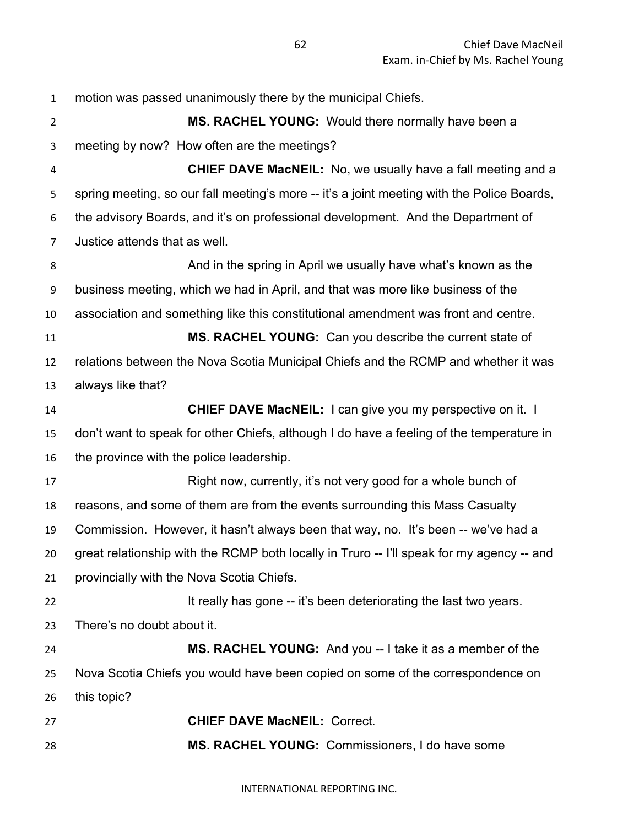motion was passed unanimously there by the municipal Chiefs. **MS. RACHEL YOUNG:** Would there normally have been a meeting by now? How often are the meetings? **CHIEF DAVE MacNEIL:** No, we usually have a fall meeting and a spring meeting, so our fall meeting's more -- it's a joint meeting with the Police Boards, the advisory Boards, and it's on professional development. And the Department of Justice attends that as well. And in the spring in April we usually have what's known as the business meeting, which we had in April, and that was more like business of the association and something like this constitutional amendment was front and centre. **MS. RACHEL YOUNG:** Can you describe the current state of relations between the Nova Scotia Municipal Chiefs and the RCMP and whether it was always like that? **CHIEF DAVE MacNEIL:** I can give you my perspective on it. I don't want to speak for other Chiefs, although I do have a feeling of the temperature in the province with the police leadership. Right now, currently, it's not very good for a whole bunch of reasons, and some of them are from the events surrounding this Mass Casualty Commission. However, it hasn't always been that way, no. It's been -- we've had a great relationship with the RCMP both locally in Truro -- I'll speak for my agency -- and provincially with the Nova Scotia Chiefs. **It really has gone -- it's been deteriorating the last two years.**  There's no doubt about it. **MS. RACHEL YOUNG:** And you -- I take it as a member of the Nova Scotia Chiefs you would have been copied on some of the correspondence on this topic? **CHIEF DAVE MacNEIL:** Correct. **MS. RACHEL YOUNG:** Commissioners, I do have some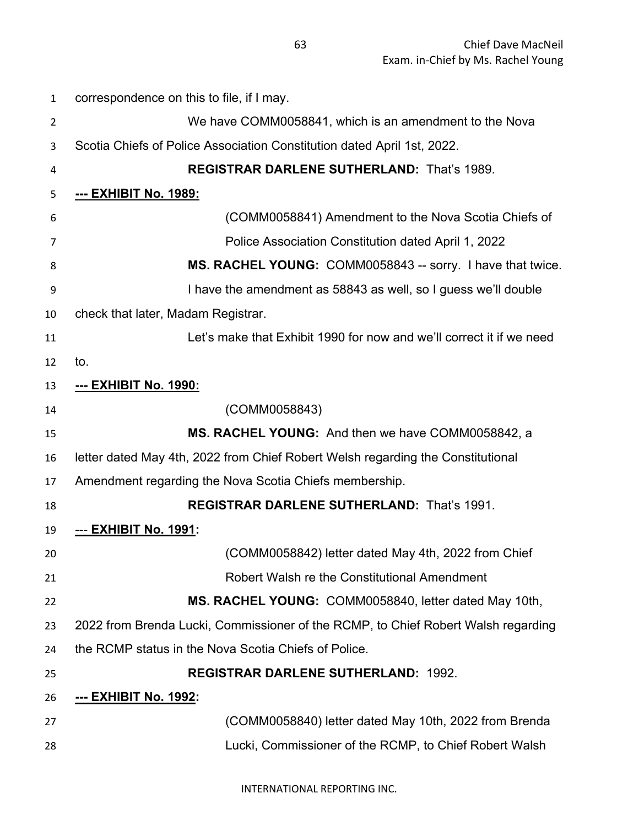| $\mathbf{1}$   | correspondence on this to file, if I may.                                         |
|----------------|-----------------------------------------------------------------------------------|
| $\overline{2}$ | We have COMM0058841, which is an amendment to the Nova                            |
| 3              | Scotia Chiefs of Police Association Constitution dated April 1st, 2022.           |
| 4              | <b>REGISTRAR DARLENE SUTHERLAND: That's 1989.</b>                                 |
| 5              | <u>--- EXHIBIT No. 1989:</u>                                                      |
| 6              | (COMM0058841) Amendment to the Nova Scotia Chiefs of                              |
| 7              | Police Association Constitution dated April 1, 2022                               |
| 8              | MS. RACHEL YOUNG: COMM0058843 -- sorry. I have that twice.                        |
| 9              | I have the amendment as 58843 as well, so I guess we'll double                    |
| 10             | check that later, Madam Registrar.                                                |
| 11             | Let's make that Exhibit 1990 for now and we'll correct it if we need              |
| 12             | to.                                                                               |
| 13             | --- EXHIBIT No. 1990:                                                             |
| 14             | (COMM0058843)                                                                     |
| 15             | MS. RACHEL YOUNG: And then we have COMM0058842, a                                 |
| 16             | letter dated May 4th, 2022 from Chief Robert Welsh regarding the Constitutional   |
| 17             | Amendment regarding the Nova Scotia Chiefs membership.                            |
| 18             | REGISTRAR DARLENE SUTHERLAND: That's 1991.                                        |
| 19             | <u>--- EXHIBIT No. 1991:</u>                                                      |
| 20             | (COMM0058842) letter dated May 4th, 2022 from Chief                               |
| 21             | Robert Walsh re the Constitutional Amendment                                      |
| 22             | MS. RACHEL YOUNG: COMM0058840, letter dated May 10th,                             |
| 23             | 2022 from Brenda Lucki, Commissioner of the RCMP, to Chief Robert Walsh regarding |
| 24             | the RCMP status in the Nova Scotia Chiefs of Police.                              |
| 25             | <b>REGISTRAR DARLENE SUTHERLAND: 1992.</b>                                        |
| 26             | <u>--- EXHIBIT No. 1992:</u>                                                      |
| 27             | (COMM0058840) letter dated May 10th, 2022 from Brenda                             |
| 28             | Lucki, Commissioner of the RCMP, to Chief Robert Walsh                            |
|                |                                                                                   |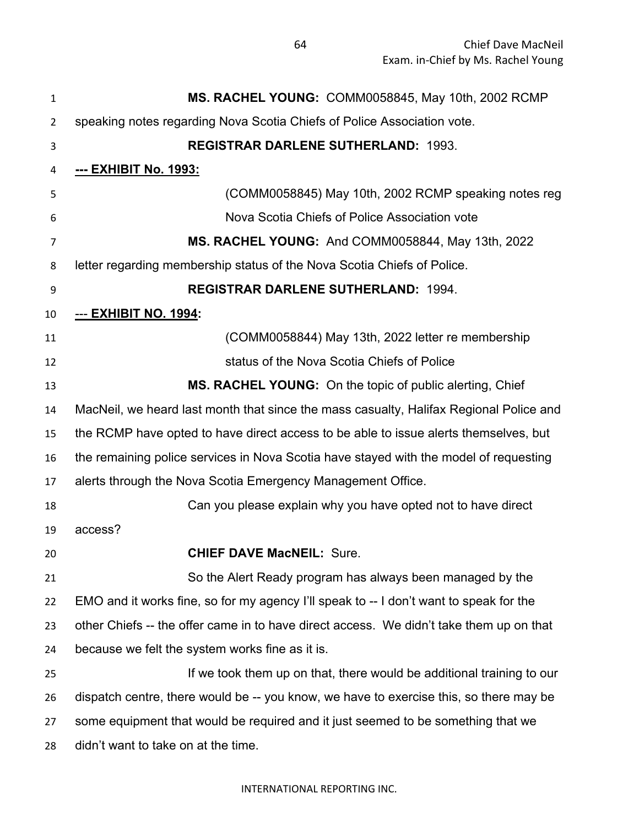| 1  | MS. RACHEL YOUNG: COMM0058845, May 10th, 2002 RCMP                                      |
|----|-----------------------------------------------------------------------------------------|
| 2  | speaking notes regarding Nova Scotia Chiefs of Police Association vote.                 |
| 3  | <b>REGISTRAR DARLENE SUTHERLAND: 1993.</b>                                              |
| 4  | <u>--- EXHIBIT No. 1993:</u>                                                            |
| 5  | (COMM0058845) May 10th, 2002 RCMP speaking notes reg                                    |
| 6  | Nova Scotia Chiefs of Police Association vote                                           |
| 7  | MS. RACHEL YOUNG: And COMM0058844, May 13th, 2022                                       |
| 8  | letter regarding membership status of the Nova Scotia Chiefs of Police.                 |
| 9  | <b>REGISTRAR DARLENE SUTHERLAND: 1994.</b>                                              |
| 10 | <u>--- EXHIBIT NO. 1994:</u>                                                            |
| 11 | (COMM0058844) May 13th, 2022 letter re membership                                       |
| 12 | status of the Nova Scotia Chiefs of Police                                              |
| 13 | MS. RACHEL YOUNG: On the topic of public alerting, Chief                                |
| 14 | MacNeil, we heard last month that since the mass casualty, Halifax Regional Police and  |
| 15 | the RCMP have opted to have direct access to be able to issue alerts themselves, but    |
| 16 | the remaining police services in Nova Scotia have stayed with the model of requesting   |
| 17 | alerts through the Nova Scotia Emergency Management Office.                             |
| 18 | Can you please explain why you have opted not to have direct                            |
| 19 | access?                                                                                 |
| 20 | <b>CHIEF DAVE MacNEIL: Sure.</b>                                                        |
| 21 | So the Alert Ready program has always been managed by the                               |
| 22 | EMO and it works fine, so for my agency I'll speak to -- I don't want to speak for the  |
| 23 | other Chiefs -- the offer came in to have direct access. We didn't take them up on that |
| 24 | because we felt the system works fine as it is.                                         |
| 25 | If we took them up on that, there would be additional training to our                   |
| 26 | dispatch centre, there would be -- you know, we have to exercise this, so there may be  |
| 27 | some equipment that would be required and it just seemed to be something that we        |
| 28 | didn't want to take on at the time.                                                     |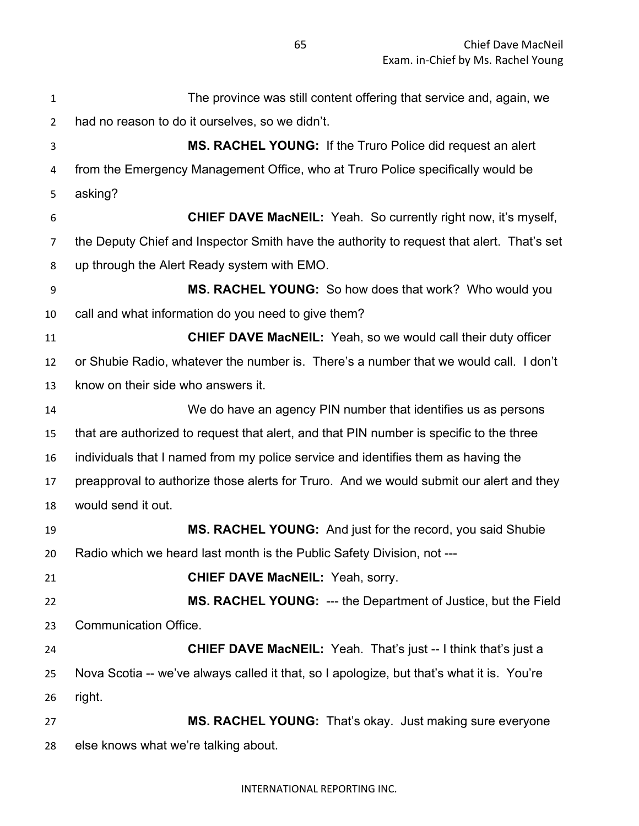The province was still content offering that service and, again, we had no reason to do it ourselves, so we didn't. **MS. RACHEL YOUNG:** If the Truro Police did request an alert from the Emergency Management Office, who at Truro Police specifically would be asking? **CHIEF DAVE MacNEIL:** Yeah. So currently right now, it's myself, the Deputy Chief and Inspector Smith have the authority to request that alert. That's set up through the Alert Ready system with EMO. **MS. RACHEL YOUNG:** So how does that work? Who would you call and what information do you need to give them? **CHIEF DAVE MacNEIL:** Yeah, so we would call their duty officer or Shubie Radio, whatever the number is. There's a number that we would call. I don't know on their side who answers it. We do have an agency PIN number that identifies us as persons that are authorized to request that alert, and that PIN number is specific to the three individuals that I named from my police service and identifies them as having the preapproval to authorize those alerts for Truro. And we would submit our alert and they would send it out. **MS. RACHEL YOUNG:** And just for the record, you said Shubie Radio which we heard last month is the Public Safety Division, not --- **CHIEF DAVE MacNEIL:** Yeah, sorry. **MS. RACHEL YOUNG:** --- the Department of Justice, but the Field Communication Office. **CHIEF DAVE MacNEIL:** Yeah. That's just -- I think that's just a Nova Scotia -- we've always called it that, so I apologize, but that's what it is. You're right. **MS. RACHEL YOUNG:** That's okay. Just making sure everyone

else knows what we're talking about.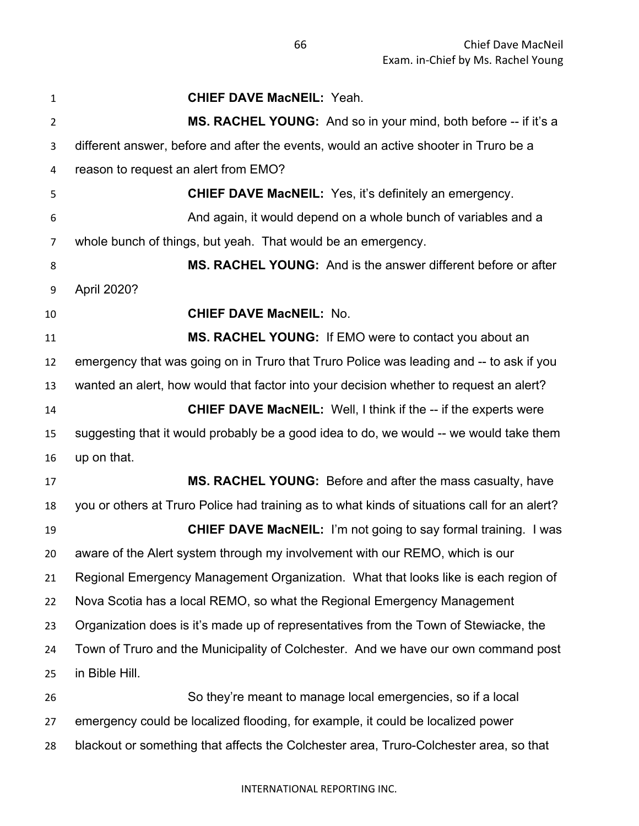| $\mathbf{1}$   | <b>CHIEF DAVE MacNEIL: Yeah.</b>                                                             |
|----------------|----------------------------------------------------------------------------------------------|
| $\overline{2}$ | MS. RACHEL YOUNG: And so in your mind, both before -- if it's a                              |
| 3              | different answer, before and after the events, would an active shooter in Truro be a         |
| 4              | reason to request an alert from EMO?                                                         |
| 5              | <b>CHIEF DAVE MacNEIL:</b> Yes, it's definitely an emergency.                                |
| 6              | And again, it would depend on a whole bunch of variables and a                               |
| 7              | whole bunch of things, but yeah. That would be an emergency.                                 |
| 8              | MS. RACHEL YOUNG: And is the answer different before or after                                |
| 9              | April 2020?                                                                                  |
| 10             | <b>CHIEF DAVE MacNEIL: No.</b>                                                               |
| 11             | MS. RACHEL YOUNG: If EMO were to contact you about an                                        |
| 12             | emergency that was going on in Truro that Truro Police was leading and -- to ask if you      |
| 13             | wanted an alert, how would that factor into your decision whether to request an alert?       |
| 14             | <b>CHIEF DAVE MacNEIL:</b> Well, I think if the -- if the experts were                       |
| 15             | suggesting that it would probably be a good idea to do, we would -- we would take them       |
| 16             | up on that.                                                                                  |
| 17             | MS. RACHEL YOUNG: Before and after the mass casualty, have                                   |
| 18             | you or others at Truro Police had training as to what kinds of situations call for an alert? |
| 19             | <b>CHIEF DAVE MacNEIL:</b> I'm not going to say formal training. I was                       |
| 20             | aware of the Alert system through my involvement with our REMO, which is our                 |
| 21             | Regional Emergency Management Organization. What that looks like is each region of           |
| 22             | Nova Scotia has a local REMO, so what the Regional Emergency Management                      |
| 23             | Organization does is it's made up of representatives from the Town of Stewiacke, the         |
| 24             | Town of Truro and the Municipality of Colchester. And we have our own command post           |
| 25             | in Bible Hill.                                                                               |
| 26             | So they're meant to manage local emergencies, so if a local                                  |
| 27             | emergency could be localized flooding, for example, it could be localized power              |
| 28             | blackout or something that affects the Colchester area, Truro-Colchester area, so that       |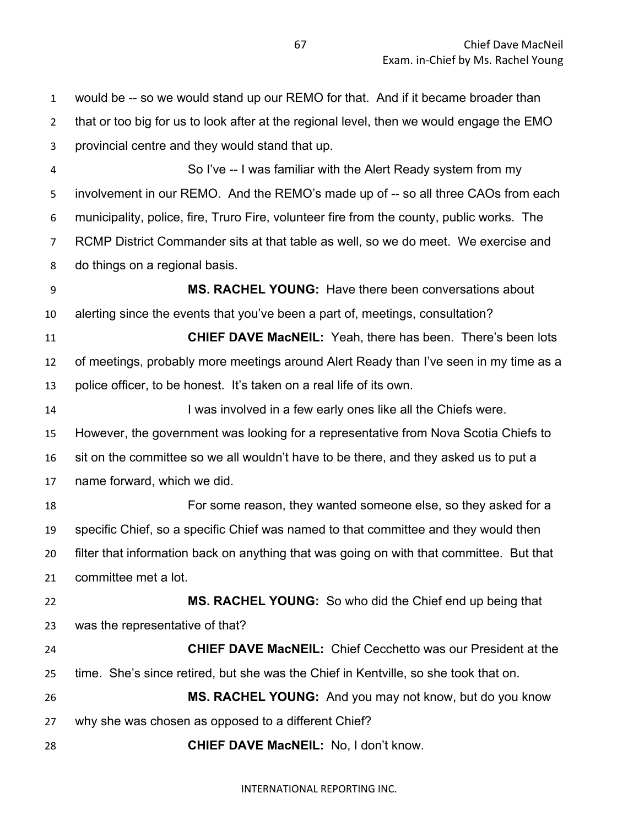would be -- so we would stand up our REMO for that. And if it became broader than that or too big for us to look after at the regional level, then we would engage the EMO provincial centre and they would stand that up. So I've -- I was familiar with the Alert Ready system from my 5 involvement in our REMO. And the REMO's made up of -- so all three CAOs from each municipality, police, fire, Truro Fire, volunteer fire from the county, public works. The RCMP District Commander sits at that table as well, so we do meet. We exercise and do things on a regional basis. **MS. RACHEL YOUNG:** Have there been conversations about alerting since the events that you've been a part of, meetings, consultation? **CHIEF DAVE MacNEIL:** Yeah, there has been. There's been lots of meetings, probably more meetings around Alert Ready than I've seen in my time as a police officer, to be honest. It's taken on a real life of its own. **I was involved in a few early ones like all the Chiefs were.**  However, the government was looking for a representative from Nova Scotia Chiefs to sit on the committee so we all wouldn't have to be there, and they asked us to put a name forward, which we did. For some reason, they wanted someone else, so they asked for a specific Chief, so a specific Chief was named to that committee and they would then filter that information back on anything that was going on with that committee. But that committee met a lot. **MS. RACHEL YOUNG:** So who did the Chief end up being that was the representative of that? **CHIEF DAVE MacNEIL:** Chief Cecchetto was our President at the time. She's since retired, but she was the Chief in Kentville, so she took that on. **MS. RACHEL YOUNG:** And you may not know, but do you know why she was chosen as opposed to a different Chief? **CHIEF DAVE MacNEIL:** No, I don't know.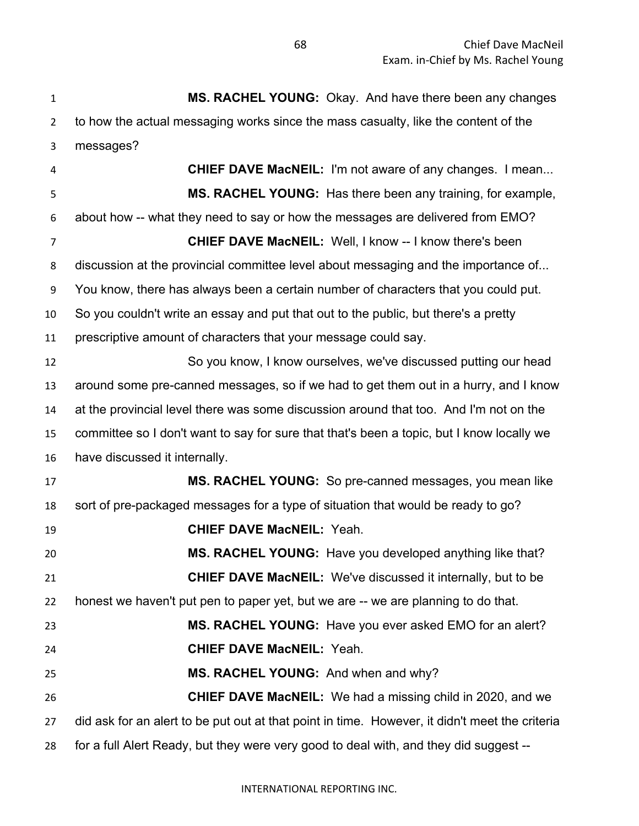**MS. RACHEL YOUNG:** Okay. And have there been any changes to how the actual messaging works since the mass casualty, like the content of the messages? **CHIEF DAVE MacNEIL:** I'm not aware of any changes. I mean... **MS. RACHEL YOUNG:** Has there been any training, for example, about how -- what they need to say or how the messages are delivered from EMO? **CHIEF DAVE MacNEIL:** Well, I know -- I know there's been discussion at the provincial committee level about messaging and the importance of... You know, there has always been a certain number of characters that you could put. So you couldn't write an essay and put that out to the public, but there's a pretty prescriptive amount of characters that your message could say. So you know, I know ourselves, we've discussed putting our head around some pre-canned messages, so if we had to get them out in a hurry, and I know at the provincial level there was some discussion around that too. And I'm not on the committee so I don't want to say for sure that that's been a topic, but I know locally we have discussed it internally. **MS. RACHEL YOUNG:** So pre-canned messages, you mean like sort of pre-packaged messages for a type of situation that would be ready to go? **CHIEF DAVE MacNEIL:** Yeah. **MS. RACHEL YOUNG:** Have you developed anything like that? **CHIEF DAVE MacNEIL:** We've discussed it internally, but to be honest we haven't put pen to paper yet, but we are -- we are planning to do that. **MS. RACHEL YOUNG:** Have you ever asked EMO for an alert? **CHIEF DAVE MacNEIL:** Yeah. **MS. RACHEL YOUNG:** And when and why? **CHIEF DAVE MacNEIL:** We had a missing child in 2020, and we did ask for an alert to be put out at that point in time. However, it didn't meet the criteria for a full Alert Ready, but they were very good to deal with, and they did suggest --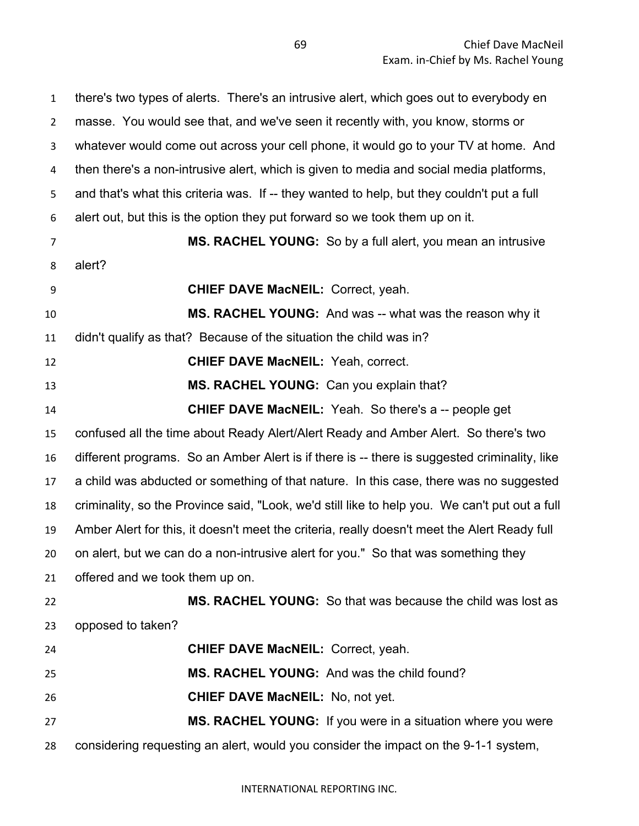| $\mathbf{1}$   | there's two types of alerts. There's an intrusive alert, which goes out to everybody en        |
|----------------|------------------------------------------------------------------------------------------------|
| $\overline{2}$ | masse. You would see that, and we've seen it recently with, you know, storms or                |
| 3              | whatever would come out across your cell phone, it would go to your TV at home. And            |
| 4              | then there's a non-intrusive alert, which is given to media and social media platforms,        |
| 5              | and that's what this criteria was. If -- they wanted to help, but they couldn't put a full     |
| 6              | alert out, but this is the option they put forward so we took them up on it.                   |
| $\overline{7}$ | <b>MS. RACHEL YOUNG:</b> So by a full alert, you mean an intrusive                             |
| 8              | alert?                                                                                         |
| 9              | <b>CHIEF DAVE MacNEIL: Correct, yeah.</b>                                                      |
| 10             | MS. RACHEL YOUNG: And was -- what was the reason why it                                        |
| 11             | didn't qualify as that? Because of the situation the child was in?                             |
| 12             | <b>CHIEF DAVE MacNEIL: Yeah, correct.</b>                                                      |
| 13             | MS. RACHEL YOUNG: Can you explain that?                                                        |
| 14             | <b>CHIEF DAVE MacNEIL:</b> Yeah. So there's a -- people get                                    |
| 15             | confused all the time about Ready Alert/Alert Ready and Amber Alert. So there's two            |
| 16             | different programs. So an Amber Alert is if there is -- there is suggested criminality, like   |
| 17             | a child was abducted or something of that nature. In this case, there was no suggested         |
| 18             | criminality, so the Province said, "Look, we'd still like to help you. We can't put out a full |
| 19             | Amber Alert for this, it doesn't meet the criteria, really doesn't meet the Alert Ready full   |
| 20             | on alert, but we can do a non-intrusive alert for you." So that was something they             |
| 21             | offered and we took them up on.                                                                |
| 22             | <b>MS. RACHEL YOUNG:</b> So that was because the child was lost as                             |
| 23             | opposed to taken?                                                                              |
| 24             | <b>CHIEF DAVE MacNEIL: Correct, yeah.</b>                                                      |
| 25             | MS. RACHEL YOUNG: And was the child found?                                                     |
| 26             | <b>CHIEF DAVE MacNEIL: No, not yet.</b>                                                        |
| 27             | MS. RACHEL YOUNG: If you were in a situation where you were                                    |
| 28             | considering requesting an alert, would you consider the impact on the 9-1-1 system,            |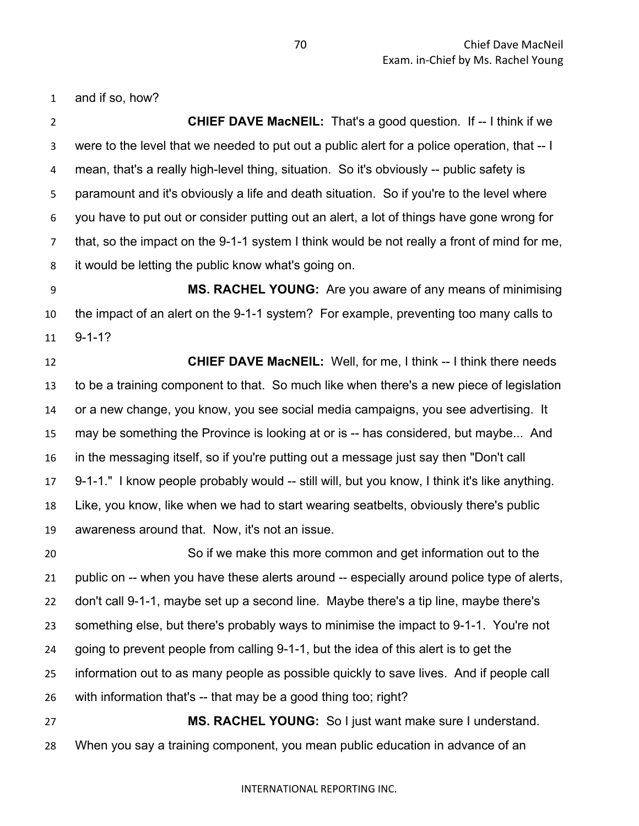and if so, how?

 **CHIEF DAVE MacNEIL:** That's a good question. If -- I think if we were to the level that we needed to put out a public alert for a police operation, that -- I mean, that's a really high-level thing, situation. So it's obviously -- public safety is paramount and it's obviously a life and death situation. So if you're to the level where you have to put out or consider putting out an alert, a lot of things have gone wrong for that, so the impact on the 9-1-1 system I think would be not really a front of mind for me, it would be letting the public know what's going on.

 **MS. RACHEL YOUNG:** Are you aware of any means of minimising the impact of an alert on the 9-1-1 system? For example, preventing too many calls to 9-1-1?

 **CHIEF DAVE MacNEIL:** Well, for me, I think -- I think there needs to be a training component to that. So much like when there's a new piece of legislation or a new change, you know, you see social media campaigns, you see advertising. It may be something the Province is looking at or is -- has considered, but maybe... And in the messaging itself, so if you're putting out a message just say then "Don't call 9-1-1." I know people probably would -- still will, but you know, I think it's like anything. Like, you know, like when we had to start wearing seatbelts, obviously there's public awareness around that. Now, it's not an issue.

 So if we make this more common and get information out to the public on -- when you have these alerts around -- especially around police type of alerts, don't call 9-1-1, maybe set up a second line. Maybe there's a tip line, maybe there's something else, but there's probably ways to minimise the impact to 9-1-1. You're not going to prevent people from calling 9-1-1, but the idea of this alert is to get the information out to as many people as possible quickly to save lives. And if people call with information that's -- that may be a good thing too; right? **MS. RACHEL YOUNG:** So I just want make sure I understand.

When you say a training component, you mean public education in advance of an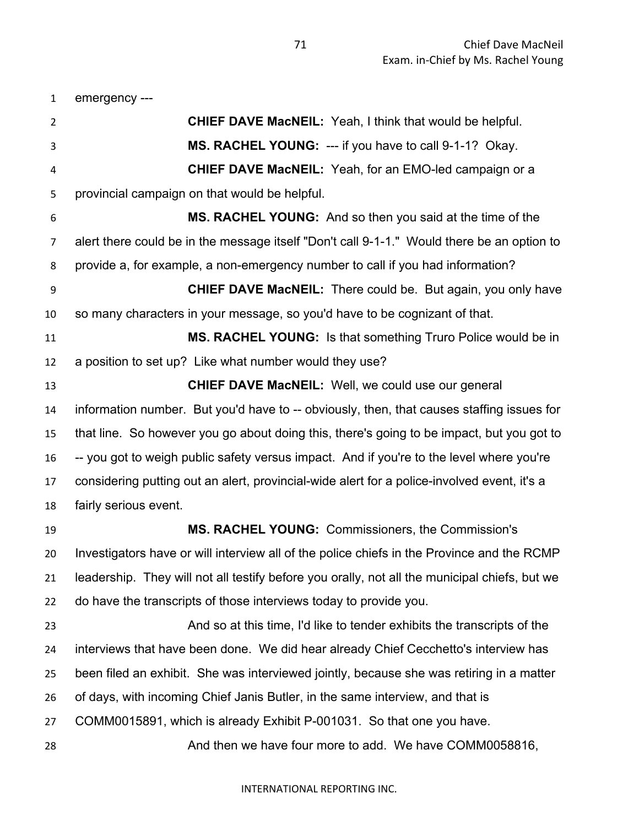emergency ---

 **CHIEF DAVE MacNEIL:** Yeah, I think that would be helpful. **MS. RACHEL YOUNG:** --- if you have to call 9-1-1? Okay. **CHIEF DAVE MacNEIL:** Yeah, for an EMO-led campaign or a provincial campaign on that would be helpful. **MS. RACHEL YOUNG:** And so then you said at the time of the alert there could be in the message itself "Don't call 9-1-1." Would there be an option to provide a, for example, a non-emergency number to call if you had information? **CHIEF DAVE MacNEIL:** There could be. But again, you only have so many characters in your message, so you'd have to be cognizant of that. **MS. RACHEL YOUNG:** Is that something Truro Police would be in a position to set up? Like what number would they use? **CHIEF DAVE MacNEIL:** Well, we could use our general information number. But you'd have to -- obviously, then, that causes staffing issues for that line. So however you go about doing this, there's going to be impact, but you got to -- you got to weigh public safety versus impact. And if you're to the level where you're considering putting out an alert, provincial-wide alert for a police-involved event, it's a fairly serious event. **MS. RACHEL YOUNG:** Commissioners, the Commission's Investigators have or will interview all of the police chiefs in the Province and the RCMP leadership. They will not all testify before you orally, not all the municipal chiefs, but we do have the transcripts of those interviews today to provide you. And so at this time, I'd like to tender exhibits the transcripts of the interviews that have been done. We did hear already Chief Cecchetto's interview has been filed an exhibit. She was interviewed jointly, because she was retiring in a matter of days, with incoming Chief Janis Butler, in the same interview, and that is COMM0015891, which is already Exhibit P-001031. So that one you have. 28 And then we have four more to add. We have COMM0058816,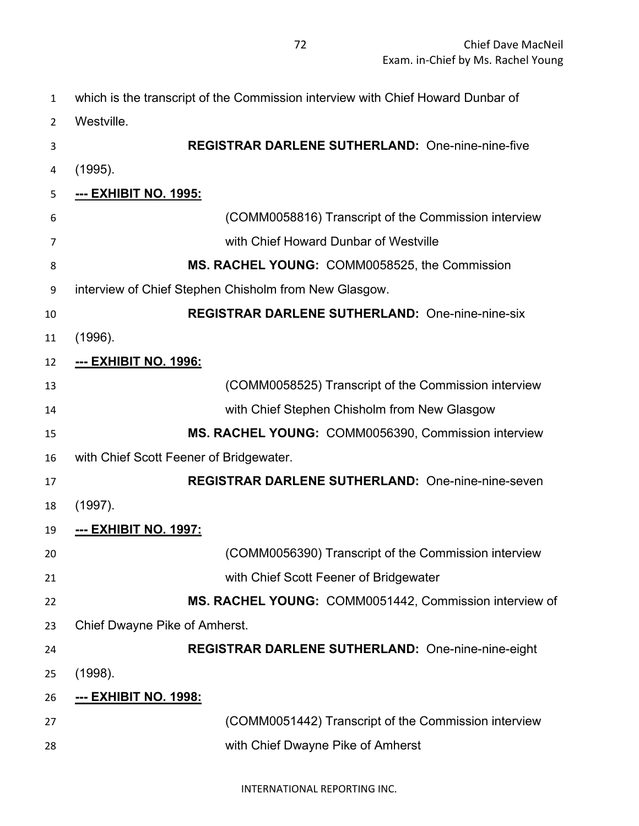| which is the transcript of the Commission interview with Chief Howard Dunbar of |
|---------------------------------------------------------------------------------|
| Westville.                                                                      |
| <b>REGISTRAR DARLENE SUTHERLAND:</b> One-nine-nine-five                         |
| (1995).                                                                         |
| <u>--- EXHIBIT NO. 1995:</u>                                                    |
| (COMM0058816) Transcript of the Commission interview                            |
| with Chief Howard Dunbar of Westville                                           |
| MS. RACHEL YOUNG: COMM0058525, the Commission                                   |
| interview of Chief Stephen Chisholm from New Glasgow.                           |
| <b>REGISTRAR DARLENE SUTHERLAND: One-nine-nine-six</b>                          |
| (1996).                                                                         |
| <u>--- ЕХНІВІТ NO. 1996:</u>                                                    |
| (COMM0058525) Transcript of the Commission interview                            |
| with Chief Stephen Chisholm from New Glasgow                                    |
| MS. RACHEL YOUNG: COMM0056390, Commission interview                             |
| with Chief Scott Feener of Bridgewater.                                         |
| <b>REGISTRAR DARLENE SUTHERLAND: One-nine-nine-seven</b>                        |
| (1997).                                                                         |
| --- EXHIBIT NO. 1997:                                                           |
| (COMM0056390) Transcript of the Commission interview                            |
| with Chief Scott Feener of Bridgewater                                          |
| MS. RACHEL YOUNG: COMM0051442, Commission interview of                          |
| Chief Dwayne Pike of Amherst.                                                   |
| <b>REGISTRAR DARLENE SUTHERLAND:</b> One-nine-nine-eight                        |
| (1998).                                                                         |
| <u>--- ЕХНІВІТ NO. 1998:</u>                                                    |
| (COMM0051442) Transcript of the Commission interview                            |
| with Chief Dwayne Pike of Amherst                                               |
|                                                                                 |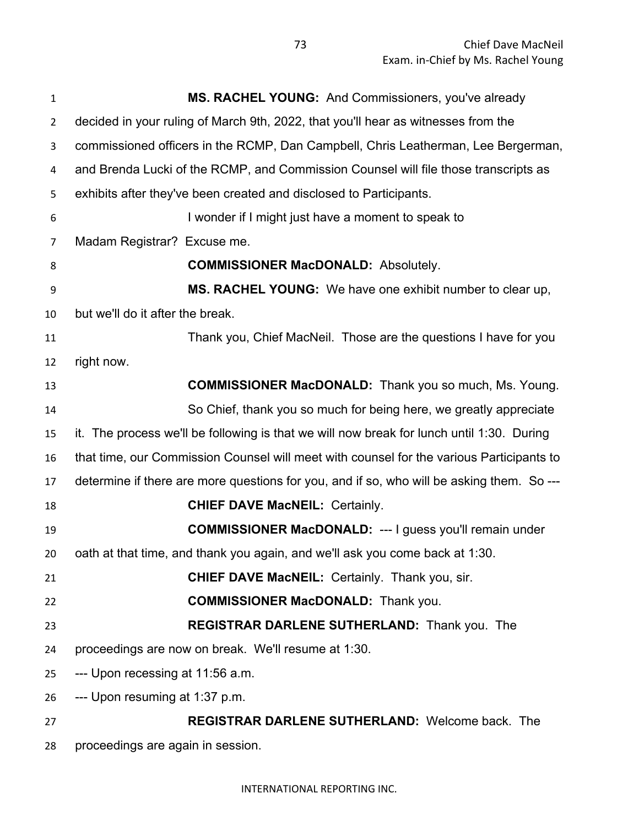| 1              | <b>MS. RACHEL YOUNG:</b> And Commissioners, you've already                                |
|----------------|-------------------------------------------------------------------------------------------|
| $\overline{2}$ | decided in your ruling of March 9th, 2022, that you'll hear as witnesses from the         |
| 3              | commissioned officers in the RCMP, Dan Campbell, Chris Leatherman, Lee Bergerman,         |
| 4              | and Brenda Lucki of the RCMP, and Commission Counsel will file those transcripts as       |
| 5              | exhibits after they've been created and disclosed to Participants.                        |
| 6              | I wonder if I might just have a moment to speak to                                        |
| 7              | Madam Registrar? Excuse me.                                                               |
| 8              | <b>COMMISSIONER MacDONALD: Absolutely.</b>                                                |
| 9              | MS. RACHEL YOUNG: We have one exhibit number to clear up,                                 |
| 10             | but we'll do it after the break.                                                          |
| 11             | Thank you, Chief MacNeil. Those are the questions I have for you                          |
| 12             | right now.                                                                                |
| 13             | <b>COMMISSIONER MacDONALD:</b> Thank you so much, Ms. Young.                              |
| 14             | So Chief, thank you so much for being here, we greatly appreciate                         |
| 15             | it. The process we'll be following is that we will now break for lunch until 1:30. During |
| 16             | that time, our Commission Counsel will meet with counsel for the various Participants to  |
| 17             | determine if there are more questions for you, and if so, who will be asking them. So --- |
| 18             | <b>CHIEF DAVE MacNEIL: Certainly.</b>                                                     |
| 19             | <b>COMMISSIONER MacDONALD: --- I guess you'll remain under</b>                            |
| 20             | oath at that time, and thank you again, and we'll ask you come back at 1:30.              |
| 21             | <b>CHIEF DAVE MacNEIL: Certainly. Thank you, sir.</b>                                     |
| 22             | <b>COMMISSIONER MacDONALD:</b> Thank you.                                                 |
| 23             | REGISTRAR DARLENE SUTHERLAND: Thank you. The                                              |
| 24             | proceedings are now on break. We'll resume at 1:30.                                       |
| 25             | --- Upon recessing at 11:56 a.m.                                                          |
| 26             | --- Upon resuming at 1:37 p.m.                                                            |
| 27             | <b>REGISTRAR DARLENE SUTHERLAND: Welcome back. The</b>                                    |
| 28             | proceedings are again in session.                                                         |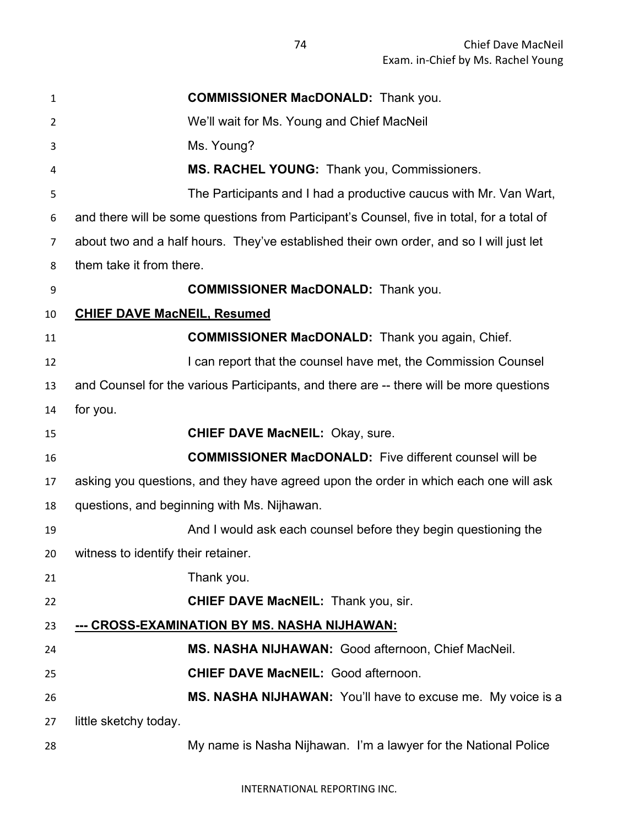| $\mathbf{1}$ | <b>COMMISSIONER MacDONALD:</b> Thank you.                                                  |
|--------------|--------------------------------------------------------------------------------------------|
| 2            | We'll wait for Ms. Young and Chief MacNeil                                                 |
| 3            | Ms. Young?                                                                                 |
| 4            | <b>MS. RACHEL YOUNG: Thank you, Commissioners.</b>                                         |
| 5            | The Participants and I had a productive caucus with Mr. Van Wart,                          |
| 6            | and there will be some questions from Participant's Counsel, five in total, for a total of |
| 7            | about two and a half hours. They've established their own order, and so I will just let    |
| 8            | them take it from there.                                                                   |
| 9            | <b>COMMISSIONER MacDONALD:</b> Thank you.                                                  |
| 10           | <b>CHIEF DAVE MacNEIL, Resumed</b>                                                         |
| 11           | <b>COMMISSIONER MacDONALD:</b> Thank you again, Chief.                                     |
| 12           | I can report that the counsel have met, the Commission Counsel                             |
| 13           | and Counsel for the various Participants, and there are -- there will be more questions    |
| 14           | for you.                                                                                   |
| 15           | <b>CHIEF DAVE MacNEIL: Okay, sure.</b>                                                     |
| 16           | <b>COMMISSIONER MacDONALD:</b> Five different counsel will be                              |
| 17           | asking you questions, and they have agreed upon the order in which each one will ask       |
| 18           | questions, and beginning with Ms. Nijhawan.                                                |
| 19           | And I would ask each counsel before they begin questioning the                             |
| 20           | witness to identify their retainer.                                                        |
| 21           | Thank you.                                                                                 |
| 22           | <b>CHIEF DAVE MacNEIL:</b> Thank you, sir.                                                 |
| 23           | --- CROSS-EXAMINATION BY MS. NASHA NIJHAWAN:                                               |
| 24           | MS. NASHA NIJHAWAN: Good afternoon, Chief MacNeil.                                         |
| 25           | <b>CHIEF DAVE MacNEIL: Good afternoon.</b>                                                 |
| 26           | MS. NASHA NIJHAWAN: You'll have to excuse me. My voice is a                                |
| 27           | little sketchy today.                                                                      |
| 28           | My name is Nasha Nijhawan. I'm a lawyer for the National Police                            |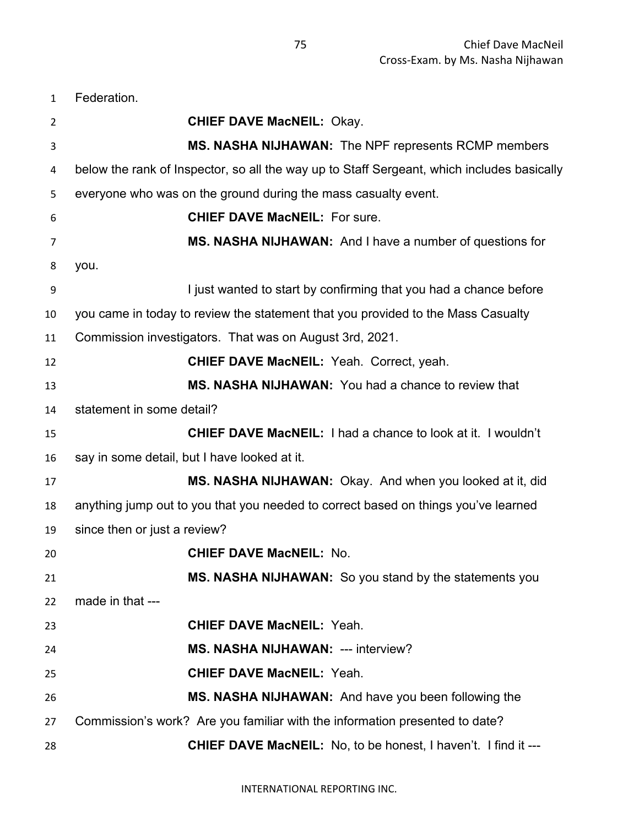Federation.

| <b>CHIEF DAVE MacNEIL: Okay.</b>                                                           |
|--------------------------------------------------------------------------------------------|
| <b>MS. NASHA NIJHAWAN:</b> The NPF represents RCMP members                                 |
| below the rank of Inspector, so all the way up to Staff Sergeant, which includes basically |
| everyone who was on the ground during the mass casualty event.                             |
| <b>CHIEF DAVE MacNEIL: For sure.</b>                                                       |
| MS. NASHA NIJHAWAN: And I have a number of questions for                                   |
| you.                                                                                       |
| I just wanted to start by confirming that you had a chance before                          |
| you came in today to review the statement that you provided to the Mass Casualty           |
| Commission investigators. That was on August 3rd, 2021.                                    |
| <b>CHIEF DAVE MacNEIL: Yeah. Correct, yeah.</b>                                            |
| MS. NASHA NIJHAWAN: You had a chance to review that                                        |
| statement in some detail?                                                                  |
| <b>CHIEF DAVE MacNEIL:</b> I had a chance to look at it. I wouldn't                        |
| say in some detail, but I have looked at it.                                               |
| MS. NASHA NIJHAWAN: Okay. And when you looked at it, did                                   |
| anything jump out to you that you needed to correct based on things you've learned         |
| since then or just a review?                                                               |
| <b>CHIEF DAVE MacNEIL: No.</b>                                                             |
| MS. NASHA NIJHAWAN: So you stand by the statements you                                     |
| made in that ---                                                                           |
| <b>CHIEF DAVE MacNEIL: Yeah.</b>                                                           |
| <b>MS. NASHA NIJHAWAN: --- interview?</b>                                                  |
| <b>CHIEF DAVE MacNEIL: Yeah.</b>                                                           |
| MS. NASHA NIJHAWAN: And have you been following the                                        |
| Commission's work? Are you familiar with the information presented to date?                |
| <b>CHIEF DAVE MacNEIL:</b> No, to be honest, I haven't. I find it ---                      |
|                                                                                            |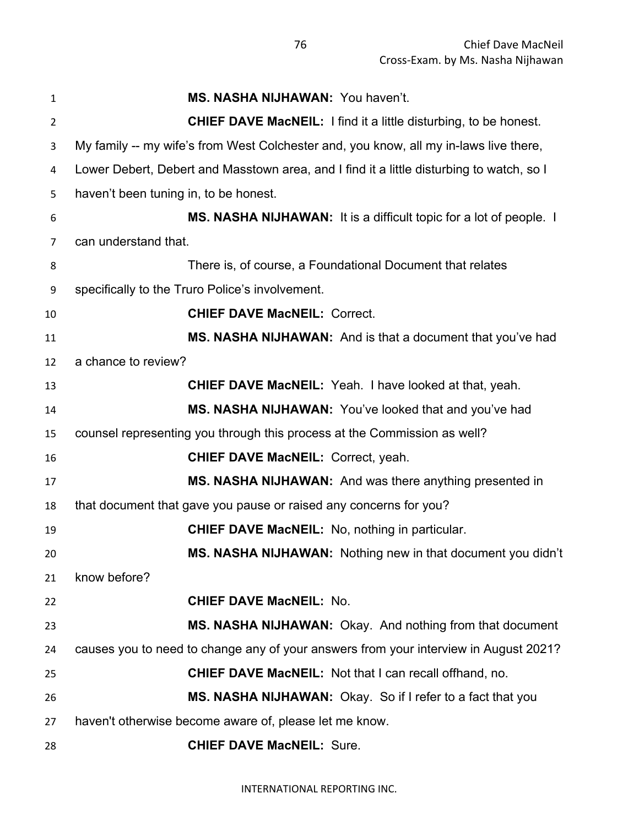| 1              | MS. NASHA NIJHAWAN: You haven't.                                                         |
|----------------|------------------------------------------------------------------------------------------|
| $\overline{2}$ | <b>CHIEF DAVE MacNEIL:</b> I find it a little disturbing, to be honest.                  |
| 3              | My family -- my wife's from West Colchester and, you know, all my in-laws live there,    |
| 4              | Lower Debert, Debert and Masstown area, and I find it a little disturbing to watch, so I |
| 5              | haven't been tuning in, to be honest.                                                    |
| 6              | MS. NASHA NIJHAWAN: It is a difficult topic for a lot of people. I                       |
| 7              | can understand that.                                                                     |
| 8              | There is, of course, a Foundational Document that relates                                |
| 9              | specifically to the Truro Police's involvement.                                          |
| 10             | <b>CHIEF DAVE MacNEIL: Correct.</b>                                                      |
| 11             | MS. NASHA NIJHAWAN: And is that a document that you've had                               |
| 12             | a chance to review?                                                                      |
| 13             | <b>CHIEF DAVE MacNEIL:</b> Yeah. I have looked at that, yeah.                            |
| 14             | MS. NASHA NIJHAWAN: You've looked that and you've had                                    |
| 15             | counsel representing you through this process at the Commission as well?                 |
| 16             | <b>CHIEF DAVE MacNEIL: Correct, yeah.</b>                                                |
| 17             | MS. NASHA NIJHAWAN: And was there anything presented in                                  |
| 18             | that document that gave you pause or raised any concerns for you?                        |
| 19             | <b>CHIEF DAVE MacNEIL:</b> No, nothing in particular.                                    |
| 20             | MS. NASHA NIJHAWAN: Nothing new in that document you didn't                              |
| 21             | know before?                                                                             |
| 22             | <b>CHIEF DAVE MacNEIL: No.</b>                                                           |
| 23             | MS. NASHA NIJHAWAN: Okay. And nothing from that document                                 |
| 24             | causes you to need to change any of your answers from your interview in August 2021?     |
| 25             | <b>CHIEF DAVE MacNEIL:</b> Not that I can recall offhand, no.                            |
| 26             | MS. NASHA NIJHAWAN: Okay. So if I refer to a fact that you                               |
| 27             | haven't otherwise become aware of, please let me know.                                   |
| 28             | <b>CHIEF DAVE MacNEIL: Sure.</b>                                                         |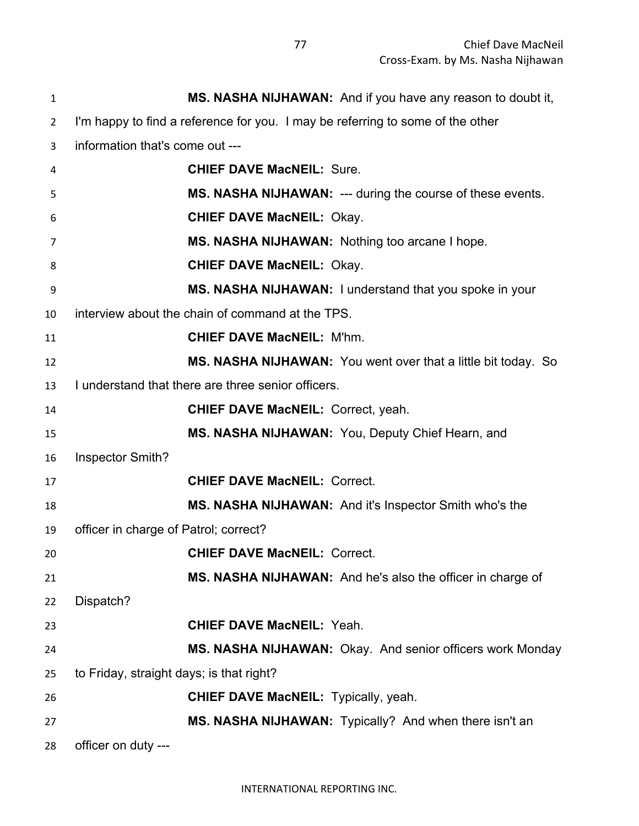| $\mathbf{1}$   | MS. NASHA NIJHAWAN: And if you have any reason to doubt it,                    |
|----------------|--------------------------------------------------------------------------------|
| $\overline{2}$ | I'm happy to find a reference for you. I may be referring to some of the other |
| 3              | information that's come out ---                                                |
| 4              | <b>CHIEF DAVE MacNEIL: Sure.</b>                                               |
| 5              | MS. NASHA NIJHAWAN: --- during the course of these events.                     |
| 6              | <b>CHIEF DAVE MacNEIL: Okay.</b>                                               |
| 7              | MS. NASHA NIJHAWAN: Nothing too arcane I hope.                                 |
| 8              | <b>CHIEF DAVE MacNEIL: Okay.</b>                                               |
| 9              | MS. NASHA NIJHAWAN: I understand that you spoke in your                        |
| 10             | interview about the chain of command at the TPS.                               |
| 11             | <b>CHIEF DAVE MacNEIL: M'hm.</b>                                               |
| 12             | MS. NASHA NIJHAWAN: You went over that a little bit today. So                  |
| 13             | I understand that there are three senior officers.                             |
| 14             | <b>CHIEF DAVE MacNEIL: Correct, yeah.</b>                                      |
| 15             | MS. NASHA NIJHAWAN: You, Deputy Chief Hearn, and                               |
| 16             | Inspector Smith?                                                               |
| 17             | <b>CHIEF DAVE MacNEIL: Correct.</b>                                            |
| 18             | MS. NASHA NIJHAWAN: And it's Inspector Smith who's the                         |
| 19             | officer in charge of Patrol; correct?                                          |
| 20             | <b>CHIEF DAVE MacNEIL: Correct.</b>                                            |
| 21             | MS. NASHA NIJHAWAN: And he's also the officer in charge of                     |
| 22             | Dispatch?                                                                      |
| 23             | <b>CHIEF DAVE MacNEIL: Yeah.</b>                                               |
| 24             | MS. NASHA NIJHAWAN: Okay. And senior officers work Monday                      |
| 25             | to Friday, straight days; is that right?                                       |
| 26             | <b>CHIEF DAVE MacNEIL:</b> Typically, yeah.                                    |
| 27             | MS. NASHA NIJHAWAN: Typically? And when there isn't an                         |
| 28             | officer on duty ---                                                            |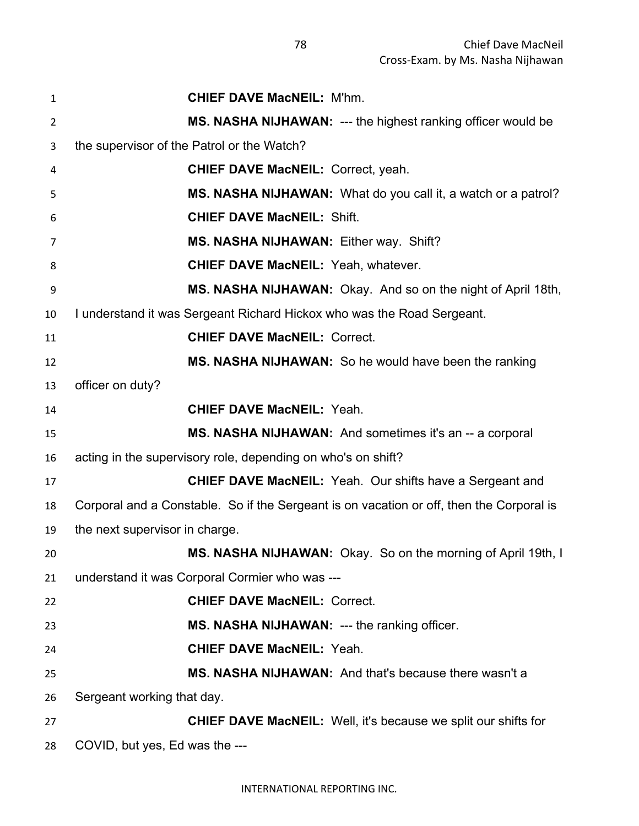| 1  | <b>CHIEF DAVE MacNEIL: M'hm.</b>                                                         |
|----|------------------------------------------------------------------------------------------|
| 2  | <b>MS. NASHA NIJHAWAN: --- the highest ranking officer would be</b>                      |
| 3  | the supervisor of the Patrol or the Watch?                                               |
| 4  | <b>CHIEF DAVE MacNEIL: Correct, yeah.</b>                                                |
| 5  | MS. NASHA NIJHAWAN: What do you call it, a watch or a patrol?                            |
| 6  | <b>CHIEF DAVE MacNEIL: Shift.</b>                                                        |
| 7  | MS. NASHA NIJHAWAN: Either way. Shift?                                                   |
| 8  | <b>CHIEF DAVE MacNEIL: Yeah, whatever.</b>                                               |
| 9  | MS. NASHA NIJHAWAN: Okay. And so on the night of April 18th,                             |
| 10 | I understand it was Sergeant Richard Hickox who was the Road Sergeant.                   |
| 11 | <b>CHIEF DAVE MacNEIL: Correct.</b>                                                      |
| 12 | MS. NASHA NIJHAWAN: So he would have been the ranking                                    |
| 13 | officer on duty?                                                                         |
| 14 | <b>CHIEF DAVE MacNEIL: Yeah.</b>                                                         |
| 15 | MS. NASHA NIJHAWAN: And sometimes it's an -- a corporal                                  |
| 16 | acting in the supervisory role, depending on who's on shift?                             |
| 17 | <b>CHIEF DAVE MacNEIL:</b> Yeah. Our shifts have a Sergeant and                          |
| 18 | Corporal and a Constable. So if the Sergeant is on vacation or off, then the Corporal is |
| 19 | the next supervisor in charge.                                                           |
| 20 | MS. NASHA NIJHAWAN: Okay. So on the morning of April 19th, I                             |
| 21 | understand it was Corporal Cormier who was ---                                           |
| 22 | <b>CHIEF DAVE MacNEIL: Correct.</b>                                                      |
| 23 | MS. NASHA NIJHAWAN: --- the ranking officer.                                             |
| 24 | <b>CHIEF DAVE MacNEIL: Yeah.</b>                                                         |
| 25 | MS. NASHA NIJHAWAN: And that's because there wasn't a                                    |
| 26 | Sergeant working that day.                                                               |
| 27 | <b>CHIEF DAVE MacNEIL:</b> Well, it's because we split our shifts for                    |
| 28 | COVID, but yes, Ed was the ---                                                           |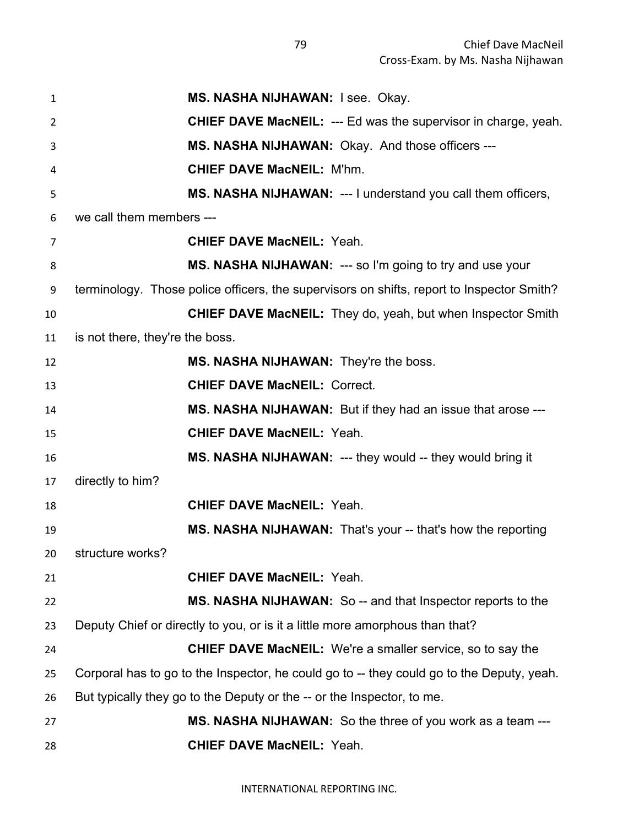| $\mathbf{1}$    | MS. NASHA NIJHAWAN: I see. Okay.                                                          |
|-----------------|-------------------------------------------------------------------------------------------|
| 2               | <b>CHIEF DAVE MacNEIL: --- Ed was the supervisor in charge, yeah.</b>                     |
| 3               | <b>MS. NASHA NIJHAWAN: Okay. And those officers ---</b>                                   |
| 4               | <b>CHIEF DAVE MacNEIL: M'hm.</b>                                                          |
| 5               | MS. NASHA NIJHAWAN: --- I understand you call them officers,                              |
| 6               | we call them members ---                                                                  |
| 7               | <b>CHIEF DAVE MacNEIL: Yeah.</b>                                                          |
| 8               | <b>MS. NASHA NIJHAWAN: --- so I'm going to try and use your</b>                           |
| 9               | terminology. Those police officers, the supervisors on shifts, report to Inspector Smith? |
| 10              | <b>CHIEF DAVE MacNEIL:</b> They do, yeah, but when Inspector Smith                        |
| 11              | is not there, they're the boss.                                                           |
| 12              | MS. NASHA NIJHAWAN: They're the boss.                                                     |
| 13              | <b>CHIEF DAVE MacNEIL: Correct.</b>                                                       |
| 14              | MS. NASHA NIJHAWAN: But if they had an issue that arose ---                               |
| 15              | <b>CHIEF DAVE MacNEIL: Yeah.</b>                                                          |
| 16              | MS. NASHA NIJHAWAN: --- they would -- they would bring it                                 |
| 17              | directly to him?                                                                          |
| 18              | <b>CHIEF DAVE MacNEIL: Yeah.</b>                                                          |
| 19              | MS. NASHA NIJHAWAN: That's your -- that's how the reporting                               |
| 20 <sub>2</sub> | structure works?                                                                          |
| 21              | <b>CHIEF DAVE MacNEIL: Yeah.</b>                                                          |
| 22              | MS. NASHA NIJHAWAN: So -- and that Inspector reports to the                               |
| 23              | Deputy Chief or directly to you, or is it a little more amorphous than that?              |
| 24              | <b>CHIEF DAVE MacNEIL:</b> We're a smaller service, so to say the                         |
| 25              | Corporal has to go to the Inspector, he could go to -- they could go to the Deputy, yeah. |
| 26              | But typically they go to the Deputy or the -- or the Inspector, to me.                    |
| 27              | MS. NASHA NIJHAWAN: So the three of you work as a team ---                                |
| 28              | <b>CHIEF DAVE MacNEIL: Yeah.</b>                                                          |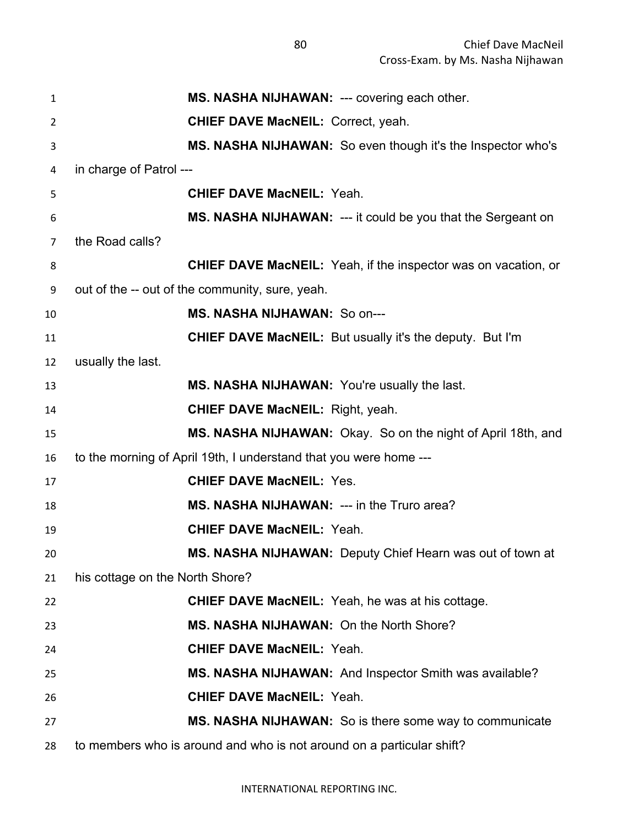| $\mathbf{1}$   | MS. NASHA NIJHAWAN: --- covering each other.                          |
|----------------|-----------------------------------------------------------------------|
| $\overline{2}$ | <b>CHIEF DAVE MacNEIL: Correct, yeah.</b>                             |
| 3              | MS. NASHA NIJHAWAN: So even though it's the Inspector who's           |
| 4              | in charge of Patrol ---                                               |
| 5              | <b>CHIEF DAVE MacNEIL: Yeah.</b>                                      |
| 6              | MS. NASHA NIJHAWAN: --- it could be you that the Sergeant on          |
| 7              | the Road calls?                                                       |
| 8              | <b>CHIEF DAVE MacNEIL:</b> Yeah, if the inspector was on vacation, or |
| 9              | out of the -- out of the community, sure, yeah.                       |
| 10             | MS. NASHA NIJHAWAN: So on---                                          |
| 11             | <b>CHIEF DAVE MacNEIL:</b> But usually it's the deputy. But I'm       |
| 12             | usually the last.                                                     |
| 13             | MS. NASHA NIJHAWAN: You're usually the last.                          |
| 14             | <b>CHIEF DAVE MacNEIL: Right, yeah.</b>                               |
| 15             | MS. NASHA NIJHAWAN: Okay. So on the night of April 18th, and          |
| 16             | to the morning of April 19th, I understand that you were home ---     |
| 17             | <b>CHIEF DAVE MacNEIL: Yes.</b>                                       |
| 18             | MS. NASHA NIJHAWAN: --- in the Truro area?                            |
| 19             | <b>CHIEF DAVE MacNEIL: Yeah.</b>                                      |
| 20             | MS. NASHA NIJHAWAN: Deputy Chief Hearn was out of town at             |
| 21             | his cottage on the North Shore?                                       |
| 22             | <b>CHIEF DAVE MacNEIL:</b> Yeah, he was at his cottage.               |
| 23             | MS. NASHA NIJHAWAN: On the North Shore?                               |
| 24             | <b>CHIEF DAVE MacNEIL: Yeah.</b>                                      |
| 25             | MS. NASHA NIJHAWAN: And Inspector Smith was available?                |
| 26             | <b>CHIEF DAVE MacNEIL: Yeah.</b>                                      |
| 27             | MS. NASHA NIJHAWAN: So is there some way to communicate               |
| 28             | to members who is around and who is not around on a particular shift? |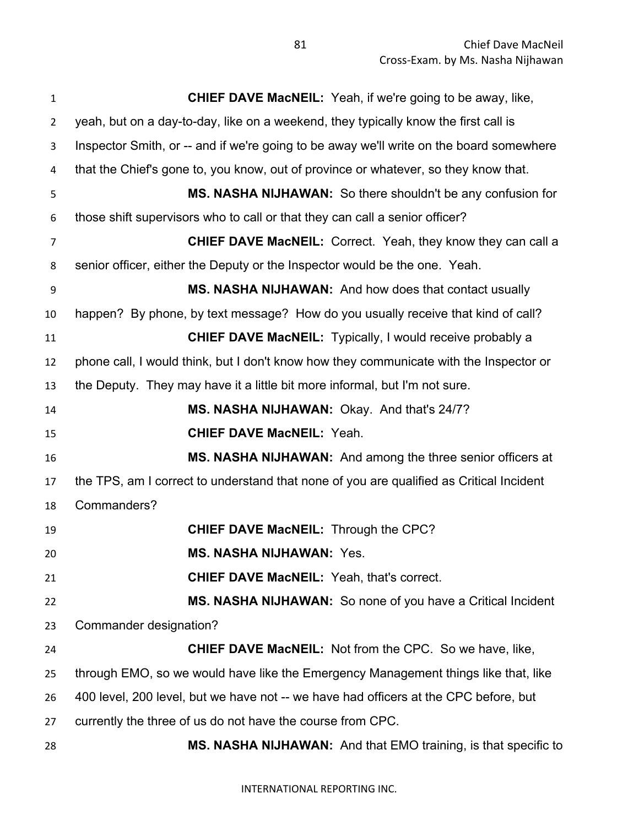| $\mathbf{1}$   | <b>CHIEF DAVE MacNEIL:</b> Yeah, if we're going to be away, like,                       |
|----------------|-----------------------------------------------------------------------------------------|
| $\overline{2}$ | yeah, but on a day-to-day, like on a weekend, they typically know the first call is     |
| 3              | Inspector Smith, or -- and if we're going to be away we'll write on the board somewhere |
| 4              | that the Chief's gone to, you know, out of province or whatever, so they know that.     |
| 5              | MS. NASHA NIJHAWAN: So there shouldn't be any confusion for                             |
| 6              | those shift supervisors who to call or that they can call a senior officer?             |
| 7              | <b>CHIEF DAVE MacNEIL:</b> Correct. Yeah, they know they can call a                     |
| 8              | senior officer, either the Deputy or the Inspector would be the one. Yeah.              |
| 9              | MS. NASHA NIJHAWAN: And how does that contact usually                                   |
| 10             | happen? By phone, by text message? How do you usually receive that kind of call?        |
| 11             | <b>CHIEF DAVE MacNEIL:</b> Typically, I would receive probably a                        |
| 12             | phone call, I would think, but I don't know how they communicate with the Inspector or  |
| 13             | the Deputy. They may have it a little bit more informal, but I'm not sure.              |
| 14             | MS. NASHA NIJHAWAN: Okay. And that's 24/7?                                              |
| 15             | <b>CHIEF DAVE MacNEIL: Yeah.</b>                                                        |
| 16             | MS. NASHA NIJHAWAN: And among the three senior officers at                              |
| 17             | the TPS, am I correct to understand that none of you are qualified as Critical Incident |
| 18             | Commanders?                                                                             |
| 19             | <b>CHIEF DAVE MacNEIL: Through the CPC?</b>                                             |
| 20             | <b>MS. NASHA NIJHAWAN: Yes.</b>                                                         |
| 21             | <b>CHIEF DAVE MacNEIL: Yeah, that's correct.</b>                                        |
| 22             | <b>MS. NASHA NIJHAWAN:</b> So none of you have a Critical Incident                      |
| 23             | Commander designation?                                                                  |
| 24             | <b>CHIEF DAVE MacNEIL:</b> Not from the CPC. So we have, like,                          |
| 25             | through EMO, so we would have like the Emergency Management things like that, like      |
| 26             | 400 level, 200 level, but we have not -- we have had officers at the CPC before, but    |
| 27             | currently the three of us do not have the course from CPC.                              |
| 28             | MS. NASHA NIJHAWAN: And that EMO training, is that specific to                          |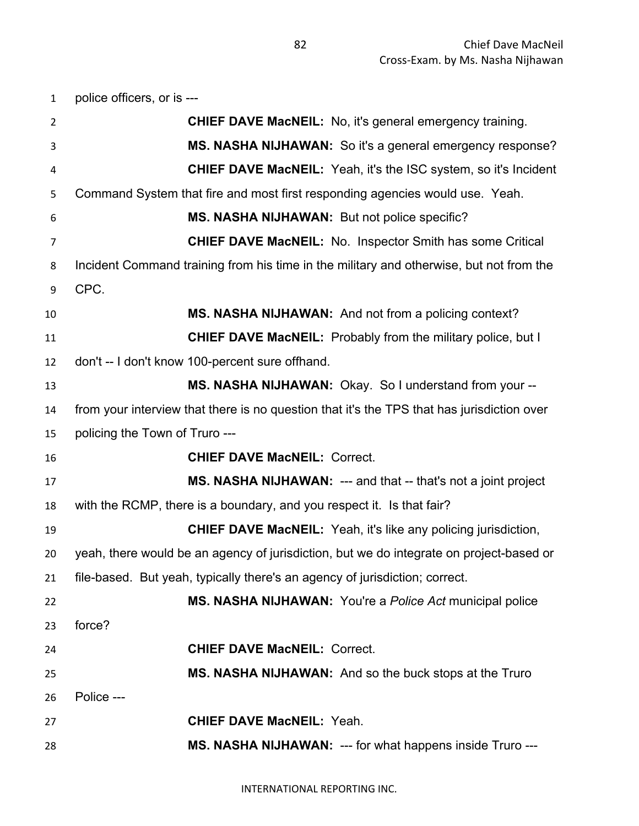| $\mathbf{1}$   | police officers, or is ---                                                                 |
|----------------|--------------------------------------------------------------------------------------------|
| $\overline{2}$ | <b>CHIEF DAVE MacNEIL:</b> No, it's general emergency training.                            |
| 3              | MS. NASHA NIJHAWAN: So it's a general emergency response?                                  |
| 4              | <b>CHIEF DAVE MacNEIL:</b> Yeah, it's the ISC system, so it's Incident                     |
| 5              | Command System that fire and most first responding agencies would use. Yeah.               |
| 6              | MS. NASHA NIJHAWAN: But not police specific?                                               |
| 7              | <b>CHIEF DAVE MacNEIL:</b> No. Inspector Smith has some Critical                           |
| 8              | Incident Command training from his time in the military and otherwise, but not from the    |
| 9              | CPC.                                                                                       |
| 10             | MS. NASHA NIJHAWAN: And not from a policing context?                                       |
| 11             | <b>CHIEF DAVE MacNEIL:</b> Probably from the military police, but I                        |
| 12             | don't -- I don't know 100-percent sure offhand.                                            |
| 13             | MS. NASHA NIJHAWAN: Okay. So I understand from your --                                     |
| 14             | from your interview that there is no question that it's the TPS that has jurisdiction over |
| 15             | policing the Town of Truro ---                                                             |
| 16             | <b>CHIEF DAVE MacNEIL: Correct.</b>                                                        |
| 17             | MS. NASHA NIJHAWAN: --- and that -- that's not a joint project                             |
| 18             | with the RCMP, there is a boundary, and you respect it. Is that fair?                      |
| 19             | <b>CHIEF DAVE MacNEIL:</b> Yeah, it's like any policing jurisdiction,                      |
| 20             | yeah, there would be an agency of jurisdiction, but we do integrate on project-based or    |
| 21             | file-based. But yeah, typically there's an agency of jurisdiction; correct.                |
| 22             | MS. NASHA NIJHAWAN: You're a Police Act municipal police                                   |
| 23             | force?                                                                                     |
| 24             | <b>CHIEF DAVE MacNEIL: Correct.</b>                                                        |
| 25             | MS. NASHA NIJHAWAN: And so the buck stops at the Truro                                     |
| 26             | Police ---                                                                                 |
| 27             | <b>CHIEF DAVE MacNEIL: Yeah.</b>                                                           |
| 28             | MS. NASHA NIJHAWAN: --- for what happens inside Truro ---                                  |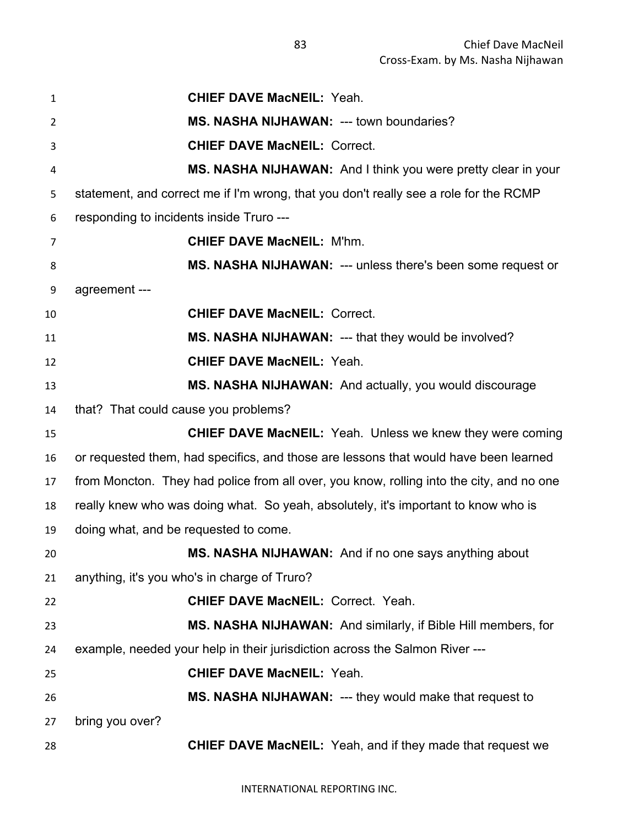| 1  | <b>CHIEF DAVE MacNEIL: Yeah.</b>                                                         |
|----|------------------------------------------------------------------------------------------|
| 2  | MS. NASHA NIJHAWAN: --- town boundaries?                                                 |
| 3  | <b>CHIEF DAVE MacNEIL: Correct.</b>                                                      |
| 4  | MS. NASHA NIJHAWAN: And I think you were pretty clear in your                            |
| 5  | statement, and correct me if I'm wrong, that you don't really see a role for the RCMP    |
| 6  | responding to incidents inside Truro ---                                                 |
| 7  | <b>CHIEF DAVE MacNEIL: M'hm.</b>                                                         |
| 8  | MS. NASHA NIJHAWAN: --- unless there's been some request or                              |
| 9  | agreement ---                                                                            |
| 10 | <b>CHIEF DAVE MacNEIL: Correct.</b>                                                      |
| 11 | MS. NASHA NIJHAWAN: --- that they would be involved?                                     |
| 12 | <b>CHIEF DAVE MacNEIL: Yeah.</b>                                                         |
| 13 | MS. NASHA NIJHAWAN: And actually, you would discourage                                   |
| 14 | that? That could cause you problems?                                                     |
| 15 | <b>CHIEF DAVE MacNEIL:</b> Yeah. Unless we knew they were coming                         |
| 16 | or requested them, had specifics, and those are lessons that would have been learned     |
| 17 | from Moncton. They had police from all over, you know, rolling into the city, and no one |
| 18 | really knew who was doing what. So yeah, absolutely, it's important to know who is       |
| 19 | doing what, and be requested to come.                                                    |
| 20 | MS. NASHA NIJHAWAN: And if no one says anything about                                    |
| 21 | anything, it's you who's in charge of Truro?                                             |
| 22 | <b>CHIEF DAVE MacNEIL: Correct. Yeah.</b>                                                |
| 23 | MS. NASHA NIJHAWAN: And similarly, if Bible Hill members, for                            |
| 24 | example, needed your help in their jurisdiction across the Salmon River ---              |
| 25 | <b>CHIEF DAVE MacNEIL: Yeah.</b>                                                         |
| 26 | MS. NASHA NIJHAWAN: --- they would make that request to                                  |
| 27 | bring you over?                                                                          |
| 28 | <b>CHIEF DAVE MacNEIL:</b> Yeah, and if they made that request we                        |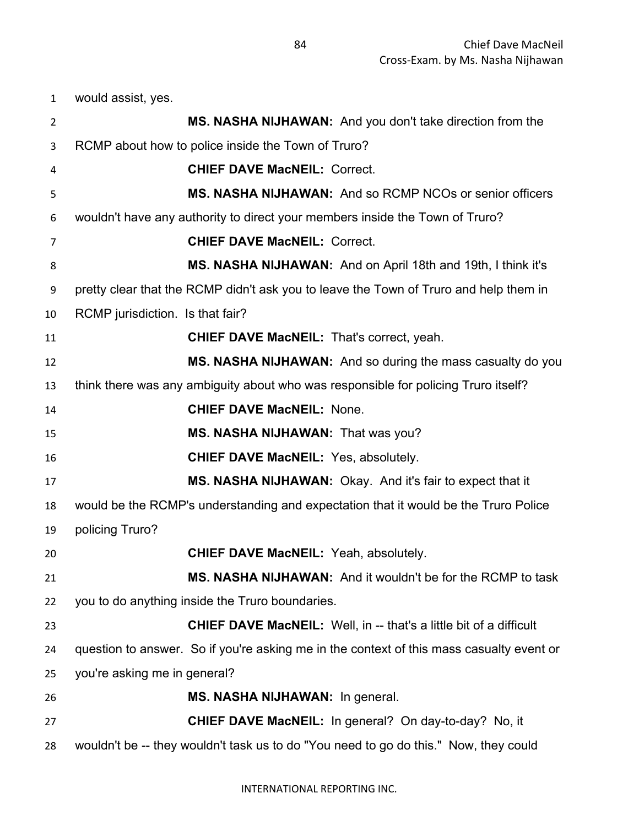would assist, yes.

| $\overline{2}$ | MS. NASHA NIJHAWAN: And you don't take direction from the                                |
|----------------|------------------------------------------------------------------------------------------|
| 3              | RCMP about how to police inside the Town of Truro?                                       |
| 4              | <b>CHIEF DAVE MacNEIL: Correct.</b>                                                      |
| 5              | MS. NASHA NIJHAWAN: And so RCMP NCOs or senior officers                                  |
| 6              | wouldn't have any authority to direct your members inside the Town of Truro?             |
| 7              | <b>CHIEF DAVE MacNEIL: Correct.</b>                                                      |
| 8              | MS. NASHA NIJHAWAN: And on April 18th and 19th, I think it's                             |
| 9              | pretty clear that the RCMP didn't ask you to leave the Town of Truro and help them in    |
| 10             | RCMP jurisdiction. Is that fair?                                                         |
| 11             | <b>CHIEF DAVE MacNEIL: That's correct, yeah.</b>                                         |
| 12             | MS. NASHA NIJHAWAN: And so during the mass casualty do you                               |
| 13             | think there was any ambiguity about who was responsible for policing Truro itself?       |
| 14             | <b>CHIEF DAVE MacNEIL: None.</b>                                                         |
| 15             | MS. NASHA NIJHAWAN: That was you?                                                        |
| 16             | <b>CHIEF DAVE MacNEIL: Yes, absolutely.</b>                                              |
| 17             | MS. NASHA NIJHAWAN: Okay. And it's fair to expect that it                                |
| 18             | would be the RCMP's understanding and expectation that it would be the Truro Police      |
| 19             | policing Truro?                                                                          |
| 20             | <b>CHIEF DAVE MacNEIL: Yeah, absolutely.</b>                                             |
| 21             | MS. NASHA NIJHAWAN: And it wouldn't be for the RCMP to task                              |
| 22             | you to do anything inside the Truro boundaries.                                          |
| 23             | <b>CHIEF DAVE MacNEIL:</b> Well, in -- that's a little bit of a difficult                |
| 24             | question to answer. So if you're asking me in the context of this mass casualty event or |
| 25             | you're asking me in general?                                                             |
| 26             | MS. NASHA NIJHAWAN: In general.                                                          |
| 27             | <b>CHIEF DAVE MacNEIL:</b> In general? On day-to-day? No, it                             |
| 28             | wouldn't be -- they wouldn't task us to do "You need to go do this." Now, they could     |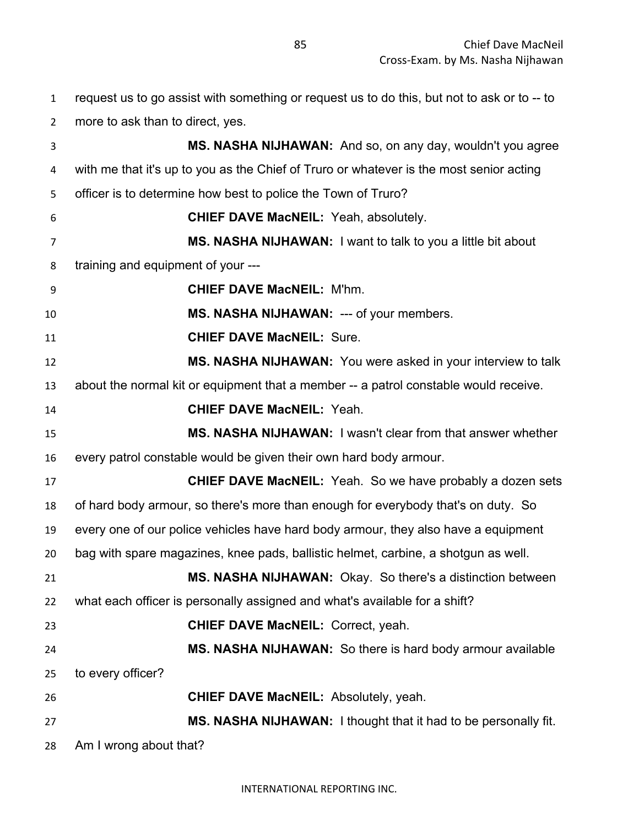request us to go assist with something or request us to do this, but not to ask or to -- to

| $\overline{2}$ | more to ask than to direct, yes.                                                        |
|----------------|-----------------------------------------------------------------------------------------|
| 3              | MS. NASHA NIJHAWAN: And so, on any day, wouldn't you agree                              |
| 4              | with me that it's up to you as the Chief of Truro or whatever is the most senior acting |
| 5              | officer is to determine how best to police the Town of Truro?                           |
| 6              | <b>CHIEF DAVE MacNEIL: Yeah, absolutely.</b>                                            |
| 7              | MS. NASHA NIJHAWAN: I want to talk to you a little bit about                            |
| 8              | training and equipment of your ---                                                      |
| 9              | <b>CHIEF DAVE MacNEIL: M'hm.</b>                                                        |
| 10             | MS. NASHA NIJHAWAN: --- of your members.                                                |
| 11             | <b>CHIEF DAVE MacNEIL: Sure.</b>                                                        |
| 12             | MS. NASHA NIJHAWAN: You were asked in your interview to talk                            |
| 13             | about the normal kit or equipment that a member -- a patrol constable would receive.    |
| 14             | <b>CHIEF DAVE MacNEIL: Yeah.</b>                                                        |
| 15             | MS. NASHA NIJHAWAN: I wasn't clear from that answer whether                             |
| 16             | every patrol constable would be given their own hard body armour.                       |
| 17             | <b>CHIEF DAVE MacNEIL:</b> Yeah. So we have probably a dozen sets                       |
| 18             | of hard body armour, so there's more than enough for everybody that's on duty. So       |
| 19             | every one of our police vehicles have hard body armour, they also have a equipment      |
| 20             | bag with spare magazines, knee pads, ballistic helmet, carbine, a shotgun as well.      |
| 21             | MS. NASHA NIJHAWAN: Okay. So there's a distinction between                              |
| 22             | what each officer is personally assigned and what's available for a shift?              |
| 23             | <b>CHIEF DAVE MacNEIL: Correct, yeah.</b>                                               |
| 24             | MS. NASHA NIJHAWAN: So there is hard body armour available                              |
| 25             | to every officer?                                                                       |
| 26             | <b>CHIEF DAVE MacNEIL: Absolutely, yeah.</b>                                            |
| 27             | MS. NASHA NIJHAWAN: I thought that it had to be personally fit.                         |

Am I wrong about that?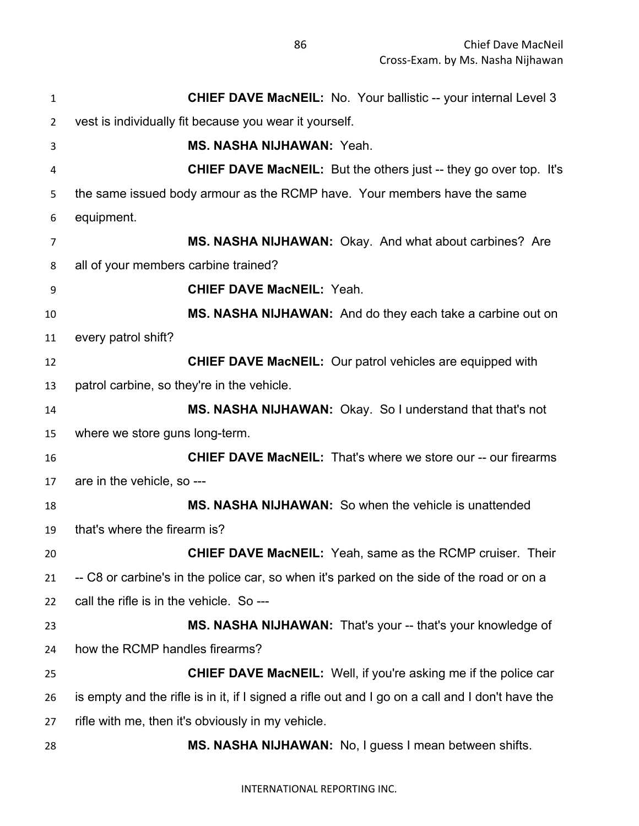| $\mathbf{1}$   | <b>CHIEF DAVE MacNEIL:</b> No. Your ballistic -- your internal Level 3                           |
|----------------|--------------------------------------------------------------------------------------------------|
| $\overline{2}$ | vest is individually fit because you wear it yourself.                                           |
| 3              | MS. NASHA NIJHAWAN: Yeah.                                                                        |
| 4              | <b>CHIEF DAVE MacNEIL:</b> But the others just -- they go over top. It's                         |
| 5              | the same issued body armour as the RCMP have. Your members have the same                         |
| 6              | equipment.                                                                                       |
| $\overline{7}$ | MS. NASHA NIJHAWAN: Okay. And what about carbines? Are                                           |
| 8              | all of your members carbine trained?                                                             |
| 9              | <b>CHIEF DAVE MacNEIL: Yeah.</b>                                                                 |
| 10             | MS. NASHA NIJHAWAN: And do they each take a carbine out on                                       |
| 11             | every patrol shift?                                                                              |
| 12             | <b>CHIEF DAVE MacNEIL:</b> Our patrol vehicles are equipped with                                 |
| 13             | patrol carbine, so they're in the vehicle.                                                       |
| 14             | MS. NASHA NIJHAWAN: Okay. So I understand that that's not                                        |
| 15             | where we store guns long-term.                                                                   |
| 16             | <b>CHIEF DAVE MacNEIL:</b> That's where we store our -- our firearms                             |
| 17             | are in the vehicle, so ---                                                                       |
| 18             | MS. NASHA NIJHAWAN: So when the vehicle is unattended                                            |
| 19             | that's where the firearm is?                                                                     |
| 20             | <b>CHIEF DAVE MacNEIL:</b> Yeah, same as the RCMP cruiser. Their                                 |
| 21             | -- C8 or carbine's in the police car, so when it's parked on the side of the road or on a        |
| 22             | call the rifle is in the vehicle. So ---                                                         |
| 23             | MS. NASHA NIJHAWAN: That's your -- that's your knowledge of                                      |
| 24             | how the RCMP handles firearms?                                                                   |
| 25             | <b>CHIEF DAVE MacNEIL:</b> Well, if you're asking me if the police car                           |
| 26             | is empty and the rifle is in it, if I signed a rifle out and I go on a call and I don't have the |
| 27             | rifle with me, then it's obviously in my vehicle.                                                |
| 28             | MS. NASHA NIJHAWAN: No, I guess I mean between shifts.                                           |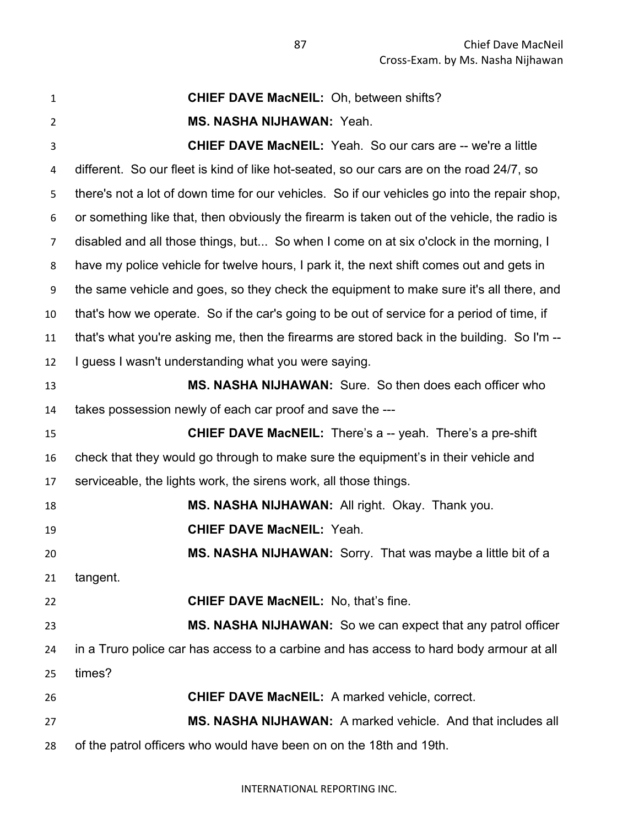| $\mathbf{1}$   | <b>CHIEF DAVE MacNEIL: Oh, between shifts?</b>                                               |
|----------------|----------------------------------------------------------------------------------------------|
| $\overline{2}$ | <b>MS. NASHA NIJHAWAN: Yeah.</b>                                                             |
| 3              | <b>CHIEF DAVE MacNEIL:</b> Yeah. So our cars are -- we're a little                           |
| 4              | different. So our fleet is kind of like hot-seated, so our cars are on the road 24/7, so     |
| 5              | there's not a lot of down time for our vehicles. So if our vehicles go into the repair shop, |
| 6              | or something like that, then obviously the firearm is taken out of the vehicle, the radio is |
| $\overline{7}$ | disabled and all those things, but So when I come on at six o'clock in the morning, I        |
| 8              | have my police vehicle for twelve hours, I park it, the next shift comes out and gets in     |
| 9              | the same vehicle and goes, so they check the equipment to make sure it's all there, and      |
| 10             | that's how we operate. So if the car's going to be out of service for a period of time, if   |
| 11             | that's what you're asking me, then the firearms are stored back in the building. So I'm --   |
| 12             | I guess I wasn't understanding what you were saying.                                         |
| 13             | <b>MS. NASHA NIJHAWAN:</b> Sure. So then does each officer who                               |
| 14             | takes possession newly of each car proof and save the ---                                    |
| 15             | <b>CHIEF DAVE MacNEIL:</b> There's a -- yeah. There's a pre-shift                            |
| 16             | check that they would go through to make sure the equipment's in their vehicle and           |
| 17             | serviceable, the lights work, the sirens work, all those things.                             |
| 18             | MS. NASHA NIJHAWAN: All right. Okay. Thank you.                                              |
| 19             | <b>CHIEF DAVE MacNEIL: Yeah.</b>                                                             |
| 20             | MS. NASHA NIJHAWAN: Sorry. That was maybe a little bit of a                                  |
| 21             | tangent.                                                                                     |
| 22             | <b>CHIEF DAVE MacNEIL:</b> No, that's fine.                                                  |
| 23             | MS. NASHA NIJHAWAN: So we can expect that any patrol officer                                 |
| 24             | in a Truro police car has access to a carbine and has access to hard body armour at all      |
| 25             | times?                                                                                       |
| 26             | <b>CHIEF DAVE MacNEIL:</b> A marked vehicle, correct.                                        |
| 27             | MS. NASHA NIJHAWAN: A marked vehicle. And that includes all                                  |
| 28             | of the patrol officers who would have been on on the 18th and 19th.                          |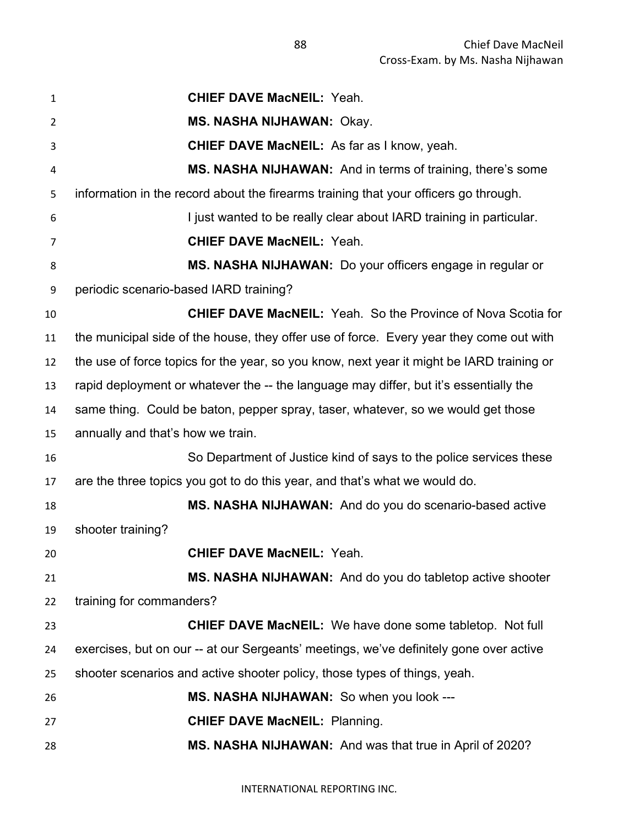**CHIEF DAVE MacNEIL:** Yeah. **MS. NASHA NIJHAWAN:** Okay. **CHIEF DAVE MacNEIL:** As far as I know, yeah. **MS. NASHA NIJHAWAN:** And in terms of training, there's some information in the record about the firearms training that your officers go through. **I** just wanted to be really clear about IARD training in particular. **CHIEF DAVE MacNEIL:** Yeah. **MS. NASHA NIJHAWAN:** Do your officers engage in regular or periodic scenario-based IARD training? **CHIEF DAVE MacNEIL:** Yeah. So the Province of Nova Scotia for the municipal side of the house, they offer use of force. Every year they come out with the use of force topics for the year, so you know, next year it might be IARD training or rapid deployment or whatever the -- the language may differ, but it's essentially the same thing. Could be baton, pepper spray, taser, whatever, so we would get those annually and that's how we train. So Department of Justice kind of says to the police services these are the three topics you got to do this year, and that's what we would do. **MS. NASHA NIJHAWAN:** And do you do scenario-based active shooter training? **CHIEF DAVE MacNEIL:** Yeah. **MS. NASHA NIJHAWAN:** And do you do tabletop active shooter training for commanders? **CHIEF DAVE MacNEIL:** We have done some tabletop. Not full exercises, but on our -- at our Sergeants' meetings, we've definitely gone over active shooter scenarios and active shooter policy, those types of things, yeah. **MS. NASHA NIJHAWAN:** So when you look --- **CHIEF DAVE MacNEIL:** Planning. **MS. NASHA NIJHAWAN:** And was that true in April of 2020?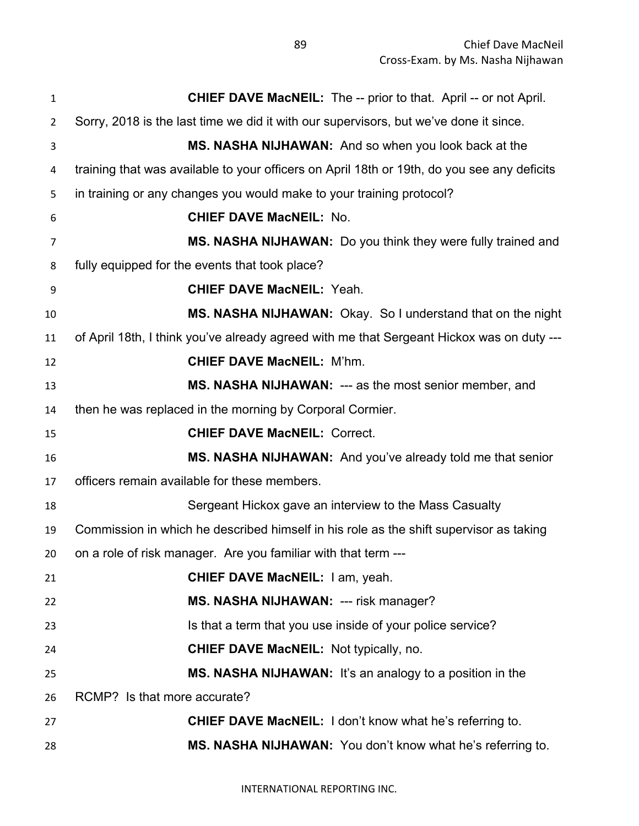| 1              | <b>CHIEF DAVE MacNEIL:</b> The -- prior to that. April -- or not April.                     |
|----------------|---------------------------------------------------------------------------------------------|
| $\overline{2}$ | Sorry, 2018 is the last time we did it with our supervisors, but we've done it since.       |
| 3              | MS. NASHA NIJHAWAN: And so when you look back at the                                        |
| 4              | training that was available to your officers on April 18th or 19th, do you see any deficits |
| 5              | in training or any changes you would make to your training protocol?                        |
| 6              | <b>CHIEF DAVE MacNEIL: No.</b>                                                              |
| 7              | MS. NASHA NIJHAWAN: Do you think they were fully trained and                                |
| 8              | fully equipped for the events that took place?                                              |
| 9              | <b>CHIEF DAVE MacNEIL: Yeah.</b>                                                            |
| 10             | MS. NASHA NIJHAWAN: Okay. So I understand that on the night                                 |
| 11             | of April 18th, I think you've already agreed with me that Sergeant Hickox was on duty ---   |
| 12             | <b>CHIEF DAVE MacNEIL: M'hm.</b>                                                            |
| 13             | MS. NASHA NIJHAWAN: --- as the most senior member, and                                      |
| 14             | then he was replaced in the morning by Corporal Cormier.                                    |
| 15             | <b>CHIEF DAVE MacNEIL: Correct.</b>                                                         |
| 16             | MS. NASHA NIJHAWAN: And you've already told me that senior                                  |
| 17             | officers remain available for these members.                                                |
| 18             | Sergeant Hickox gave an interview to the Mass Casualty                                      |
| 19             | Commission in which he described himself in his role as the shift supervisor as taking      |
| 20             | on a role of risk manager. Are you familiar with that term ---                              |
| 21             | <b>CHIEF DAVE MacNEIL: I am, yeah.</b>                                                      |
| 22             | MS. NASHA NIJHAWAN: --- risk manager?                                                       |
| 23             | Is that a term that you use inside of your police service?                                  |
| 24             | <b>CHIEF DAVE MacNEIL: Not typically, no.</b>                                               |
| 25             | MS. NASHA NIJHAWAN: It's an analogy to a position in the                                    |
| 26             | RCMP? Is that more accurate?                                                                |
| 27             | <b>CHIEF DAVE MacNEIL:</b> I don't know what he's referring to.                             |
| 28             | MS. NASHA NIJHAWAN: You don't know what he's referring to.                                  |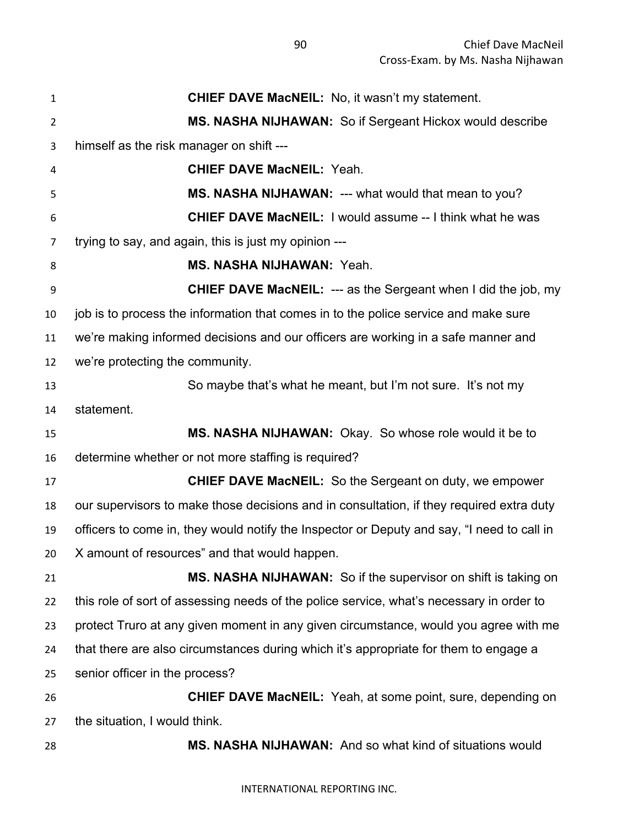**CHIEF DAVE MacNEIL:** No, it wasn't my statement. **MS. NASHA NIJHAWAN:** So if Sergeant Hickox would describe himself as the risk manager on shift --- **CHIEF DAVE MacNEIL:** Yeah. **MS. NASHA NIJHAWAN:** --- what would that mean to you? **CHIEF DAVE MacNEIL:** I would assume -- I think what he was trying to say, and again, this is just my opinion --- **MS. NASHA NIJHAWAN:** Yeah. **CHIEF DAVE MacNEIL:** --- as the Sergeant when I did the job, my job is to process the information that comes in to the police service and make sure we're making informed decisions and our officers are working in a safe manner and we're protecting the community. So maybe that's what he meant, but I'm not sure. It's not my statement. **MS. NASHA NIJHAWAN:** Okay. So whose role would it be to determine whether or not more staffing is required? **CHIEF DAVE MacNEIL:** So the Sergeant on duty, we empower our supervisors to make those decisions and in consultation, if they required extra duty officers to come in, they would notify the Inspector or Deputy and say, "I need to call in X amount of resources" and that would happen. **MS. NASHA NIJHAWAN:** So if the supervisor on shift is taking on this role of sort of assessing needs of the police service, what's necessary in order to protect Truro at any given moment in any given circumstance, would you agree with me that there are also circumstances during which it's appropriate for them to engage a senior officer in the process? **CHIEF DAVE MacNEIL:** Yeah, at some point, sure, depending on the situation, I would think. **MS. NASHA NIJHAWAN:** And so what kind of situations would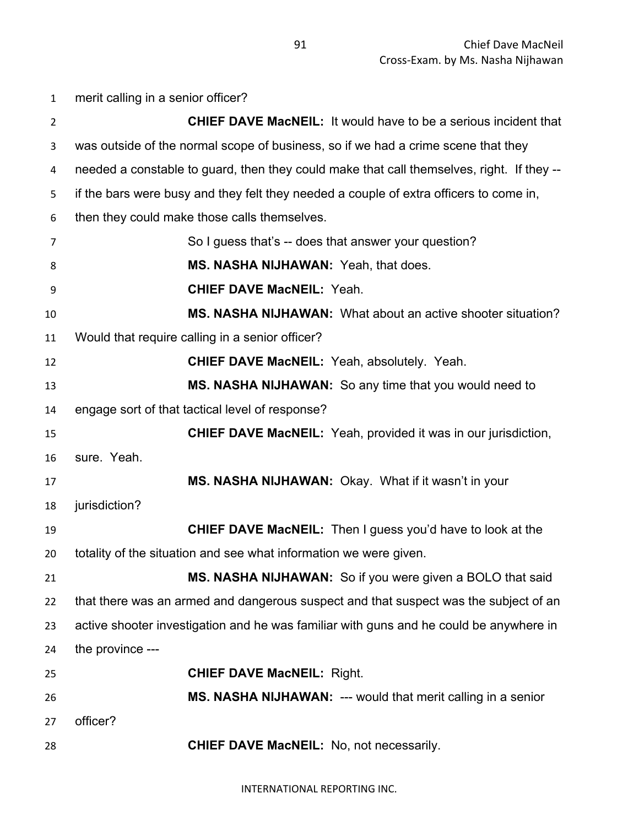| $\mathbf{1}$   | merit calling in a senior officer?                                                        |
|----------------|-------------------------------------------------------------------------------------------|
| $\overline{2}$ | <b>CHIEF DAVE MacNEIL:</b> It would have to be a serious incident that                    |
| 3              | was outside of the normal scope of business, so if we had a crime scene that they         |
| 4              | needed a constable to guard, then they could make that call themselves, right. If they -- |
| 5              | if the bars were busy and they felt they needed a couple of extra officers to come in,    |
| 6              | then they could make those calls themselves.                                              |
| 7              | So I guess that's -- does that answer your question?                                      |
| 8              | MS. NASHA NIJHAWAN: Yeah, that does.                                                      |
| 9              | <b>CHIEF DAVE MacNEIL: Yeah.</b>                                                          |
| 10             | MS. NASHA NIJHAWAN: What about an active shooter situation?                               |
| 11             | Would that require calling in a senior officer?                                           |
| 12             | <b>CHIEF DAVE MacNEIL: Yeah, absolutely. Yeah.</b>                                        |
| 13             | MS. NASHA NIJHAWAN: So any time that you would need to                                    |
| 14             | engage sort of that tactical level of response?                                           |
| 15             | <b>CHIEF DAVE MacNEIL:</b> Yeah, provided it was in our jurisdiction,                     |
| 16             | sure. Yeah.                                                                               |
| 17             | MS. NASHA NIJHAWAN: Okay. What if it wasn't in your                                       |
| 18             | jurisdiction?                                                                             |
| 19             | <b>CHIEF DAVE MacNEIL:</b> Then I guess you'd have to look at the                         |
| 20             | totality of the situation and see what information we were given.                         |
| 21             | MS. NASHA NIJHAWAN: So if you were given a BOLO that said                                 |
| 22             | that there was an armed and dangerous suspect and that suspect was the subject of an      |
| 23             | active shooter investigation and he was familiar with guns and he could be anywhere in    |
| 24             | the province ---                                                                          |
| 25             | <b>CHIEF DAVE MacNEIL: Right.</b>                                                         |
| 26             | MS. NASHA NIJHAWAN: --- would that merit calling in a senior                              |
| 27             | officer?                                                                                  |
| 28             | <b>CHIEF DAVE MacNEIL:</b> No, not necessarily.                                           |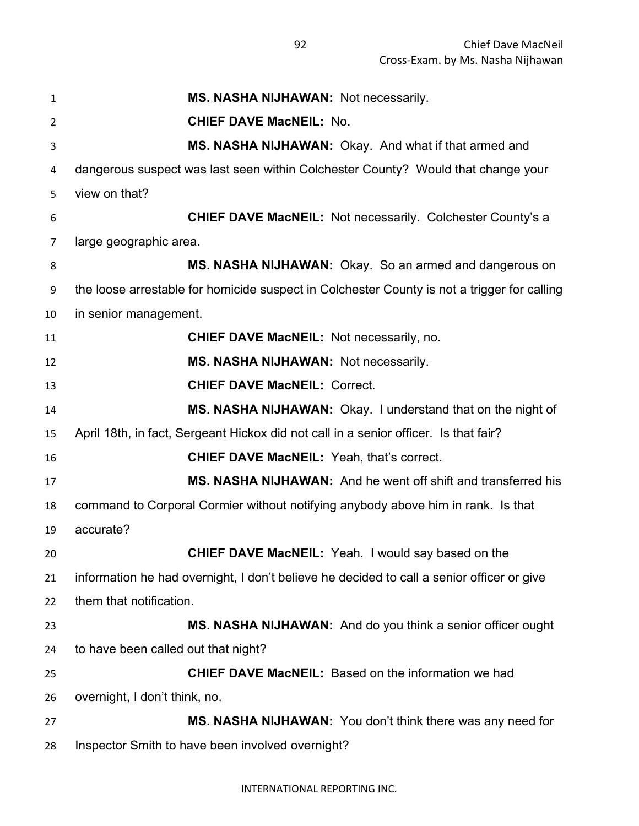| $\mathbf{1}$   | MS. NASHA NIJHAWAN: Not necessarily.                                                        |
|----------------|---------------------------------------------------------------------------------------------|
| $\overline{2}$ | <b>CHIEF DAVE MacNEIL: No.</b>                                                              |
| 3              | MS. NASHA NIJHAWAN: Okay. And what if that armed and                                        |
| 4              | dangerous suspect was last seen within Colchester County? Would that change your            |
| 5              | view on that?                                                                               |
| 6              | <b>CHIEF DAVE MacNEIL: Not necessarily. Colchester County's a</b>                           |
| 7              | large geographic area.                                                                      |
| 8              | MS. NASHA NIJHAWAN: Okay. So an armed and dangerous on                                      |
| 9              | the loose arrestable for homicide suspect in Colchester County is not a trigger for calling |
| 10             | in senior management.                                                                       |
| 11             | <b>CHIEF DAVE MacNEIL: Not necessarily, no.</b>                                             |
| 12             | MS. NASHA NIJHAWAN: Not necessarily.                                                        |
| 13             | <b>CHIEF DAVE MacNEIL: Correct.</b>                                                         |
| 14             | MS. NASHA NIJHAWAN: Okay. I understand that on the night of                                 |
| 15             | April 18th, in fact, Sergeant Hickox did not call in a senior officer. Is that fair?        |
| 16             | <b>CHIEF DAVE MacNEIL: Yeah, that's correct.</b>                                            |
| 17             | MS. NASHA NIJHAWAN: And he went off shift and transferred his                               |
| 18             | command to Corporal Cormier without notifying anybody above him in rank. Is that            |
| 19             | accurate?                                                                                   |
| 20             | <b>CHIEF DAVE MacNEIL:</b> Yeah. I would say based on the                                   |
| 21             | information he had overnight, I don't believe he decided to call a senior officer or give   |
| 22             | them that notification.                                                                     |
| 23             | MS. NASHA NIJHAWAN: And do you think a senior officer ought                                 |
| 24             | to have been called out that night?                                                         |
| 25             | <b>CHIEF DAVE MacNEIL:</b> Based on the information we had                                  |
| 26             | overnight, I don't think, no.                                                               |
| 27             | MS. NASHA NIJHAWAN: You don't think there was any need for                                  |
| 28             | Inspector Smith to have been involved overnight?                                            |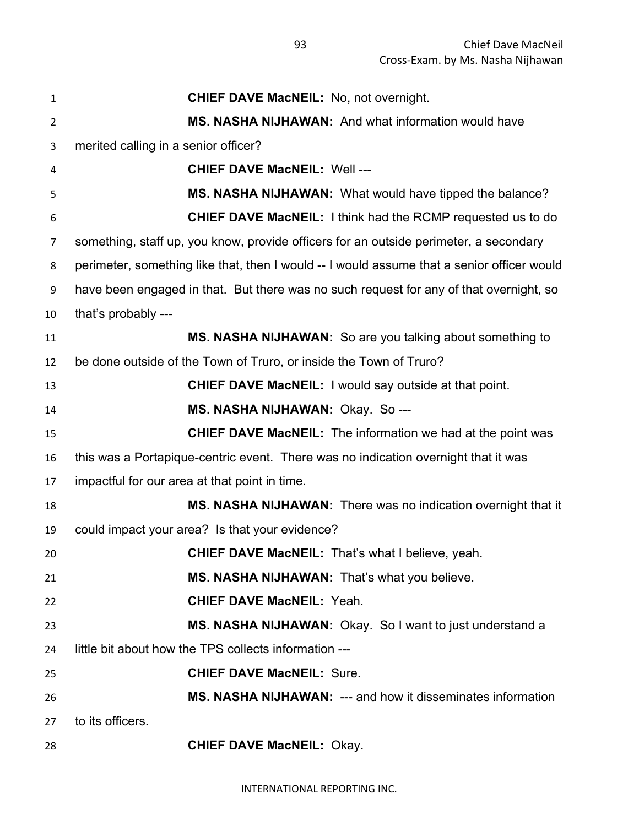| $\mathbf{1}$   | <b>CHIEF DAVE MacNEIL: No, not overnight.</b>                                              |
|----------------|--------------------------------------------------------------------------------------------|
| $\overline{2}$ | <b>MS. NASHA NIJHAWAN:</b> And what information would have                                 |
| 3              | merited calling in a senior officer?                                                       |
| 4              | <b>CHIEF DAVE MacNEIL: Well ---</b>                                                        |
| 5              | MS. NASHA NIJHAWAN: What would have tipped the balance?                                    |
| 6              | <b>CHIEF DAVE MacNEIL:</b> I think had the RCMP requested us to do                         |
| $\overline{7}$ | something, staff up, you know, provide officers for an outside perimeter, a secondary      |
| 8              | perimeter, something like that, then I would -- I would assume that a senior officer would |
| 9              | have been engaged in that. But there was no such request for any of that overnight, so     |
| 10             | that's probably ---                                                                        |
| 11             | MS. NASHA NIJHAWAN: So are you talking about something to                                  |
| 12             | be done outside of the Town of Truro, or inside the Town of Truro?                         |
| 13             | <b>CHIEF DAVE MacNEIL:</b> I would say outside at that point.                              |
| 14             | MS. NASHA NIJHAWAN: Okay. So---                                                            |
| 15             | <b>CHIEF DAVE MacNEIL:</b> The information we had at the point was                         |
| 16             | this was a Portapique-centric event. There was no indication overnight that it was         |
| 17             | impactful for our area at that point in time.                                              |
| 18             | MS. NASHA NIJHAWAN: There was no indication overnight that it                              |
| 19             | could impact your area? Is that your evidence?                                             |
| 20             | <b>CHIEF DAVE MacNEIL: That's what I believe, yeah.</b>                                    |
| 21             | MS. NASHA NIJHAWAN: That's what you believe.                                               |
| 22             | <b>CHIEF DAVE MacNEIL: Yeah.</b>                                                           |
| 23             | MS. NASHA NIJHAWAN: Okay. So I want to just understand a                                   |
| 24             | little bit about how the TPS collects information ---                                      |
| 25             | <b>CHIEF DAVE MacNEIL: Sure.</b>                                                           |
| 26             | MS. NASHA NIJHAWAN: --- and how it disseminates information                                |
| 27             | to its officers.                                                                           |
| 28             | <b>CHIEF DAVE MacNEIL: Okay.</b>                                                           |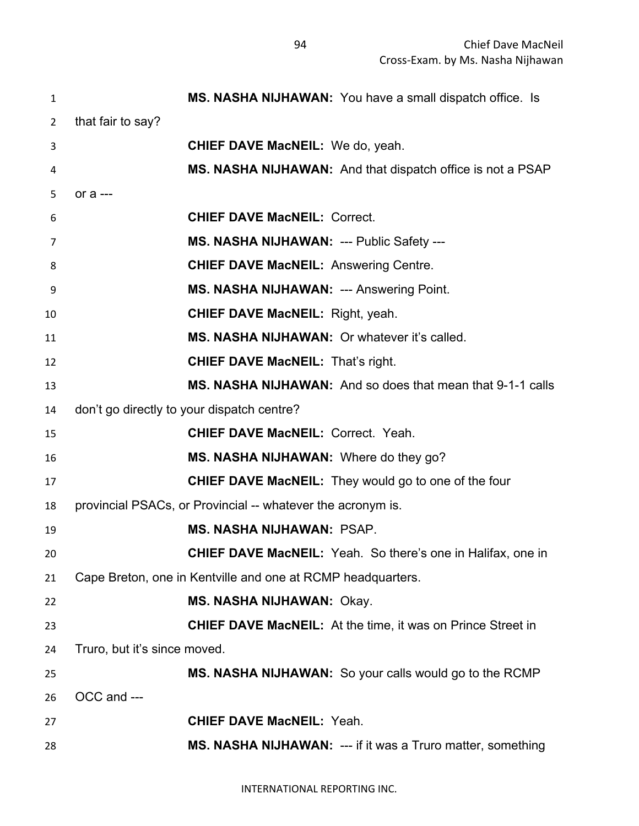| $\mathbf{1}$   | MS. NASHA NIJHAWAN: You have a small dispatch office. Is           |
|----------------|--------------------------------------------------------------------|
| $\overline{2}$ | that fair to say?                                                  |
| 3              | <b>CHIEF DAVE MacNEIL:</b> We do, yeah.                            |
| 4              | MS. NASHA NIJHAWAN: And that dispatch office is not a PSAP         |
| 5              | or a ---                                                           |
| 6              | <b>CHIEF DAVE MacNEIL: Correct.</b>                                |
| 7              | MS. NASHA NIJHAWAN: --- Public Safety ---                          |
| 8              | <b>CHIEF DAVE MacNEIL: Answering Centre.</b>                       |
| 9              | <b>MS. NASHA NIJHAWAN: --- Answering Point.</b>                    |
| 10             | <b>CHIEF DAVE MacNEIL:</b> Right, yeah.                            |
| 11             | MS. NASHA NIJHAWAN: Or whatever it's called.                       |
| 12             | <b>CHIEF DAVE MacNEIL: That's right.</b>                           |
| 13             | MS. NASHA NIJHAWAN: And so does that mean that 9-1-1 calls         |
| 14             | don't go directly to your dispatch centre?                         |
| 15             | <b>CHIEF DAVE MacNEIL: Correct. Yeah.</b>                          |
| 16             | MS. NASHA NIJHAWAN: Where do they go?                              |
| 17             | <b>CHIEF DAVE MacNEIL:</b> They would go to one of the four        |
| 18             | provincial PSACs, or Provincial -- whatever the acronym is.        |
| 19             | <b>MS. NASHA NIJHAWAN: PSAP.</b>                                   |
| 20             | <b>CHIEF DAVE MacNEIL:</b> Yeah. So there's one in Halifax, one in |
| 21             | Cape Breton, one in Kentville and one at RCMP headquarters.        |
| 22             | <b>MS. NASHA NIJHAWAN: Okay.</b>                                   |
| 23             | <b>CHIEF DAVE MacNEIL:</b> At the time, it was on Prince Street in |
| 24             | Truro, but it's since moved.                                       |
| 25             | MS. NASHA NIJHAWAN: So your calls would go to the RCMP             |
| 26             | OCC and ---                                                        |
| 27             | <b>CHIEF DAVE MacNEIL: Yeah.</b>                                   |
| 28             | MS. NASHA NIJHAWAN: --- if it was a Truro matter, something        |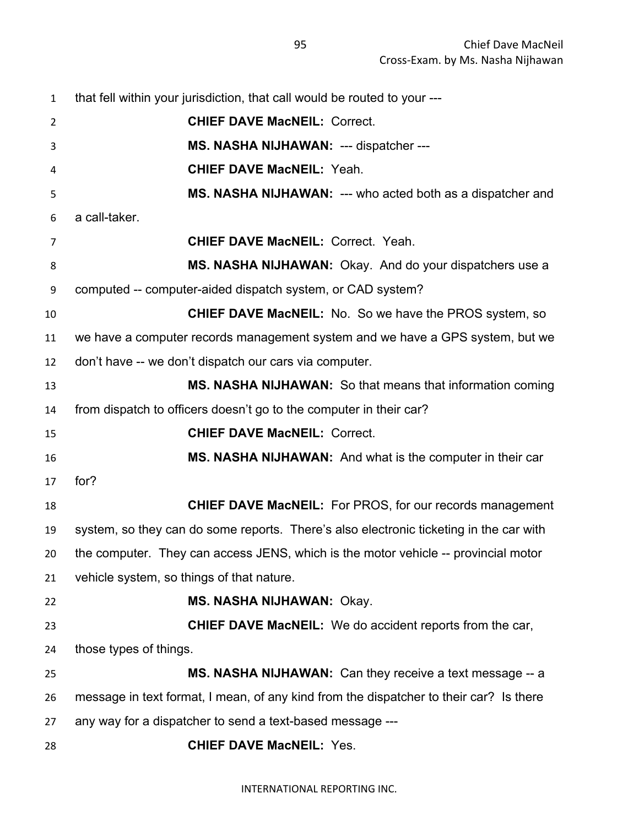| $\mathbf{1}$   | that fell within your jurisdiction, that call would be routed to your ---              |
|----------------|----------------------------------------------------------------------------------------|
| $\overline{2}$ | <b>CHIEF DAVE MacNEIL: Correct.</b>                                                    |
| 3              | MS. NASHA NIJHAWAN: --- dispatcher ---                                                 |
| 4              | <b>CHIEF DAVE MacNEIL: Yeah.</b>                                                       |
| 5              | MS. NASHA NIJHAWAN: --- who acted both as a dispatcher and                             |
| 6              | a call-taker.                                                                          |
| 7              | <b>CHIEF DAVE MacNEIL: Correct. Yeah.</b>                                              |
| 8              | MS. NASHA NIJHAWAN: Okay. And do your dispatchers use a                                |
| 9              | computed -- computer-aided dispatch system, or CAD system?                             |
| 10             | <b>CHIEF DAVE MacNEIL:</b> No. So we have the PROS system, so                          |
| 11             | we have a computer records management system and we have a GPS system, but we          |
| 12             | don't have -- we don't dispatch our cars via computer.                                 |
| 13             | MS. NASHA NIJHAWAN: So that means that information coming                              |
| 14             | from dispatch to officers doesn't go to the computer in their car?                     |
| 15             | <b>CHIEF DAVE MacNEIL: Correct.</b>                                                    |
| 16             | MS. NASHA NIJHAWAN: And what is the computer in their car                              |
| 17             | for?                                                                                   |
| 18             | <b>CHIEF DAVE MacNEIL:</b> For PROS, for our records management                        |
| 19             | system, so they can do some reports. There's also electronic ticketing in the car with |
| 20             | the computer. They can access JENS, which is the motor vehicle -- provincial motor     |
| 21             | vehicle system, so things of that nature.                                              |
| 22             | <b>MS. NASHA NIJHAWAN: Okay.</b>                                                       |
| 23             | <b>CHIEF DAVE MacNEIL:</b> We do accident reports from the car,                        |
| 24             | those types of things.                                                                 |
| 25             | MS. NASHA NIJHAWAN: Can they receive a text message -- a                               |
| 26             | message in text format, I mean, of any kind from the dispatcher to their car? Is there |
| 27             | any way for a dispatcher to send a text-based message ---                              |
| 28             | <b>CHIEF DAVE MacNEIL: Yes.</b>                                                        |
|                |                                                                                        |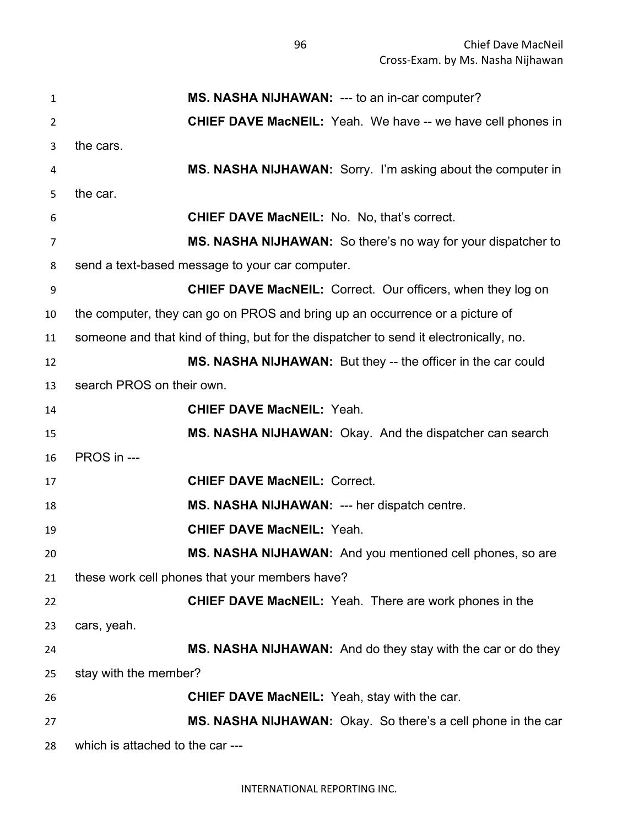**MS. NASHA NIJHAWAN:** --- to an in-car computer? **CHIEF DAVE MacNEIL:** Yeah. We have -- we have cell phones in the cars. **MS. NASHA NIJHAWAN:** Sorry. I'm asking about the computer in the car. **CHIEF DAVE MacNEIL:** No. No, that's correct. **MS. NASHA NIJHAWAN:** So there's no way for your dispatcher to send a text-based message to your car computer. **CHIEF DAVE MacNEIL:** Correct. Our officers, when they log on the computer, they can go on PROS and bring up an occurrence or a picture of someone and that kind of thing, but for the dispatcher to send it electronically, no. **MS. NASHA NIJHAWAN:** But they -- the officer in the car could search PROS on their own. **CHIEF DAVE MacNEIL:** Yeah. **MS. NASHA NIJHAWAN:** Okay. And the dispatcher can search PROS in --- **CHIEF DAVE MacNEIL:** Correct. **MS. NASHA NIJHAWAN:** --- her dispatch centre. **CHIEF DAVE MacNEIL:** Yeah. **MS. NASHA NIJHAWAN:** And you mentioned cell phones, so are these work cell phones that your members have? **CHIEF DAVE MacNEIL:** Yeah. There are work phones in the cars, yeah. **MS. NASHA NIJHAWAN:** And do they stay with the car or do they stay with the member? **CHIEF DAVE MacNEIL:** Yeah, stay with the car. **MS. NASHA NIJHAWAN:** Okay. So there's a cell phone in the car which is attached to the car ---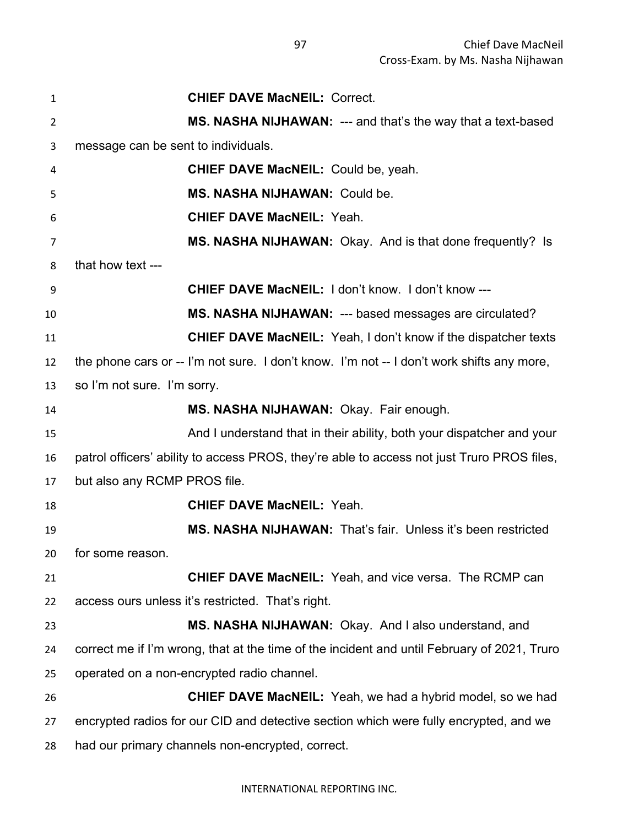| 1              | <b>CHIEF DAVE MacNEIL: Correct.</b>                                                         |
|----------------|---------------------------------------------------------------------------------------------|
| 2              | MS. NASHA NIJHAWAN: --- and that's the way that a text-based                                |
| 3              | message can be sent to individuals.                                                         |
| 4              | <b>CHIEF DAVE MacNEIL: Could be, yeah.</b>                                                  |
| 5              | MS. NASHA NIJHAWAN: Could be.                                                               |
| 6              | <b>CHIEF DAVE MacNEIL: Yeah.</b>                                                            |
| $\overline{7}$ | MS. NASHA NIJHAWAN: Okay. And is that done frequently? Is                                   |
| 8              | that how text ---                                                                           |
| 9              | <b>CHIEF DAVE MacNEIL: I don't know. I don't know ---</b>                                   |
| 10             | MS. NASHA NIJHAWAN: --- based messages are circulated?                                      |
| 11             | <b>CHIEF DAVE MacNEIL:</b> Yeah, I don't know if the dispatcher texts                       |
| 12             | the phone cars or -- I'm not sure. I don't know. I'm not -- I don't work shifts any more,   |
| 13             | so I'm not sure. I'm sorry.                                                                 |
| 14             | MS. NASHA NIJHAWAN: Okay. Fair enough.                                                      |
| 15             | And I understand that in their ability, both your dispatcher and your                       |
| 16             | patrol officers' ability to access PROS, they're able to access not just Truro PROS files,  |
| 17             | but also any RCMP PROS file.                                                                |
| 18             | <b>CHIEF DAVE MacNEIL: Yeah.</b>                                                            |
| 19             | MS. NASHA NIJHAWAN: That's fair. Unless it's been restricted                                |
| 20             | for some reason.                                                                            |
| 21             | <b>CHIEF DAVE MacNEIL:</b> Yeah, and vice versa. The RCMP can                               |
| 22             | access ours unless it's restricted. That's right.                                           |
| 23             | MS. NASHA NIJHAWAN: Okay. And I also understand, and                                        |
| 24             | correct me if I'm wrong, that at the time of the incident and until February of 2021, Truro |
| 25             | operated on a non-encrypted radio channel.                                                  |
| 26             | <b>CHIEF DAVE MacNEIL:</b> Yeah, we had a hybrid model, so we had                           |
| 27             | encrypted radios for our CID and detective section which were fully encrypted, and we       |
| 28             | had our primary channels non-encrypted, correct.                                            |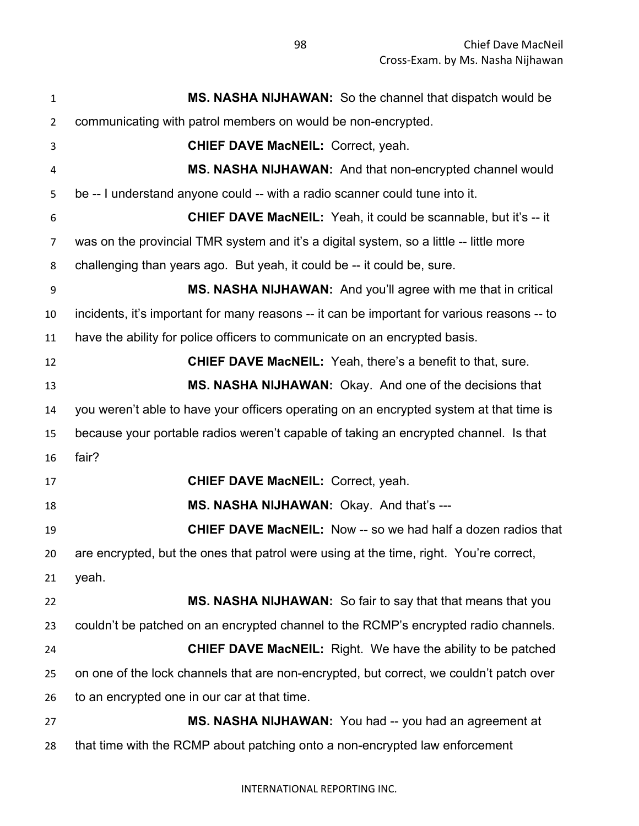**MS. NASHA NIJHAWAN:** So the channel that dispatch would be communicating with patrol members on would be non-encrypted. **CHIEF DAVE MacNEIL:** Correct, yeah. **MS. NASHA NIJHAWAN:** And that non-encrypted channel would be -- I understand anyone could -- with a radio scanner could tune into it. **CHIEF DAVE MacNEIL:** Yeah, it could be scannable, but it's -- it was on the provincial TMR system and it's a digital system, so a little -- little more challenging than years ago. But yeah, it could be -- it could be, sure. **MS. NASHA NIJHAWAN:** And you'll agree with me that in critical incidents, it's important for many reasons -- it can be important for various reasons -- to have the ability for police officers to communicate on an encrypted basis. **CHIEF DAVE MacNEIL:** Yeah, there's a benefit to that, sure. **MS. NASHA NIJHAWAN:** Okay. And one of the decisions that you weren't able to have your officers operating on an encrypted system at that time is because your portable radios weren't capable of taking an encrypted channel. Is that fair? **CHIEF DAVE MacNEIL:** Correct, yeah. **MS. NASHA NIJHAWAN:** Okay. And that's --- **CHIEF DAVE MacNEIL:** Now -- so we had half a dozen radios that are encrypted, but the ones that patrol were using at the time, right. You're correct, yeah. **MS. NASHA NIJHAWAN:** So fair to say that that means that you couldn't be patched on an encrypted channel to the RCMP's encrypted radio channels. **CHIEF DAVE MacNEIL:** Right. We have the ability to be patched on one of the lock channels that are non-encrypted, but correct, we couldn't patch over to an encrypted one in our car at that time. **MS. NASHA NIJHAWAN:** You had -- you had an agreement at that time with the RCMP about patching onto a non-encrypted law enforcement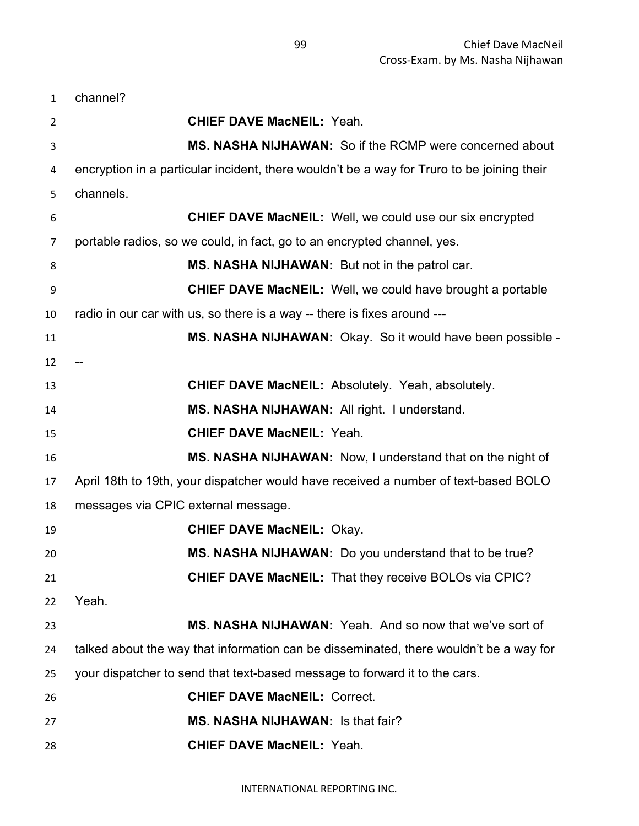| $\mathbf{1}$   | channel?                                                                                   |
|----------------|--------------------------------------------------------------------------------------------|
| $\overline{2}$ | <b>CHIEF DAVE MacNEIL: Yeah.</b>                                                           |
| 3              | MS. NASHA NIJHAWAN: So if the RCMP were concerned about                                    |
| 4              | encryption in a particular incident, there wouldn't be a way for Truro to be joining their |
| 5              | channels.                                                                                  |
| 6              | <b>CHIEF DAVE MacNEIL:</b> Well, we could use our six encrypted                            |
| 7              | portable radios, so we could, in fact, go to an encrypted channel, yes.                    |
| 8              | MS. NASHA NIJHAWAN: But not in the patrol car.                                             |
| 9              | <b>CHIEF DAVE MacNEIL:</b> Well, we could have brought a portable                          |
| 10             | radio in our car with us, so there is a way -- there is fixes around ---                   |
| 11             | MS. NASHA NIJHAWAN: Okay. So it would have been possible -                                 |
| 12             |                                                                                            |
| 13             | <b>CHIEF DAVE MacNEIL: Absolutely. Yeah, absolutely.</b>                                   |
| 14             | MS. NASHA NIJHAWAN: All right. I understand.                                               |
| 15             | <b>CHIEF DAVE MacNEIL: Yeah.</b>                                                           |
| 16             | MS. NASHA NIJHAWAN: Now, I understand that on the night of                                 |
| 17             | April 18th to 19th, your dispatcher would have received a number of text-based BOLO        |
| 18             | messages via CPIC external message.                                                        |
| 19             | <b>CHIEF DAVE MacNEIL: Okay.</b>                                                           |
| 20             | MS. NASHA NIJHAWAN: Do you understand that to be true?                                     |
| 21             | <b>CHIEF DAVE MacNEIL:</b> That they receive BOLOs via CPIC?                               |
| 22             | Yeah.                                                                                      |
| 23             | MS. NASHA NIJHAWAN: Yeah. And so now that we've sort of                                    |
| 24             | talked about the way that information can be disseminated, there wouldn't be a way for     |
| 25             | your dispatcher to send that text-based message to forward it to the cars.                 |
| 26             | <b>CHIEF DAVE MacNEIL: Correct.</b>                                                        |
| 27             | <b>MS. NASHA NIJHAWAN: Is that fair?</b>                                                   |
| 28             | <b>CHIEF DAVE MacNEIL: Yeah.</b>                                                           |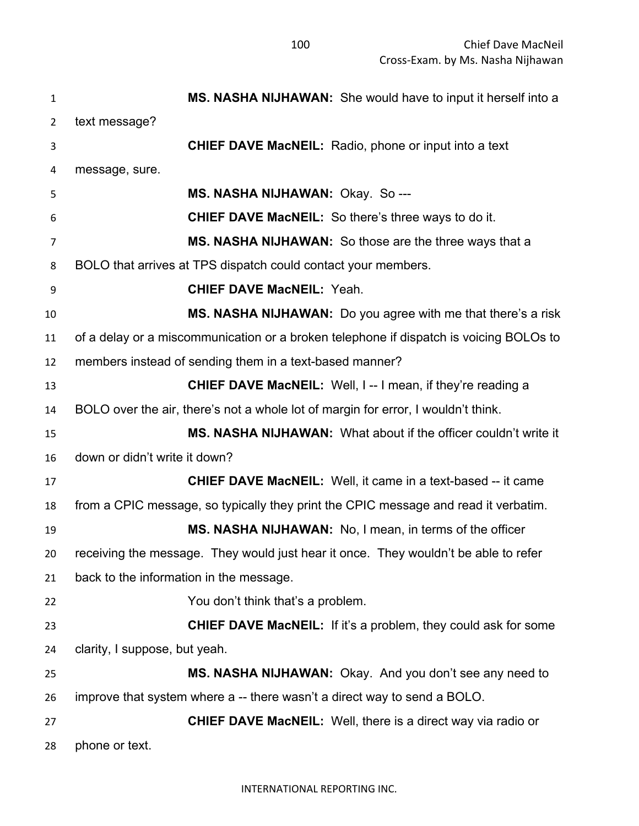**MS. NASHA NIJHAWAN:** She would have to input it herself into a text message? **CHIEF DAVE MacNEIL:** Radio, phone or input into a text message, sure. **MS. NASHA NIJHAWAN:** Okay. So --- **CHIEF DAVE MacNEIL:** So there's three ways to do it. **MS. NASHA NIJHAWAN:** So those are the three ways that a BOLO that arrives at TPS dispatch could contact your members. **CHIEF DAVE MacNEIL:** Yeah. **MS. NASHA NIJHAWAN:** Do you agree with me that there's a risk of a delay or a miscommunication or a broken telephone if dispatch is voicing BOLOs to members instead of sending them in a text-based manner? **CHIEF DAVE MacNEIL:** Well, I -- I mean, if they're reading a BOLO over the air, there's not a whole lot of margin for error, I wouldn't think. **MS. NASHA NIJHAWAN:** What about if the officer couldn't write it down or didn't write it down? **CHIEF DAVE MacNEIL:** Well, it came in a text-based -- it came from a CPIC message, so typically they print the CPIC message and read it verbatim. **MS. NASHA NIJHAWAN:** No, I mean, in terms of the officer receiving the message. They would just hear it once. They wouldn't be able to refer back to the information in the message. You don't think that's a problem. **CHIEF DAVE MacNEIL:** If it's a problem, they could ask for some clarity, I suppose, but yeah. **MS. NASHA NIJHAWAN:** Okay. And you don't see any need to improve that system where a -- there wasn't a direct way to send a BOLO. **CHIEF DAVE MacNEIL:** Well, there is a direct way via radio or phone or text.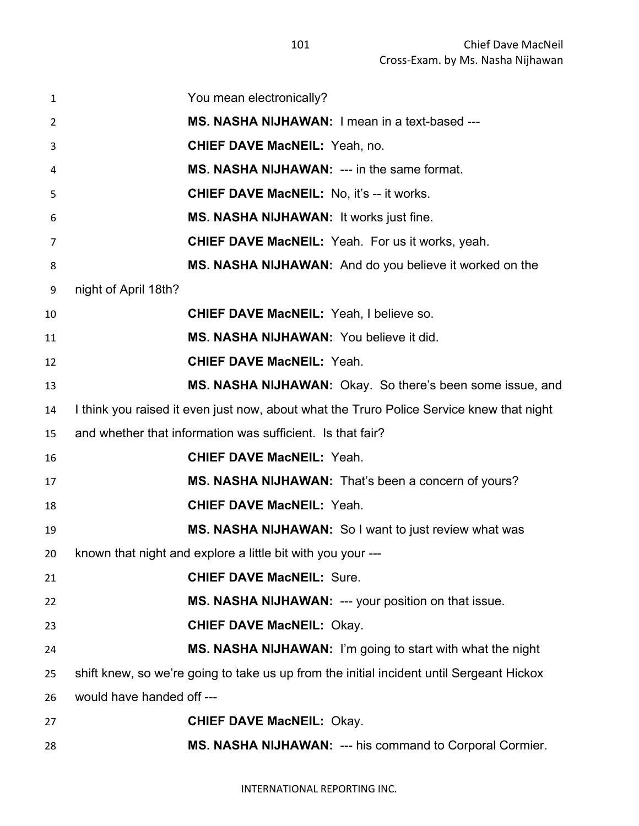| 1  | You mean electronically?                                                                 |
|----|------------------------------------------------------------------------------------------|
| 2  | MS. NASHA NIJHAWAN: I mean in a text-based ---                                           |
| 3  | <b>CHIEF DAVE MacNEIL: Yeah, no.</b>                                                     |
| 4  | <b>MS. NASHA NIJHAWAN: --- in the same format.</b>                                       |
| 5  | <b>CHIEF DAVE MacNEIL: No, it's -- it works.</b>                                         |
| 6  | MS. NASHA NIJHAWAN: It works just fine.                                                  |
| 7  | <b>CHIEF DAVE MacNEIL:</b> Yeah. For us it works, yeah.                                  |
| 8  | MS. NASHA NIJHAWAN: And do you believe it worked on the                                  |
| 9  | night of April 18th?                                                                     |
| 10 | <b>CHIEF DAVE MacNEIL: Yeah, I believe so.</b>                                           |
| 11 | MS. NASHA NIJHAWAN: You believe it did.                                                  |
| 12 | <b>CHIEF DAVE MacNEIL: Yeah.</b>                                                         |
| 13 | MS. NASHA NIJHAWAN: Okay. So there's been some issue, and                                |
| 14 | I think you raised it even just now, about what the Truro Police Service knew that night |
| 15 | and whether that information was sufficient. Is that fair?                               |
| 16 | <b>CHIEF DAVE MacNEIL: Yeah.</b>                                                         |
| 17 | MS. NASHA NIJHAWAN: That's been a concern of yours?                                      |
| 18 | <b>CHIEF DAVE MacNEIL: Yeah.</b>                                                         |
| 19 | MS. NASHA NIJHAWAN: So I want to just review what was                                    |
| 20 | known that night and explore a little bit with you your ---                              |
| 21 | <b>CHIEF DAVE MacNEIL: Sure.</b>                                                         |
| 22 | MS. NASHA NIJHAWAN: --- your position on that issue.                                     |
| 23 | <b>CHIEF DAVE MacNEIL: Okay.</b>                                                         |
| 24 | MS. NASHA NIJHAWAN: I'm going to start with what the night                               |
| 25 | shift knew, so we're going to take us up from the initial incident until Sergeant Hickox |
| 26 | would have handed off ---                                                                |
| 27 | <b>CHIEF DAVE MacNEIL: Okay.</b>                                                         |
| 28 | MS. NASHA NIJHAWAN: --- his command to Corporal Cormier.                                 |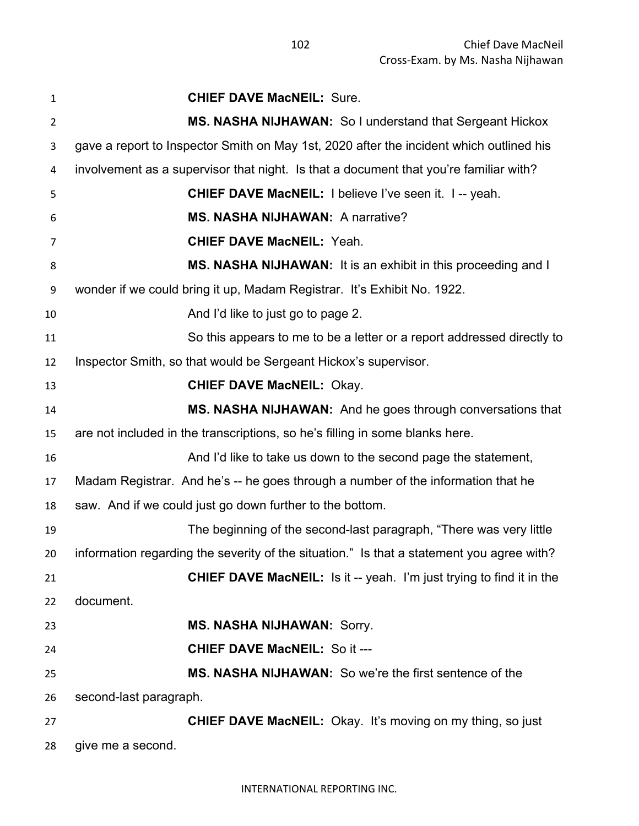| 1              | <b>CHIEF DAVE MacNEIL: Sure.</b>                                                          |
|----------------|-------------------------------------------------------------------------------------------|
| 2              | MS. NASHA NIJHAWAN: So I understand that Sergeant Hickox                                  |
| 3              | gave a report to Inspector Smith on May 1st, 2020 after the incident which outlined his   |
| 4              | involvement as a supervisor that night. Is that a document that you're familiar with?     |
| 5              | <b>CHIEF DAVE MacNEIL: I believe I've seen it. I -- yeah.</b>                             |
| 6              | <b>MS. NASHA NIJHAWAN: A narrative?</b>                                                   |
| $\overline{7}$ | <b>CHIEF DAVE MacNEIL: Yeah.</b>                                                          |
| 8              | MS. NASHA NIJHAWAN: It is an exhibit in this proceeding and I                             |
| 9              | wonder if we could bring it up, Madam Registrar. It's Exhibit No. 1922.                   |
| 10             | And I'd like to just go to page 2.                                                        |
| 11             | So this appears to me to be a letter or a report addressed directly to                    |
| 12             | Inspector Smith, so that would be Sergeant Hickox's supervisor.                           |
| 13             | <b>CHIEF DAVE MacNEIL: Okay.</b>                                                          |
| 14             | MS. NASHA NIJHAWAN: And he goes through conversations that                                |
| 15             | are not included in the transcriptions, so he's filling in some blanks here.              |
| 16             | And I'd like to take us down to the second page the statement,                            |
| 17             | Madam Registrar. And he's -- he goes through a number of the information that he          |
| 18             | saw. And if we could just go down further to the bottom.                                  |
| 19             | The beginning of the second-last paragraph, "There was very little                        |
| 20             | information regarding the severity of the situation." Is that a statement you agree with? |
| 21             | <b>CHIEF DAVE MacNEIL:</b> Is it -- yeah. I'm just trying to find it in the               |
| 22             | document.                                                                                 |
| 23             | <b>MS. NASHA NIJHAWAN: Sorry.</b>                                                         |
| 24             | <b>CHIEF DAVE MacNEIL: So it ---</b>                                                      |
| 25             | MS. NASHA NIJHAWAN: So we're the first sentence of the                                    |
| 26             | second-last paragraph.                                                                    |
| 27             | <b>CHIEF DAVE MacNEIL:</b> Okay. It's moving on my thing, so just                         |
| 28             | give me a second.                                                                         |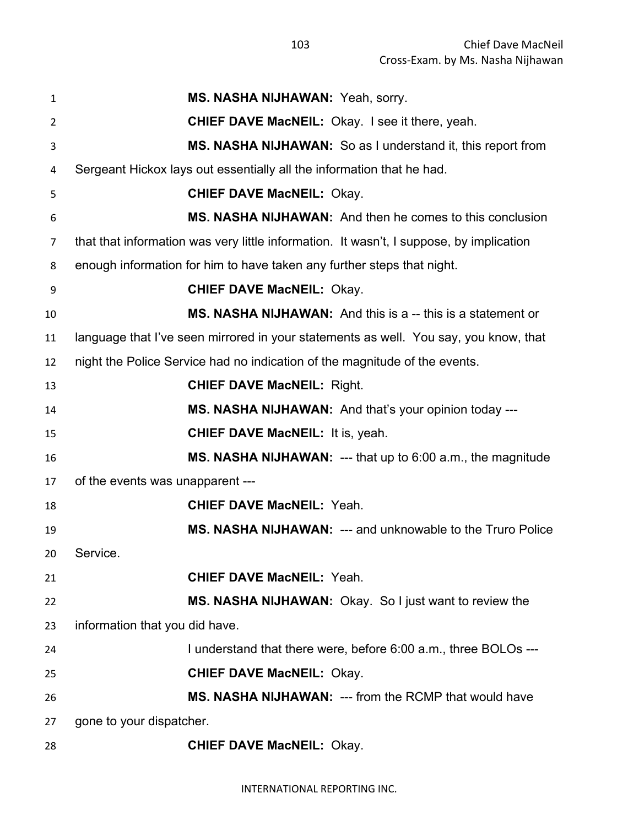| $\mathbf{1}$    | MS. NASHA NIJHAWAN: Yeah, sorry.                                                        |  |
|-----------------|-----------------------------------------------------------------------------------------|--|
| $\overline{2}$  | <b>CHIEF DAVE MacNEIL:</b> Okay. I see it there, yeah.                                  |  |
| 3               | MS. NASHA NIJHAWAN: So as I understand it, this report from                             |  |
| 4               | Sergeant Hickox lays out essentially all the information that he had.                   |  |
| 5               | <b>CHIEF DAVE MacNEIL: Okay.</b>                                                        |  |
| 6               | MS. NASHA NIJHAWAN: And then he comes to this conclusion                                |  |
| $\overline{7}$  | that that information was very little information. It wasn't, I suppose, by implication |  |
| 8               | enough information for him to have taken any further steps that night.                  |  |
| 9               | <b>CHIEF DAVE MacNEIL: Okay.</b>                                                        |  |
| 10              | <b>MS. NASHA NIJHAWAN:</b> And this is a -- this is a statement or                      |  |
| 11              | language that I've seen mirrored in your statements as well. You say, you know, that    |  |
| 12              | night the Police Service had no indication of the magnitude of the events.              |  |
| 13              | <b>CHIEF DAVE MacNEIL: Right.</b>                                                       |  |
| 14              | MS. NASHA NIJHAWAN: And that's your opinion today ---                                   |  |
| 15              | <b>CHIEF DAVE MacNEIL: It is, yeah.</b>                                                 |  |
| 16              | <b>MS. NASHA NIJHAWAN:</b> --- that up to $6:00$ a.m., the magnitude                    |  |
| 17              | of the events was unapparent ---                                                        |  |
| 18              | <b>CHIEF DAVE MacNEIL: Yeah.</b>                                                        |  |
| 19              | MS. NASHA NIJHAWAN: --- and unknowable to the Truro Police                              |  |
| 20 <sub>2</sub> | Service.                                                                                |  |
| 21              | <b>CHIEF DAVE MacNEIL: Yeah.</b>                                                        |  |
| 22              | <b>MS. NASHA NIJHAWAN:</b> Okay. So I just want to review the                           |  |
| 23              | information that you did have.                                                          |  |
| 24              | I understand that there were, before 6:00 a.m., three BOLOs ---                         |  |
| 25              | <b>CHIEF DAVE MacNEIL: Okay.</b>                                                        |  |
| 26              | <b>MS. NASHA NIJHAWAN: --- from the RCMP that would have</b>                            |  |
| 27              | gone to your dispatcher.                                                                |  |
| 28              | <b>CHIEF DAVE MacNEIL: Okay.</b>                                                        |  |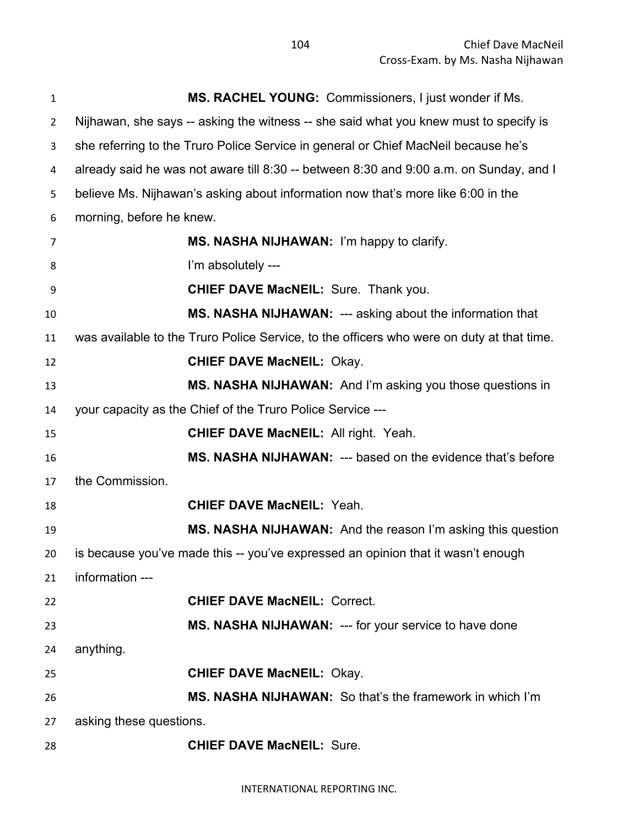| $\mathbf{1}$   | MS. RACHEL YOUNG: Commissioners, I just wonder if Ms.                                     |  |  |
|----------------|-------------------------------------------------------------------------------------------|--|--|
| $\overline{2}$ | Nijhawan, she says -- asking the witness -- she said what you knew must to specify is     |  |  |
| 3              | she referring to the Truro Police Service in general or Chief MacNeil because he's        |  |  |
| 4              | already said he was not aware till 8:30 -- between 8:30 and 9:00 a.m. on Sunday, and I    |  |  |
| 5              | believe Ms. Nijhawan's asking about information now that's more like 6:00 in the          |  |  |
| 6              | morning, before he knew.                                                                  |  |  |
| 7              | MS. NASHA NIJHAWAN: I'm happy to clarify.                                                 |  |  |
| 8              | I'm absolutely ---                                                                        |  |  |
| 9              | <b>CHIEF DAVE MacNEIL: Sure. Thank you.</b>                                               |  |  |
| 10             | MS. NASHA NIJHAWAN: --- asking about the information that                                 |  |  |
| 11             | was available to the Truro Police Service, to the officers who were on duty at that time. |  |  |
| 12             | <b>CHIEF DAVE MacNEIL: Okay.</b>                                                          |  |  |
| 13             | MS. NASHA NIJHAWAN: And I'm asking you those questions in                                 |  |  |
| 14             | your capacity as the Chief of the Truro Police Service ---                                |  |  |
| 15             | <b>CHIEF DAVE MacNEIL: All right. Yeah.</b>                                               |  |  |
| 16             | MS. NASHA NIJHAWAN: --- based on the evidence that's before                               |  |  |
| 17             | the Commission.                                                                           |  |  |
| 18             | <b>CHIEF DAVE MacNEIL: Yeah.</b>                                                          |  |  |
| 19             | MS. NASHA NIJHAWAN: And the reason I'm asking this question                               |  |  |
| 20             | is because you've made this -- you've expressed an opinion that it wasn't enough          |  |  |
| 21             | information ---                                                                           |  |  |
| 22             | <b>CHIEF DAVE MacNEIL: Correct.</b>                                                       |  |  |
| 23             | <b>MS. NASHA NIJHAWAN: --- for your service to have done</b>                              |  |  |
| 24             | anything.                                                                                 |  |  |
| 25             | <b>CHIEF DAVE MacNEIL: Okay.</b>                                                          |  |  |
| 26             | MS. NASHA NIJHAWAN: So that's the framework in which I'm                                  |  |  |
| 27             | asking these questions.                                                                   |  |  |
| 28             | <b>CHIEF DAVE MacNEIL: Sure.</b>                                                          |  |  |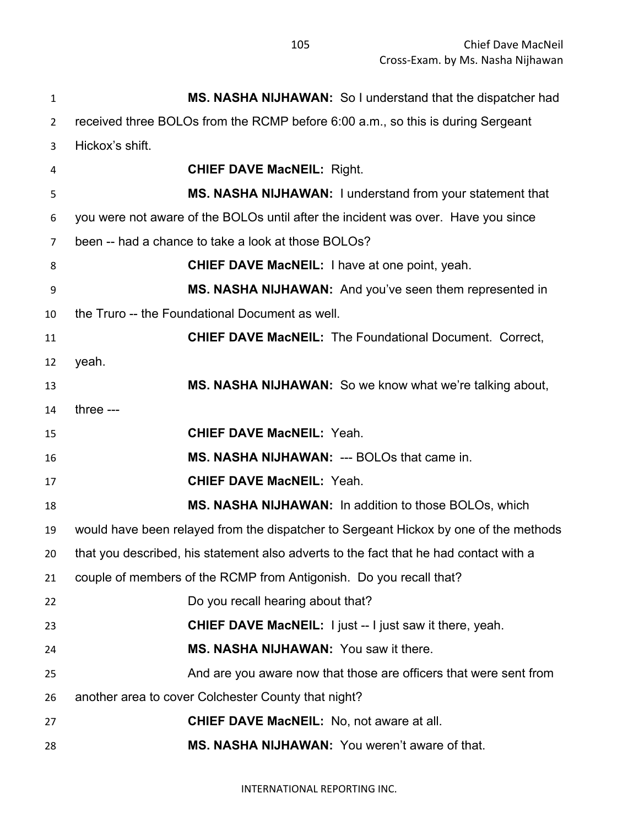| $\mathbf{1}$   | MS. NASHA NIJHAWAN: So I understand that the dispatcher had                           |  |  |
|----------------|---------------------------------------------------------------------------------------|--|--|
| $\overline{2}$ | received three BOLOs from the RCMP before 6:00 a.m., so this is during Sergeant       |  |  |
| 3              | Hickox's shift.                                                                       |  |  |
| 4              | <b>CHIEF DAVE MacNEIL: Right.</b>                                                     |  |  |
| 5              | MS. NASHA NIJHAWAN: I understand from your statement that                             |  |  |
| 6              | you were not aware of the BOLOs until after the incident was over. Have you since     |  |  |
| 7              | been -- had a chance to take a look at those BOLOs?                                   |  |  |
| 8              | <b>CHIEF DAVE MacNEIL: I have at one point, yeah.</b>                                 |  |  |
| 9              | MS. NASHA NIJHAWAN: And you've seen them represented in                               |  |  |
| 10             | the Truro -- the Foundational Document as well.                                       |  |  |
| 11             | <b>CHIEF DAVE MacNEIL:</b> The Foundational Document. Correct,                        |  |  |
| 12             | yeah.                                                                                 |  |  |
| 13             | <b>MS. NASHA NIJHAWAN:</b> So we know what we're talking about,                       |  |  |
| 14             | three ---                                                                             |  |  |
| 15             | <b>CHIEF DAVE MacNEIL: Yeah.</b>                                                      |  |  |
| 16             | MS. NASHA NIJHAWAN: --- BOLOs that came in.                                           |  |  |
| 17             | <b>CHIEF DAVE MacNEIL: Yeah.</b>                                                      |  |  |
| 18             | MS. NASHA NIJHAWAN: In addition to those BOLOs, which                                 |  |  |
| 19             | would have been relayed from the dispatcher to Sergeant Hickox by one of the methods  |  |  |
| 20             | that you described, his statement also adverts to the fact that he had contact with a |  |  |
| 21             | couple of members of the RCMP from Antigonish. Do you recall that?                    |  |  |
| 22             | Do you recall hearing about that?                                                     |  |  |
| 23             | <b>CHIEF DAVE MacNEIL:</b> I just -- I just saw it there, yeah.                       |  |  |
| 24             | MS. NASHA NIJHAWAN: You saw it there.                                                 |  |  |
| 25             | And are you aware now that those are officers that were sent from                     |  |  |
| 26             | another area to cover Colchester County that night?                                   |  |  |
| 27             | <b>CHIEF DAVE MacNEIL:</b> No, not aware at all.                                      |  |  |
| 28             | MS. NASHA NIJHAWAN: You weren't aware of that.                                        |  |  |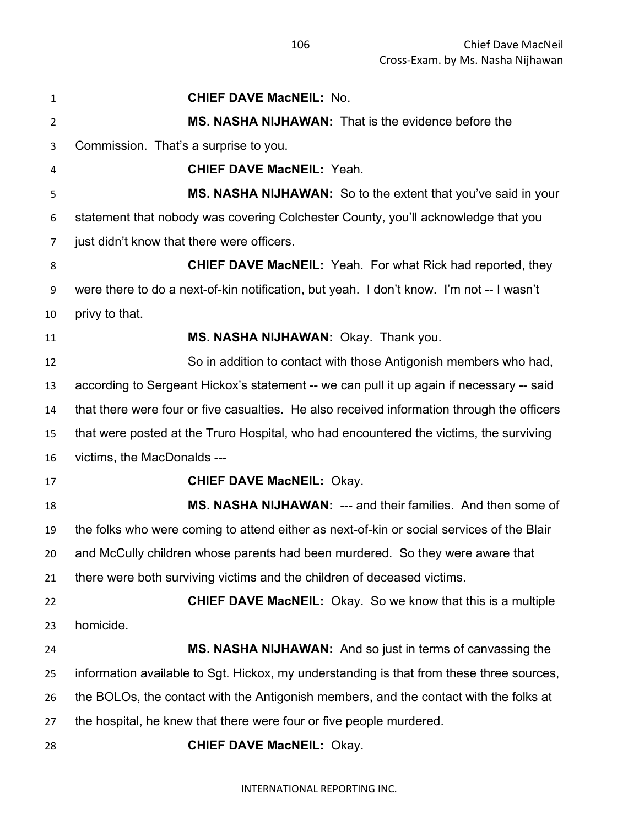| $\mathbf{1}$ | <b>CHIEF DAVE MacNEIL: No.</b>                                                             |  |  |  |
|--------------|--------------------------------------------------------------------------------------------|--|--|--|
| 2            | MS. NASHA NIJHAWAN: That is the evidence before the                                        |  |  |  |
| 3            | Commission. That's a surprise to you.                                                      |  |  |  |
| 4            | <b>CHIEF DAVE MacNEIL: Yeah.</b>                                                           |  |  |  |
| 5            | MS. NASHA NIJHAWAN: So to the extent that you've said in your                              |  |  |  |
| 6            | statement that nobody was covering Colchester County, you'll acknowledge that you          |  |  |  |
| 7            | just didn't know that there were officers.                                                 |  |  |  |
| 8            | <b>CHIEF DAVE MacNEIL:</b> Yeah. For what Rick had reported, they                          |  |  |  |
| 9            | were there to do a next-of-kin notification, but yeah. I don't know. I'm not -- I wasn't   |  |  |  |
| 10           | privy to that.                                                                             |  |  |  |
| 11           | MS. NASHA NIJHAWAN: Okay. Thank you.                                                       |  |  |  |
| 12           | So in addition to contact with those Antigonish members who had,                           |  |  |  |
| 13           | according to Sergeant Hickox's statement -- we can pull it up again if necessary -- said   |  |  |  |
| 14           | that there were four or five casualties. He also received information through the officers |  |  |  |
| 15           | that were posted at the Truro Hospital, who had encountered the victims, the surviving     |  |  |  |
| 16           | victims, the MacDonalds ---                                                                |  |  |  |
| 17           | <b>CHIEF DAVE MacNEIL: Okay.</b>                                                           |  |  |  |
| 18           | MS. NASHA NIJHAWAN: --- and their families. And then some of                               |  |  |  |
| 19           | the folks who were coming to attend either as next-of-kin or social services of the Blair  |  |  |  |
| 20           | and McCully children whose parents had been murdered. So they were aware that              |  |  |  |
| 21           | there were both surviving victims and the children of deceased victims.                    |  |  |  |
| 22           | <b>CHIEF DAVE MacNEIL:</b> Okay. So we know that this is a multiple                        |  |  |  |
| 23           | homicide.                                                                                  |  |  |  |
| 24           | MS. NASHA NIJHAWAN: And so just in terms of canvassing the                                 |  |  |  |
| 25           | information available to Sgt. Hickox, my understanding is that from these three sources,   |  |  |  |
| 26           | the BOLOs, the contact with the Antigonish members, and the contact with the folks at      |  |  |  |
| 27           | the hospital, he knew that there were four or five people murdered.                        |  |  |  |
| 28           | <b>CHIEF DAVE MacNEIL: Okay.</b>                                                           |  |  |  |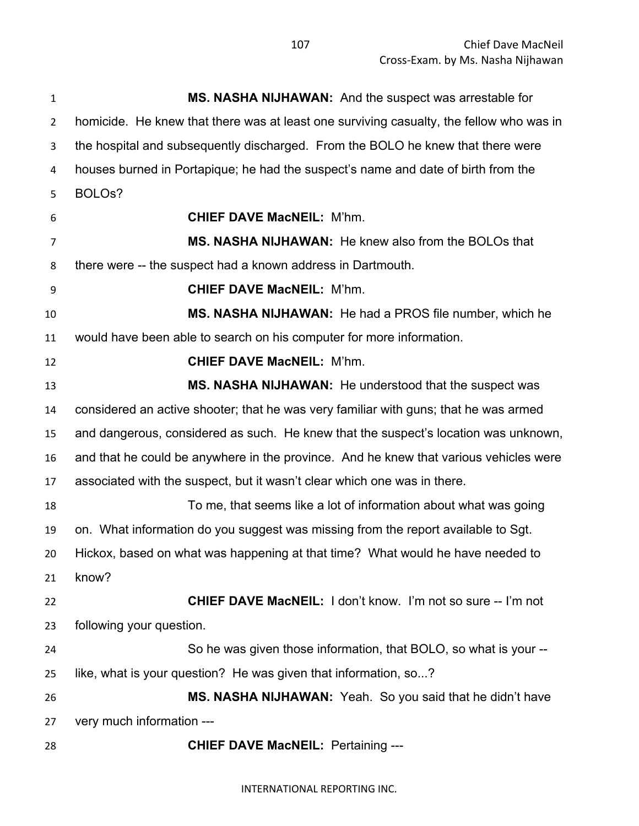| $\mathbf{1}$   | MS. NASHA NIJHAWAN: And the suspect was arrestable for                                  |
|----------------|-----------------------------------------------------------------------------------------|
| $\overline{2}$ | homicide. He knew that there was at least one surviving casualty, the fellow who was in |
| 3              | the hospital and subsequently discharged. From the BOLO he knew that there were         |
| 4              | houses burned in Portapique; he had the suspect's name and date of birth from the       |
| 5              | BOLO <sub>s</sub> ?                                                                     |
| 6              | <b>CHIEF DAVE MacNEIL: M'hm.</b>                                                        |
| 7              | <b>MS. NASHA NIJHAWAN:</b> He knew also from the BOLOs that                             |
| 8              | there were -- the suspect had a known address in Dartmouth.                             |
| 9              | <b>CHIEF DAVE MacNEIL: M'hm.</b>                                                        |
| 10             | <b>MS. NASHA NIJHAWAN:</b> He had a PROS file number, which he                          |
| 11             | would have been able to search on his computer for more information.                    |
| 12             | <b>CHIEF DAVE MacNEIL: M'hm.</b>                                                        |
| 13             | MS. NASHA NIJHAWAN: He understood that the suspect was                                  |
| 14             | considered an active shooter; that he was very familiar with guns; that he was armed    |
| 15             | and dangerous, considered as such. He knew that the suspect's location was unknown,     |
| 16             | and that he could be anywhere in the province. And he knew that various vehicles were   |
| 17             | associated with the suspect, but it wasn't clear which one was in there.                |
| 18             | To me, that seems like a lot of information about what was going                        |
| 19             | on. What information do you suggest was missing from the report available to Sgt.       |
| 20             | Hickox, based on what was happening at that time? What would he have needed to          |
| 21             | know?                                                                                   |
| 22             | CHIEF DAVE MacNEIL: I don't know. I'm not so sure -- I'm not                            |
| 23             | following your question.                                                                |
| 24             | So he was given those information, that BOLO, so what is your --                        |
| 25             | like, what is your question? He was given that information, so?                         |
| 26             | MS. NASHA NIJHAWAN: Yeah. So you said that he didn't have                               |
| 27             | very much information ---                                                               |
| 28             | <b>CHIEF DAVE MacNEIL: Pertaining ---</b>                                               |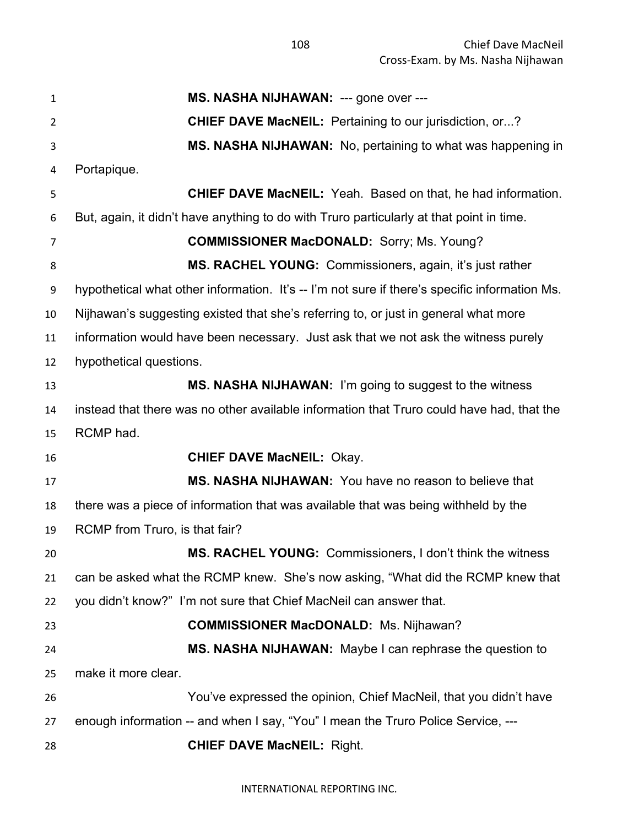**MS. NASHA NIJHAWAN:** --- gone over --- **CHIEF DAVE MacNEIL:** Pertaining to our jurisdiction, or...? **MS. NASHA NIJHAWAN:** No, pertaining to what was happening in Portapique. **CHIEF DAVE MacNEIL:** Yeah. Based on that, he had information. But, again, it didn't have anything to do with Truro particularly at that point in time. **COMMISSIONER MacDONALD:** Sorry; Ms. Young? **MS. RACHEL YOUNG:** Commissioners, again, it's just rather hypothetical what other information. It's -- I'm not sure if there's specific information Ms. Nijhawan's suggesting existed that she's referring to, or just in general what more information would have been necessary. Just ask that we not ask the witness purely hypothetical questions. **MS. NASHA NIJHAWAN:** I'm going to suggest to the witness instead that there was no other available information that Truro could have had, that the RCMP had. **CHIEF DAVE MacNEIL:** Okay. **MS. NASHA NIJHAWAN:** You have no reason to believe that there was a piece of information that was available that was being withheld by the RCMP from Truro, is that fair? **MS. RACHEL YOUNG:** Commissioners, I don't think the witness can be asked what the RCMP knew. She's now asking, "What did the RCMP knew that you didn't know?" I'm not sure that Chief MacNeil can answer that. **COMMISSIONER MacDONALD:** Ms. Nijhawan? **MS. NASHA NIJHAWAN:** Maybe I can rephrase the question to make it more clear. You've expressed the opinion, Chief MacNeil, that you didn't have enough information -- and when I say, "You" I mean the Truro Police Service, --- **CHIEF DAVE MacNEIL:** Right.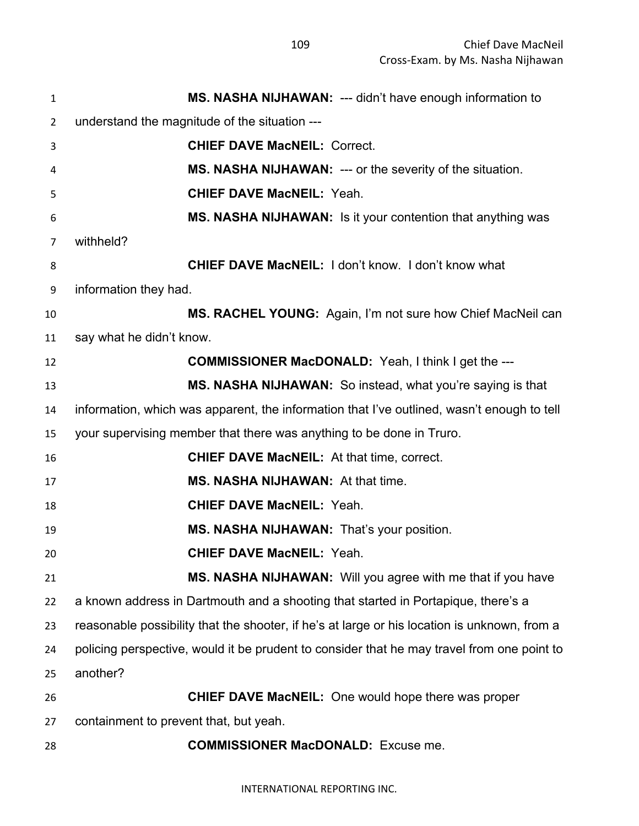| $\mathbf{1}$   | MS. NASHA NIJHAWAN: --- didn't have enough information to                                    |  |  |
|----------------|----------------------------------------------------------------------------------------------|--|--|
| $\overline{2}$ | understand the magnitude of the situation ---                                                |  |  |
| 3              | <b>CHIEF DAVE MacNEIL: Correct.</b>                                                          |  |  |
| 4              | <b>MS. NASHA NIJHAWAN: --- or the severity of the situation.</b>                             |  |  |
| 5              | <b>CHIEF DAVE MacNEIL: Yeah.</b>                                                             |  |  |
| 6              | MS. NASHA NIJHAWAN: Is it your contention that anything was                                  |  |  |
| $\overline{7}$ | withheld?                                                                                    |  |  |
| 8              | <b>CHIEF DAVE MacNEIL: I don't know. I don't know what</b>                                   |  |  |
| 9              | information they had.                                                                        |  |  |
| 10             | MS. RACHEL YOUNG: Again, I'm not sure how Chief MacNeil can                                  |  |  |
| 11             | say what he didn't know.                                                                     |  |  |
| 12             | <b>COMMISSIONER MacDONALD:</b> Yeah, I think I get the ---                                   |  |  |
| 13             | MS. NASHA NIJHAWAN: So instead, what you're saying is that                                   |  |  |
| 14             | information, which was apparent, the information that I've outlined, wasn't enough to tell   |  |  |
| 15             | your supervising member that there was anything to be done in Truro.                         |  |  |
| 16             | <b>CHIEF DAVE MacNEIL:</b> At that time, correct.                                            |  |  |
| 17             | MS. NASHA NIJHAWAN: At that time.                                                            |  |  |
| 18             | <b>CHIEF DAVE MacNEIL: Yeah.</b>                                                             |  |  |
| 19             | MS. NASHA NIJHAWAN: That's your position.                                                    |  |  |
| 20             | <b>CHIEF DAVE MacNEIL: Yeah.</b>                                                             |  |  |
| 21             | MS. NASHA NIJHAWAN: Will you agree with me that if you have                                  |  |  |
| 22             | a known address in Dartmouth and a shooting that started in Portapique, there's a            |  |  |
| 23             | reasonable possibility that the shooter, if he's at large or his location is unknown, from a |  |  |
| 24             | policing perspective, would it be prudent to consider that he may travel from one point to   |  |  |
| 25             | another?                                                                                     |  |  |
| 26             | <b>CHIEF DAVE MacNEIL:</b> One would hope there was proper                                   |  |  |
| 27             | containment to prevent that, but yeah.                                                       |  |  |
| 28             | <b>COMMISSIONER MacDONALD:</b> Excuse me.                                                    |  |  |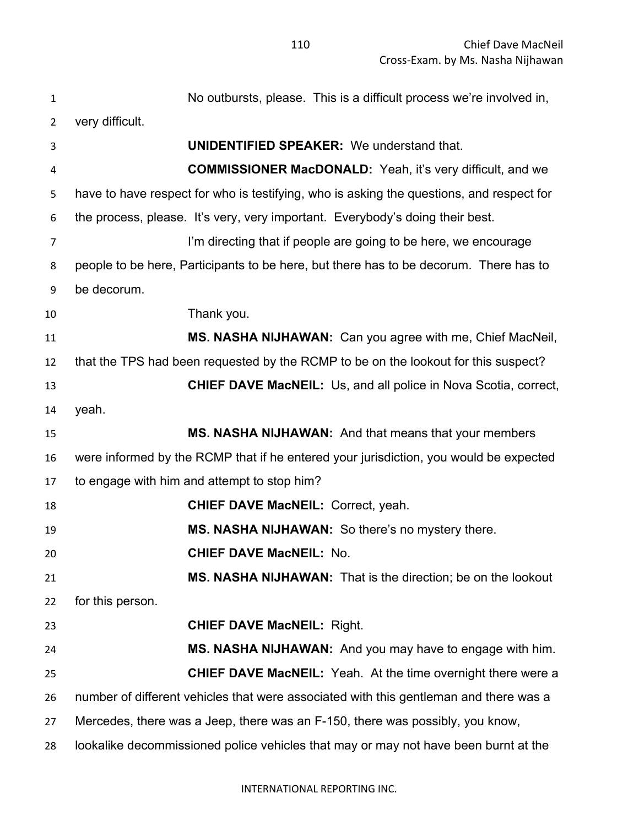| $\mathbf{1}$ | No outbursts, please. This is a difficult process we're involved in,                     |  |
|--------------|------------------------------------------------------------------------------------------|--|
| 2            | very difficult.                                                                          |  |
| 3            | <b>UNIDENTIFIED SPEAKER:</b> We understand that.                                         |  |
| 4            | <b>COMMISSIONER MacDONALD:</b> Yeah, it's very difficult, and we                         |  |
| 5            | have to have respect for who is testifying, who is asking the questions, and respect for |  |
| 6            | the process, please. It's very, very important. Everybody's doing their best.            |  |
| 7            | I'm directing that if people are going to be here, we encourage                          |  |
| 8            | people to be here, Participants to be here, but there has to be decorum. There has to    |  |
| 9            | be decorum.                                                                              |  |
| 10           | Thank you.                                                                               |  |
| 11           | MS. NASHA NIJHAWAN: Can you agree with me, Chief MacNeil,                                |  |
| 12           | that the TPS had been requested by the RCMP to be on the lookout for this suspect?       |  |
| 13           | <b>CHIEF DAVE MacNEIL:</b> Us, and all police in Nova Scotia, correct,                   |  |
| 14           | yeah.                                                                                    |  |
| 15           | MS. NASHA NIJHAWAN: And that means that your members                                     |  |
|              | were informed by the RCMP that if he entered your jurisdiction, you would be expected    |  |
| 16           |                                                                                          |  |
| 17           | to engage with him and attempt to stop him?                                              |  |
| 18           | <b>CHIEF DAVE MacNEIL: Correct, yeah.</b>                                                |  |
| 19           | MS. NASHA NIJHAWAN: So there's no mystery there.                                         |  |
| 20           | <b>CHIEF DAVE MacNEIL: No.</b>                                                           |  |
| 21           | MS. NASHA NIJHAWAN: That is the direction; be on the lookout                             |  |
| 22           | for this person.                                                                         |  |
| 23           | <b>CHIEF DAVE MacNEIL: Right.</b>                                                        |  |
| 24           | MS. NASHA NIJHAWAN: And you may have to engage with him.                                 |  |
| 25           | <b>CHIEF DAVE MacNEIL:</b> Yeah. At the time overnight there were a                      |  |
| 26           | number of different vehicles that were associated with this gentleman and there was a    |  |
| 27           | Mercedes, there was a Jeep, there was an F-150, there was possibly, you know,            |  |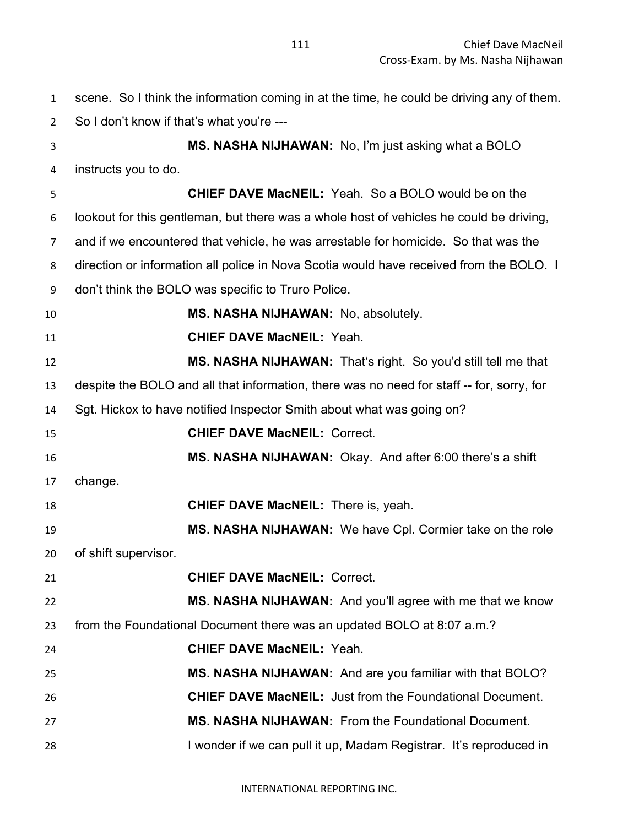scene. So I think the information coming in at the time, he could be driving any of them. So I don't know if that's what you're --- **MS. NASHA NIJHAWAN:** No, I'm just asking what a BOLO instructs you to do. **CHIEF DAVE MacNEIL:** Yeah. So a BOLO would be on the lookout for this gentleman, but there was a whole host of vehicles he could be driving, and if we encountered that vehicle, he was arrestable for homicide. So that was the direction or information all police in Nova Scotia would have received from the BOLO. I don't think the BOLO was specific to Truro Police. **MS. NASHA NIJHAWAN:** No, absolutely. **CHIEF DAVE MacNEIL:** Yeah. **MS. NASHA NIJHAWAN:** That's right. So you'd still tell me that despite the BOLO and all that information, there was no need for staff -- for, sorry, for Sgt. Hickox to have notified Inspector Smith about what was going on? **CHIEF DAVE MacNEIL:** Correct. **MS. NASHA NIJHAWAN:** Okay. And after 6:00 there's a shift change. **CHIEF DAVE MacNEIL:** There is, yeah. **MS. NASHA NIJHAWAN:** We have Cpl. Cormier take on the role of shift supervisor. **CHIEF DAVE MacNEIL:** Correct. **MS. NASHA NIJHAWAN:** And you'll agree with me that we know from the Foundational Document there was an updated BOLO at 8:07 a.m.? **CHIEF DAVE MacNEIL:** Yeah. **MS. NASHA NIJHAWAN:** And are you familiar with that BOLO? **CHIEF DAVE MacNEIL:** Just from the Foundational Document. **MS. NASHA NIJHAWAN:** From the Foundational Document. 28 I wonder if we can pull it up, Madam Registrar. It's reproduced in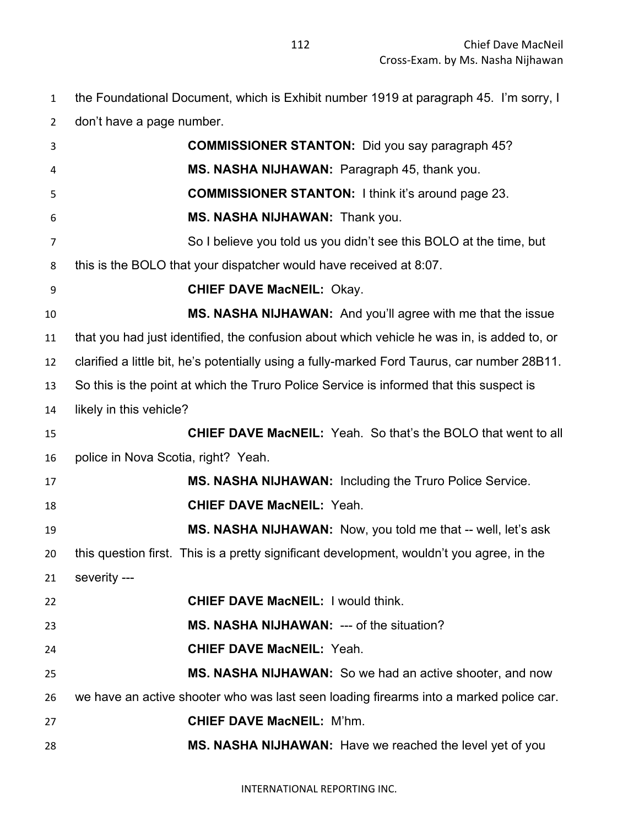the Foundational Document, which is Exhibit number 1919 at paragraph 45. I'm sorry, I

don't have a page number.

| 3              | <b>COMMISSIONER STANTON:</b> Did you say paragraph 45?                                       |  |
|----------------|----------------------------------------------------------------------------------------------|--|
| 4              | MS. NASHA NIJHAWAN: Paragraph 45, thank you.                                                 |  |
| 5              | <b>COMMISSIONER STANTON:</b> I think it's around page 23.                                    |  |
| 6              | MS. NASHA NIJHAWAN: Thank you.                                                               |  |
| $\overline{7}$ | So I believe you told us you didn't see this BOLO at the time, but                           |  |
| 8              | this is the BOLO that your dispatcher would have received at 8:07.                           |  |
| 9              | <b>CHIEF DAVE MacNEIL: Okay.</b>                                                             |  |
| 10             | MS. NASHA NIJHAWAN: And you'll agree with me that the issue                                  |  |
| 11             | that you had just identified, the confusion about which vehicle he was in, is added to, or   |  |
| 12             | clarified a little bit, he's potentially using a fully-marked Ford Taurus, car number 28B11. |  |
| 13             | So this is the point at which the Truro Police Service is informed that this suspect is      |  |
| 14             | likely in this vehicle?                                                                      |  |
| 15             | <b>CHIEF DAVE MacNEIL:</b> Yeah. So that's the BOLO that went to all                         |  |
| 16             | police in Nova Scotia, right? Yeah.                                                          |  |
| 17             | MS. NASHA NIJHAWAN: Including the Truro Police Service.                                      |  |
| 18             | <b>CHIEF DAVE MacNEIL: Yeah.</b>                                                             |  |
| 19             | MS. NASHA NIJHAWAN: Now, you told me that -- well, let's ask                                 |  |
| 20             | this question first. This is a pretty significant development, wouldn't you agree, in the    |  |
| 21             | severity ---                                                                                 |  |
| 22             | <b>CHIEF DAVE MacNEIL: I would think.</b>                                                    |  |
| 23             | <b>MS. NASHA NIJHAWAN: --- of the situation?</b>                                             |  |
| 24             | <b>CHIEF DAVE MacNEIL: Yeah.</b>                                                             |  |
| 25             | MS. NASHA NIJHAWAN: So we had an active shooter, and now                                     |  |
| 26             | we have an active shooter who was last seen loading firearms into a marked police car.       |  |
| 27             | <b>CHIEF DAVE MacNEIL: M'hm.</b>                                                             |  |
| 28             | MS. NASHA NIJHAWAN: Have we reached the level yet of you                                     |  |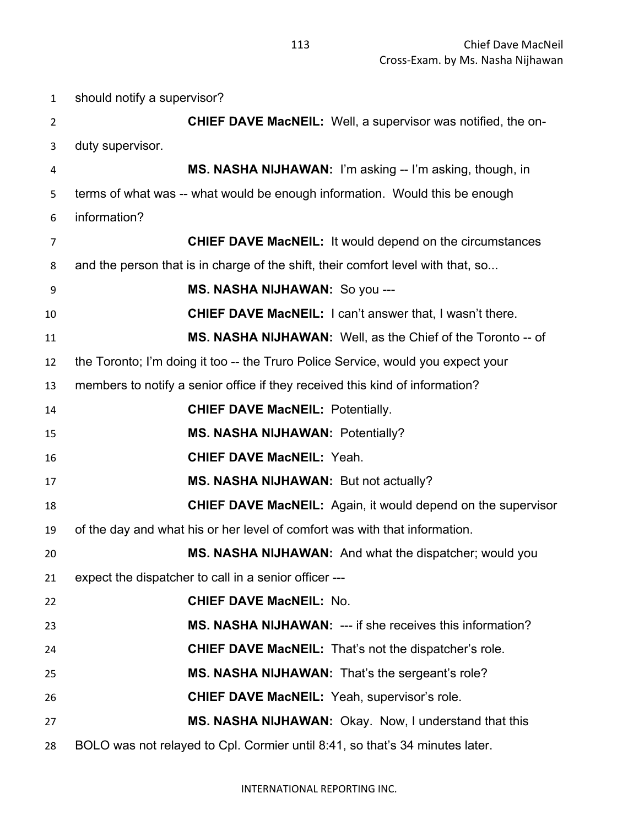should notify a supervisor? **CHIEF DAVE MacNEIL:** Well, a supervisor was notified, the on- duty supervisor. **MS. NASHA NIJHAWAN:** I'm asking -- I'm asking, though, in terms of what was -- what would be enough information. Would this be enough information? **CHIEF DAVE MacNEIL:** It would depend on the circumstances and the person that is in charge of the shift, their comfort level with that, so... **MS. NASHA NIJHAWAN:** So you --- **CHIEF DAVE MacNEIL:** I can't answer that, I wasn't there. **MS. NASHA NIJHAWAN:** Well, as the Chief of the Toronto -- of the Toronto; I'm doing it too -- the Truro Police Service, would you expect your members to notify a senior office if they received this kind of information? **CHIEF DAVE MacNEIL:** Potentially. **MS. NASHA NIJHAWAN:** Potentially? **CHIEF DAVE MacNEIL:** Yeah. **MS. NASHA NIJHAWAN:** But not actually? **CHIEF DAVE MacNEIL:** Again, it would depend on the supervisor of the day and what his or her level of comfort was with that information. **MS. NASHA NIJHAWAN:** And what the dispatcher; would you expect the dispatcher to call in a senior officer --- **CHIEF DAVE MacNEIL:** No. **MS. NASHA NIJHAWAN:** --- if she receives this information? **CHIEF DAVE MacNEIL:** That's not the dispatcher's role. **MS. NASHA NIJHAWAN:** That's the sergeant's role? **CHIEF DAVE MacNEIL:** Yeah, supervisor's role. **MS. NASHA NIJHAWAN:** Okay. Now, I understand that this BOLO was not relayed to Cpl. Cormier until 8:41, so that's 34 minutes later.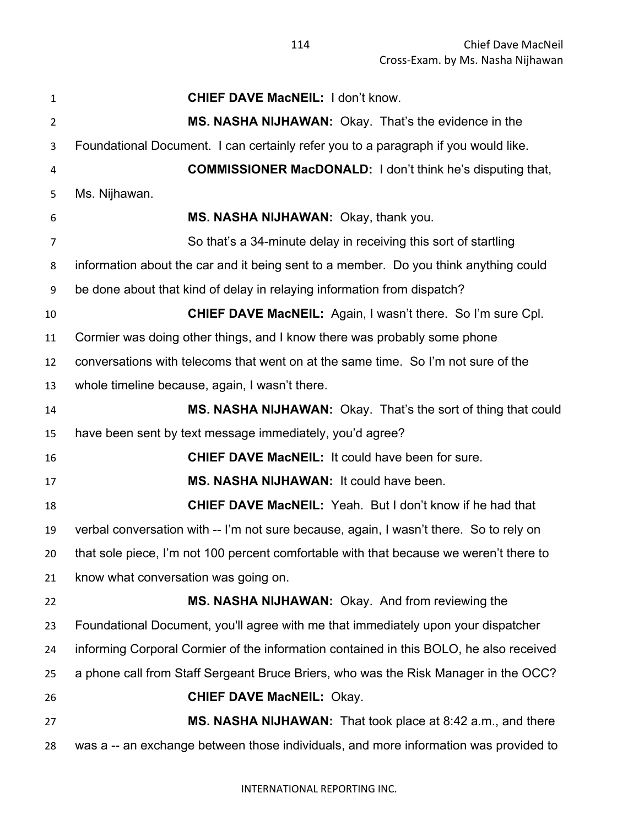| $\mathbf{1}$   | <b>CHIEF DAVE MacNEIL: I don't know.</b>                                               |  |  |  |
|----------------|----------------------------------------------------------------------------------------|--|--|--|
| $\overline{2}$ | MS. NASHA NIJHAWAN: Okay. That's the evidence in the                                   |  |  |  |
| 3              | Foundational Document. I can certainly refer you to a paragraph if you would like.     |  |  |  |
| 4              | <b>COMMISSIONER MacDONALD:</b> I don't think he's disputing that,                      |  |  |  |
| 5              | Ms. Nijhawan.                                                                          |  |  |  |
| 6              | MS. NASHA NIJHAWAN: Okay, thank you.                                                   |  |  |  |
| $\overline{7}$ | So that's a 34-minute delay in receiving this sort of startling                        |  |  |  |
| 8              | information about the car and it being sent to a member. Do you think anything could   |  |  |  |
| 9              | be done about that kind of delay in relaying information from dispatch?                |  |  |  |
| 10             | <b>CHIEF DAVE MacNEIL:</b> Again, I wasn't there. So I'm sure Cpl.                     |  |  |  |
| 11             | Cormier was doing other things, and I know there was probably some phone               |  |  |  |
| 12             | conversations with telecoms that went on at the same time. So I'm not sure of the      |  |  |  |
| 13             | whole timeline because, again, I wasn't there.                                         |  |  |  |
| 14             | MS. NASHA NIJHAWAN: Okay. That's the sort of thing that could                          |  |  |  |
| 15             | have been sent by text message immediately, you'd agree?                               |  |  |  |
| 16             | <b>CHIEF DAVE MacNEIL: It could have been for sure.</b>                                |  |  |  |
| 17             | MS. NASHA NIJHAWAN: It could have been.                                                |  |  |  |
| 18             | <b>CHIEF DAVE MacNEIL:</b> Yeah. But I don't know if he had that                       |  |  |  |
| 19             | verbal conversation with -- I'm not sure because, again, I wasn't there. So to rely on |  |  |  |
| 20             | that sole piece, I'm not 100 percent comfortable with that because we weren't there to |  |  |  |
| 21             | know what conversation was going on.                                                   |  |  |  |
| 22             | MS. NASHA NIJHAWAN: Okay. And from reviewing the                                       |  |  |  |
| 23             | Foundational Document, you'll agree with me that immediately upon your dispatcher      |  |  |  |
| 24             | informing Corporal Cormier of the information contained in this BOLO, he also received |  |  |  |
| 25             | a phone call from Staff Sergeant Bruce Briers, who was the Risk Manager in the OCC?    |  |  |  |
| 26             | <b>CHIEF DAVE MacNEIL: Okay.</b>                                                       |  |  |  |
| 27             | MS. NASHA NIJHAWAN: That took place at 8:42 a.m., and there                            |  |  |  |
| 28             | was a -- an exchange between those individuals, and more information was provided to   |  |  |  |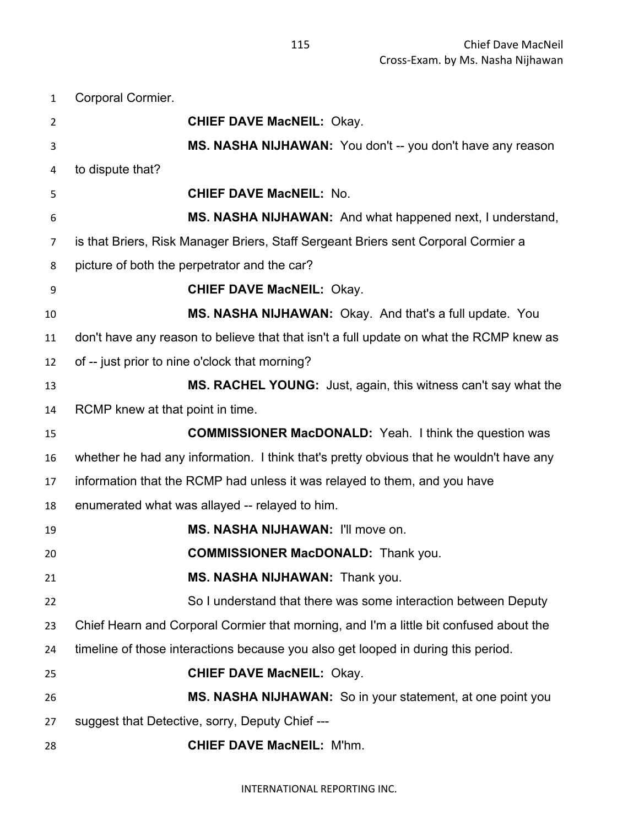Corporal Cormier. **CHIEF DAVE MacNEIL:** Okay. **MS. NASHA NIJHAWAN:** You don't -- you don't have any reason to dispute that? **CHIEF DAVE MacNEIL:** No. **MS. NASHA NIJHAWAN:** And what happened next, I understand, is that Briers, Risk Manager Briers, Staff Sergeant Briers sent Corporal Cormier a picture of both the perpetrator and the car? **CHIEF DAVE MacNEIL:** Okay. **MS. NASHA NIJHAWAN:** Okay. And that's a full update. You don't have any reason to believe that that isn't a full update on what the RCMP knew as of -- just prior to nine o'clock that morning? **MS. RACHEL YOUNG:** Just, again, this witness can't say what the RCMP knew at that point in time. **COMMISSIONER MacDONALD:** Yeah. I think the question was whether he had any information. I think that's pretty obvious that he wouldn't have any information that the RCMP had unless it was relayed to them, and you have enumerated what was allayed -- relayed to him. **MS. NASHA NIJHAWAN:** I'll move on. **COMMISSIONER MacDONALD:** Thank you. **MS. NASHA NIJHAWAN:** Thank you. So I understand that there was some interaction between Deputy Chief Hearn and Corporal Cormier that morning, and I'm a little bit confused about the timeline of those interactions because you also get looped in during this period. **CHIEF DAVE MacNEIL:** Okay. **MS. NASHA NIJHAWAN:** So in your statement, at one point you suggest that Detective, sorry, Deputy Chief --- **CHIEF DAVE MacNEIL:** M'hm.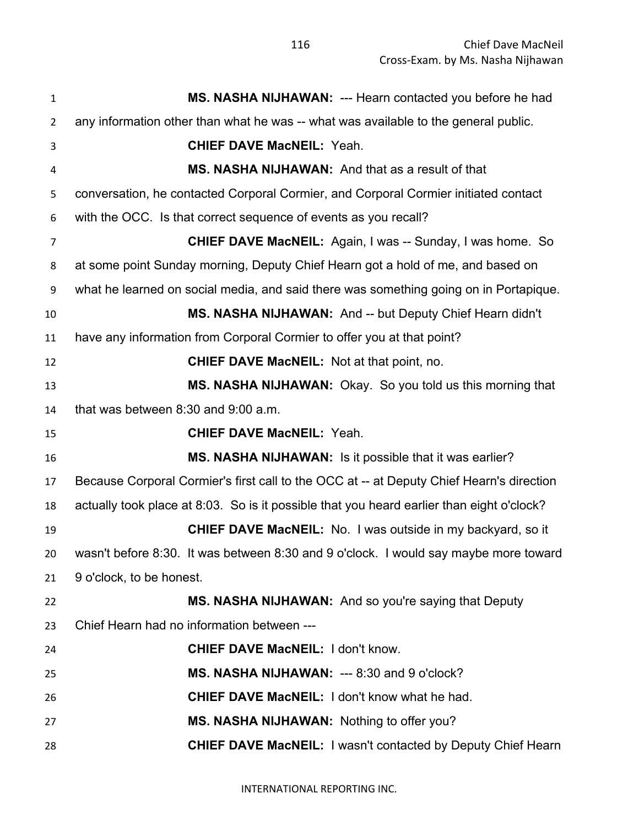| $\mathbf{1}$   | MS. NASHA NIJHAWAN: --- Hearn contacted you before he had                                 |  |  |
|----------------|-------------------------------------------------------------------------------------------|--|--|
| $\overline{2}$ | any information other than what he was -- what was available to the general public.       |  |  |
| 3              | <b>CHIEF DAVE MacNEIL: Yeah.</b>                                                          |  |  |
| 4              | MS. NASHA NIJHAWAN: And that as a result of that                                          |  |  |
| 5              | conversation, he contacted Corporal Cormier, and Corporal Cormier initiated contact       |  |  |
| 6              | with the OCC. Is that correct sequence of events as you recall?                           |  |  |
| $\overline{7}$ | <b>CHIEF DAVE MacNEIL:</b> Again, I was -- Sunday, I was home. So                         |  |  |
| 8              | at some point Sunday morning, Deputy Chief Hearn got a hold of me, and based on           |  |  |
| 9              | what he learned on social media, and said there was something going on in Portapique.     |  |  |
| 10             | MS. NASHA NIJHAWAN: And -- but Deputy Chief Hearn didn't                                  |  |  |
| 11             | have any information from Corporal Cormier to offer you at that point?                    |  |  |
| 12             | <b>CHIEF DAVE MacNEIL:</b> Not at that point, no.                                         |  |  |
| 13             | MS. NASHA NIJHAWAN: Okay. So you told us this morning that                                |  |  |
| 14             | that was between 8:30 and 9:00 a.m.                                                       |  |  |
| 15             | <b>CHIEF DAVE MacNEIL: Yeah.</b>                                                          |  |  |
|                |                                                                                           |  |  |
| 16             | MS. NASHA NIJHAWAN: Is it possible that it was earlier?                                   |  |  |
| 17             | Because Corporal Cormier's first call to the OCC at -- at Deputy Chief Hearn's direction  |  |  |
| 18             | actually took place at 8:03. So is it possible that you heard earlier than eight o'clock? |  |  |
| 19             | <b>CHIEF DAVE MacNEIL:</b> No. I was outside in my backyard, so it                        |  |  |
| 20             | wasn't before 8:30. It was between 8:30 and 9 o'clock. I would say maybe more toward      |  |  |
| 21             | 9 o'clock, to be honest.                                                                  |  |  |
| 22             | MS. NASHA NIJHAWAN: And so you're saying that Deputy                                      |  |  |
| 23             | Chief Hearn had no information between ---                                                |  |  |
| 24             | <b>CHIEF DAVE MacNEIL: I don't know.</b>                                                  |  |  |
| 25             | MS. NASHA NIJHAWAN: --- 8:30 and 9 o'clock?                                               |  |  |
| 26             | <b>CHIEF DAVE MacNEIL: I don't know what he had.</b>                                      |  |  |
| 27             | MS. NASHA NIJHAWAN: Nothing to offer you?                                                 |  |  |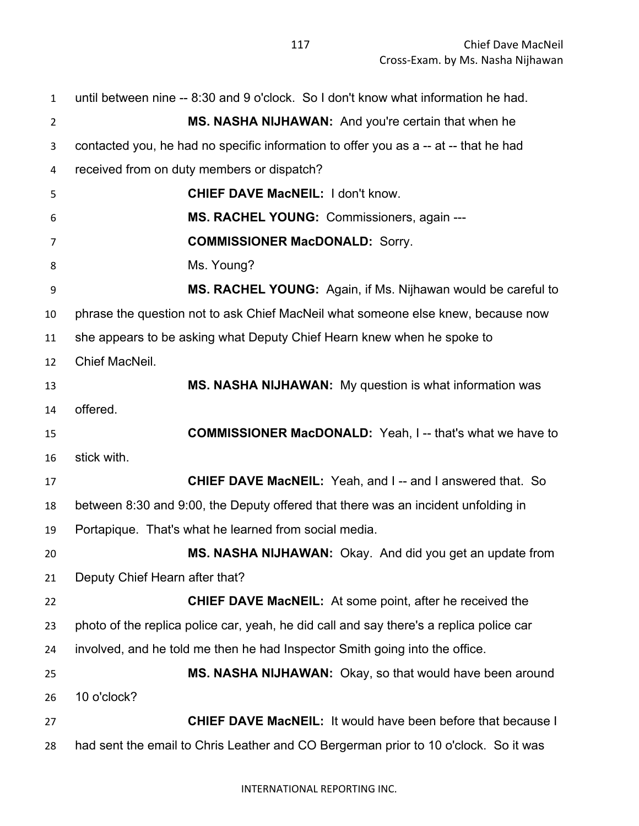| $\mathbf{1}$   | until between nine -- 8:30 and 9 o'clock. So I don't know what information he had.      |  |  |
|----------------|-----------------------------------------------------------------------------------------|--|--|
| $\overline{2}$ | MS. NASHA NIJHAWAN: And you're certain that when he                                     |  |  |
| 3              | contacted you, he had no specific information to offer you as a -- at -- that he had    |  |  |
| 4              | received from on duty members or dispatch?                                              |  |  |
| 5              | <b>CHIEF DAVE MacNEIL: I don't know.</b>                                                |  |  |
| 6              | MS. RACHEL YOUNG: Commissioners, again ---                                              |  |  |
| $\overline{7}$ | <b>COMMISSIONER MacDONALD: Sorry.</b>                                                   |  |  |
| 8              | Ms. Young?                                                                              |  |  |
| 9              | MS. RACHEL YOUNG: Again, if Ms. Nijhawan would be careful to                            |  |  |
| 10             | phrase the question not to ask Chief MacNeil what someone else knew, because now        |  |  |
| 11             | she appears to be asking what Deputy Chief Hearn knew when he spoke to                  |  |  |
| 12             | Chief MacNeil.                                                                          |  |  |
| 13             | MS. NASHA NIJHAWAN: My question is what information was                                 |  |  |
| 14             | offered.                                                                                |  |  |
| 15             | <b>COMMISSIONER MacDONALD:</b> Yeah, I-- that's what we have to                         |  |  |
| 16             | stick with.                                                                             |  |  |
| 17             | <b>CHIEF DAVE MacNEIL:</b> Yeah, and I-- and I answered that. So                        |  |  |
| 18             | between 8:30 and 9:00, the Deputy offered that there was an incident unfolding in       |  |  |
| 19             | Portapique. That's what he learned from social media.                                   |  |  |
| 20             | MS. NASHA NIJHAWAN: Okay. And did you get an update from                                |  |  |
| 21             | Deputy Chief Hearn after that?                                                          |  |  |
| 22             | <b>CHIEF DAVE MacNEIL:</b> At some point, after he received the                         |  |  |
| 23             | photo of the replica police car, yeah, he did call and say there's a replica police car |  |  |
| 24             | involved, and he told me then he had Inspector Smith going into the office.             |  |  |
| 25             | MS. NASHA NIJHAWAN: Okay, so that would have been around                                |  |  |
| 26             | 10 o'clock?                                                                             |  |  |
| 27             | <b>CHIEF DAVE MacNEIL: It would have been before that because I</b>                     |  |  |
| 28             | had sent the email to Chris Leather and CO Bergerman prior to 10 o'clock. So it was     |  |  |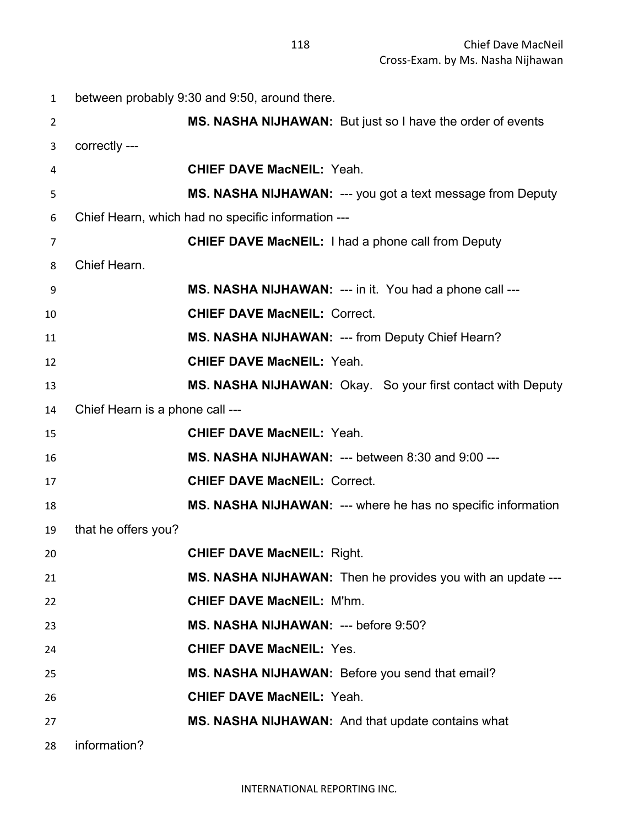| $\mathbf{1}$   | between probably 9:30 and 9:50, around there. |                                                                |
|----------------|-----------------------------------------------|----------------------------------------------------------------|
| $\overline{2}$ |                                               | MS. NASHA NIJHAWAN: But just so I have the order of events     |
| 3              | correctly ---                                 |                                                                |
| 4              |                                               | <b>CHIEF DAVE MacNEIL: Yeah.</b>                               |
| 5              |                                               | MS. NASHA NIJHAWAN: --- you got a text message from Deputy     |
| 6              |                                               | Chief Hearn, which had no specific information ---             |
| $\overline{7}$ |                                               | <b>CHIEF DAVE MacNEIL: I had a phone call from Deputy</b>      |
| 8              | Chief Hearn.                                  |                                                                |
| 9              |                                               | <b>MS. NASHA NIJHAWAN:</b> --- in it. You had a phone call --- |
| 10             |                                               | <b>CHIEF DAVE MacNEIL: Correct.</b>                            |
| 11             |                                               | MS. NASHA NIJHAWAN: --- from Deputy Chief Hearn?               |
| 12             |                                               | <b>CHIEF DAVE MacNEIL: Yeah.</b>                               |
| 13             |                                               | MS. NASHA NIJHAWAN: Okay. So your first contact with Deputy    |
| 14             | Chief Hearn is a phone call ---               |                                                                |
| 15             |                                               | <b>CHIEF DAVE MacNEIL: Yeah.</b>                               |
| 16             |                                               | MS. NASHA NIJHAWAN: --- between 8:30 and 9:00 ---              |
| 17             |                                               | <b>CHIEF DAVE MacNEIL: Correct.</b>                            |
| 18             |                                               | MS. NASHA NIJHAWAN: --- where he has no specific information   |
| 19             | that he offers you?                           |                                                                |
| 20             |                                               | <b>CHIEF DAVE MacNEIL: Right.</b>                              |
| 21             |                                               | MS. NASHA NIJHAWAN: Then he provides you with an update ---    |
| 22             |                                               | <b>CHIEF DAVE MacNEIL: M'hm.</b>                               |
| 23             |                                               | MS. NASHA NIJHAWAN: --- before 9:50?                           |
| 24             |                                               | <b>CHIEF DAVE MacNEIL: Yes.</b>                                |
| 25             |                                               | MS. NASHA NIJHAWAN: Before you send that email?                |
| 26             |                                               | <b>CHIEF DAVE MacNEIL: Yeah.</b>                               |
| 27             |                                               | <b>MS. NASHA NIJHAWAN:</b> And that update contains what       |
| 28             | information?                                  |                                                                |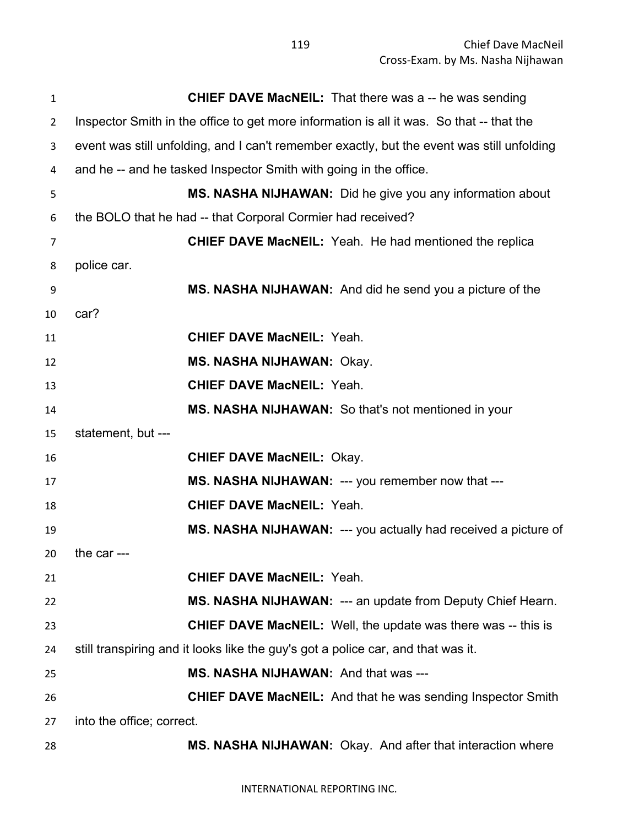| $\mathbf{1}$   | <b>CHIEF DAVE MacNEIL:</b> That there was a -- he was sending                              |
|----------------|--------------------------------------------------------------------------------------------|
| $\overline{2}$ | Inspector Smith in the office to get more information is all it was. So that -- that the   |
| 3              | event was still unfolding, and I can't remember exactly, but the event was still unfolding |
| 4              | and he -- and he tasked Inspector Smith with going in the office.                          |
| 5              | MS. NASHA NIJHAWAN: Did he give you any information about                                  |
| 6              | the BOLO that he had -- that Corporal Cormier had received?                                |
| 7              | <b>CHIEF DAVE MacNEIL:</b> Yeah. He had mentioned the replica                              |
| 8              | police car.                                                                                |
| 9              | MS. NASHA NIJHAWAN: And did he send you a picture of the                                   |
| 10             | car?                                                                                       |
| 11             | <b>CHIEF DAVE MacNEIL: Yeah.</b>                                                           |
| 12             | <b>MS. NASHA NIJHAWAN: Okay.</b>                                                           |
| 13             | <b>CHIEF DAVE MacNEIL: Yeah.</b>                                                           |
| 14             | MS. NASHA NIJHAWAN: So that's not mentioned in your                                        |
| 15             | statement, but ---                                                                         |
| 16             | <b>CHIEF DAVE MacNEIL: Okay.</b>                                                           |
| 17             | MS. NASHA NIJHAWAN: --- you remember now that ---                                          |
| 18             | <b>CHIEF DAVE MacNEIL: Yeah.</b>                                                           |
| 19             | MS. NASHA NIJHAWAN: --- you actually had received a picture of                             |
| 20             | the car $--$                                                                               |
| 21             | <b>CHIEF DAVE MacNEIL: Yeah.</b>                                                           |
| 22             | MS. NASHA NIJHAWAN: --- an update from Deputy Chief Hearn.                                 |
| 23             | <b>CHIEF DAVE MacNEIL:</b> Well, the update was there was -- this is                       |
| 24             | still transpiring and it looks like the guy's got a police car, and that was it.           |
| 25             | MS. NASHA NIJHAWAN: And that was ---                                                       |
| 26             | <b>CHIEF DAVE MacNEIL:</b> And that he was sending Inspector Smith                         |
| 27             | into the office; correct.                                                                  |
| 28             | MS. NASHA NIJHAWAN: Okay. And after that interaction where                                 |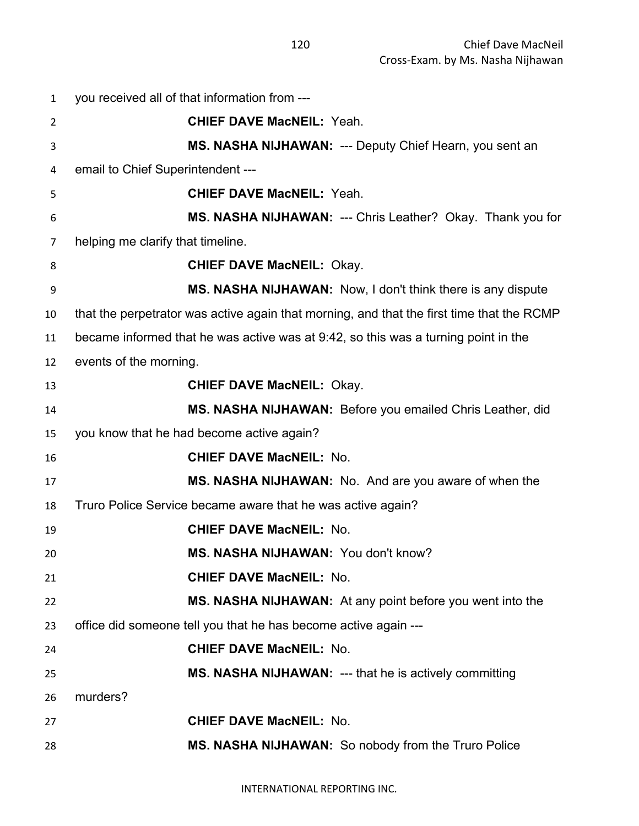| $\mathbf{1}$ | you received all of that information from ---                                             |
|--------------|-------------------------------------------------------------------------------------------|
| 2            | <b>CHIEF DAVE MacNEIL: Yeah.</b>                                                          |
| 3            | MS. NASHA NIJHAWAN: --- Deputy Chief Hearn, you sent an                                   |
| 4            | email to Chief Superintendent ---                                                         |
| 5            | <b>CHIEF DAVE MacNEIL: Yeah.</b>                                                          |
| 6            | MS. NASHA NIJHAWAN: --- Chris Leather? Okay. Thank you for                                |
| 7            | helping me clarify that timeline.                                                         |
| 8            | <b>CHIEF DAVE MacNEIL: Okay.</b>                                                          |
| 9            | MS. NASHA NIJHAWAN: Now, I don't think there is any dispute                               |
| 10           | that the perpetrator was active again that morning, and that the first time that the RCMP |
| 11           | became informed that he was active was at 9:42, so this was a turning point in the        |
| 12           | events of the morning.                                                                    |
| 13           | <b>CHIEF DAVE MacNEIL: Okay.</b>                                                          |
| 14           | MS. NASHA NIJHAWAN: Before you emailed Chris Leather, did                                 |
| 15           | you know that he had become active again?                                                 |
| 16           | <b>CHIEF DAVE MacNEIL: No.</b>                                                            |
| 17           | MS. NASHA NIJHAWAN: No. And are you aware of when the                                     |
| 18           | Truro Police Service became aware that he was active again?                               |
| 19           | <b>CHIEF DAVE MacNEIL: No.</b>                                                            |
| 20           | MS. NASHA NIJHAWAN: You don't know?                                                       |
| 21           | <b>CHIEF DAVE MacNEIL: No.</b>                                                            |
| 22           | MS. NASHA NIJHAWAN: At any point before you went into the                                 |
| 23           | office did someone tell you that he has become active again ---                           |
| 24           | <b>CHIEF DAVE MacNEIL: No.</b>                                                            |
| 25           | MS. NASHA NIJHAWAN: --- that he is actively committing                                    |
| 26           | murders?                                                                                  |
| 27           | <b>CHIEF DAVE MacNEIL: No.</b>                                                            |
| 28           | <b>MS. NASHA NIJHAWAN:</b> So nobody from the Truro Police                                |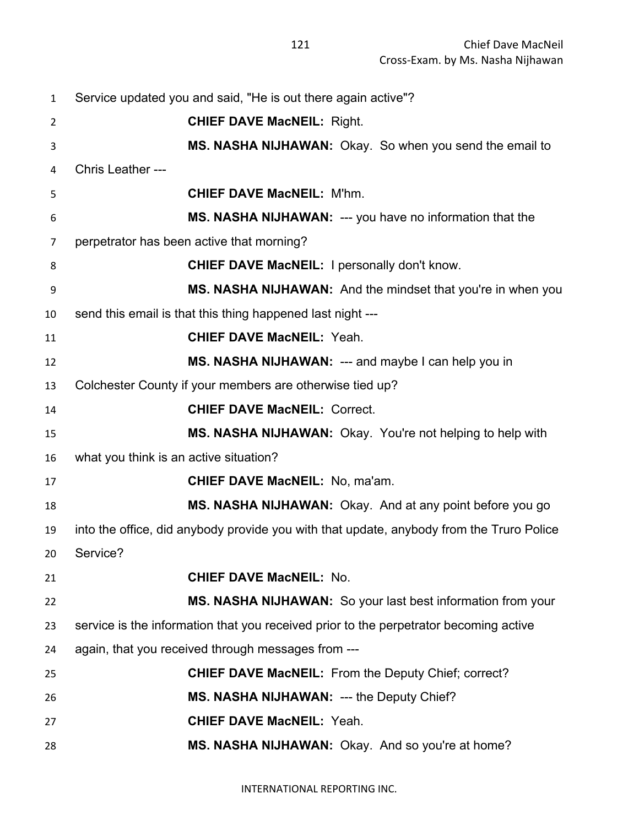| 1              | Service updated you and said, "He is out there again active"?                            |
|----------------|------------------------------------------------------------------------------------------|
| $\overline{2}$ | <b>CHIEF DAVE MacNEIL: Right.</b>                                                        |
| 3              | MS. NASHA NIJHAWAN: Okay. So when you send the email to                                  |
| 4              | Chris Leather ---                                                                        |
| 5              | <b>CHIEF DAVE MacNEIL: M'hm.</b>                                                         |
| 6              | MS. NASHA NIJHAWAN: --- you have no information that the                                 |
| 7              | perpetrator has been active that morning?                                                |
| 8              | <b>CHIEF DAVE MacNEIL: I personally don't know.</b>                                      |
| 9              | MS. NASHA NIJHAWAN: And the mindset that you're in when you                              |
| 10             | send this email is that this thing happened last night ---                               |
| 11             | <b>CHIEF DAVE MacNEIL: Yeah.</b>                                                         |
| 12             | MS. NASHA NIJHAWAN: --- and maybe I can help you in                                      |
| 13             | Colchester County if your members are otherwise tied up?                                 |
| 14             | <b>CHIEF DAVE MacNEIL: Correct.</b>                                                      |
| 15             | MS. NASHA NIJHAWAN: Okay. You're not helping to help with                                |
| 16             | what you think is an active situation?                                                   |
| 17             | CHIEF DAVE MacNEIL: No, ma'am.                                                           |
| 18             | MS. NASHA NIJHAWAN: Okay. And at any point before you go                                 |
| 19             | into the office, did anybody provide you with that update, anybody from the Truro Police |
| 20             | Service?                                                                                 |
| 21             | <b>CHIEF DAVE MacNEIL: No.</b>                                                           |
| 22             | MS. NASHA NIJHAWAN: So your last best information from your                              |
| 23             | service is the information that you received prior to the perpetrator becoming active    |
| 24             | again, that you received through messages from ---                                       |
| 25             | <b>CHIEF DAVE MacNEIL:</b> From the Deputy Chief; correct?                               |
| 26             | MS. NASHA NIJHAWAN: --- the Deputy Chief?                                                |
| 27             | <b>CHIEF DAVE MacNEIL: Yeah.</b>                                                         |
| 28             | MS. NASHA NIJHAWAN: Okay. And so you're at home?                                         |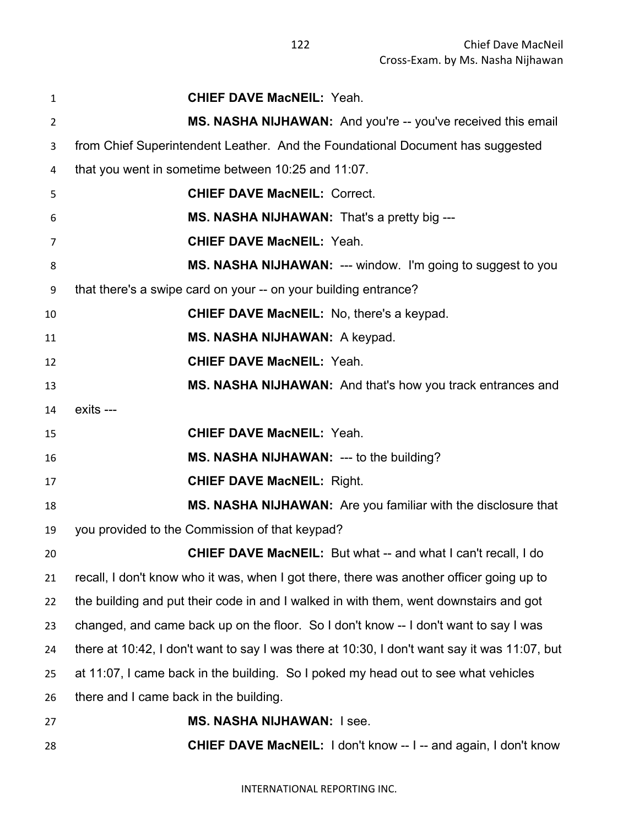| 1              | <b>CHIEF DAVE MacNEIL: Yeah.</b>                                                             |
|----------------|----------------------------------------------------------------------------------------------|
| $\overline{2}$ | MS. NASHA NIJHAWAN: And you're -- you've received this email                                 |
| 3              | from Chief Superintendent Leather. And the Foundational Document has suggested               |
| 4              | that you went in sometime between 10:25 and 11:07.                                           |
| 5              | <b>CHIEF DAVE MacNEIL: Correct.</b>                                                          |
| 6              | MS. NASHA NIJHAWAN: That's a pretty big ---                                                  |
| 7              | <b>CHIEF DAVE MacNEIL: Yeah.</b>                                                             |
| 8              | MS. NASHA NIJHAWAN: --- window. I'm going to suggest to you                                  |
| 9              | that there's a swipe card on your -- on your building entrance?                              |
| 10             | <b>CHIEF DAVE MacNEIL:</b> No, there's a keypad.                                             |
| 11             | MS. NASHA NIJHAWAN: A keypad.                                                                |
| 12             | <b>CHIEF DAVE MacNEIL: Yeah.</b>                                                             |
| 13             | MS. NASHA NIJHAWAN: And that's how you track entrances and                                   |
| 14             | exits ---                                                                                    |
| 15             | <b>CHIEF DAVE MacNEIL: Yeah.</b>                                                             |
| 16             | MS. NASHA NIJHAWAN: --- to the building?                                                     |
| 17             | <b>CHIEF DAVE MacNEIL: Right.</b>                                                            |
| 18             | MS. NASHA NIJHAWAN: Are you familiar with the disclosure that                                |
| 19             | you provided to the Commission of that keypad?                                               |
| 20             | <b>CHIEF DAVE MacNEIL:</b> But what -- and what I can't recall, I do                         |
| 21             | recall, I don't know who it was, when I got there, there was another officer going up to     |
| 22             | the building and put their code in and I walked in with them, went downstairs and got        |
| 23             | changed, and came back up on the floor. So I don't know -- I don't want to say I was         |
| 24             | there at 10:42, I don't want to say I was there at 10:30, I don't want say it was 11:07, but |
| 25             | at 11:07, I came back in the building. So I poked my head out to see what vehicles           |
| 26             | there and I came back in the building.                                                       |
| 27             | <b>MS. NASHA NIJHAWAN: I see.</b>                                                            |
| 28             | <b>CHIEF DAVE MacNEIL:</b> I don't know -- I -- and again, I don't know                      |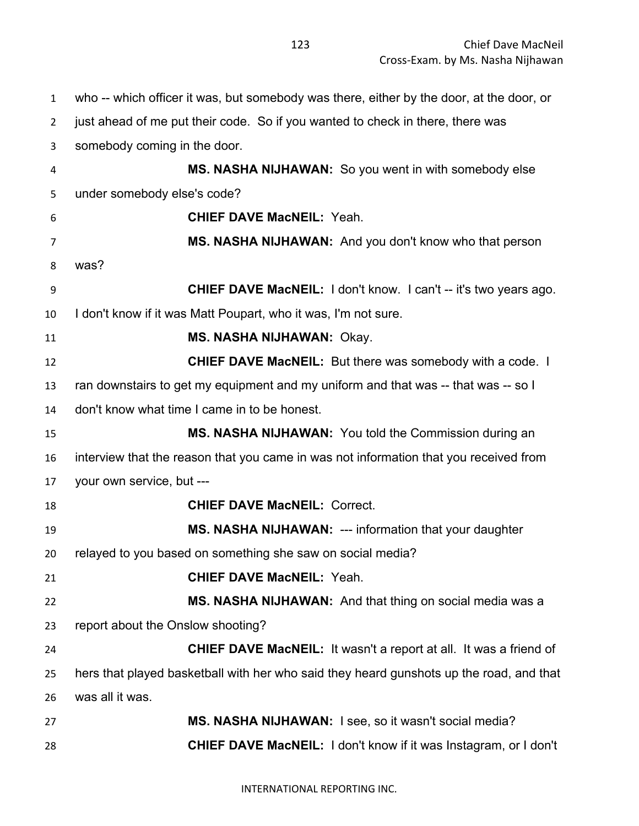who -- which officer it was, but somebody was there, either by the door, at the door, or just ahead of me put their code. So if you wanted to check in there, there was somebody coming in the door. **MS. NASHA NIJHAWAN:** So you went in with somebody else under somebody else's code? **CHIEF DAVE MacNEIL:** Yeah. **MS. NASHA NIJHAWAN:** And you don't know who that person was? **CHIEF DAVE MacNEIL:** I don't know. I can't -- it's two years ago. I don't know if it was Matt Poupart, who it was, I'm not sure. **MS. NASHA NIJHAWAN:** Okay. **CHIEF DAVE MacNEIL:** But there was somebody with a code. I ran downstairs to get my equipment and my uniform and that was -- that was -- so I don't know what time I came in to be honest. **MS. NASHA NIJHAWAN:** You told the Commission during an interview that the reason that you came in was not information that you received from your own service, but --- **CHIEF DAVE MacNEIL:** Correct. **MS. NASHA NIJHAWAN:** --- information that your daughter relayed to you based on something she saw on social media? **CHIEF DAVE MacNEIL:** Yeah. **MS. NASHA NIJHAWAN:** And that thing on social media was a report about the Onslow shooting? **CHIEF DAVE MacNEIL:** It wasn't a report at all. It was a friend of hers that played basketball with her who said they heard gunshots up the road, and that was all it was. **MS. NASHA NIJHAWAN:** I see, so it wasn't social media? **CHIEF DAVE MacNEIL:** I don't know if it was Instagram, or I don't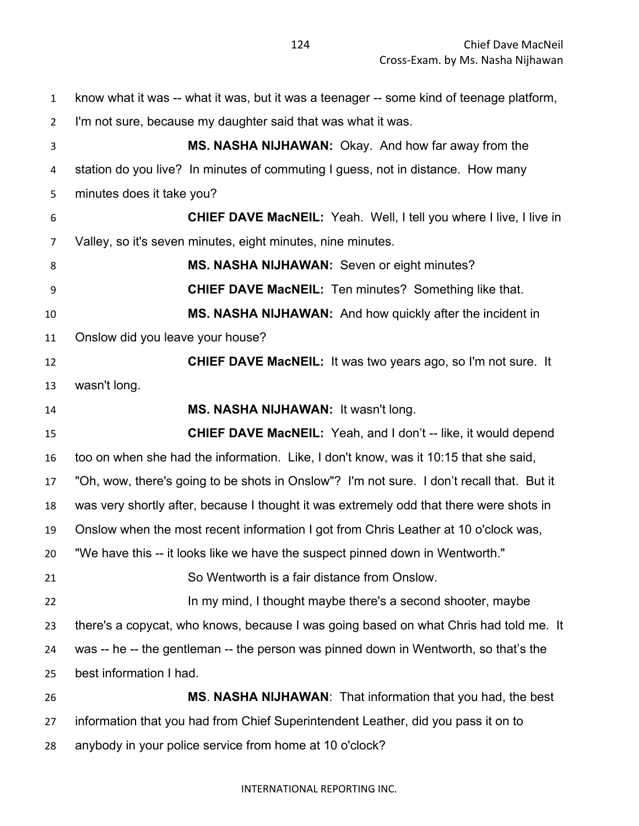know what it was -- what it was, but it was a teenager -- some kind of teenage platform, I'm not sure, because my daughter said that was what it was. **MS. NASHA NIJHAWAN:** Okay. And how far away from the station do you live? In minutes of commuting I guess, not in distance. How many minutes does it take you? **CHIEF DAVE MacNEIL:** Yeah. Well, I tell you where I live, I live in Valley, so it's seven minutes, eight minutes, nine minutes. 8 MS. NASHA NIJHAWAN: Seven or eight minutes? **CHIEF DAVE MacNEIL:** Ten minutes? Something like that. **MS. NASHA NIJHAWAN:** And how quickly after the incident in Onslow did you leave your house? **CHIEF DAVE MacNEIL:** It was two years ago, so I'm not sure. It wasn't long. **MS. NASHA NIJHAWAN:** It wasn't long. **CHIEF DAVE MacNEIL:** Yeah, and I don't -- like, it would depend too on when she had the information. Like, I don't know, was it 10:15 that she said, "Oh, wow, there's going to be shots in Onslow"? I'm not sure. I don't recall that. But it was very shortly after, because I thought it was extremely odd that there were shots in Onslow when the most recent information I got from Chris Leather at 10 o'clock was, "We have this -- it looks like we have the suspect pinned down in Wentworth." So Wentworth is a fair distance from Onslow. 22 In my mind, I thought maybe there's a second shooter, maybe there's a copycat, who knows, because I was going based on what Chris had told me. It was -- he -- the gentleman -- the person was pinned down in Wentworth, so that's the best information I had. **MS**. **NASHA NIJHAWAN**: That information that you had, the best information that you had from Chief Superintendent Leather, did you pass it on to

anybody in your police service from home at 10 o'clock?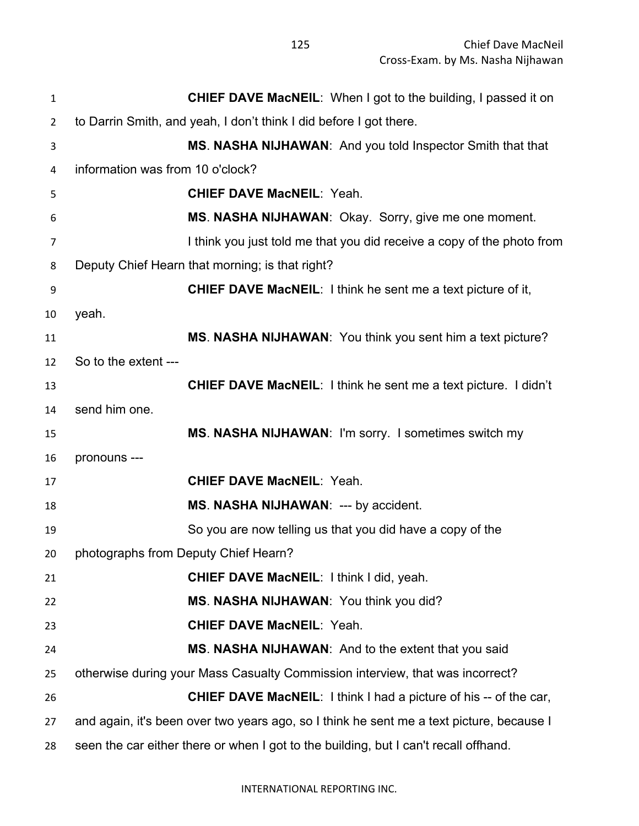| $\mathbf{1}$   | <b>CHIEF DAVE MacNEIL:</b> When I got to the building, I passed it on                    |
|----------------|------------------------------------------------------------------------------------------|
| $\overline{2}$ | to Darrin Smith, and yeah, I don't think I did before I got there.                       |
| 3              | MS. NASHA NIJHAWAN: And you told Inspector Smith that that                               |
| 4              | information was from 10 o'clock?                                                         |
| 5              | <b>CHIEF DAVE MacNEIL: Yeah.</b>                                                         |
| 6              | MS. NASHA NIJHAWAN: Okay. Sorry, give me one moment.                                     |
| 7              | I think you just told me that you did receive a copy of the photo from                   |
| 8              | Deputy Chief Hearn that morning; is that right?                                          |
| 9              | <b>CHIEF DAVE MacNEIL:</b> I think he sent me a text picture of it,                      |
| 10             | yeah.                                                                                    |
| 11             | MS. NASHA NIJHAWAN: You think you sent him a text picture?                               |
| 12             | So to the extent ---                                                                     |
| 13             | <b>CHIEF DAVE MacNEIL:</b> I think he sent me a text picture. I didn't                   |
| 14             | send him one.                                                                            |
| 15             | MS. NASHA NIJHAWAN: I'm sorry. I sometimes switch my                                     |
| 16             | pronouns ---                                                                             |
| 17             | <b>CHIEF DAVE MacNEIL: Yeah.</b>                                                         |
| 18             | MS. NASHA NIJHAWAN: --- by accident.                                                     |
| 19             | So you are now telling us that you did have a copy of the                                |
| 20             | photographs from Deputy Chief Hearn?                                                     |
| 21             | <b>CHIEF DAVE MacNEIL: I think I did, yeah.</b>                                          |
| 22             | MS. NASHA NIJHAWAN: You think you did?                                                   |
| 23             | <b>CHIEF DAVE MacNEIL: Yeah.</b>                                                         |
| 24             | MS. NASHA NIJHAWAN: And to the extent that you said                                      |
| 25             | otherwise during your Mass Casualty Commission interview, that was incorrect?            |
| 26             | <b>CHIEF DAVE MacNEIL:</b> I think I had a picture of his -- of the car,                 |
| 27             | and again, it's been over two years ago, so I think he sent me a text picture, because I |
| 28             | seen the car either there or when I got to the building, but I can't recall offhand.     |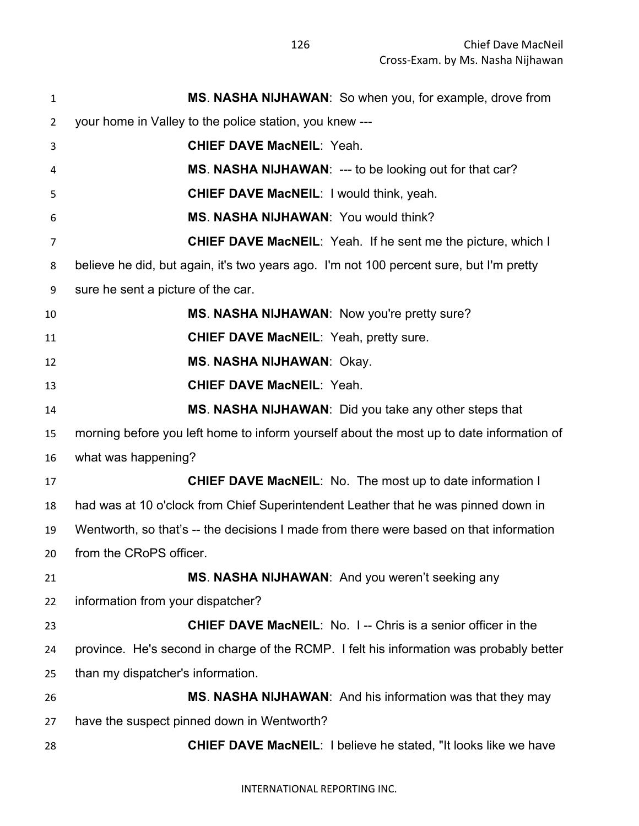| $\mathbf{1}$    | MS. NASHA NIJHAWAN: So when you, for example, drove from                                 |
|-----------------|------------------------------------------------------------------------------------------|
| 2               | your home in Valley to the police station, you knew ---                                  |
| 3               | <b>CHIEF DAVE MacNEIL: Yeah.</b>                                                         |
| 4               | MS. NASHA NIJHAWAN: --- to be looking out for that car?                                  |
| 5               | <b>CHIEF DAVE MacNEIL: I would think, yeah.</b>                                          |
| 6               | MS. NASHA NIJHAWAN: You would think?                                                     |
| $\overline{7}$  | <b>CHIEF DAVE MacNEIL:</b> Yeah. If he sent me the picture, which I                      |
| 8               | believe he did, but again, it's two years ago. I'm not 100 percent sure, but I'm pretty  |
| 9               | sure he sent a picture of the car.                                                       |
| 10              | MS. NASHA NIJHAWAN: Now you're pretty sure?                                              |
| 11              | <b>CHIEF DAVE MacNEIL: Yeah, pretty sure.</b>                                            |
| 12              | <b>MS. NASHA NIJHAWAN: Okay.</b>                                                         |
| 13              | <b>CHIEF DAVE MacNEIL: Yeah.</b>                                                         |
| 14              | MS. NASHA NIJHAWAN: Did you take any other steps that                                    |
| 15              | morning before you left home to inform yourself about the most up to date information of |
| 16              | what was happening?                                                                      |
| 17              | CHIEF DAVE MacNEIL: No. The most up to date information I                                |
| 18              | had was at 10 o'clock from Chief Superintendent Leather that he was pinned down in       |
| 19              | Wentworth, so that's -- the decisions I made from there were based on that information   |
| 20 <sub>2</sub> | from the CRoPS officer.                                                                  |
| 21              | MS. NASHA NIJHAWAN: And you weren't seeking any                                          |
| 22              | information from your dispatcher?                                                        |
| 23              | <b>CHIEF DAVE MacNEIL:</b> No. 1-- Chris is a senior officer in the                      |
| 24              | province. He's second in charge of the RCMP. I felt his information was probably better  |
| 25              | than my dispatcher's information.                                                        |
| 26              | MS. NASHA NIJHAWAN: And his information was that they may                                |
| 27              | have the suspect pinned down in Wentworth?                                               |
| 28              | <b>CHIEF DAVE MacNEIL: I believe he stated, "It looks like we have</b>                   |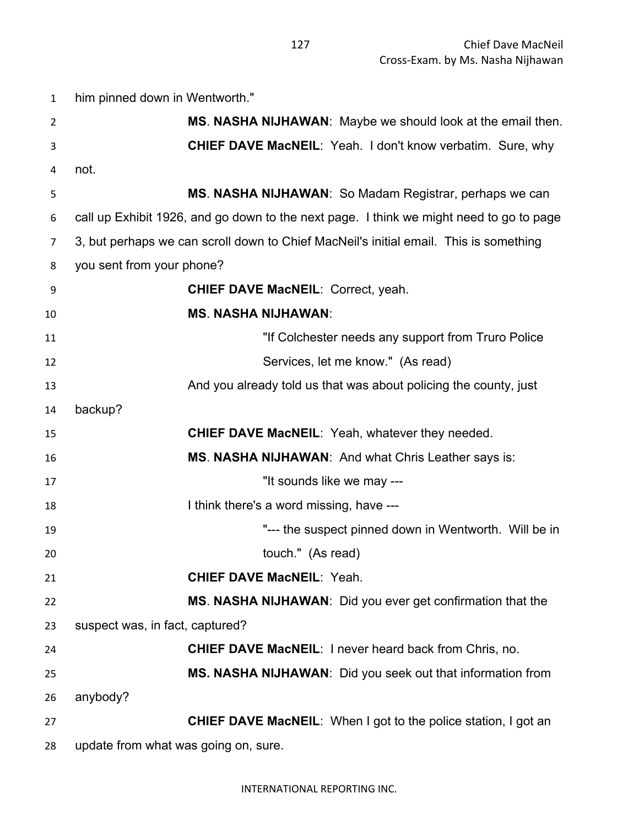| $\mathbf{1}$   | him pinned down in Wentworth."                                                          |
|----------------|-----------------------------------------------------------------------------------------|
| $\overline{2}$ | MS. NASHA NIJHAWAN: Maybe we should look at the email then.                             |
| 3              | <b>CHIEF DAVE MacNEIL:</b> Yeah. I don't know verbatim. Sure, why                       |
| 4              | not.                                                                                    |
| 5              | <b>MS. NASHA NIJHAWAN:</b> So Madam Registrar, perhaps we can                           |
| 6              | call up Exhibit 1926, and go down to the next page. I think we might need to go to page |
| 7              | 3, but perhaps we can scroll down to Chief MacNeil's initial email. This is something   |
| 8              | you sent from your phone?                                                               |
| 9              | <b>CHIEF DAVE MacNEIL: Correct, yeah.</b>                                               |
| 10             | <b>MS. NASHA NIJHAWAN:</b>                                                              |
| 11             | "If Colchester needs any support from Truro Police                                      |
| 12             | Services, let me know." (As read)                                                       |
| 13             | And you already told us that was about policing the county, just                        |
| 14             | backup?                                                                                 |
| 15             | <b>CHIEF DAVE MacNEIL:</b> Yeah, whatever they needed.                                  |
| 16             | <b>MS. NASHA NIJHAWAN:</b> And what Chris Leather says is:                              |
| 17             | "It sounds like we may ---                                                              |
| 18             | I think there's a word missing, have ---                                                |
| 19             | "--- the suspect pinned down in Wentworth. Will be in                                   |
| 20             | touch." (As read)                                                                       |
| 21             | <b>CHIEF DAVE MacNEIL: Yeah.</b>                                                        |
| 22             | MS. NASHA NIJHAWAN: Did you ever get confirmation that the                              |
| 23             | suspect was, in fact, captured?                                                         |
| 24             | <b>CHIEF DAVE MacNEIL: I never heard back from Chris, no.</b>                           |
| 25             | MS. NASHA NIJHAWAN: Did you seek out that information from                              |
| 26             | anybody?                                                                                |
| 27             | <b>CHIEF DAVE MacNEIL:</b> When I got to the police station, I got an                   |
| 28             | update from what was going on, sure.                                                    |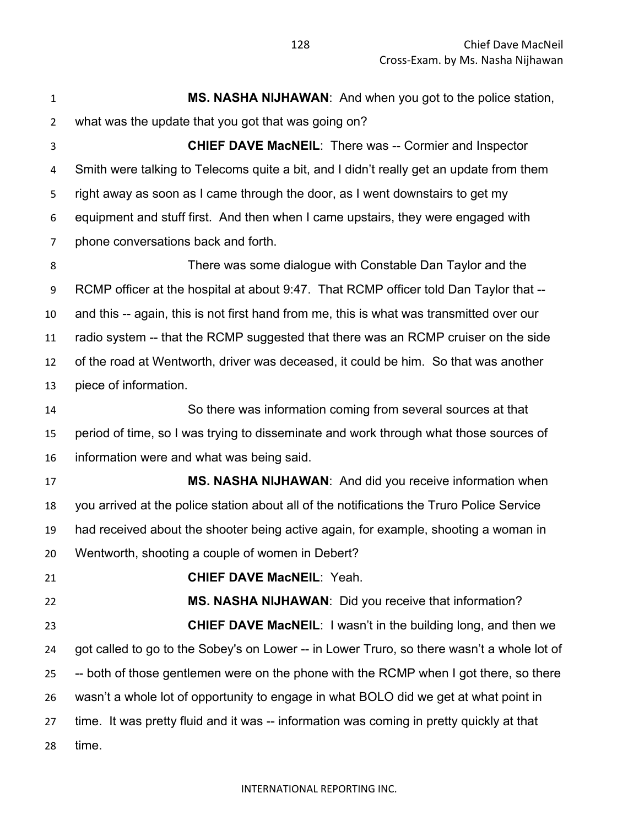**MS. NASHA NIJHAWAN**: And when you got to the police station, what was the update that you got that was going on? **CHIEF DAVE MacNEIL**: There was -- Cormier and Inspector Smith were talking to Telecoms quite a bit, and I didn't really get an update from them right away as soon as I came through the door, as I went downstairs to get my equipment and stuff first. And then when I came upstairs, they were engaged with phone conversations back and forth. There was some dialogue with Constable Dan Taylor and the RCMP officer at the hospital at about 9:47. That RCMP officer told Dan Taylor that -- and this -- again, this is not first hand from me, this is what was transmitted over our radio system -- that the RCMP suggested that there was an RCMP cruiser on the side of the road at Wentworth, driver was deceased, it could be him. So that was another piece of information. So there was information coming from several sources at that period of time, so I was trying to disseminate and work through what those sources of information were and what was being said. **MS. NASHA NIJHAWAN**: And did you receive information when you arrived at the police station about all of the notifications the Truro Police Service had received about the shooter being active again, for example, shooting a woman in Wentworth, shooting a couple of women in Debert? **CHIEF DAVE MacNEIL**: Yeah. **MS. NASHA NIJHAWAN**: Did you receive that information? **CHIEF DAVE MacNEIL**: I wasn't in the building long, and then we got called to go to the Sobey's on Lower -- in Lower Truro, so there wasn't a whole lot of -- both of those gentlemen were on the phone with the RCMP when I got there, so there wasn't a whole lot of opportunity to engage in what BOLO did we get at what point in time. It was pretty fluid and it was -- information was coming in pretty quickly at that time.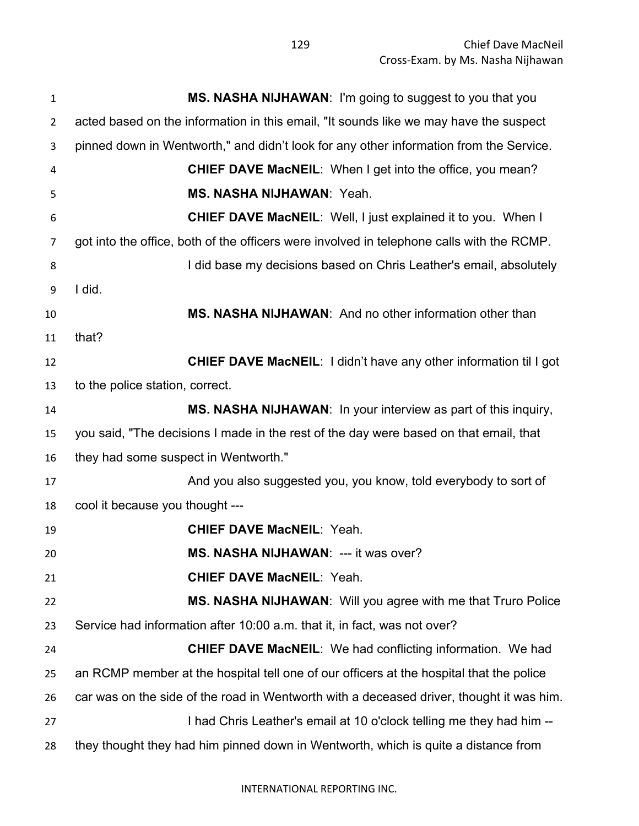| $\mathbf{1}$   | MS. NASHA NIJHAWAN: I'm going to suggest to you that you                                  |
|----------------|-------------------------------------------------------------------------------------------|
| $\overline{2}$ | acted based on the information in this email, "It sounds like we may have the suspect     |
| 3              | pinned down in Wentworth," and didn't look for any other information from the Service.    |
| 4              | <b>CHIEF DAVE MacNEIL:</b> When I get into the office, you mean?                          |
| 5              | <b>MS. NASHA NIJHAWAN: Yeah.</b>                                                          |
| 6              | <b>CHIEF DAVE MacNEIL:</b> Well, I just explained it to you. When I                       |
| $\overline{7}$ | got into the office, both of the officers were involved in telephone calls with the RCMP. |
| 8              | I did base my decisions based on Chris Leather's email, absolutely                        |
| 9              | I did.                                                                                    |
| 10             | MS. NASHA NIJHAWAN: And no other information other than                                   |
| 11             | that?                                                                                     |
| 12             | <b>CHIEF DAVE MacNEIL:</b> I didn't have any other information til I got                  |
| 13             | to the police station, correct.                                                           |
| 14             | MS. NASHA NIJHAWAN: In your interview as part of this inquiry,                            |
| 15             | you said, "The decisions I made in the rest of the day were based on that email, that     |
| 16             | they had some suspect in Wentworth."                                                      |
| 17             | And you also suggested you, you know, told everybody to sort of                           |
| 18             | cool it because you thought ---                                                           |
| 19             | <b>CHIEF DAVE MacNEIL: Yeah.</b>                                                          |
| 20             | MS. NASHA NIJHAWAN: --- it was over?                                                      |
| 21             | <b>CHIEF DAVE MacNEIL: Yeah.</b>                                                          |
| 22             | MS. NASHA NIJHAWAN: Will you agree with me that Truro Police                              |
| 23             | Service had information after 10:00 a.m. that it, in fact, was not over?                  |
| 24             | <b>CHIEF DAVE MacNEIL:</b> We had conflicting information. We had                         |
| 25             | an RCMP member at the hospital tell one of our officers at the hospital that the police   |
| 26             | car was on the side of the road in Wentworth with a deceased driver, thought it was him.  |
| 27             | I had Chris Leather's email at 10 o'clock telling me they had him --                      |
| 28             | they thought they had him pinned down in Wentworth, which is quite a distance from        |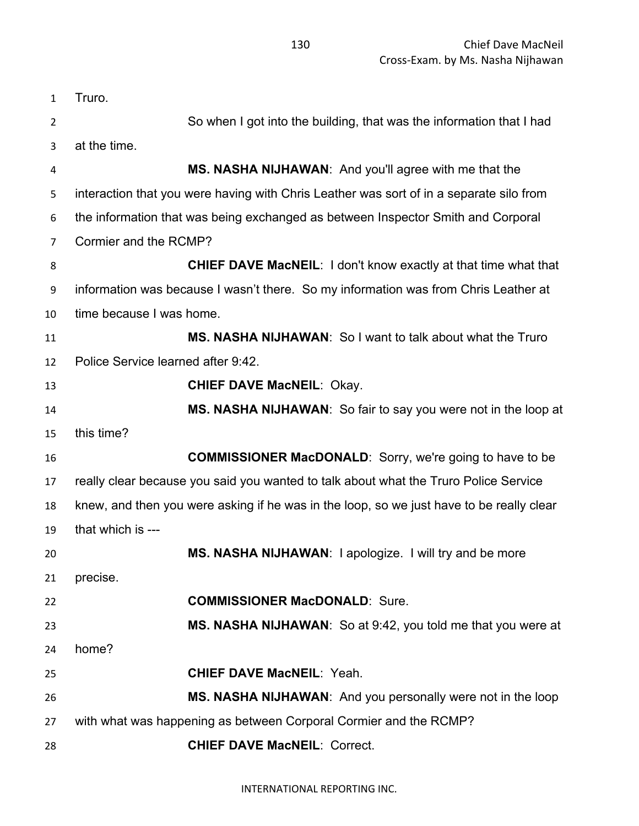Truro. So when I got into the building, that was the information that I had at the time. **MS. NASHA NIJHAWAN**: And you'll agree with me that the interaction that you were having with Chris Leather was sort of in a separate silo from the information that was being exchanged as between Inspector Smith and Corporal Cormier and the RCMP? **CHIEF DAVE MacNEIL**: I don't know exactly at that time what that information was because I wasn't there. So my information was from Chris Leather at time because I was home. **MS. NASHA NIJHAWAN**: So I want to talk about what the Truro Police Service learned after 9:42. **CHIEF DAVE MacNEIL**: Okay. **MS. NASHA NIJHAWAN**: So fair to say you were not in the loop at this time? **COMMISSIONER MacDONALD**: Sorry, we're going to have to be really clear because you said you wanted to talk about what the Truro Police Service knew, and then you were asking if he was in the loop, so we just have to be really clear that which is --- **MS. NASHA NIJHAWAN**: I apologize. I will try and be more precise. **COMMISSIONER MacDONALD**: Sure. **MS. NASHA NIJHAWAN**: So at 9:42, you told me that you were at home? **CHIEF DAVE MacNEIL**: Yeah. **MS. NASHA NIJHAWAN**: And you personally were not in the loop with what was happening as between Corporal Cormier and the RCMP? **CHIEF DAVE MacNEIL**: Correct.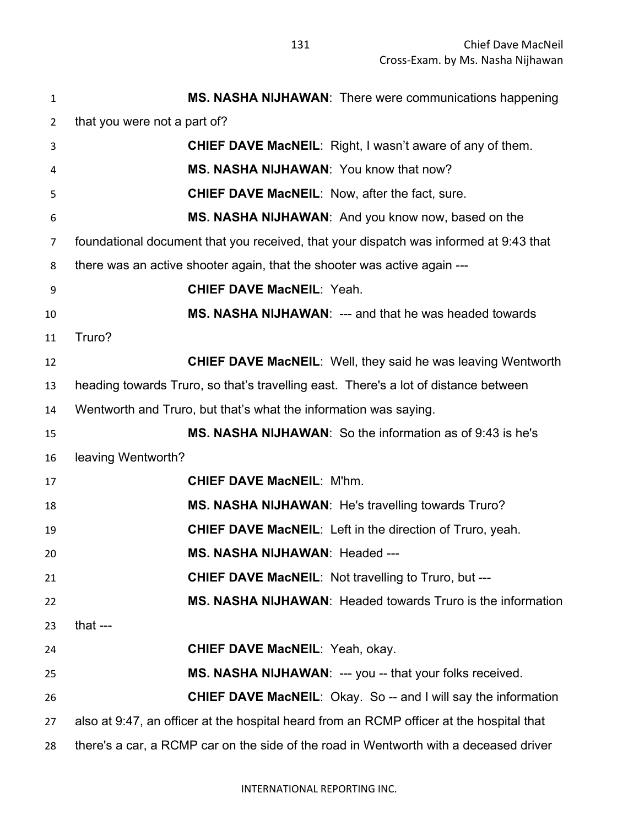| $\mathbf{1}$   | MS. NASHA NIJHAWAN: There were communications happening                                  |
|----------------|------------------------------------------------------------------------------------------|
| $\overline{2}$ | that you were not a part of?                                                             |
| 3              | <b>CHIEF DAVE MacNEIL:</b> Right, I wasn't aware of any of them.                         |
| 4              | MS. NASHA NIJHAWAN: You know that now?                                                   |
| 5              | <b>CHIEF DAVE MacNEIL: Now, after the fact, sure.</b>                                    |
| 6              | MS. NASHA NIJHAWAN: And you know now, based on the                                       |
| $\overline{7}$ | foundational document that you received, that your dispatch was informed at 9:43 that    |
| 8              | there was an active shooter again, that the shooter was active again ---                 |
| 9              | <b>CHIEF DAVE MacNEIL: Yeah.</b>                                                         |
| 10             | MS. NASHA NIJHAWAN: --- and that he was headed towards                                   |
| 11             | Truro?                                                                                   |
| 12             | <b>CHIEF DAVE MacNEIL:</b> Well, they said he was leaving Wentworth                      |
| 13             | heading towards Truro, so that's travelling east. There's a lot of distance between      |
| 14             | Wentworth and Truro, but that's what the information was saying.                         |
| 15             | MS. NASHA NIJHAWAN: So the information as of 9:43 is he's                                |
| 16             | leaving Wentworth?                                                                       |
| 17             | <b>CHIEF DAVE MacNEIL: M'hm.</b>                                                         |
| 18             | MS. NASHA NIJHAWAN: He's travelling towards Truro?                                       |
| 19             | <b>CHIEF DAVE MacNEIL:</b> Left in the direction of Truro, yeah.                         |
| 20             | MS. NASHA NIJHAWAN: Headed ---                                                           |
| 21             | <b>CHIEF DAVE MacNEIL: Not travelling to Truro, but ---</b>                              |
| 22             | MS. NASHA NIJHAWAN: Headed towards Truro is the information                              |
| 23             | that $---$                                                                               |
| 24             | <b>CHIEF DAVE MacNEIL: Yeah, okay.</b>                                                   |
| 25             | MS. NASHA NIJHAWAN: --- you -- that your folks received.                                 |
| 26             | <b>CHIEF DAVE MacNEIL:</b> Okay. So -- and I will say the information                    |
| 27             | also at 9:47, an officer at the hospital heard from an RCMP officer at the hospital that |
| 28             | there's a car, a RCMP car on the side of the road in Wentworth with a deceased driver    |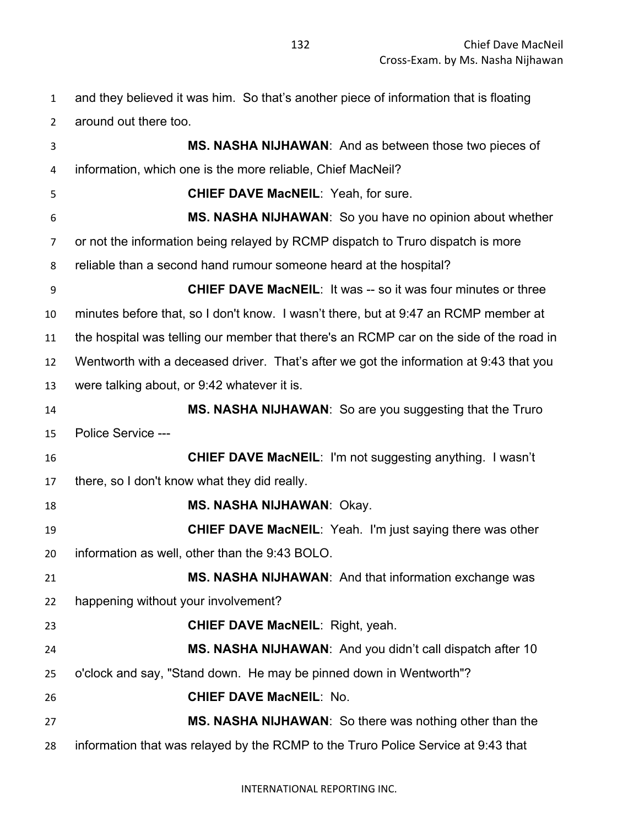and they believed it was him. So that's another piece of information that is floating around out there too.

 **MS. NASHA NIJHAWAN**: And as between those two pieces of information, which one is the more reliable, Chief MacNeil? **CHIEF DAVE MacNEIL**: Yeah, for sure. **MS. NASHA NIJHAWAN**: So you have no opinion about whether or not the information being relayed by RCMP dispatch to Truro dispatch is more reliable than a second hand rumour someone heard at the hospital? **CHIEF DAVE MacNEIL**: It was -- so it was four minutes or three minutes before that, so I don't know. I wasn't there, but at 9:47 an RCMP member at the hospital was telling our member that there's an RCMP car on the side of the road in Wentworth with a deceased driver. That's after we got the information at 9:43 that you were talking about, or 9:42 whatever it is. **MS. NASHA NIJHAWAN**: So are you suggesting that the Truro Police Service --- **CHIEF DAVE MacNEIL**: I'm not suggesting anything. I wasn't there, so I don't know what they did really. **MS. NASHA NIJHAWAN**: Okay. **CHIEF DAVE MacNEIL**: Yeah. I'm just saying there was other information as well, other than the 9:43 BOLO. **MS. NASHA NIJHAWAN**: And that information exchange was happening without your involvement? **CHIEF DAVE MacNEIL**: Right, yeah. **MS. NASHA NIJHAWAN**: And you didn't call dispatch after 10 o'clock and say, "Stand down. He may be pinned down in Wentworth"? **CHIEF DAVE MacNEIL**: No. **MS. NASHA NIJHAWAN**: So there was nothing other than the information that was relayed by the RCMP to the Truro Police Service at 9:43 that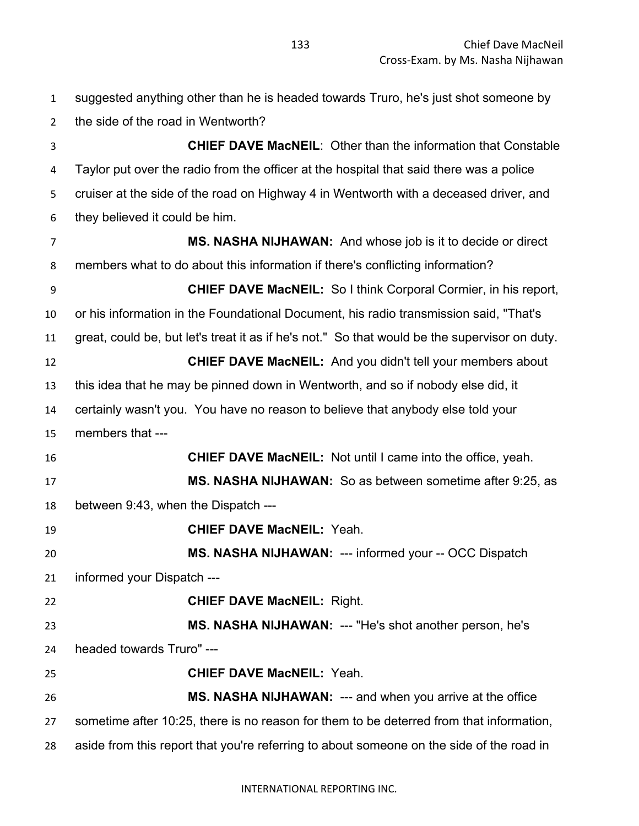suggested anything other than he is headed towards Truro, he's just shot someone by the side of the road in Wentworth? **CHIEF DAVE MacNEIL**: Other than the information that Constable Taylor put over the radio from the officer at the hospital that said there was a police cruiser at the side of the road on Highway 4 in Wentworth with a deceased driver, and they believed it could be him. **MS. NASHA NIJHAWAN:** And whose job is it to decide or direct members what to do about this information if there's conflicting information? **CHIEF DAVE MacNEIL:** So I think Corporal Cormier, in his report, or his information in the Foundational Document, his radio transmission said, "That's great, could be, but let's treat it as if he's not." So that would be the supervisor on duty. **CHIEF DAVE MacNEIL:** And you didn't tell your members about this idea that he may be pinned down in Wentworth, and so if nobody else did, it certainly wasn't you. You have no reason to believe that anybody else told your members that --- **CHIEF DAVE MacNEIL:** Not until I came into the office, yeah. **MS. NASHA NIJHAWAN:** So as between sometime after 9:25, as between 9:43, when the Dispatch --- **CHIEF DAVE MacNEIL:** Yeah. **MS. NASHA NIJHAWAN:** --- informed your -- OCC Dispatch informed your Dispatch --- **CHIEF DAVE MacNEIL:** Right. **MS. NASHA NIJHAWAN:** --- "He's shot another person, he's headed towards Truro" --- **CHIEF DAVE MacNEIL:** Yeah. **MS. NASHA NIJHAWAN:** --- and when you arrive at the office sometime after 10:25, there is no reason for them to be deterred from that information, aside from this report that you're referring to about someone on the side of the road in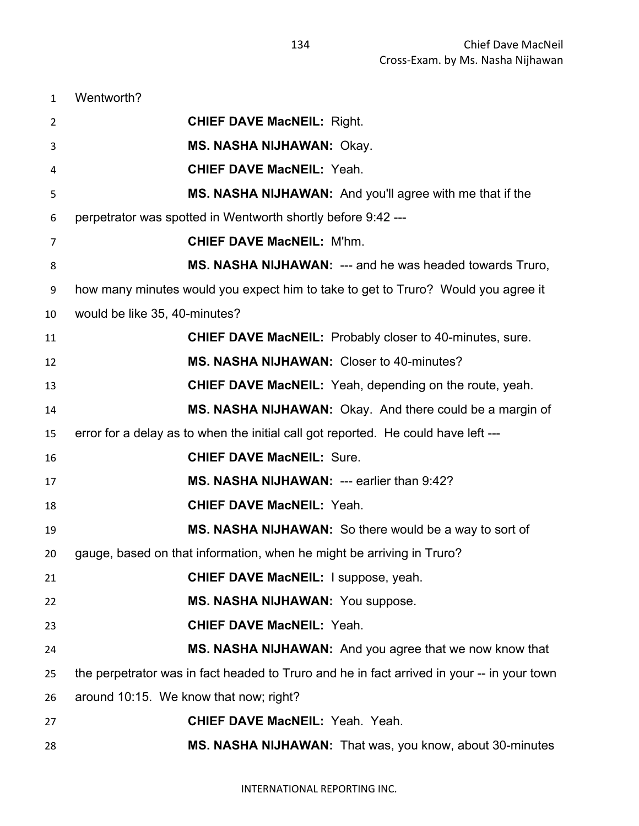| Wentworth? |
|------------|
|------------|

| 2  | <b>CHIEF DAVE MacNEIL: Right.</b>                                                          |
|----|--------------------------------------------------------------------------------------------|
| 3  | <b>MS. NASHA NIJHAWAN: Okay.</b>                                                           |
| 4  | <b>CHIEF DAVE MacNEIL: Yeah.</b>                                                           |
| 5  | MS. NASHA NIJHAWAN: And you'll agree with me that if the                                   |
| 6  | perpetrator was spotted in Wentworth shortly before 9:42 ---                               |
| 7  | <b>CHIEF DAVE MacNEIL: M'hm.</b>                                                           |
| 8  | MS. NASHA NIJHAWAN: --- and he was headed towards Truro,                                   |
| 9  | how many minutes would you expect him to take to get to Truro? Would you agree it          |
| 10 | would be like 35, 40-minutes?                                                              |
| 11 | <b>CHIEF DAVE MacNEIL:</b> Probably closer to 40-minutes, sure.                            |
| 12 | MS. NASHA NIJHAWAN: Closer to 40-minutes?                                                  |
| 13 | <b>CHIEF DAVE MacNEIL:</b> Yeah, depending on the route, yeah.                             |
| 14 | MS. NASHA NIJHAWAN: Okay. And there could be a margin of                                   |
| 15 | error for a delay as to when the initial call got reported. He could have left ---         |
| 16 | <b>CHIEF DAVE MacNEIL: Sure.</b>                                                           |
| 17 | MS. NASHA NIJHAWAN: --- earlier than 9:42?                                                 |
| 18 | <b>CHIEF DAVE MacNEIL: Yeah.</b>                                                           |
| 19 | MS. NASHA NIJHAWAN: So there would be a way to sort of                                     |
| 20 | gauge, based on that information, when he might be arriving in Truro?                      |
| 21 | CHIEF DAVE MacNEIL: I suppose, yeah.                                                       |
| 22 | MS. NASHA NIJHAWAN: You suppose.                                                           |
| 23 | <b>CHIEF DAVE MacNEIL: Yeah.</b>                                                           |
| 24 | MS. NASHA NIJHAWAN: And you agree that we now know that                                    |
| 25 | the perpetrator was in fact headed to Truro and he in fact arrived in your -- in your town |
| 26 | around 10:15. We know that now; right?                                                     |
| 27 | <b>CHIEF DAVE MacNEIL: Yeah. Yeah.</b>                                                     |
| 28 | MS. NASHA NIJHAWAN: That was, you know, about 30-minutes                                   |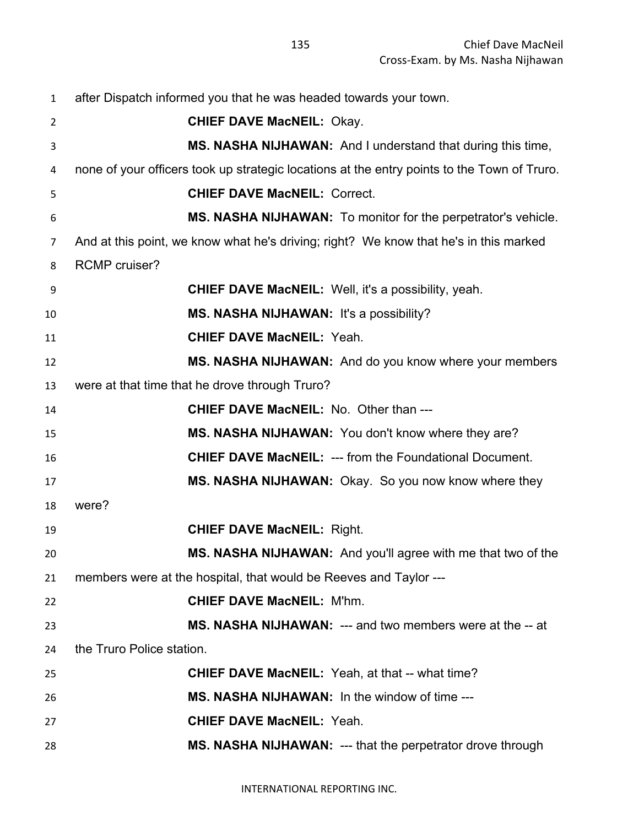| $\mathbf{1}$   | after Dispatch informed you that he was headed towards your town.                           |
|----------------|---------------------------------------------------------------------------------------------|
| $\overline{2}$ | <b>CHIEF DAVE MacNEIL: Okay.</b>                                                            |
| 3              | MS. NASHA NIJHAWAN: And I understand that during this time,                                 |
| 4              | none of your officers took up strategic locations at the entry points to the Town of Truro. |
| 5              | <b>CHIEF DAVE MacNEIL: Correct.</b>                                                         |
| 6              | MS. NASHA NIJHAWAN: To monitor for the perpetrator's vehicle.                               |
| $\overline{7}$ | And at this point, we know what he's driving; right? We know that he's in this marked       |
| 8              | <b>RCMP</b> cruiser?                                                                        |
| 9              | <b>CHIEF DAVE MacNEIL:</b> Well, it's a possibility, yeah.                                  |
| 10             | MS. NASHA NIJHAWAN: It's a possibility?                                                     |
| 11             | <b>CHIEF DAVE MacNEIL: Yeah.</b>                                                            |
| 12             | MS. NASHA NIJHAWAN: And do you know where your members                                      |
| 13             | were at that time that he drove through Truro?                                              |
| 14             | <b>CHIEF DAVE MacNEIL: No. Other than ---</b>                                               |
| 15             | MS. NASHA NIJHAWAN: You don't know where they are?                                          |
| 16             | <b>CHIEF DAVE MacNEIL: --- from the Foundational Document.</b>                              |
| 17             | MS. NASHA NIJHAWAN: Okay. So you now know where they                                        |
| 18             | were?                                                                                       |
| 19             | <b>CHIEF DAVE MacNEIL: Right.</b>                                                           |
| 20             | MS. NASHA NIJHAWAN: And you'll agree with me that two of the                                |
| 21             | members were at the hospital, that would be Reeves and Taylor ---                           |
| 22             | <b>CHIEF DAVE MacNEIL: M'hm.</b>                                                            |
| 23             | <b>MS. NASHA NIJHAWAN: --- and two members were at the -- at</b>                            |
| 24             | the Truro Police station.                                                                   |
| 25             | <b>CHIEF DAVE MacNEIL:</b> Yeah, at that -- what time?                                      |
| 26             | MS. NASHA NIJHAWAN: In the window of time ---                                               |
| 27             | <b>CHIEF DAVE MacNEIL: Yeah.</b>                                                            |
| 28             | MS. NASHA NIJHAWAN: --- that the perpetrator drove through                                  |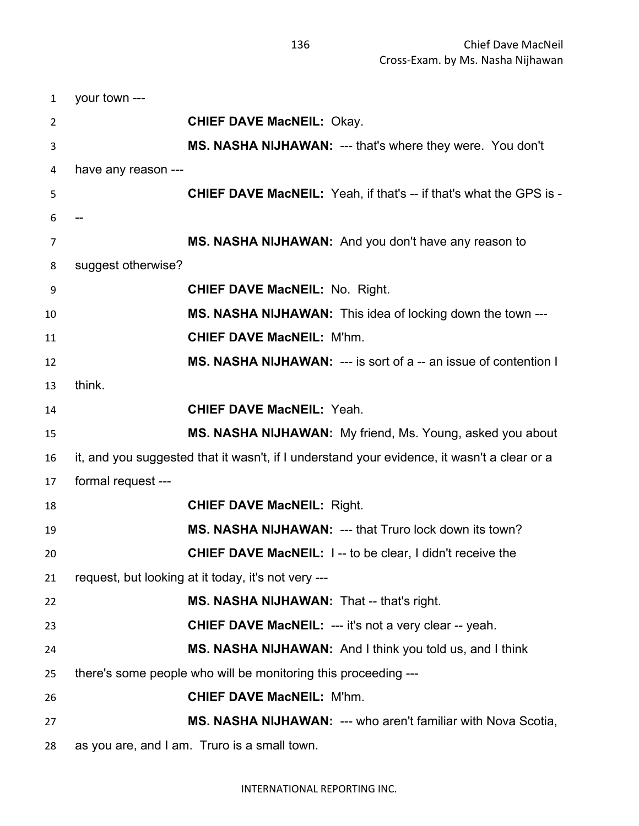| $\mathbf{1}$   | your town ---       |                                                                                             |
|----------------|---------------------|---------------------------------------------------------------------------------------------|
| 2              |                     | <b>CHIEF DAVE MacNEIL: Okay.</b>                                                            |
| 3              |                     | MS. NASHA NIJHAWAN: --- that's where they were. You don't                                   |
| 4              | have any reason --- |                                                                                             |
| 5              |                     | <b>CHIEF DAVE MacNEIL:</b> Yeah, if that's -- if that's what the GPS is -                   |
| 6              |                     |                                                                                             |
| $\overline{7}$ |                     | MS. NASHA NIJHAWAN: And you don't have any reason to                                        |
| 8              | suggest otherwise?  |                                                                                             |
| 9              |                     | <b>CHIEF DAVE MacNEIL: No. Right.</b>                                                       |
| 10             |                     | <b>MS. NASHA NIJHAWAN:</b> This idea of locking down the town ---                           |
| 11             |                     | <b>CHIEF DAVE MacNEIL: M'hm.</b>                                                            |
| 12             |                     | <b>MS. NASHA NIJHAWAN: --- is sort of a -- an issue of contention I</b>                     |
| 13             | think.              |                                                                                             |
| 14             |                     | <b>CHIEF DAVE MacNEIL: Yeah.</b>                                                            |
| 15             |                     | MS. NASHA NIJHAWAN: My friend, Ms. Young, asked you about                                   |
| 16             |                     | it, and you suggested that it wasn't, if I understand your evidence, it wasn't a clear or a |
| 17             | formal request ---  |                                                                                             |
| 18             |                     | <b>CHIEF DAVE MacNEIL: Right.</b>                                                           |
| 19             |                     | MS. NASHA NIJHAWAN: --- that Truro lock down its town?                                      |
| 20             |                     | <b>CHIEF DAVE MacNEIL: 1 -- to be clear, I didn't receive the</b>                           |
| 21             |                     | request, but looking at it today, it's not very ---                                         |
| 22             |                     | MS. NASHA NIJHAWAN: That -- that's right.                                                   |
| 23             |                     | <b>CHIEF DAVE MacNEIL: --- it's not a very clear -- yeah.</b>                               |
| 24             |                     | MS. NASHA NIJHAWAN: And I think you told us, and I think                                    |
| 25             |                     | there's some people who will be monitoring this proceeding ---                              |
| 26             |                     | <b>CHIEF DAVE MacNEIL: M'hm.</b>                                                            |
| 27             |                     | <b>MS. NASHA NIJHAWAN: --- who aren't familiar with Nova Scotia,</b>                        |
| 28             |                     | as you are, and I am. Truro is a small town.                                                |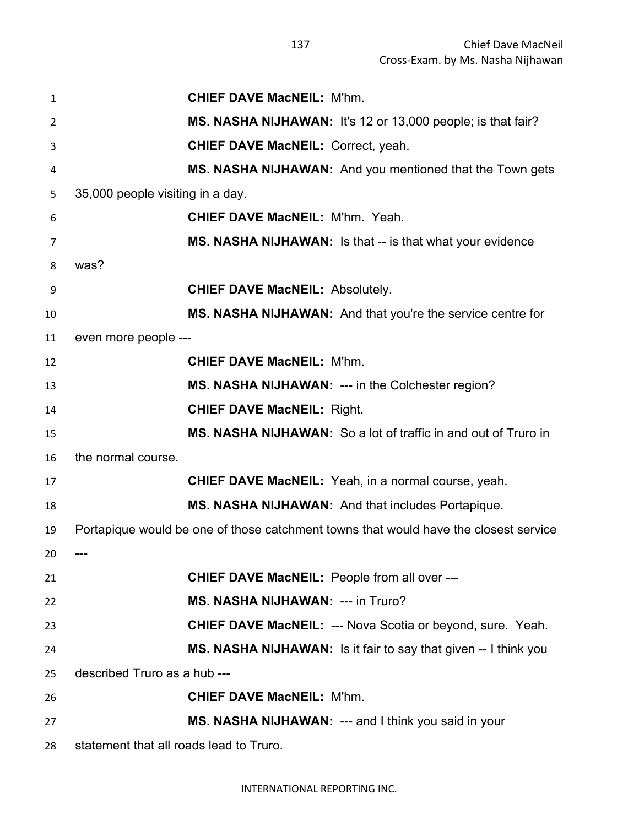| $\mathbf{1}$   |                                         | <b>CHIEF DAVE MacNEIL: M'hm.</b>                                                     |
|----------------|-----------------------------------------|--------------------------------------------------------------------------------------|
| $\overline{2}$ |                                         | <b>MS. NASHA NIJHAWAN:</b> It's 12 or 13,000 people; is that fair?                   |
| 3              |                                         | <b>CHIEF DAVE MacNEIL: Correct, yeah.</b>                                            |
| 4              |                                         | <b>MS. NASHA NIJHAWAN:</b> And you mentioned that the Town gets                      |
| 5              | 35,000 people visiting in a day.        |                                                                                      |
| 6              |                                         | <b>CHIEF DAVE MacNEIL: M'hm. Yeah.</b>                                               |
| $\overline{7}$ |                                         | <b>MS. NASHA NIJHAWAN:</b> Is that -- is that what your evidence                     |
| 8              | was?                                    |                                                                                      |
| 9              |                                         | <b>CHIEF DAVE MacNEIL: Absolutely.</b>                                               |
| 10             |                                         | MS. NASHA NIJHAWAN: And that you're the service centre for                           |
| 11             | even more people ---                    |                                                                                      |
| 12             |                                         | <b>CHIEF DAVE MacNEIL: M'hm.</b>                                                     |
| 13             |                                         | <b>MS. NASHA NIJHAWAN: --- in the Colchester region?</b>                             |
| 14             |                                         | <b>CHIEF DAVE MacNEIL: Right.</b>                                                    |
| 15             |                                         | MS. NASHA NIJHAWAN: So a lot of traffic in and out of Truro in                       |
| 16             | the normal course.                      |                                                                                      |
| 17             |                                         | <b>CHIEF DAVE MacNEIL:</b> Yeah, in a normal course, yeah.                           |
| 18             |                                         | MS. NASHA NIJHAWAN: And that includes Portapique.                                    |
| 19             |                                         | Portapique would be one of those catchment towns that would have the closest service |
| 20             | ---                                     |                                                                                      |
| 21             |                                         | <b>CHIEF DAVE MacNEIL: People from all over ---</b>                                  |
| 22             |                                         | <b>MS. NASHA NIJHAWAN: --- in Truro?</b>                                             |
| 23             |                                         | <b>CHIEF DAVE MacNEIL: --- Nova Scotia or beyond, sure. Yeah.</b>                    |
| 24             |                                         | MS. NASHA NIJHAWAN: Is it fair to say that given -- I think you                      |
| 25             | described Truro as a hub ---            |                                                                                      |
| 26             |                                         | <b>CHIEF DAVE MacNEIL: M'hm.</b>                                                     |
| 27             |                                         | MS. NASHA NIJHAWAN: --- and I think you said in your                                 |
| 28             | statement that all roads lead to Truro. |                                                                                      |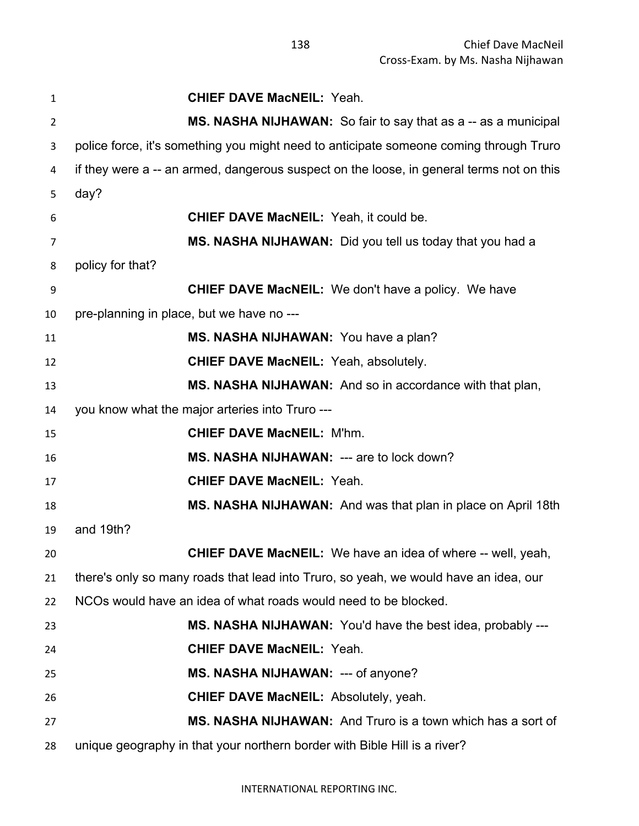| $\mathbf{1}$   | <b>CHIEF DAVE MacNEIL: Yeah.</b>                                                         |
|----------------|------------------------------------------------------------------------------------------|
| $\overline{2}$ | MS. NASHA NIJHAWAN: So fair to say that as a -- as a municipal                           |
| 3              | police force, it's something you might need to anticipate someone coming through Truro   |
| 4              | if they were a -- an armed, dangerous suspect on the loose, in general terms not on this |
| 5              | day?                                                                                     |
| 6              | <b>CHIEF DAVE MacNEIL: Yeah, it could be.</b>                                            |
| 7              | MS. NASHA NIJHAWAN: Did you tell us today that you had a                                 |
| 8              | policy for that?                                                                         |
| 9              | <b>CHIEF DAVE MacNEIL:</b> We don't have a policy. We have                               |
| 10             | pre-planning in place, but we have no ---                                                |
| 11             | MS. NASHA NIJHAWAN: You have a plan?                                                     |
| 12             | <b>CHIEF DAVE MacNEIL: Yeah, absolutely.</b>                                             |
| 13             | MS. NASHA NIJHAWAN: And so in accordance with that plan,                                 |
| 14             | you know what the major arteries into Truro ---                                          |
| 15             | <b>CHIEF DAVE MacNEIL: M'hm.</b>                                                         |
| 16             | MS. NASHA NIJHAWAN: --- are to lock down?                                                |
| 17             | <b>CHIEF DAVE MacNEIL: Yeah.</b>                                                         |
| 18             | MS. NASHA NIJHAWAN: And was that plan in place on April 18th                             |
| 19             | and 19th?                                                                                |
| 20             | <b>CHIEF DAVE MacNEIL:</b> We have an idea of where -- well, yeah,                       |
| 21             | there's only so many roads that lead into Truro, so yeah, we would have an idea, our     |
| 22             | NCOs would have an idea of what roads would need to be blocked.                          |
| 23             | MS. NASHA NIJHAWAN: You'd have the best idea, probably ---                               |
| 24             | <b>CHIEF DAVE MacNEIL: Yeah.</b>                                                         |
| 25             | MS. NASHA NIJHAWAN: --- of anyone?                                                       |
| 26             | <b>CHIEF DAVE MacNEIL: Absolutely, yeah.</b>                                             |
| 27             | MS. NASHA NIJHAWAN: And Truro is a town which has a sort of                              |
| 28             | unique geography in that your northern border with Bible Hill is a river?                |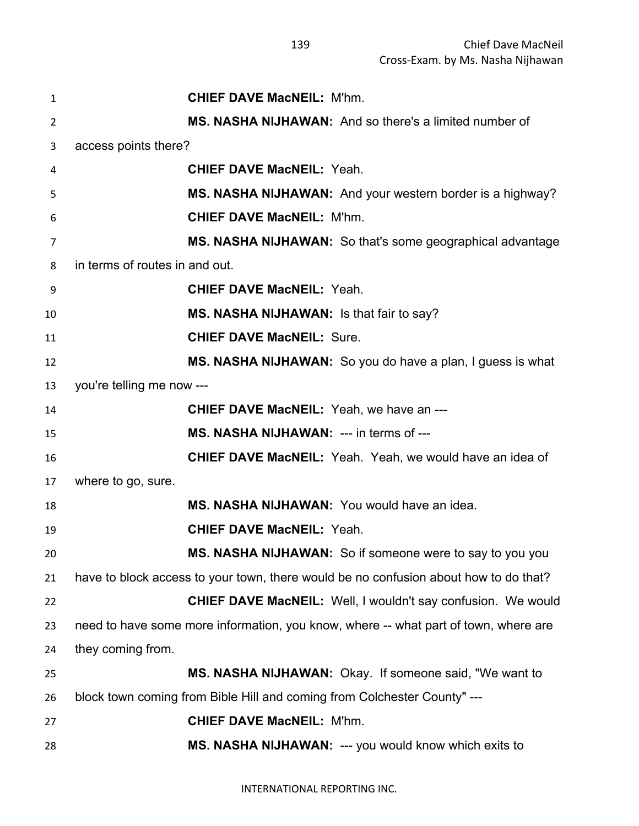| 1              | <b>CHIEF DAVE MacNEIL: M'hm.</b>                                                     |
|----------------|--------------------------------------------------------------------------------------|
| 2              | MS. NASHA NIJHAWAN: And so there's a limited number of                               |
| 3              | access points there?                                                                 |
| 4              | <b>CHIEF DAVE MacNEIL: Yeah.</b>                                                     |
| 5              | MS. NASHA NIJHAWAN: And your western border is a highway?                            |
| 6              | <b>CHIEF DAVE MacNEIL: M'hm.</b>                                                     |
| $\overline{7}$ | MS. NASHA NIJHAWAN: So that's some geographical advantage                            |
| 8              | in terms of routes in and out.                                                       |
| 9              | <b>CHIEF DAVE MacNEIL: Yeah.</b>                                                     |
| 10             | MS. NASHA NIJHAWAN: Is that fair to say?                                             |
| 11             | <b>CHIEF DAVE MacNEIL: Sure.</b>                                                     |
| 12             | MS. NASHA NIJHAWAN: So you do have a plan, I guess is what                           |
| 13             | you're telling me now ---                                                            |
| 14             | <b>CHIEF DAVE MacNEIL:</b> Yeah, we have an ---                                      |
| 15             | MS. NASHA NIJHAWAN: --- in terms of ---                                              |
| 16             | <b>CHIEF DAVE MacNEIL:</b> Yeah. Yeah, we would have an idea of                      |
| 17             | where to go, sure.                                                                   |
| 18             | MS. NASHA NIJHAWAN: You would have an idea.                                          |
| 19             | <b>CHIEF DAVE MacNEIL: Yeah.</b>                                                     |
| 20             | MS. NASHA NIJHAWAN: So if someone were to say to you you                             |
| 21             | have to block access to your town, there would be no confusion about how to do that? |
| 22             | <b>CHIEF DAVE MacNEIL: Well, I wouldn't say confusion. We would</b>                  |
| 23             | need to have some more information, you know, where -- what part of town, where are  |
| 24             | they coming from.                                                                    |
| 25             | MS. NASHA NIJHAWAN: Okay. If someone said, "We want to                               |
| 26             | block town coming from Bible Hill and coming from Colchester County" ---             |
| 27             | <b>CHIEF DAVE MacNEIL: M'hm.</b>                                                     |
| 28             | MS. NASHA NIJHAWAN: --- you would know which exits to                                |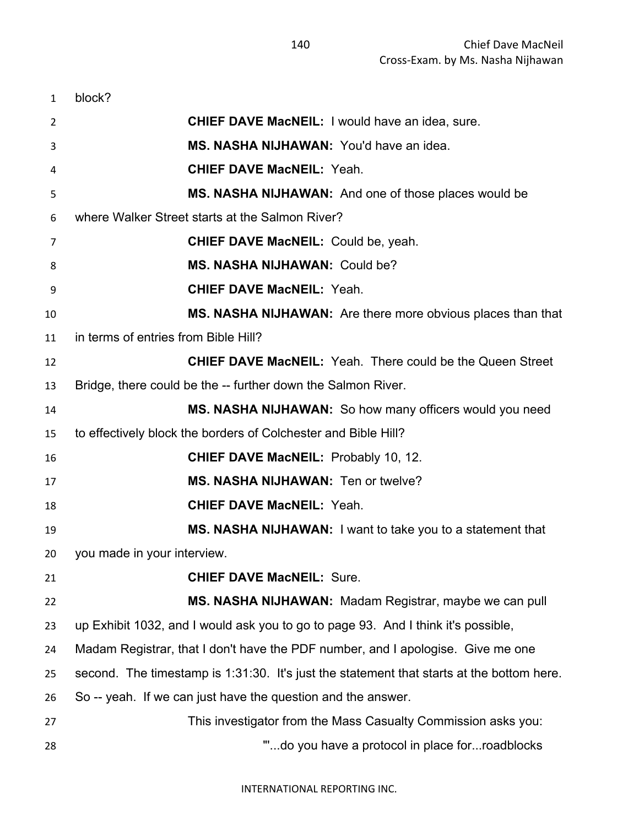| $\mathbf{1}$ | block?                                                                                    |
|--------------|-------------------------------------------------------------------------------------------|
| 2            | <b>CHIEF DAVE MacNEIL:</b> I would have an idea, sure.                                    |
| 3            | MS. NASHA NIJHAWAN: You'd have an idea.                                                   |
| 4            | <b>CHIEF DAVE MacNEIL: Yeah.</b>                                                          |
| 5            | MS. NASHA NIJHAWAN: And one of those places would be                                      |
| 6            | where Walker Street starts at the Salmon River?                                           |
| 7            | <b>CHIEF DAVE MacNEIL: Could be, yeah.</b>                                                |
| 8            | MS. NASHA NIJHAWAN: Could be?                                                             |
| 9            | <b>CHIEF DAVE MacNEIL: Yeah.</b>                                                          |
| 10           | MS. NASHA NIJHAWAN: Are there more obvious places than that                               |
| 11           | in terms of entries from Bible Hill?                                                      |
| 12           | <b>CHIEF DAVE MacNEIL:</b> Yeah. There could be the Queen Street                          |
| 13           | Bridge, there could be the -- further down the Salmon River.                              |
| 14           | MS. NASHA NIJHAWAN: So how many officers would you need                                   |
| 15           | to effectively block the borders of Colchester and Bible Hill?                            |
| 16           | <b>CHIEF DAVE MacNEIL: Probably 10, 12.</b>                                               |
| 17           | MS. NASHA NIJHAWAN: Ten or twelve?                                                        |
| 18           | <b>CHIEF DAVE MacNEIL: Yeah.</b>                                                          |
| 19           | <b>MS. NASHA NIJHAWAN:</b> I want to take you to a statement that                         |
|              | 20 you made in your interview.                                                            |
| 21           | <b>CHIEF DAVE MacNEIL: Sure.</b>                                                          |
| 22           | MS. NASHA NIJHAWAN: Madam Registrar, maybe we can pull                                    |
| 23           | up Exhibit 1032, and I would ask you to go to page 93. And I think it's possible,         |
| 24           | Madam Registrar, that I don't have the PDF number, and I apologise. Give me one           |
| 25           | second. The timestamp is 1:31:30. It's just the statement that starts at the bottom here. |
| 26           | So -- yeah. If we can just have the question and the answer.                              |
| 27           | This investigator from the Mass Casualty Commission asks you:                             |
| 28           | "do you have a protocol in place forroadblocks                                            |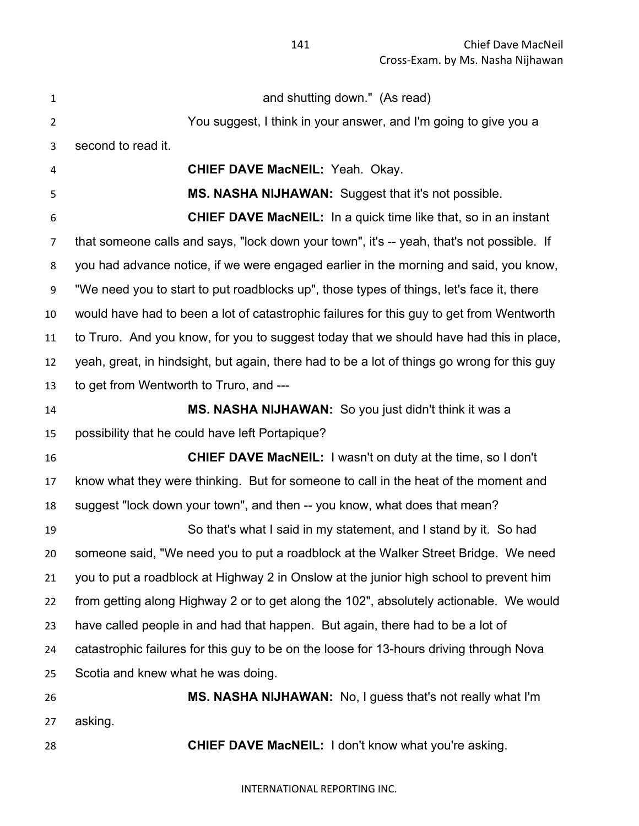| $\mathbf 1$    | and shutting down." (As read)                                                               |
|----------------|---------------------------------------------------------------------------------------------|
| $\overline{2}$ | You suggest, I think in your answer, and I'm going to give you a                            |
| 3              | second to read it.                                                                          |
| 4              | <b>CHIEF DAVE MacNEIL: Yeah. Okay.</b>                                                      |
| 5              | MS. NASHA NIJHAWAN: Suggest that it's not possible.                                         |
| 6              | <b>CHIEF DAVE MacNEIL:</b> In a quick time like that, so in an instant                      |
| $\overline{7}$ | that someone calls and says, "lock down your town", it's -- yeah, that's not possible. If   |
| 8              | you had advance notice, if we were engaged earlier in the morning and said, you know,       |
| 9              | "We need you to start to put roadblocks up", those types of things, let's face it, there    |
| 10             | would have had to been a lot of catastrophic failures for this guy to get from Wentworth    |
| 11             | to Truro. And you know, for you to suggest today that we should have had this in place,     |
| 12             | yeah, great, in hindsight, but again, there had to be a lot of things go wrong for this guy |
| 13             | to get from Wentworth to Truro, and ---                                                     |
| 14             | MS. NASHA NIJHAWAN: So you just didn't think it was a                                       |
| 15             | possibility that he could have left Portapique?                                             |
| 16             | <b>CHIEF DAVE MacNEIL:</b> I wasn't on duty at the time, so I don't                         |
| 17             | know what they were thinking. But for someone to call in the heat of the moment and         |
| 18             | suggest "lock down your town", and then -- you know, what does that mean?                   |
| 19             | So that's what I said in my statement, and I stand by it. So had                            |
| 20             | someone said, "We need you to put a roadblock at the Walker Street Bridge. We need          |
| 21             | you to put a roadblock at Highway 2 in Onslow at the junior high school to prevent him      |
| 22             | from getting along Highway 2 or to get along the 102", absolutely actionable. We would      |
| 23             | have called people in and had that happen. But again, there had to be a lot of              |
| 24             | catastrophic failures for this guy to be on the loose for 13-hours driving through Nova     |
| 25             | Scotia and knew what he was doing.                                                          |
| 26             | MS. NASHA NIJHAWAN: No, I guess that's not really what I'm                                  |
| 27             | asking.                                                                                     |
| 28             | CHIEF DAVE MacNEIL: I don't know what you're asking.                                        |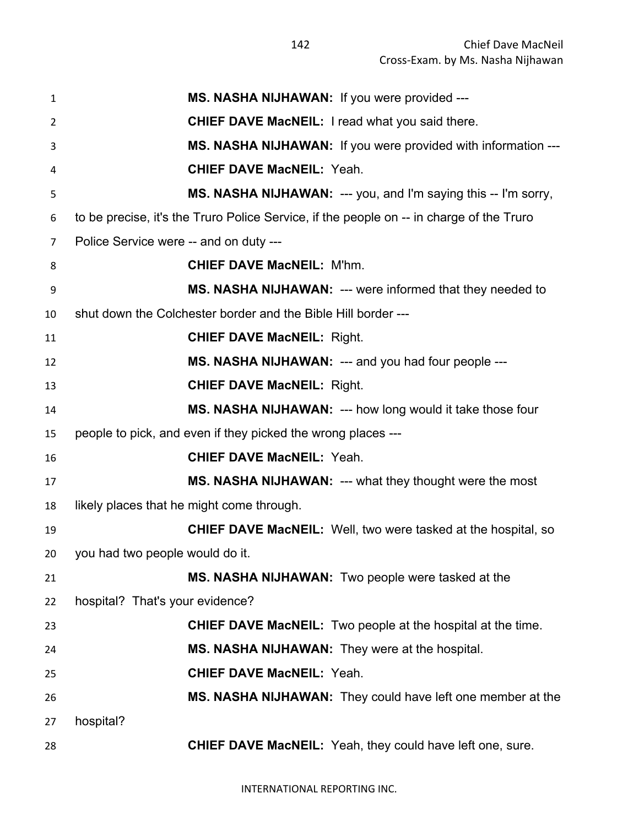| $\mathbf{1}$   | MS. NASHA NIJHAWAN: If you were provided ---                                             |
|----------------|------------------------------------------------------------------------------------------|
| 2              | <b>CHIEF DAVE MacNEIL: I read what you said there.</b>                                   |
| 3              | MS. NASHA NIJHAWAN: If you were provided with information ---                            |
| 4              | <b>CHIEF DAVE MacNEIL: Yeah.</b>                                                         |
| 5              | MS. NASHA NIJHAWAN: --- you, and I'm saying this -- I'm sorry,                           |
| 6              | to be precise, it's the Truro Police Service, if the people on -- in charge of the Truro |
| $\overline{7}$ | Police Service were -- and on duty ---                                                   |
| 8              | <b>CHIEF DAVE MacNEIL: M'hm.</b>                                                         |
| 9              | MS. NASHA NIJHAWAN: --- were informed that they needed to                                |
| 10             | shut down the Colchester border and the Bible Hill border ---                            |
| 11             | <b>CHIEF DAVE MacNEIL: Right.</b>                                                        |
| 12             | MS. NASHA NIJHAWAN: --- and you had four people ---                                      |
| 13             | <b>CHIEF DAVE MacNEIL: Right.</b>                                                        |
| 14             | MS. NASHA NIJHAWAN: --- how long would it take those four                                |
| 15             | people to pick, and even if they picked the wrong places ---                             |
| 16             | <b>CHIEF DAVE MacNEIL: Yeah.</b>                                                         |
| 17             | MS. NASHA NIJHAWAN: --- what they thought were the most                                  |
| 18             | likely places that he might come through.                                                |
| 19             | <b>CHIEF DAVE MacNEIL:</b> Well, two were tasked at the hospital, so                     |
| 20             | you had two people would do it.                                                          |
| 21             | MS. NASHA NIJHAWAN: Two people were tasked at the                                        |
| 22             | hospital? That's your evidence?                                                          |
| 23             | <b>CHIEF DAVE MacNEIL:</b> Two people at the hospital at the time.                       |
| 24             | MS. NASHA NIJHAWAN: They were at the hospital.                                           |
| 25             | <b>CHIEF DAVE MacNEIL: Yeah.</b>                                                         |
| 26             | MS. NASHA NIJHAWAN: They could have left one member at the                               |
| 27             | hospital?                                                                                |
| 28             | CHIEF DAVE MacNEIL: Yeah, they could have left one, sure.                                |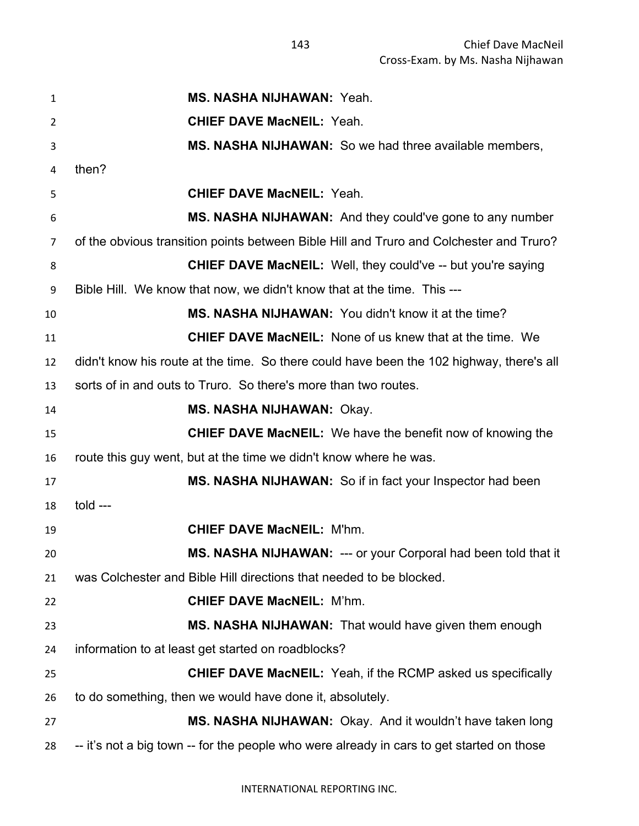**MS. NASHA NIJHAWAN:** Yeah. **CHIEF DAVE MacNEIL:** Yeah. **MS. NASHA NIJHAWAN:** So we had three available members, then? **CHIEF DAVE MacNEIL:** Yeah. **MS. NASHA NIJHAWAN:** And they could've gone to any number of the obvious transition points between Bible Hill and Truro and Colchester and Truro? **CHIEF DAVE MacNEIL:** Well, they could've -- but you're saying Bible Hill. We know that now, we didn't know that at the time. This --- **MS. NASHA NIJHAWAN:** You didn't know it at the time? **CHIEF DAVE MacNEIL:** None of us knew that at the time. We didn't know his route at the time. So there could have been the 102 highway, there's all sorts of in and outs to Truro. So there's more than two routes. **MS. NASHA NIJHAWAN:** Okay. **CHIEF DAVE MacNEIL:** We have the benefit now of knowing the route this guy went, but at the time we didn't know where he was. **MS. NASHA NIJHAWAN:** So if in fact your Inspector had been told --- **CHIEF DAVE MacNEIL:** M'hm. **MS. NASHA NIJHAWAN:** --- or your Corporal had been told that it was Colchester and Bible Hill directions that needed to be blocked. **CHIEF DAVE MacNEIL:** M'hm. **MS. NASHA NIJHAWAN:** That would have given them enough information to at least get started on roadblocks? **CHIEF DAVE MacNEIL:** Yeah, if the RCMP asked us specifically to do something, then we would have done it, absolutely. **MS. NASHA NIJHAWAN:** Okay. And it wouldn't have taken long -- it's not a big town -- for the people who were already in cars to get started on those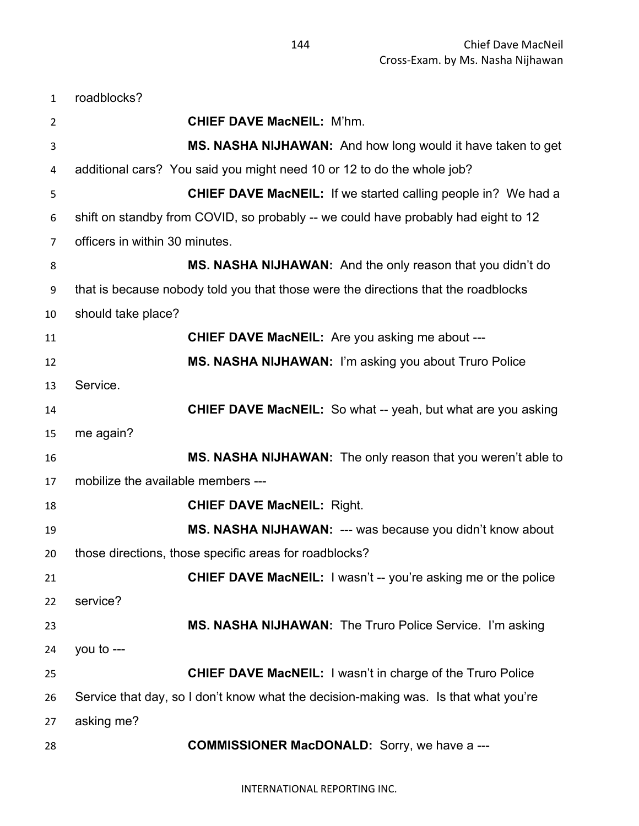roadblocks? **CHIEF DAVE MacNEIL:** M'hm. **MS. NASHA NIJHAWAN:** And how long would it have taken to get additional cars? You said you might need 10 or 12 to do the whole job? **CHIEF DAVE MacNEIL:** If we started calling people in? We had a shift on standby from COVID, so probably -- we could have probably had eight to 12 officers in within 30 minutes. **MS. NASHA NIJHAWAN:** And the only reason that you didn't do that is because nobody told you that those were the directions that the roadblocks should take place? **CHIEF DAVE MacNEIL:** Are you asking me about --- **MS. NASHA NIJHAWAN:** I'm asking you about Truro Police Service. **CHIEF DAVE MacNEIL:** So what -- yeah, but what are you asking me again? **MS. NASHA NIJHAWAN:** The only reason that you weren't able to mobilize the available members --- **CHIEF DAVE MacNEIL:** Right. **MS. NASHA NIJHAWAN:** --- was because you didn't know about those directions, those specific areas for roadblocks? **CHIEF DAVE MacNEIL:** I wasn't -- you're asking me or the police service? **MS. NASHA NIJHAWAN:** The Truro Police Service. I'm asking you to --- **CHIEF DAVE MacNEIL:** I wasn't in charge of the Truro Police Service that day, so I don't know what the decision-making was. Is that what you're asking me? **COMMISSIONER MacDONALD:** Sorry, we have a ---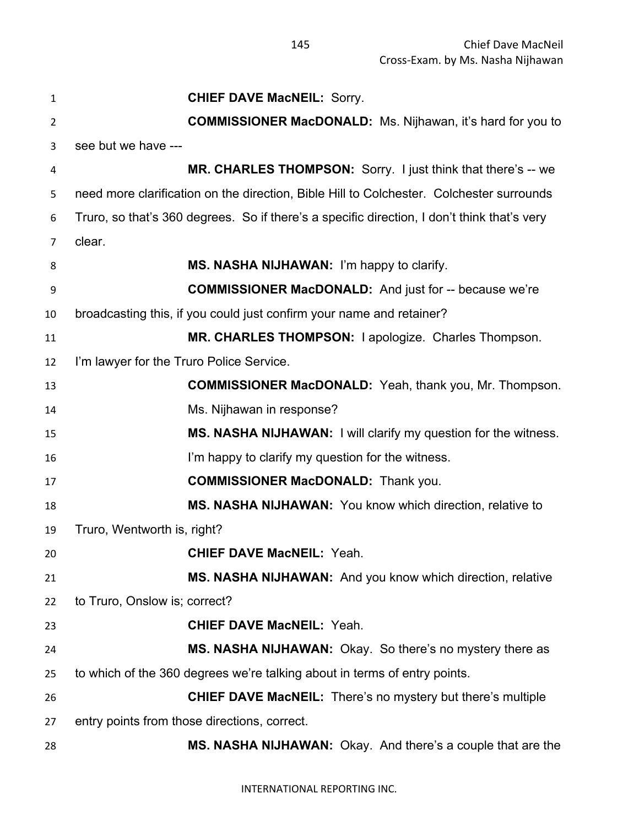**CHIEF DAVE MacNEIL:** Sorry. **COMMISSIONER MacDONALD:** Ms. Nijhawan, it's hard for you to see but we have --- **MR. CHARLES THOMPSON:** Sorry. I just think that there's -- we need more clarification on the direction, Bible Hill to Colchester. Colchester surrounds Truro, so that's 360 degrees. So if there's a specific direction, I don't think that's very clear. **MS. NASHA NIJHAWAN:** I'm happy to clarify. **COMMISSIONER MacDONALD:** And just for -- because we're broadcasting this, if you could just confirm your name and retainer? **MR. CHARLES THOMPSON:** I apologize. Charles Thompson. I'm lawyer for the Truro Police Service. **COMMISSIONER MacDONALD:** Yeah, thank you, Mr. Thompson. Ms. Nijhawan in response? **MS. NASHA NIJHAWAN:** I will clarify my question for the witness. I'm happy to clarify my question for the witness. **COMMISSIONER MacDONALD:** Thank you. **MS. NASHA NIJHAWAN:** You know which direction, relative to Truro, Wentworth is, right? **CHIEF DAVE MacNEIL:** Yeah. **MS. NASHA NIJHAWAN:** And you know which direction, relative to Truro, Onslow is; correct? **CHIEF DAVE MacNEIL:** Yeah. **MS. NASHA NIJHAWAN:** Okay. So there's no mystery there as to which of the 360 degrees we're talking about in terms of entry points. **CHIEF DAVE MacNEIL:** There's no mystery but there's multiple entry points from those directions, correct. **MS. NASHA NIJHAWAN:** Okay. And there's a couple that are the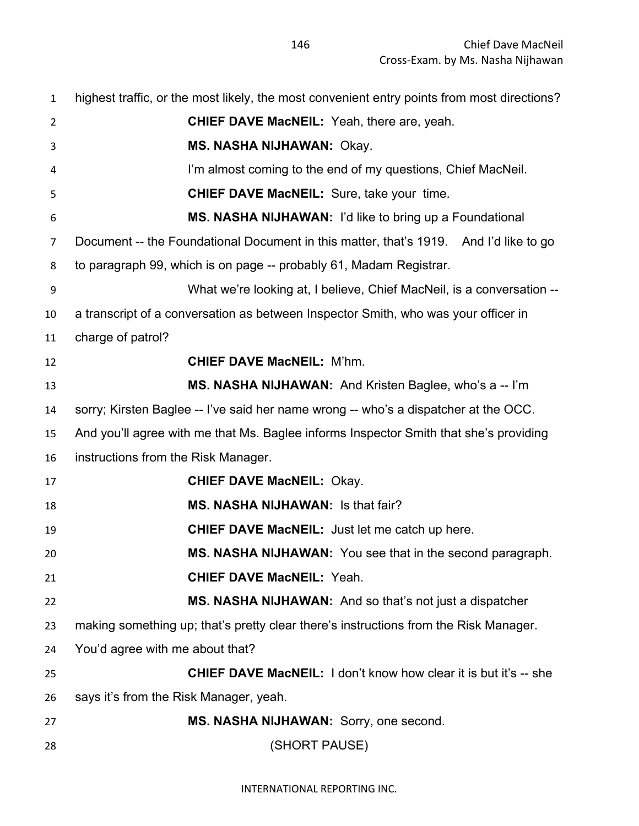| $\mathbf{1}$   | highest traffic, or the most likely, the most convenient entry points from most directions? |
|----------------|---------------------------------------------------------------------------------------------|
| $\overline{2}$ | <b>CHIEF DAVE MacNEIL:</b> Yeah, there are, yeah.                                           |
| 3              | <b>MS. NASHA NIJHAWAN: Okay.</b>                                                            |
| 4              | I'm almost coming to the end of my questions, Chief MacNeil.                                |
| 5              | <b>CHIEF DAVE MacNEIL:</b> Sure, take your time.                                            |
| 6              | MS. NASHA NIJHAWAN: I'd like to bring up a Foundational                                     |
| $\overline{7}$ | Document -- the Foundational Document in this matter, that's 1919. And I'd like to go       |
| 8              | to paragraph 99, which is on page -- probably 61, Madam Registrar.                          |
| 9              | What we're looking at, I believe, Chief MacNeil, is a conversation --                       |
| 10             | a transcript of a conversation as between Inspector Smith, who was your officer in          |
| 11             | charge of patrol?                                                                           |
| 12             | <b>CHIEF DAVE MacNEIL: M'hm.</b>                                                            |
| 13             | MS. NASHA NIJHAWAN: And Kristen Baglee, who's a -- I'm                                      |
| 14             | sorry; Kirsten Baglee -- I've said her name wrong -- who's a dispatcher at the OCC.         |
| 15             | And you'll agree with me that Ms. Baglee informs Inspector Smith that she's providing       |
| 16             | instructions from the Risk Manager.                                                         |
| 17             | <b>CHIEF DAVE MacNEIL: Okay.</b>                                                            |
| 18             | <b>MS. NASHA NIJHAWAN: Is that fair?</b>                                                    |
| 19             | <b>CHIEF DAVE MacNEIL:</b> Just let me catch up here.                                       |
| 20             | MS. NASHA NIJHAWAN: You see that in the second paragraph.                                   |
| 21             | <b>CHIEF DAVE MacNEIL: Yeah.</b>                                                            |
| 22             | MS. NASHA NIJHAWAN: And so that's not just a dispatcher                                     |
| 23             | making something up; that's pretty clear there's instructions from the Risk Manager.        |
| 24             | You'd agree with me about that?                                                             |
| 25             | <b>CHIEF DAVE MacNEIL:</b> I don't know how clear it is but it's -- she                     |
| 26             | says it's from the Risk Manager, yeah.                                                      |
| 27             | MS. NASHA NIJHAWAN: Sorry, one second.                                                      |
| 28             | (SHORT PAUSE)                                                                               |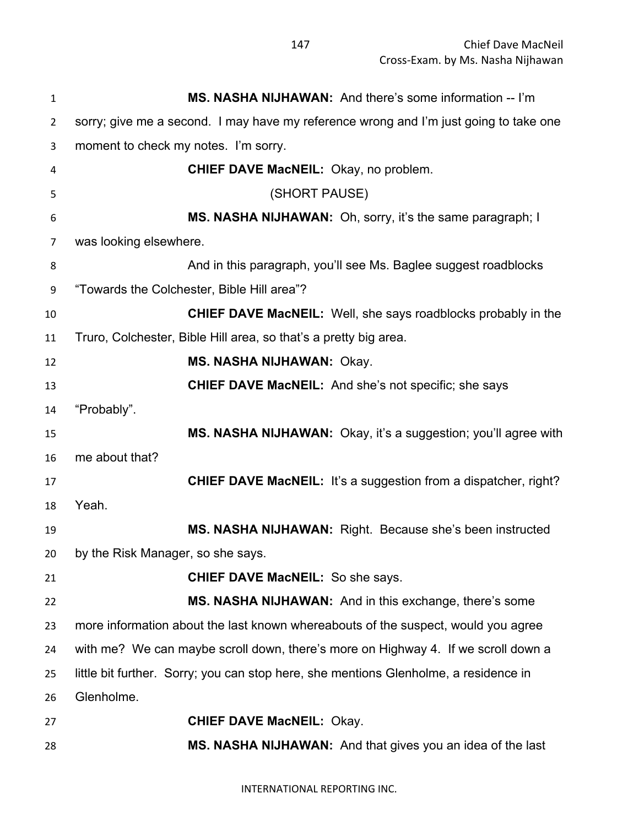| 1              | MS. NASHA NIJHAWAN: And there's some information -- I'm                               |
|----------------|---------------------------------------------------------------------------------------|
| $\overline{2}$ | sorry; give me a second. I may have my reference wrong and I'm just going to take one |
| 3              | moment to check my notes. I'm sorry.                                                  |
| 4              | <b>CHIEF DAVE MacNEIL:</b> Okay, no problem.                                          |
| 5              | (SHORT PAUSE)                                                                         |
| 6              | MS. NASHA NIJHAWAN: Oh, sorry, it's the same paragraph; I                             |
| 7              | was looking elsewhere.                                                                |
| 8              | And in this paragraph, you'll see Ms. Baglee suggest roadblocks                       |
| 9              | "Towards the Colchester, Bible Hill area"?                                            |
| 10             | <b>CHIEF DAVE MacNEIL:</b> Well, she says roadblocks probably in the                  |
| 11             | Truro, Colchester, Bible Hill area, so that's a pretty big area.                      |
| 12             | MS. NASHA NIJHAWAN: Okay.                                                             |
| 13             | <b>CHIEF DAVE MacNEIL:</b> And she's not specific; she says                           |
| 14             | "Probably".                                                                           |
| 15             | MS. NASHA NIJHAWAN: Okay, it's a suggestion; you'll agree with                        |
| 16             | me about that?                                                                        |
| 17             | <b>CHIEF DAVE MacNEIL:</b> It's a suggestion from a dispatcher, right?                |
| 18             | Yeah.                                                                                 |
| 19             | MS. NASHA NIJHAWAN: Right. Because she's been instructed                              |
| 20             | by the Risk Manager, so she says                                                      |
| 21             | <b>CHIEF DAVE MacNEIL: So she says.</b>                                               |
| 22             | MS. NASHA NIJHAWAN: And in this exchange, there's some                                |
| 23             | more information about the last known whereabouts of the suspect, would you agree     |
| 24             | with me? We can maybe scroll down, there's more on Highway 4. If we scroll down a     |
| 25             | little bit further. Sorry; you can stop here, she mentions Glenholme, a residence in  |
| 26             | Glenholme.                                                                            |
| 27             | <b>CHIEF DAVE MacNEIL: Okay.</b>                                                      |
| 28             | MS. NASHA NIJHAWAN: And that gives you an idea of the last                            |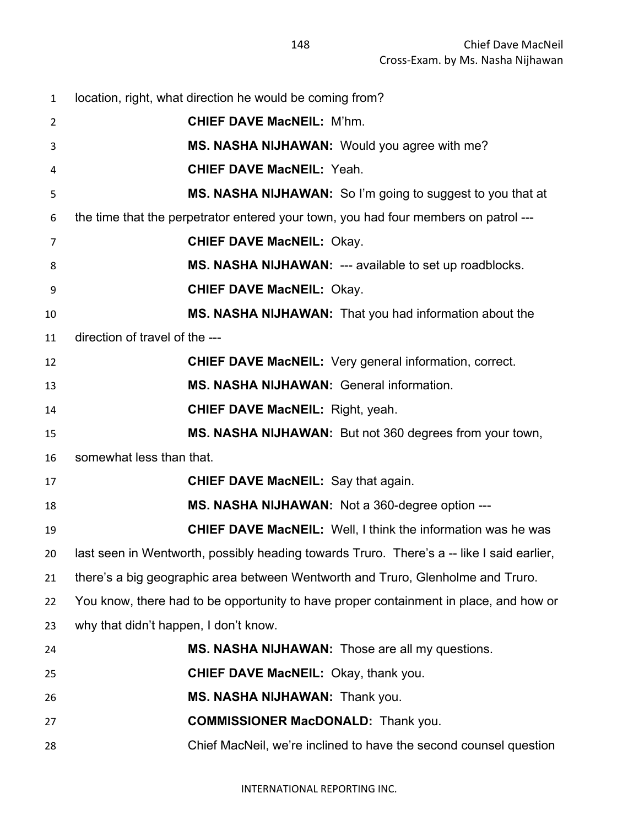| $\mathbf{1}$ | location, right, what direction he would be coming from?                                  |
|--------------|-------------------------------------------------------------------------------------------|
| 2            | <b>CHIEF DAVE MacNEIL: M'hm.</b>                                                          |
| 3            | MS. NASHA NIJHAWAN: Would you agree with me?                                              |
| 4            | <b>CHIEF DAVE MacNEIL: Yeah.</b>                                                          |
| 5            | MS. NASHA NIJHAWAN: So I'm going to suggest to you that at                                |
| 6            | the time that the perpetrator entered your town, you had four members on patrol ---       |
| 7            | <b>CHIEF DAVE MacNEIL: Okay.</b>                                                          |
| 8            | MS. NASHA NIJHAWAN: --- available to set up roadblocks.                                   |
| 9            | <b>CHIEF DAVE MacNEIL: Okay.</b>                                                          |
| 10           | MS. NASHA NIJHAWAN: That you had information about the                                    |
| 11           | direction of travel of the ---                                                            |
| 12           | <b>CHIEF DAVE MacNEIL:</b> Very general information, correct.                             |
| 13           | <b>MS. NASHA NIJHAWAN: General information.</b>                                           |
| 14           | <b>CHIEF DAVE MacNEIL: Right, yeah.</b>                                                   |
| 15           | MS. NASHA NIJHAWAN: But not 360 degrees from your town,                                   |
| 16           | somewhat less than that.                                                                  |
| 17           | <b>CHIEF DAVE MacNEIL:</b> Say that again.                                                |
| 18           | MS. NASHA NIJHAWAN: Not a 360-degree option ---                                           |
| 19           | <b>CHIEF DAVE MacNEIL:</b> Well, I think the information was he was                       |
| 20           | last seen in Wentworth, possibly heading towards Truro. There's a -- like I said earlier, |
| 21           | there's a big geographic area between Wentworth and Truro, Glenholme and Truro.           |
| 22           | You know, there had to be opportunity to have proper containment in place, and how or     |
| 23           | why that didn't happen, I don't know.                                                     |
| 24           | MS. NASHA NIJHAWAN: Those are all my questions.                                           |
| 25           | CHIEF DAVE MacNEIL: Okay, thank you.                                                      |
| 26           | MS. NASHA NIJHAWAN: Thank you.                                                            |
| 27           | <b>COMMISSIONER MacDONALD:</b> Thank you.                                                 |
| 28           | Chief MacNeil, we're inclined to have the second counsel question                         |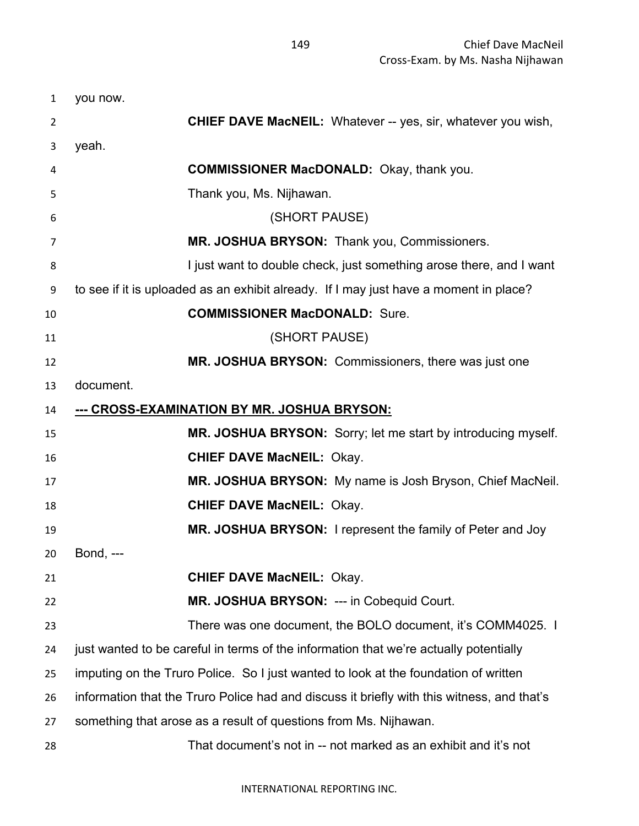| $\mathbf{1}$ | you now.                                                                                   |
|--------------|--------------------------------------------------------------------------------------------|
| 2            | <b>CHIEF DAVE MacNEIL:</b> Whatever -- yes, sir, whatever you wish,                        |
| 3            | yeah.                                                                                      |
| 4            | <b>COMMISSIONER MacDONALD:</b> Okay, thank you.                                            |
| 5            | Thank you, Ms. Nijhawan.                                                                   |
| 6            | (SHORT PAUSE)                                                                              |
| 7            | MR. JOSHUA BRYSON: Thank you, Commissioners.                                               |
| 8            | I just want to double check, just something arose there, and I want                        |
| 9            | to see if it is uploaded as an exhibit already. If I may just have a moment in place?      |
| 10           | <b>COMMISSIONER MacDONALD: Sure.</b>                                                       |
| 11           | (SHORT PAUSE)                                                                              |
| 12           | MR. JOSHUA BRYSON: Commissioners, there was just one                                       |
| 13           | document.                                                                                  |
| 14           | --- CROSS-EXAMINATION BY MR. JOSHUA BRYSON:                                                |
| 15           | MR. JOSHUA BRYSON: Sorry; let me start by introducing myself.                              |
| 16           | <b>CHIEF DAVE MacNEIL: Okay.</b>                                                           |
| 17           | MR. JOSHUA BRYSON: My name is Josh Bryson, Chief MacNeil.                                  |
| 18           | <b>CHIEF DAVE MacNEIL: Okay.</b>                                                           |
| 19           | MR. JOSHUA BRYSON: I represent the family of Peter and Joy                                 |
| 20           | <b>Bond, ---</b>                                                                           |
| 21           | <b>CHIEF DAVE MacNEIL: Okay.</b>                                                           |
| 22           | MR. JOSHUA BRYSON: --- in Cobequid Court.                                                  |
| 23           | There was one document, the BOLO document, it's COMM4025. I                                |
| 24           | just wanted to be careful in terms of the information that we're actually potentially      |
| 25           | imputing on the Truro Police. So I just wanted to look at the foundation of written        |
| 26           | information that the Truro Police had and discuss it briefly with this witness, and that's |
| 27           | something that arose as a result of questions from Ms. Nijhawan.                           |
| 28           | That document's not in -- not marked as an exhibit and it's not                            |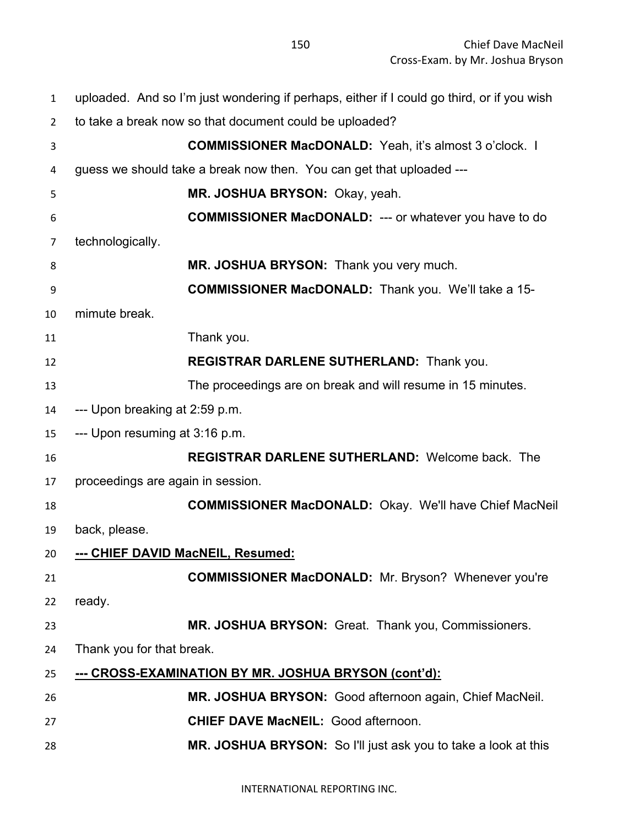| $\mathbf{1}$   | uploaded. And so I'm just wondering if perhaps, either if I could go third, or if you wish |
|----------------|--------------------------------------------------------------------------------------------|
| $\overline{2}$ | to take a break now so that document could be uploaded?                                    |
| 3              | <b>COMMISSIONER MacDONALD:</b> Yeah, it's almost 3 o'clock. I                              |
| 4              | guess we should take a break now then. You can get that uploaded ---                       |
| 5              | MR. JOSHUA BRYSON: Okay, yeah.                                                             |
| 6              | <b>COMMISSIONER MacDONALD:</b> --- or whatever you have to do                              |
| 7              | technologically.                                                                           |
| 8              | MR. JOSHUA BRYSON: Thank you very much.                                                    |
| 9              | <b>COMMISSIONER MacDONALD:</b> Thank you. We'll take a 15-                                 |
| 10             | mimute break.                                                                              |
| 11             | Thank you.                                                                                 |
| 12             | <b>REGISTRAR DARLENE SUTHERLAND: Thank you.</b>                                            |
| 13             | The proceedings are on break and will resume in 15 minutes.                                |
| 14             | --- Upon breaking at 2:59 p.m.                                                             |
| 15             | --- Upon resuming at 3:16 p.m.                                                             |
| 16             | <b>REGISTRAR DARLENE SUTHERLAND: Welcome back. The</b>                                     |
| 17             | proceedings are again in session.                                                          |
| 18             | <b>COMMISSIONER MacDONALD:</b> Okay. We'll have Chief MacNeil                              |
| 19             | back, please.                                                                              |
| 20             | --- CHIEF DAVID MacNEIL, Resumed:                                                          |
| 21             | <b>COMMISSIONER MacDONALD:</b> Mr. Bryson? Whenever you're                                 |
| 22             | ready.                                                                                     |
| 23             | MR. JOSHUA BRYSON: Great. Thank you, Commissioners.                                        |
| 24             | Thank you for that break.                                                                  |
| 25             | <u>--- CROSS-EXAMINATION BY MR. JOSHUA BRYSON (cont'd):</u>                                |
| 26             | MR. JOSHUA BRYSON: Good afternoon again, Chief MacNeil.                                    |
| 27             | <b>CHIEF DAVE MacNEIL: Good afternoon.</b>                                                 |
| 28             | MR. JOSHUA BRYSON: So I'll just ask you to take a look at this                             |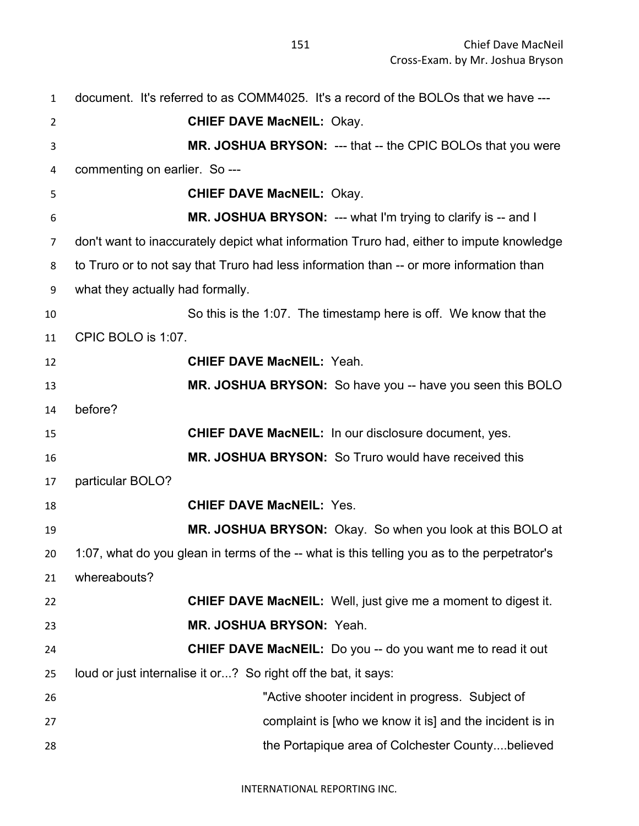|                | Cross-Exam. by Mr. Joshua Bryson                                                            |
|----------------|---------------------------------------------------------------------------------------------|
| $\mathbf{1}$   | document. It's referred to as COMM4025. It's a record of the BOLOs that we have ---         |
| $\overline{2}$ | <b>CHIEF DAVE MacNEIL: Okay.</b>                                                            |
| 3              | <b>MR. JOSHUA BRYSON: --- that -- the CPIC BOLOs that you were</b>                          |
| 4              | commenting on earlier. So ---                                                               |
| 5              | <b>CHIEF DAVE MacNEIL: Okay.</b>                                                            |
| 6              | <b>MR. JOSHUA BRYSON: --- what I'm trying to clarify is -- and I</b>                        |
| 7              | don't want to inaccurately depict what information Truro had, either to impute knowledge    |
| 8              | to Truro or to not say that Truro had less information than -- or more information than     |
| 9              | what they actually had formally.                                                            |
| 10             | So this is the 1:07. The timestamp here is off. We know that the                            |
| 11             | CPIC BOLO is 1:07.                                                                          |
| 12             | <b>CHIEF DAVE MacNEIL: Yeah.</b>                                                            |
| 13             | MR. JOSHUA BRYSON: So have you -- have you seen this BOLO                                   |
| 14             | before?                                                                                     |
| 15             | <b>CHIEF DAVE MacNEIL:</b> In our disclosure document, yes.                                 |
| 16             | MR. JOSHUA BRYSON: So Truro would have received this                                        |
| 17             | particular BOLO?                                                                            |
| 18             | <b>CHIEF DAVE MacNEIL: Yes.</b>                                                             |
|                | MR. JOSHUA BRYSON: Okay. So when you look at this BOLO at                                   |
| 19             |                                                                                             |
| 20             | 1:07, what do you glean in terms of the -- what is this telling you as to the perpetrator's |
| 21             | whereabouts?                                                                                |
| 22             | <b>CHIEF DAVE MacNEIL:</b> Well, just give me a moment to digest it.                        |
| 23             | MR. JOSHUA BRYSON: Yeah.                                                                    |

 **CHIEF DAVE MacNEIL:** Do you -- do you want me to read it out loud or just internalise it or...? So right off the bat, it says:

| 26 | "Active shooter incident in progress. Subject of        |
|----|---------------------------------------------------------|
| 27 | complaint is [who we know it is] and the incident is in |
| 28 | the Portapique area of Colchester Countybelieved        |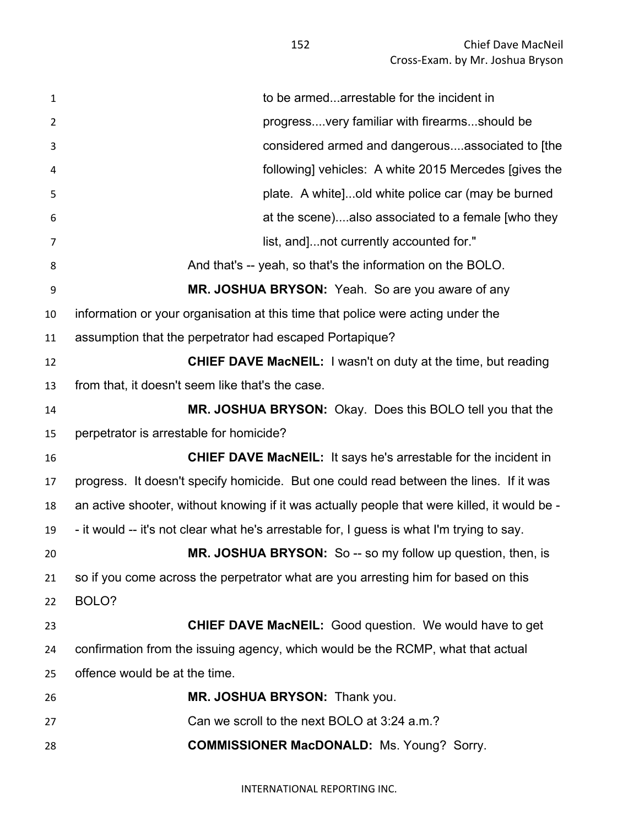| $\mathbf{1}$   | to be armedarrestable for the incident in                                                    |
|----------------|----------------------------------------------------------------------------------------------|
| $\overline{2}$ | progress very familiar with firearms should be                                               |
| 3              | considered armed and dangerousassociated to [the                                             |
| 4              | following] vehicles: A white 2015 Mercedes [gives the                                        |
| 5              | plate. A white]old white police car (may be burned                                           |
| 6              | at the scene)also associated to a female [who they                                           |
| 7              | list, and]not currently accounted for."                                                      |
| 8              | And that's -- yeah, so that's the information on the BOLO.                                   |
| 9              | MR. JOSHUA BRYSON: Yeah. So are you aware of any                                             |
| 10             | information or your organisation at this time that police were acting under the              |
| 11             | assumption that the perpetrator had escaped Portapique?                                      |
| 12             | <b>CHIEF DAVE MacNEIL:</b> I wasn't on duty at the time, but reading                         |
| 13             | from that, it doesn't seem like that's the case.                                             |
| 14             | MR. JOSHUA BRYSON: Okay. Does this BOLO tell you that the                                    |
| 15             | perpetrator is arrestable for homicide?                                                      |
| 16             | <b>CHIEF DAVE MacNEIL:</b> It says he's arrestable for the incident in                       |
| 17             | progress. It doesn't specify homicide. But one could read between the lines. If it was       |
| 18             | an active shooter, without knowing if it was actually people that were killed, it would be - |
| 19             | - it would -- it's not clear what he's arrestable for, I guess is what I'm trying to say.    |
| 20             | MR. JOSHUA BRYSON: So -- so my follow up question, then, is                                  |
| 21             | so if you come across the perpetrator what are you arresting him for based on this           |
| 22             | BOLO?                                                                                        |
| 23             | <b>CHIEF DAVE MacNEIL:</b> Good question. We would have to get                               |
| 24             | confirmation from the issuing agency, which would be the RCMP, what that actual              |
| 25             | offence would be at the time.                                                                |
| 26             | MR. JOSHUA BRYSON: Thank you.                                                                |
| 27             | Can we scroll to the next BOLO at 3:24 a.m.?                                                 |
| 28             | <b>COMMISSIONER MacDONALD:</b> Ms. Young? Sorry.                                             |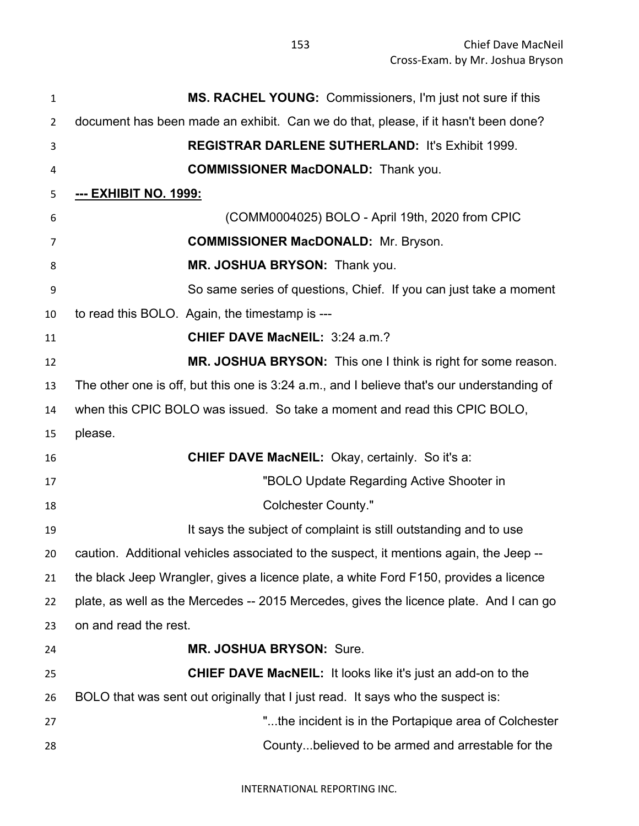**MS. RACHEL YOUNG:** Commissioners, I'm just not sure if this document has been made an exhibit. Can we do that, please, if it hasn't been done? **REGISTRAR DARLENE SUTHERLAND:** It's Exhibit 1999. **COMMISSIONER MacDONALD:** Thank you. **--- EXHIBIT NO. 1999:** (COMM0004025) BOLO - April 19th, 2020 from CPIC **COMMISSIONER MacDONALD:** Mr. Bryson. **MR. JOSHUA BRYSON:** Thank you. So same series of questions, Chief. If you can just take a moment to read this BOLO. Again, the timestamp is --- **CHIEF DAVE MacNEIL:** 3:24 a.m.? **MR. JOSHUA BRYSON:** This one I think is right for some reason. The other one is off, but this one is 3:24 a.m., and I believe that's our understanding of when this CPIC BOLO was issued. So take a moment and read this CPIC BOLO, please. **CHIEF DAVE MacNEIL:** Okay, certainly. So it's a: "BOLO Update Regarding Active Shooter in Colchester County." **It says the subject of complaint is still outstanding and to use**  caution. Additional vehicles associated to the suspect, it mentions again, the Jeep -- the black Jeep Wrangler, gives a licence plate, a white Ford F150, provides a licence plate, as well as the Mercedes -- 2015 Mercedes, gives the licence plate. And I can go on and read the rest. **MR. JOSHUA BRYSON:** Sure. **CHIEF DAVE MacNEIL:** It looks like it's just an add-on to the BOLO that was sent out originally that I just read. It says who the suspect is: "...the incident is in the Portapique area of Colchester County...believed to be armed and arrestable for the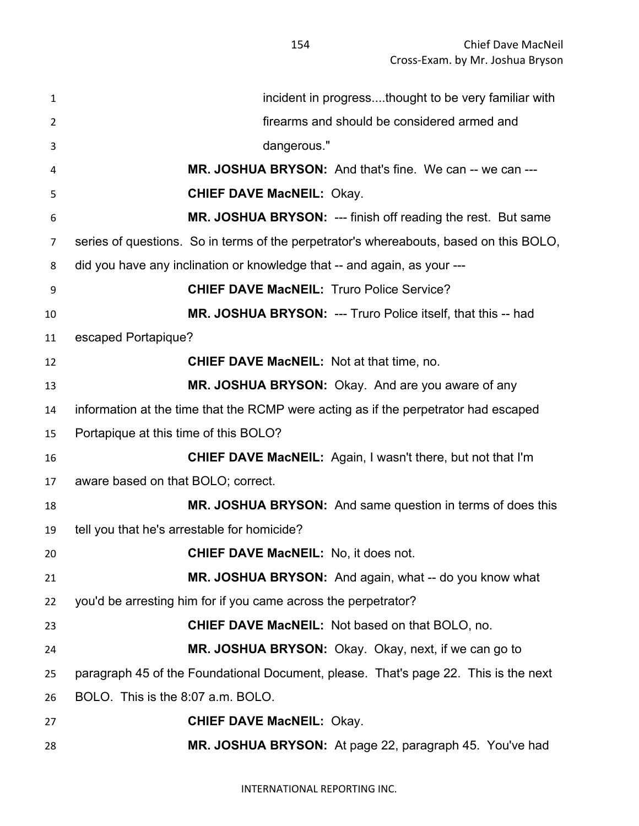| 1  | incident in progressthought to be very familiar with                                   |
|----|----------------------------------------------------------------------------------------|
| 2  | firearms and should be considered armed and                                            |
| 3  | dangerous."                                                                            |
| 4  | <b>MR. JOSHUA BRYSON:</b> And that's fine. We can -- we can ---                        |
| 5  | <b>CHIEF DAVE MacNEIL: Okay.</b>                                                       |
| 6  | MR. JOSHUA BRYSON: --- finish off reading the rest. But same                           |
| 7  | series of questions. So in terms of the perpetrator's whereabouts, based on this BOLO, |
| 8  | did you have any inclination or knowledge that -- and again, as your ---               |
| 9  | <b>CHIEF DAVE MacNEIL: Truro Police Service?</b>                                       |
| 10 | MR. JOSHUA BRYSON: --- Truro Police itself, that this -- had                           |
| 11 | escaped Portapique?                                                                    |
| 12 | <b>CHIEF DAVE MacNEIL: Not at that time, no.</b>                                       |
| 13 | MR. JOSHUA BRYSON: Okay. And are you aware of any                                      |
| 14 | information at the time that the RCMP were acting as if the perpetrator had escaped    |
| 15 | Portapique at this time of this BOLO?                                                  |
| 16 | CHIEF DAVE MacNEIL: Again, I wasn't there, but not that I'm                            |
| 17 | aware based on that BOLO; correct.                                                     |
| 18 | MR. JOSHUA BRYSON: And same question in terms of does this                             |
| 19 | tell you that he's arrestable for homicide?                                            |
| 20 | <b>CHIEF DAVE MacNEIL:</b> No, it does not.                                            |
| 21 | MR. JOSHUA BRYSON: And again, what -- do you know what                                 |
| 22 | you'd be arresting him for if you came across the perpetrator?                         |
| 23 | <b>CHIEF DAVE MacNEIL:</b> Not based on that BOLO, no.                                 |
| 24 | MR. JOSHUA BRYSON: Okay. Okay, next, if we can go to                                   |
| 25 | paragraph 45 of the Foundational Document, please. That's page 22. This is the next    |
| 26 | BOLO. This is the 8:07 a.m. BOLO.                                                      |
| 27 | <b>CHIEF DAVE MacNEIL: Okay.</b>                                                       |
| 28 | MR. JOSHUA BRYSON: At page 22, paragraph 45. You've had                                |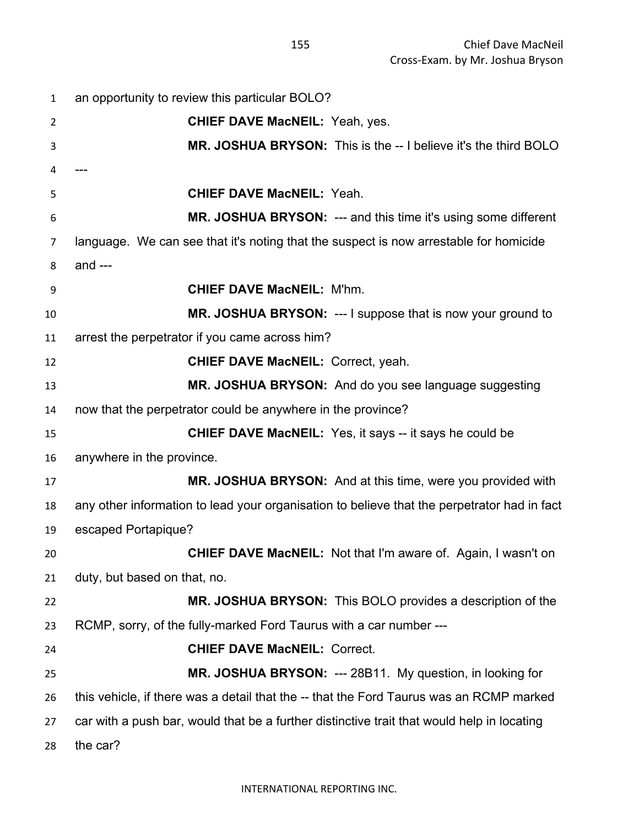| $\mathbf{1}$ | an opportunity to review this particular BOLO?                                              |
|--------------|---------------------------------------------------------------------------------------------|
| 2            | <b>CHIEF DAVE MacNEIL: Yeah, yes.</b>                                                       |
| 3            | MR. JOSHUA BRYSON: This is the -- I believe it's the third BOLO                             |
| 4            |                                                                                             |
| 5            | <b>CHIEF DAVE MacNEIL: Yeah.</b>                                                            |
| 6            | <b>MR. JOSHUA BRYSON: --- and this time it's using some different</b>                       |
| 7            | language. We can see that it's noting that the suspect is now arrestable for homicide       |
| 8            | and $---$                                                                                   |
| 9            | <b>CHIEF DAVE MacNEIL: M'hm.</b>                                                            |
| 10           | MR. JOSHUA BRYSON: --- I suppose that is now your ground to                                 |
| 11           | arrest the perpetrator if you came across him?                                              |
| 12           | <b>CHIEF DAVE MacNEIL: Correct, yeah.</b>                                                   |
| 13           | MR. JOSHUA BRYSON: And do you see language suggesting                                       |
| 14           | now that the perpetrator could be anywhere in the province?                                 |
| 15           | <b>CHIEF DAVE MacNEIL:</b> Yes, it says -- it says he could be                              |
| 16           | anywhere in the province.                                                                   |
| 17           | MR. JOSHUA BRYSON: And at this time, were you provided with                                 |
| 18           | any other information to lead your organisation to believe that the perpetrator had in fact |
| 19           | escaped Portapique?                                                                         |
| 20           | <b>CHIEF DAVE MacNEIL:</b> Not that I'm aware of. Again, I wasn't on                        |
| 21           | duty, but based on that, no.                                                                |
| 22           | MR. JOSHUA BRYSON: This BOLO provides a description of the                                  |
| 23           | RCMP, sorry, of the fully-marked Ford Taurus with a car number ---                          |
| 24           | <b>CHIEF DAVE MacNEIL: Correct.</b>                                                         |
| 25           | MR. JOSHUA BRYSON: --- 28B11. My question, in looking for                                   |
| 26           | this vehicle, if there was a detail that the -- that the Ford Taurus was an RCMP marked     |
| 27           | car with a push bar, would that be a further distinctive trait that would help in locating  |
| 28           | the car?                                                                                    |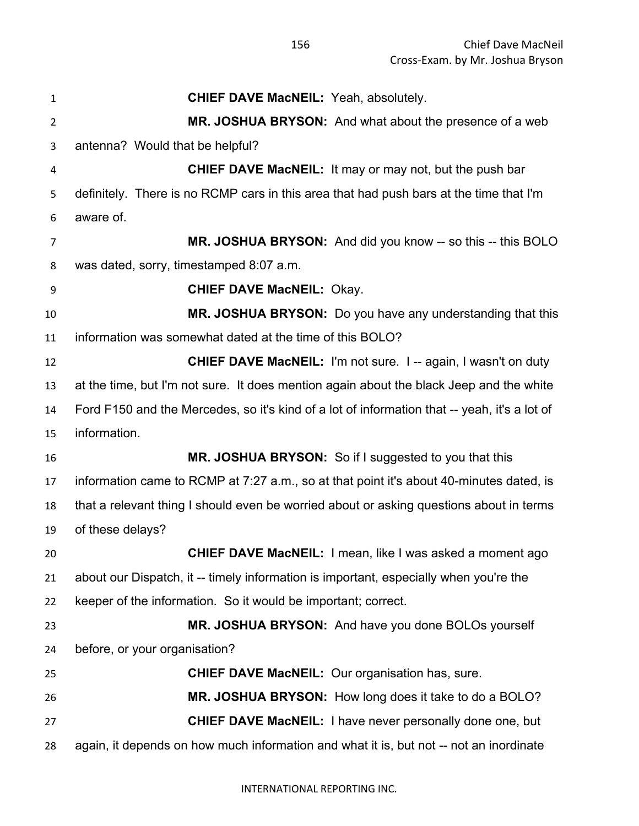| $\mathbf{1}$   | <b>CHIEF DAVE MacNEIL: Yeah, absolutely.</b>                                                 |
|----------------|----------------------------------------------------------------------------------------------|
| $\overline{2}$ | MR. JOSHUA BRYSON: And what about the presence of a web                                      |
| 3              | antenna? Would that be helpful?                                                              |
| 4              | <b>CHIEF DAVE MacNEIL:</b> It may or may not, but the push bar                               |
| 5              | definitely. There is no RCMP cars in this area that had push bars at the time that I'm       |
| 6              | aware of.                                                                                    |
| 7              | MR. JOSHUA BRYSON: And did you know -- so this -- this BOLO                                  |
| 8              | was dated, sorry, timestamped 8:07 a.m.                                                      |
| 9              | <b>CHIEF DAVE MacNEIL: Okay.</b>                                                             |
| 10             | MR. JOSHUA BRYSON: Do you have any understanding that this                                   |
| 11             | information was somewhat dated at the time of this BOLO?                                     |
| 12             | <b>CHIEF DAVE MacNEIL: I'm not sure. I -- again, I wasn't on duty</b>                        |
| 13             | at the time, but I'm not sure. It does mention again about the black Jeep and the white      |
| 14             | Ford F150 and the Mercedes, so it's kind of a lot of information that -- yeah, it's a lot of |
| 15             | information.                                                                                 |
| 16             | MR. JOSHUA BRYSON: So if I suggested to you that this                                        |
| 17             | information came to RCMP at 7:27 a.m., so at that point it's about 40-minutes dated, is      |
| 18             | that a relevant thing I should even be worried about or asking questions about in terms      |
| 19             | of these delays?                                                                             |
| 20             | <b>CHIEF DAVE MacNEIL:</b> I mean, like I was asked a moment ago                             |
| 21             | about our Dispatch, it -- timely information is important, especially when you're the        |
| 22             | keeper of the information. So it would be important; correct.                                |
| 23             | MR. JOSHUA BRYSON: And have you done BOLOs yourself                                          |
| 24             | before, or your organisation?                                                                |
| 25             | <b>CHIEF DAVE MacNEIL:</b> Our organisation has, sure.                                       |
| 26             | MR. JOSHUA BRYSON: How long does it take to do a BOLO?                                       |
| 27             | <b>CHIEF DAVE MacNEIL:</b> I have never personally done one, but                             |
| 28             | again, it depends on how much information and what it is, but not -- not an inordinate       |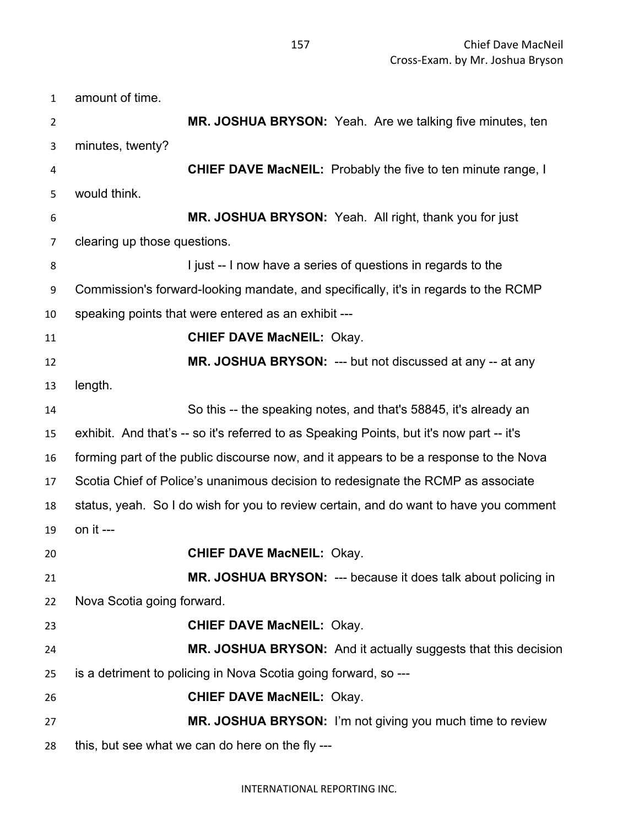| $\mathbf{1}$   | amount of time.                                                                          |
|----------------|------------------------------------------------------------------------------------------|
| $\overline{2}$ | MR. JOSHUA BRYSON: Yeah. Are we talking five minutes, ten                                |
| 3              | minutes, twenty?                                                                         |
| 4              | <b>CHIEF DAVE MacNEIL:</b> Probably the five to ten minute range, I                      |
| 5              | would think.                                                                             |
| 6              | MR. JOSHUA BRYSON: Yeah. All right, thank you for just                                   |
| 7              | clearing up those questions.                                                             |
| 8              | I just -- I now have a series of questions in regards to the                             |
| 9              | Commission's forward-looking mandate, and specifically, it's in regards to the RCMP      |
| 10             | speaking points that were entered as an exhibit ---                                      |
| 11             | <b>CHIEF DAVE MacNEIL: Okay.</b>                                                         |
| 12             | MR. JOSHUA BRYSON: --- but not discussed at any -- at any                                |
| 13             | length.                                                                                  |
| 14             | So this -- the speaking notes, and that's 58845, it's already an                         |
| 15             | exhibit. And that's -- so it's referred to as Speaking Points, but it's now part -- it's |
| 16             | forming part of the public discourse now, and it appears to be a response to the Nova    |
| 17             | Scotia Chief of Police's unanimous decision to redesignate the RCMP as associate         |
| 18             | status, yeah. So I do wish for you to review certain, and do want to have you comment    |
| 19             | on it $--$                                                                               |
| 20             | <b>CHIEF DAVE MacNEIL: Okay.</b>                                                         |
| 21             | MR. JOSHUA BRYSON: --- because it does talk about policing in                            |
| 22             | Nova Scotia going forward.                                                               |
| 23             | <b>CHIEF DAVE MacNEIL: Okay.</b>                                                         |
| 24             | MR. JOSHUA BRYSON: And it actually suggests that this decision                           |
| 25             | is a detriment to policing in Nova Scotia going forward, so ---                          |
| 26             | <b>CHIEF DAVE MacNEIL: Okay.</b>                                                         |
| 27             | MR. JOSHUA BRYSON: I'm not giving you much time to review                                |
| 28             | this, but see what we can do here on the fly ---                                         |

## INTERNATIONAL REPORTING INC.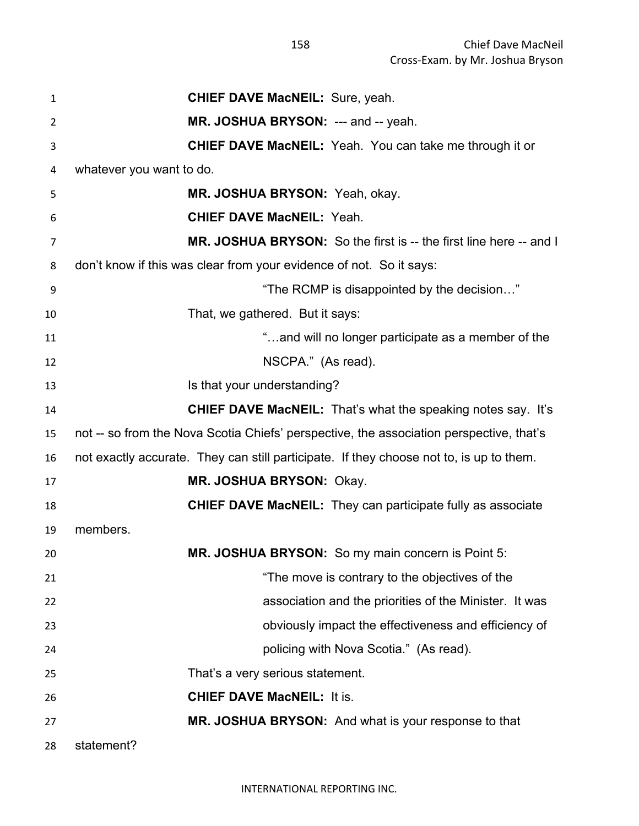| 1              | <b>CHIEF DAVE MacNEIL: Sure, yeah.</b>                                                  |
|----------------|-----------------------------------------------------------------------------------------|
| $\overline{2}$ | MR. JOSHUA BRYSON: --- and -- yeah.                                                     |
| 3              | <b>CHIEF DAVE MacNEIL:</b> Yeah. You can take me through it or                          |
| 4              | whatever you want to do.                                                                |
| 5              | MR. JOSHUA BRYSON: Yeah, okay.                                                          |
| 6              | <b>CHIEF DAVE MacNEIL: Yeah.</b>                                                        |
| 7              | MR. JOSHUA BRYSON: So the first is -- the first line here -- and I                      |
| 8              | don't know if this was clear from your evidence of not. So it says:                     |
| 9              | "The RCMP is disappointed by the decision"                                              |
| 10             | That, we gathered. But it says:                                                         |
| 11             | "and will no longer participate as a member of the                                      |
| 12             | NSCPA." (As read).                                                                      |
| 13             | Is that your understanding?                                                             |
| 14             | <b>CHIEF DAVE MacNEIL:</b> That's what the speaking notes say. It's                     |
| 15             | not -- so from the Nova Scotia Chiefs' perspective, the association perspective, that's |
| 16             | not exactly accurate. They can still participate. If they choose not to, is up to them. |
| 17             | MR. JOSHUA BRYSON: Okay.                                                                |
| 18             | <b>CHIEF DAVE MacNEIL:</b> They can participate fully as associate                      |
| 19             | members.                                                                                |
| 20             | MR. JOSHUA BRYSON: So my main concern is Point 5:                                       |
| 21             | "The move is contrary to the objectives of the                                          |
| 22             | association and the priorities of the Minister. It was                                  |
| 23             | obviously impact the effectiveness and efficiency of                                    |
| 24             | policing with Nova Scotia." (As read).                                                  |
| 25             | That's a very serious statement.                                                        |
| 26             | <b>CHIEF DAVE MacNEIL: It is.</b>                                                       |
| 27             | MR. JOSHUA BRYSON: And what is your response to that                                    |
| 28             | statement?                                                                              |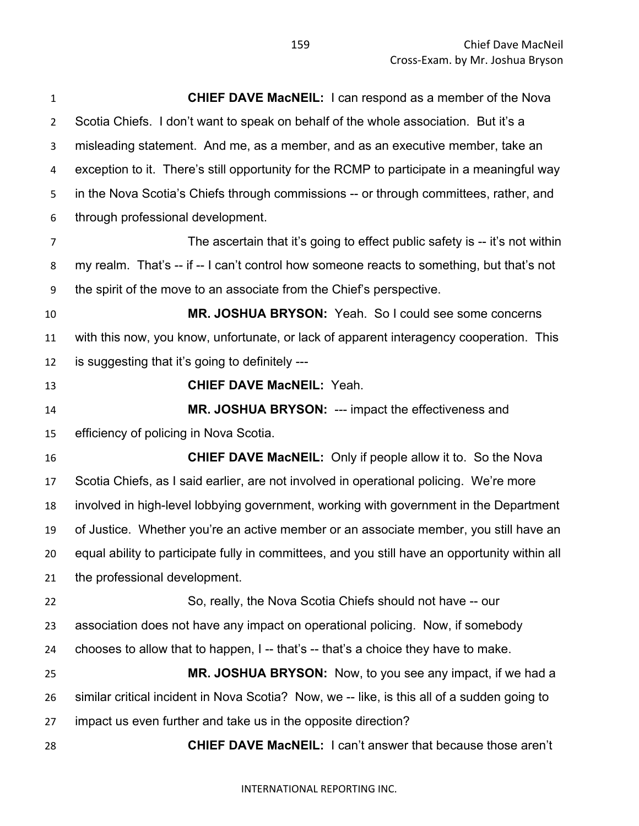**CHIEF DAVE MacNEIL:** I can respond as a member of the Nova Scotia Chiefs. I don't want to speak on behalf of the whole association. But it's a misleading statement. And me, as a member, and as an executive member, take an exception to it. There's still opportunity for the RCMP to participate in a meaningful way in the Nova Scotia's Chiefs through commissions -- or through committees, rather, and through professional development. The ascertain that it's going to effect public safety is -- it's not within my realm. That's -- if -- I can't control how someone reacts to something, but that's not the spirit of the move to an associate from the Chief's perspective. **MR. JOSHUA BRYSON:** Yeah. So I could see some concerns with this now, you know, unfortunate, or lack of apparent interagency cooperation. This is suggesting that it's going to definitely --- **CHIEF DAVE MacNEIL:** Yeah. **MR. JOSHUA BRYSON:** --- impact the effectiveness and efficiency of policing in Nova Scotia. **CHIEF DAVE MacNEIL:** Only if people allow it to. So the Nova Scotia Chiefs, as I said earlier, are not involved in operational policing. We're more involved in high-level lobbying government, working with government in the Department of Justice. Whether you're an active member or an associate member, you still have an equal ability to participate fully in committees, and you still have an opportunity within all the professional development. So, really, the Nova Scotia Chiefs should not have -- our association does not have any impact on operational policing. Now, if somebody 24 chooses to allow that to happen,  $I -$  that's  $-$  that's a choice they have to make. **MR. JOSHUA BRYSON:** Now, to you see any impact, if we had a similar critical incident in Nova Scotia? Now, we -- like, is this all of a sudden going to impact us even further and take us in the opposite direction? **CHIEF DAVE MacNEIL:** I can't answer that because those aren't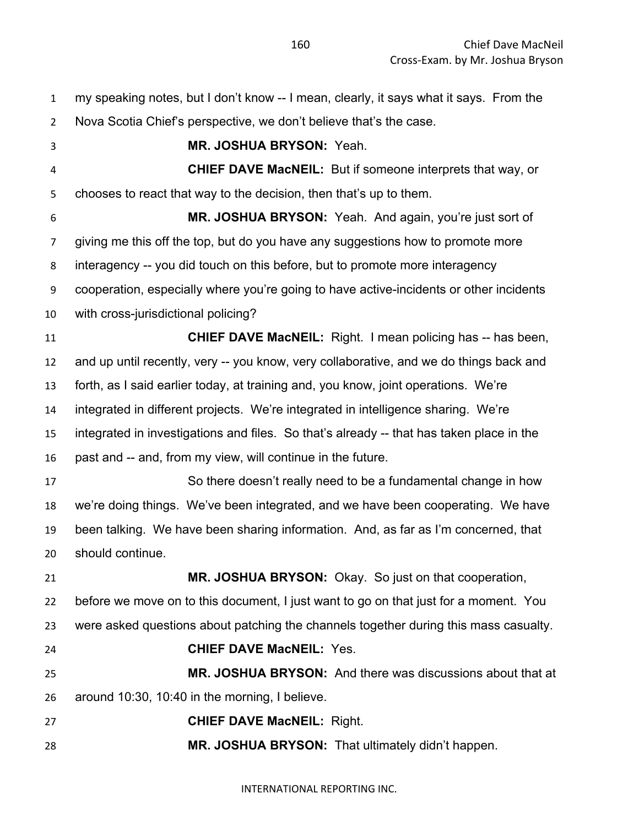my speaking notes, but I don't know -- I mean, clearly, it says what it says. From the Nova Scotia Chief's perspective, we don't believe that's the case. **MR. JOSHUA BRYSON:** Yeah. **CHIEF DAVE MacNEIL:** But if someone interprets that way, or chooses to react that way to the decision, then that's up to them. **MR. JOSHUA BRYSON:** Yeah. And again, you're just sort of giving me this off the top, but do you have any suggestions how to promote more interagency -- you did touch on this before, but to promote more interagency cooperation, especially where you're going to have active-incidents or other incidents with cross-jurisdictional policing? **CHIEF DAVE MacNEIL:** Right. I mean policing has -- has been, and up until recently, very -- you know, very collaborative, and we do things back and forth, as I said earlier today, at training and, you know, joint operations. We're integrated in different projects. We're integrated in intelligence sharing. We're integrated in investigations and files. So that's already -- that has taken place in the past and -- and, from my view, will continue in the future. So there doesn't really need to be a fundamental change in how we're doing things. We've been integrated, and we have been cooperating. We have been talking. We have been sharing information. And, as far as I'm concerned, that should continue. **MR. JOSHUA BRYSON:** Okay. So just on that cooperation, before we move on to this document, I just want to go on that just for a moment. You were asked questions about patching the channels together during this mass casualty. **CHIEF DAVE MacNEIL:** Yes. **MR. JOSHUA BRYSON:** And there was discussions about that at around 10:30, 10:40 in the morning, I believe. **CHIEF DAVE MacNEIL:** Right. **MR. JOSHUA BRYSON:** That ultimately didn't happen.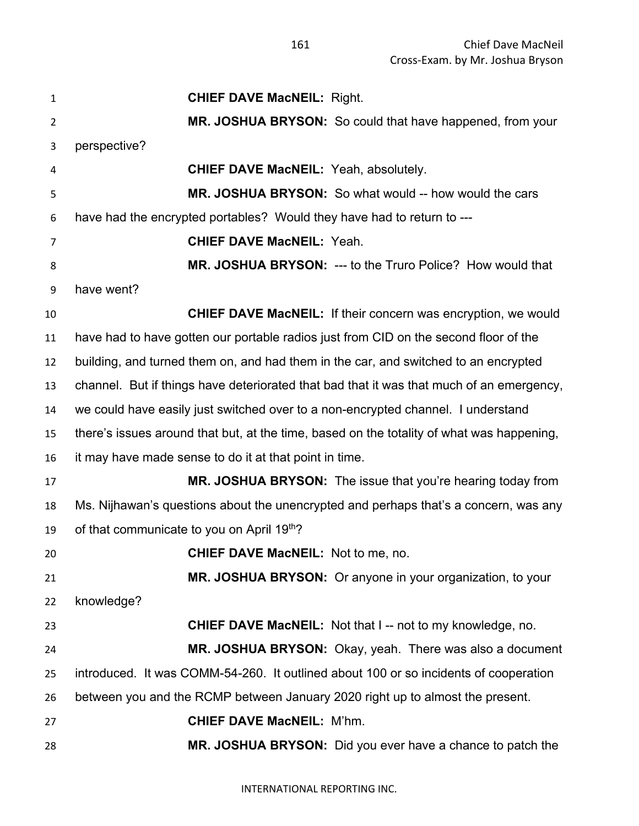| 1              | <b>CHIEF DAVE MacNEIL: Right.</b>                                                         |
|----------------|-------------------------------------------------------------------------------------------|
| $\overline{2}$ | MR. JOSHUA BRYSON: So could that have happened, from your                                 |
| 3              | perspective?                                                                              |
| 4              | <b>CHIEF DAVE MacNEIL: Yeah, absolutely.</b>                                              |
| 5              | MR. JOSHUA BRYSON: So what would -- how would the cars                                    |
| 6              | have had the encrypted portables? Would they have had to return to ---                    |
| 7              | <b>CHIEF DAVE MacNEIL: Yeah.</b>                                                          |
| 8              | MR. JOSHUA BRYSON: --- to the Truro Police? How would that                                |
| 9              | have went?                                                                                |
| 10             | <b>CHIEF DAVE MacNEIL:</b> If their concern was encryption, we would                      |
| 11             | have had to have gotten our portable radios just from CID on the second floor of the      |
| 12             | building, and turned them on, and had them in the car, and switched to an encrypted       |
| 13             | channel. But if things have deteriorated that bad that it was that much of an emergency,  |
| 14             | we could have easily just switched over to a non-encrypted channel. I understand          |
| 15             | there's issues around that but, at the time, based on the totality of what was happening, |
| 16             | it may have made sense to do it at that point in time.                                    |
| 17             | MR. JOSHUA BRYSON: The issue that you're hearing today from                               |
| 18             | Ms. Nijhawan's questions about the unencrypted and perhaps that's a concern, was any      |
| 19             | of that communicate to you on April 19th?                                                 |
| 20             | <b>CHIEF DAVE MacNEIL:</b> Not to me, no.                                                 |
| 21             | MR. JOSHUA BRYSON: Or anyone in your organization, to your                                |
| 22             | knowledge?                                                                                |
| 23             | <b>CHIEF DAVE MacNEIL:</b> Not that I -- not to my knowledge, no.                         |
| 24             | MR. JOSHUA BRYSON: Okay, yeah. There was also a document                                  |
| 25             | introduced. It was COMM-54-260. It outlined about 100 or so incidents of cooperation      |
| 26             | between you and the RCMP between January 2020 right up to almost the present.             |
| 27             | <b>CHIEF DAVE MacNEIL: M'hm.</b>                                                          |
| 28             | MR. JOSHUA BRYSON: Did you ever have a chance to patch the                                |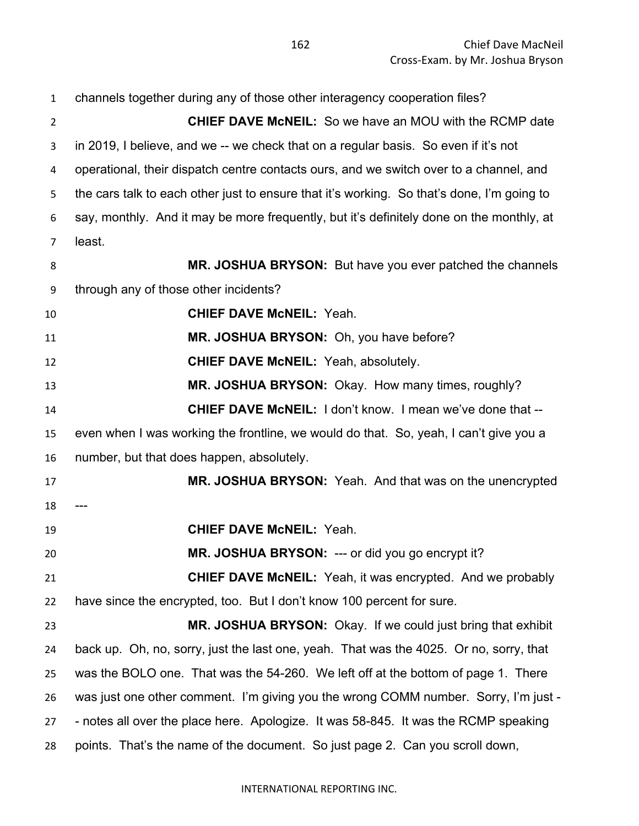| $\mathbf{1}$   | channels together during any of those other interagency cooperation files?                 |
|----------------|--------------------------------------------------------------------------------------------|
| $\overline{2}$ | <b>CHIEF DAVE McNEIL:</b> So we have an MOU with the RCMP date                             |
| 3              | in 2019, I believe, and we -- we check that on a regular basis. So even if it's not        |
| 4              | operational, their dispatch centre contacts ours, and we switch over to a channel, and     |
| 5              | the cars talk to each other just to ensure that it's working. So that's done, I'm going to |
| 6              | say, monthly. And it may be more frequently, but it's definitely done on the monthly, at   |
| 7              | least.                                                                                     |
| 8              | MR. JOSHUA BRYSON: But have you ever patched the channels                                  |
| 9              | through any of those other incidents?                                                      |
| 10             | <b>CHIEF DAVE McNEIL: Yeah.</b>                                                            |
| 11             | MR. JOSHUA BRYSON: Oh, you have before?                                                    |
| 12             | <b>CHIEF DAVE McNEIL: Yeah, absolutely.</b>                                                |
| 13             | MR. JOSHUA BRYSON: Okay. How many times, roughly?                                          |
| 14             | <b>CHIEF DAVE McNEIL: I don't know. I mean we've done that --</b>                          |
| 15             | even when I was working the frontline, we would do that. So, yeah, I can't give you a      |
| 16             | number, but that does happen, absolutely.                                                  |
| 17             | MR. JOSHUA BRYSON: Yeah. And that was on the unencrypted                                   |
| 18             |                                                                                            |
| 19             | <b>CHIEF DAVE McNEIL: Yeah.</b>                                                            |
| 20             | MR. JOSHUA BRYSON: --- or did you go encrypt it?                                           |
| 21             | <b>CHIEF DAVE McNEIL:</b> Yeah, it was encrypted. And we probably                          |
| 22             | have since the encrypted, too. But I don't know 100 percent for sure.                      |
| 23             | MR. JOSHUA BRYSON: Okay. If we could just bring that exhibit                               |
| 24             | back up. Oh, no, sorry, just the last one, yeah. That was the 4025. Or no, sorry, that     |
| 25             | was the BOLO one. That was the 54-260. We left off at the bottom of page 1. There          |
| 26             | was just one other comment. I'm giving you the wrong COMM number. Sorry, I'm just -        |
| 27             | - notes all over the place here. Apologize. It was 58-845. It was the RCMP speaking        |
| 28             | points. That's the name of the document. So just page 2. Can you scroll down,              |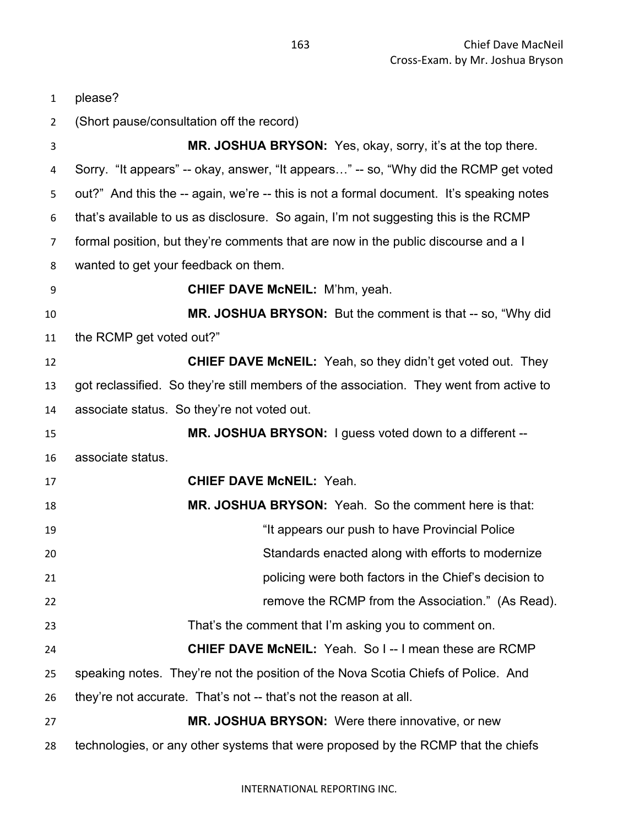| $\mathbf{1}$   | please?                                                                                  |
|----------------|------------------------------------------------------------------------------------------|
| $\overline{2}$ | (Short pause/consultation off the record)                                                |
| 3              | MR. JOSHUA BRYSON: Yes, okay, sorry, it's at the top there.                              |
| 4              | Sorry. "It appears" -- okay, answer, "It appears" -- so, "Why did the RCMP get voted     |
| 5              | out?" And this the -- again, we're -- this is not a formal document. It's speaking notes |
| 6              | that's available to us as disclosure. So again, I'm not suggesting this is the RCMP      |
| $\overline{7}$ | formal position, but they're comments that are now in the public discourse and a I       |
| 8              | wanted to get your feedback on them.                                                     |
| 9              | <b>CHIEF DAVE McNEIL:</b> M'hm, yeah.                                                    |
| 10             | MR. JOSHUA BRYSON: But the comment is that -- so, "Why did                               |
| 11             | the RCMP get voted out?"                                                                 |
| 12             | <b>CHIEF DAVE McNEIL:</b> Yeah, so they didn't get voted out. They                       |
| 13             | got reclassified. So they're still members of the association. They went from active to  |
| 14             | associate status. So they're not voted out.                                              |
| 15             | MR. JOSHUA BRYSON: I guess voted down to a different --                                  |
| 16             | associate status.                                                                        |
| 17             | <b>CHIEF DAVE McNEIL: Yeah.</b>                                                          |
| 18             | MR. JOSHUA BRYSON: Yeah. So the comment here is that:                                    |
| 19             | "It appears our push to have Provincial Police"                                          |
| 20             | Standards enacted along with efforts to modernize                                        |
| 21             | policing were both factors in the Chief's decision to                                    |
| 22             | remove the RCMP from the Association." (As Read).                                        |
| 23             | That's the comment that I'm asking you to comment on.                                    |
| 24             | <b>CHIEF DAVE McNEIL:</b> Yeah. So I--I mean these are RCMP                              |
| 25             | speaking notes. They're not the position of the Nova Scotia Chiefs of Police. And        |
| 26             | they're not accurate. That's not -- that's not the reason at all.                        |
| 27             | <b>MR. JOSHUA BRYSON:</b> Were there innovative, or new                                  |
| 28             | technologies, or any other systems that were proposed by the RCMP that the chiefs        |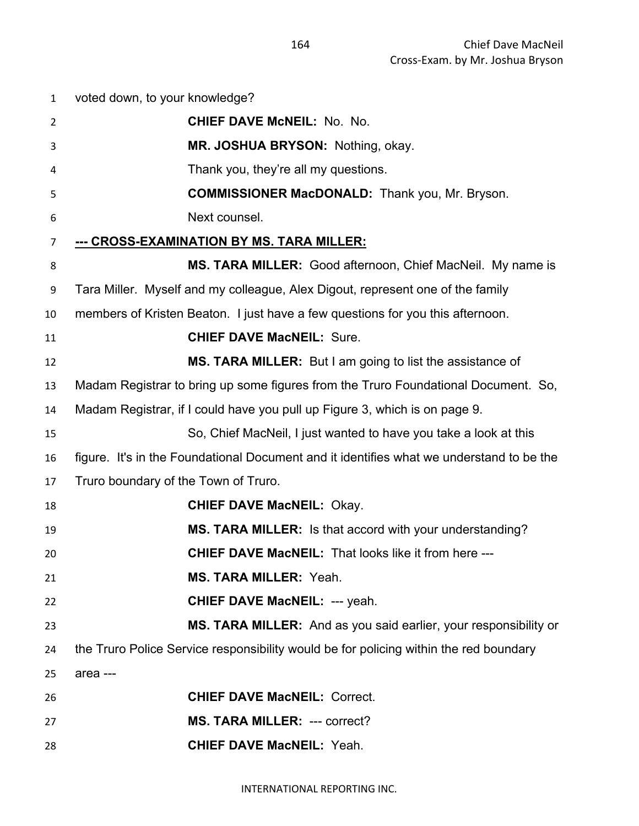| $\mathbf{1}$   | voted down, to your knowledge?                                                           |
|----------------|------------------------------------------------------------------------------------------|
| $\overline{2}$ | <b>CHIEF DAVE McNEIL: No. No.</b>                                                        |
| 3              | MR. JOSHUA BRYSON: Nothing, okay.                                                        |
| 4              | Thank you, they're all my questions.                                                     |
| 5              | <b>COMMISSIONER MacDONALD:</b> Thank you, Mr. Bryson.                                    |
| 6              | Next counsel.                                                                            |
| $\overline{7}$ | <u>--- CROSS-EXAMINATION BY MS. TARA MILLER:</u>                                         |
| 8              | MS. TARA MILLER: Good afternoon, Chief MacNeil. My name is                               |
| 9              | Tara Miller. Myself and my colleague, Alex Digout, represent one of the family           |
| 10             | members of Kristen Beaton. I just have a few questions for you this afternoon.           |
| 11             | <b>CHIEF DAVE MacNEIL: Sure.</b>                                                         |
| 12             | MS. TARA MILLER: But I am going to list the assistance of                                |
| 13             | Madam Registrar to bring up some figures from the Truro Foundational Document. So,       |
| 14             | Madam Registrar, if I could have you pull up Figure 3, which is on page 9.               |
| 15             | So, Chief MacNeil, I just wanted to have you take a look at this                         |
| 16             | figure. It's in the Foundational Document and it identifies what we understand to be the |
| 17             | Truro boundary of the Town of Truro.                                                     |
| 18             | <b>CHIEF DAVE MacNEIL: Okay.</b>                                                         |
| 19             | MS. TARA MILLER: Is that accord with your understanding?                                 |
| 20             | CHIEF DAVE MacNEIL: That looks like it from here ---                                     |
| 21             | MS. TARA MILLER: Yeah.                                                                   |
| 22             | <b>CHIEF DAVE MacNEIL: --- yeah.</b>                                                     |
| 23             | MS. TARA MILLER: And as you said earlier, your responsibility or                         |
| 24             | the Truro Police Service responsibility would be for policing within the red boundary    |
| 25             | area ---                                                                                 |
| 26             | <b>CHIEF DAVE MacNEIL: Correct.</b>                                                      |
| 27             | <b>MS. TARA MILLER: --- correct?</b>                                                     |
| 28             | <b>CHIEF DAVE MacNEIL: Yeah.</b>                                                         |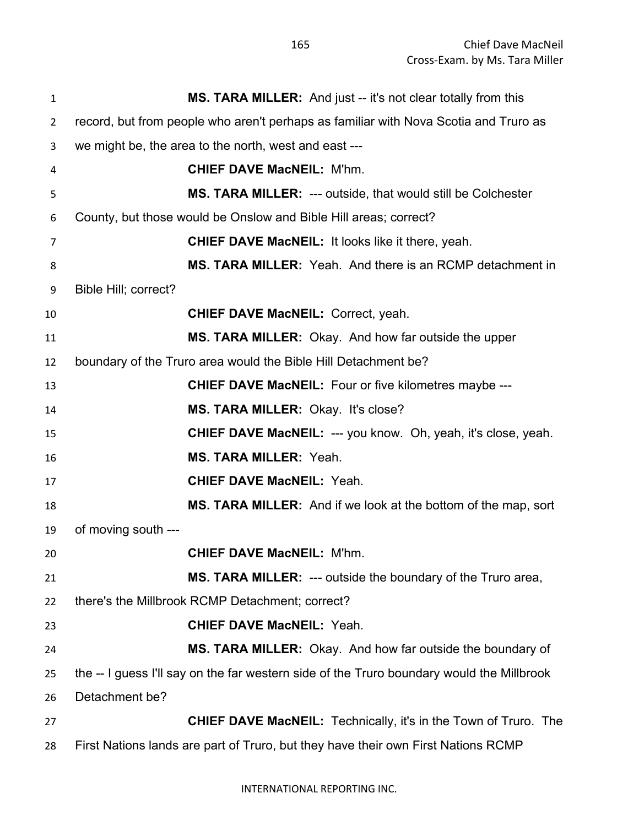| $\mathbf{1}$   | <b>MS. TARA MILLER:</b> And just -- it's not clear totally from this                      |
|----------------|-------------------------------------------------------------------------------------------|
| $\overline{2}$ | record, but from people who aren't perhaps as familiar with Nova Scotia and Truro as      |
| 3              | we might be, the area to the north, west and east ---                                     |
| 4              | <b>CHIEF DAVE MacNEIL: M'hm.</b>                                                          |
| 5              | <b>MS. TARA MILLER: --- outside, that would still be Colchester</b>                       |
| 6              | County, but those would be Onslow and Bible Hill areas; correct?                          |
| 7              | <b>CHIEF DAVE MacNEIL: It looks like it there, yeah.</b>                                  |
| 8              | MS. TARA MILLER: Yeah. And there is an RCMP detachment in                                 |
| 9              | Bible Hill; correct?                                                                      |
| 10             | <b>CHIEF DAVE MacNEIL: Correct, yeah.</b>                                                 |
| 11             | <b>MS. TARA MILLER:</b> Okay. And how far outside the upper                               |
| 12             | boundary of the Truro area would the Bible Hill Detachment be?                            |
| 13             | <b>CHIEF DAVE MacNEIL:</b> Four or five kilometres maybe ---                              |
| 14             | MS. TARA MILLER: Okay. It's close?                                                        |
| 15             | <b>CHIEF DAVE MacNEIL: --- you know. Oh, yeah, it's close, yeah.</b>                      |
| 16             | <b>MS. TARA MILLER: Yeah.</b>                                                             |
| 17             | <b>CHIEF DAVE MacNEIL: Yeah.</b>                                                          |
| 18             | MS. TARA MILLER: And if we look at the bottom of the map, sort                            |
| 19             | of moving south ---                                                                       |
| 20             | <b>CHIEF DAVE MacNEIL: M'hm.</b>                                                          |
| 21             | <b>MS. TARA MILLER:</b> --- outside the boundary of the Truro area,                       |
| 22             | there's the Millbrook RCMP Detachment; correct?                                           |
| 23             | <b>CHIEF DAVE MacNEIL: Yeah.</b>                                                          |
| 24             | MS. TARA MILLER: Okay. And how far outside the boundary of                                |
| 25             | the -- I guess I'll say on the far western side of the Truro boundary would the Millbrook |
| 26             | Detachment be?                                                                            |
| 27             | <b>CHIEF DAVE MacNEIL:</b> Technically, it's in the Town of Truro. The                    |
| 28             | First Nations lands are part of Truro, but they have their own First Nations RCMP         |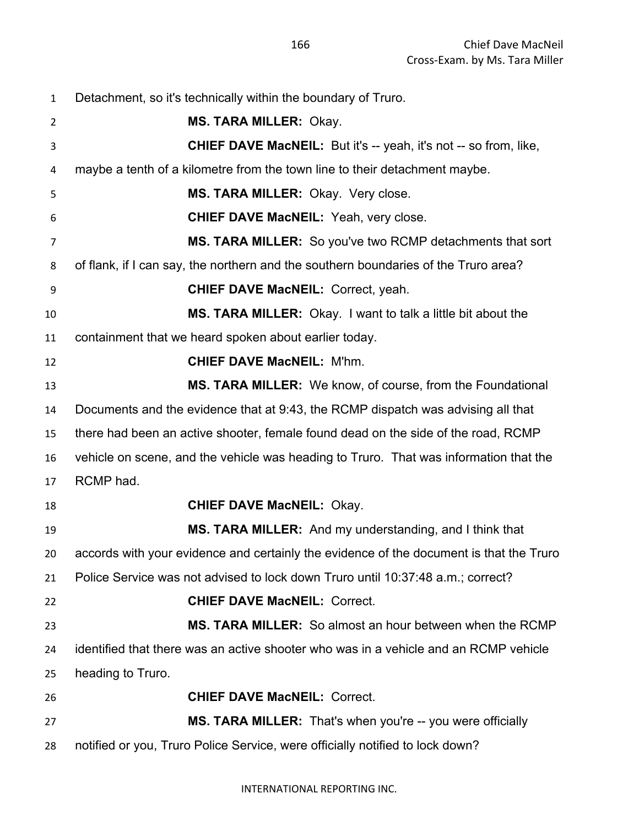Detachment, so it's technically within the boundary of Truro. **MS. TARA MILLER:** Okay. **CHIEF DAVE MacNEIL:** But it's -- yeah, it's not -- so from, like, maybe a tenth of a kilometre from the town line to their detachment maybe. **MS. TARA MILLER:** Okay. Very close. **CHIEF DAVE MacNEIL:** Yeah, very close. **MS. TARA MILLER:** So you've two RCMP detachments that sort of flank, if I can say, the northern and the southern boundaries of the Truro area? **CHIEF DAVE MacNEIL:** Correct, yeah. **MS. TARA MILLER:** Okay. I want to talk a little bit about the containment that we heard spoken about earlier today. **CHIEF DAVE MacNEIL:** M'hm. **MS. TARA MILLER:** We know, of course, from the Foundational Documents and the evidence that at 9:43, the RCMP dispatch was advising all that there had been an active shooter, female found dead on the side of the road, RCMP vehicle on scene, and the vehicle was heading to Truro. That was information that the RCMP had. **CHIEF DAVE MacNEIL:** Okay. **MS. TARA MILLER:** And my understanding, and I think that accords with your evidence and certainly the evidence of the document is that the Truro Police Service was not advised to lock down Truro until 10:37:48 a.m.; correct? **CHIEF DAVE MacNEIL:** Correct. **MS. TARA MILLER:** So almost an hour between when the RCMP identified that there was an active shooter who was in a vehicle and an RCMP vehicle heading to Truro. **CHIEF DAVE MacNEIL:** Correct. **MS. TARA MILLER:** That's when you're -- you were officially notified or you, Truro Police Service, were officially notified to lock down?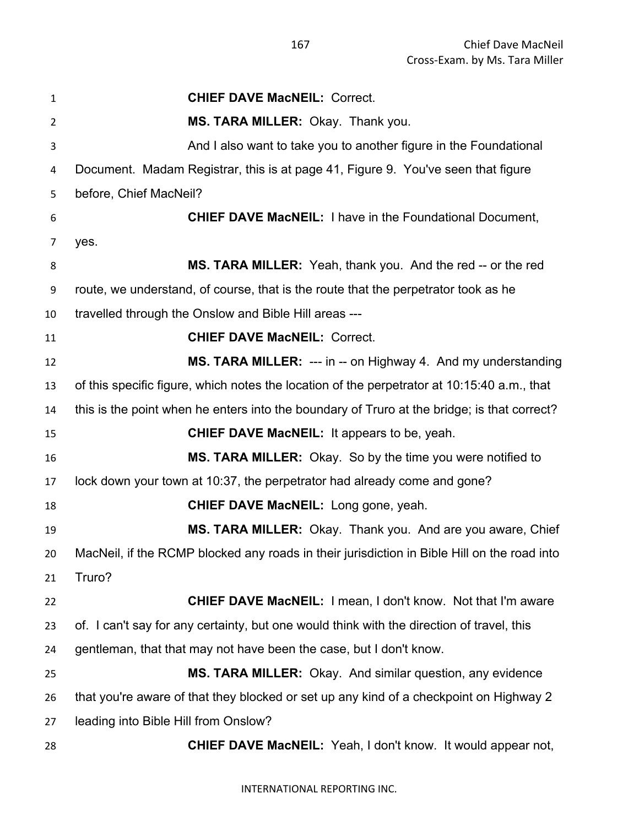**CHIEF DAVE MacNEIL:** Correct. **MS. TARA MILLER:** Okay. Thank you. And I also want to take you to another figure in the Foundational Document. Madam Registrar, this is at page 41, Figure 9. You've seen that figure before, Chief MacNeil? **CHIEF DAVE MacNEIL:** I have in the Foundational Document, yes. **MS. TARA MILLER:** Yeah, thank you. And the red -- or the red route, we understand, of course, that is the route that the perpetrator took as he travelled through the Onslow and Bible Hill areas --- **CHIEF DAVE MacNEIL:** Correct. **MS. TARA MILLER:** --- in -- on Highway 4. And my understanding of this specific figure, which notes the location of the perpetrator at 10:15:40 a.m., that this is the point when he enters into the boundary of Truro at the bridge; is that correct? **CHIEF DAVE MacNEIL:** It appears to be, yeah. **MS. TARA MILLER:** Okay. So by the time you were notified to lock down your town at 10:37, the perpetrator had already come and gone? **CHIEF DAVE MacNEIL:** Long gone, yeah. **MS. TARA MILLER:** Okay. Thank you. And are you aware, Chief MacNeil, if the RCMP blocked any roads in their jurisdiction in Bible Hill on the road into Truro? **CHIEF DAVE MacNEIL:** I mean, I don't know. Not that I'm aware of. I can't say for any certainty, but one would think with the direction of travel, this gentleman, that that may not have been the case, but I don't know. **MS. TARA MILLER:** Okay. And similar question, any evidence that you're aware of that they blocked or set up any kind of a checkpoint on Highway 2 leading into Bible Hill from Onslow? **CHIEF DAVE MacNEIL:** Yeah, I don't know. It would appear not,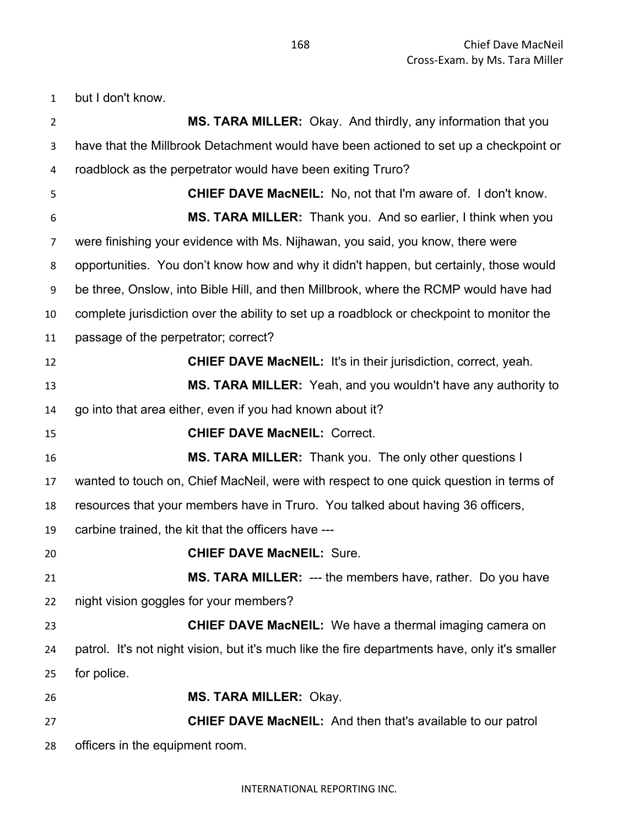but I don't know.

| $\overline{2}$ | MS. TARA MILLER: Okay. And thirdly, any information that you                                   |
|----------------|------------------------------------------------------------------------------------------------|
| 3              | have that the Millbrook Detachment would have been actioned to set up a checkpoint or          |
| 4              | roadblock as the perpetrator would have been exiting Truro?                                    |
| 5              | <b>CHIEF DAVE MacNEIL:</b> No, not that I'm aware of. I don't know.                            |
| 6              | MS. TARA MILLER: Thank you. And so earlier, I think when you                                   |
| 7              | were finishing your evidence with Ms. Nijhawan, you said, you know, there were                 |
| 8              | opportunities. You don't know how and why it didn't happen, but certainly, those would         |
| 9              | be three, Onslow, into Bible Hill, and then Millbrook, where the RCMP would have had           |
| 10             | complete jurisdiction over the ability to set up a roadblock or checkpoint to monitor the      |
| 11             | passage of the perpetrator; correct?                                                           |
| 12             | <b>CHIEF DAVE MacNEIL: It's in their jurisdiction, correct, yeah.</b>                          |
| 13             | MS. TARA MILLER: Yeah, and you wouldn't have any authority to                                  |
| 14             | go into that area either, even if you had known about it?                                      |
| 15             | <b>CHIEF DAVE MacNEIL: Correct.</b>                                                            |
| 16             | <b>MS. TARA MILLER:</b> Thank you. The only other questions I                                  |
| 17             | wanted to touch on, Chief MacNeil, were with respect to one quick question in terms of         |
| 18             | resources that your members have in Truro. You talked about having 36 officers,                |
| 19             | carbine trained, the kit that the officers have ---                                            |
| 20             | <b>CHIEF DAVE MacNEIL: Sure.</b>                                                               |
| 21             | <b>MS. TARA MILLER: --- the members have, rather. Do you have</b>                              |
| 22             | night vision goggles for your members?                                                         |
| 23             | <b>CHIEF DAVE MacNEIL:</b> We have a thermal imaging camera on                                 |
| 24             | patrol. It's not night vision, but it's much like the fire departments have, only it's smaller |
| 25             | for police.                                                                                    |
| 26             | <b>MS. TARA MILLER: Okay.</b>                                                                  |
| 27             | <b>CHIEF DAVE MacNEIL:</b> And then that's available to our patrol                             |
| 28             | officers in the equipment room.                                                                |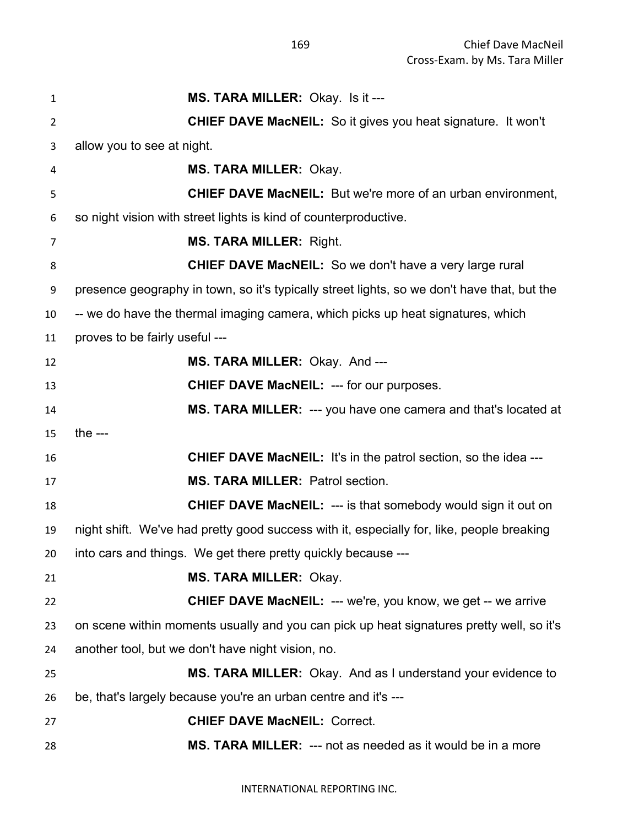| $\mathbf{1}$   | MS. TARA MILLER: Okay. Is it ---                                                            |
|----------------|---------------------------------------------------------------------------------------------|
| $\overline{2}$ | <b>CHIEF DAVE MacNEIL:</b> So it gives you heat signature. It won't                         |
| 3              | allow you to see at night.                                                                  |
| 4              | <b>MS. TARA MILLER: Okay.</b>                                                               |
| 5              | <b>CHIEF DAVE MacNEIL:</b> But we're more of an urban environment,                          |
| 6              | so night vision with street lights is kind of counterproductive.                            |
| 7              | <b>MS. TARA MILLER: Right.</b>                                                              |
| 8              | <b>CHIEF DAVE MacNEIL:</b> So we don't have a very large rural                              |
| 9              | presence geography in town, so it's typically street lights, so we don't have that, but the |
| 10             | -- we do have the thermal imaging camera, which picks up heat signatures, which             |
| 11             | proves to be fairly useful ---                                                              |
| 12             | MS. TARA MILLER: Okay. And ---                                                              |
| 13             | <b>CHIEF DAVE MacNEIL: --- for our purposes.</b>                                            |
| 14             | MS. TARA MILLER: --- you have one camera and that's located at                              |
| 15             | the $--$                                                                                    |
| 16             | <b>CHIEF DAVE MacNEIL:</b> It's in the patrol section, so the idea ---                      |
| 17             | <b>MS. TARA MILLER: Patrol section.</b>                                                     |
| 18             | <b>CHIEF DAVE MacNEIL: --- is that somebody would sign it out on</b>                        |
| 19             | night shift. We've had pretty good success with it, especially for, like, people breaking   |
| 20             | into cars and things. We get there pretty quickly because ---                               |
| 21             | <b>MS. TARA MILLER: Okay.</b>                                                               |
| 22             | CHIEF DAVE MacNEIL: --- we're, you know, we get -- we arrive                                |
| 23             | on scene within moments usually and you can pick up heat signatures pretty well, so it's    |
| 24             | another tool, but we don't have night vision, no.                                           |
| 25             | MS. TARA MILLER: Okay. And as I understand your evidence to                                 |
| 26             | be, that's largely because you're an urban centre and it's ---                              |
| 27             | <b>CHIEF DAVE MacNEIL: Correct.</b>                                                         |
| 28             | <b>MS. TARA MILLER: --- not as needed as it would be in a more</b>                          |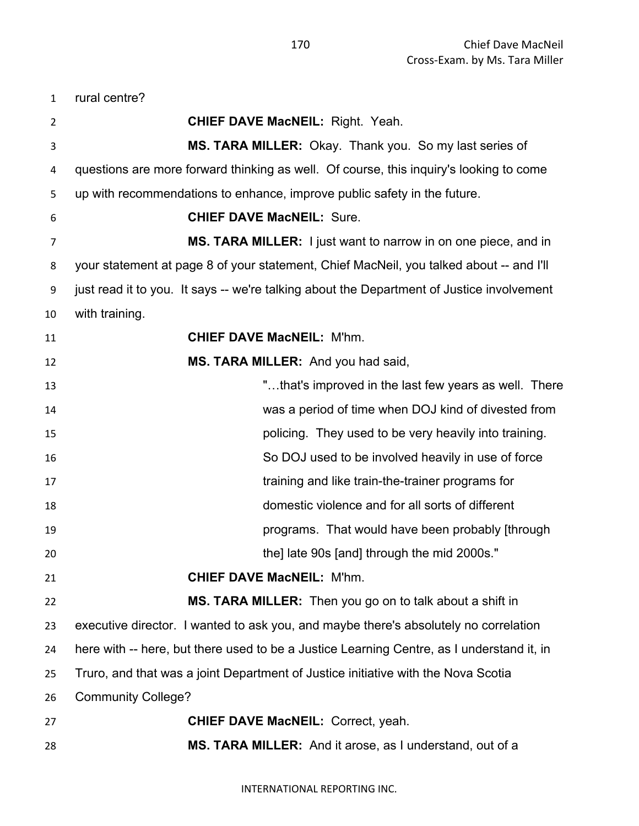rural centre?

| 2  | <b>CHIEF DAVE MacNEIL: Right. Yeah.</b>                                                   |
|----|-------------------------------------------------------------------------------------------|
| 3  | MS. TARA MILLER: Okay. Thank you. So my last series of                                    |
| 4  | questions are more forward thinking as well. Of course, this inquiry's looking to come    |
| 5  | up with recommendations to enhance, improve public safety in the future.                  |
| 6  | <b>CHIEF DAVE MacNEIL: Sure.</b>                                                          |
| 7  | MS. TARA MILLER: I just want to narrow in on one piece, and in                            |
| 8  | your statement at page 8 of your statement, Chief MacNeil, you talked about -- and I'll   |
| 9  | just read it to you. It says -- we're talking about the Department of Justice involvement |
| 10 | with training.                                                                            |
| 11 | <b>CHIEF DAVE MacNEIL: M'hm.</b>                                                          |
| 12 | MS. TARA MILLER: And you had said,                                                        |
| 13 | "that's improved in the last few years as well. There                                     |
| 14 | was a period of time when DOJ kind of divested from                                       |
| 15 | policing. They used to be very heavily into training.                                     |
| 16 | So DOJ used to be involved heavily in use of force                                        |
| 17 | training and like train-the-trainer programs for                                          |
| 18 | domestic violence and for all sorts of different                                          |
| 19 | programs. That would have been probably [through                                          |
| 20 | the] late 90s [and] through the mid 2000s."                                               |
| 21 | <b>CHIEF DAVE MacNEIL: M'hm.</b>                                                          |
| 22 | MS. TARA MILLER: Then you go on to talk about a shift in                                  |
| 23 | executive director. I wanted to ask you, and maybe there's absolutely no correlation      |
| 24 | here with -- here, but there used to be a Justice Learning Centre, as I understand it, in |
| 25 | Truro, and that was a joint Department of Justice initiative with the Nova Scotia         |
| 26 | <b>Community College?</b>                                                                 |
| 27 | <b>CHIEF DAVE MacNEIL: Correct, yeah.</b>                                                 |
| 28 | <b>MS. TARA MILLER:</b> And it arose, as I understand, out of a                           |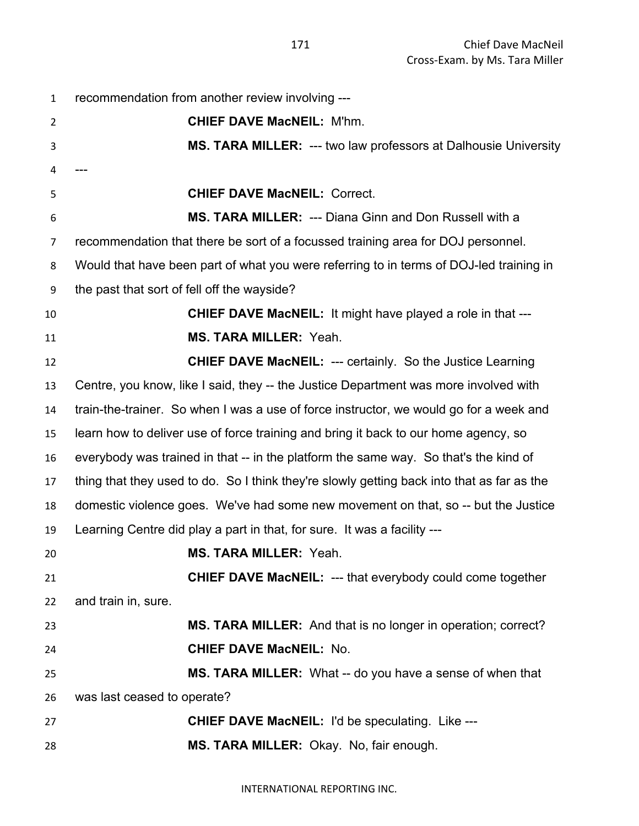| $\mathbf{1}$   | recommendation from another review involving ---                                           |
|----------------|--------------------------------------------------------------------------------------------|
| $\overline{2}$ | <b>CHIEF DAVE MacNEIL: M'hm.</b>                                                           |
| 3              | <b>MS. TARA MILLER: --- two law professors at Dalhousie University</b>                     |
| 4              |                                                                                            |
| 5              | <b>CHIEF DAVE MacNEIL: Correct.</b>                                                        |
| 6              | <b>MS. TARA MILLER: --- Diana Ginn and Don Russell with a</b>                              |
| $\overline{7}$ | recommendation that there be sort of a focussed training area for DOJ personnel.           |
| 8              | Would that have been part of what you were referring to in terms of DOJ-led training in    |
| 9              | the past that sort of fell off the wayside?                                                |
| 10             | <b>CHIEF DAVE MacNEIL:</b> It might have played a role in that ---                         |
| 11             | <b>MS. TARA MILLER: Yeah.</b>                                                              |
| 12             | <b>CHIEF DAVE MacNEIL: --- certainly. So the Justice Learning</b>                          |
| 13             | Centre, you know, like I said, they -- the Justice Department was more involved with       |
| 14             | train-the-trainer. So when I was a use of force instructor, we would go for a week and     |
| 15             | learn how to deliver use of force training and bring it back to our home agency, so        |
| 16             | everybody was trained in that -- in the platform the same way. So that's the kind of       |
| 17             | thing that they used to do. So I think they're slowly getting back into that as far as the |
| 18             | domestic violence goes. We've had some new movement on that, so -- but the Justice         |
| 19             | Learning Centre did play a part in that, for sure. It was a facility ---                   |
| 20             | <b>MS. TARA MILLER: Yeah.</b>                                                              |
| 21             | <b>CHIEF DAVE MacNEIL: --- that everybody could come together</b>                          |
| 22             | and train in, sure.                                                                        |
| 23             | MS. TARA MILLER: And that is no longer in operation; correct?                              |
| 24             | <b>CHIEF DAVE MacNEIL: No.</b>                                                             |
| 25             | MS. TARA MILLER: What -- do you have a sense of when that                                  |
| 26             | was last ceased to operate?                                                                |
| 27             | <b>CHIEF DAVE MacNEIL: I'd be speculating. Like ---</b>                                    |
| 28             | MS. TARA MILLER: Okay. No, fair enough.                                                    |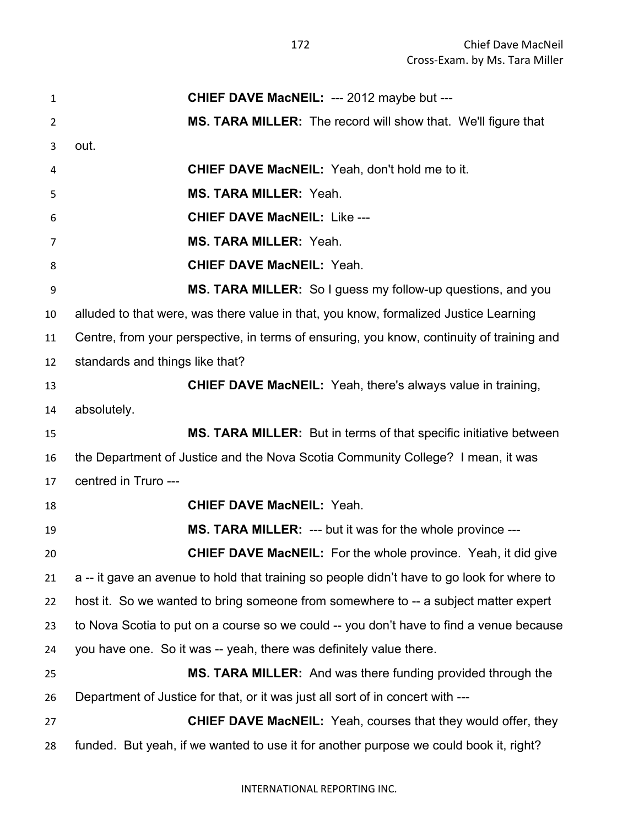| 1                | CHIEF DAVE MacNEIL: --- 2012 maybe but ---                                                 |
|------------------|--------------------------------------------------------------------------------------------|
| $\overline{2}$   | MS. TARA MILLER: The record will show that. We'll figure that                              |
| 3                | out.                                                                                       |
| 4                | <b>CHIEF DAVE MacNEIL:</b> Yeah, don't hold me to it.                                      |
| 5                | <b>MS. TARA MILLER: Yeah.</b>                                                              |
| 6                | <b>CHIEF DAVE MacNEIL: Like ---</b>                                                        |
| 7                | <b>MS. TARA MILLER: Yeah.</b>                                                              |
| 8                | <b>CHIEF DAVE MacNEIL: Yeah.</b>                                                           |
| $\boldsymbol{9}$ | MS. TARA MILLER: So I guess my follow-up questions, and you                                |
| 10               | alluded to that were, was there value in that, you know, formalized Justice Learning       |
| 11               | Centre, from your perspective, in terms of ensuring, you know, continuity of training and  |
| 12               | standards and things like that?                                                            |
| 13               | <b>CHIEF DAVE MacNEIL:</b> Yeah, there's always value in training,                         |
| 14               | absolutely.                                                                                |
| 15               | MS. TARA MILLER: But in terms of that specific initiative between                          |
| 16               | the Department of Justice and the Nova Scotia Community College? I mean, it was            |
| 17               | centred in Truro ---                                                                       |
| 18               | <b>CHIEF DAVE MacNEIL: Yeah.</b>                                                           |
| 19               | <b>MS. TARA MILLER: --- but it was for the whole province ---</b>                          |
| 20               | <b>CHIEF DAVE MacNEIL:</b> For the whole province. Yeah, it did give                       |
| 21               | a -- it gave an avenue to hold that training so people didn't have to go look for where to |
| 22               | host it. So we wanted to bring someone from somewhere to -- a subject matter expert        |
| 23               | to Nova Scotia to put on a course so we could -- you don't have to find a venue because    |
| 24               | you have one. So it was -- yeah, there was definitely value there.                         |
| 25               | <b>MS. TARA MILLER:</b> And was there funding provided through the                         |
| 26               | Department of Justice for that, or it was just all sort of in concert with ---             |
| 27               | <b>CHIEF DAVE MacNEIL:</b> Yeah, courses that they would offer, they                       |
| 28               | funded. But yeah, if we wanted to use it for another purpose we could book it, right?      |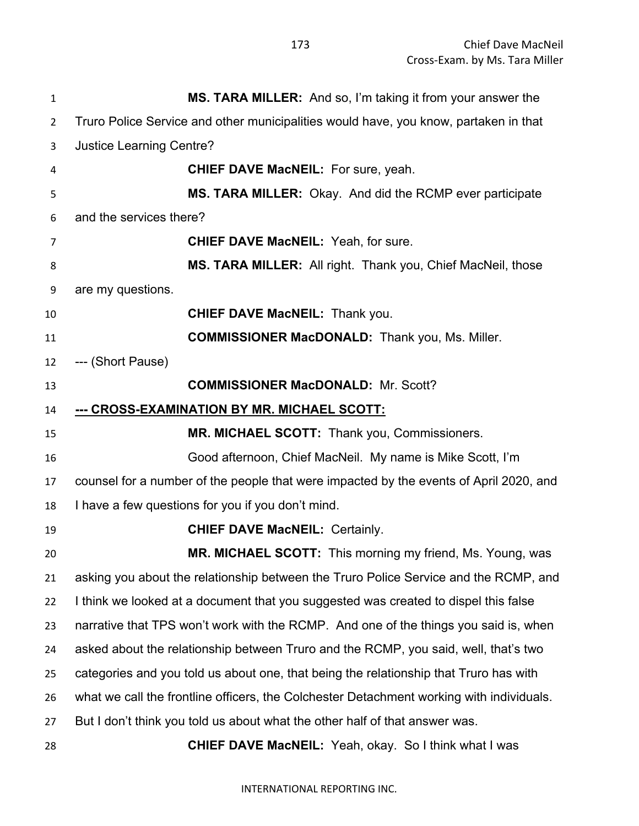| $\mathbf{1}$   | MS. TARA MILLER: And so, I'm taking it from your answer the                              |
|----------------|------------------------------------------------------------------------------------------|
| $\overline{2}$ | Truro Police Service and other municipalities would have, you know, partaken in that     |
| 3              | <b>Justice Learning Centre?</b>                                                          |
| 4              | <b>CHIEF DAVE MacNEIL:</b> For sure, yeah.                                               |
| 5              | MS. TARA MILLER: Okay. And did the RCMP ever participate                                 |
| 6              | and the services there?                                                                  |
| 7              | <b>CHIEF DAVE MacNEIL: Yeah, for sure.</b>                                               |
| 8              | MS. TARA MILLER: All right. Thank you, Chief MacNeil, those                              |
| 9              | are my questions.                                                                        |
| 10             | <b>CHIEF DAVE MacNEIL: Thank you.</b>                                                    |
| 11             | <b>COMMISSIONER MacDONALD:</b> Thank you, Ms. Miller.                                    |
| 12             | --- (Short Pause)                                                                        |
| 13             | <b>COMMISSIONER MacDONALD: Mr. Scott?</b>                                                |
| 14             | <u>--- CROSS-EXAMINATION BY MR. MICHAEL SCOTT:</u>                                       |
| 15             | MR. MICHAEL SCOTT: Thank you, Commissioners.                                             |
| 16             | Good afternoon, Chief MacNeil. My name is Mike Scott, I'm                                |
| 17             | counsel for a number of the people that were impacted by the events of April 2020, and   |
| 18             | I have a few questions for you if you don't mind.                                        |
| 19             | <b>CHIEF DAVE MacNEIL: Certainly.</b>                                                    |
| 20             | <b>MR. MICHAEL SCOTT:</b> This morning my friend, Ms. Young, was                         |
| 21             | asking you about the relationship between the Truro Police Service and the RCMP, and     |
| 22             | I think we looked at a document that you suggested was created to dispel this false      |
| 23             | narrative that TPS won't work with the RCMP. And one of the things you said is, when     |
| 24             | asked about the relationship between Truro and the RCMP, you said, well, that's two      |
| 25             | categories and you told us about one, that being the relationship that Truro has with    |
| 26             | what we call the frontline officers, the Colchester Detachment working with individuals. |
| 27             | But I don't think you told us about what the other half of that answer was.              |
| 28             | <b>CHIEF DAVE MacNEIL:</b> Yeah, okay. So I think what I was                             |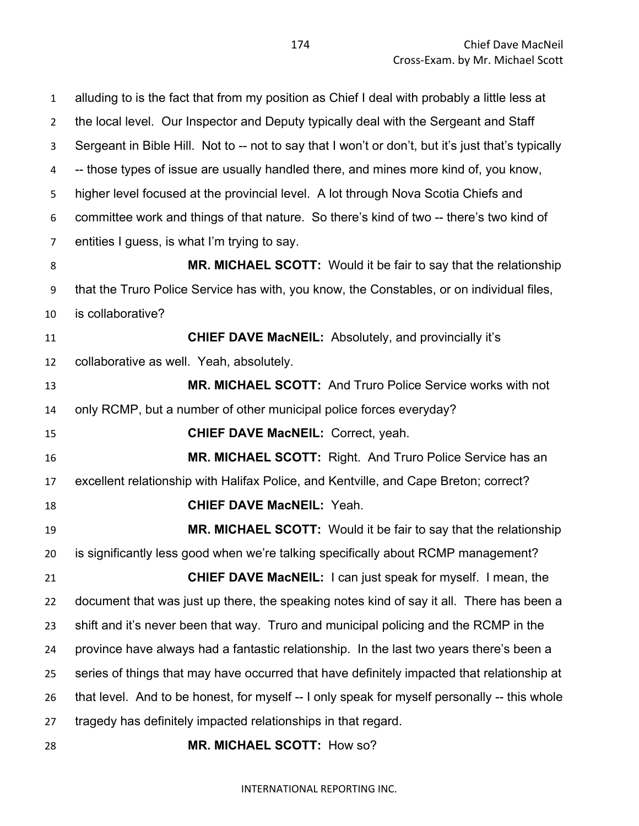alluding to is the fact that from my position as Chief I deal with probably a little less at the local level. Our Inspector and Deputy typically deal with the Sergeant and Staff Sergeant in Bible Hill. Not to -- not to say that I won't or don't, but it's just that's typically -- those types of issue are usually handled there, and mines more kind of, you know, higher level focused at the provincial level. A lot through Nova Scotia Chiefs and committee work and things of that nature. So there's kind of two -- there's two kind of entities I guess, is what I'm trying to say. **MR. MICHAEL SCOTT:** Would it be fair to say that the relationship that the Truro Police Service has with, you know, the Constables, or on individual files, is collaborative? **CHIEF DAVE MacNEIL:** Absolutely, and provincially it's collaborative as well. Yeah, absolutely. **MR. MICHAEL SCOTT:** And Truro Police Service works with not only RCMP, but a number of other municipal police forces everyday? **CHIEF DAVE MacNEIL:** Correct, yeah. **MR. MICHAEL SCOTT:** Right. And Truro Police Service has an excellent relationship with Halifax Police, and Kentville, and Cape Breton; correct? **CHIEF DAVE MacNEIL:** Yeah. **MR. MICHAEL SCOTT:** Would it be fair to say that the relationship is significantly less good when we're talking specifically about RCMP management? **CHIEF DAVE MacNEIL:** I can just speak for myself. I mean, the document that was just up there, the speaking notes kind of say it all. There has been a shift and it's never been that way. Truro and municipal policing and the RCMP in the province have always had a fantastic relationship. In the last two years there's been a series of things that may have occurred that have definitely impacted that relationship at that level. And to be honest, for myself -- I only speak for myself personally -- this whole tragedy has definitely impacted relationships in that regard. **MR. MICHAEL SCOTT:** How so?

INTERNATIONAL REPORTING INC.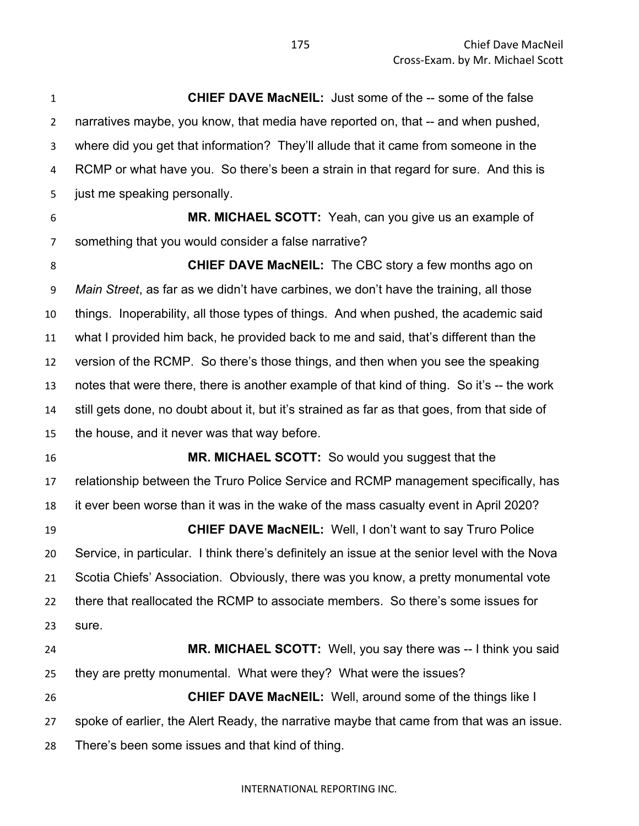**CHIEF DAVE MacNEIL:** Just some of the -- some of the false narratives maybe, you know, that media have reported on, that -- and when pushed, where did you get that information? They'll allude that it came from someone in the RCMP or what have you. So there's been a strain in that regard for sure. And this is just me speaking personally.

 **MR. MICHAEL SCOTT:** Yeah, can you give us an example of something that you would consider a false narrative?

 **CHIEF DAVE MacNEIL:** The CBC story a few months ago on *Main Street*, as far as we didn't have carbines, we don't have the training, all those things. Inoperability, all those types of things. And when pushed, the academic said what I provided him back, he provided back to me and said, that's different than the version of the RCMP. So there's those things, and then when you see the speaking notes that were there, there is another example of that kind of thing. So it's -- the work still gets done, no doubt about it, but it's strained as far as that goes, from that side of the house, and it never was that way before.

 **MR. MICHAEL SCOTT:** So would you suggest that the relationship between the Truro Police Service and RCMP management specifically, has it ever been worse than it was in the wake of the mass casualty event in April 2020?

 **CHIEF DAVE MacNEIL:** Well, I don't want to say Truro Police Service, in particular. I think there's definitely an issue at the senior level with the Nova Scotia Chiefs' Association. Obviously, there was you know, a pretty monumental vote there that reallocated the RCMP to associate members. So there's some issues for sure.

 **MR. MICHAEL SCOTT:** Well, you say there was -- I think you said they are pretty monumental. What were they? What were the issues? **CHIEF DAVE MacNEIL:** Well, around some of the things like I spoke of earlier, the Alert Ready, the narrative maybe that came from that was an issue. There's been some issues and that kind of thing.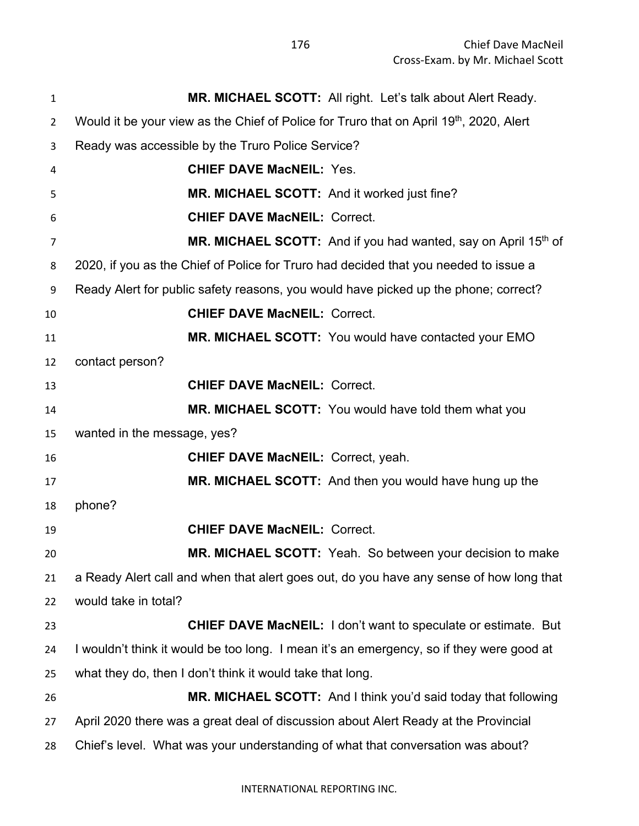| $\mathbf{1}$   | MR. MICHAEL SCOTT: All right. Let's talk about Alert Ready.                              |
|----------------|------------------------------------------------------------------------------------------|
| $\overline{2}$ | Would it be your view as the Chief of Police for Truro that on April 19th, 2020, Alert   |
| 3              | Ready was accessible by the Truro Police Service?                                        |
| 4              | <b>CHIEF DAVE MacNEIL: Yes.</b>                                                          |
| 5              | MR. MICHAEL SCOTT: And it worked just fine?                                              |
| 6              | <b>CHIEF DAVE MacNEIL: Correct.</b>                                                      |
| $\overline{7}$ | MR. MICHAEL SCOTT: And if you had wanted, say on April 15th of                           |
| 8              | 2020, if you as the Chief of Police for Truro had decided that you needed to issue a     |
| 9              | Ready Alert for public safety reasons, you would have picked up the phone; correct?      |
| 10             | <b>CHIEF DAVE MacNEIL: Correct.</b>                                                      |
| 11             | MR. MICHAEL SCOTT: You would have contacted your EMO                                     |
| 12             | contact person?                                                                          |
| 13             | <b>CHIEF DAVE MacNEIL: Correct.</b>                                                      |
| 14             | MR. MICHAEL SCOTT: You would have told them what you                                     |
| 15             | wanted in the message, yes?                                                              |
| 16             | <b>CHIEF DAVE MacNEIL: Correct, yeah.</b>                                                |
| 17             | MR. MICHAEL SCOTT: And then you would have hung up the                                   |
| 18             | phone?                                                                                   |
| 19             | <b>CHIEF DAVE MacNEIL: Correct.</b>                                                      |
| 20             | MR. MICHAEL SCOTT: Yeah. So between your decision to make                                |
| 21             | a Ready Alert call and when that alert goes out, do you have any sense of how long that  |
| 22             | would take in total?                                                                     |
| 23             | <b>CHIEF DAVE MacNEIL: I don't want to speculate or estimate. But</b>                    |
| 24             | I wouldn't think it would be too long. I mean it's an emergency, so if they were good at |
| 25             | what they do, then I don't think it would take that long.                                |
| 26             | MR. MICHAEL SCOTT: And I think you'd said today that following                           |
| 27             | April 2020 there was a great deal of discussion about Alert Ready at the Provincial      |
| 28             | Chief's level. What was your understanding of what that conversation was about?          |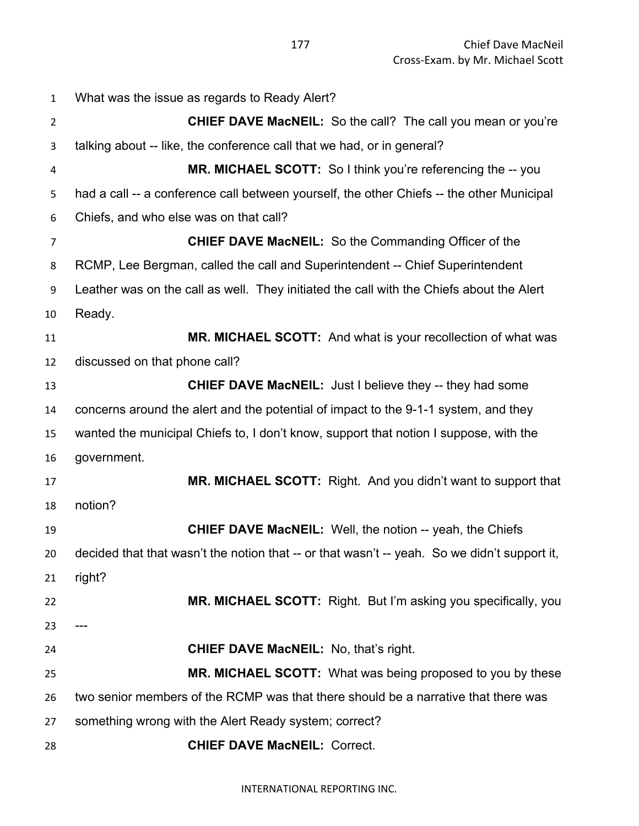What was the issue as regards to Ready Alert? **CHIEF DAVE MacNEIL:** So the call? The call you mean or you're talking about -- like, the conference call that we had, or in general? **MR. MICHAEL SCOTT:** So I think you're referencing the -- you had a call -- a conference call between yourself, the other Chiefs -- the other Municipal Chiefs, and who else was on that call? **CHIEF DAVE MacNEIL:** So the Commanding Officer of the RCMP, Lee Bergman, called the call and Superintendent -- Chief Superintendent Leather was on the call as well. They initiated the call with the Chiefs about the Alert Ready. **MR. MICHAEL SCOTT:** And what is your recollection of what was discussed on that phone call? **CHIEF DAVE MacNEIL:** Just I believe they -- they had some concerns around the alert and the potential of impact to the 9-1-1 system, and they wanted the municipal Chiefs to, I don't know, support that notion I suppose, with the government. **MR. MICHAEL SCOTT:** Right. And you didn't want to support that notion? **CHIEF DAVE MacNEIL:** Well, the notion -- yeah, the Chiefs decided that that wasn't the notion that -- or that wasn't -- yeah. So we didn't support it, right? **MR. MICHAEL SCOTT:** Right. But I'm asking you specifically, you  $23 -$  **CHIEF DAVE MacNEIL:** No, that's right. **MR. MICHAEL SCOTT:** What was being proposed to you by these two senior members of the RCMP was that there should be a narrative that there was something wrong with the Alert Ready system; correct? **CHIEF DAVE MacNEIL:** Correct.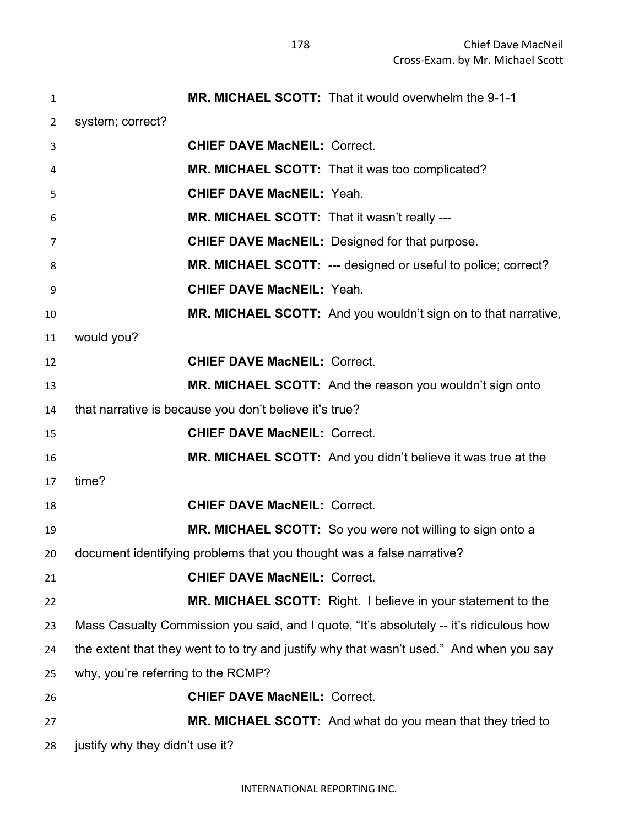| $\mathbf{1}$   | MR. MICHAEL SCOTT: That it would overwhelm the 9-1-1                                    |
|----------------|-----------------------------------------------------------------------------------------|
| $\overline{2}$ | system; correct?                                                                        |
| 3              | <b>CHIEF DAVE MacNEIL: Correct.</b>                                                     |
| 4              | MR. MICHAEL SCOTT: That it was too complicated?                                         |
| 5              | <b>CHIEF DAVE MacNEIL: Yeah.</b>                                                        |
| 6              | MR. MICHAEL SCOTT: That it wasn't really ---                                            |
| $\overline{7}$ | <b>CHIEF DAVE MacNEIL: Designed for that purpose.</b>                                   |
| 8              | MR. MICHAEL SCOTT: --- designed or useful to police; correct?                           |
| 9              | <b>CHIEF DAVE MacNEIL: Yeah.</b>                                                        |
| 10             | MR. MICHAEL SCOTT: And you wouldn't sign on to that narrative,                          |
| 11             | would you?                                                                              |
| 12             | <b>CHIEF DAVE MacNEIL: Correct.</b>                                                     |
| 13             | MR. MICHAEL SCOTT: And the reason you wouldn't sign onto                                |
| 14             | that narrative is because you don't believe it's true?                                  |
| 15             | <b>CHIEF DAVE MacNEIL: Correct.</b>                                                     |
| 16             | MR. MICHAEL SCOTT: And you didn't believe it was true at the                            |
| 17             | time?                                                                                   |
| 18             | <b>CHIEF DAVE MacNEIL: Correct.</b>                                                     |
| 19             | <b>MR. MICHAEL SCOTT:</b> So you were not willing to sign onto a                        |
| 20             | document identifying problems that you thought was a false narrative?                   |
| 21             | <b>CHIEF DAVE MacNEIL: Correct.</b>                                                     |
| 22             | MR. MICHAEL SCOTT: Right. I believe in your statement to the                            |
| 23             | Mass Casualty Commission you said, and I quote, "It's absolutely -- it's ridiculous how |
| 24             | the extent that they went to to try and justify why that wasn't used." And when you say |
| 25             | why, you're referring to the RCMP?                                                      |
| 26             | <b>CHIEF DAVE MacNEIL: Correct.</b>                                                     |
| 27             | <b>MR. MICHAEL SCOTT:</b> And what do you mean that they tried to                       |
| 28             | justify why they didn't use it?                                                         |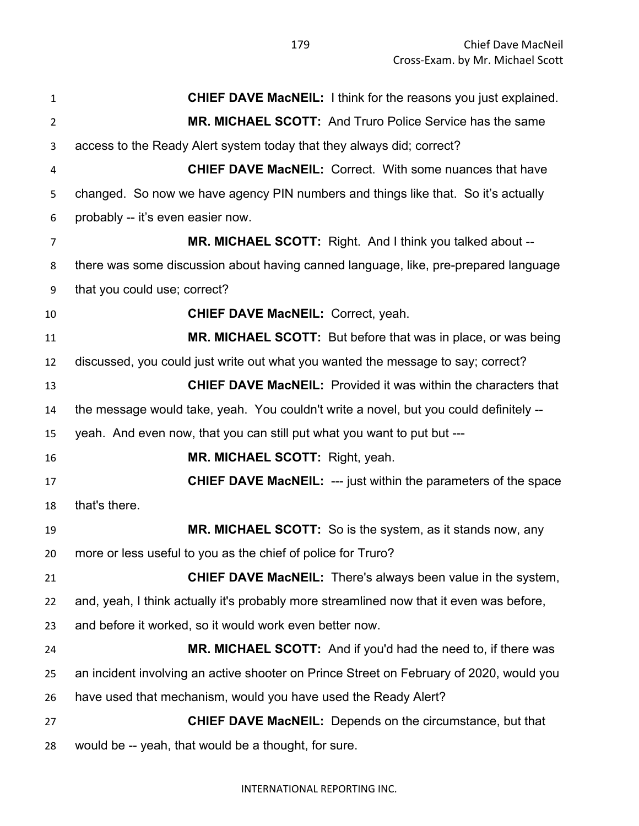**CHIEF DAVE MacNEIL:** I think for the reasons you just explained. **MR. MICHAEL SCOTT:** And Truro Police Service has the same access to the Ready Alert system today that they always did; correct? **CHIEF DAVE MacNEIL:** Correct. With some nuances that have changed. So now we have agency PIN numbers and things like that. So it's actually probably -- it's even easier now. **MR. MICHAEL SCOTT:** Right. And I think you talked about -- there was some discussion about having canned language, like, pre-prepared language that you could use; correct? **CHIEF DAVE MacNEIL:** Correct, yeah. **MR. MICHAEL SCOTT:** But before that was in place, or was being discussed, you could just write out what you wanted the message to say; correct? **CHIEF DAVE MacNEIL:** Provided it was within the characters that the message would take, yeah. You couldn't write a novel, but you could definitely -- yeah. And even now, that you can still put what you want to put but --- **MR. MICHAEL SCOTT:** Right, yeah. **CHIEF DAVE MacNEIL:** --- just within the parameters of the space that's there. **MR. MICHAEL SCOTT:** So is the system, as it stands now, any more or less useful to you as the chief of police for Truro? **CHIEF DAVE MacNEIL:** There's always been value in the system, and, yeah, I think actually it's probably more streamlined now that it even was before, and before it worked, so it would work even better now. **MR. MICHAEL SCOTT:** And if you'd had the need to, if there was an incident involving an active shooter on Prince Street on February of 2020, would you have used that mechanism, would you have used the Ready Alert? **CHIEF DAVE MacNEIL:** Depends on the circumstance, but that would be -- yeah, that would be a thought, for sure.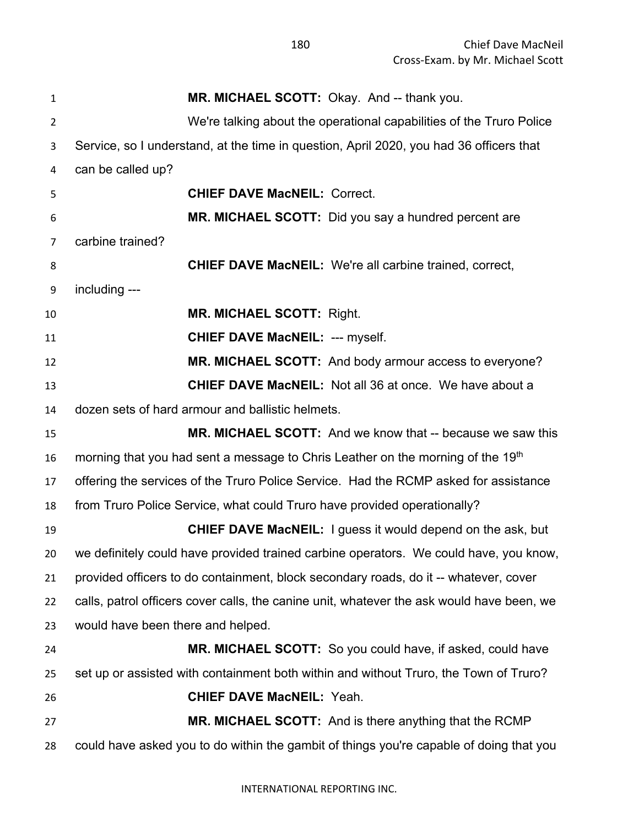| $\mathbf{1}$   | MR. MICHAEL SCOTT: Okay. And -- thank you.                                                |
|----------------|-------------------------------------------------------------------------------------------|
| $\overline{2}$ | We're talking about the operational capabilities of the Truro Police                      |
| 3              | Service, so I understand, at the time in question, April 2020, you had 36 officers that   |
| 4              | can be called up?                                                                         |
| 5              | <b>CHIEF DAVE MacNEIL: Correct.</b>                                                       |
| 6              | MR. MICHAEL SCOTT: Did you say a hundred percent are                                      |
| $\overline{7}$ | carbine trained?                                                                          |
| 8              | <b>CHIEF DAVE MacNEIL:</b> We're all carbine trained, correct,                            |
| 9              | including ---                                                                             |
| 10             | <b>MR. MICHAEL SCOTT: Right.</b>                                                          |
| 11             | <b>CHIEF DAVE MacNEIL: --- myself.</b>                                                    |
| 12             | MR. MICHAEL SCOTT: And body armour access to everyone?                                    |
| 13             | <b>CHIEF DAVE MacNEIL:</b> Not all 36 at once. We have about a                            |
| 14             | dozen sets of hard armour and ballistic helmets.                                          |
| 15             | <b>MR. MICHAEL SCOTT:</b> And we know that -- because we saw this                         |
| 16             | morning that you had sent a message to Chris Leather on the morning of the 19th           |
| 17             | offering the services of the Truro Police Service. Had the RCMP asked for assistance      |
| 18             | from Truro Police Service, what could Truro have provided operationally?                  |
| 19             | <b>CHIEF DAVE MacNEIL:</b> I guess it would depend on the ask, but                        |
| 20             | we definitely could have provided trained carbine operators. We could have, you know,     |
| 21             | provided officers to do containment, block secondary roads, do it -- whatever, cover      |
| 22             | calls, patrol officers cover calls, the canine unit, whatever the ask would have been, we |
| 23             | would have been there and helped.                                                         |
| 24             | MR. MICHAEL SCOTT: So you could have, if asked, could have                                |
| 25             | set up or assisted with containment both within and without Truro, the Town of Truro?     |
| 26             | <b>CHIEF DAVE MacNEIL: Yeah.</b>                                                          |
| 27             | <b>MR. MICHAEL SCOTT:</b> And is there anything that the RCMP                             |
| 28             | could have asked you to do within the gambit of things you're capable of doing that you   |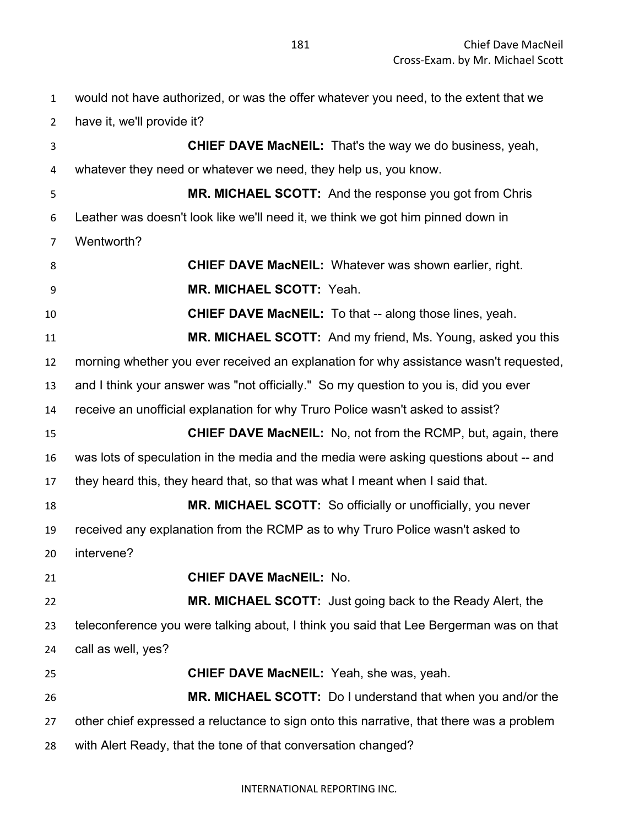would not have authorized, or was the offer whatever you need, to the extent that we have it, we'll provide it? **CHIEF DAVE MacNEIL:** That's the way we do business, yeah, whatever they need or whatever we need, they help us, you know. **MR. MICHAEL SCOTT:** And the response you got from Chris Leather was doesn't look like we'll need it, we think we got him pinned down in Wentworth? **CHIEF DAVE MacNEIL:** Whatever was shown earlier, right. **MR. MICHAEL SCOTT:** Yeah. **CHIEF DAVE MacNEIL:** To that -- along those lines, yeah. **MR. MICHAEL SCOTT:** And my friend, Ms. Young, asked you this morning whether you ever received an explanation for why assistance wasn't requested, and I think your answer was "not officially." So my question to you is, did you ever receive an unofficial explanation for why Truro Police wasn't asked to assist? **CHIEF DAVE MacNEIL:** No, not from the RCMP, but, again, there was lots of speculation in the media and the media were asking questions about -- and they heard this, they heard that, so that was what I meant when I said that. **MR. MICHAEL SCOTT:** So officially or unofficially, you never received any explanation from the RCMP as to why Truro Police wasn't asked to intervene? **CHIEF DAVE MacNEIL:** No. **MR. MICHAEL SCOTT:** Just going back to the Ready Alert, the teleconference you were talking about, I think you said that Lee Bergerman was on that call as well, yes? **CHIEF DAVE MacNEIL:** Yeah, she was, yeah. **MR. MICHAEL SCOTT:** Do I understand that when you and/or the other chief expressed a reluctance to sign onto this narrative, that there was a problem with Alert Ready, that the tone of that conversation changed?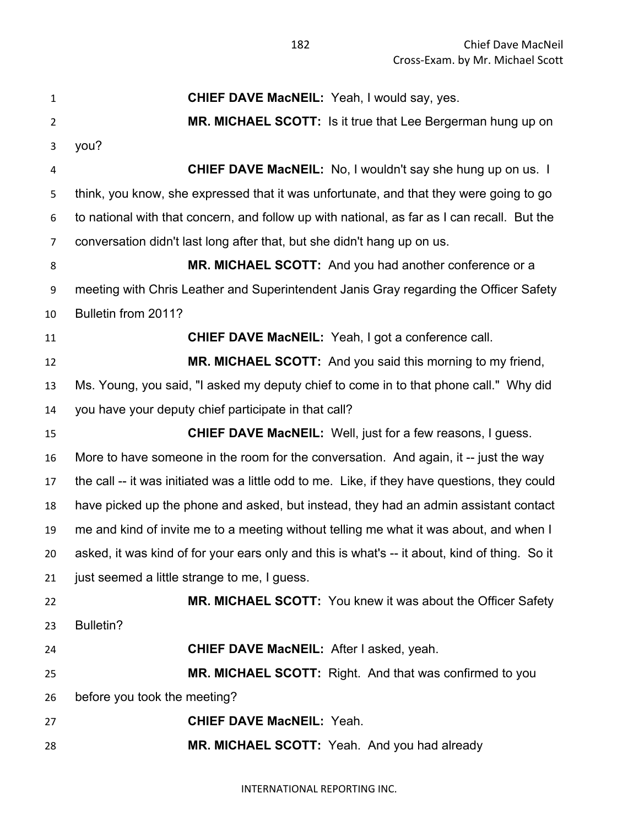**CHIEF DAVE MacNEIL:** Yeah, I would say, yes. **MR. MICHAEL SCOTT:** Is it true that Lee Bergerman hung up on you? **CHIEF DAVE MacNEIL:** No, I wouldn't say she hung up on us. I think, you know, she expressed that it was unfortunate, and that they were going to go to national with that concern, and follow up with national, as far as I can recall. But the conversation didn't last long after that, but she didn't hang up on us. **MR. MICHAEL SCOTT:** And you had another conference or a meeting with Chris Leather and Superintendent Janis Gray regarding the Officer Safety Bulletin from 2011? **CHIEF DAVE MacNEIL:** Yeah, I got a conference call. **MR. MICHAEL SCOTT:** And you said this morning to my friend, Ms. Young, you said, "I asked my deputy chief to come in to that phone call." Why did you have your deputy chief participate in that call? **CHIEF DAVE MacNEIL:** Well, just for a few reasons, I guess. More to have someone in the room for the conversation. And again, it -- just the way the call -- it was initiated was a little odd to me. Like, if they have questions, they could have picked up the phone and asked, but instead, they had an admin assistant contact me and kind of invite me to a meeting without telling me what it was about, and when I asked, it was kind of for your ears only and this is what's -- it about, kind of thing. So it just seemed a little strange to me, I guess. **MR. MICHAEL SCOTT:** You knew it was about the Officer Safety Bulletin? **CHIEF DAVE MacNEIL:** After I asked, yeah. **MR. MICHAEL SCOTT:** Right. And that was confirmed to you before you took the meeting? **CHIEF DAVE MacNEIL:** Yeah. **MR. MICHAEL SCOTT:** Yeah. And you had already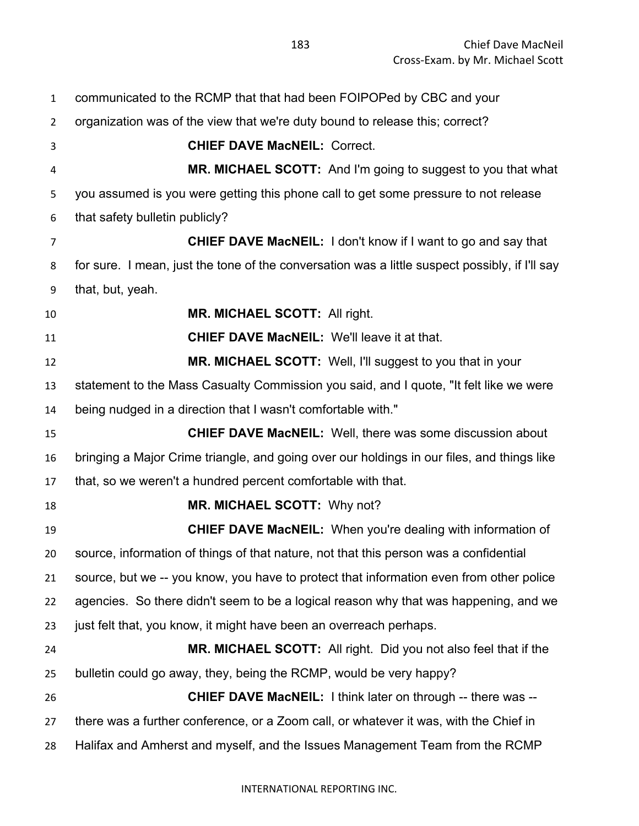communicated to the RCMP that that had been FOIPOPed by CBC and your organization was of the view that we're duty bound to release this; correct? **CHIEF DAVE MacNEIL:** Correct. **MR. MICHAEL SCOTT:** And I'm going to suggest to you that what you assumed is you were getting this phone call to get some pressure to not release that safety bulletin publicly? **CHIEF DAVE MacNEIL:** I don't know if I want to go and say that for sure. I mean, just the tone of the conversation was a little suspect possibly, if I'll say that, but, yeah. **MR. MICHAEL SCOTT:** All right. **CHIEF DAVE MacNEIL:** We'll leave it at that. **MR. MICHAEL SCOTT:** Well, I'll suggest to you that in your statement to the Mass Casualty Commission you said, and I quote, "It felt like we were being nudged in a direction that I wasn't comfortable with." **CHIEF DAVE MacNEIL:** Well, there was some discussion about bringing a Major Crime triangle, and going over our holdings in our files, and things like that, so we weren't a hundred percent comfortable with that. **MR. MICHAEL SCOTT:** Why not? **CHIEF DAVE MacNEIL:** When you're dealing with information of source, information of things of that nature, not that this person was a confidential source, but we -- you know, you have to protect that information even from other police agencies. So there didn't seem to be a logical reason why that was happening, and we just felt that, you know, it might have been an overreach perhaps. **MR. MICHAEL SCOTT:** All right. Did you not also feel that if the bulletin could go away, they, being the RCMP, would be very happy? **CHIEF DAVE MacNEIL:** I think later on through -- there was -- there was a further conference, or a Zoom call, or whatever it was, with the Chief in Halifax and Amherst and myself, and the Issues Management Team from the RCMP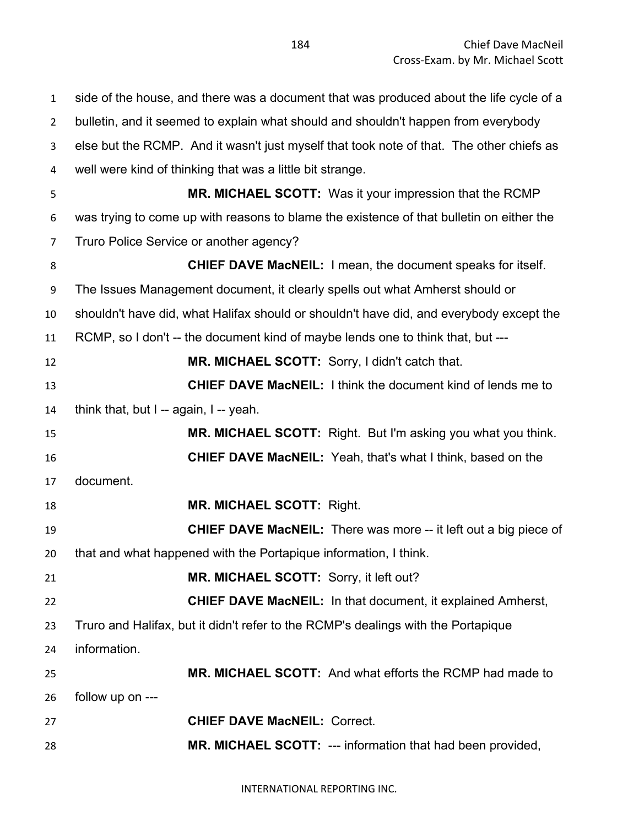side of the house, and there was a document that was produced about the life cycle of a bulletin, and it seemed to explain what should and shouldn't happen from everybody else but the RCMP. And it wasn't just myself that took note of that. The other chiefs as well were kind of thinking that was a little bit strange. **MR. MICHAEL SCOTT:** Was it your impression that the RCMP was trying to come up with reasons to blame the existence of that bulletin on either the Truro Police Service or another agency? **CHIEF DAVE MacNEIL:** I mean, the document speaks for itself. The Issues Management document, it clearly spells out what Amherst should or shouldn't have did, what Halifax should or shouldn't have did, and everybody except the RCMP, so I don't -- the document kind of maybe lends one to think that, but --- **MR. MICHAEL SCOTT:** Sorry, I didn't catch that. **CHIEF DAVE MacNEIL:** I think the document kind of lends me to think that, but I -- again, I -- yeah. **MR. MICHAEL SCOTT:** Right. But I'm asking you what you think. **CHIEF DAVE MacNEIL:** Yeah, that's what I think, based on the document. **MR. MICHAEL SCOTT:** Right. **CHIEF DAVE MacNEIL:** There was more -- it left out a big piece of that and what happened with the Portapique information, I think. **MR. MICHAEL SCOTT:** Sorry, it left out? **CHIEF DAVE MacNEIL:** In that document, it explained Amherst, Truro and Halifax, but it didn't refer to the RCMP's dealings with the Portapique information. **MR. MICHAEL SCOTT:** And what efforts the RCMP had made to follow up on --- **CHIEF DAVE MacNEIL:** Correct. **MR. MICHAEL SCOTT:** --- information that had been provided,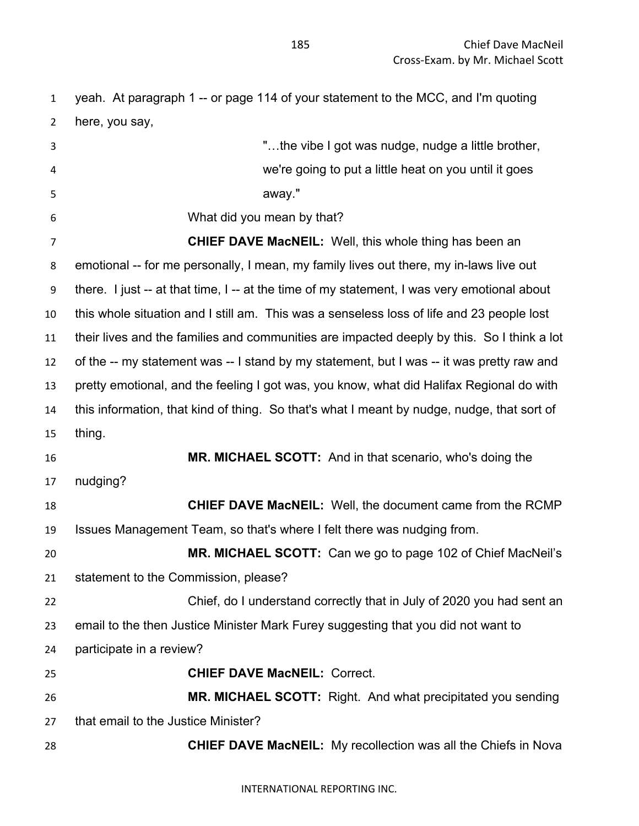yeah. At paragraph 1 -- or page 114 of your statement to the MCC, and I'm quoting here, you say,

 "…the vibe I got was nudge, nudge a little brother, we're going to put a little heat on you until it goes away." What did you mean by that? **CHIEF DAVE MacNEIL:** Well, this whole thing has been an emotional -- for me personally, I mean, my family lives out there, my in-laws live out there. I just -- at that time, I -- at the time of my statement, I was very emotional about this whole situation and I still am. This was a senseless loss of life and 23 people lost their lives and the families and communities are impacted deeply by this. So I think a lot of the -- my statement was -- I stand by my statement, but I was -- it was pretty raw and pretty emotional, and the feeling I got was, you know, what did Halifax Regional do with this information, that kind of thing. So that's what I meant by nudge, nudge, that sort of thing. **MR. MICHAEL SCOTT:** And in that scenario, who's doing the nudging? **CHIEF DAVE MacNEIL:** Well, the document came from the RCMP Issues Management Team, so that's where I felt there was nudging from. **MR. MICHAEL SCOTT:** Can we go to page 102 of Chief MacNeil's statement to the Commission, please? Chief, do I understand correctly that in July of 2020 you had sent an email to the then Justice Minister Mark Furey suggesting that you did not want to participate in a review? **CHIEF DAVE MacNEIL:** Correct. **MR. MICHAEL SCOTT:** Right. And what precipitated you sending that email to the Justice Minister? **CHIEF DAVE MacNEIL:** My recollection was all the Chiefs in Nova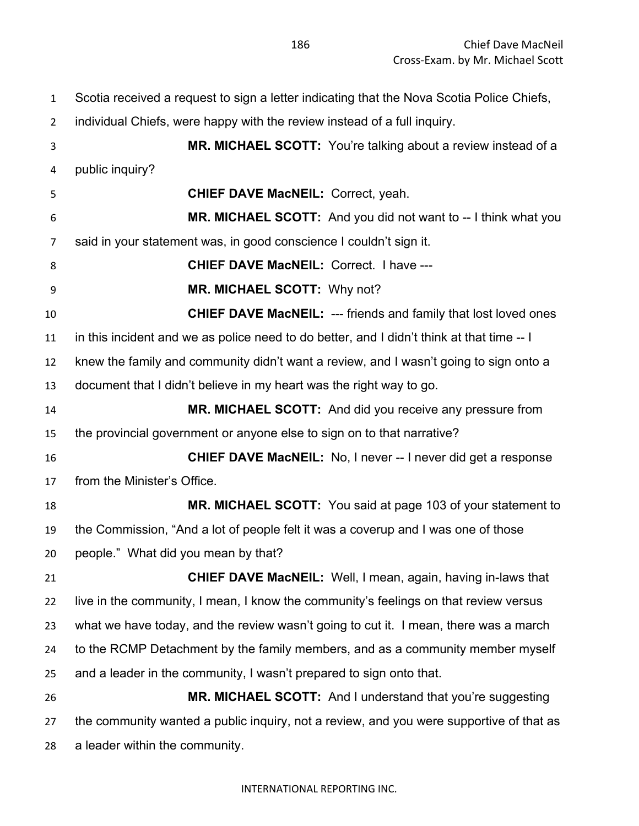Scotia received a request to sign a letter indicating that the Nova Scotia Police Chiefs, individual Chiefs, were happy with the review instead of a full inquiry. **MR. MICHAEL SCOTT:** You're talking about a review instead of a public inquiry? **CHIEF DAVE MacNEIL:** Correct, yeah. **MR. MICHAEL SCOTT:** And you did not want to -- I think what you said in your statement was, in good conscience I couldn't sign it. **CHIEF DAVE MacNEIL:** Correct. I have --- **MR. MICHAEL SCOTT:** Why not? **CHIEF DAVE MacNEIL:** --- friends and family that lost loved ones in this incident and we as police need to do better, and I didn't think at that time -- I knew the family and community didn't want a review, and I wasn't going to sign onto a document that I didn't believe in my heart was the right way to go. **MR. MICHAEL SCOTT:** And did you receive any pressure from the provincial government or anyone else to sign on to that narrative? **CHIEF DAVE MacNEIL:** No, I never -- I never did get a response from the Minister's Office. **MR. MICHAEL SCOTT:** You said at page 103 of your statement to the Commission, "And a lot of people felt it was a coverup and I was one of those people." What did you mean by that? **CHIEF DAVE MacNEIL:** Well, I mean, again, having in-laws that live in the community, I mean, I know the community's feelings on that review versus what we have today, and the review wasn't going to cut it. I mean, there was a march 24 to the RCMP Detachment by the family members, and as a community member myself and a leader in the community, I wasn't prepared to sign onto that. **MR. MICHAEL SCOTT:** And I understand that you're suggesting the community wanted a public inquiry, not a review, and you were supportive of that as

a leader within the community.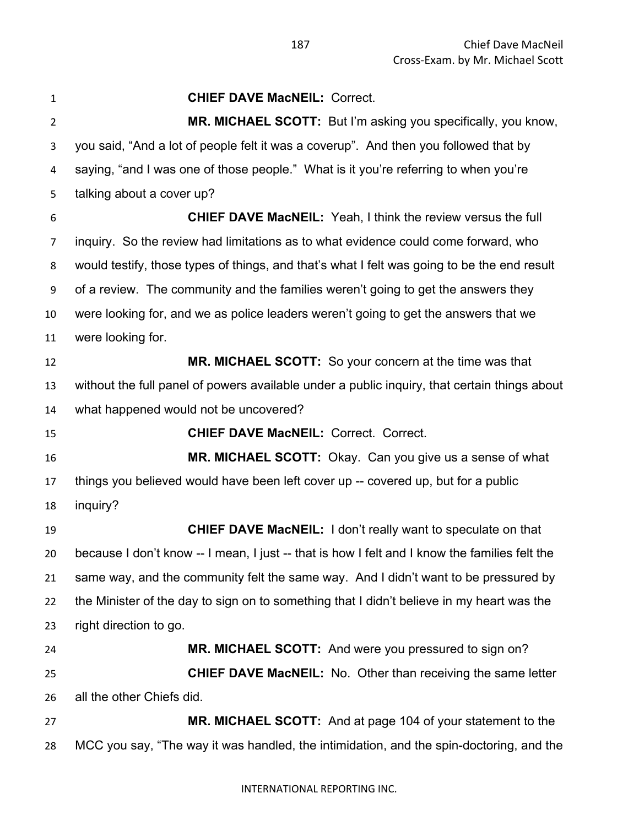| $\mathbf{1}$   | <b>CHIEF DAVE MacNEIL: Correct.</b>                                                           |
|----------------|-----------------------------------------------------------------------------------------------|
| $\overline{2}$ | MR. MICHAEL SCOTT: But I'm asking you specifically, you know,                                 |
| 3              | you said, "And a lot of people felt it was a coverup". And then you followed that by          |
| 4              | saying, "and I was one of those people." What is it you're referring to when you're           |
| 5              | talking about a cover up?                                                                     |
| 6              | <b>CHIEF DAVE MacNEIL:</b> Yeah, I think the review versus the full                           |
| 7              | inquiry. So the review had limitations as to what evidence could come forward, who            |
| 8              | would testify, those types of things, and that's what I felt was going to be the end result   |
| 9              | of a review. The community and the families weren't going to get the answers they             |
| 10             | were looking for, and we as police leaders weren't going to get the answers that we           |
| 11             | were looking for.                                                                             |
| 12             | MR. MICHAEL SCOTT: So your concern at the time was that                                       |
| 13             | without the full panel of powers available under a public inquiry, that certain things about  |
| 14             | what happened would not be uncovered?                                                         |
| 15             | <b>CHIEF DAVE MacNEIL: Correct. Correct.</b>                                                  |
| 16             | MR. MICHAEL SCOTT: Okay. Can you give us a sense of what                                      |
| 17             | things you believed would have been left cover up -- covered up, but for a public             |
| 18             | inquiry?                                                                                      |
| 19             | <b>CHIEF DAVE MacNEIL:</b> I don't really want to speculate on that                           |
| 20             | because I don't know -- I mean, I just -- that is how I felt and I know the families felt the |
| 21             | same way, and the community felt the same way. And I didn't want to be pressured by           |
| 22             | the Minister of the day to sign on to something that I didn't believe in my heart was the     |
| 23             | right direction to go.                                                                        |
| 24             | MR. MICHAEL SCOTT: And were you pressured to sign on?                                         |
| 25             | <b>CHIEF DAVE MacNEIL:</b> No. Other than receiving the same letter                           |
| 26             | all the other Chiefs did.                                                                     |
| 27             | <b>MR. MICHAEL SCOTT:</b> And at page 104 of your statement to the                            |
| 28             | MCC you say, "The way it was handled, the intimidation, and the spin-doctoring, and the       |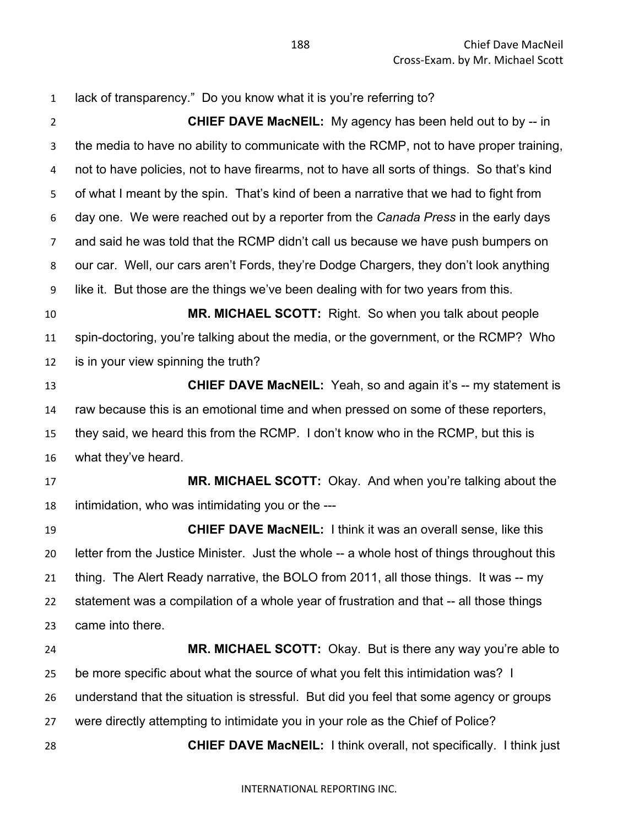lack of transparency." Do you know what it is you're referring to? **CHIEF DAVE MacNEIL:** My agency has been held out to by -- in the media to have no ability to communicate with the RCMP, not to have proper training, not to have policies, not to have firearms, not to have all sorts of things. So that's kind of what I meant by the spin. That's kind of been a narrative that we had to fight from day one. We were reached out by a reporter from the *Canada Press* in the early days and said he was told that the RCMP didn't call us because we have push bumpers on our car. Well, our cars aren't Fords, they're Dodge Chargers, they don't look anything like it. But those are the things we've been dealing with for two years from this. **MR. MICHAEL SCOTT:** Right. So when you talk about people spin-doctoring, you're talking about the media, or the government, or the RCMP? Who is in your view spinning the truth? **CHIEF DAVE MacNEIL:** Yeah, so and again it's -- my statement is raw because this is an emotional time and when pressed on some of these reporters, they said, we heard this from the RCMP. I don't know who in the RCMP, but this is what they've heard. **MR. MICHAEL SCOTT:** Okay. And when you're talking about the intimidation, who was intimidating you or the --- **CHIEF DAVE MacNEIL:** I think it was an overall sense, like this letter from the Justice Minister. Just the whole -- a whole host of things throughout this thing. The Alert Ready narrative, the BOLO from 2011, all those things. It was -- my statement was a compilation of a whole year of frustration and that -- all those things came into there. **MR. MICHAEL SCOTT:** Okay. But is there any way you're able to be more specific about what the source of what you felt this intimidation was? I understand that the situation is stressful. But did you feel that some agency or groups were directly attempting to intimidate you in your role as the Chief of Police? **CHIEF DAVE MacNEIL:** I think overall, not specifically. I think just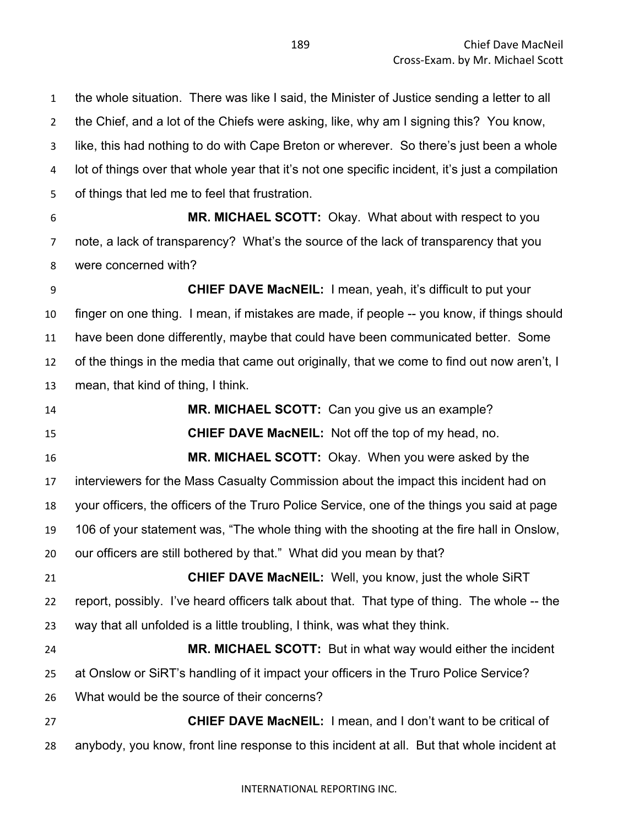the whole situation. There was like I said, the Minister of Justice sending a letter to all the Chief, and a lot of the Chiefs were asking, like, why am I signing this? You know, like, this had nothing to do with Cape Breton or wherever. So there's just been a whole lot of things over that whole year that it's not one specific incident, it's just a compilation of things that led me to feel that frustration. **MR. MICHAEL SCOTT:** Okay. What about with respect to you note, a lack of transparency? What's the source of the lack of transparency that you were concerned with? **CHIEF DAVE MacNEIL:** I mean, yeah, it's difficult to put your finger on one thing. I mean, if mistakes are made, if people -- you know, if things should have been done differently, maybe that could have been communicated better. Some of the things in the media that came out originally, that we come to find out now aren't, I mean, that kind of thing, I think.

 **MR. MICHAEL SCOTT:** Can you give us an example? **CHIEF DAVE MacNEIL:** Not off the top of my head, no. **MR. MICHAEL SCOTT:** Okay. When you were asked by the interviewers for the Mass Casualty Commission about the impact this incident had on your officers, the officers of the Truro Police Service, one of the things you said at page 106 of your statement was, "The whole thing with the shooting at the fire hall in Onslow, our officers are still bothered by that." What did you mean by that? **CHIEF DAVE MacNEIL:** Well, you know, just the whole SiRT report, possibly. I've heard officers talk about that. That type of thing. The whole -- the way that all unfolded is a little troubling, I think, was what they think. **MR. MICHAEL SCOTT:** But in what way would either the incident at Onslow or SiRT's handling of it impact your officers in the Truro Police Service? What would be the source of their concerns? **CHIEF DAVE MacNEIL:** I mean, and I don't want to be critical of

anybody, you know, front line response to this incident at all. But that whole incident at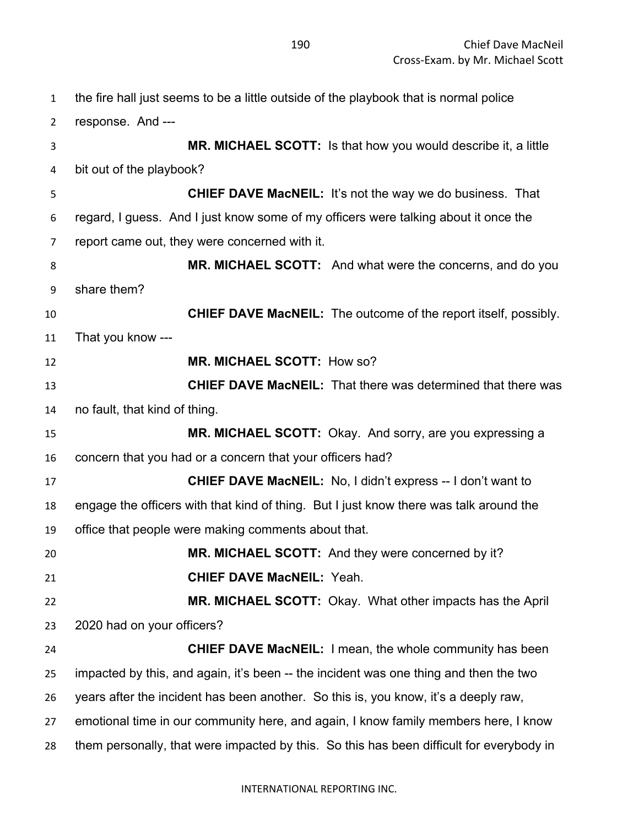the fire hall just seems to be a little outside of the playbook that is normal police response. And --- **MR. MICHAEL SCOTT:** Is that how you would describe it, a little bit out of the playbook? **CHIEF DAVE MacNEIL:** It's not the way we do business. That regard, I guess. And I just know some of my officers were talking about it once the report came out, they were concerned with it. **MR. MICHAEL SCOTT:** And what were the concerns, and do you share them? **CHIEF DAVE MacNEIL:** The outcome of the report itself, possibly. That you know --- **MR. MICHAEL SCOTT:** How so? **CHIEF DAVE MacNEIL:** That there was determined that there was no fault, that kind of thing. **MR. MICHAEL SCOTT:** Okay. And sorry, are you expressing a concern that you had or a concern that your officers had? **CHIEF DAVE MacNEIL:** No, I didn't express -- I don't want to engage the officers with that kind of thing. But I just know there was talk around the office that people were making comments about that. **MR. MICHAEL SCOTT:** And they were concerned by it? **CHIEF DAVE MacNEIL:** Yeah. **MR. MICHAEL SCOTT:** Okay. What other impacts has the April 2020 had on your officers? **CHIEF DAVE MacNEIL:** I mean, the whole community has been impacted by this, and again, it's been -- the incident was one thing and then the two years after the incident has been another. So this is, you know, it's a deeply raw, emotional time in our community here, and again, I know family members here, I know them personally, that were impacted by this. So this has been difficult for everybody in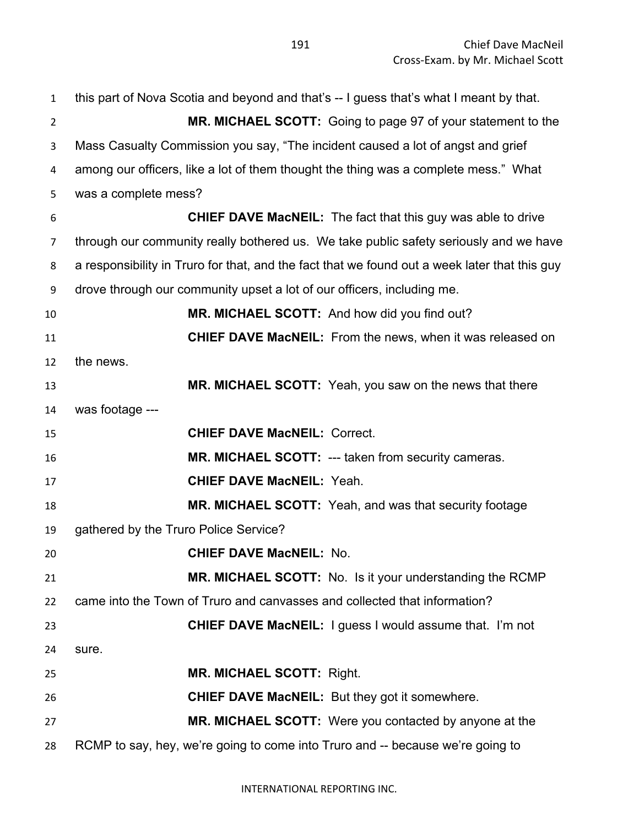| $\mathbf{1}$   | this part of Nova Scotia and beyond and that's -- I guess that's what I meant by that.        |
|----------------|-----------------------------------------------------------------------------------------------|
| $\overline{2}$ | MR. MICHAEL SCOTT: Going to page 97 of your statement to the                                  |
| 3              | Mass Casualty Commission you say, "The incident caused a lot of angst and grief               |
| 4              | among our officers, like a lot of them thought the thing was a complete mess." What           |
| 5              | was a complete mess?                                                                          |
| 6              | <b>CHIEF DAVE MacNEIL:</b> The fact that this guy was able to drive                           |
| $\overline{7}$ | through our community really bothered us. We take public safety seriously and we have         |
| 8              | a responsibility in Truro for that, and the fact that we found out a week later that this guy |
| 9              | drove through our community upset a lot of our officers, including me.                        |
| 10             | MR. MICHAEL SCOTT: And how did you find out?                                                  |
| 11             | <b>CHIEF DAVE MacNEIL:</b> From the news, when it was released on                             |
| 12             | the news.                                                                                     |
| 13             | MR. MICHAEL SCOTT: Yeah, you saw on the news that there                                       |
| 14             | was footage ---                                                                               |
| 15             | <b>CHIEF DAVE MacNEIL: Correct.</b>                                                           |
| 16             | MR. MICHAEL SCOTT: --- taken from security cameras.                                           |
| 17             | <b>CHIEF DAVE MacNEIL: Yeah.</b>                                                              |
| 18             | MR. MICHAEL SCOTT: Yeah, and was that security footage                                        |
| 19             | gathered by the Truro Police Service?                                                         |
| 20             | <b>CHIEF DAVE MacNEIL: No.</b>                                                                |
| 21             | MR. MICHAEL SCOTT: No. Is it your understanding the RCMP                                      |
| 22             | came into the Town of Truro and canvasses and collected that information?                     |
| 23             | <b>CHIEF DAVE MacNEIL:</b> I guess I would assume that. I'm not                               |
| 24             | sure.                                                                                         |
| 25             | <b>MR. MICHAEL SCOTT: Right.</b>                                                              |
| 26             | <b>CHIEF DAVE MacNEIL:</b> But they got it somewhere.                                         |
| 27             | MR. MICHAEL SCOTT: Were you contacted by anyone at the                                        |
| 28             | RCMP to say, hey, we're going to come into Truro and -- because we're going to                |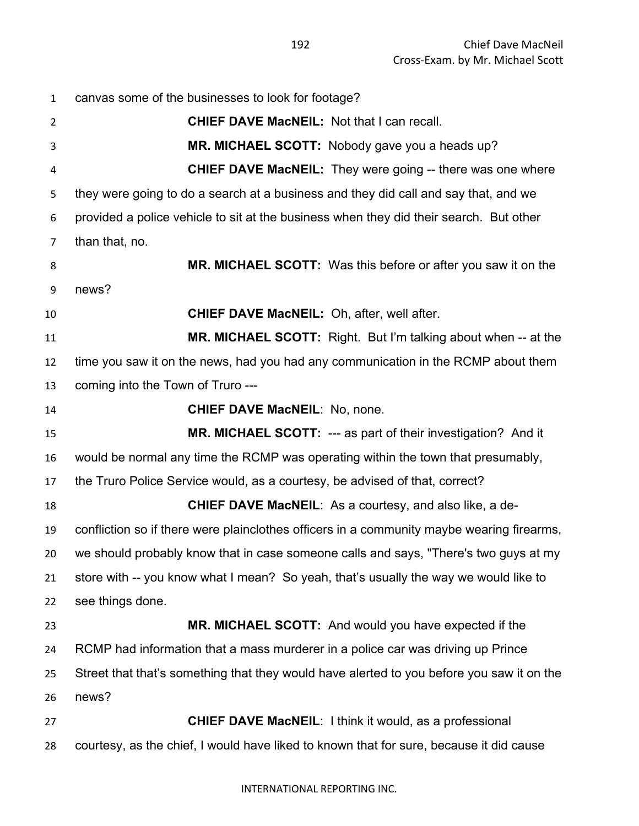canvas some of the businesses to look for footage? **CHIEF DAVE MacNEIL:** Not that I can recall. **MR. MICHAEL SCOTT:** Nobody gave you a heads up? **CHIEF DAVE MacNEIL:** They were going -- there was one where they were going to do a search at a business and they did call and say that, and we provided a police vehicle to sit at the business when they did their search. But other than that, no. **MR. MICHAEL SCOTT:** Was this before or after you saw it on the news? **CHIEF DAVE MacNEIL:** Oh, after, well after. **MR. MICHAEL SCOTT:** Right. But I'm talking about when -- at the time you saw it on the news, had you had any communication in the RCMP about them coming into the Town of Truro --- **CHIEF DAVE MacNEIL**: No, none. **MR. MICHAEL SCOTT:** --- as part of their investigation? And it would be normal any time the RCMP was operating within the town that presumably, the Truro Police Service would, as a courtesy, be advised of that, correct? **CHIEF DAVE MacNEIL**: As a courtesy, and also like, a de- confliction so if there were plainclothes officers in a community maybe wearing firearms, we should probably know that in case someone calls and says, "There's two guys at my store with -- you know what I mean? So yeah, that's usually the way we would like to see things done. **MR. MICHAEL SCOTT:** And would you have expected if the RCMP had information that a mass murderer in a police car was driving up Prince Street that that's something that they would have alerted to you before you saw it on the news? **CHIEF DAVE MacNEIL**: I think it would, as a professional courtesy, as the chief, I would have liked to known that for sure, because it did cause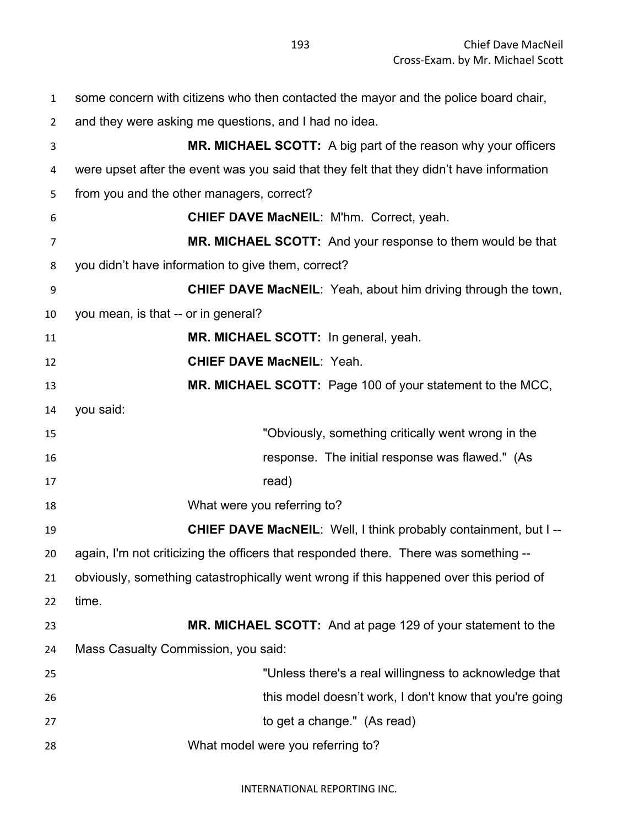some concern with citizens who then contacted the mayor and the police board chair, and they were asking me questions, and I had no idea. **MR. MICHAEL SCOTT:** A big part of the reason why your officers were upset after the event was you said that they felt that they didn't have information from you and the other managers, correct? **CHIEF DAVE MacNEIL**: M'hm. Correct, yeah. **MR. MICHAEL SCOTT:** And your response to them would be that you didn't have information to give them, correct? **CHIEF DAVE MacNEIL**: Yeah, about him driving through the town, you mean, is that -- or in general? **MR. MICHAEL SCOTT:** In general, yeah. **CHIEF DAVE MacNEIL**: Yeah. **MR. MICHAEL SCOTT:** Page 100 of your statement to the MCC, you said: "Obviously, something critically went wrong in the response. The initial response was flawed." (As 17 read) What were you referring to? **CHIEF DAVE MacNEIL**: Well, I think probably containment, but I -- again, I'm not criticizing the officers that responded there. There was something -- obviously, something catastrophically went wrong if this happened over this period of time. **MR. MICHAEL SCOTT:** And at page 129 of your statement to the Mass Casualty Commission, you said: "Unless there's a real willingness to acknowledge that this model doesn't work, I don't know that you're going to get a change." (As read) What model were you referring to?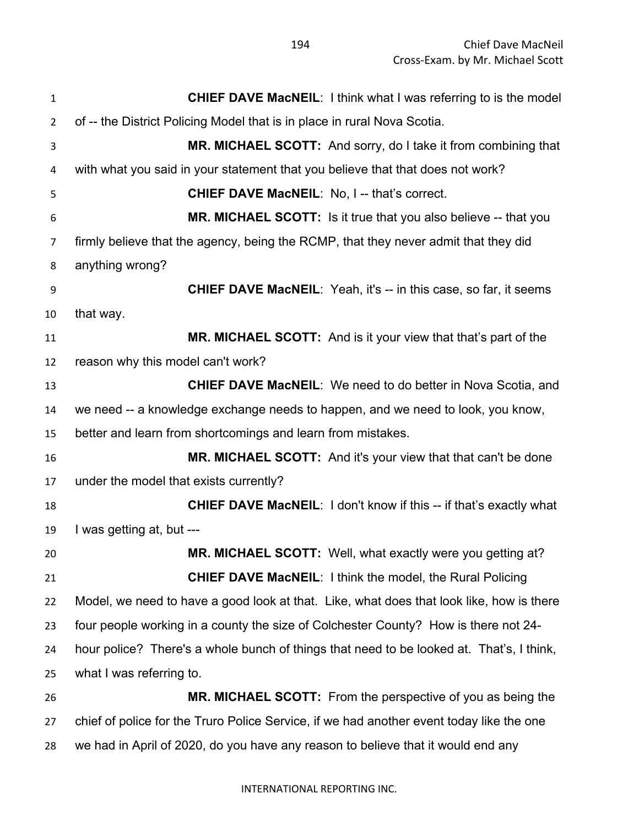Chief Dave MacNeil Cross-Exam. by Mr. Michael Scott

| $\mathbf{1}$   | <b>CHIEF DAVE MacNEIL:</b> I think what I was referring to is the model                  |
|----------------|------------------------------------------------------------------------------------------|
| $\overline{2}$ | of -- the District Policing Model that is in place in rural Nova Scotia.                 |
| 3              | MR. MICHAEL SCOTT: And sorry, do I take it from combining that                           |
| 4              | with what you said in your statement that you believe that that does not work?           |
| 5              | <b>CHIEF DAVE MacNEIL: No, I -- that's correct.</b>                                      |
| 6              | MR. MICHAEL SCOTT: Is it true that you also believe -- that you                          |
| 7              | firmly believe that the agency, being the RCMP, that they never admit that they did      |
| 8              | anything wrong?                                                                          |
| 9              | <b>CHIEF DAVE MacNEIL:</b> Yeah, it's -- in this case, so far, it seems                  |
| 10             | that way.                                                                                |
| 11             | <b>MR. MICHAEL SCOTT:</b> And is it your view that that's part of the                    |
| 12             | reason why this model can't work?                                                        |
| 13             | <b>CHIEF DAVE MacNEIL:</b> We need to do better in Nova Scotia, and                      |
| 14             | we need -- a knowledge exchange needs to happen, and we need to look, you know,          |
| 15             | better and learn from shortcomings and learn from mistakes.                              |
| 16             | <b>MR. MICHAEL SCOTT:</b> And it's your view that that can't be done                     |
| 17             | under the model that exists currently?                                                   |
| 18             | <b>CHIEF DAVE MacNEIL: I don't know if this -- if that's exactly what</b>                |
| 19             | I was getting at, but ---                                                                |
| 20             | MR. MICHAEL SCOTT: Well, what exactly were you getting at?                               |
| 21             | <b>CHIEF DAVE MacNEIL:</b> I think the model, the Rural Policing                         |
| 22             | Model, we need to have a good look at that. Like, what does that look like, how is there |
| 23             | four people working in a county the size of Colchester County? How is there not 24-      |
| 24             | hour police? There's a whole bunch of things that need to be looked at. That's, I think, |
| 25             | what I was referring to.                                                                 |
| 26             | MR. MICHAEL SCOTT: From the perspective of you as being the                              |
| 27             | chief of police for the Truro Police Service, if we had another event today like the one |
| 28             | we had in April of 2020, do you have any reason to believe that it would end any         |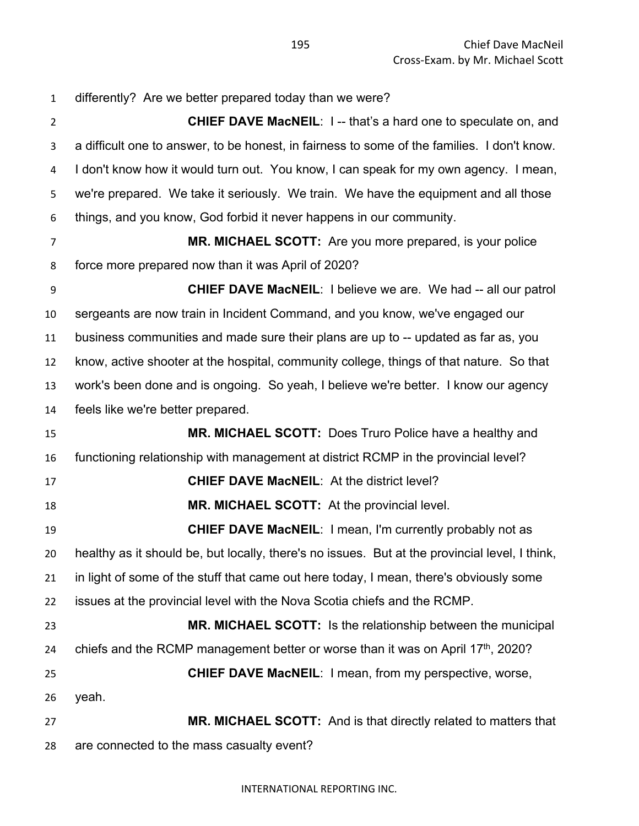differently? Are we better prepared today than we were? **CHIEF DAVE MacNEIL**: I -- that's a hard one to speculate on, and a difficult one to answer, to be honest, in fairness to some of the families. I don't know. I don't know how it would turn out. You know, I can speak for my own agency. I mean, we're prepared. We take it seriously. We train. We have the equipment and all those things, and you know, God forbid it never happens in our community. **MR. MICHAEL SCOTT:** Are you more prepared, is your police force more prepared now than it was April of 2020? **CHIEF DAVE MacNEIL**: I believe we are. We had -- all our patrol sergeants are now train in Incident Command, and you know, we've engaged our business communities and made sure their plans are up to -- updated as far as, you know, active shooter at the hospital, community college, things of that nature. So that work's been done and is ongoing. So yeah, I believe we're better. I know our agency feels like we're better prepared. **MR. MICHAEL SCOTT:** Does Truro Police have a healthy and functioning relationship with management at district RCMP in the provincial level? **CHIEF DAVE MacNEIL**: At the district level? **MR. MICHAEL SCOTT:** At the provincial level. **CHIEF DAVE MacNEIL**: I mean, I'm currently probably not as healthy as it should be, but locally, there's no issues. But at the provincial level, I think, in light of some of the stuff that came out here today, I mean, there's obviously some issues at the provincial level with the Nova Scotia chiefs and the RCMP. **MR. MICHAEL SCOTT:** Is the relationship between the municipal 24 chiefs and the RCMP management better or worse than it was on April  $17<sup>th</sup>$ , 2020? **CHIEF DAVE MacNEIL**: I mean, from my perspective, worse, yeah. **MR. MICHAEL SCOTT:** And is that directly related to matters that are connected to the mass casualty event?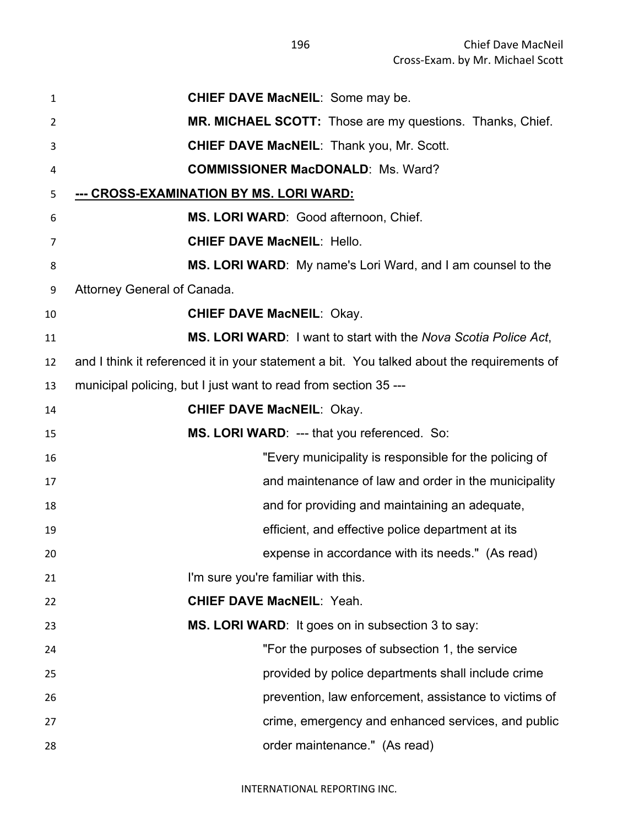| $\mathbf{1}$ | <b>CHIEF DAVE MacNEIL: Some may be.</b>                                                    |
|--------------|--------------------------------------------------------------------------------------------|
| 2            | <b>MR. MICHAEL SCOTT:</b> Those are my questions. Thanks, Chief.                           |
| 3            | <b>CHIEF DAVE MacNEIL: Thank you, Mr. Scott.</b>                                           |
| 4            | <b>COMMISSIONER MacDONALD: Ms. Ward?</b>                                                   |
| 5            | <u>--- CROSS-EXAMINATION BY MS. LORI WARD:</u>                                             |
| 6            | MS. LORI WARD: Good afternoon, Chief.                                                      |
| 7            | <b>CHIEF DAVE MacNEIL: Hello.</b>                                                          |
| 8            | MS. LORI WARD: My name's Lori Ward, and I am counsel to the                                |
| 9            | Attorney General of Canada.                                                                |
| 10           | <b>CHIEF DAVE MacNEIL: Okay.</b>                                                           |
| 11           | MS. LORI WARD: I want to start with the Nova Scotia Police Act,                            |
| 12           | and I think it referenced it in your statement a bit. You talked about the requirements of |
| 13           | municipal policing, but I just want to read from section 35 ---                            |
| 14           | <b>CHIEF DAVE MacNEIL: Okay.</b>                                                           |
| 15           | MS. LORI WARD: --- that you referenced. So:                                                |
| 16           | "Every municipality is responsible for the policing of                                     |
| 17           | and maintenance of law and order in the municipality                                       |
| 18           | and for providing and maintaining an adequate,                                             |
| 19           | efficient, and effective police department at its                                          |
| 20           | expense in accordance with its needs." (As read)                                           |
| 21           | I'm sure you're familiar with this.                                                        |
| 22           | <b>CHIEF DAVE MacNEIL: Yeah.</b>                                                           |
| 23           | MS. LORI WARD: It goes on in subsection 3 to say:                                          |
| 24           | "For the purposes of subsection 1, the service"                                            |
| 25           | provided by police departments shall include crime                                         |
| 26           | prevention, law enforcement, assistance to victims of                                      |
| 27           | crime, emergency and enhanced services, and public                                         |
| 28           | order maintenance." (As read)                                                              |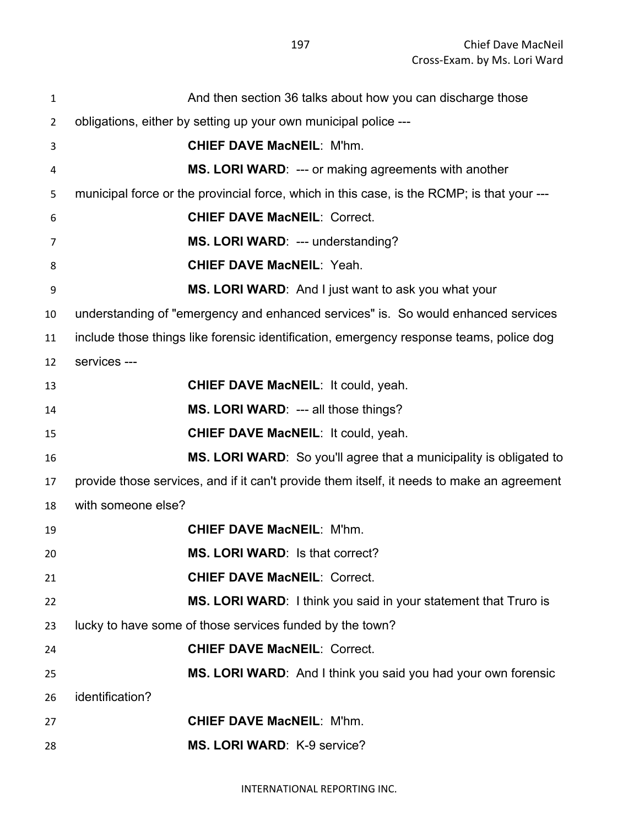| $\mathbf{1}$   | And then section 36 talks about how you can discharge those                                |
|----------------|--------------------------------------------------------------------------------------------|
| $\overline{2}$ | obligations, either by setting up your own municipal police ---                            |
| 3              | <b>CHIEF DAVE MacNEIL: M'hm.</b>                                                           |
| 4              | <b>MS. LORI WARD: --- or making agreements with another</b>                                |
| 5              | municipal force or the provincial force, which in this case, is the RCMP; is that your --- |
| 6              | <b>CHIEF DAVE MacNEIL: Correct.</b>                                                        |
| 7              | MS. LORI WARD: --- understanding?                                                          |
| 8              | <b>CHIEF DAVE MacNEIL: Yeah.</b>                                                           |
| 9              | MS. LORI WARD: And I just want to ask you what your                                        |
| 10             | understanding of "emergency and enhanced services" is. So would enhanced services          |
| 11             | include those things like forensic identification, emergency response teams, police dog    |
| 12             | services ---                                                                               |
| 13             | <b>CHIEF DAVE MacNEIL: It could, yeah.</b>                                                 |
| 14             | <b>MS. LORI WARD: --- all those things?</b>                                                |
| 15             | <b>CHIEF DAVE MacNEIL: It could, yeah.</b>                                                 |
| 16             | <b>MS. LORI WARD:</b> So you'll agree that a municipality is obligated to                  |
| 17             | provide those services, and if it can't provide them itself, it needs to make an agreement |
| 18             | with someone else?                                                                         |
| 19             | <b>CHIEF DAVE MacNEIL: M'hm.</b>                                                           |
| 20             | <b>MS. LORI WARD:</b> Is that correct?                                                     |
| 21             | <b>CHIEF DAVE MacNEIL: Correct.</b>                                                        |
| 22             | MS. LORI WARD: I think you said in your statement that Truro is                            |
| 23             | lucky to have some of those services funded by the town?                                   |
| 24             | <b>CHIEF DAVE MacNEIL: Correct.</b>                                                        |
| 25             | MS. LORI WARD: And I think you said you had your own forensic                              |
| 26             | identification?                                                                            |
| 27             | <b>CHIEF DAVE MacNEIL: M'hm.</b>                                                           |
| 28             | MS. LORI WARD: K-9 service?                                                                |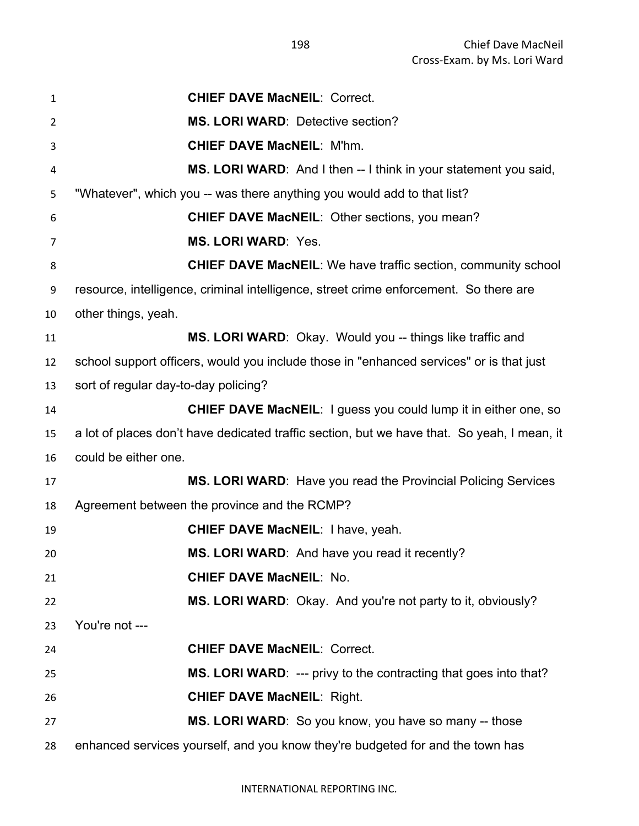| $\mathbf{1}$   | <b>CHIEF DAVE MacNEIL: Correct.</b>                                                         |
|----------------|---------------------------------------------------------------------------------------------|
| 2              | <b>MS. LORI WARD: Detective section?</b>                                                    |
| 3              | <b>CHIEF DAVE MacNEIL: M'hm.</b>                                                            |
| 4              | MS. LORI WARD: And I then -- I think in your statement you said,                            |
| 5              | "Whatever", which you -- was there anything you would add to that list?                     |
| 6              | <b>CHIEF DAVE MacNEIL: Other sections, you mean?</b>                                        |
| $\overline{7}$ | <b>MS. LORI WARD: Yes.</b>                                                                  |
| 8              | <b>CHIEF DAVE MacNEIL:</b> We have traffic section, community school                        |
| 9              | resource, intelligence, criminal intelligence, street crime enforcement. So there are       |
| 10             | other things, yeah.                                                                         |
| 11             | MS. LORI WARD: Okay. Would you -- things like traffic and                                   |
| 12             | school support officers, would you include those in "enhanced services" or is that just     |
| 13             | sort of regular day-to-day policing?                                                        |
| 14             | <b>CHIEF DAVE MacNEIL:</b> I guess you could lump it in either one, so                      |
| 15             | a lot of places don't have dedicated traffic section, but we have that. So yeah, I mean, it |
| 16             | could be either one.                                                                        |
| 17             | <b>MS. LORI WARD:</b> Have you read the Provincial Policing Services                        |
| 18             | Agreement between the province and the RCMP?                                                |
| 19             | <b>CHIEF DAVE MacNEIL: I have, yeah.</b>                                                    |
| 20             | <b>MS. LORI WARD:</b> And have you read it recently?                                        |
| 21             | <b>CHIEF DAVE MacNEIL: No.</b>                                                              |
| 22             | MS. LORI WARD: Okay. And you're not party to it, obviously?                                 |
| 23             | You're not ---                                                                              |
| 24             | <b>CHIEF DAVE MacNEIL: Correct.</b>                                                         |
| 25             | MS. LORI WARD: --- privy to the contracting that goes into that?                            |
| 26             | <b>CHIEF DAVE MacNEIL: Right.</b>                                                           |
| 27             | MS. LORI WARD: So you know, you have so many -- those                                       |
| 28             | enhanced services yourself, and you know they're budgeted for and the town has              |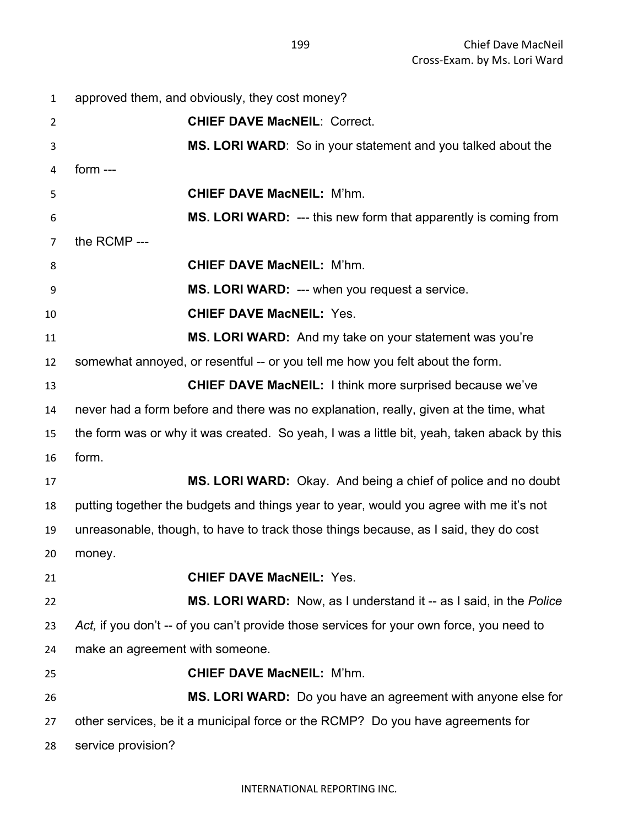| 1              | approved them, and obviously, they cost money?                                             |
|----------------|--------------------------------------------------------------------------------------------|
| $\overline{2}$ | <b>CHIEF DAVE MacNEIL: Correct.</b>                                                        |
| 3              | MS. LORI WARD: So in your statement and you talked about the                               |
| 4              | form $---$                                                                                 |
| 5              | <b>CHIEF DAVE MacNEIL: M'hm.</b>                                                           |
| 6              | MS. LORI WARD: --- this new form that apparently is coming from                            |
| 7              | the RCMP ---                                                                               |
| 8              | <b>CHIEF DAVE MacNEIL: M'hm.</b>                                                           |
| 9              | MS. LORI WARD: --- when you request a service.                                             |
| 10             | <b>CHIEF DAVE MacNEIL: Yes.</b>                                                            |
| 11             | MS. LORI WARD: And my take on your statement was you're                                    |
| 12             | somewhat annoyed, or resentful -- or you tell me how you felt about the form.              |
| 13             | <b>CHIEF DAVE MacNEIL:</b> I think more surprised because we've                            |
| 14             | never had a form before and there was no explanation, really, given at the time, what      |
| 15             | the form was or why it was created. So yeah, I was a little bit, yeah, taken aback by this |
| 16             | form.                                                                                      |
| 17             | MS. LORI WARD: Okay. And being a chief of police and no doubt                              |
| 18             | putting together the budgets and things year to year, would you agree with me it's not     |
| 19             | unreasonable, though, to have to track those things because, as I said, they do cost       |
| 20             | money.                                                                                     |
| 21             | <b>CHIEF DAVE MacNEIL: Yes.</b>                                                            |
| 22             | <b>MS. LORI WARD:</b> Now, as I understand it -- as I said, in the <i>Police</i>           |
| 23             | Act, if you don't -- of you can't provide those services for your own force, you need to   |
| 24             | make an agreement with someone.                                                            |
| 25             | <b>CHIEF DAVE MacNEIL: M'hm.</b>                                                           |
| 26             | MS. LORI WARD: Do you have an agreement with anyone else for                               |
| 27             | other services, be it a municipal force or the RCMP? Do you have agreements for            |
| 28             | service provision?                                                                         |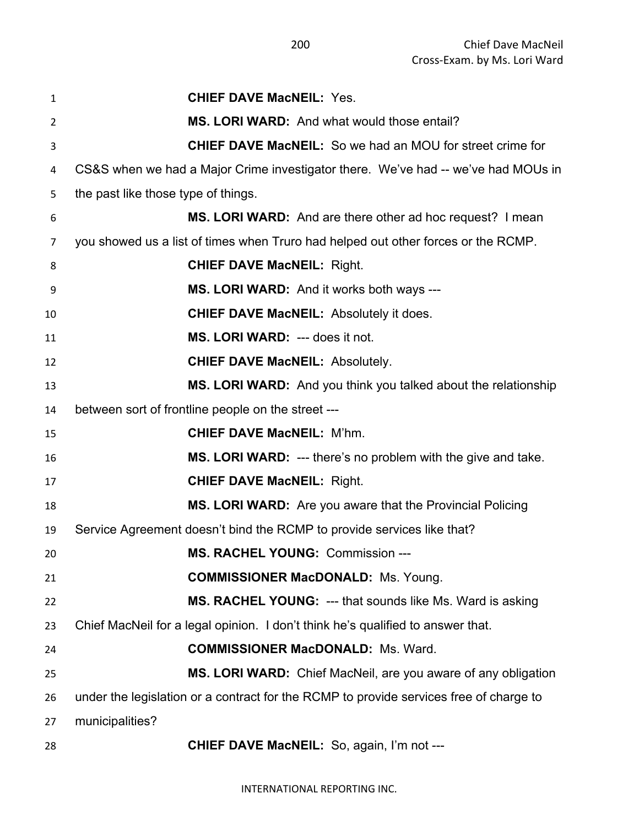| 1  | <b>CHIEF DAVE MacNEIL: Yes.</b>                                                        |
|----|----------------------------------------------------------------------------------------|
| 2  | <b>MS. LORI WARD:</b> And what would those entail?                                     |
| 3  | <b>CHIEF DAVE MacNEIL:</b> So we had an MOU for street crime for                       |
| 4  | CS&S when we had a Major Crime investigator there. We've had -- we've had MOUs in      |
| 5  | the past like those type of things.                                                    |
| 6  | MS. LORI WARD: And are there other ad hoc request? I mean                              |
| 7  | you showed us a list of times when Truro had helped out other forces or the RCMP.      |
| 8  | <b>CHIEF DAVE MacNEIL: Right.</b>                                                      |
| 9  | <b>MS. LORI WARD:</b> And it works both ways ---                                       |
| 10 | <b>CHIEF DAVE MacNEIL:</b> Absolutely it does.                                         |
| 11 | MS. LORI WARD: --- does it not.                                                        |
| 12 | <b>CHIEF DAVE MacNEIL: Absolutely.</b>                                                 |
| 13 | MS. LORI WARD: And you think you talked about the relationship                         |
| 14 | between sort of frontline people on the street ---                                     |
| 15 | <b>CHIEF DAVE MacNEIL: M'hm.</b>                                                       |
| 16 | <b>MS. LORI WARD:</b> --- there's no problem with the give and take.                   |
| 17 | <b>CHIEF DAVE MacNEIL: Right.</b>                                                      |
| 18 | MS. LORI WARD: Are you aware that the Provincial Policing                              |
| 19 | Service Agreement doesn't bind the RCMP to provide services like that?                 |
| 20 | <b>MS. RACHEL YOUNG: Commission ---</b>                                                |
| 21 | <b>COMMISSIONER MacDONALD:</b> Ms. Young.                                              |
| 22 | MS. RACHEL YOUNG: --- that sounds like Ms. Ward is asking                              |
| 23 | Chief MacNeil for a legal opinion. I don't think he's qualified to answer that.        |
| 24 | <b>COMMISSIONER MacDONALD: Ms. Ward.</b>                                               |
| 25 | MS. LORI WARD: Chief MacNeil, are you aware of any obligation                          |
| 26 | under the legislation or a contract for the RCMP to provide services free of charge to |
| 27 | municipalities?                                                                        |
| 28 | <b>CHIEF DAVE MacNEIL:</b> So, again, I'm not ---                                      |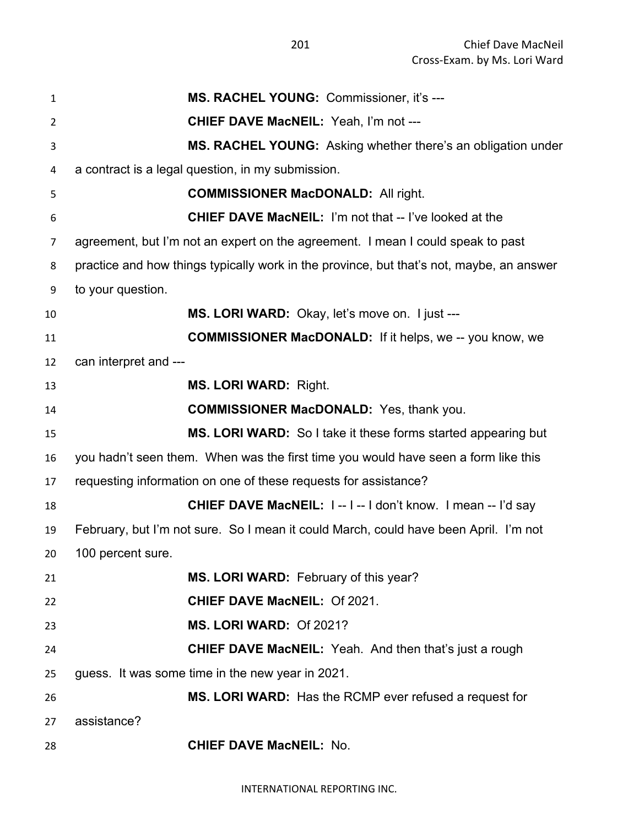| 1              | MS. RACHEL YOUNG: Commissioner, it's ---                                                 |
|----------------|------------------------------------------------------------------------------------------|
| $\overline{2}$ | CHIEF DAVE MacNEIL: Yeah, I'm not ---                                                    |
| 3              | MS. RACHEL YOUNG: Asking whether there's an obligation under                             |
| 4              | a contract is a legal question, in my submission.                                        |
| 5              | <b>COMMISSIONER MacDONALD: All right.</b>                                                |
| 6              | <b>CHIEF DAVE MacNEIL:</b> I'm not that -- I've looked at the                            |
| 7              | agreement, but I'm not an expert on the agreement. I mean I could speak to past          |
| 8              | practice and how things typically work in the province, but that's not, maybe, an answer |
| 9              | to your question.                                                                        |
| 10             | MS. LORI WARD: Okay, let's move on. I just ---                                           |
| 11             | <b>COMMISSIONER MacDONALD:</b> If it helps, we -- you know, we                           |
| 12             | can interpret and ---                                                                    |
| 13             | <b>MS. LORI WARD: Right.</b>                                                             |
| 14             | <b>COMMISSIONER MacDONALD:</b> Yes, thank you.                                           |
| 15             | MS. LORI WARD: So I take it these forms started appearing but                            |
| 16             | you hadn't seen them. When was the first time you would have seen a form like this       |
| 17             | requesting information on one of these requests for assistance?                          |
| 18             | <b>CHIEF DAVE MacNEIL: I--I-I don't know. I mean -- I'd say</b>                          |
| 19             | February, but I'm not sure. So I mean it could March, could have been April. I'm not     |
| 20             | 100 percent sure.                                                                        |
| 21             | MS. LORI WARD: February of this year?                                                    |
| 22             | <b>CHIEF DAVE MacNEIL: Of 2021.</b>                                                      |
| 23             | MS. LORI WARD: Of 2021?                                                                  |
| 24             | <b>CHIEF DAVE MacNEIL:</b> Yeah. And then that's just a rough                            |
| 25             | guess. It was some time in the new year in 2021.                                         |
| 26             | MS. LORI WARD: Has the RCMP ever refused a request for                                   |
| 27             | assistance?                                                                              |
| 28             | <b>CHIEF DAVE MacNEIL: No.</b>                                                           |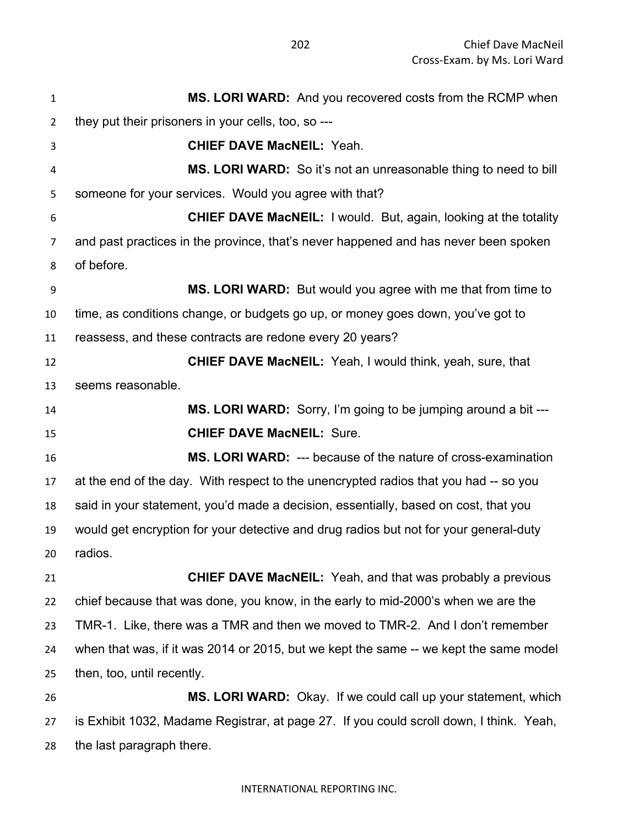**MS. LORI WARD:** And you recovered costs from the RCMP when they put their prisoners in your cells, too, so --- **CHIEF DAVE MacNEIL:** Yeah. **MS. LORI WARD:** So it's not an unreasonable thing to need to bill someone for your services. Would you agree with that? **CHIEF DAVE MacNEIL:** I would. But, again, looking at the totality and past practices in the province, that's never happened and has never been spoken of before. **MS. LORI WARD:** But would you agree with me that from time to time, as conditions change, or budgets go up, or money goes down, you've got to reassess, and these contracts are redone every 20 years? **CHIEF DAVE MacNEIL:** Yeah, I would think, yeah, sure, that seems reasonable. **MS. LORI WARD:** Sorry, I'm going to be jumping around a bit --- **CHIEF DAVE MacNEIL:** Sure. **MS. LORI WARD:** --- because of the nature of cross-examination at the end of the day. With respect to the unencrypted radios that you had -- so you said in your statement, you'd made a decision, essentially, based on cost, that you would get encryption for your detective and drug radios but not for your general-duty radios. **CHIEF DAVE MacNEIL:** Yeah, and that was probably a previous chief because that was done, you know, in the early to mid-2000's when we are the TMR-1. Like, there was a TMR and then we moved to TMR-2. And I don't remember when that was, if it was 2014 or 2015, but we kept the same -- we kept the same model then, too, until recently. **MS. LORI WARD:** Okay. If we could call up your statement, which is Exhibit 1032, Madame Registrar, at page 27. If you could scroll down, I think. Yeah, the last paragraph there.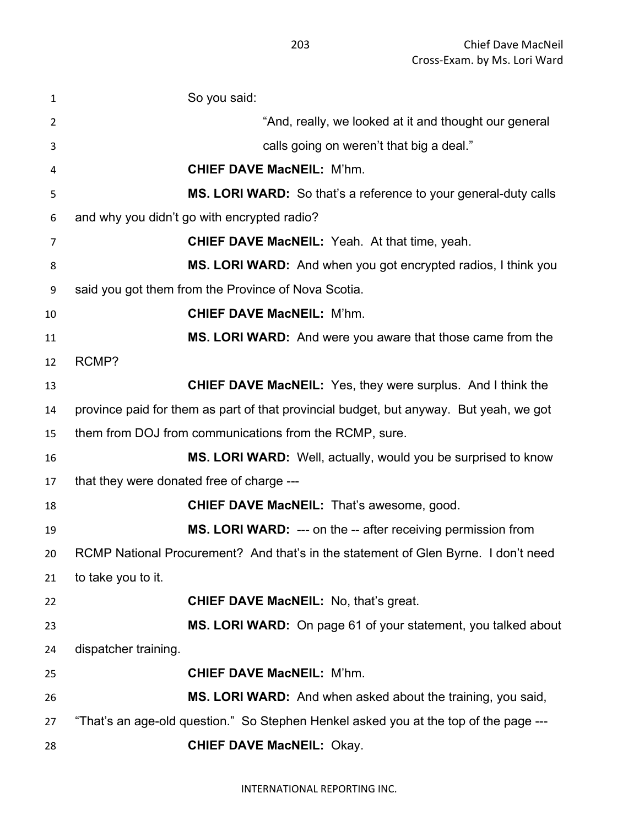| $\mathbf{1}$ | So you said:                                                                           |
|--------------|----------------------------------------------------------------------------------------|
| 2            | "And, really, we looked at it and thought our general                                  |
| 3            | calls going on weren't that big a deal."                                               |
| 4            | <b>CHIEF DAVE MacNEIL: M'hm.</b>                                                       |
| 5            | <b>MS. LORI WARD:</b> So that's a reference to your general-duty calls                 |
| 6            | and why you didn't go with encrypted radio?                                            |
| 7            | <b>CHIEF DAVE MacNEIL:</b> Yeah. At that time, yeah.                                   |
| 8            | MS. LORI WARD: And when you got encrypted radios, I think you                          |
| 9            | said you got them from the Province of Nova Scotia.                                    |
| 10           | <b>CHIEF DAVE MacNEIL: M'hm.</b>                                                       |
| 11           | MS. LORI WARD: And were you aware that those came from the                             |
| 12           | RCMP?                                                                                  |
| 13           | <b>CHIEF DAVE MacNEIL:</b> Yes, they were surplus. And I think the                     |
| 14           | province paid for them as part of that provincial budget, but anyway. But yeah, we got |
| 15           | them from DOJ from communications from the RCMP, sure.                                 |
| 16           | MS. LORI WARD: Well, actually, would you be surprised to know                          |
| 17           | that they were donated free of charge ---                                              |
| 18           | <b>CHIEF DAVE MacNEIL: That's awesome, good.</b>                                       |
| 19           | MS. LORI WARD: --- on the -- after receiving permission from                           |
| 20           | RCMP National Procurement? And that's in the statement of Glen Byrne. I don't need     |
| 21           | to take you to it.                                                                     |
| 22           | <b>CHIEF DAVE MacNEIL: No, that's great.</b>                                           |
| 23           | MS. LORI WARD: On page 61 of your statement, you talked about                          |
| 24           | dispatcher training.                                                                   |
| 25           | <b>CHIEF DAVE MacNEIL: M'hm.</b>                                                       |
| 26           | MS. LORI WARD: And when asked about the training, you said,                            |
| 27           | "That's an age-old question." So Stephen Henkel asked you at the top of the page ---   |
| 28           | <b>CHIEF DAVE MacNEIL: Okay.</b>                                                       |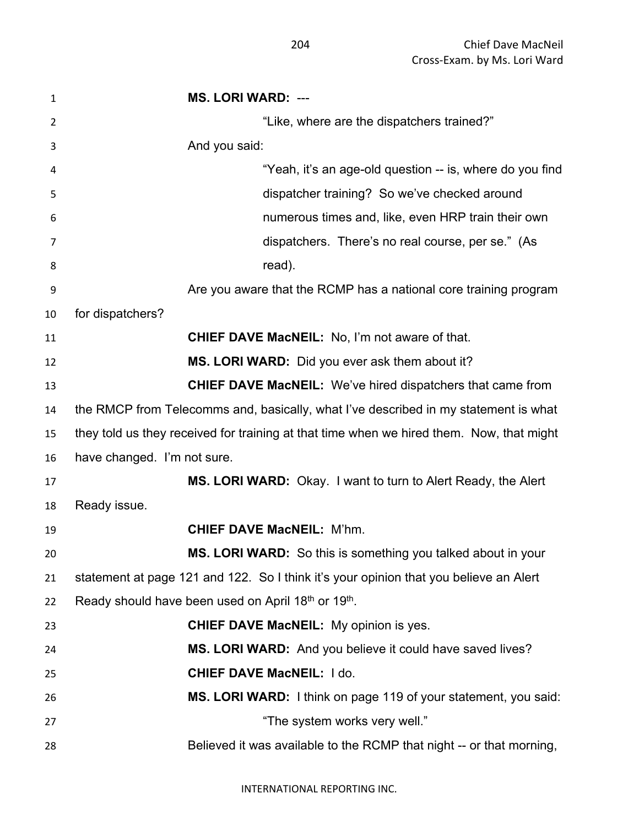| $\mathbf{1}$ | <b>MS. LORI WARD: ---</b>                                                                |
|--------------|------------------------------------------------------------------------------------------|
| 2            | "Like, where are the dispatchers trained?"                                               |
| 3            | And you said:                                                                            |
| 4            | "Yeah, it's an age-old question -- is, where do you find                                 |
| 5            | dispatcher training? So we've checked around                                             |
| 6            | numerous times and, like, even HRP train their own                                       |
| 7            | dispatchers. There's no real course, per se." (As                                        |
| 8            | read).                                                                                   |
| 9            | Are you aware that the RCMP has a national core training program                         |
| 10           | for dispatchers?                                                                         |
| 11           | CHIEF DAVE MacNEIL: No, I'm not aware of that.                                           |
| 12           | MS. LORI WARD: Did you ever ask them about it?                                           |
| 13           | <b>CHIEF DAVE MacNEIL:</b> We've hired dispatchers that came from                        |
| 14           | the RMCP from Telecomms and, basically, what I've described in my statement is what      |
| 15           | they told us they received for training at that time when we hired them. Now, that might |
| 16           | have changed. I'm not sure.                                                              |
| 17           | MS. LORI WARD: Okay. I want to turn to Alert Ready, the Alert                            |
| 18           | Ready issue.                                                                             |
| 19           | <b>CHIEF DAVE MacNEIL: M'hm.</b>                                                         |
| 20           | MS. LORI WARD: So this is something you talked about in your                             |
| 21           | statement at page 121 and 122. So I think it's your opinion that you believe an Alert    |
| 22           | Ready should have been used on April 18th or 19th.                                       |
| 23           | <b>CHIEF DAVE MacNEIL:</b> My opinion is yes.                                            |
| 24           | MS. LORI WARD: And you believe it could have saved lives?                                |
| 25           | <b>CHIEF DAVE MacNEIL: I do.</b>                                                         |
| 26           | MS. LORI WARD: I think on page 119 of your statement, you said:                          |
| 27           | "The system works very well."                                                            |
| 28           | Believed it was available to the RCMP that night -- or that morning,                     |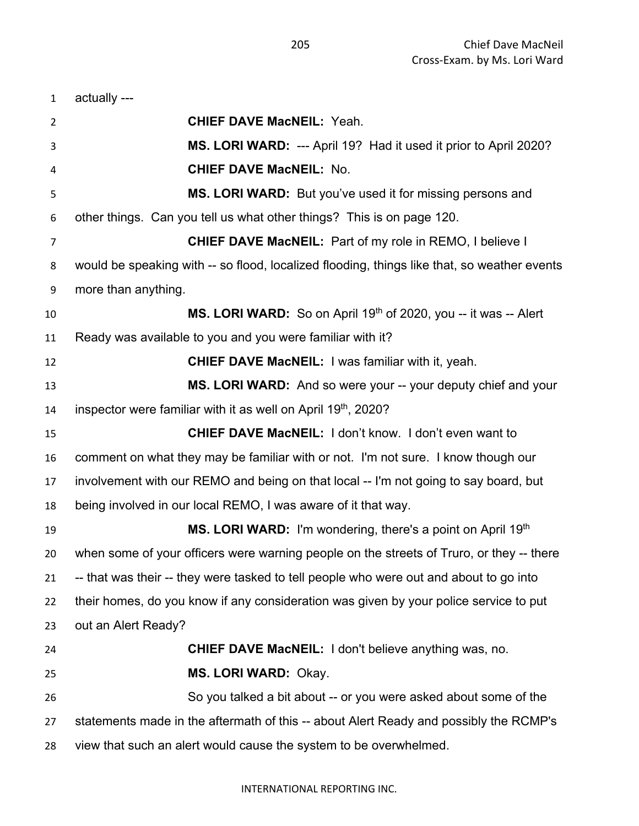| $\mathbf{1}$ | actually ---                                                                                |
|--------------|---------------------------------------------------------------------------------------------|
| 2            | <b>CHIEF DAVE MacNEIL: Yeah.</b>                                                            |
| 3            | MS. LORI WARD: --- April 19? Had it used it prior to April 2020?                            |
| 4            | <b>CHIEF DAVE MacNEIL: No.</b>                                                              |
| 5            | MS. LORI WARD: But you've used it for missing persons and                                   |
| 6            | other things. Can you tell us what other things? This is on page 120.                       |
| 7            | <b>CHIEF DAVE MacNEIL:</b> Part of my role in REMO, I believe I                             |
| 8            | would be speaking with -- so flood, localized flooding, things like that, so weather events |
| 9            | more than anything.                                                                         |
| 10           | MS. LORI WARD: So on April 19th of 2020, you -- it was -- Alert                             |
| 11           | Ready was available to you and you were familiar with it?                                   |
| 12           | <b>CHIEF DAVE MacNEIL: I was familiar with it, yeah.</b>                                    |
| 13           | MS. LORI WARD: And so were your -- your deputy chief and your                               |
| 14           | inspector were familiar with it as well on April 19 <sup>th</sup> , 2020?                   |
| 15           | <b>CHIEF DAVE MacNEIL: I don't know. I don't even want to</b>                               |
| 16           | comment on what they may be familiar with or not. I'm not sure. I know though our           |
| 17           | involvement with our REMO and being on that local -- I'm not going to say board, but        |
| 18           | being involved in our local REMO, I was aware of it that way.                               |
| 19           | MS. LORI WARD: I'm wondering, there's a point on April 19th                                 |
| 20           | when some of your officers were warning people on the streets of Truro, or they -- there    |
| 21           | -- that was their -- they were tasked to tell people who were out and about to go into      |
| 22           | their homes, do you know if any consideration was given by your police service to put       |
| 23           | out an Alert Ready?                                                                         |
| 24           | <b>CHIEF DAVE MacNEIL:</b> I don't believe anything was, no.                                |
| 25           | MS. LORI WARD: Okay.                                                                        |
| 26           | So you talked a bit about -- or you were asked about some of the                            |
| 27           | statements made in the aftermath of this -- about Alert Ready and possibly the RCMP's       |
| 28           | view that such an alert would cause the system to be overwhelmed.                           |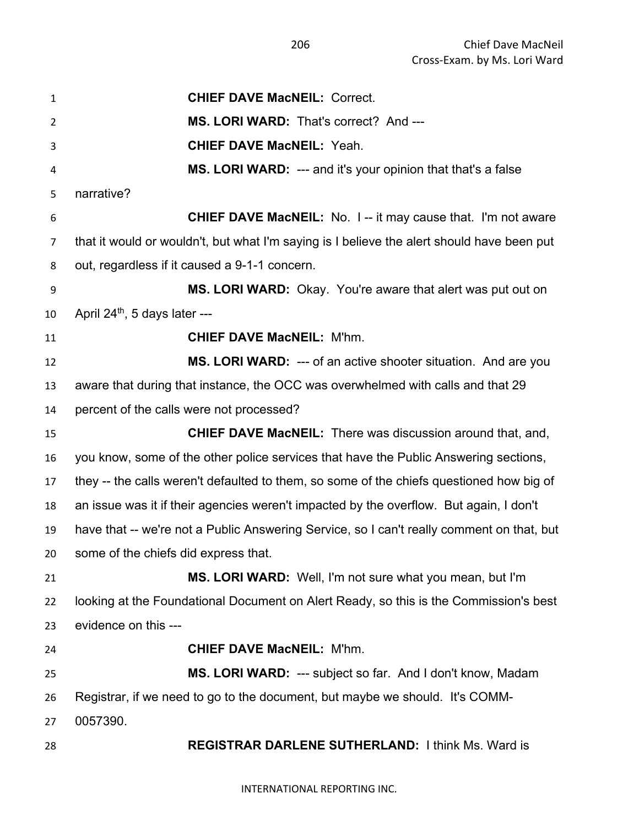**CHIEF DAVE MacNEIL:** Correct. **MS. LORI WARD:** That's correct? And --- **CHIEF DAVE MacNEIL:** Yeah. **MS. LORI WARD:** --- and it's your opinion that that's a false narrative? **CHIEF DAVE MacNEIL:** No. I -- it may cause that. I'm not aware that it would or wouldn't, but what I'm saying is I believe the alert should have been put out, regardless if it caused a 9-1-1 concern. **MS. LORI WARD:** Okay. You're aware that alert was put out on April 24<sup>th</sup>, 5 days later --- **CHIEF DAVE MacNEIL:** M'hm. **MS. LORI WARD:** --- of an active shooter situation. And are you aware that during that instance, the OCC was overwhelmed with calls and that 29 percent of the calls were not processed? **CHIEF DAVE MacNEIL:** There was discussion around that, and, you know, some of the other police services that have the Public Answering sections, they -- the calls weren't defaulted to them, so some of the chiefs questioned how big of an issue was it if their agencies weren't impacted by the overflow. But again, I don't have that -- we're not a Public Answering Service, so I can't really comment on that, but some of the chiefs did express that. **MS. LORI WARD:** Well, I'm not sure what you mean, but I'm looking at the Foundational Document on Alert Ready, so this is the Commission's best evidence on this --- **CHIEF DAVE MacNEIL:** M'hm. **MS. LORI WARD:** --- subject so far. And I don't know, Madam Registrar, if we need to go to the document, but maybe we should. It's COMM- 0057390. **REGISTRAR DARLENE SUTHERLAND:** I think Ms. Ward is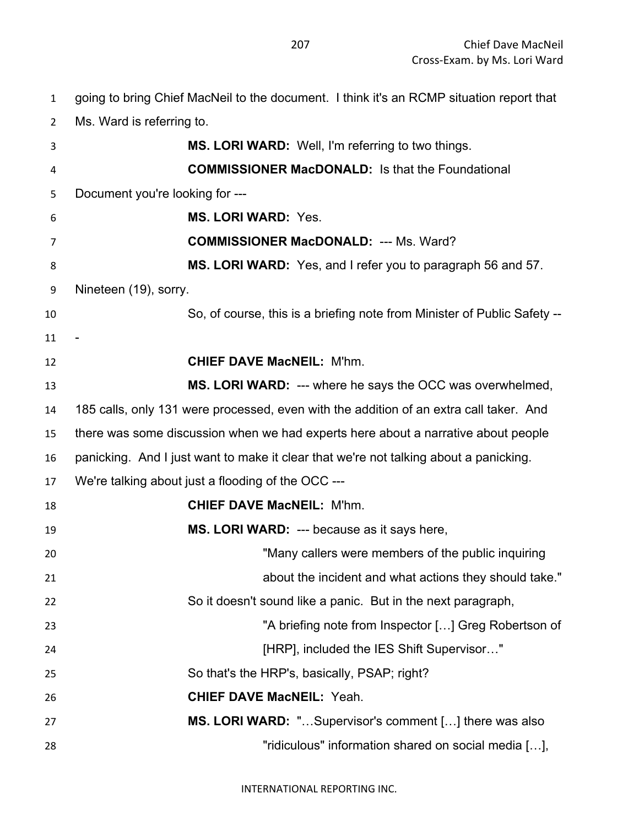going to bring Chief MacNeil to the document. I think it's an RCMP situation report that

Ms. Ward is referring to.

| 3  | MS. LORI WARD: Well, I'm referring to two things.                                      |
|----|----------------------------------------------------------------------------------------|
| 4  | <b>COMMISSIONER MacDONALD:</b> Is that the Foundational                                |
| 5  | Document you're looking for ---                                                        |
| 6  | <b>MS. LORI WARD: Yes.</b>                                                             |
| 7  | <b>COMMISSIONER MacDONALD: --- Ms. Ward?</b>                                           |
| 8  | MS. LORI WARD: Yes, and I refer you to paragraph 56 and 57.                            |
|    |                                                                                        |
| 9  | Nineteen (19), sorry.                                                                  |
| 10 | So, of course, this is a briefing note from Minister of Public Safety --               |
| 11 |                                                                                        |
| 12 | <b>CHIEF DAVE MacNEIL: M'hm.</b>                                                       |
| 13 | MS. LORI WARD: --- where he says the OCC was overwhelmed,                              |
| 14 | 185 calls, only 131 were processed, even with the addition of an extra call taker. And |
| 15 | there was some discussion when we had experts here about a narrative about people      |
| 16 | panicking. And I just want to make it clear that we're not talking about a panicking.  |
| 17 | We're talking about just a flooding of the OCC ---                                     |
| 18 | <b>CHIEF DAVE MacNEIL: M'hm.</b>                                                       |
| 19 | MS. LORI WARD: --- because as it says here,                                            |
| 20 | "Many callers were members of the public inquiring                                     |
| 21 | about the incident and what actions they should take."                                 |
| 22 | So it doesn't sound like a panic. But in the next paragraph,                           |
| 23 | "A briefing note from Inspector [] Greg Robertson of                                   |
| 24 | [HRP], included the IES Shift Supervisor"                                              |
| 25 | So that's the HRP's, basically, PSAP; right?                                           |
| 26 | <b>CHIEF DAVE MacNEIL: Yeah.</b>                                                       |
| 27 | MS. LORI WARD: "Supervisor's comment [] there was also                                 |
| 28 | "ridiculous" information shared on social media [],                                    |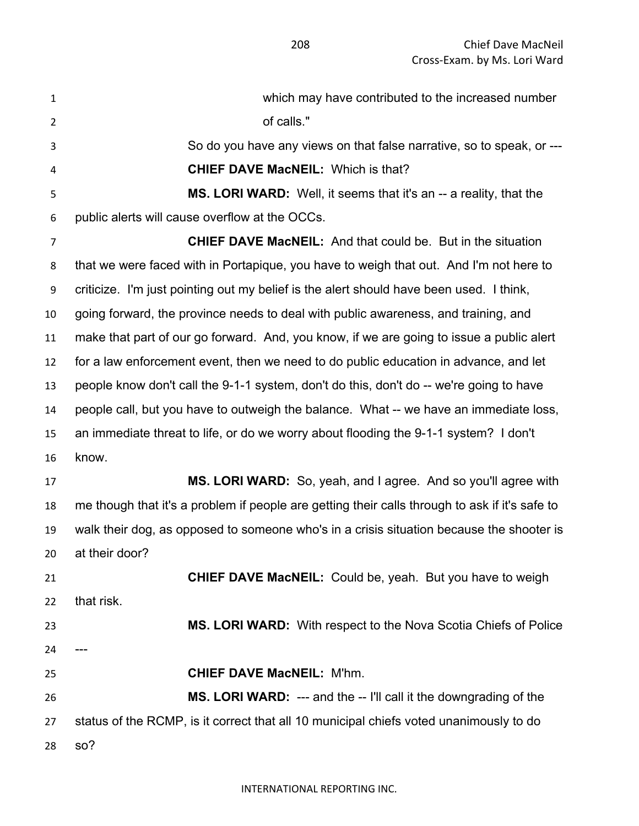| $\mathbf{1}$   | which may have contributed to the increased number                                             |
|----------------|------------------------------------------------------------------------------------------------|
| $\overline{2}$ | of calls."                                                                                     |
| 3              | So do you have any views on that false narrative, so to speak, or ---                          |
| 4              | <b>CHIEF DAVE MacNEIL: Which is that?</b>                                                      |
| 5              | MS. LORI WARD: Well, it seems that it's an -- a reality, that the                              |
| 6              | public alerts will cause overflow at the OCCs.                                                 |
| $\overline{7}$ | <b>CHIEF DAVE MacNEIL:</b> And that could be. But in the situation                             |
| 8              | that we were faced with in Portapique, you have to weigh that out. And I'm not here to         |
| 9              | criticize. I'm just pointing out my belief is the alert should have been used. I think,        |
| 10             | going forward, the province needs to deal with public awareness, and training, and             |
| 11             | make that part of our go forward. And, you know, if we are going to issue a public alert       |
| 12             | for a law enforcement event, then we need to do public education in advance, and let           |
| 13             | people know don't call the 9-1-1 system, don't do this, don't do -- we're going to have        |
| 14             | people call, but you have to outweigh the balance. What -- we have an immediate loss,          |
| 15             | an immediate threat to life, or do we worry about flooding the 9-1-1 system? I don't           |
| 16             | know.                                                                                          |
| 17             | MS. LORI WARD: So, yeah, and I agree. And so you'll agree with                                 |
| 18             | me though that it's a problem if people are getting their calls through to ask if it's safe to |
| 19             | walk their dog, as opposed to someone who's in a crisis situation because the shooter is       |
| 20.            | at their door?                                                                                 |
| 21             | <b>CHIEF DAVE MacNEIL:</b> Could be, yeah. But you have to weigh                               |
| 22             | that risk.                                                                                     |
| 23             | MS. LORI WARD: With respect to the Nova Scotia Chiefs of Police                                |
| 24             |                                                                                                |
| 25             | <b>CHIEF DAVE MacNEIL: M'hm.</b>                                                               |
| 26             | MS. LORI WARD: --- and the -- I'll call it the downgrading of the                              |
| 27             | status of the RCMP, is it correct that all 10 municipal chiefs voted unanimously to do         |
| 28             | so?                                                                                            |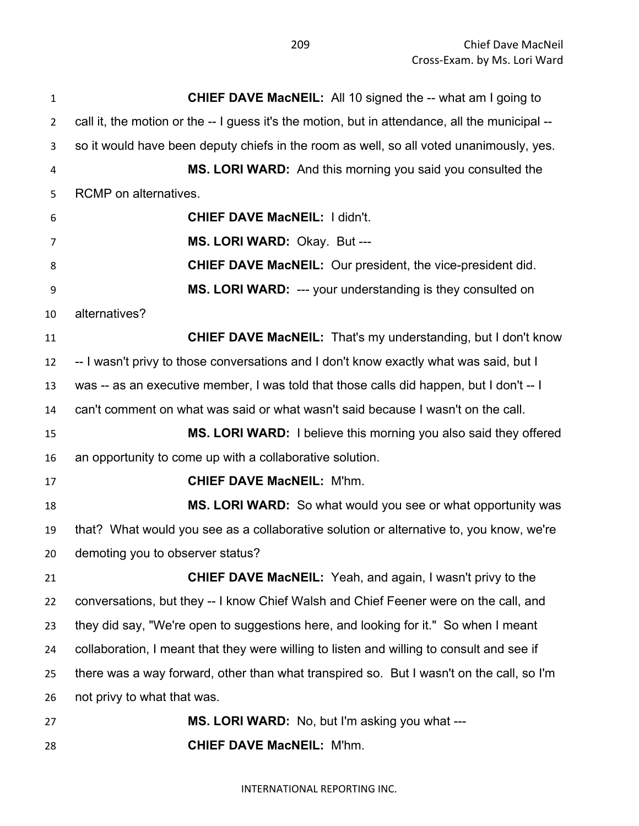Chief Dave MacNeil Cross-Exam. by Ms. Lori Ward

 **CHIEF DAVE MacNEIL:** All 10 signed the -- what am I going to call it, the motion or the -- I guess it's the motion, but in attendance, all the municipal -- so it would have been deputy chiefs in the room as well, so all voted unanimously, yes. **MS. LORI WARD:** And this morning you said you consulted the RCMP on alternatives. **CHIEF DAVE MacNEIL:** I didn't. **MS. LORI WARD:** Okay. But --- **CHIEF DAVE MacNEIL:** Our president, the vice-president did. **MS. LORI WARD:** --- your understanding is they consulted on alternatives? **CHIEF DAVE MacNEIL:** That's my understanding, but I don't know -- I wasn't privy to those conversations and I don't know exactly what was said, but I was -- as an executive member, I was told that those calls did happen, but I don't -- I can't comment on what was said or what wasn't said because I wasn't on the call. **MS. LORI WARD:** I believe this morning you also said they offered an opportunity to come up with a collaborative solution. **CHIEF DAVE MacNEIL:** M'hm. **MS. LORI WARD:** So what would you see or what opportunity was that? What would you see as a collaborative solution or alternative to, you know, we're demoting you to observer status? **CHIEF DAVE MacNEIL:** Yeah, and again, I wasn't privy to the conversations, but they -- I know Chief Walsh and Chief Feener were on the call, and they did say, "We're open to suggestions here, and looking for it." So when I meant collaboration, I meant that they were willing to listen and willing to consult and see if there was a way forward, other than what transpired so. But I wasn't on the call, so I'm not privy to what that was. **MS. LORI WARD:** No, but I'm asking you what --- **CHIEF DAVE MacNEIL:** M'hm.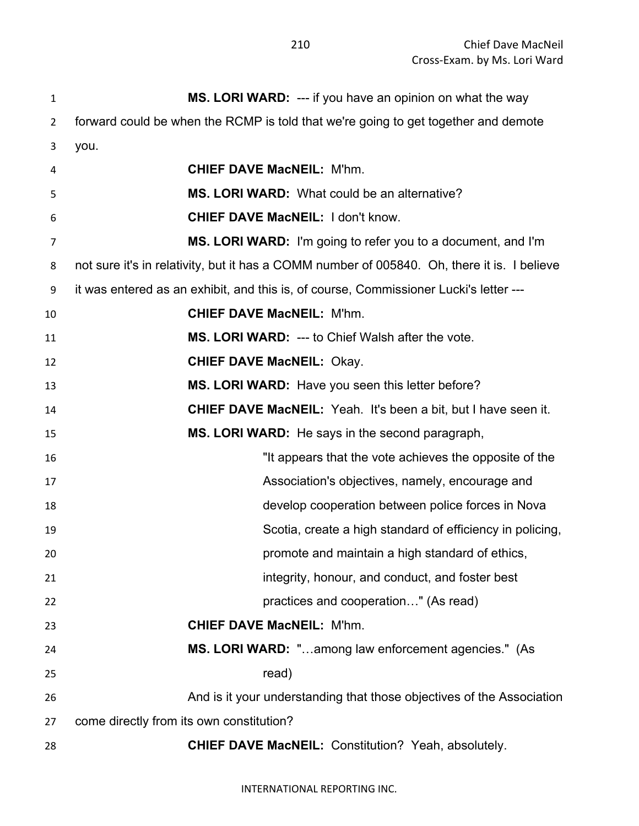| $\mathbf{1}$   | MS. LORI WARD: --- if you have an opinion on what the way                                   |
|----------------|---------------------------------------------------------------------------------------------|
| $\overline{2}$ | forward could be when the RCMP is told that we're going to get together and demote          |
| 3              | you.                                                                                        |
| 4              | <b>CHIEF DAVE MacNEIL: M'hm.</b>                                                            |
| 5              | MS. LORI WARD: What could be an alternative?                                                |
| 6              | <b>CHIEF DAVE MacNEIL: I don't know.</b>                                                    |
| $\overline{7}$ | MS. LORI WARD: I'm going to refer you to a document, and I'm                                |
| 8              | not sure it's in relativity, but it has a COMM number of 005840. Oh, there it is. I believe |
| 9              | it was entered as an exhibit, and this is, of course, Commissioner Lucki's letter ---       |
| 10             | <b>CHIEF DAVE MacNEIL: M'hm.</b>                                                            |
| 11             | MS. LORI WARD: --- to Chief Walsh after the vote.                                           |
| 12             | <b>CHIEF DAVE MacNEIL: Okay.</b>                                                            |
| 13             | MS. LORI WARD: Have you seen this letter before?                                            |
| 14             | <b>CHIEF DAVE MacNEIL:</b> Yeah. It's been a bit, but I have seen it.                       |
| 15             | MS. LORI WARD: He says in the second paragraph,                                             |
| 16             | "It appears that the vote achieves the opposite of the                                      |
| 17             | Association's objectives, namely, encourage and                                             |
| 18             | develop cooperation between police forces in Nova                                           |
| 19             | Scotia, create a high standard of efficiency in policing,                                   |
| 20             | promote and maintain a high standard of ethics,                                             |
| 21             | integrity, honour, and conduct, and foster best                                             |
| 22             | practices and cooperation" (As read)                                                        |
| 23             | <b>CHIEF DAVE MacNEIL: M'hm.</b>                                                            |
| 24             | MS. LORI WARD: "among law enforcement agencies." (As                                        |
| 25             | read)                                                                                       |
| 26             | And is it your understanding that those objectives of the Association                       |
| 27             | come directly from its own constitution?                                                    |
| 28             | <b>CHIEF DAVE MacNEIL: Constitution? Yeah, absolutely.</b>                                  |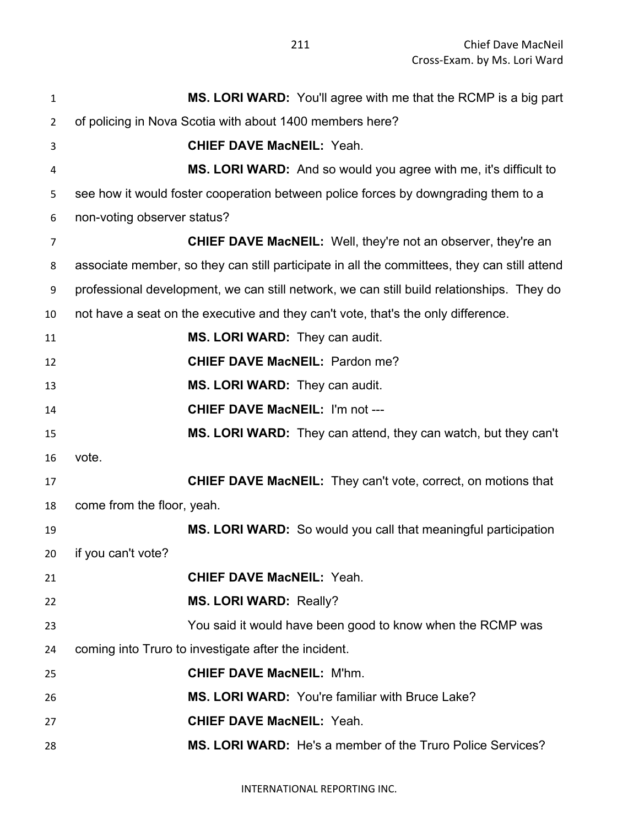| 1              | MS. LORI WARD: You'll agree with me that the RCMP is a big part                              |
|----------------|----------------------------------------------------------------------------------------------|
| $\overline{2}$ | of policing in Nova Scotia with about 1400 members here?                                     |
| 3              | <b>CHIEF DAVE MacNEIL: Yeah.</b>                                                             |
| 4              | <b>MS. LORI WARD:</b> And so would you agree with me, it's difficult to                      |
| 5              | see how it would foster cooperation between police forces by downgrading them to a           |
| 6              | non-voting observer status?                                                                  |
| 7              | <b>CHIEF DAVE MacNEIL:</b> Well, they're not an observer, they're an                         |
| 8              | associate member, so they can still participate in all the committees, they can still attend |
| 9              | professional development, we can still network, we can still build relationships. They do    |
| 10             | not have a seat on the executive and they can't vote, that's the only difference.            |
| 11             | MS. LORI WARD: They can audit.                                                               |
| 12             | <b>CHIEF DAVE MacNEIL: Pardon me?</b>                                                        |
| 13             | MS. LORI WARD: They can audit.                                                               |
| 14             | <b>CHIEF DAVE MacNEIL: I'm not ---</b>                                                       |
| 15             | <b>MS. LORI WARD:</b> They can attend, they can watch, but they can't                        |
| 16             | vote.                                                                                        |
| 17             | <b>CHIEF DAVE MacNEIL:</b> They can't vote, correct, on motions that                         |
| 18             | come from the floor, yeah.                                                                   |
| 19             | MS. LORI WARD: So would you call that meaningful participation                               |
| 20             | if you can't vote?                                                                           |
| 21             | <b>CHIEF DAVE MacNEIL: Yeah.</b>                                                             |
| 22             | <b>MS. LORI WARD: Really?</b>                                                                |
| 23             | You said it would have been good to know when the RCMP was                                   |
| 24             | coming into Truro to investigate after the incident.                                         |
| 25             | <b>CHIEF DAVE MacNEIL: M'hm.</b>                                                             |
| 26             | MS. LORI WARD: You're familiar with Bruce Lake?                                              |
| 27             | <b>CHIEF DAVE MacNEIL: Yeah.</b>                                                             |
| 28             | MS. LORI WARD: He's a member of the Truro Police Services?                                   |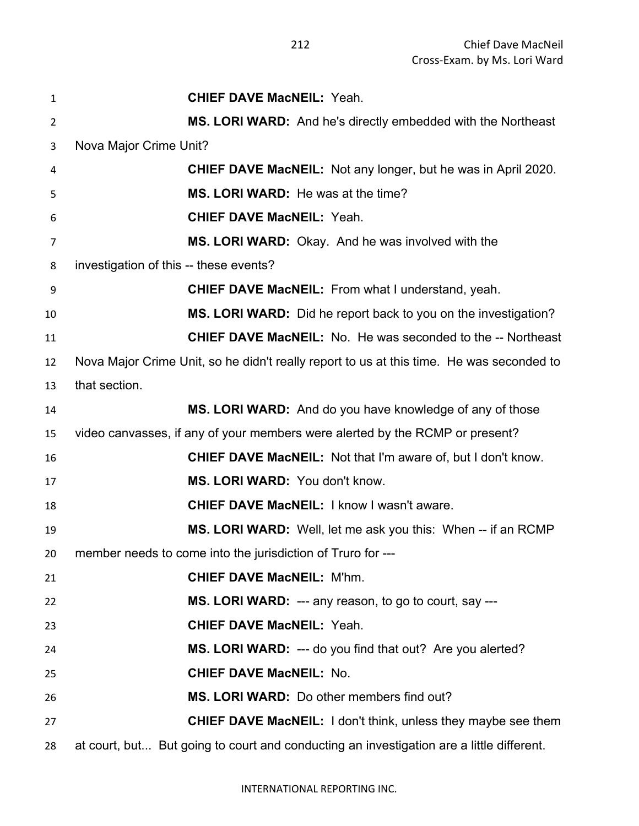| 1  | <b>CHIEF DAVE MacNEIL: Yeah.</b>                                                         |
|----|------------------------------------------------------------------------------------------|
| 2  | MS. LORI WARD: And he's directly embedded with the Northeast                             |
| 3  | Nova Major Crime Unit?                                                                   |
| 4  | <b>CHIEF DAVE MacNEIL:</b> Not any longer, but he was in April 2020.                     |
| 5  | MS. LORI WARD: He was at the time?                                                       |
| 6  | <b>CHIEF DAVE MacNEIL: Yeah.</b>                                                         |
| 7  | MS. LORI WARD: Okay. And he was involved with the                                        |
| 8  | investigation of this -- these events?                                                   |
| 9  | <b>CHIEF DAVE MacNEIL:</b> From what I understand, yeah.                                 |
| 10 | MS. LORI WARD: Did he report back to you on the investigation?                           |
| 11 | <b>CHIEF DAVE MacNEIL:</b> No. He was seconded to the -- Northeast                       |
| 12 | Nova Major Crime Unit, so he didn't really report to us at this time. He was seconded to |
| 13 | that section.                                                                            |
| 14 | MS. LORI WARD: And do you have knowledge of any of those                                 |
| 15 | video canvasses, if any of your members were alerted by the RCMP or present?             |
| 16 | <b>CHIEF DAVE MacNEIL:</b> Not that I'm aware of, but I don't know.                      |
| 17 | MS. LORI WARD: You don't know.                                                           |
| 18 | CHIEF DAVE MacNEIL: I know I wasn't aware.                                               |
| 19 | MS. LORI WARD: Well, let me ask you this: When -- if an RCMP                             |
| 20 | member needs to come into the jurisdiction of Truro for ---                              |
| 21 | <b>CHIEF DAVE MacNEIL: M'hm.</b>                                                         |
| 22 | MS. LORI WARD: --- any reason, to go to court, say ---                                   |
| 23 | <b>CHIEF DAVE MacNEIL: Yeah.</b>                                                         |
| 24 | MS. LORI WARD: --- do you find that out? Are you alerted?                                |
| 25 | <b>CHIEF DAVE MacNEIL: No.</b>                                                           |
| 26 | MS. LORI WARD: Do other members find out?                                                |
| 27 | <b>CHIEF DAVE MacNEIL:</b> I don't think, unless they maybe see them                     |
| 28 | at court, but But going to court and conducting an investigation are a little different. |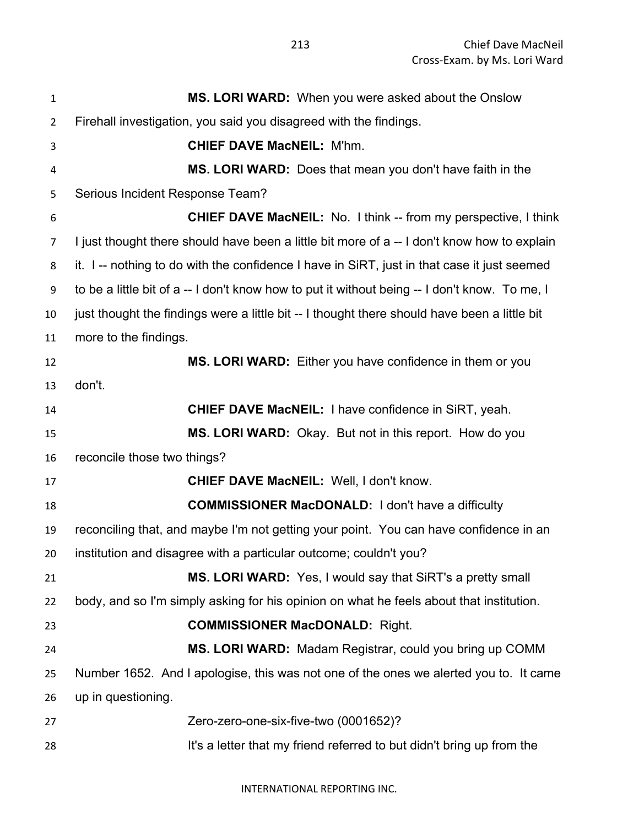| 1              | MS. LORI WARD: When you were asked about the Onslow                                           |
|----------------|-----------------------------------------------------------------------------------------------|
| $\overline{2}$ | Firehall investigation, you said you disagreed with the findings.                             |
| 3              | <b>CHIEF DAVE MacNEIL: M'hm.</b>                                                              |
| 4              | MS. LORI WARD: Does that mean you don't have faith in the                                     |
| 5              | Serious Incident Response Team?                                                               |
| 6              | <b>CHIEF DAVE MacNEIL:</b> No. 1 think -- from my perspective, I think                        |
| $\overline{7}$ | I just thought there should have been a little bit more of a -- I don't know how to explain   |
| 8              | it. I -- nothing to do with the confidence I have in SiRT, just in that case it just seemed   |
| 9              | to be a little bit of a -- I don't know how to put it without being -- I don't know. To me, I |
| 10             | just thought the findings were a little bit -- I thought there should have been a little bit  |
| 11             | more to the findings.                                                                         |
| 12             | MS. LORI WARD: Either you have confidence in them or you                                      |
| 13             | don't.                                                                                        |
| 14             | <b>CHIEF DAVE MacNEIL: I have confidence in SiRT, yeah.</b>                                   |
| 15             | MS. LORI WARD: Okay. But not in this report. How do you                                       |
| 16             | reconcile those two things?                                                                   |
| 17             | <b>CHIEF DAVE MacNEIL: Well, I don't know.</b>                                                |
| 18             | <b>COMMISSIONER MacDONALD:</b> I don't have a difficulty                                      |
| 19             | reconciling that, and maybe I'm not getting your point. You can have confidence in an         |
| 20             | institution and disagree with a particular outcome; couldn't you?                             |
| 21             | <b>MS. LORI WARD:</b> Yes, I would say that SiRT's a pretty small                             |
| 22             | body, and so I'm simply asking for his opinion on what he feels about that institution.       |
| 23             | <b>COMMISSIONER MacDONALD: Right.</b>                                                         |
| 24             | MS. LORI WARD: Madam Registrar, could you bring up COMM                                       |
| 25             | Number 1652. And I apologise, this was not one of the ones we alerted you to. It came         |
| 26             | up in questioning.                                                                            |
| 27             | Zero-zero-one-six-five-two (0001652)?                                                         |
| 28             | It's a letter that my friend referred to but didn't bring up from the                         |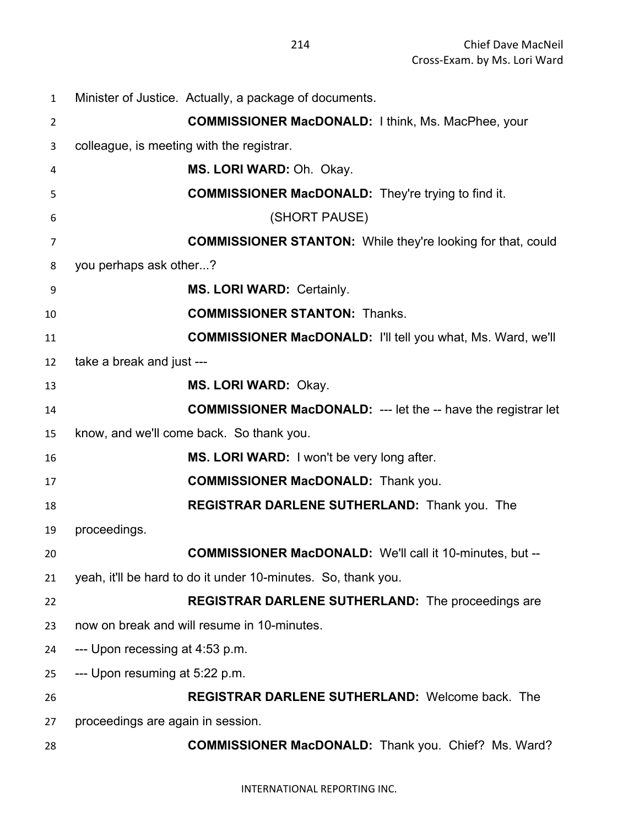| $\mathbf{1}$   | Minister of Justice. Actually, a package of documents.               |
|----------------|----------------------------------------------------------------------|
| $\overline{2}$ | <b>COMMISSIONER MacDONALD:</b> I think, Ms. MacPhee, your            |
| 3              | colleague, is meeting with the registrar.                            |
| 4              | MS. LORI WARD: Oh. Okay.                                             |
| 5              | <b>COMMISSIONER MacDONALD:</b> They're trying to find it.            |
| 6              | (SHORT PAUSE)                                                        |
| 7              | <b>COMMISSIONER STANTON:</b> While they're looking for that, could   |
| 8              | you perhaps ask other?                                               |
| 9              | <b>MS. LORI WARD: Certainly.</b>                                     |
| 10             | <b>COMMISSIONER STANTON: Thanks.</b>                                 |
| 11             | <b>COMMISSIONER MacDONALD:</b> I'll tell you what, Ms. Ward, we'll   |
| 12             | take a break and just ---                                            |
| 13             | MS. LORI WARD: Okay.                                                 |
| 14             | <b>COMMISSIONER MacDONALD:</b> --- let the -- have the registrar let |
| 15             | know, and we'll come back. So thank you.                             |
| 16             | MS. LORI WARD: I won't be very long after.                           |
| 17             | <b>COMMISSIONER MacDONALD:</b> Thank you.                            |
| 18             | <b>REGISTRAR DARLENE SUTHERLAND:</b> Thank you. The                  |
| 19             | proceedings.                                                         |
| 20             | <b>COMMISSIONER MacDONALD:</b> We'll call it 10-minutes, but --      |
| 21             | yeah, it'll be hard to do it under 10-minutes. So, thank you.        |
| 22             | <b>REGISTRAR DARLENE SUTHERLAND:</b> The proceedings are             |
| 23             | now on break and will resume in 10-minutes.                          |
| 24             | --- Upon recessing at 4:53 p.m.                                      |
| 25             | --- Upon resuming at 5:22 p.m.                                       |
| 26             | <b>REGISTRAR DARLENE SUTHERLAND: Welcome back. The</b>               |
| 27             | proceedings are again in session.                                    |
| 28             | <b>COMMISSIONER MacDONALD:</b> Thank you. Chief? Ms. Ward?           |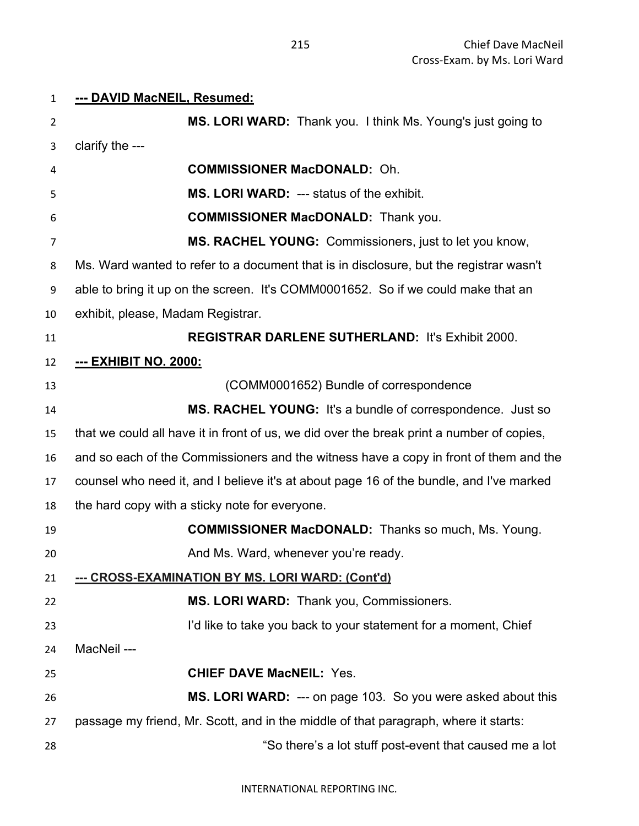## **--- DAVID MacNEIL, Resumed: MS. LORI WARD:** Thank you. I think Ms. Young's just going to clarify the --- **COMMISSIONER MacDONALD:** Oh. **MS. LORI WARD:** --- status of the exhibit. **COMMISSIONER MacDONALD:** Thank you. **MS. RACHEL YOUNG:** Commissioners, just to let you know, Ms. Ward wanted to refer to a document that is in disclosure, but the registrar wasn't able to bring it up on the screen. It's COMM0001652. So if we could make that an exhibit, please, Madam Registrar. **REGISTRAR DARLENE SUTHERLAND:** It's Exhibit 2000. **--- EXHIBIT NO. 2000:** (COMM0001652) Bundle of correspondence **MS. RACHEL YOUNG:** It's a bundle of correspondence. Just so that we could all have it in front of us, we did over the break print a number of copies, and so each of the Commissioners and the witness have a copy in front of them and the counsel who need it, and I believe it's at about page 16 of the bundle, and I've marked the hard copy with a sticky note for everyone. **COMMISSIONER MacDONALD:** Thanks so much, Ms. Young. **And Ms. Ward, whenever you're ready. --- CROSS-EXAMINATION BY MS. LORI WARD: (Cont'd) MS. LORI WARD:** Thank you, Commissioners. 23 I'd like to take you back to your statement for a moment, Chief MacNeil --- **CHIEF DAVE MacNEIL:** Yes. **MS. LORI WARD:** --- on page 103. So you were asked about this passage my friend, Mr. Scott, and in the middle of that paragraph, where it starts: "So there's a lot stuff post-event that caused me a lot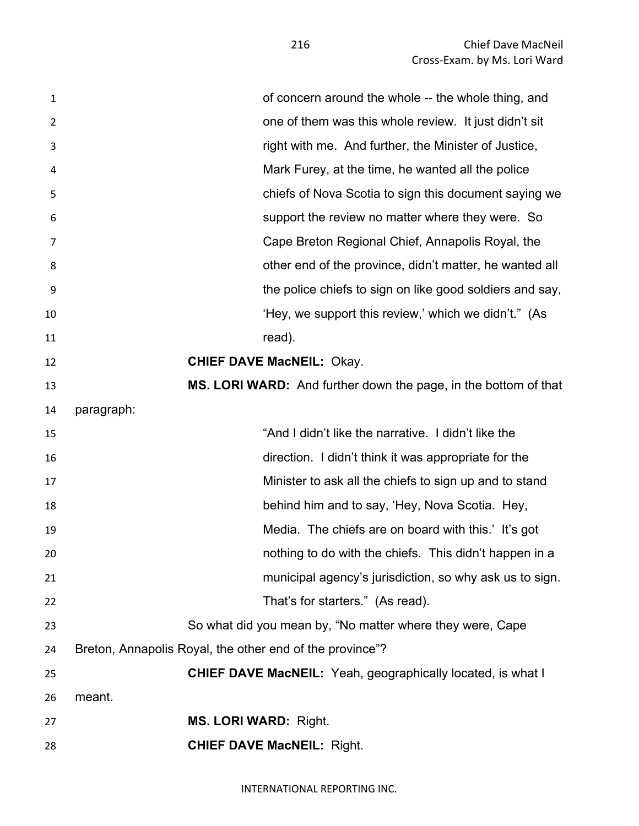| $\mathbf{1}$ | of concern around the whole -- the whole thing, and                |
|--------------|--------------------------------------------------------------------|
| 2            | one of them was this whole review. It just didn't sit              |
| 3            | right with me. And further, the Minister of Justice,               |
| 4            | Mark Furey, at the time, he wanted all the police                  |
| 5            | chiefs of Nova Scotia to sign this document saying we              |
| 6            | support the review no matter where they were. So                   |
| 7            | Cape Breton Regional Chief, Annapolis Royal, the                   |
| 8            | other end of the province, didn't matter, he wanted all            |
| 9            | the police chiefs to sign on like good soldiers and say,           |
| 10           | 'Hey, we support this review,' which we didn't." (As               |
| 11           | read).                                                             |
| 12           | <b>CHIEF DAVE MacNEIL: Okay.</b>                                   |
| 13           | MS. LORI WARD: And further down the page, in the bottom of that    |
| 14           | paragraph:                                                         |
| 15           | "And I didn't like the narrative. I didn't like the                |
| 16           | direction. I didn't think it was appropriate for the               |
| 17           | Minister to ask all the chiefs to sign up and to stand             |
| 18           | behind him and to say, 'Hey, Nova Scotia. Hey,                     |
| 19           | Media. The chiefs are on board with this.' It's got                |
| 20           | nothing to do with the chiefs. This didn't happen in a             |
| 21           | municipal agency's jurisdiction, so why ask us to sign.            |
| 22           | That's for starters." (As read).                                   |
| 23           | So what did you mean by, "No matter where they were, Cape          |
| 24           | Breton, Annapolis Royal, the other end of the province"?           |
| 25           | <b>CHIEF DAVE MacNEIL:</b> Yeah, geographically located, is what I |
| 26           | meant.                                                             |
| 27           | <b>MS. LORI WARD: Right.</b>                                       |
| 28           | <b>CHIEF DAVE MacNEIL: Right.</b>                                  |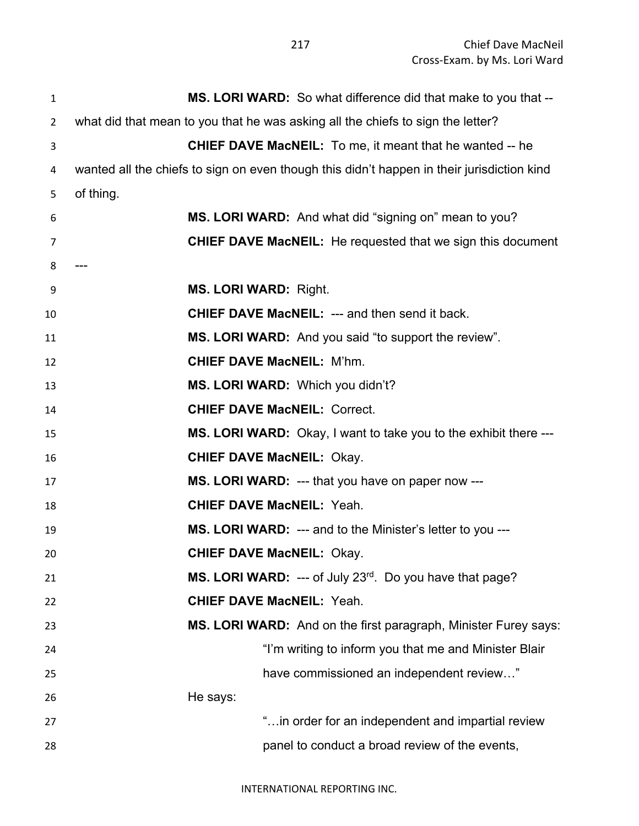Chief Dave MacNeil Cross-Exam. by Ms. Lori Ward

| $\mathbf{1}$   | MS. LORI WARD: So what difference did that make to you that --                             |
|----------------|--------------------------------------------------------------------------------------------|
| $\overline{2}$ | what did that mean to you that he was asking all the chiefs to sign the letter?            |
| 3              | <b>CHIEF DAVE MacNEIL:</b> To me, it meant that he wanted -- he                            |
| 4              | wanted all the chiefs to sign on even though this didn't happen in their jurisdiction kind |
| 5              | of thing.                                                                                  |
| 6              | MS. LORI WARD: And what did "signing on" mean to you?                                      |
| 7              | <b>CHIEF DAVE MacNEIL:</b> He requested that we sign this document                         |
| 8              |                                                                                            |
| 9              | <b>MS. LORI WARD: Right.</b>                                                               |
| 10             | <b>CHIEF DAVE MacNEIL: --- and then send it back.</b>                                      |
| 11             | <b>MS. LORI WARD:</b> And you said "to support the review".                                |
| 12             | <b>CHIEF DAVE MacNEIL: M'hm.</b>                                                           |
| 13             | MS. LORI WARD: Which you didn't?                                                           |
| 14             | <b>CHIEF DAVE MacNEIL: Correct.</b>                                                        |
| 15             | <b>MS. LORI WARD:</b> Okay, I want to take you to the exhibit there ---                    |
| 16             | <b>CHIEF DAVE MacNEIL: Okay.</b>                                                           |
| 17             | <b>MS. LORI WARD:</b> --- that you have on paper now ---                                   |
| 18             | <b>CHIEF DAVE MacNEIL: Yeah.</b>                                                           |
| 19             | <b>MS. LORI WARD:</b> --- and to the Minister's letter to you ---                          |
| 20             | <b>CHIEF DAVE MacNEIL: Okay.</b>                                                           |
| 21             | MS. LORI WARD: --- of July 23rd. Do you have that page?                                    |
| 22             | <b>CHIEF DAVE MacNEIL: Yeah.</b>                                                           |
| 23             | MS. LORI WARD: And on the first paragraph, Minister Furey says:                            |
| 24             | "I'm writing to inform you that me and Minister Blair                                      |
| 25             | have commissioned an independent review"                                                   |
| 26             | He says:                                                                                   |
| 27             | " in order for an independent and impartial review                                         |
| 28             | panel to conduct a broad review of the events,                                             |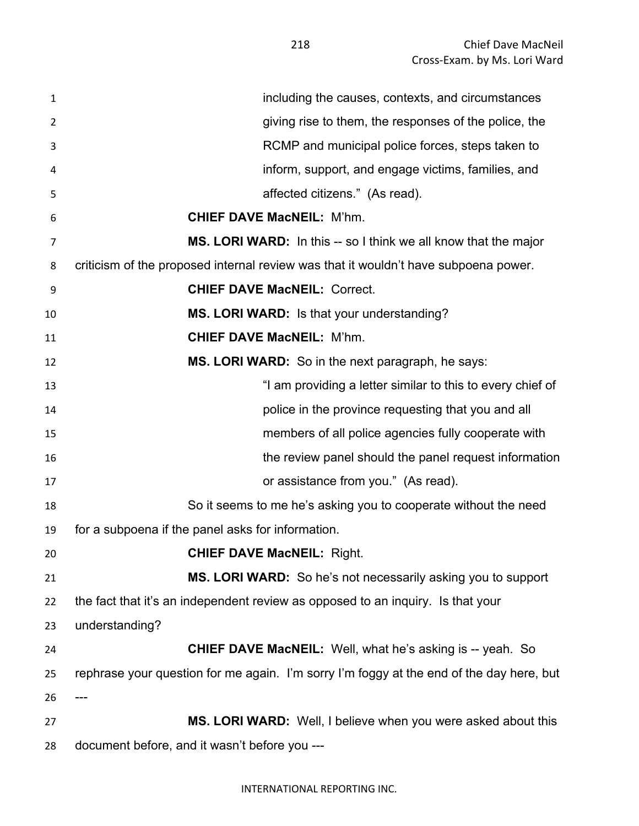| $\mathbf{1}$   | including the causes, contexts, and circumstances                                        |
|----------------|------------------------------------------------------------------------------------------|
| $\overline{2}$ | giving rise to them, the responses of the police, the                                    |
| 3              | RCMP and municipal police forces, steps taken to                                         |
| 4              | inform, support, and engage victims, families, and                                       |
| 5              | affected citizens." (As read).                                                           |
| 6              | <b>CHIEF DAVE MacNEIL: M'hm.</b>                                                         |
| 7              | MS. LORI WARD: In this -- so I think we all know that the major                          |
| 8              | criticism of the proposed internal review was that it wouldn't have subpoena power.      |
| 9              | <b>CHIEF DAVE MacNEIL: Correct.</b>                                                      |
| 10             | MS. LORI WARD: Is that your understanding?                                               |
| 11             | <b>CHIEF DAVE MacNEIL: M'hm.</b>                                                         |
| 12             | <b>MS. LORI WARD:</b> So in the next paragraph, he says:                                 |
| 13             | "I am providing a letter similar to this to every chief of                               |
| 14             | police in the province requesting that you and all                                       |
| 15             | members of all police agencies fully cooperate with                                      |
| 16             | the review panel should the panel request information                                    |
| 17             | or assistance from you." (As read).                                                      |
| 18             | So it seems to me he's asking you to cooperate without the need                          |
| 19             | for a subpoena if the panel asks for information.                                        |
| 20             | <b>CHIEF DAVE MacNEIL: Right.</b>                                                        |
| 21             | MS. LORI WARD: So he's not necessarily asking you to support                             |
| 22             | the fact that it's an independent review as opposed to an inquiry. Is that your          |
| 23             | understanding?                                                                           |
| 24             | <b>CHIEF DAVE MacNEIL:</b> Well, what he's asking is -- yeah. So                         |
| 25             | rephrase your question for me again. I'm sorry I'm foggy at the end of the day here, but |
| 26             |                                                                                          |
| 27             | MS. LORI WARD: Well, I believe when you were asked about this                            |
| 28             | document before, and it wasn't before you ---                                            |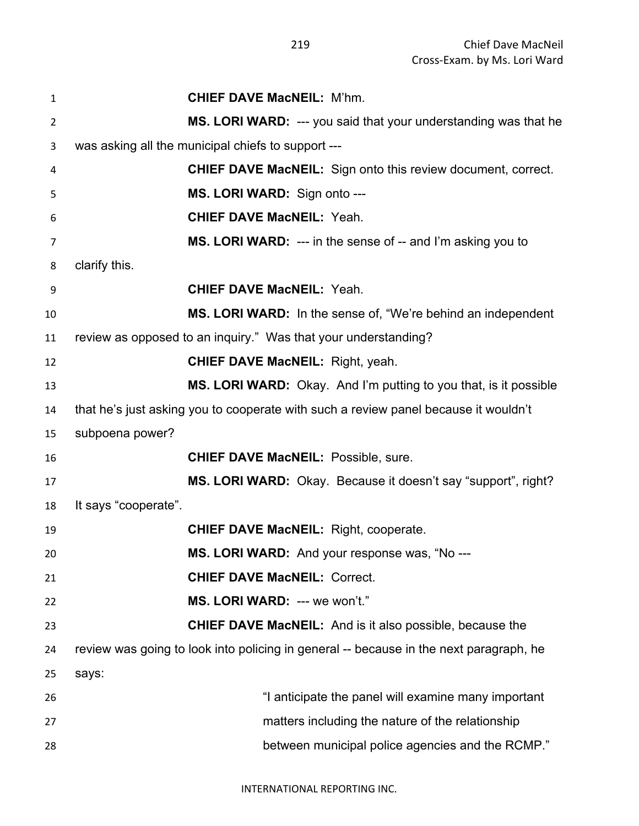| $\mathbf{1}$   | <b>CHIEF DAVE MacNEIL: M'hm.</b>                                                       |
|----------------|----------------------------------------------------------------------------------------|
| $\overline{2}$ | MS. LORI WARD: --- you said that your understanding was that he                        |
| 3              | was asking all the municipal chiefs to support ---                                     |
| 4              | CHIEF DAVE MacNEIL: Sign onto this review document, correct.                           |
| 5              | MS. LORI WARD: Sign onto ---                                                           |
| 6              | <b>CHIEF DAVE MacNEIL: Yeah.</b>                                                       |
| 7              | MS. LORI WARD: --- in the sense of -- and I'm asking you to                            |
| 8              | clarify this.                                                                          |
| 9              | <b>CHIEF DAVE MacNEIL: Yeah.</b>                                                       |
| 10             | <b>MS. LORI WARD:</b> In the sense of, "We're behind an independent                    |
| 11             | review as opposed to an inquiry." Was that your understanding?                         |
| 12             | <b>CHIEF DAVE MacNEIL: Right, yeah.</b>                                                |
| 13             | <b>MS. LORI WARD:</b> Okay. And I'm putting to you that, is it possible                |
| 14             | that he's just asking you to cooperate with such a review panel because it wouldn't    |
| 15             | subpoena power?                                                                        |
| 16             | <b>CHIEF DAVE MacNEIL: Possible, sure.</b>                                             |
| 17             | MS. LORI WARD: Okay. Because it doesn't say "support", right?                          |
| 18             | It says "cooperate".                                                                   |
| 19             | <b>CHIEF DAVE MacNEIL: Right, cooperate.</b>                                           |
| 20             | MS. LORI WARD: And your response was, "No ---                                          |
| 21             | <b>CHIEF DAVE MacNEIL: Correct.</b>                                                    |
| 22             | MS. LORI WARD: --- we won't."                                                          |
| 23             | <b>CHIEF DAVE MacNEIL:</b> And is it also possible, because the                        |
| 24             | review was going to look into policing in general -- because in the next paragraph, he |
| 25             | says:                                                                                  |
| 26             | "I anticipate the panel will examine many important                                    |
| 27             | matters including the nature of the relationship                                       |
| 28             | between municipal police agencies and the RCMP."                                       |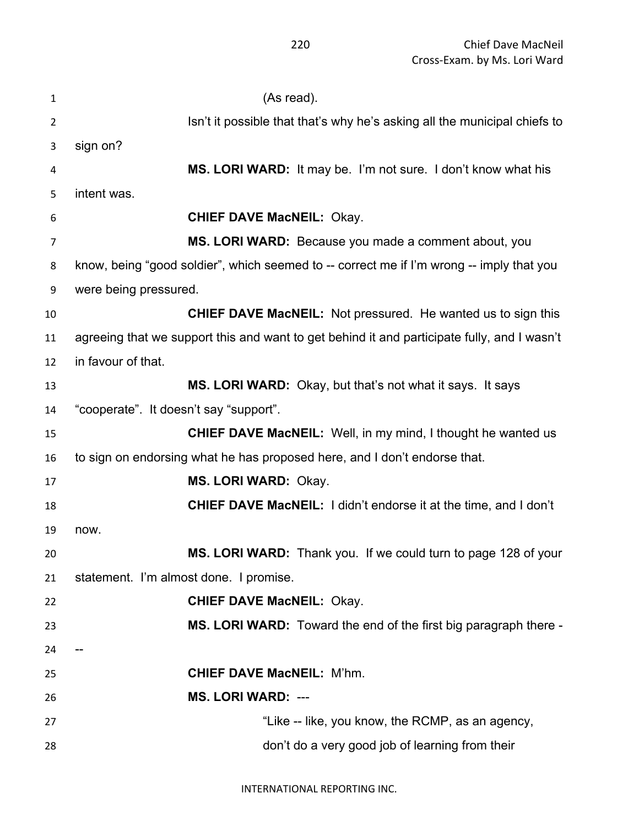| $\mathbf{1}$   | (As read).                                                                                  |
|----------------|---------------------------------------------------------------------------------------------|
| $\overline{2}$ | Isn't it possible that that's why he's asking all the municipal chiefs to                   |
| 3              | sign on?                                                                                    |
| 4              | MS. LORI WARD: It may be. I'm not sure. I don't know what his                               |
| 5              | intent was.                                                                                 |
| 6              | <b>CHIEF DAVE MacNEIL: Okay.</b>                                                            |
| 7              | MS. LORI WARD: Because you made a comment about, you                                        |
| 8              | know, being "good soldier", which seemed to -- correct me if I'm wrong -- imply that you    |
| 9              | were being pressured.                                                                       |
| 10             | <b>CHIEF DAVE MacNEIL:</b> Not pressured. He wanted us to sign this                         |
| 11             | agreeing that we support this and want to get behind it and participate fully, and I wasn't |
| 12             | in favour of that.                                                                          |
| 13             | MS. LORI WARD: Okay, but that's not what it says. It says                                   |
| 14             | "cooperate". It doesn't say "support".                                                      |
| 15             | <b>CHIEF DAVE MacNEIL:</b> Well, in my mind, I thought he wanted us                         |
| 16             | to sign on endorsing what he has proposed here, and I don't endorse that.                   |
| 17             | MS. LORI WARD: Okay.                                                                        |
| 18             | <b>CHIEF DAVE MacNEIL:</b> I didn't endorse it at the time, and I don't                     |
| 19             | now.                                                                                        |
| 20             | MS. LORI WARD: Thank you. If we could turn to page 128 of your                              |
| 21             | statement. I'm almost done. I promise.                                                      |
| 22             | <b>CHIEF DAVE MacNEIL: Okay.</b>                                                            |
| 23             | MS. LORI WARD: Toward the end of the first big paragraph there -                            |
| 24             |                                                                                             |
| 25             | <b>CHIEF DAVE MacNEIL: M'hm.</b>                                                            |
| 26             | <b>MS. LORI WARD: ---</b>                                                                   |
| 27             | "Like -- like, you know, the RCMP, as an agency,                                            |
| 28             | don't do a very good job of learning from their                                             |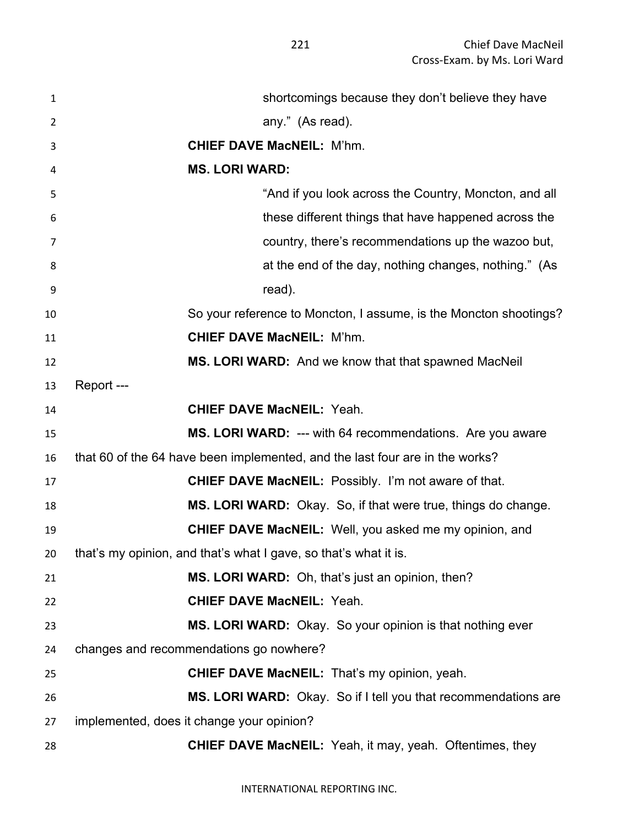| $\mathbf{1}$ | shortcomings because they don't believe they have                            |
|--------------|------------------------------------------------------------------------------|
| 2            | any." (As read).                                                             |
| 3            | <b>CHIEF DAVE MacNEIL: M'hm.</b>                                             |
| 4            | <b>MS. LORI WARD:</b>                                                        |
| 5            | "And if you look across the Country, Moncton, and all                        |
| 6            | these different things that have happened across the                         |
| 7            | country, there's recommendations up the wazoo but,                           |
| 8            | at the end of the day, nothing changes, nothing." (As                        |
| 9            | read).                                                                       |
| 10           | So your reference to Moncton, I assume, is the Moncton shootings?            |
| 11           | <b>CHIEF DAVE MacNEIL: M'hm.</b>                                             |
| 12           | MS. LORI WARD: And we know that that spawned MacNeil                         |
| 13           | Report---                                                                    |
| 14           | <b>CHIEF DAVE MacNEIL: Yeah.</b>                                             |
| 15           | MS. LORI WARD: --- with 64 recommendations. Are you aware                    |
| 16           | that 60 of the 64 have been implemented, and the last four are in the works? |
| 17           | <b>CHIEF DAVE MacNEIL:</b> Possibly. I'm not aware of that.                  |
| 18           | MS. LORI WARD: Okay. So, if that were true, things do change.                |
| 19           | <b>CHIEF DAVE MacNEIL:</b> Well, you asked me my opinion, and                |
| 20           | that's my opinion, and that's what I gave, so that's what it is.             |
| 21           | MS. LORI WARD: Oh, that's just an opinion, then?                             |
| 22           | <b>CHIEF DAVE MacNEIL: Yeah.</b>                                             |
| 23           | MS. LORI WARD: Okay. So your opinion is that nothing ever                    |
| 24           | changes and recommendations go nowhere?                                      |
| 25           | <b>CHIEF DAVE MacNEIL:</b> That's my opinion, yeah.                          |
| 26           | MS. LORI WARD: Okay. So if I tell you that recommendations are               |
| 27           | implemented, does it change your opinion?                                    |
| 28           | <b>CHIEF DAVE MacNEIL:</b> Yeah, it may, yeah. Oftentimes, they              |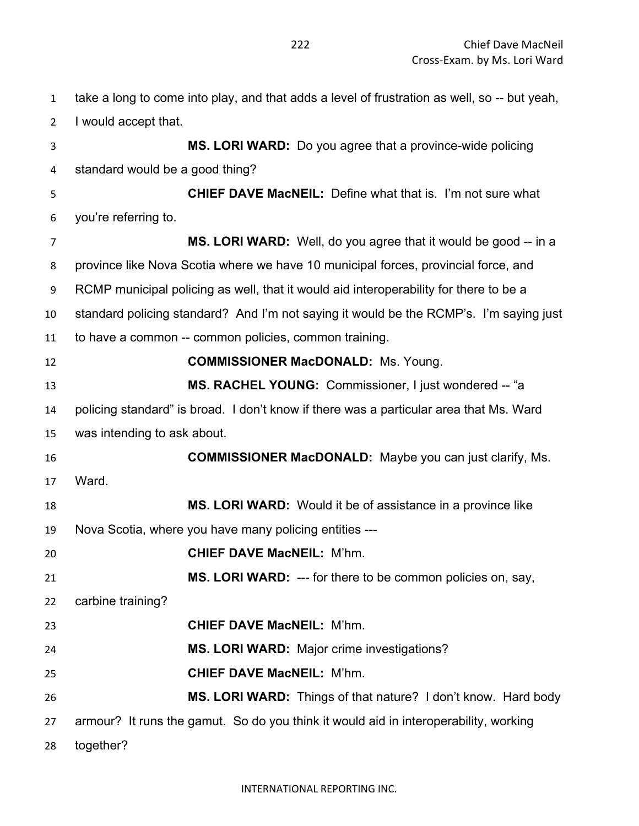| $\mathbf{1}$   | take a long to come into play, and that adds a level of frustration as well, so -- but yeah, |
|----------------|----------------------------------------------------------------------------------------------|
| $\overline{2}$ | I would accept that.                                                                         |
| 3              | MS. LORI WARD: Do you agree that a province-wide policing                                    |
| 4              | standard would be a good thing?                                                              |
| 5              | <b>CHIEF DAVE MacNEIL:</b> Define what that is. I'm not sure what                            |
| 6              | you're referring to.                                                                         |
| $\overline{7}$ | MS. LORI WARD: Well, do you agree that it would be good -- in a                              |
| 8              | province like Nova Scotia where we have 10 municipal forces, provincial force, and           |
| 9              | RCMP municipal policing as well, that it would aid interoperability for there to be a        |
| 10             | standard policing standard? And I'm not saying it would be the RCMP's. I'm saying just       |
| 11             | to have a common -- common policies, common training.                                        |
| 12             | <b>COMMISSIONER MacDONALD:</b> Ms. Young.                                                    |
| 13             | MS. RACHEL YOUNG: Commissioner, I just wondered -- "a                                        |
| 14             | policing standard" is broad. I don't know if there was a particular area that Ms. Ward       |
| 15             | was intending to ask about.                                                                  |
| 16             | <b>COMMISSIONER MacDONALD:</b> Maybe you can just clarify, Ms.                               |
| 17             | Ward.                                                                                        |
| 18             | MS. LORI WARD: Would it be of assistance in a province like                                  |
| 19             | Nova Scotia, where you have many policing entities ---                                       |
| 20             | <b>CHIEF DAVE MacNEIL: M'hm.</b>                                                             |
| 21             | <b>MS. LORI WARD:</b> --- for there to be common policies on, say,                           |
| 22             | carbine training?                                                                            |
| 23             | <b>CHIEF DAVE MacNEIL: M'hm.</b>                                                             |
| 24             | MS. LORI WARD: Major crime investigations?                                                   |
| 25             | <b>CHIEF DAVE MacNEIL: M'hm.</b>                                                             |
| 26             | MS. LORI WARD: Things of that nature? I don't know. Hard body                                |
| 27             | armour? It runs the gamut. So do you think it would aid in interoperability, working         |
| 28             | together?                                                                                    |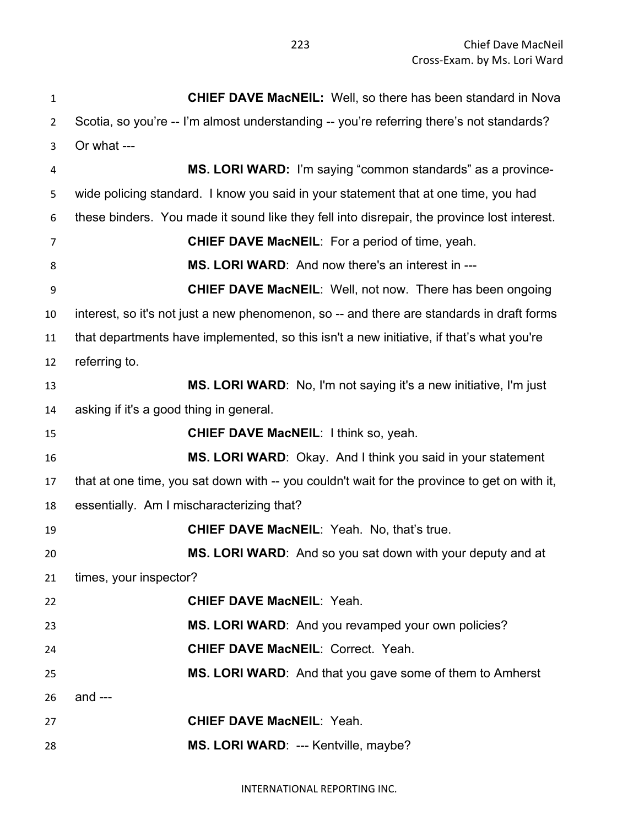| $\mathbf 1$    | <b>CHIEF DAVE MacNEIL:</b> Well, so there has been standard in Nova                          |
|----------------|----------------------------------------------------------------------------------------------|
| $\overline{2}$ | Scotia, so you're -- I'm almost understanding -- you're referring there's not standards?     |
| 3              | Or what ---                                                                                  |
| 4              | MS. LORI WARD: I'm saying "common standards" as a province-                                  |
| 5              | wide policing standard. I know you said in your statement that at one time, you had          |
| 6              | these binders. You made it sound like they fell into disrepair, the province lost interest.  |
| 7              | <b>CHIEF DAVE MacNEIL:</b> For a period of time, yeah.                                       |
| 8              | MS. LORI WARD: And now there's an interest in ---                                            |
| 9              | <b>CHIEF DAVE MacNEIL:</b> Well, not now. There has been ongoing                             |
| 10             | interest, so it's not just a new phenomenon, so -- and there are standards in draft forms    |
| 11             | that departments have implemented, so this isn't a new initiative, if that's what you're     |
| 12             | referring to.                                                                                |
| 13             | MS. LORI WARD: No, I'm not saying it's a new initiative, I'm just                            |
| 14             | asking if it's a good thing in general.                                                      |
| 15             | <b>CHIEF DAVE MacNEIL: I think so, yeah.</b>                                                 |
| 16             | MS. LORI WARD: Okay. And I think you said in your statement                                  |
| 17             | that at one time, you sat down with -- you couldn't wait for the province to get on with it, |
| 18             | essentially. Am I mischaracterizing that?                                                    |
| 19             | <b>CHIEF DAVE MacNEIL: Yeah. No, that's true.</b>                                            |
| 20             | MS. LORI WARD: And so you sat down with your deputy and at                                   |
| 21             | times, your inspector?                                                                       |
| 22             | <b>CHIEF DAVE MacNEIL: Yeah.</b>                                                             |
| 23             | MS. LORI WARD: And you revamped your own policies?                                           |
| 24             | <b>CHIEF DAVE MacNEIL: Correct. Yeah.</b>                                                    |
| 25             | MS. LORI WARD: And that you gave some of them to Amherst                                     |
| 26             | and $---$                                                                                    |
| 27             | <b>CHIEF DAVE MacNEIL: Yeah.</b>                                                             |
| 28             | MS. LORI WARD: --- Kentville, maybe?                                                         |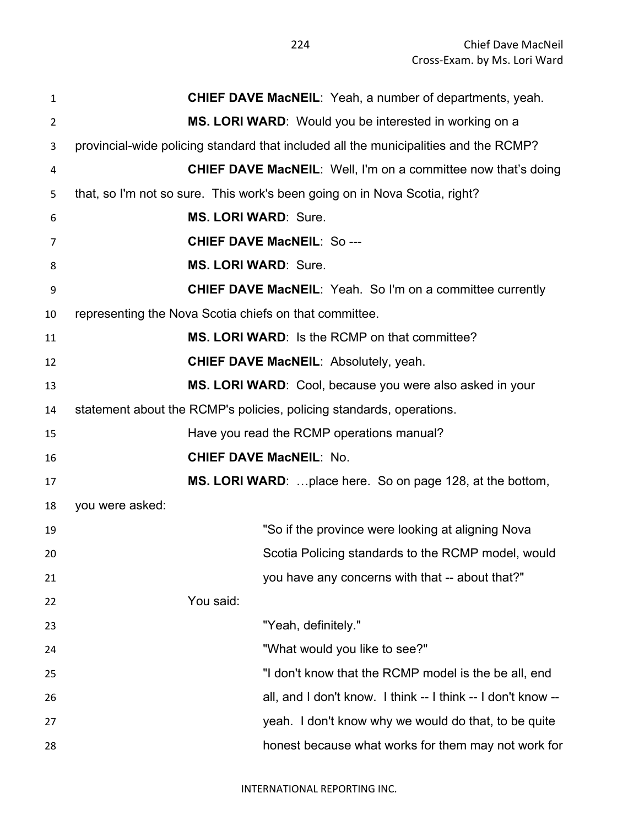| $\mathbf{1}$   | <b>CHIEF DAVE MacNEIL:</b> Yeah, a number of departments, yeah.                      |
|----------------|--------------------------------------------------------------------------------------|
| $\overline{2}$ | MS. LORI WARD: Would you be interested in working on a                               |
| 3              | provincial-wide policing standard that included all the municipalities and the RCMP? |
| 4              | <b>CHIEF DAVE MacNEIL:</b> Well, I'm on a committee now that's doing                 |
| 5              | that, so I'm not so sure. This work's been going on in Nova Scotia, right?           |
| 6              | <b>MS. LORI WARD: Sure.</b>                                                          |
| 7              | <b>CHIEF DAVE MacNEIL: So---</b>                                                     |
| 8              | <b>MS. LORI WARD: Sure.</b>                                                          |
| 9              | <b>CHIEF DAVE MacNEIL:</b> Yeah. So I'm on a committee currently                     |
| 10             | representing the Nova Scotia chiefs on that committee.                               |
| 11             | <b>MS. LORI WARD:</b> Is the RCMP on that committee?                                 |
| 12             | <b>CHIEF DAVE MacNEIL: Absolutely, yeah.</b>                                         |
| 13             | MS. LORI WARD: Cool, because you were also asked in your                             |
| 14             | statement about the RCMP's policies, policing standards, operations.                 |
| 15             | Have you read the RCMP operations manual?                                            |
| 16             | <b>CHIEF DAVE MacNEIL: No.</b>                                                       |
| 17             | <b>MS. LORI WARD:</b> place here. So on page 128, at the bottom,                     |
| 18             | you were asked:                                                                      |
| 19             | "So if the province were looking at aligning Nova                                    |
| 20             | Scotia Policing standards to the RCMP model, would                                   |
| 21             | you have any concerns with that -- about that?"                                      |
| 22             | You said:                                                                            |
| 23             | "Yeah, definitely."                                                                  |
| 24             | "What would you like to see?"                                                        |
| 25             | "I don't know that the RCMP model is the be all, end                                 |
| 26             | all, and I don't know. I think -- I think -- I don't know --                         |
| 27             | yeah. I don't know why we would do that, to be quite                                 |
| 28             | honest because what works for them may not work for                                  |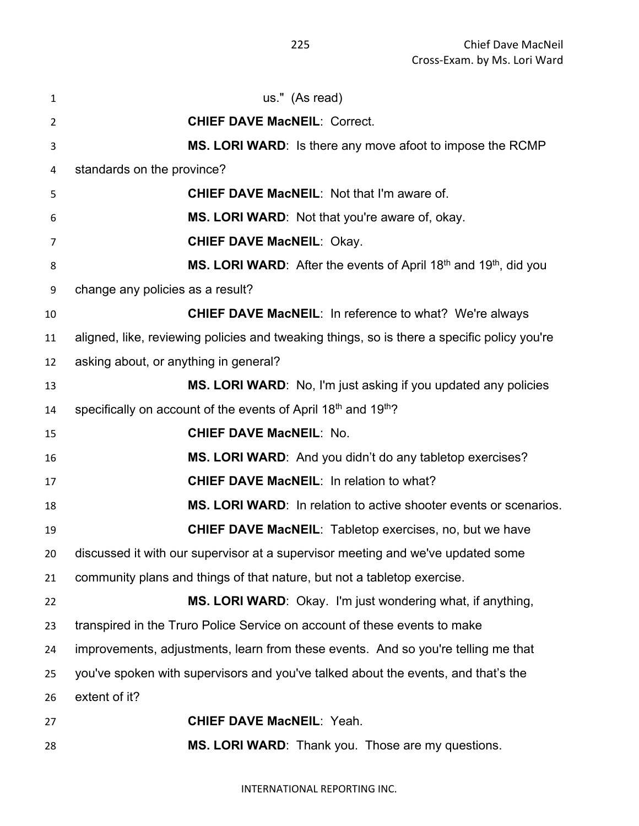| 1  | us." (As read)                                                                                  |
|----|-------------------------------------------------------------------------------------------------|
| 2  | <b>CHIEF DAVE MacNEIL: Correct.</b>                                                             |
| 3  | MS. LORI WARD: Is there any move afoot to impose the RCMP                                       |
| 4  | standards on the province?                                                                      |
| 5  | <b>CHIEF DAVE MacNEIL: Not that I'm aware of.</b>                                               |
| 6  | MS. LORI WARD: Not that you're aware of, okay.                                                  |
| 7  | <b>CHIEF DAVE MacNEIL: Okay.</b>                                                                |
| 8  | <b>MS. LORI WARD:</b> After the events of April 18 <sup>th</sup> and 19 <sup>th</sup> , did you |
| 9  | change any policies as a result?                                                                |
| 10 | <b>CHIEF DAVE MacNEIL: In reference to what? We're always</b>                                   |
| 11 | aligned, like, reviewing policies and tweaking things, so is there a specific policy you're     |
| 12 | asking about, or anything in general?                                                           |
| 13 | MS. LORI WARD: No, I'm just asking if you updated any policies                                  |
| 14 | specifically on account of the events of April 18th and 19th?                                   |
| 15 | <b>CHIEF DAVE MacNEIL: No.</b>                                                                  |
| 16 | MS. LORI WARD: And you didn't do any tabletop exercises?                                        |
| 17 | <b>CHIEF DAVE MacNEIL: In relation to what?</b>                                                 |
| 18 | MS. LORI WARD: In relation to active shooter events or scenarios.                               |
| 19 | <b>CHIEF DAVE MacNEIL:</b> Tabletop exercises, no, but we have                                  |
| 20 | discussed it with our supervisor at a supervisor meeting and we've updated some                 |
| 21 | community plans and things of that nature, but not a tabletop exercise.                         |
| 22 | MS. LORI WARD: Okay. I'm just wondering what, if anything,                                      |
| 23 | transpired in the Truro Police Service on account of these events to make                       |
| 24 | improvements, adjustments, learn from these events. And so you're telling me that               |
| 25 | you've spoken with supervisors and you've talked about the events, and that's the               |
| 26 | extent of it?                                                                                   |
| 27 | <b>CHIEF DAVE MacNEIL: Yeah.</b>                                                                |
| 28 | MS. LORI WARD: Thank you. Those are my questions.                                               |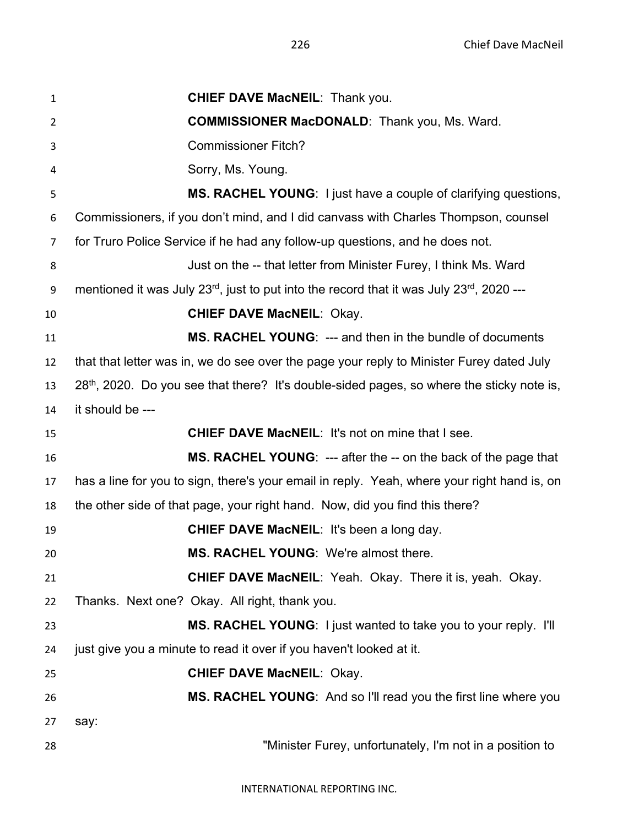**CHIEF DAVE MacNEIL**: Thank you. **COMMISSIONER MacDONALD**: Thank you, Ms. Ward. Commissioner Fitch? Sorry, Ms. Young. **MS. RACHEL YOUNG**: I just have a couple of clarifying questions, Commissioners, if you don't mind, and I did canvass with Charles Thompson, counsel for Truro Police Service if he had any follow-up questions, and he does not. **Just on the -- that letter from Minister Furey, I think Ms. Ward** 9 mentioned it was July  $23^{rd}$ , just to put into the record that it was July  $23^{rd}$ ,  $2020$  --- **CHIEF DAVE MacNEIL**: Okay. **MS. RACHEL YOUNG**: --- and then in the bundle of documents that that letter was in, we do see over the page your reply to Minister Furey dated July  $28<sup>th</sup>$ , 2020. Do you see that there? It's double-sided pages, so where the sticky note is, it should be --- **CHIEF DAVE MacNEIL**: It's not on mine that I see. **MS. RACHEL YOUNG:** --- after the -- on the back of the page that has a line for you to sign, there's your email in reply. Yeah, where your right hand is, on the other side of that page, your right hand. Now, did you find this there? **CHIEF DAVE MacNEIL**: It's been a long day. **MS. RACHEL YOUNG**: We're almost there. **CHIEF DAVE MacNEIL**: Yeah. Okay. There it is, yeah. Okay. Thanks. Next one? Okay. All right, thank you. **MS. RACHEL YOUNG**: I just wanted to take you to your reply. I'll 24 just give you a minute to read it over if you haven't looked at it. **CHIEF DAVE MacNEIL**: Okay. **MS. RACHEL YOUNG**: And so I'll read you the first line where you say: "Minister Furey, unfortunately, I'm not in a position to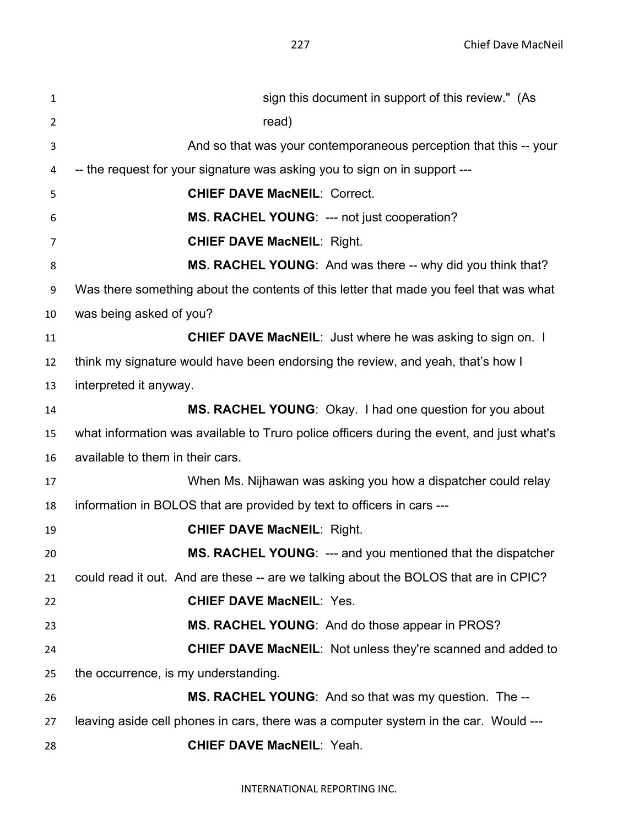| $\mathbf{1}$   | sign this document in support of this review." (As                                        |
|----------------|-------------------------------------------------------------------------------------------|
| $\overline{2}$ | read)                                                                                     |
| 3              | And so that was your contemporaneous perception that this -- your                         |
| 4              | -- the request for your signature was asking you to sign on in support ---                |
| 5              | <b>CHIEF DAVE MacNEIL: Correct.</b>                                                       |
| 6              | MS. RACHEL YOUNG: --- not just cooperation?                                               |
| 7              | <b>CHIEF DAVE MacNEIL: Right.</b>                                                         |
| 8              | MS. RACHEL YOUNG: And was there -- why did you think that?                                |
| 9              | Was there something about the contents of this letter that made you feel that was what    |
| 10             | was being asked of you?                                                                   |
| 11             | <b>CHIEF DAVE MacNEIL:</b> Just where he was asking to sign on. I                         |
| 12             | think my signature would have been endorsing the review, and yeah, that's how I           |
| 13             | interpreted it anyway.                                                                    |
| 14             | MS. RACHEL YOUNG: Okay. I had one question for you about                                  |
| 15             | what information was available to Truro police officers during the event, and just what's |
| 16             | available to them in their cars.                                                          |
| 17             | When Ms. Nijhawan was asking you how a dispatcher could relay                             |
| 18             | information in BOLOS that are provided by text to officers in cars ---                    |
| 19             | <b>CHIEF DAVE MacNEIL: Right.</b>                                                         |
| 20             | <b>MS. RACHEL YOUNG: --- and you mentioned that the dispatcher</b>                        |
| 21             | could read it out. And are these -- are we talking about the BOLOS that are in CPIC?      |
| 22             | <b>CHIEF DAVE MacNEIL: Yes.</b>                                                           |
| 23             | MS. RACHEL YOUNG: And do those appear in PROS?                                            |
| 24             | <b>CHIEF DAVE MacNEIL:</b> Not unless they're scanned and added to                        |
| 25             | the occurrence, is my understanding.                                                      |
| 26             | MS. RACHEL YOUNG: And so that was my question. The --                                     |
| 27             | leaving aside cell phones in cars, there was a computer system in the car. Would ---      |
| 28             | <b>CHIEF DAVE MacNEIL: Yeah.</b>                                                          |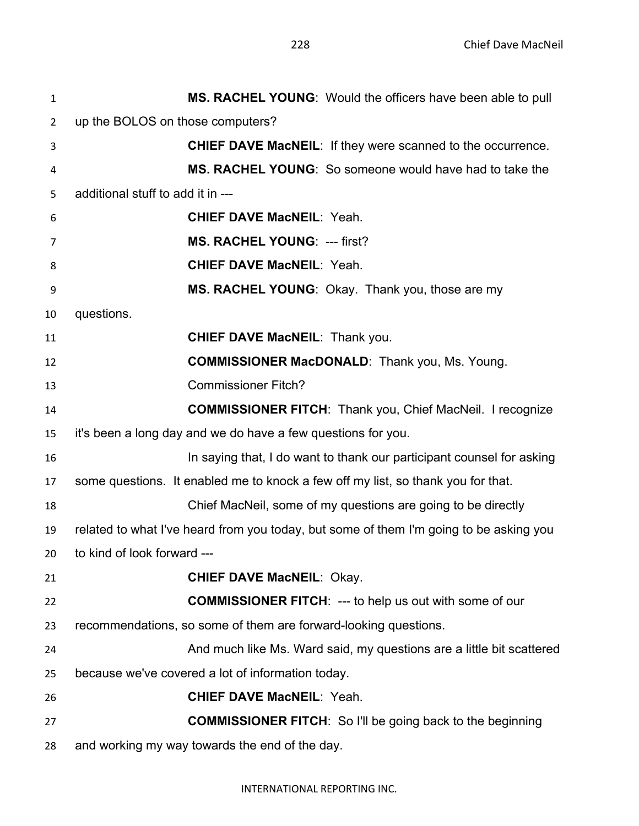| 1              | MS. RACHEL YOUNG: Would the officers have been able to pull                            |
|----------------|----------------------------------------------------------------------------------------|
| $\overline{2}$ | up the BOLOS on those computers?                                                       |
| 3              | CHIEF DAVE MacNEIL: If they were scanned to the occurrence.                            |
| 4              | <b>MS. RACHEL YOUNG:</b> So someone would have had to take the                         |
| 5              | additional stuff to add it in ---                                                      |
| 6              | <b>CHIEF DAVE MacNEIL: Yeah.</b>                                                       |
| 7              | <b>MS. RACHEL YOUNG: --- first?</b>                                                    |
| 8              | <b>CHIEF DAVE MacNEIL: Yeah.</b>                                                       |
| 9              | MS. RACHEL YOUNG: Okay. Thank you, those are my                                        |
| 10             | questions.                                                                             |
| 11             | <b>CHIEF DAVE MacNEIL: Thank you.</b>                                                  |
| 12             | <b>COMMISSIONER MacDONALD:</b> Thank you, Ms. Young.                                   |
| 13             | <b>Commissioner Fitch?</b>                                                             |
| 14             | <b>COMMISSIONER FITCH: Thank you, Chief MacNeil. I recognize</b>                       |
| 15             | it's been a long day and we do have a few questions for you.                           |
| 16             | In saying that, I do want to thank our participant counsel for asking                  |
| 17             | some questions. It enabled me to knock a few off my list, so thank you for that.       |
| 18             | Chief MacNeil, some of my questions are going to be directly                           |
| 19             | related to what I've heard from you today, but some of them I'm going to be asking you |
| 20             | to kind of look forward ---                                                            |
| 21             | <b>CHIEF DAVE MacNEIL: Okay.</b>                                                       |
| 22             | <b>COMMISSIONER FITCH: --- to help us out with some of our</b>                         |
| 23             | recommendations, so some of them are forward-looking questions.                        |
| 24             | And much like Ms. Ward said, my questions are a little bit scattered                   |
| 25             | because we've covered a lot of information today.                                      |
| 26             | <b>CHIEF DAVE MacNEIL: Yeah.</b>                                                       |
| 27             | <b>COMMISSIONER FITCH:</b> So I'll be going back to the beginning                      |
| 28             | and working my way towards the end of the day.                                         |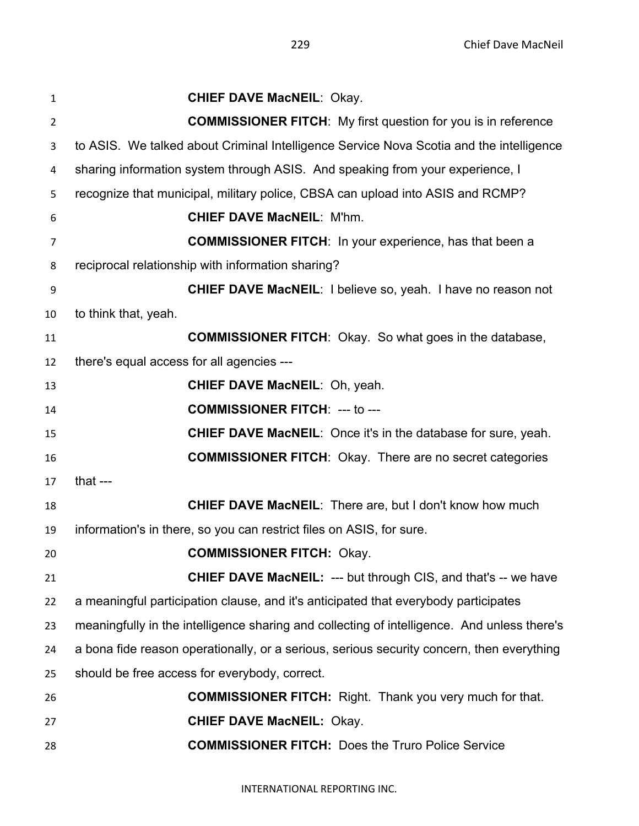**CHIEF DAVE MacNEIL**: Okay. **COMMISSIONER FITCH**: My first question for you is in reference to ASIS. We talked about Criminal Intelligence Service Nova Scotia and the intelligence sharing information system through ASIS. And speaking from your experience, I recognize that municipal, military police, CBSA can upload into ASIS and RCMP? **CHIEF DAVE MacNEIL**: M'hm. **COMMISSIONER FITCH**: In your experience, has that been a reciprocal relationship with information sharing? **CHIEF DAVE MacNEIL**: I believe so, yeah. I have no reason not to think that, yeah. **COMMISSIONER FITCH**: Okay. So what goes in the database, there's equal access for all agencies --- **CHIEF DAVE MacNEIL**: Oh, yeah. **COMMISSIONER FITCH**: --- to --- **CHIEF DAVE MacNEIL**: Once it's in the database for sure, yeah. **COMMISSIONER FITCH**: Okay. There are no secret categories that --- **CHIEF DAVE MacNEIL**: There are, but I don't know how much information's in there, so you can restrict files on ASIS, for sure. **COMMISSIONER FITCH:** Okay. **CHIEF DAVE MacNEIL:** --- but through CIS, and that's -- we have a meaningful participation clause, and it's anticipated that everybody participates meaningfully in the intelligence sharing and collecting of intelligence. And unless there's a bona fide reason operationally, or a serious, serious security concern, then everything should be free access for everybody, correct. **COMMISSIONER FITCH:** Right. Thank you very much for that. **CHIEF DAVE MacNEIL:** Okay. **COMMISSIONER FITCH:** Does the Truro Police Service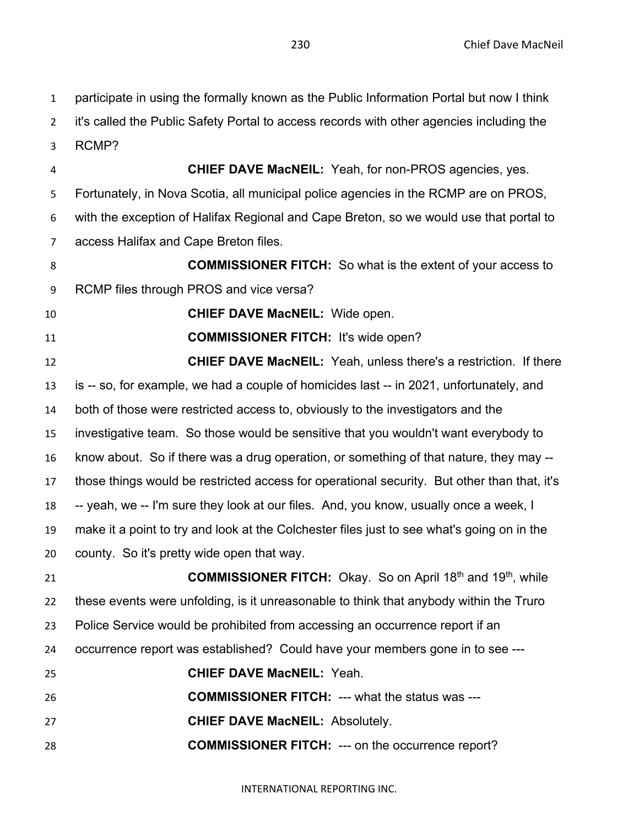participate in using the formally known as the Public Information Portal but now I think it's called the Public Safety Portal to access records with other agencies including the RCMP? **CHIEF DAVE MacNEIL:** Yeah, for non-PROS agencies, yes. Fortunately, in Nova Scotia, all municipal police agencies in the RCMP are on PROS, with the exception of Halifax Regional and Cape Breton, so we would use that portal to access Halifax and Cape Breton files. **COMMISSIONER FITCH:** So what is the extent of your access to RCMP files through PROS and vice versa? **CHIEF DAVE MacNEIL:** Wide open. **COMMISSIONER FITCH:** It's wide open? **CHIEF DAVE MacNEIL:** Yeah, unless there's a restriction. If there is -- so, for example, we had a couple of homicides last -- in 2021, unfortunately, and both of those were restricted access to, obviously to the investigators and the investigative team. So those would be sensitive that you wouldn't want everybody to know about. So if there was a drug operation, or something of that nature, they may -- those things would be restricted access for operational security. But other than that, it's -- yeah, we -- I'm sure they look at our files. And, you know, usually once a week, I make it a point to try and look at the Colchester files just to see what's going on in the county. So it's pretty wide open that way. **COMMISSIONER FITCH:** Okay. So on April 18<sup>th</sup> and 19<sup>th</sup>, while these events were unfolding, is it unreasonable to think that anybody within the Truro Police Service would be prohibited from accessing an occurrence report if an occurrence report was established? Could have your members gone in to see --- **CHIEF DAVE MacNEIL:** Yeah. **COMMISSIONER FITCH:** --- what the status was ---

- **CHIEF DAVE MacNEIL:** Absolutely.
- **COMMISSIONER FITCH:** --- on the occurrence report?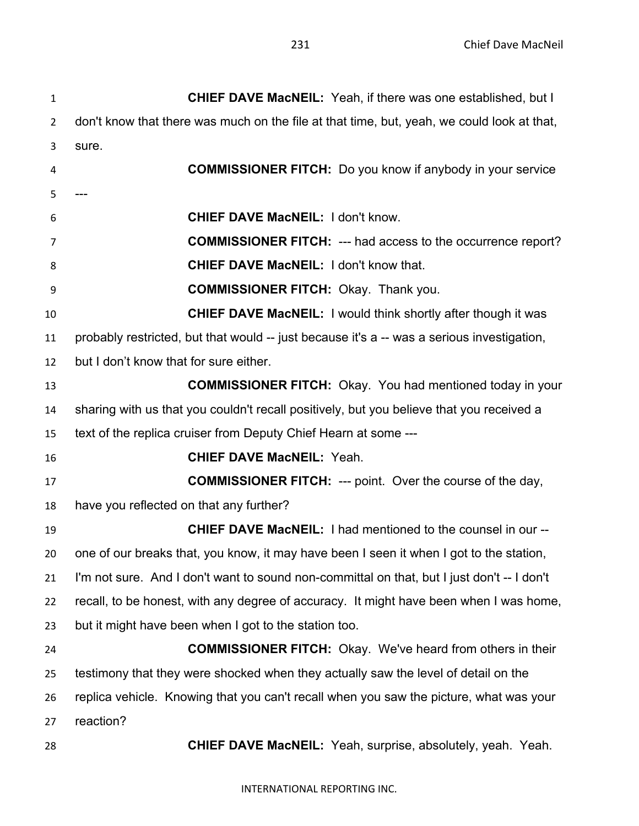| $\mathbf{1}$   | CHIEF DAVE MacNEIL: Yeah, if there was one established, but I                              |
|----------------|--------------------------------------------------------------------------------------------|
| $\overline{2}$ | don't know that there was much on the file at that time, but, yeah, we could look at that, |
| 3              | sure.                                                                                      |
| 4              | <b>COMMISSIONER FITCH:</b> Do you know if anybody in your service                          |
| 5              |                                                                                            |
| 6              | <b>CHIEF DAVE MacNEIL: I don't know.</b>                                                   |
| 7              | <b>COMMISSIONER FITCH: --- had access to the occurrence report?</b>                        |
| 8              | <b>CHIEF DAVE MacNEIL: I don't know that.</b>                                              |
| 9              | <b>COMMISSIONER FITCH: Okay. Thank you.</b>                                                |
| 10             | <b>CHIEF DAVE MacNEIL:</b> I would think shortly after though it was                       |
| 11             | probably restricted, but that would -- just because it's a -- was a serious investigation, |
| 12             | but I don't know that for sure either.                                                     |
| 13             | <b>COMMISSIONER FITCH:</b> Okay. You had mentioned today in your                           |
| 14             | sharing with us that you couldn't recall positively, but you believe that you received a   |
| 15             | text of the replica cruiser from Deputy Chief Hearn at some ---                            |
| 16             | <b>CHIEF DAVE MacNEIL: Yeah.</b>                                                           |
| 17             | <b>COMMISSIONER FITCH:</b> --- point. Over the course of the day,                          |
| 18             | have you reflected on that any further?                                                    |
| 19             | <b>CHIEF DAVE MacNEIL: I had mentioned to the counsel in our --</b>                        |
| 20             | one of our breaks that, you know, it may have been I seen it when I got to the station,    |
| 21             | I'm not sure. And I don't want to sound non-committal on that, but I just don't -- I don't |
| 22             | recall, to be honest, with any degree of accuracy. It might have been when I was home,     |
| 23             | but it might have been when I got to the station too.                                      |
| 24             | <b>COMMISSIONER FITCH:</b> Okay. We've heard from others in their                          |
| 25             | testimony that they were shocked when they actually saw the level of detail on the         |
| 26             | replica vehicle. Knowing that you can't recall when you saw the picture, what was your     |
| 27             | reaction?                                                                                  |
| 28             | <b>CHIEF DAVE MacNEIL:</b> Yeah, surprise, absolutely, yeah. Yeah.                         |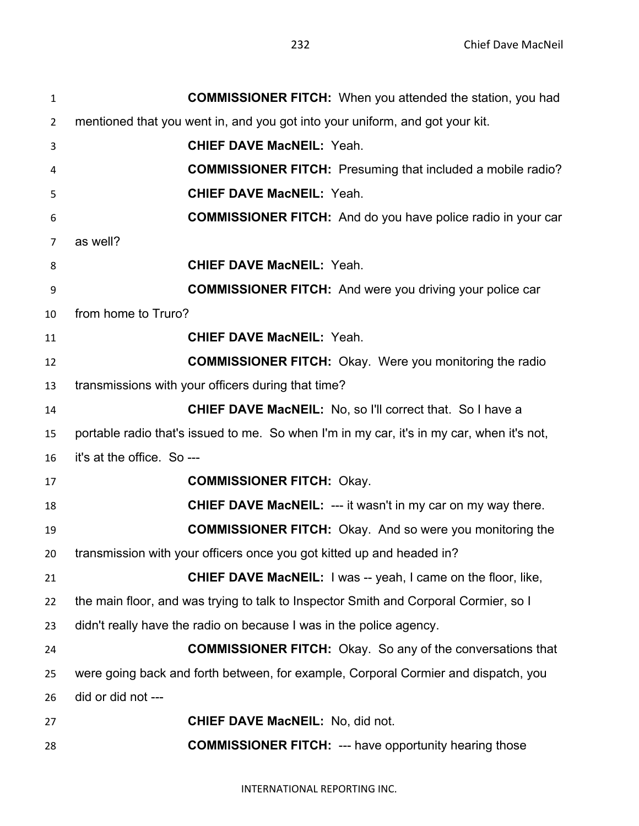| $\mathbf{1}$   | <b>COMMISSIONER FITCH:</b> When you attended the station, you had                         |
|----------------|-------------------------------------------------------------------------------------------|
| $\overline{2}$ | mentioned that you went in, and you got into your uniform, and got your kit.              |
| 3              | <b>CHIEF DAVE MacNEIL: Yeah.</b>                                                          |
| 4              | <b>COMMISSIONER FITCH:</b> Presuming that included a mobile radio?                        |
| 5              | <b>CHIEF DAVE MacNEIL: Yeah.</b>                                                          |
| 6              | <b>COMMISSIONER FITCH:</b> And do you have police radio in your car                       |
| $\overline{7}$ | as well?                                                                                  |
| 8              | <b>CHIEF DAVE MacNEIL: Yeah.</b>                                                          |
| 9              | <b>COMMISSIONER FITCH:</b> And were you driving your police car                           |
| 10             | from home to Truro?                                                                       |
| 11             | <b>CHIEF DAVE MacNEIL: Yeah.</b>                                                          |
| 12             | <b>COMMISSIONER FITCH:</b> Okay. Were you monitoring the radio                            |
| 13             | transmissions with your officers during that time?                                        |
| 14             | <b>CHIEF DAVE MacNEIL:</b> No, so I'll correct that. So I have a                          |
| 15             | portable radio that's issued to me. So when I'm in my car, it's in my car, when it's not, |
| 16             | it's at the office. So ---                                                                |
| 17             | <b>COMMISSIONER FITCH: Okay.</b>                                                          |
| 18             | <b>CHIEF DAVE MacNEIL: --- it wasn't in my car on my way there.</b>                       |
| 19             | <b>COMMISSIONER FITCH:</b> Okay. And so were you monitoring the                           |
| 20             | transmission with your officers once you got kitted up and headed in?                     |
| 21             | <b>CHIEF DAVE MacNEIL:</b> I was -- yeah, I came on the floor, like,                      |
| 22             | the main floor, and was trying to talk to Inspector Smith and Corporal Cormier, so I      |
| 23             | didn't really have the radio on because I was in the police agency.                       |
| 24             | <b>COMMISSIONER FITCH:</b> Okay. So any of the conversations that                         |
| 25             | were going back and forth between, for example, Corporal Cormier and dispatch, you        |
| 26             | did or did not ---                                                                        |
| 27             | <b>CHIEF DAVE MacNEIL: No, did not.</b>                                                   |
| 28             | <b>COMMISSIONER FITCH: --- have opportunity hearing those</b>                             |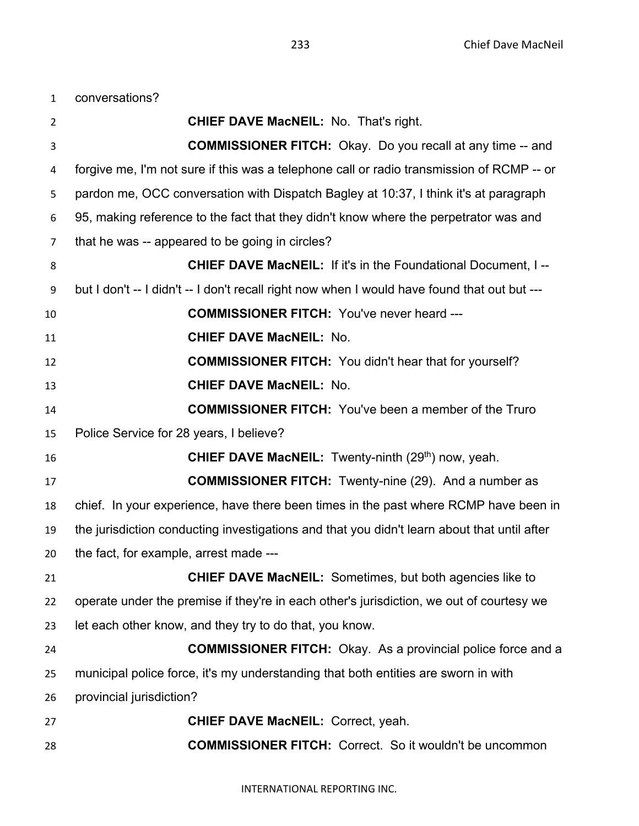conversations?

| $\overline{2}$ | <b>CHIEF DAVE MacNEIL: No. That's right.</b>                                                 |
|----------------|----------------------------------------------------------------------------------------------|
| 3              | <b>COMMISSIONER FITCH:</b> Okay. Do you recall at any time -- and                            |
| 4              | forgive me, I'm not sure if this was a telephone call or radio transmission of RCMP -- or    |
| 5              | pardon me, OCC conversation with Dispatch Bagley at 10:37, I think it's at paragraph         |
| 6              | 95, making reference to the fact that they didn't know where the perpetrator was and         |
| $\overline{7}$ | that he was -- appeared to be going in circles?                                              |
| 8              | <b>CHIEF DAVE MacNEIL: If it's in the Foundational Document, I--</b>                         |
| 9              | but I don't -- I didn't -- I don't recall right now when I would have found that out but --- |
| 10             | <b>COMMISSIONER FITCH: You've never heard ---</b>                                            |
| 11             | <b>CHIEF DAVE MacNEIL: No.</b>                                                               |
| 12             | <b>COMMISSIONER FITCH:</b> You didn't hear that for yourself?                                |
| 13             | <b>CHIEF DAVE MacNEIL: No.</b>                                                               |
| 14             | <b>COMMISSIONER FITCH:</b> You've been a member of the Truro                                 |
| 15             | Police Service for 28 years, I believe?                                                      |
| 16             | <b>CHIEF DAVE MacNEIL:</b> Twenty-ninth (29 <sup>th</sup> ) now, yeah.                       |
| 17             | <b>COMMISSIONER FITCH:</b> Twenty-nine (29). And a number as                                 |
| 18             | chief. In your experience, have there been times in the past where RCMP have been in         |
| 19             | the jurisdiction conducting investigations and that you didn't learn about that until after  |
| 20             | the fact, for example, arrest made ---                                                       |
| 21             | <b>CHIEF DAVE MacNEIL:</b> Sometimes, but both agencies like to                              |
| 22             | operate under the premise if they're in each other's jurisdiction, we out of courtesy we     |
| 23             | let each other know, and they try to do that, you know.                                      |
| 24             | <b>COMMISSIONER FITCH:</b> Okay. As a provincial police force and a                          |
| 25             | municipal police force, it's my understanding that both entities are sworn in with           |
| 26             | provincial jurisdiction?                                                                     |
| 27             | <b>CHIEF DAVE MacNEIL: Correct, yeah.</b>                                                    |
| 28             | <b>COMMISSIONER FITCH:</b> Correct. So it wouldn't be uncommon                               |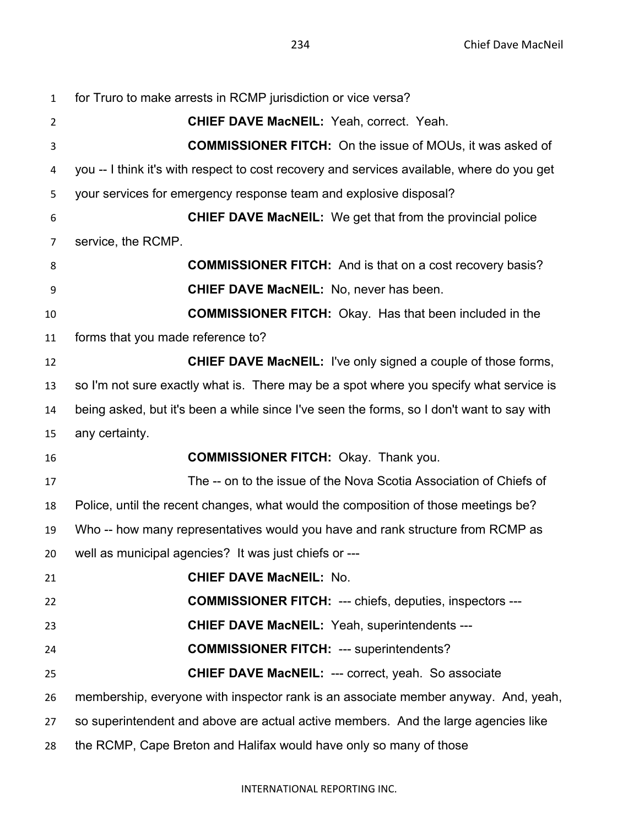for Truro to make arrests in RCMP jurisdiction or vice versa? **CHIEF DAVE MacNEIL:** Yeah, correct. Yeah. **COMMISSIONER FITCH:** On the issue of MOUs, it was asked of you -- I think it's with respect to cost recovery and services available, where do you get your services for emergency response team and explosive disposal? **CHIEF DAVE MacNEIL:** We get that from the provincial police service, the RCMP. **COMMISSIONER FITCH:** And is that on a cost recovery basis? **CHIEF DAVE MacNEIL:** No, never has been. **COMMISSIONER FITCH:** Okay. Has that been included in the forms that you made reference to? **CHIEF DAVE MacNEIL:** I've only signed a couple of those forms, so I'm not sure exactly what is. There may be a spot where you specify what service is being asked, but it's been a while since I've seen the forms, so I don't want to say with any certainty. **COMMISSIONER FITCH:** Okay. Thank you. The -- on to the issue of the Nova Scotia Association of Chiefs of Police, until the recent changes, what would the composition of those meetings be? Who -- how many representatives would you have and rank structure from RCMP as well as municipal agencies? It was just chiefs or --- **CHIEF DAVE MacNEIL:** No. **COMMISSIONER FITCH:** --- chiefs, deputies, inspectors --- **CHIEF DAVE MacNEIL:** Yeah, superintendents --- **COMMISSIONER FITCH:** --- superintendents? **CHIEF DAVE MacNEIL:** --- correct, yeah. So associate membership, everyone with inspector rank is an associate member anyway. And, yeah, so superintendent and above are actual active members. And the large agencies like the RCMP, Cape Breton and Halifax would have only so many of those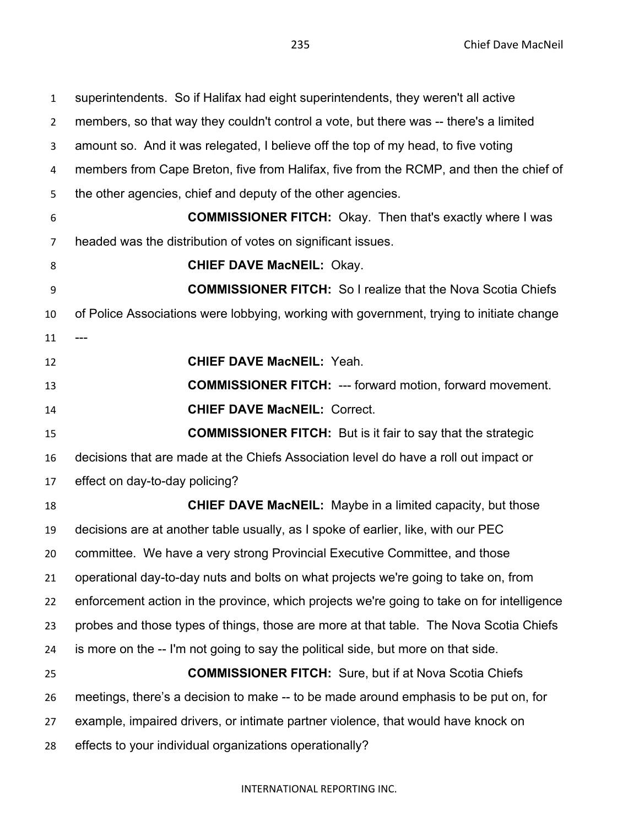superintendents. So if Halifax had eight superintendents, they weren't all active members, so that way they couldn't control a vote, but there was -- there's a limited amount so. And it was relegated, I believe off the top of my head, to five voting members from Cape Breton, five from Halifax, five from the RCMP, and then the chief of the other agencies, chief and deputy of the other agencies. **COMMISSIONER FITCH:** Okay. Then that's exactly where I was headed was the distribution of votes on significant issues. **CHIEF DAVE MacNEIL:** Okay. **COMMISSIONER FITCH:** So I realize that the Nova Scotia Chiefs of Police Associations were lobbying, working with government, trying to initiate change --- **CHIEF DAVE MacNEIL:** Yeah. **COMMISSIONER FITCH:** --- forward motion, forward movement. **CHIEF DAVE MacNEIL:** Correct. **COMMISSIONER FITCH:** But is it fair to say that the strategic decisions that are made at the Chiefs Association level do have a roll out impact or effect on day-to-day policing? **CHIEF DAVE MacNEIL:** Maybe in a limited capacity, but those decisions are at another table usually, as I spoke of earlier, like, with our PEC committee. We have a very strong Provincial Executive Committee, and those operational day-to-day nuts and bolts on what projects we're going to take on, from enforcement action in the province, which projects we're going to take on for intelligence probes and those types of things, those are more at that table. The Nova Scotia Chiefs is more on the -- I'm not going to say the political side, but more on that side. **COMMISSIONER FITCH:** Sure, but if at Nova Scotia Chiefs meetings, there's a decision to make -- to be made around emphasis to be put on, for example, impaired drivers, or intimate partner violence, that would have knock on effects to your individual organizations operationally?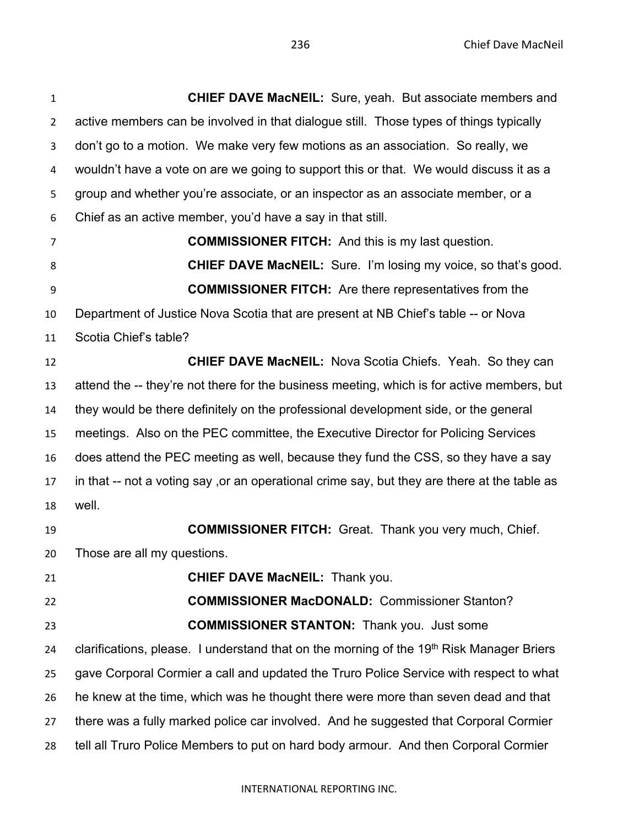**CHIEF DAVE MacNEIL:** Sure, yeah. But associate members and active members can be involved in that dialogue still. Those types of things typically don't go to a motion. We make very few motions as an association. So really, we wouldn't have a vote on are we going to support this or that. We would discuss it as a group and whether you're associate, or an inspector as an associate member, or a Chief as an active member, you'd have a say in that still. **COMMISSIONER FITCH:** And this is my last question. **CHIEF DAVE MacNEIL:** Sure. I'm losing my voice, so that's good. **COMMISSIONER FITCH:** Are there representatives from the Department of Justice Nova Scotia that are present at NB Chief's table -- or Nova Scotia Chief's table? **CHIEF DAVE MacNEIL:** Nova Scotia Chiefs. Yeah. So they can attend the -- they're not there for the business meeting, which is for active members, but they would be there definitely on the professional development side, or the general meetings. Also on the PEC committee, the Executive Director for Policing Services does attend the PEC meeting as well, because they fund the CSS, so they have a say in that -- not a voting say ,or an operational crime say, but they are there at the table as well. **COMMISSIONER FITCH:** Great. Thank you very much, Chief.

Those are all my questions.

**CHIEF DAVE MacNEIL:** Thank you.

 **COMMISSIONER MacDONALD:** Commissioner Stanton? **COMMISSIONER STANTON:** Thank you. Just some 24 clarifications, please. I understand that on the morning of the 19<sup>th</sup> Risk Manager Briers gave Corporal Cormier a call and updated the Truro Police Service with respect to what he knew at the time, which was he thought there were more than seven dead and that there was a fully marked police car involved. And he suggested that Corporal Cormier tell all Truro Police Members to put on hard body armour. And then Corporal Cormier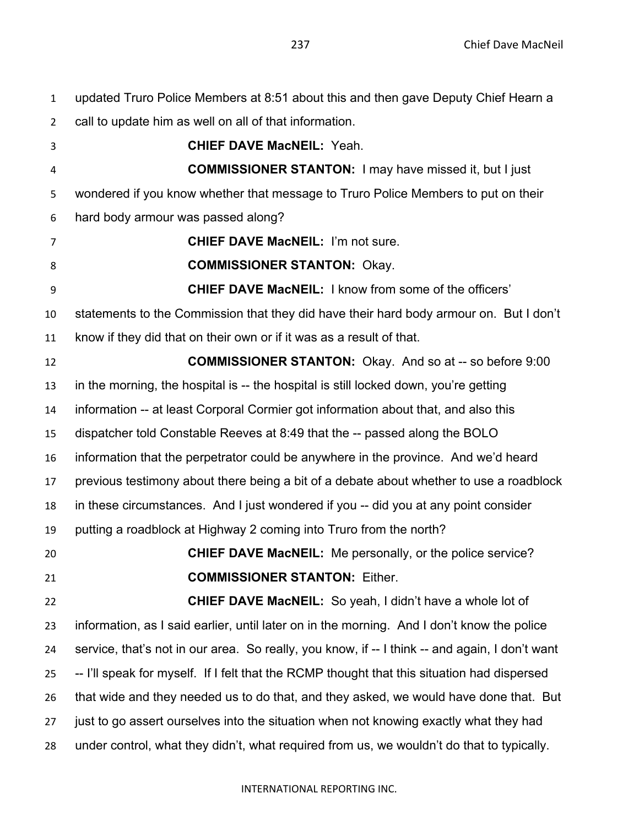updated Truro Police Members at 8:51 about this and then gave Deputy Chief Hearn a

call to update him as well on all of that information.

 **CHIEF DAVE MacNEIL:** Yeah. **COMMISSIONER STANTON:** I may have missed it, but I just wondered if you know whether that message to Truro Police Members to put on their hard body armour was passed along? **CHIEF DAVE MacNEIL:** I'm not sure. **COMMISSIONER STANTON:** Okay. **CHIEF DAVE MacNEIL:** I know from some of the officers' statements to the Commission that they did have their hard body armour on. But I don't know if they did that on their own or if it was as a result of that. **COMMISSIONER STANTON:** Okay. And so at -- so before 9:00 in the morning, the hospital is -- the hospital is still locked down, you're getting information -- at least Corporal Cormier got information about that, and also this dispatcher told Constable Reeves at 8:49 that the -- passed along the BOLO information that the perpetrator could be anywhere in the province. And we'd heard previous testimony about there being a bit of a debate about whether to use a roadblock in these circumstances. And I just wondered if you -- did you at any point consider putting a roadblock at Highway 2 coming into Truro from the north? **CHIEF DAVE MacNEIL:** Me personally, or the police service? **COMMISSIONER STANTON:** Either. **CHIEF DAVE MacNEIL:** So yeah, I didn't have a whole lot of information, as I said earlier, until later on in the morning. And I don't know the police service, that's not in our area. So really, you know, if -- I think -- and again, I don't want -- I'll speak for myself. If I felt that the RCMP thought that this situation had dispersed that wide and they needed us to do that, and they asked, we would have done that. But just to go assert ourselves into the situation when not knowing exactly what they had under control, what they didn't, what required from us, we wouldn't do that to typically.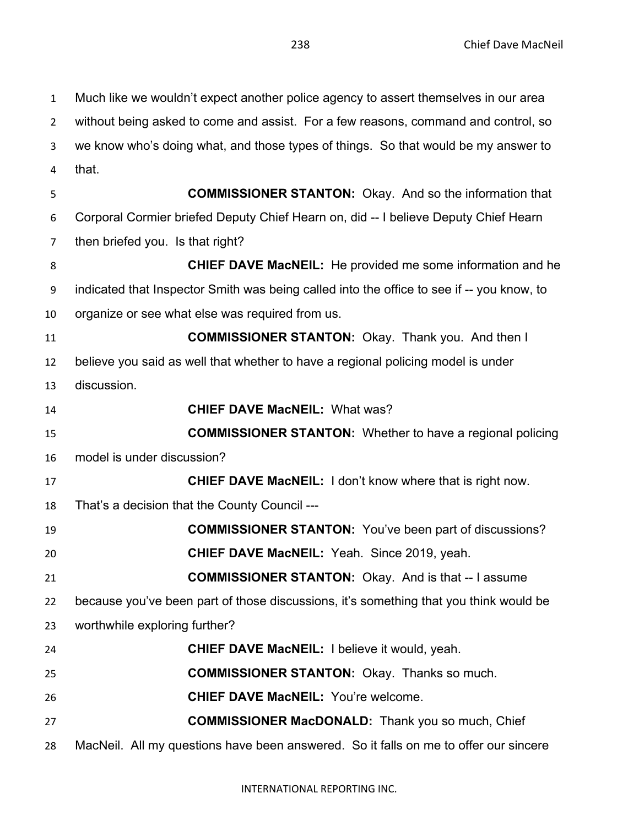Much like we wouldn't expect another police agency to assert themselves in our area without being asked to come and assist. For a few reasons, command and control, so we know who's doing what, and those types of things. So that would be my answer to that. **COMMISSIONER STANTON:** Okay. And so the information that Corporal Cormier briefed Deputy Chief Hearn on, did -- I believe Deputy Chief Hearn then briefed you. Is that right? **CHIEF DAVE MacNEIL:** He provided me some information and he indicated that Inspector Smith was being called into the office to see if -- you know, to organize or see what else was required from us. **COMMISSIONER STANTON:** Okay. Thank you. And then I believe you said as well that whether to have a regional policing model is under discussion. **CHIEF DAVE MacNEIL:** What was? **COMMISSIONER STANTON:** Whether to have a regional policing model is under discussion? **CHIEF DAVE MacNEIL:** I don't know where that is right now. That's a decision that the County Council --- **COMMISSIONER STANTON:** You've been part of discussions? **CHIEF DAVE MacNEIL:** Yeah. Since 2019, yeah. **COMMISSIONER STANTON:** Okay. And is that -- I assume because you've been part of those discussions, it's something that you think would be worthwhile exploring further? **CHIEF DAVE MacNEIL:** I believe it would, yeah. **COMMISSIONER STANTON:** Okay. Thanks so much. **CHIEF DAVE MacNEIL:** You're welcome. **COMMISSIONER MacDONALD:** Thank you so much, Chief MacNeil. All my questions have been answered. So it falls on me to offer our sincere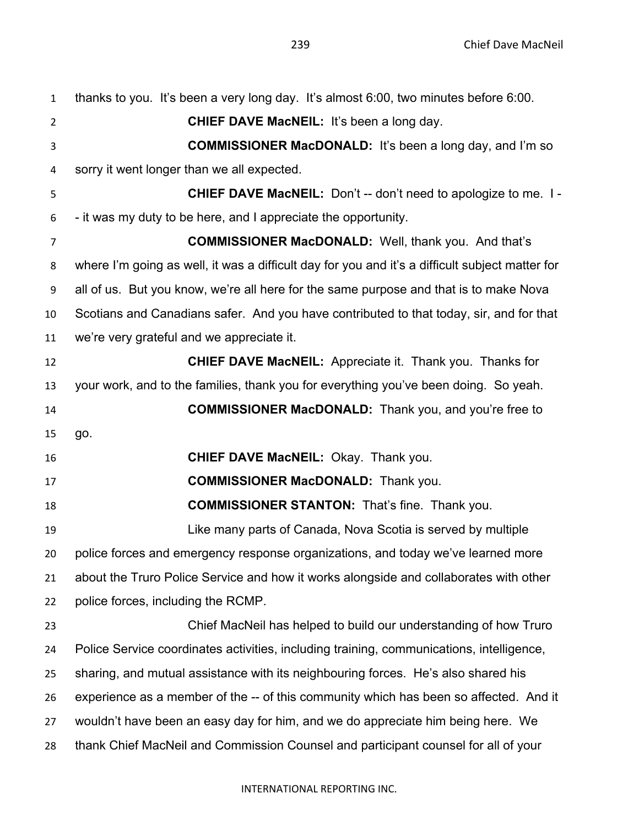| $\mathbf{1}$   | thanks to you. It's been a very long day. It's almost 6:00, two minutes before 6:00.            |
|----------------|-------------------------------------------------------------------------------------------------|
| $\overline{2}$ | <b>CHIEF DAVE MacNEIL: It's been a long day.</b>                                                |
| 3              | <b>COMMISSIONER MacDONALD:</b> It's been a long day, and I'm so                                 |
| 4              | sorry it went longer than we all expected.                                                      |
| 5              | <b>CHIEF DAVE MacNEIL:</b> Don't -- don't need to apologize to me. I -                          |
| 6              | - it was my duty to be here, and I appreciate the opportunity.                                  |
| 7              | <b>COMMISSIONER MacDONALD:</b> Well, thank you. And that's                                      |
| 8              | where I'm going as well, it was a difficult day for you and it's a difficult subject matter for |
| 9              | all of us. But you know, we're all here for the same purpose and that is to make Nova           |
| 10             | Scotians and Canadians safer. And you have contributed to that today, sir, and for that         |
| 11             | we're very grateful and we appreciate it.                                                       |
| 12             | <b>CHIEF DAVE MacNEIL:</b> Appreciate it. Thank you. Thanks for                                 |
| 13             | your work, and to the families, thank you for everything you've been doing. So yeah.            |
| 14             | <b>COMMISSIONER MacDONALD:</b> Thank you, and you're free to                                    |
| 15             | go.                                                                                             |
| 16             | <b>CHIEF DAVE MacNEIL: Okay. Thank you.</b>                                                     |
| 17             | <b>COMMISSIONER MacDONALD:</b> Thank you.                                                       |
| 18             | <b>COMMISSIONER STANTON: That's fine. Thank you.</b>                                            |
| 19             | Like many parts of Canada, Nova Scotia is served by multiple                                    |
| 20             | police forces and emergency response organizations, and today we've learned more                |
| 21             | about the Truro Police Service and how it works alongside and collaborates with other           |
| 22             | police forces, including the RCMP.                                                              |
| 23             | Chief MacNeil has helped to build our understanding of how Truro                                |
| 24             | Police Service coordinates activities, including training, communications, intelligence,        |
| 25             | sharing, and mutual assistance with its neighbouring forces. He's also shared his               |
| 26             | experience as a member of the -- of this community which has been so affected. And it           |
| 27             | wouldn't have been an easy day for him, and we do appreciate him being here. We                 |
| 28             | thank Chief MacNeil and Commission Counsel and participant counsel for all of your              |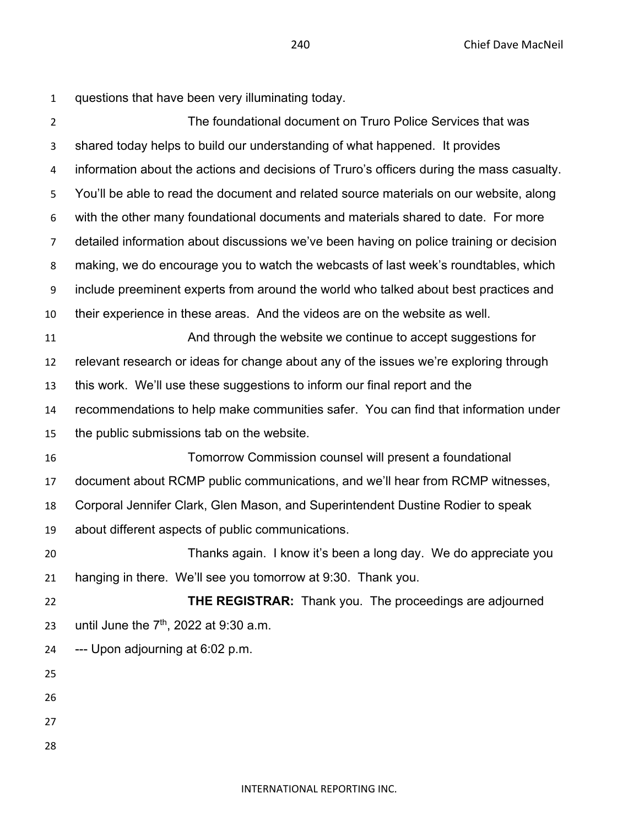| $\mathbf{1}$   | questions that have been very illuminating today.                                         |
|----------------|-------------------------------------------------------------------------------------------|
| $\overline{2}$ | The foundational document on Truro Police Services that was                               |
| 3              | shared today helps to build our understanding of what happened. It provides               |
| 4              | information about the actions and decisions of Truro's officers during the mass casualty. |
| 5              | You'll be able to read the document and related source materials on our website, along    |
| 6              | with the other many foundational documents and materials shared to date. For more         |
| $\overline{7}$ | detailed information about discussions we've been having on police training or decision   |
| 8              | making, we do encourage you to watch the webcasts of last week's roundtables, which       |
| 9              | include preeminent experts from around the world who talked about best practices and      |
| 10             | their experience in these areas. And the videos are on the website as well.               |
| 11             | And through the website we continue to accept suggestions for                             |
| 12             | relevant research or ideas for change about any of the issues we're exploring through     |
| 13             | this work. We'll use these suggestions to inform our final report and the                 |
| 14             | recommendations to help make communities safer. You can find that information under       |
| 15             | the public submissions tab on the website.                                                |
| 16             | Tomorrow Commission counsel will present a foundational                                   |
| 17             | document about RCMP public communications, and we'll hear from RCMP witnesses,            |
| 18             | Corporal Jennifer Clark, Glen Mason, and Superintendent Dustine Rodier to speak           |
| 19             | about different aspects of public communications.                                         |
| 20             | Thanks again. I know it's been a long day. We do appreciate you                           |
| 21             | hanging in there. We'll see you tomorrow at 9:30. Thank you.                              |
| 22             | THE REGISTRAR: Thank you. The proceedings are adjourned                                   |
| 23             | until June the $7th$ , 2022 at 9:30 a.m.                                                  |
| 24             | --- Upon adjourning at 6:02 p.m.                                                          |
| 25             |                                                                                           |
| 26             |                                                                                           |
| 27             |                                                                                           |
| 28             |                                                                                           |